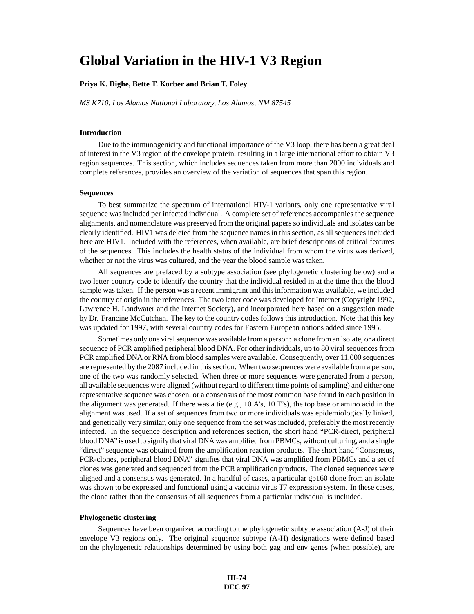### **Global Variation in the HIV-1 V3 Region**

### **Priya K. Dighe, Bette T. Korber and Brian T. Foley**

*MS K710, Los Alamos National Laboratory, Los Alamos, NM 87545*

### **Introduction**

Due to the immunogenicity and functional importance of the V3 loop, there has been a great deal of interest in the V3 region of the envelope protein, resulting in a large international effort to obtain V3 region sequences. This section, which includes sequences taken from more than 2000 individuals and complete references, provides an overview of the variation of sequences that span this region.

### **Sequences**

To best summarize the spectrum of international HIV-1 variants, only one representative viral sequence was included per infected individual. A complete set of references accompanies the sequence alignments, and nomenclature was preserved from the original papers so individuals and isolates can be clearly identified. HIV1 was deleted from the sequence names in this section, as all sequences included here are HIV1. Included with the references, when available, are brief descriptions of critical features of the sequences. This includes the health status of the individual from whom the virus was derived, whether or not the virus was cultured, and the year the blood sample was taken.

All sequences are prefaced by a subtype association (see phylogenetic clustering below) and a two letter country code to identify the country that the individual resided in at the time that the blood sample was taken. If the person was a recent immigrant and this information was available, we included the country of origin in the references. The two letter code was developed for Internet (Copyright 1992, Lawrence H. Landwater and the Internet Society), and incorporated here based on a suggestion made by Dr. Francine McCutchan. The key to the country codes follows this introduction. Note that this key was updated for 1997, with several country codes for Eastern European nations added since 1995.

Sometimes only one viral sequence was available from a person: a clone from an isolate, or a direct sequence of PCR amplified peripheral blood DNA. For other individuals, up to 80 viral sequences from PCR amplified DNA or RNA from blood samples were available. Consequently, over 11,000 sequences are represented by the 2087 included in this section. When two sequences were available from a person, one of the two was randomly selected. When three or more sequences were generated from a person, all available sequences were aligned (without regard to different time points of sampling) and either one representative sequence was chosen, or a consensus of the most common base found in each position in the alignment was generated. If there was a tie (e.g., 10 A's, 10 T's), the top base or amino acid in the alignment was used. If a set of sequences from two or more individuals was epidemiologically linked, and genetically very similar, only one sequence from the set was included, preferably the most recently infected. In the sequence description and references section, the short hand "PCR-direct, peripheral blood DNA" is used to signify that viral DNA was amplified from PBMCs, without culturing, and a single "direct" sequence was obtained from the amplification reaction products. The short hand "Consensus, PCR-clones, peripheral blood DNA" signifies that viral DNA was amplified from PBMCs and a set of clones was generated and sequenced from the PCR amplification products. The cloned sequences were aligned and a consensus was generated. In a handful of cases, a particular gp160 clone from an isolate was shown to be expressed and functional using a vaccinia virus T7 expression system. In these cases, the clone rather than the consensus of all sequences from a particular individual is included.

#### **Phylogenetic clustering**

Sequences have been organized according to the phylogenetic subtype association (A-J) of their envelope V3 regions only. The original sequence subtype (A-H) designations were defined based on the phylogenetic relationships determined by using both gag and env genes (when possible), are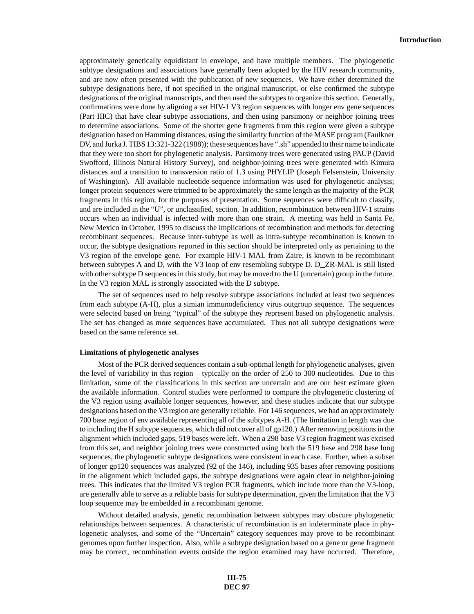approximately genetically equidistant in envelope, and have multiple members. The phylogenetic subtype designations and associations have generally been adopted by the HIV research community, and are now often presented with the publication of new sequences. We have either determined the subtype designations here, if not specified in the original manuscript, or else confirmed the subtype designations of the original manuscripts, and then used the subtypes to organize this section. Generally, confirmations were done by aligning a set HIV-1 V3 region sequences with longer env gene sequences (Part IIIC) that have clear subtype associations, and then using parsimony or neighbor joining trees to determine associations. Some of the shorter gene fragments from this region were given a subtype designation based on Hamming distances, using the similarity function of the MASE program (Faulkner DV, and Jurka J. TIBS 13:321-322 (1988)); these sequences have ".sh" appended to their name to indicate that they were too short for phylogenetic analysis. Parsimony trees were generated using PAUP (David Swofford, Illinois Natural History Survey), and neighbor-joining trees were generated with Kimura distances and a transition to transversion ratio of 1.3 using PHYLIP (Joseph Felsenstein, University of Washington). All available nucleotide sequence information was used for phylogenetic analysis; longer protein sequences were trimmed to be approximately the same length as the majority of the PCR fragments in this region, for the purposes of presentation. Some sequences were difficult to classify, and are included in the "U", or unclassified, section. In addition, recombination between HIV-1 strains occurs when an individual is infected with more than one strain. A meeting was held in Santa Fe, New Mexico in October, 1995 to discuss the implications of recombination and methods for detecting recombinant sequences. Because inter-subtype as well as intra-subtype recombination is known to occur, the subtype designations reported in this section should be interpreted only as pertaining to the V3 region of the envelope gene. For example HIV-1 MAL from Zaire, is known to be recombinant between subtypes A and D, with the V3 loop of env resembling subtype D. D\_ZR-MAL is still listed with other subtype D sequences in this study, but may be moved to the U (uncertain) group in the future. In the V3 region MAL is strongly associated with the D subtype.

The set of sequences used to help resolve subtype associations included at least two sequences from each subtype (A-H), plus a simian immunodeficiency virus outgroup sequence. The sequences were selected based on being "typical" of the subtype they represent based on phylogenetic analysis. The set has changed as more sequences have accumulated. Thus not all subtype designations were based on the same reference set.

### **Limitations of phylogenetic analyses**

Most of the PCR derived sequences contain a sub-optimal length for phylogenetic analyses, given the level of variability in this region – typically on the order of 250 to 300 nucleotides. Due to this limitation, some of the classifications in this section are uncertain and are our best estimate given the available information. Control studies were performed to compare the phylogenetic clustering of the V3 region using available longer sequences, however, and these studies indicate that our subtype designations based on the V3 region are generally reliable. For 146 sequences, we had an approximately 700 base region of env available representing all of the subtypes A-H. (The limitation in length was due to including the H subtype sequences, which did not cover all of gp120.) After removing positions in the alignment which included gaps, 519 bases were left. When a 298 base V3 region fragment was excised from this set, and neighbor joining trees were constructed using both the 519 base and 298 base long sequences, the phylogenetic subtype designations were consistent in each case. Further, when a subset of longer gp120 sequences was analyzed (92 of the 146), including 935 bases after removing positions in the alignment which included gaps, the subtype designations were again clear in neighbor-joining trees. This indicates that the limited V3 region PCR fragments, which include more than the V3-loop, are generally able to serve as a reliable basis for subtype determination, given the limitation that the V3 loop sequence may be embedded in a recombinant genome.

Without detailed analysis, genetic recombination between subtypes may obscure phylogenetic relationships between sequences. A characteristic of recombination is an indeterminate place in phylogenetic analyses, and some of the "Uncertain" category sequences may prove to be recombinant genomes upon further inspection. Also, while a subtype designation based on a gene or gene fragment may be correct, recombination events outside the region examined may have occurred. Therefore,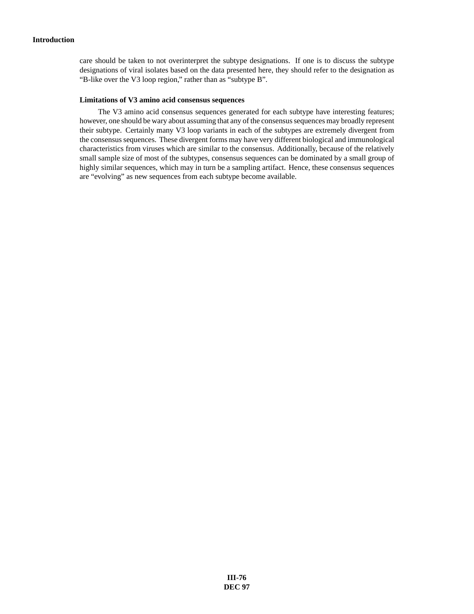### **Introduction**

care should be taken to not overinterpret the subtype designations. If one is to discuss the subtype designations of viral isolates based on the data presented here, they should refer to the designation as "B-like over the V3 loop region," rather than as "subtype B".

### **Limitations of V3 amino acid consensus sequences**

The V3 amino acid consensus sequences generated for each subtype have interesting features; however, one should be wary about assuming that any of the consensus sequences may broadly represent their subtype. Certainly many V3 loop variants in each of the subtypes are extremely divergent from the consensus sequences. These divergent forms may have very different biological and immunological characteristics from viruses which are similar to the consensus. Additionally, because of the relatively small sample size of most of the subtypes, consensus sequences can be dominated by a small group of highly similar sequences, which may in turn be a sampling artifact. Hence, these consensus sequences are "evolving" as new sequences from each subtype become available.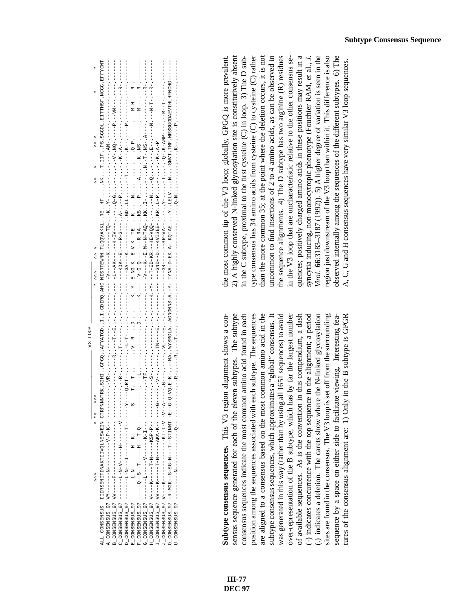|                | $\lambda$        |                                                                                                                                                                                        |  |  |  |  |  |  |  |
|----------------|------------------|----------------------------------------------------------------------------------------------------------------------------------------------------------------------------------------|--|--|--|--|--|--|--|
|                |                  | LINE SERVER THE LISS SELLER AND SERVER WAS STILL ON A SERVEROW AND SERVEROW TO CONSULT WHEN THE WALL. THE WAS SCHOOL REFLINE THE STILL AND SCHOOL REFLINE THE STILL AND SCHOOL REFLINE |  |  |  |  |  |  |  |
| <b>ADOT EA</b> |                  |                                                                                                                                                                                        |  |  |  |  |  |  |  |
|                | く*く<br>$\lambda$ |                                                                                                                                                                                        |  |  |  |  |  |  |  |
|                |                  |                                                                                                                                                                                        |  |  |  |  |  |  |  |

sensus sequence generated for each of the eleven subtypes. The subtype are aligned to a consensus based on the most common amino acid in the subtype consensus sequences, which approximates a "global" consensus. It (-) indicates concurrence with the top sequence in the alignment; a period (.) indicates a deletion. The carets show where the N-linked glycosylation sites are found in the consensus. The V3 loop is set off from the surrounding consensus sequences indicate the most common amino acid found in each position among the sequences associated with each subtype. The sequences was generated in this way (rather than by using all 1651 sequences) to avoid over-representation of the B subtype, which has by far the largest number of available sequences. As is the convention in this compendium, a dash sequence by a space on either side to facilitate viewing. Interesting features of the consensus alignment are: 1) Only in the B subtype is GPGR Subtype consensus sequences. This V3 region alignment shows a con-**Subtype consensus sequences.** This V3 region alignment shows a consensus sequence generated for each of the eleven subtypes. The subtype consensus sequences indicate the most common amino acid found in each position among the sequences associated with each subtype. The sequences are aligned to a consensus based on the most common amino acid in the subtype consensus sequences, which approximates a "global" consensus. It was generated in this way (rather than by using all 1651 sequences) to avoid over-representation of the B subtype, which has by far the largest number of available sequences. As is the convention in this compendium, a dash (-) indicates concurrence with the top sequence in the alignment; a period (.) indicates a deletion. The carets show where the N-linked glycosylation sites are found in the consensus. The V3 loop is set off from the surrounding sequence by a space on either side to facilitate viewing. Interesting features of the consensus alignment are: 1) Only in the B subtype is GPGR

uncommon to find insertions of 2 to 4 amino acids, as can be observed in quences; positively charged amino acids in these positions may result in a Virol. 66:3183-3187 (1992)). 5) A higher degree of variation is seen in the region just downstream of the V3 loop than within it. This difference is also observed internally among the sequences of the different subtypes. 6) The 2) A highly conserved N-linked glycosylation site is constitutively absent 2) A highly conserved N-linked glycosylation site is constitutively absent in the C subtype, proximal to the first cysteine  $(C)$  in loop. 3) The D subtype consensus has 34 amino acids from cysteine  $(C)$  to cysteine  $(C)$  rather type consensus has 34 amino acids from cysteine (C) to cysteine (C) rather than the more common 35; at the point where the deletion occurs, it is not than the more common 35; at the point where the deletion occurs, it is not uncommon to find insertions of 2 to 4 amino acids, as can be observed in the sequence alignments. 4) The D subtype has two arginine  $(R)$  residues in the V3 loop that are uncharacteristic relative to the other consensus sequences; positively charged amino acids in these positions may result in a the most common tip of the V3 loop; globally, GPGQ is more prevalent. the most common tip of the V3 loop; globally, GPGQ is more prevalent. in the C subtype, proximal to the first cysteine (C) in loop. 3) The D subthe sequence alignments. 4) The D subtype has two arginine (R) residues in the V3 loop that are uncharacteristic relative to the other consensus sesyncytia inducing, non-monocytropic phenotype (Fouchier RAM, et al., J. syncytia inducing, non-monocytropic phenotype (Fouchier RAM, et al., *J. Virol*. **66**:3183–3187 (1992)). 5) A higher degree of variation is seen in the region just downstream of the V3 loop than within it. This difference is also observed internally among the sequences of the different subtypes. 6) The A, C, G and H consensus sequences have very similar V3 loop sequences. A, C, G and H consensus sequences have very similar V3 loop sequences.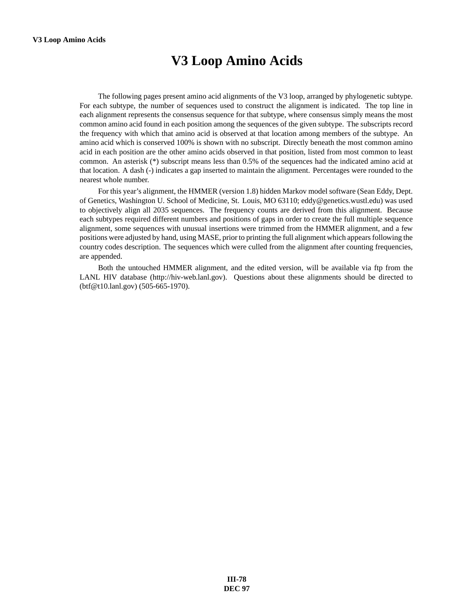### **V3 Loop Amino Acids**

The following pages present amino acid alignments of the V3 loop, arranged by phylogenetic subtype. For each subtype, the number of sequences used to construct the alignment is indicated. The top line in each alignment represents the consensus sequence for that subtype, where consensus simply means the most common amino acid found in each position among the sequences of the given subtype. The subscripts record the frequency with which that amino acid is observed at that location among members of the subtype. An amino acid which is conserved 100% is shown with no subscript. Directly beneath the most common amino acid in each position are the other amino acids observed in that position, listed from most common to least common. An asterisk (\*) subscript means less than 0.5% of the sequences had the indicated amino acid at that location. A dash (-) indicates a gap inserted to maintain the alignment. Percentages were rounded to the nearest whole number.

For this year's alignment, the HMMER (version 1.8) hidden Markov model software (Sean Eddy, Dept. of Genetics, Washington U. School of Medicine, St. Louis, MO 63110; eddy@genetics.wustl.edu) was used to objectively align all 2035 sequences. The frequency counts are derived from this alignment. Because each subtypes required different numbers and positions of gaps in order to create the full multiple sequence alignment, some sequences with unusual insertions were trimmed from the HMMER alignment, and a few positions were adjusted by hand, using MASE, prior to printing the full alignment which appears following the country codes description. The sequences which were culled from the alignment after counting frequencies, are appended.

Both the untouched HMMER alignment, and the edited version, will be available via ftp from the LANL HIV database (http://hiv-web.lanl.gov). Questions about these alignments should be directed to (btf@t10.lanl.gov) (505-665-1970).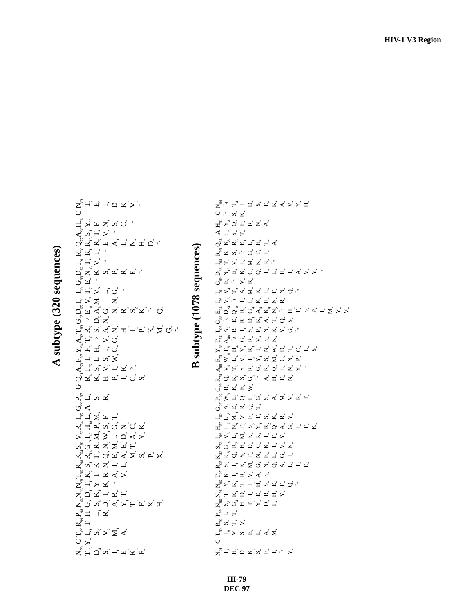### subtype (320 sequences) **A subtype (320 sequences)** ◀

N79 T13 D4 S2 I1 E1 K1 F\*  $\sim$   $\sim$  $\mathsf{H}^{\circ}$ ోన్నౖ'  $\mathbf{z}_\mathrm{g}$ டீர்ட்டி zຶ౮ຶ¤ຶQຶ⊲໌≻¯⊢¯⊭`x໌≖້ zຶQ™T¤L\* Z゚F'≻<sup>-</sup>Y<sup>\*</sup> ⊢್ಸ್'–್¤ ≺ >\* ಜ್ಞೆ ಸ್⊠್ –್ –್  $\vec{X}_\text{g}$   $\vec{X}_\text{g}$   $\vec{X}_\text{g}$   $\vec{X}_\text{g}$   $\vec{X}_\text{g}$   $\vec{X}_\text{g}$  $\mathbf{S}_{\mathrm{a}}$ ರೆಸ್ಸ್ ಸ್ಟ್ರ  $\sim$  "⊿"∑"≳ ¬ ∽" జీఐోోద్ది గ  $\overline{\mathsf{L}}^s$   $\overline{\mathsf{L}}^s$   $\overline{\mathsf{L}}^s$   $\overline{\mathsf{L}}^s$   $\overline{\mathsf{L}}^s$   $\overline{\mathsf{L}}^s$ ರ್ಿ≺ <sub>ພ</sub>ື່ມັຜັ¤້ ರ್ ಜಿ ಜೆ ಸ್ ದ್ ದ್ ದ್ಲ<br>ಧಿ<br>ರ  $\mathcal{A}^{\mathbb{S}_{\mathrm{p}}\mathbb{S}_{\mathrm{p}}}$ ng b $\mathcal{A}^{\mathbb{S}_{\mathrm{p}}\mathbb{S}_{\mathrm{p}}}$ ng bi  $\mathsf{F}_\mathsf{p}$ "⊢"⊥`∽`  $\blacktriangleright$ ್⊨ొ่ ⊢\* ⊖\*  $\breve{\mathcal{A}}^{\mathbb{S}}$ H $\breve{\phantom{a}}^{\mathbb{S}}$ N $\breve{\phantom{a}}^{\mathbb{S}}$ N $\breve{\phantom{a}}^{\mathbb{S}}$  $\mathsf{F}_{\rm ss}$ ದ್ದು ಸ್ವರ್ಧ 'ັື **≏**ັ≍ັ  $\mathsf{p}^{\mathsf{d}}_{{\mathsf{d}}}$ ng  $\mathsf{q}^{\mathsf{d}}_{{\mathsf{d}}}$ ng  $\mathsf{p}^{\mathsf{d}}_{{\mathsf{d}}}$ ng  $\mathsf{p}^{\mathsf{d}}_{{\mathsf{d}}}$ –್>`∑<sup>⊤</sup> ≍ I90 T7 V2 L1 G\* -\* បាំ <sup>ដ</sup>ំ  $\vec{\mathsf{q}}$   $\vec{\mathsf{q}}$   $\vec{\mathsf{q}}$   $\vec{\mathsf{q}}$   $\vec{\mathsf{q}}$   $\vec{\mathsf{q}}$   $\vec{\mathsf{q}}$   $\vec{\mathsf{r}}$   $\vec{\mathsf{r}}$ –ै⊢ँ >ं '\*  $\mathbf{z}_\mathrm{s}$ r  $\mathbf{H}_\mathrm{p}$  $\infty$ പ്പ്പ്പ് പ്പ് ∢∘ั๊∞ ี⊢\* >\* ่\*  $\texttt{H}^{\texttt{P}}$ ≻ $\texttt{H}^{\texttt{T}}$ Z $\texttt{H}^{\texttt{T}}$  ທ່ປໍາ $\texttt{H}^{\texttt{T}}$ て<br>S<sub>ສ</sub>⊢ ¤" –"ロ ¤ > ' -

# subtype (1078 sequences) **B subtype (1078 sequences)**

 $\mathbf{\Omega}$ 

ಗ್ದ ಸ್ವ ಸ್ವ ಸ್ವ ಸ್ವ<br>ಗಾರ್ಮ ಸ್ವ ಸ್ವ ಭ <sub>⊢</sub>್ಲಿ> '∞ 'щ゚ ц゚ ∢゚ ∑゚<br>∪ ದ್ದ ಬ್ಲ್ ⊱<u>್</u> ದ್ದ್ ಸ ra a gha na ch z ゚゚゚゚゚゚゚゚゚゚゚゚゚<sup>゠</sup>゙ヹヿ゙ヹゕ゙ <sub>2</sub><br><sub>2</sub> <sub>2</sub> 7 2 – 7 1 2 2 2 1 2 2 2 ⊢ಿಸ – ದ > <ೆ ದ R95 S2 I 1 K1 M\* G\* N\* Q\* A\* L\* T\* E\* ಜ್ಞಿ ದಿನ್ ಕ್ ಸ್ಟ್ ಸ್ಟ್ರ್ <sub>ಕ್</sub> ح ٌح ٌ ۖ ہِ ۡتَ ا مَّ نَ لَا نَہُ ۖ ہِ ۡ نَ ۡ لَا نَ ۡ نَ ۡ نَ ۡ نَ ־אֱאָ"דַ אַ אָ אָ דִּ אָ  $\Xi_c$   $\Xi_c$   $\Xi_c$   $\Xi_c$   $\omega_c$   $\omega_c$   $\omega_c$   $\omega_c$   $\omega_c$   $\omega_c$   $\omega_c$   $\omega_c$ ヿ゚ヮ゙ヿヹヿヿヸヸゕ゙ヹヸヾ ರ್∢'¤ೆ ∝ೆ ೦ೆ ⊢ೆ ليّة ≫ الم"م ع"م" من ج"ج" مع ال  $\Omega_\mathrm{g}$ ಲ್ಲಿ ಸ್ಪ್ರ್ ್ದಲ್ಲಿ ಜಿ.ಇ. ೧, ಸಿ. ಸ್ಟ್ರೋ<br>ಸ್ಟ್ರಿ ಸ್ಟ್ರಿ ಸ್ಟ್ರೈ حدُّ جي الله عنه من الله عنه من الله عنه من الله عنه من الله عنه<br>حدَّث من الله عنه من الله عنه من الله عنه من الله عنه  $\mathbb{E}_{\mathbb{E}}\approx\mathbb{E}_{\mathbb{E}}\mathbb{E}_{\mathbb{E}}\sim\mathbb{E}_{\mathbb{E}}\sim\mathbb{E}_{\mathbb{E}}\sim\mathbb{E}_{\mathbb{E}}\sim\mathbb{E}_{\mathbb{E}}\sim\mathbb{E}_{\mathbb{E}}\sim\mathbb{E}_{\mathbb{E}}$ Y88 F5 H4 V1 R1 I \* N\* W\* D\* T\* C\* L\* S\* T56 A40 - 3 G\* R\* V\* S\* K\* <u>Fragar X X Que</u>  $\mathbb{G}_{\mathrm{a}},\mathbb{Q}$  n,  $\mathbb{Q}_{\mathrm{a}}$  in  $\mathbb{Q}_{\mathrm{a}}$  in  $\mathbb{Q}_{\mathrm{a}}$  in  $\mathbb{Q}_{\mathrm{a}}$ E36 D24 Q18 R5 G4 A4 K4 N2 - 1 H1 T\* S\* P\* I \* M\* Y\* V\* ಗ್ನು - ಇಲ್ಲಿ ಸ್ವರ್ಧ್<u>ಥ</u> **\_\_\_<br>| ニュー イ ズ ス コ ロ ズ 〇 ..** ರ್<sup>ಲ</sup>್ಲ್ , ಸ 。<br><sub>D</sub>8 <sub>Z</sub>='д゚ ヹ゚ ヷ゙ ヷゖ゙ ヹヹヸ゙ヸ゙ヾ゙゙ゞ゙゙゙゙゙゙゙゙゙ゎ゙ I98 T\* V\* L\* M\* K\* R\* - \* ∝್ಲಿ ಸ್ಲ್ಲ್ ಧ್⊢್  $\infty_{\mathrm{s}}$ ജ്ജ് പ്പു ലു 4ു  $\triangleleft$  a  $\overline{a}$  in  $\overline{b}$  $\Xi_{\mathrm{p}}$ 2,  $\Xi_{\mathrm{p}}$   $\Xi_{\mathrm{p}}$   $\Xi_{\mathrm{p}}$ ບ <sub>\*</sub> ທ\*∡\* <u>n<br>Radio Ating Ating Ating</u>

**HIV-1 V3 Region**

**III-79 DEC 97**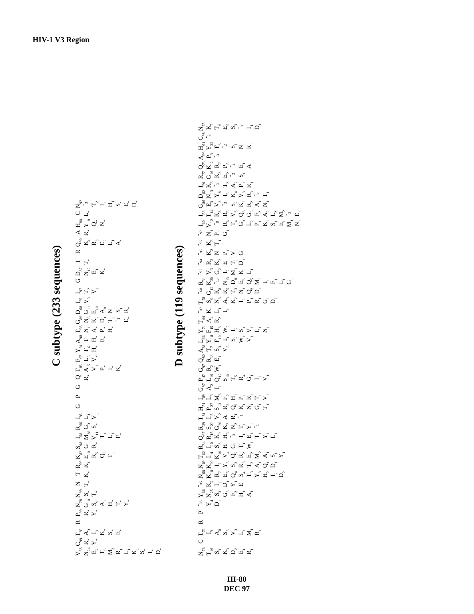C subtype (233 sequences) **C subtype (233 sequences)**

GPGQ

 $\circlearrowright$  $\mathbf{r}$  $\circlearrowright$ 

N75 K7 T6 E5 S3 - 3 I 1 D1ಲ್ಲ್  $\mathtt{\Xi}_2$ ఏ గ్బింగ్ ద్  $\mathcal{A}_{\mathfrak{g}}^{\mathfrak{g}}$   $\mathfrak{g}_{\mathfrak{g}}^{\mathfrak{g}}$  ,  $\mathfrak{g}_{\mathfrak{g}}$  $\infty$ డ్డ్డ్డ్ स $\leq$  $\mathbf{F}_{\mathbf{C}}$ ັບລັ $\mathbf{F}_{\mathbf{C}}$ ັບລັບ $\mathbf{F}_{\mathbf{C}}$ <sub>T2</sub> አ" է է Հ է Է Է  $\mathsf{D}_\mathsf{S}^\mathsf{N} \mathsf{S}_\mathsf{m}^\mathsf{N} \mathsf{S}_\mathsf{m}^\mathsf{N} \mathsf{S}_\mathsf{m}^\mathsf{N} \mathsf{S}_\mathsf{m}^\mathsf{N} \mathsf{S}_\mathsf{m}^\mathsf{N} \mathsf{S}_\mathsf{m}^\mathsf{N} \mathsf{S}_\mathsf{m}^\mathsf{N}$ <u>న్, ౖ ⊢ ౼ ∓</u>.ొ బై ⊓ై  $\mathbb{G}_{\mathrm{sgn}}$  along  $\mathbb{Z}_{\mathrm{sgn}}$  and  $\mathbb{Z}_{\mathrm{sgn}}$ اس المعلم المالي المعلم المعلم المعلم المعلم المعلم المعلم المعلم المعلم المعلم المعلم المعلم المعلم<br>المعلم المعلم المعلم المعلم المعلم المعلم المعلم المعلم المعلم المعلم المعلم المعلم المعلم المعلم المعلم المعل  $\circ$   $\vec{u}$ ದೆ ≻ೆರೆ ಸ 'ెల్లో ్ా్ా్' వ్వా A R\* ్ డెటెలె R Q90 K4 R3 E2 L1 A\* <u>ខ</u> ⊼ 는 D subtype (119 sequences) **D subtype (119 sequences)** ك ح'ِ ⊏'ِ ⊿'ِ م' -94 R2 K2 E1 T1 D1  $F_*$ ር<br>D<br>D = <sub>አ</sub>'] <u>π'</u> ኢ' ್ > ್ದೈಸ್ಸ್ ಸ ಸ್ನಸ್ಟ ಸ್ಪರ್ಥ್ವ ಸ್ಟಾರ್ ್ ದೈಸ್ಲ್ಲ್ ಸ್ಪ್ರೂರ್  $\mathsf{P}_2\mathsf{P}_1\mathsf{P}_2$  $\mathbf{p}_2$ ⊢ຶທ°∠ຶ≺໊ຟິ∽' ົັ¤ັປັດັ ⊔ຶບີ⊞<sup>ີ</sup><ຶ≍ັທັ¤້ '<sub>온</sub> 지그그 ್ವೊಸ್ಸ<u>ರ್</u>ಲ ಪ್  $\mathsf{F}_\mathsf{q}^\mathsf{q}$ 4  $\mathsf{F}_\mathsf{q}^\mathsf{q}$ ⊢ຶ≍ ≺\* ≏\* ≖\*  $\sum_{\alpha}^{\alpha} \Gamma_{\alpha}^{\alpha} \Xi_{\alpha}^{\alpha} \Xi_{\alpha}^{\alpha} \Xi_{\alpha}^{\alpha} \Xi_{\alpha}^{\alpha} \Xi_{\alpha}^{\alpha} \Xi_{\alpha}^{\alpha} \Xi_{\alpha}^{\alpha} \Xi_{\alpha}^{\alpha} \Xi_{\alpha}^{\alpha} \Xi_{\alpha}^{\alpha} \Xi_{\alpha}^{\alpha} \Xi_{\alpha}^{\alpha} \Xi_{\alpha}^{\alpha} \Xi_{\alpha}^{\alpha} \Xi_{\alpha}^{\alpha} \Xi_{\alpha}^{\alpha} \Xi_{\alpha}^{\alpha} \Xi_{\alpha}^{\alpha} \Xi_{\alpha}^{\alpha} \Xi_{\alpha}^{\alpha}$ A98 T1 H\* E\* ⊣ౖ°ౖ<sub>≍</sub>ౖ<sub>≍</sub>ౖ<sub>∽</sub>ౖ > <sub>ች "</sub> ኋ  $\mathcal{A}^{\text{ss}}$ H $\mathcal{A}^{\text{ss}}$ H $\mathcal{A}^{\text{ss}}$ ್ಲಿ ಸ್ವೈ ಗ್ನ r<br>Egl.><br>F  $\mathsf{F}_{\mathrm{ss}}$ ی ج $\mathsf{F}_{\mathrm{ss}}$  ج $\mathsf{F}_{\mathrm{ss}}$ ರ್°∝್ರ\_  $\alpha^*$  $\mathsf{P}_\mathsf{f}^\mathsf{r} \mathsf{P}_\mathsf{q}^\mathsf{r} \mathsf{Q}_\mathsf{q}^\mathsf{r} \mathsf{Q}_\mathsf{r}^\mathsf{r} \mathsf{P}_\mathsf{r}^\mathsf{r} \mathsf{Q}_\mathsf{r}^\mathsf{r} \mathsf{Q}_\mathsf{r}^\mathsf{r} \mathsf{Q}_\mathsf{r}^\mathsf{r} \mathsf{Q}_\mathsf{r}^\mathsf{r} \mathsf{Q}_\mathsf{r}^\mathsf{r} \mathsf{Q}_\mathsf{r}^\mathsf{r}$  $G_{p}^{[2]}$ 4 $\prec$ "≋¬"¤"д"¤"¤"⊢">\_ <sub>म್ಜ</sub>ಲ್ಜಿನ್ನನ್ನೂ ಒ <sub>⊏ಜ</sub>್ಸಿಸ್ನರ್\_ ⊣ຶ⊣-ି> డీరి దే ষ నిద్ద వైటి -<br>డినిది  $\mathbf{L}^{\text{ss}}$   $\mathbf{S}^{\text{ss}}$   $\mathbf{S}^{\text{ss}}$   $\mathbf{H}^{\text{ss}}$   $\mathbf{H}^{\text{ss}}$  $\infty$   $\infty$   $\infty$   $\infty$   $\infty$   $\infty$   $\infty$   $\infty$   $\infty$   $\infty$   $\infty$ ∞ీ౮ ∝\* ಜ್ಞೆ –ೈ∾್ಿ ⊡್⊢\_≿\_ ಗ್ದ ಸ್ಪರ್ಧ<u>ಿ</u> T62 I14 K10 V4 Q2 R2 E2 M2 A1 S1 Y1  $\mathbf{z}_\mathrm{g}$   $\mathbf{x}_\mathrm{u}$  $\mathbf{z}_s$   $\mathbf{z}_1$  –  $\mathbf{z}_s$  ,  $\mathbf{z}_s$  –  $\mathbf{z}_s$  –  $\mathbf{z}_s$  –  $\mathbf{z}_s$  $\mathbf{S}_{\mathcal{S}}$   $\mathbf{S}_{\mathcal{S}}$  प्र ए,  $\mathbf{Q}_{\mathcal{S}}$  प्र, प, प, प, प, प, प,  $\mathsf{F}\times$ - 95 K2 I 1 D1 Y1 E1  $Z_{\mathsf{H}}$  $\mathsf{z}^\mathsf{\scriptscriptstyle\$}$ ທໍ $\mathsf{F}^*$  $\mathcal{S}_\mathrm{g}$ ద్దింది గు $\mathbb{Z}$  - ద్ جدٌ با تا يَ ≫ي<br>Z ≻້ຊັ R P 55  $\mathbf{r}$ r<br>¤<br>¤  $\simeq$  $\mathsf{L}_\mathrm{g}$ ನ್ನೆ ಸ್ನ ∟<br>టాన్ని >ొ⊥ ష్ఙ<br>టాన్ని ರ್°∡\* ಗ  $\sum_{\alpha}^{\infty} \Sigma_{\alpha}^{\alpha}$ rt,  $\Sigma_{\alpha}^{\alpha}$ rt, r $\Gamma_{\alpha}^{\alpha}$ rt, r $\Gamma_{\alpha}^{\alpha}$  $\sum_{\kappa}^{\kappa} \mathsf{F}_{\mathbf{n}}^{\mathbf{a}}$ ຜ່ ຕູ ຕູ ຕ

> **III-80 DEC 97**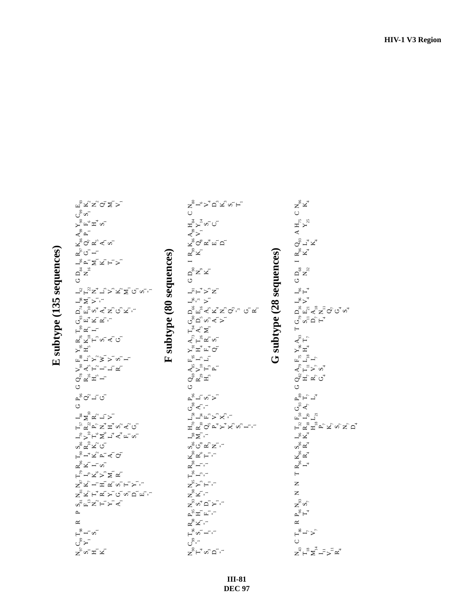# E subtype (135 sequences) **E subtype (135 sequences)**

≿ీ్ద్¤ ಲಿ ಿ≻  $\mathsf{L}_{\mathrm{S}}$ ີ ຕີ R<br>P<br>A<br>K<br>K<br>K<br>H<br>K<br>H<br>H<br>H<br>K<br>H<br>K z∝็ี่นักโข้ หาย แ  $\sum_{\mathcal{B}}\mathcal{R}_\mathcal{L}$  - 그 그 여 어 느 거 그 ⊢<sub>ఙ</sub>౼ౖ ≍ౖ ≻ౖ ≍ౖ <del>∝</del>\_ ఙౢఀఙౖ౼ౖౖѽ ⊢ೈ–∡ೈ ಲ\_<\_ ⊘\_ నీ జ్రౕ ౮ –⊧్్నౖ ⊣ే ∢ై ⊬ై ు  $\mathsf{F}^{\mathsf{p}}$ ద్గా న $\mathsf{F}^{\mathsf{p}}$  ద్దేశ్ రు  $\mathbf{F}_{\mathbf{x}}$  =  $\mathbf{x}$ പ്റ്<br>പ്റ്പ് ഗ് ರ್ ಜ ಕ್ಲ<br>೧  $\geqslant_\infty^\infty$ <br/> $\prec_\infty$  . Then ⊭<sup>జ</sup> ⊣ౕ≻ౕ≽ె>్∽్⊣ ≻໊≍ົ ∝್ಲಿಕ್ಕೆ ∽್∢್ರ  $\mathsf{F}_\mathrm{g}$  is  $\mathsf{F}_\mathrm{g}$ ರ್ೃಿ <sub>ಇ</sub> ಸ\_ಸ\_  $\Delta$  ¤ິທັ $\leq$  ລັບິ $\leq$   $\sim$ –ຶ≋∑ >ె ె 'ె<sub>డ</sub>్<sub>ర</sub>'నై Д`д\_∟ a<br>G z ¤ "<sub>৯</sub>"Σ\_⊼ ∺\_≻\_ ∝ಿರ್⊣ న్ౖంౖా ⊲ດື້ ≻ຶ<sup>ഥ</sup>ື≖ັທ ບຶ ທີ <sup>ದ್ದ</sup>ನ್ಸ≍ ಿ\_

# F subtype (80 sequences) **F subtype (80 sequences)**

ದ<br>ದ್ವ –್ಲ್ಸ್ ರ್ರ್ನ <u>ಇ</u> ಗ್ತ ≖శి ≍ీ ∽్౮ ∢ুঁ≻∃ ≿ಿ⊘°∝'¤ ¤ G subtype (28 sequences) **G subtype (28 sequences)** r<br>1<br>1<br>K ದ್ದ<br>ಧಿ<sub>ತ</sub>್ನ ⊣ೌ⊢">ຶ'≍ົ –°‴ >\_ ధీ ≞ీ ≺ీ ×ీ ≍ీ౦ీ ో ౮ ∝ రీ ది ది ∢ె≻ె  $\mathsf{H}_\mathsf{A}$  and  $\mathsf{H}_\mathsf{A}$  $\mathcal{A}_{\Gamma}$ ະຊັນ ≻ి≖" ⊏ి⊘  $\mathsf{F}_\mathrm{g}$   $\mathsf{F}_\mathrm{g}$ ⊲ຶ≻ິ∺໊≏ີ ್ರ<br>ಧ್ವೈ <sub>ಸ</sub> ⊾ຶ∽ີ∽ັ ರ್ಿ≺⊡  $\Gamma_{\rm s}$ ی سید سی म ुष्टु् ्रष्टू ×ू ×ू ∾ –⊥∟ –ಿ ≳್.⊤ <sub>ശ</sub>శి౮ి∡ె ా ಗ್ಜ್ರ∝ನ್ನ ∝ຶ⊢⊤ີ  $F_{\infty}$   $F_{\infty}$   $\sim$  $\mathsf{S}_{\mathsf{S}}$ y, Hu <sub>ದ</sub>್ಲಿ ≍ zຶ∽" ∩ົ≻ົ⊺ ⊾ຶ¤ີ⊏ີ⊤ີ ∝್ಷೆ ≍್ನ  $\mathsf{F}_\infty$ ທີ່ − گ zຶ⊢ີທຶ∆ີ<sub>'</sub>ີ

### $A$   $\sum_{i=1}^{N}$  $\mathrm{Q}_\mathrm{g}$   $\mathrm{T}_\mathrm{A}$   $\mathrm{K}_\mathrm{a}$  $\mathbf{F}_\mathrm{g}$   $\mathbf{F}_\mathrm{g}$ ០<br>កំន័  $\mathsf{P}_\mathrm{g}^\mathrm{B}$  $\mathsf{L}_\infty^\infty$ b $\mathsf{L}_\infty$  $\vec{P}$ ក្ដ $\vec{P}$ ី $\vec{P}$ ី $\vec{Q}$  ហ្មី $\vec{Q}$ 다.<br>Q, 어<u>그</u> D, 너  $\mathcal{A}_{\mathfrak{B}_7}$ አ"¤  $F_{\tilde{h}}^{\text{F}}$  $\leqslant$  ⊢ $\leqslant$  >  $\sim$ ದ<br>೧<sub>ಜ</sub> ಸ್ತ್ರೂ P89 T7 L4 G93 A7  $\mathsf{F}^{\mathbb{S}}_{\mathbf{2}}$   $\mathsf{F}^{\mathbb{S}}_{\mathbf{2}}$   $\mathsf{F}^{\mathbb{S}}_{\mathbf{2}}$ ⊢<sub>జ</sub>'కైల, ⊼ౖ ∾ ≿ై౮  $\mathsf{F}_\mathsf{g}$ r $\mathsf{F}_\mathsf{q}$ ್ಗೆ ಜ್ಞ  $\mathbf{F}_\infty$ N N TR<sub>96</sub>  $\mathsf{H}_4$  $\vdash$  $\mathsf{z}$  $\mathsf{z}$  ${\bf z_g}$ ຜ້

 $\mathbf{S}_\mathrm{g}$ r $\mathbf{S}_\mathrm{g}$ 

 $\mathbf{F}_\mathrm{d} \mathbf{F}_\mathrm{d} = \mathbf{F}_\mathrm{d} \mathbf{F}_\mathrm{d}$ 

L 。<br>L 。<br>L 。 A )

r<br>¤<br>¤

**HIV-1 V3 Region**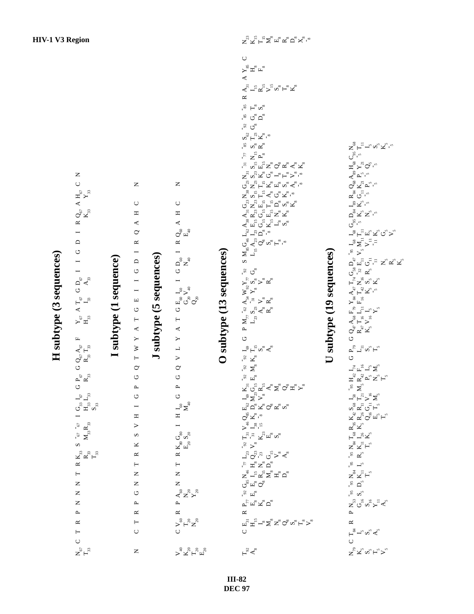| <b>מחמודות המח</b> |
|--------------------|
|                    |
|                    |
|                    |
|                    |
|                    |
|                    |
|                    |
|                    |
|                    |
|                    |
|                    |
|                    |
|                    |
|                    |
|                    |
|                    |
|                    |
|                    |
|                    |
|                    |
|                    |
|                    |
| f                  |
|                    |
|                    |
|                    |
|                    |
|                    |
|                    |
|                    |
|                    |
|                    |
|                    |
|                    |
| m                  |
|                    |
|                    |
|                    |
|                    |
|                    |
|                    |
|                    |
|                    |
| <br> <br>          |
|                    |
|                    |
|                    |
|                    |

C N  ${\rm \mathop{A}\limits_{{\bf{Y}}_{33}}^{{\bf{H}}}}$  $Q_{67}$  $I$  I G D I R  $Q_{67}$  $\simeq$  $\overline{\phantom{a}}$  $\mathrel{\mathsf{\scriptstyle\Box}}$  $\circ$  $\frac{1}{1}$ G D<br>G<br>A<sub>33</sub>  $\begin{smallmatrix} \mathsf{A} & \mathsf{T}_{\mathsf{G}7} \ \mathsf{I}_{\mathsf{S}3} \end{smallmatrix}$  $F = \frac{Y_{\sigma}}{H_{33}}$  $\mathcal{A}$   $\mathsf{F}^{3}_{33}$ ್ರ<br>ರ<br>ರ G P67 R33  $\Gamma_{\rm e}$ ದ್ದ<br>೧<sub>೫</sub> ಸ್ಥ  $\begin{bmatrix} 5 & 7 \ 8 & 1 \end{bmatrix}$  $\Omega$ C T R P N N T R K<sub>33</sub>  $\mathbf{g}_{\mathrm{as}}$  $\simeq$  $\vdash$  $\mathsf{z}$  $\mathbf{z}$  $\mathsf{z}$  $\mathbf{r}$  $\simeq$  $\vdash$  $\cup$  $\mathsf{S}_{\mathsf{P}^3}$ 

### I subtype (1 sequence) **I subtype (1 sequence)**

 $\mathsf{z}$ N C T R P GNN T R K S VH I G P GQ TWYA T G E I I GD I R QAH C N  $\mathop{\mathsf{C}}$  $\mathbb H$  $\blacktriangle$  $\rm \sim$  $\simeq$  $\overline{a}$  $\mathop\square$  $\circ$  $\overline{\phantom{0}}$  $\overline{a}$  $\hfill \square$  $\circ$  $\vdash$  $\blacktriangle$  $\blacktriangleright$  $\geq$  $\overline{\phantom{a}}$  $\rm \sim$  $\circ$  $\mathbf{r}$  $\circ$  $\overline{a}$  $\boldsymbol{\Xi}$  $\,>$  $\boldsymbol{\Omega}$  $\pmb{\times}$  $\simeq$  $\overline{\phantom{0}}$  $\mathsf{z}$  $\mathsf{z}$  $\circ$  $\mathbf{r}$  $\simeq$  $\overline{\phantom{0}}$  $\cup$  $\mathbf{z}$ 

## **J subtype (5 sequences)** subtype (5 sequences)

 $\blacksquare$ 

 $\mathsf Z$ AHC N  $\cup$  $\mathbb H$  $\blacktriangle$ L<br>L<br>C<sub>@</sub><sup>da</sup> D<br>U<br>I<br>I –<sup>8</sup>><sup>ಕೆ</sup> G P G Q V L Y A T G E<sub>60</sub> ರ ಲೈ  $\circ$  $\vdash$  $\blacktriangle$  $\blacktriangleright$  $\overline{\phantom{a}}$  $\rightarrow$  $\circ$  $\circlearrowleft$  $\sim$  $\circ$  $\mathbf{L}_{\text{eq}}^{\text{eq}}$  $I$  H ರ್ ಬೈ  $\mathbb{E}_{\geq 0}^{\infty}$ N N T R K<sub>80</sub>  $\simeq$  $\overline{\phantom{a}}$  $\mathsf{z}$  $\mathsf{z}$  $\begin{array}{ll}\n\mathbf{R} & \mathbf{P} & \mathbf{A}_{\infty} \\
\mathbf{N} & \mathbf{N} \\
\mathbf{Y}_{\infty} & \mathbf{Y}_{\infty}\n\end{array}$ >៖<br>><br>ស្នួង )<br>> <sub>정</sub>명 및 정

# O subtype (13 sequences) **O subtype (13 sequences)**

r<br>¤ ۲۵۲ ۲۳ ۲۵۳ ۲۵۳ ۲۵ ۲۵<br>Danmar ∡<br>∡ຶ¤ຶ⊏ຶ ¤<br><್\_\_"¤್\_>\_"∞್⊢" ×ຶ .<sup>జ</sup> ⊢ి ∞ి ,<sup>ಜಿ</sup> ರ್"∩ ೆ ರೆ  $\infty$ g $\mathbb{E}_{\mathrm{a}}$ r $\infty$ us ,శ దిది ້ະ $\mathbf{z}^{\texttt{a}}$ ຂຶ ್ ಬೈ್ಲ್ವಲ್ಲ್ನ್ನ್<br>" ಬೈ್ಲ್ ಲೈಲ್ ನೈಟ್  $\mathbf{z}^\mathrm{B}$ దీన్ ద్ధిం  $\mathrm{G}_{\mathrm{S}}$ న్టైన్ట్ బ్ల్డ్ ≿ຶ∞໊⊢໊≺ຶ౮ຶ⊻ຶຶ  $\mathrm{G}_{\mathrm{a}}$ న్ బ్లీ దించి  $\approx$   $\frac{1}{2}$   $\approx$   $\frac{1}{2}$   $\approx$   $\approx$   $\approx$  $\leqslant$  പ്പ്പ് ഗ് **∟**∝ో ⊔ రీ∢<sup>న</sup>౦నబ్⊢ి  $\sum_{15}^{\infty}$ U subtype (19 sequences) **U subtype (19 sequences)** ೆ ರೆ ≻ౕౖ∾ౖ∾ౖ ≽ຶ≻ຶ  $\breve{\mathbf{A}}$  is  $\mathbf{P}_{\mathbf{x}}$  $\mathbb{F}_\mathrm{g}$  ಎನ್ನೆ ಜೈ G P  $\mathbf{M}_{77}$ –ౖ°⊢ౖ<sub>д</sub>° ∢° '<sub>ల</sub> ⊼ి  $\cdot$ s $\overline{\mathbf{z}}^{\circ}$ '<sub>ಜ</sub>್ಜ ب<br>A°تا سی این سی این سی –ಿ≿ೈ≻್ <sub>జ</sub>న్షింగా మ ೦ಿँ≚ಿ  $\mathcal{P}_\mathrm{d} \mathcal{P}_\mathrm{d}$  $\mathsf{L}^{\Xi}$ .ನ  $\mathsf{X}^{\mathrm{a}}$  ದುಂಜಿ '。>。 చిం<sup>సి</sup>న ి⊃ి<ి ్ ది౭ి౦ి  $\mathbf{z}^{\mathrm{H}}$   $\mathbf{z}^{\mathrm{H}}$   $\mathbf{z}^{\mathrm{H}}$   $\mathbf{z}^{\mathrm{H}}$   $\mathbf{z}^{\mathrm{H}}$ రీ ¤ి౦ి '<sub>ಜ</sub> ದ್ದ ಜ<br>ಜ\_್ಞ ಸ್ಟ್ರ್ಸ್ನ <sub>౻</sub>ౢ౼ౢ౼ౣౢౢౢౢౢౢౢౢౢౣౢౣ౸ౣఴౣౣౣ<br>౻ౢ౼ౢ౼ౣౢౢౢౢౢౢౣౢౣౢౣ౸ౣ౸ౣౢౢ౼ౣ  $\mathsf{F}_\infty$ 

≿్ని బొ⊢`>ౕ ⊏<sup>ಷೆ –</sup>" ∽್≾<br>C  $\mathsf{R} \xrightarrow{\mathbb{R}} \mathsf{S}^{\mathbb{Z}} \mathsf{S}^{\mathbb{Z}} \mathsf{S}^{\mathbb{Z}} \mathsf{S}^{\mathbb{Z}} \mathsf{S}^{\mathbb{Z}}$ ్నో ,ँ д″ r<br>Zari '<sup>95</sup><br>| ದ '<sup>ಜಿ</sup> ×್ಲ  $\mathbf{z}_\mathrm{g}$   $\mathbf{z}_\mathrm{u}$   $\mathbf{z}_\mathrm{u}$  $\mathsf{F}_{\mathrm{ss}}$   $\mathsf{F}_{\mathrm{ss}}$  $\mathbf{z}_k$ %  $\mathcal{R}_\mathrm{H}$   $\mathcal{R}_\mathrm{A}$   $\mathcal{R}_\mathrm{H}$   $\mathcal{R}_\mathrm{H}$   $\mathcal{R}_\mathrm{H}$   $\mathcal{R}_\mathrm{H}$ ನಿ ಜೈರ್\_್  $\mathbf{F}_{\mathbf{p}}$   $\mathbf{F}_{\mathbf{p}}$ ້ $\mathbf{z}^{\circ}$  $\Xi_{\rm A}^{\rm A}$ gʻ $\Xi_{\rm c}$ Eʻ $\Xi_{\rm c}$  $\mathbf{L}_\mathbf{x}^{\mathbf{L}}$   $\mathbf{L}_\mathbf{y}^{\mathbf{L}}$   $\mathbf{L}_\mathbf{y}^{\mathbf{L}}$ ር<br>ሚ <u>ግ ማ</u> ዚ<sub>ህ</sub> 0<br>೧<br>೧<br>೧ ಸ್ಕನ್ನ  $\breve{\mathcal{A}}_{\mathsf{H}}^{\mathsf{ss}}$  is <sub>E</sub> 그 그 거<sub>요</sub> y<br>A Fig  $\mathcal{A}_{\text{H}}$   $\mathcal{A}_{\text{H}}$   $\mathcal{A}_{\text{H}}$  ${\mathsf E}_{{\mathsf E}}^{{\mathsf E}_{{\mathsf A}}^{{\mathsf E}_{{\mathsf A}}^{{\mathsf G}}}}$ ద్ది ರ್ೈಿ ∡್  $\vec{\mathsf{P}}$  ದ್ವಲ್ಪ ಸ್ಲಭ್ ీ ≻ౕ –<sup>8</sup>∑ ⊃<sup>.⊣</sup> ్⊨ా 'ష్Ωి >ి లి 'ో  $\mathsf{D}_\mathbf{x}^\mathbf{x}$  ,  $\mathsf{D}_\mathbf{x}^\mathbf{x}$  ,  $\mathsf{D}_\mathbf{x}^\mathbf{x}$ ∟ిద్⊾  $\mathbf{z}^*$ تا ت ి ద్ది <sub>' '</sub>  $\mathcal{L}_{\mathbf{g}}$   $\mathcal{L}_{\mathbf{g}}$ ⊞్≻ౖి౦ి్ లి " ≿ຶ⊨៑౼'`యి చౕ,'ౕ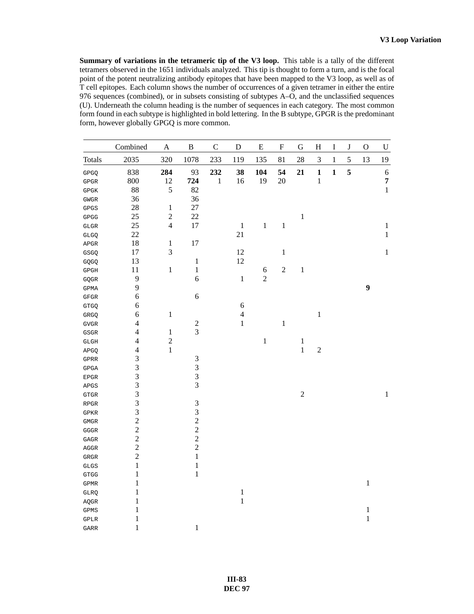**Summary of variations in the tetrameric tip of the V3 loop.** This table is a tally of the different tetramers observed in the 1651 individuals analyzed. This tip is thought to form a turn, and is the focal point of the potent neutralizing antibody epitopes that have been mapped to the V3 loop, as well as of T cell epitopes. Each column shows the number of occurrences of a given tetramer in either the entire 976 sequences (combined), or in subsets consisting of subtypes A–O, and the unclassified sequences (U). Underneath the column heading is the number of sequences in each category. The most common form found in each subtype is highlighted in bold lettering. In the B subtype, GPGR is the predominant form, however globally GPGQ is more common.

|                                | Combined                 | $\boldsymbol{A}$ | $\bf{B}$                                   | $\mathbf C$ | $\mathbf D$    | E              | F              | G            | $H_{\rm}$     | I            | J | $\mathbf{O}$     | ${\bf U}$        |
|--------------------------------|--------------------------|------------------|--------------------------------------------|-------------|----------------|----------------|----------------|--------------|---------------|--------------|---|------------------|------------------|
| Totals                         | 2035                     | 320              | 1078                                       | 233         | 119            | 135            | 81             | 28           | $\mathfrak 3$ | $\mathbf{1}$ | 5 | 13               | 19               |
| GPGQ                           | 838                      | 284              | 93                                         | 232         | 38             | 104            | 54             | 21           | $\mathbf 1$   | $\mathbf{1}$ | 5 |                  | 6                |
| GPGR                           | 800                      | 12               | 724                                        | $\mathbf 1$ | 16             | 19             | 20             |              | $\mathbf{1}$  |              |   |                  | $\boldsymbol{7}$ |
| ${\tt GPGK}$                   | 88                       | 5                | 82                                         |             |                |                |                |              |               |              |   |                  | $\,1$            |
| $\mathop{\mathsf{GWGR}}$       | 36                       |                  | 36                                         |             |                |                |                |              |               |              |   |                  |                  |
| ${\tt GPGS}$                   | $28\,$                   | $\,1$            | $27\,$                                     |             |                |                |                |              |               |              |   |                  |                  |
| ${\tt GPGG}$                   | 25                       | $\overline{c}$   | $22\,$                                     |             |                |                |                | $\mathbf{1}$ |               |              |   |                  |                  |
| ${\tt GLGR}$                   | $25\,$                   | $\overline{4}$   | 17                                         |             | $\,1$          | $\,1$          | $\mathbf{1}$   |              |               |              |   |                  | $\mathbf{1}$     |
| <b>GLGQ</b>                    | $22\,$                   |                  |                                            |             | 21             |                |                |              |               |              |   |                  | $\mathbf 1$      |
| ${\tt APGR}$                   | 18                       | $\,1$            | 17                                         |             |                |                |                |              |               |              |   |                  |                  |
| $\mathop{\mathsf{GSGQ}}$       | 17                       | 3                |                                            |             | 12             |                | $\mathbf{1}$   |              |               |              |   |                  | $\,1$            |
| GQGQ                           | 13                       |                  | $\,1$                                      |             | 12             |                |                |              |               |              |   |                  |                  |
| ${\tt GPGH}$                   | 11                       | $\mathbf{1}$     | $\mathbf{1}$                               |             |                | 6              | $\overline{c}$ | $\mathbf 1$  |               |              |   |                  |                  |
| $\mathsf{GQGR}$                | 9                        |                  | $\sqrt{6}$                                 |             | $\mathbf{1}$   | $\overline{c}$ |                |              |               |              |   |                  |                  |
| GPMA                           | 9                        |                  |                                            |             |                |                |                |              |               |              |   | $\boldsymbol{9}$ |                  |
| ${\tt GFGR}$                   | $\epsilon$               |                  | $\epsilon$                                 |             |                |                |                |              |               |              |   |                  |                  |
| GTGQ                           | 6                        |                  |                                            |             | 6              |                |                |              |               |              |   |                  |                  |
| GRGQ                           | 6                        | $\mathbf{1}$     |                                            |             | $\overline{4}$ |                |                |              | $\,1$         |              |   |                  |                  |
| ${\tt GVGR}$                   | $\overline{4}$           |                  | $\overline{c}$                             |             | $\mathbf{1}$   |                | $\,1$          |              |               |              |   |                  |                  |
| $_{\tt GSGR}$                  | $\overline{\mathcal{L}}$ | $\,1$            | 3                                          |             |                |                |                |              |               |              |   |                  |                  |
| ${\tt GLGH}$                   | 4                        | $\overline{c}$   |                                            |             |                | $\mathbf 1$    |                | $\mathbf{1}$ |               |              |   |                  |                  |
| APGQ                           | $\overline{4}$           | $\mathbf{1}$     |                                            |             |                |                |                | $\mathbf 1$  | $\sqrt{2}$    |              |   |                  |                  |
| <b>GPRR</b>                    | 3                        |                  | $\sqrt{3}$                                 |             |                |                |                |              |               |              |   |                  |                  |
| $\mathsf{GPGA}$                | 3                        |                  | 3                                          |             |                |                |                |              |               |              |   |                  |                  |
| ${\tt EPGR}$                   | 3                        |                  | 3                                          |             |                |                |                |              |               |              |   |                  |                  |
| APGS                           | 3                        |                  | 3                                          |             |                |                |                |              |               |              |   |                  |                  |
| ${\tt GTGR}$                   | $\mathfrak{Z}$           |                  |                                            |             |                |                |                | $\sqrt{2}$   |               |              |   |                  | $\,1$            |
| RPGR                           | 3                        |                  | $\mathfrak{Z}$                             |             |                |                |                |              |               |              |   |                  |                  |
| GPKR                           | 3                        |                  | 3                                          |             |                |                |                |              |               |              |   |                  |                  |
| ${\tt GMGR}$                   | $\overline{\mathbf{c}}$  |                  |                                            |             |                |                |                |              |               |              |   |                  |                  |
| $_{\rm GGGR}$                  | $\overline{c}$           |                  | $\begin{array}{c} 2 \\ 2 \\ 2 \end{array}$ |             |                |                |                |              |               |              |   |                  |                  |
| $_{\rm GAGR}$                  | $\overline{c}$           |                  |                                            |             |                |                |                |              |               |              |   |                  |                  |
| AGGR                           | $\overline{c}$           |                  | $\overline{c}$                             |             |                |                |                |              |               |              |   |                  |                  |
| ${\tt G}{\tt R}{\tt G}{\tt R}$ | $\overline{c}$           |                  | $\mathbf{1}$                               |             |                |                |                |              |               |              |   |                  |                  |
| GLGS                           | $\mathbf{1}$             |                  | $\mathbf{1}$                               |             |                |                |                |              |               |              |   |                  |                  |
| GTGG                           | $\mathbf{1}$             |                  | $\mathbf{1}$                               |             |                |                |                |              |               |              |   |                  |                  |
| GPMR                           | $\mathbf{1}$             |                  |                                            |             |                |                |                |              |               |              |   | $\mathbf{1}$     |                  |
| GLRQ                           | $\mathbf{1}$             |                  |                                            |             | $\mathbf{1}$   |                |                |              |               |              |   |                  |                  |
| AQGR                           | $\mathbf{1}$             |                  |                                            |             | $\,1$          |                |                |              |               |              |   |                  |                  |
| GPMS                           | $\mathbf{1}$             |                  |                                            |             |                |                |                |              |               |              |   | $\mathbf{1}$     |                  |
| ${\tt GPLR}$                   | $\mathbf{1}$             |                  |                                            |             |                |                |                |              |               |              |   | $\,1$            |                  |
|                                | $\mathbf{1}$             |                  | $\mathbf{1}$                               |             |                |                |                |              |               |              |   |                  |                  |
| GARR                           |                          |                  |                                            |             |                |                |                |              |               |              |   |                  |                  |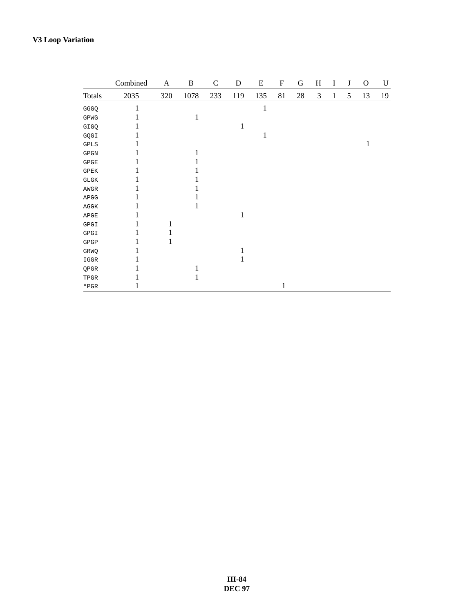### **V3 Loop Variation**

|              | Combined | $\mathbf{A}$ | $\bf{B}$ | $\mathbf C$ | $\mathbf D$ | E   | $\boldsymbol{\mathrm{F}}$ | ${\bf G}$ | H | $\mathbf I$  | J | $\mathbf O$ | U  |
|--------------|----------|--------------|----------|-------------|-------------|-----|---------------------------|-----------|---|--------------|---|-------------|----|
| Totals       | 2035     | 320          | 1078     | 233         | 119         | 135 | 81                        | 28        | 3 | $\mathbf{1}$ | 5 | 13          | 19 |
| GGGQ         | 1        |              |          |             |             | 1   |                           |           |   |              |   |             |    |
| GPWG         |          |              | 1        |             |             |     |                           |           |   |              |   |             |    |
| GIGQ         |          |              |          |             | 1           |     |                           |           |   |              |   |             |    |
| GQGI         |          |              |          |             |             | 1   |                           |           |   |              |   |             |    |
| GPLS         |          |              |          |             |             |     |                           |           |   |              |   | 1           |    |
| GPGN         |          |              |          |             |             |     |                           |           |   |              |   |             |    |
| GPGE         |          |              |          |             |             |     |                           |           |   |              |   |             |    |
| GPEK         |          |              |          |             |             |     |                           |           |   |              |   |             |    |
| GLGK         |          |              |          |             |             |     |                           |           |   |              |   |             |    |
| AWGR         |          |              |          |             |             |     |                           |           |   |              |   |             |    |
| APGG         |          |              |          |             |             |     |                           |           |   |              |   |             |    |
| AGGK         |          |              |          |             |             |     |                           |           |   |              |   |             |    |
| ${\tt APGE}$ |          |              |          |             | 1           |     |                           |           |   |              |   |             |    |
| GPGI         |          |              |          |             |             |     |                           |           |   |              |   |             |    |
| GPGI         |          |              |          |             |             |     |                           |           |   |              |   |             |    |
| GPGP         |          |              |          |             |             |     |                           |           |   |              |   |             |    |
| GRWQ         |          |              |          |             |             |     |                           |           |   |              |   |             |    |
| IGGR         |          |              |          |             | 1           |     |                           |           |   |              |   |             |    |
| QPGR         |          |              |          |             |             |     |                           |           |   |              |   |             |    |
| TPGR         |          |              | 1        |             |             |     |                           |           |   |              |   |             |    |
| $*$ PGR      |          |              |          |             |             |     |                           |           |   |              |   |             |    |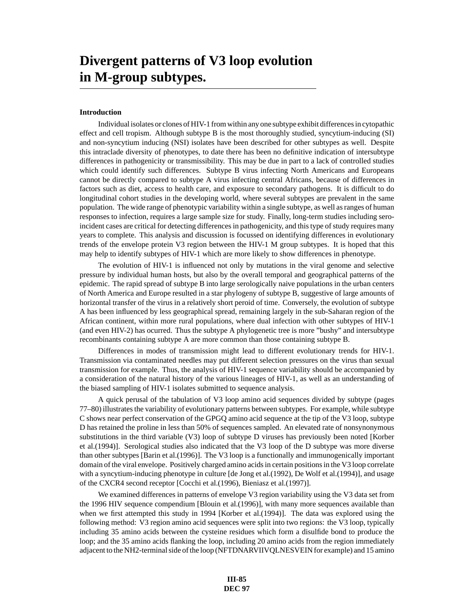### **Divergent patterns of V3 loop evolution in M-group subtypes.**

### **Introduction**

Individual isolates or clones of HIV-1 from within any one subtype exhibit differences in cytopathic effect and cell tropism. Although subtype B is the most thoroughly studied, syncytium-inducing (SI) and non-syncytium inducing (NSI) isolates have been described for other subtypes as well. Despite this intraclade diversity of phenotypes, to date there has been no definitive indication of intersubtype differences in pathogenicity or transmissibility. This may be due in part to a lack of controlled studies which could identify such differences. Subtype B virus infecting North Americans and Europeans cannot be directly compared to subtype A virus infecting central Africans, because of differences in factors such as diet, access to health care, and exposure to secondary pathogens. It is difficult to do longitudinal cohort studies in the developing world, where several subtypes are prevalent in the same population. The wide range of phenotypic variability within a single subtype, as well as ranges of human responses to infection, requires a large sample size for study. Finally, long-term studies including seroincident cases are critical for detecting differences in pathogenicity, and this type of study requires many years to complete. This analysis and discussion is focussed on identifying differences in evolutionary trends of the envelope protein V3 region between the HIV-1 M group subtypes. It is hoped that this may help to identify subtypes of HIV-1 which are more likely to show differences in phenotype.

The evolution of HIV-1 is influenced not only by mutations in the viral genome and selective pressure by individual human hosts, but also by the overall temporal and geographical patterns of the epidemic. The rapid spread of subtype B into large serologically naive populations in the urban centers of North America and Europe resulted in a star phylogeny of subtype B, suggestive of large amounts of horizontal transfer of the virus in a relatively short peroid of time. Conversely, the evolution of subtype A has been influenced by less geographical spread, remaining largely in the sub-Saharan region of the African continent, within more rural populations, where dual infection with other subtypes of HIV-1 (and even HIV-2) has ocurred. Thus the subtype A phylogenetic tree is more "bushy" and intersubtype recombinants containing subtype A are more common than those containing subtype B.

Differences in modes of transmission might lead to different evolutionary trends for HIV-1. Transmission via contaminated needles may put different selection pressures on the virus than sexual transmission for example. Thus, the analysis of HIV-1 sequence variability should be accompanied by a consideration of the natural history of the various lineages of HIV-1, as well as an understanding of the biased sampling of HIV-1 isolates submitted to sequence analysis.

A quick perusal of the tabulation of V3 loop amino acid sequences divided by subtype (pages 77–80) illustrates the variability of evolutionary patterns between subtypes. For example, while subtype C shows near perfect conservation of the GPGQ amino acid sequence at the tip of the V3 loop, subtype D has retained the proline in less than 50% of sequences sampled. An elevated rate of nonsynonymous substitutions in the third variable (V3) loop of subtype D viruses has previously been noted [Korber et al.(1994)]. Serological studies also indicated that the V3 loop of the D subtype was more diverse than other subtypes [Barin et al.(1996)]. The V3 loop is a functionally and immunogenically important domain of the viral envelope. Positively charged amino acids in certain positions in the V3 loop correlate with a syncytium-inducing phenotype in culture [de Jong et al.(1992), De Wolf et al.(1994)], and usage of the CXCR4 second receptor [Cocchi et al.(1996), Bieniasz et al.(1997)].

We examined differences in patterns of envelope V3 region variability using the V3 data set from the 1996 HIV sequence compendium [Blouin et al.(1996)], with many more sequences available than when we first attempted this study in 1994 [Korber et al.(1994)]. The data was explored using the following method: V3 region amino acid sequences were split into two regions: the V3 loop, typically including 35 amino acids between the cysteine residues which form a disulfide bond to produce the loop; and the 35 amino acids flanking the loop, including 20 amino acids from the region immediately adjacent to the NH2-terminal side of the loop (NFTDNARVIIVQLNESVEIN for example) and 15 amino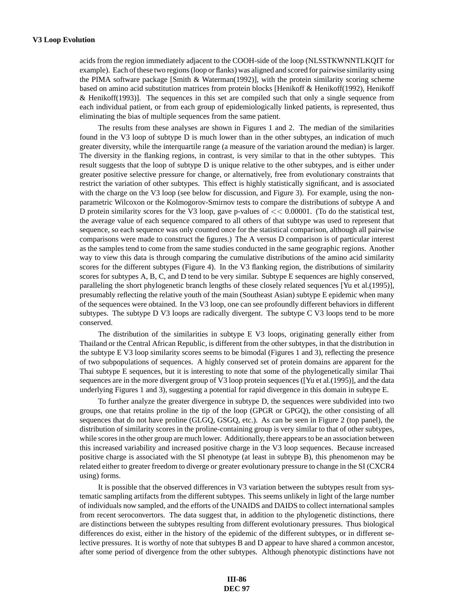acids from the region immediately adjacent to the COOH-side of the loop (NLSSTKWNNTLKQIT for example). Each of these two regions (loop or flanks) was aligned and scored for pairwise similarity using the PIMA software package [Smith & Waterman(1992)], with the protein similarity scoring scheme based on amino acid substitution matrices from protein blocks [Henikoff & Henikoff(1992), Henikoff & Henikoff(1993)]. The sequences in this set are compiled such that only a single sequence from each individual patient, or from each group of epidemiologically linked patients, is represented, thus eliminating the bias of multiple sequences from the same patient.

The results from these analyses are shown in Figures 1 and 2. The median of the similarities found in the V3 loop of subtype D is much lower than in the other subtypes, an indication of much greater diversity, while the interquartile range (a measure of the variation around the median) is larger. The diversity in the flanking regions, in contrast, is very similar to that in the other subtypes. This result suggests that the loop of subtype D is unique relative to the other subtypes, and is either under greater positive selective pressure for change, or alternatively, free from evolutionary constraints that restrict the variation of other subtypes. This effect is highly statistically significant, and is associated with the charge on the V3 loop (see below for discussion, and Figure 3). For example, using the nonparametric Wilcoxon or the Kolmogorov-Smirnov tests to compare the distributions of subtype A and D protein similarity scores for the V3 loop, gave p-values of << 0.00001. (To do the statistical test, the average value of each sequence compared to all others of that subtype was used to represent that sequence, so each sequence was only counted once for the statistical comparison, although all pairwise comparisons were made to construct the figures.) The A versus D comparison is of particular interest as the samples tend to come from the same studies conducted in the same geographic regions. Another way to view this data is through comparing the cumulative distributions of the amino acid similarity scores for the different subtypes (Figure 4). In the V3 flanking region, the distributions of similarity scores for subtypes A, B, C, and D tend to be very similar. Subtype E sequences are highly conserved, paralleling the short phylogenetic branch lengths of these closely related sequences [Yu et al.(1995)], presumably reflecting the relative youth of the main (Southeast Asian) subtype E epidemic when many of the sequences were obtained. In the V3 loop, one can see profoundly different behaviors in different subtypes. The subtype D V3 loops are radically divergent. The subtype C V3 loops tend to be more conserved.

The distribution of the similarities in subtype E V3 loops, originating generally either from Thailand or the Central African Republic, is different from the other subtypes, in that the distribution in the subtype E V3 loop similarity scores seems to be bimodal (Figures 1 and 3), reflecting the presence of two subpopulations of sequences. A highly conserved set of protein domains are apparent for the Thai subtype E sequences, but it is interesting to note that some of the phylogenetically similar Thai sequences are in the more divergent group of V3 loop protein sequences ([Yu et al.(1995)], and the data underlying Figures 1 and 3), suggesting a potential for rapid divergence in this domain in subtype E.

To further analyze the greater divergence in subtype D, the sequences were subdivided into two groups, one that retains proline in the tip of the loop (GPGR or GPGQ), the other consisting of all sequences that do not have proline (GLGQ, GSGQ, etc.). As can be seen in Figure 2 (top panel), the distribution of similarity scores in the proline-containing group is very similar to that of other subtypes, while scores in the other group are much lower. Additionally, there appears to be an association between this increased variability and increased positive charge in the V3 loop sequences. Because increased positive charge is associated with the SI phenotype (at least in subtype B), this phenomenon may be related either to greater freedom to diverge or greater evolutionary pressure to change in the SI (CXCR4 using) forms.

It is possible that the observed differences in V3 variation between the subtypes result from systematic sampling artifacts from the different subtypes. This seems unlikely in light of the large number of individuals now sampled, and the efforts of the UNAIDS and DAIDS to collect international samples from recent seroconvertors. The data suggest that, in addition to the phylogenetic distinctions, there are distinctions between the subtypes resulting from different evolutionary pressures. Thus biological differences do exist, either in the history of the epidemic of the different subtypes, or in different selective pressures. It is worthy of note that subtypes B and D appear to have shared a common ancestor, after some period of divergence from the other subtypes. Although phenotypic distinctions have not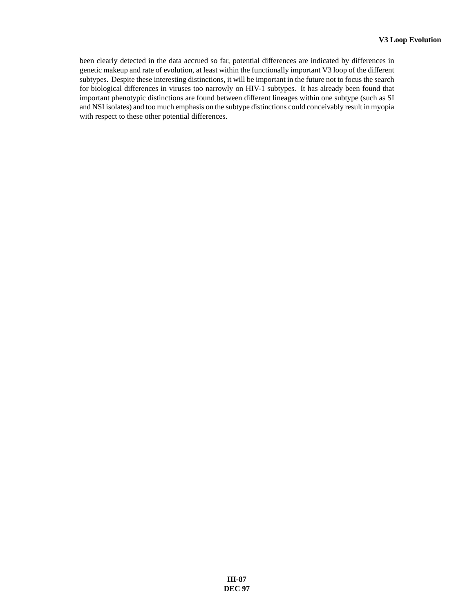been clearly detected in the data accrued so far, potential differences are indicated by differences in genetic makeup and rate of evolution, at least within the functionally important V3 loop of the different subtypes. Despite these interesting distinctions, it will be important in the future not to focus the search for biological differences in viruses too narrowly on HIV-1 subtypes. It has already been found that important phenotypic distinctions are found between different lineages within one subtype (such as SI and NSI isolates) and too much emphasis on the subtype distinctions could conceivably result in myopia with respect to these other potential differences.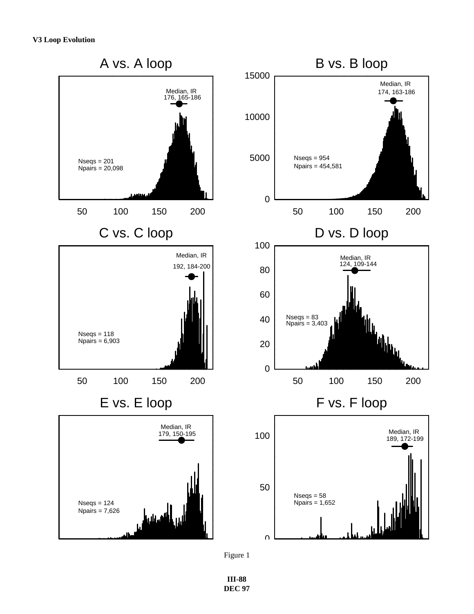

**III-88 DEC 97**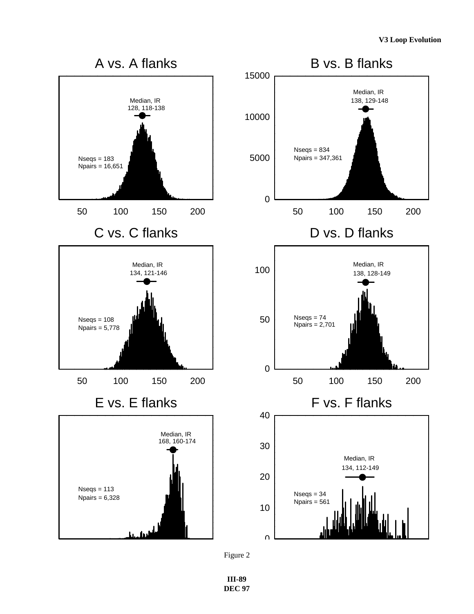

Figure 2

**III-89 DEC 97**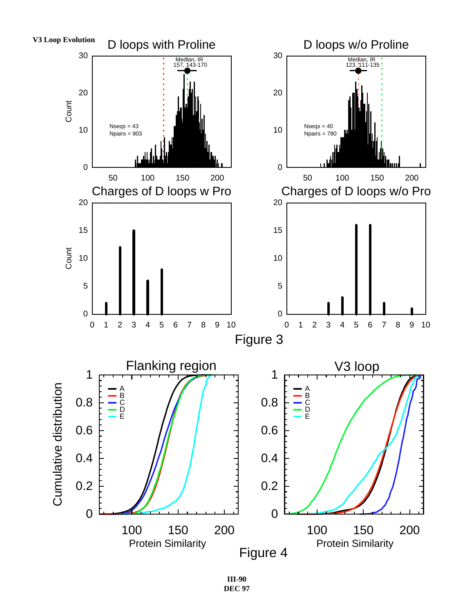

**III-90 DEC 97**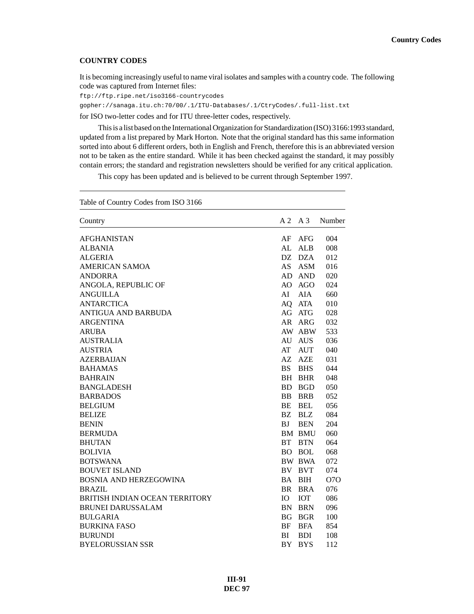### **COUNTRY CODES**

It is becoming increasingly useful to name viral isolates and samples with a country code. The following code was captured from Internet files:

ftp://ftp.ripe.net/iso3166-countrycodes

gopher://sanaga.itu.ch:70/00/.1/ITU-Databases/.1/CtryCodes/.full-list.txt

for ISO two-letter codes and for ITU three-letter codes, respectively.

This is a list based on the International Organization for Standardization (ISO) 3166:1993 standard, updated from a list prepared by Mark Horton. Note that the original standard has this same information sorted into about 6 different orders, both in English and French, therefore this is an abbreviated version not to be taken as the entire standard. While it has been checked against the standard, it may possibly contain errors; the standard and registration newsletters should be verified for any critical application.

This copy has been updated and is believed to be current through September 1997.

| Country                        | A <sub>2</sub>          | $A_3$         | Number |
|--------------------------------|-------------------------|---------------|--------|
| <b>AFGHANISTAN</b>             | AF                      | <b>AFG</b>    | 004    |
| <b>ALBANIA</b>                 | AL                      | <b>ALB</b>    | 008    |
| <b>ALGERIA</b>                 | DZ                      | <b>DZA</b>    | 012    |
| <b>AMERICAN SAMOA</b>          | AS                      | <b>ASM</b>    | 016    |
| <b>ANDORRA</b>                 | AD.                     | <b>AND</b>    | 020    |
| ANGOLA, REPUBLIC OF            | AO.                     | <b>AGO</b>    | 024    |
| <b>ANGUILLA</b>                | AI                      | AIA           | 660    |
| <b>ANTARCTICA</b>              | AO.                     | <b>ATA</b>    | 010    |
| ANTIGUA AND BARBUDA            | AG                      | <b>ATG</b>    | 028    |
| <b>ARGENTINA</b>               | AR                      | ARG           | 032    |
| <b>ARUBA</b>                   |                         | AW ABW        | 533    |
| <b>AUSTRALIA</b>               | AU.                     | <b>AUS</b>    | 036    |
| <b>AUSTRIA</b>                 | AT                      | <b>AUT</b>    | 040    |
| <b>AZERBAIJAN</b>              | AZ                      | AZE           | 031    |
| <b>BAHAMAS</b>                 | <b>BS</b>               | <b>BHS</b>    | 044    |
| <b>BAHRAIN</b>                 | <b>BH</b>               | <b>BHR</b>    | 048    |
| <b>BANGLADESH</b>              | BD.                     | <b>BGD</b>    | 050    |
| <b>BARBADOS</b>                | <b>BB</b>               | <b>BRB</b>    | 052    |
| <b>BELGIUM</b>                 | BE                      | <b>BEL</b>    | 056    |
| <b>BELIZE</b>                  | <b>BZ</b>               | <b>BLZ</b>    | 084    |
| <b>BENIN</b>                   | <b>BJ</b>               | <b>BEN</b>    | 204    |
| <b>BERMUDA</b>                 |                         | <b>BM BMU</b> | 060    |
| <b>BHUTAN</b>                  | RT                      | <b>BTN</b>    | 064    |
| <b>BOLIVIA</b>                 | <b>BO</b>               | <b>BOL</b>    | 068    |
| <b>BOTSWANA</b>                |                         | <b>BW BWA</b> | 072    |
| <b>BOUVET ISLAND</b>           | $\mathbf{B} \mathbf{V}$ | <b>BVT</b>    | 074    |
| <b>BOSNIA AND HERZEGOWINA</b>  | BA.                     | <b>BIH</b>    | O7O    |
| <b>BRAZIL</b>                  | <b>BR</b>               | <b>BRA</b>    | 076    |
| BRITISH INDIAN OCEAN TERRITORY | <b>IO</b>               | <b>IOT</b>    | 086    |
| <b>BRUNEI DARUSSALAM</b>       | <b>BN</b>               | <b>BRN</b>    | 096    |
| <b>BULGARIA</b>                | <b>BG</b>               | <b>BGR</b>    | 100    |
| <b>BURKINA FASO</b>            | BF                      | <b>BFA</b>    | 854    |
| <b>BURUNDI</b>                 | BI                      | <b>BDI</b>    | 108    |
| <b>BYELORUSSIAN SSR</b>        | BY                      | <b>BYS</b>    | 112    |

Table of Country Codes from ISO 3166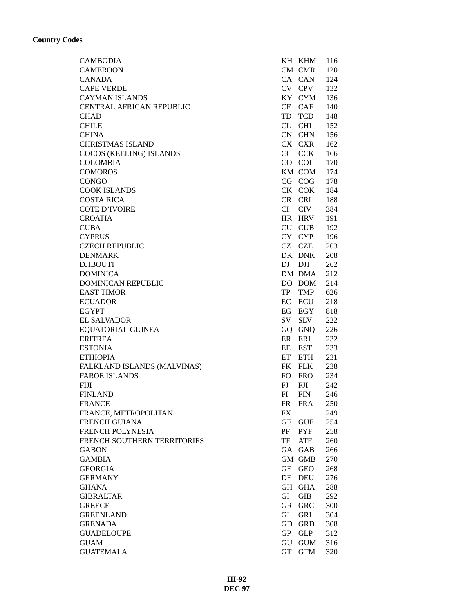| <b>CAMBODIA</b>                 | KH KHM                  | 116 |
|---------------------------------|-------------------------|-----|
| <b>CAMEROON</b>                 | CM CMR                  | 120 |
| <b>CANADA</b>                   | CA CAN                  | 124 |
| <b>CAPE VERDE</b>               | CV CPV                  | 132 |
| <b>CAYMAN ISLANDS</b>           | KY CYM                  | 136 |
| <b>CENTRAL AFRICAN REPUBLIC</b> | CF CAF                  | 140 |
| <b>CHAD</b>                     | TD TCD                  | 148 |
| <b>CHILE</b>                    | CL CHL                  | 152 |
| <b>CHINA</b>                    | CN CHN                  | 156 |
| <b>CHRISTMAS ISLAND</b>         | CX CXR                  | 162 |
| COCOS (KEELING) ISLANDS         | CC CCK                  | 166 |
| <b>COLOMBIA</b>                 | CO COL                  | 170 |
| <b>COMOROS</b>                  | KM COM                  | 174 |
| <b>CONGO</b>                    | CG COG                  | 178 |
| <b>COOK ISLANDS</b>             | CK COK                  | 184 |
| <b>COSTA RICA</b>               | CR CRI                  | 188 |
| <b>COTE D'IVOIRE</b>            | CI —<br><b>CIV</b>      | 384 |
| <b>CROATIA</b>                  | HR HRV                  | 191 |
| <b>CUBA</b>                     | CU CUB                  | 192 |
| <b>CYPRUS</b>                   | CY CYP                  | 196 |
| <b>CZECH REPUBLIC</b>           | CZ CZE                  | 203 |
| <b>DENMARK</b>                  | DK DNK                  | 208 |
| <b>DJIBOUTI</b>                 | DJ                      |     |
| <b>DOMINICA</b>                 | DJI                     | 262 |
|                                 | DM DMA                  | 212 |
| <b>DOMINICAN REPUBLIC</b>       | DO DOM                  | 214 |
| <b>EAST TIMOR</b>               | TP TMP                  | 626 |
| <b>ECUADOR</b>                  | EC ECU                  | 218 |
| <b>EGYPT</b>                    | EG EGY                  | 818 |
| <b>EL SALVADOR</b>              | SV<br><b>SLV</b>        | 222 |
| <b>EQUATORIAL GUINEA</b>        | GQ GNQ                  | 226 |
| <b>ERITREA</b>                  | ER ERI                  | 232 |
| <b>ESTONIA</b>                  | EE<br>EST               | 233 |
| <b>ETHIOPIA</b>                 | ET<br>ETH               | 231 |
| FALKLAND ISLANDS (MALVINAS)     | FK<br><b>FLK</b>        | 238 |
| <b>FAROE ISLANDS</b>            | FO.<br><b>FRO</b>       | 234 |
| <b>FIJI</b>                     | FJ<br>FJI               | 242 |
| <b>FINLAND</b>                  | FI<br><b>FIN</b>        | 246 |
| <b>FRANCE</b>                   | FR<br><b>FRA</b>        | 250 |
| FRANCE, METROPOLITAN            | FX                      | 249 |
| <b>FRENCH GUIANA</b>            | GF<br><b>GUF</b>        | 254 |
| <b>FRENCH POLYNESIA</b>         | PF<br><b>PYF</b>        | 258 |
| FRENCH SOUTHERN TERRITORIES     | TF<br>ATF               | 260 |
| <b>GABON</b>                    | GA<br>GAB               | 266 |
| <b>GAMBIA</b>                   | GM GMB                  | 270 |
| <b>GEORGIA</b>                  | GЕ<br><b>GEO</b>        | 268 |
| <b>GERMANY</b>                  | DE<br>DEU               | 276 |
| <b>GHANA</b>                    | GH GHA                  | 288 |
| <b>GIBRALTAR</b>                | GI<br><b>GIB</b>        | 292 |
| <b>GREECE</b>                   | GR<br><b>GRC</b>        | 300 |
| <b>GREENLAND</b>                | GL<br><b>GRL</b>        | 304 |
| <b>GRENADA</b>                  | GD<br><b>GRD</b>        | 308 |
| <b>GUADELOUPE</b>               | GP<br><b>GLP</b>        | 312 |
| <b>GUAM</b>                     | GU<br><b>GUM</b>        | 316 |
| <b>GUATEMALA</b>                | <b>GT</b><br><b>GTM</b> | 320 |
|                                 |                         |     |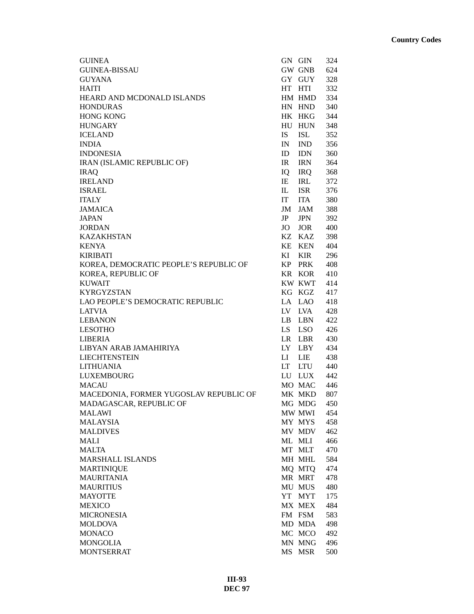| <b>GUINEA</b>                          |                        | GN GIN        | 324 |
|----------------------------------------|------------------------|---------------|-----|
| <b>GUINEA-BISSAU</b>                   |                        | <b>GW GNB</b> | 624 |
| <b>GUYANA</b>                          |                        | GY GUY        | 328 |
| <b>HAITI</b>                           |                        | HT HTI        | 332 |
| HEARD AND MCDONALD ISLANDS             |                        | HM HMD        | 334 |
| <b>HONDURAS</b>                        |                        | HN HND        | 340 |
| <b>HONG KONG</b>                       |                        | HK HKG        | 344 |
| <b>HUNGARY</b>                         |                        | HU HUN        | 348 |
| <b>ICELAND</b>                         | <b>IS</b>              | <b>ISL</b>    | 352 |
| <b>INDIA</b>                           | IN                     | <b>IND</b>    | 356 |
| <b>INDONESIA</b>                       | ID                     | <b>IDN</b>    | 360 |
| <b>IRAN (ISLAMIC REPUBLIC OF)</b>      | IR                     | <b>IRN</b>    | 364 |
| <b>IRAQ</b>                            | IQ                     | <b>IRQ</b>    | 368 |
| <b>IRELAND</b>                         | IE                     | <b>IRL</b>    | 372 |
| <b>ISRAEL</b>                          | IL                     | <b>ISR</b>    | 376 |
| <b>ITALY</b>                           | IT                     | <b>ITA</b>    | 380 |
| <b>JAMAICA</b>                         | JM                     | <b>JAM</b>    | 388 |
| <b>JAPAN</b>                           | JP                     | <b>JPN</b>    | 392 |
| <b>JORDAN</b>                          | JO                     | <b>JOR</b>    | 400 |
| <b>KAZAKHSTAN</b>                      | KZ.                    | KAZ           | 398 |
| <b>KENYA</b>                           | KE                     | <b>KEN</b>    | 404 |
| <b>KIRIBATI</b>                        | KI                     | <b>KIR</b>    | 296 |
| KOREA, DEMOCRATIC PEOPLE'S REPUBLIC OF | KP                     | <b>PRK</b>    | 408 |
|                                        | KR                     | <b>KOR</b>    | 410 |
| KOREA, REPUBLIC OF<br><b>KUWAIT</b>    |                        | <b>KW KWT</b> |     |
|                                        |                        |               | 414 |
| <b>KYRGYZSTAN</b>                      |                        | KG KGZ        | 417 |
| LAO PEOPLE'S DEMOCRATIC REPUBLIC       |                        | LA LAO        | 418 |
| <b>LATVIA</b>                          | LV                     | <b>LVA</b>    | 428 |
| <b>LEBANON</b>                         | LB                     | LBN           | 422 |
| <b>LESOTHO</b>                         | LS –                   | <b>LSO</b>    | 426 |
| <b>LIBERIA</b>                         | <b>LR</b>              | LBR           | 430 |
| LIBYAN ARAB JAMAHIRIYA                 | LY -                   | LBY           | 434 |
| <b>LIECHTENSTEIN</b>                   | $\mathbf{L}\mathbf{I}$ | LIE           | 438 |
| <b>LITHUANIA</b>                       | LT                     | <b>LTU</b>    | 440 |
| LUXEMBOURG                             |                        | LU LUX        | 442 |
| <b>MACAU</b>                           |                        | MO MAC        | 446 |
| MACEDONIA, FORMER YUGOSLAV REPUBLIC OF |                        | MK MKD        | 807 |
| MADAGASCAR, REPUBLIC OF                |                        | MG MDG        | 450 |
| MALAWI                                 |                        | MW MWI        | 454 |
| <b>MALAYSIA</b>                        |                        | MY MYS        | 458 |
| <b>MALDIVES</b>                        |                        | MV MDV        | 462 |
| <b>MALI</b>                            |                        | ML MLI        | 466 |
| <b>MALTA</b>                           |                        | MT MLT        | 470 |
| MARSHALL ISLANDS                       |                        | MH MHL        | 584 |
| <b>MARTINIQUE</b>                      |                        | MQ MTQ        | 474 |
| <b>MAURITANIA</b>                      |                        | MR MRT        | 478 |
| <b>MAURITIUS</b>                       |                        | MU MUS        | 480 |
| <b>MAYOTTE</b>                         |                        | YT MYT        | 175 |
| <b>MEXICO</b>                          |                        | MX MEX        | 484 |
| <b>MICRONESIA</b>                      |                        | FM FSM        | 583 |
| <b>MOLDOVA</b>                         |                        | MD MDA        | 498 |
| <b>MONACO</b>                          |                        | MC MCO        | 492 |
| MONGOLIA                               |                        | MN MNG        | 496 |
| <b>MONTSERRAT</b>                      |                        | MS MSR        | 500 |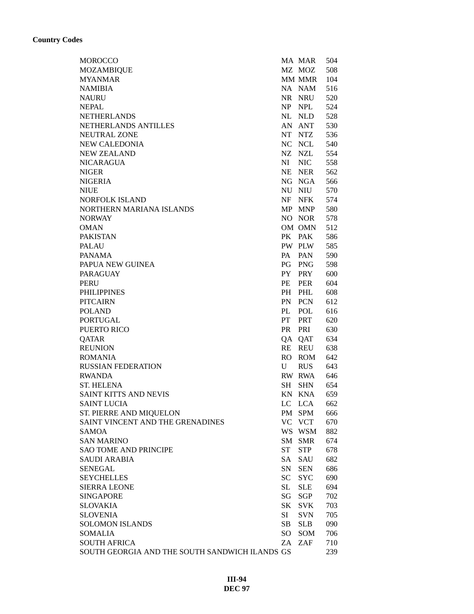| <b>MOROCCO</b>                                 |                | <b>MA MAR</b> | 504 |
|------------------------------------------------|----------------|---------------|-----|
| <b>MOZAMBIQUE</b>                              |                | MZ MOZ        | 508 |
| <b>MYANMAR</b>                                 |                | MM MMR        | 104 |
| <b>NAMIBIA</b>                                 |                | NA NAM        | 516 |
| <b>NAURU</b>                                   |                | NR NRU        | 520 |
| <b>NEPAL</b>                                   | NP             | <b>NPL</b>    | 524 |
| <b>NETHERLANDS</b>                             | NL             | <b>NLD</b>    | 528 |
| NETHERLANDS ANTILLES                           |                | AN ANT        | 530 |
| NEUTRAL ZONE                                   | NT             | <b>NTZ</b>    | 536 |
| <b>NEW CALEDONIA</b>                           | NC             | <b>NCL</b>    | 540 |
| <b>NEW ZEALAND</b>                             | NZ.            | <b>NZL</b>    | 554 |
| <b>NICARAGUA</b>                               | NI             | <b>NIC</b>    | 558 |
| <b>NIGER</b>                                   | NE             | <b>NER</b>    | 562 |
| <b>NIGERIA</b>                                 |                | NG NGA        | 566 |
| <b>NIUE</b>                                    | NU             | NIU           | 570 |
| <b>NORFOLK ISLAND</b>                          | NF             | <b>NFK</b>    | 574 |
| NORTHERN MARIANA ISLANDS                       |                | MP MNP        | 580 |
| <b>NORWAY</b>                                  |                | NO NOR        | 578 |
| <b>OMAN</b>                                    |                |               | 512 |
|                                                |                | OM OMN        |     |
| <b>PAKISTAN</b>                                |                | PK PAK        | 586 |
| <b>PALAU</b>                                   |                | PW PLW        | 585 |
| <b>PANAMA</b>                                  | PA.            | PAN           | 590 |
| PAPUA NEW GUINEA                               | PG             | <b>PNG</b>    | 598 |
| <b>PARAGUAY</b>                                | PY             | <b>PRY</b>    | 600 |
| <b>PERU</b>                                    | PE             | <b>PER</b>    | 604 |
| <b>PHILIPPINES</b>                             | <b>PH</b>      | PHL           | 608 |
| <b>PITCAIRN</b>                                | <b>PN</b>      | <b>PCN</b>    | 612 |
| <b>POLAND</b>                                  | PL             | POL           | 616 |
| <b>PORTUGAL</b>                                | PT             | <b>PRT</b>    | 620 |
| PUERTO RICO                                    | <b>PR</b>      | PRI           | 630 |
| QATAR                                          |                | QA QAT        | 634 |
| <b>REUNION</b>                                 | RE             | REU           | 638 |
| <b>ROMANIA</b>                                 | R <sub>O</sub> | <b>ROM</b>    | 642 |
| <b>RUSSIAN FEDERATION</b>                      | U              | <b>RUS</b>    | 643 |
| <b>RWANDA</b>                                  |                | RW RWA        | 646 |
| <b>ST. HELENA</b>                              | <b>SH</b>      | <b>SHN</b>    | 654 |
| <b>SAINT KITTS AND NEVIS</b>                   | KN             | KNA           | 659 |
| <b>SAINT LUCIA</b>                             |                | LC LCA        | 662 |
| ST. PIERRE AND MIQUELON                        |                | PM SPM        | 666 |
| SAINT VINCENT AND THE GRENADINES               | VC             | <b>VCT</b>    | 670 |
| <b>SAMOA</b>                                   |                | WS WSM        | 882 |
| <b>SAN MARINO</b>                              |                | SM SMR        | 674 |
| <b>SAO TOME AND PRINCIPE</b>                   | ST             | <b>STP</b>    | 678 |
| <b>SAUDI ARABIA</b>                            | SA             | SAU           | 682 |
| <b>SENEGAL</b>                                 | SN.            | <b>SEN</b>    | 686 |
| <b>SEYCHELLES</b>                              | SC             | <b>SYC</b>    | 690 |
| <b>SIERRA LEONE</b>                            | SL             | <b>SLE</b>    | 694 |
| <b>SINGAPORE</b>                               | SG             | SGP           | 702 |
| <b>SLOVAKIA</b>                                | SK             | <b>SVK</b>    | 703 |
|                                                |                |               |     |
| <b>SLOVENIA</b>                                | SI             | <b>SVN</b>    | 705 |
| <b>SOLOMON ISLANDS</b>                         | SВ             | <b>SLB</b>    | 090 |
| <b>SOMALIA</b>                                 | SO             | SOM           | 706 |
| <b>SOUTH AFRICA</b>                            | ZA.            | ZAF           | 710 |
| SOUTH GEORGIA AND THE SOUTH SANDWICH ILANDS GS |                |               | 239 |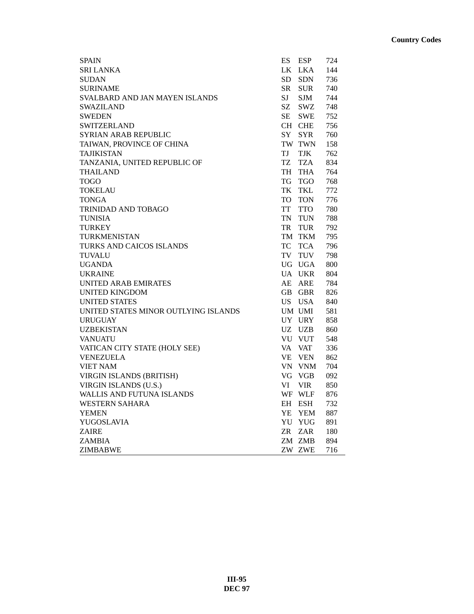| <b>SPAIN</b>                         | ES   | ESP        | 724 |
|--------------------------------------|------|------------|-----|
| SRI LANKA                            | LK.  | LKA        | 144 |
| <b>SUDAN</b>                         | SD.  | <b>SDN</b> | 736 |
| <b>SURINAME</b>                      | SR   | <b>SUR</b> | 740 |
| SVALBARD AND JAN MAYEN ISLANDS       | SJ - | SJM        | 744 |
| <b>SWAZILAND</b>                     | SZ   | <b>SWZ</b> | 748 |
| <b>SWEDEN</b>                        | SE   | <b>SWE</b> | 752 |
| <b>SWITZERLAND</b>                   |      | CH CHE     | 756 |
| <b>SYRIAN ARAB REPUBLIC</b>          | SY   | <b>SYR</b> | 760 |
| TAIWAN, PROVINCE OF CHINA            |      | TW TWN     | 158 |
| <b>TAJIKISTAN</b>                    | TJ   | <b>TJK</b> | 762 |
| TANZANIA, UNITED REPUBLIC OF         | TZ   | <b>TZA</b> | 834 |
| THAILAND                             | TH   | <b>THA</b> | 764 |
| TOGO                                 | TG   | <b>TGO</b> | 768 |
| TOKELAU                              | TK   | <b>TKL</b> | 772 |
| <b>TONGA</b>                         | TO   | <b>TON</b> | 776 |
| <b>TRINIDAD AND TOBAGO</b>           | TT   | <b>TTO</b> | 780 |
| <b>TUNISIA</b>                       | TN   | <b>TUN</b> | 788 |
| TURKEY                               | TR   | <b>TUR</b> | 792 |
| <b>TURKMENISTAN</b>                  |      | TM TKM     | 795 |
| TURKS AND CAICOS ISLANDS             | TC   | TCA        | 796 |
| <b>TUVALU</b>                        |      | TV TUV     | 798 |
| <b>UGANDA</b>                        |      | UG UGA     | 800 |
| <b>UKRAINE</b>                       |      | UA UKR     | 804 |
| UNITED ARAB EMIRATES                 | AE   | ARE        | 784 |
| <b>UNITED KINGDOM</b>                |      | GB GBR     | 826 |
| <b>UNITED STATES</b>                 | US-  | <b>USA</b> | 840 |
| UNITED STATES MINOR OUTLYING ISLANDS |      | UM UMI     | 581 |
| <b>URUGUAY</b>                       |      | UY URY     | 858 |
| <b>UZBEKISTAN</b>                    | UZ   | <b>UZB</b> | 860 |
| <b>VANUATU</b>                       |      | VU VUT     | 548 |
| VATICAN CITY STATE (HOLY SEE)        | VA   | VAT        | 336 |
| <b>VENEZUELA</b>                     | VE   | VEN        | 862 |
| <b>VIET NAM</b>                      |      | VN VNM     | 704 |
| VIRGIN ISLANDS (BRITISH)             |      | VG VGB     | 092 |
| VIRGIN ISLANDS (U.S.)                |      | VI VIR     | 850 |
| WALLIS AND FUTUNA ISLANDS            |      | WF WLF     | 876 |
| <b>WESTERN SAHARA</b>                | EH.  | ESH        | 732 |
| <b>YEMEN</b>                         | YE   | YEM        | 887 |
| YUGOSLAVIA                           |      | YU YUG     | 891 |
| <b>ZAIRE</b>                         | ZR   | ZAR        | 180 |
| <b>ZAMBIA</b>                        |      | ZM ZMB     | 894 |
| <b>ZIMBABWE</b>                      |      | ZW ZWE     | 716 |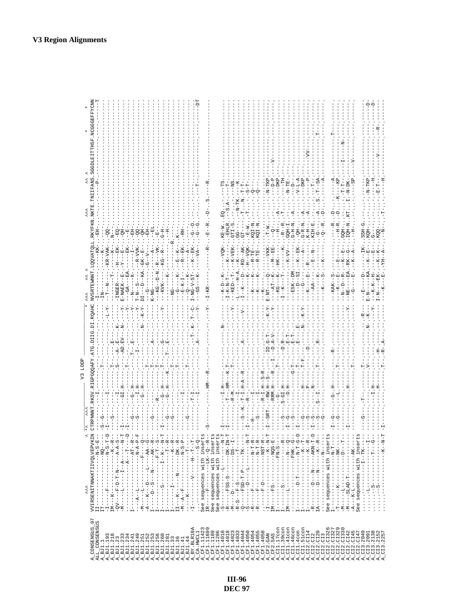|                                                                                                                                                                                                                                                                                                                                                                                                           | くくく                                                                                                                                             |                 | HOOF             |                                  |                                    |                                |               |                                |  |
|-----------------------------------------------------------------------------------------------------------------------------------------------------------------------------------------------------------------------------------------------------------------------------------------------------------------------------------------------------------------------------------------------------------|-------------------------------------------------------------------------------------------------------------------------------------------------|-----------------|------------------|----------------------------------|------------------------------------|--------------------------------|---------------|--------------------------------|--|
| A_CONSENSUS_97<br>ALL_CONSENSUS                                                                                                                                                                                                                                                                                                                                                                           | VVIRSENITNNAKTIIVQLVEPVK                                                                                                                        | <b>CTRPNNNT</b> |                  | RKSV.RIGPGQQAFY.ATG.DIG.DI.RQAHC | NVSRTEWNNT.LOOVATOLL.              |                                |               | TNIIFANS. SGGDLEITHSF. NCOODOR |  |
|                                                                                                                                                                                                                                                                                                                                                                                                           | $- - -N - S - E$<br>$\frac{1}{1}$<br>$\frac{1}{1}$<br>$\frac{1}{1}$<br>$11 - - - - -$<br>$\blacksquare$                                         |                 |                  |                                  |                                    |                                |               |                                |  |
| $A$ <sub>_BJ1</sub> .1                                                                                                                                                                                                                                                                                                                                                                                    | $-5 - N - S - T$<br>$-10M - -$<br>$\mathbf{I}$<br>$LT -$<br>Ļ                                                                                   |                 |                  | . -1-1                           | -KR-VAK-<br>$-1 - 1 - 1$           | $-00-$                         |               |                                |  |
| $A$ -BJ1.193<br>$A$ -BJ1.218<br>$A$ -BJ1.23                                                                                                                                                                                                                                                                                                                                                               | $---X - -R$<br>1<br>$IN = - -K = - - -$                                                                                                         |                 |                  |                                  |                                    |                                |               |                                |  |
|                                                                                                                                                                                                                                                                                                                                                                                                           | $---A - A - S$<br>Ť<br>$-QV---F--T--N$                                                                                                          |                 | cù.              | - A- - E                         | $---EK-$<br>-INGER-                | $-ED$ -                        |               |                                |  |
| $A$ BJ1.233<br>$A$ BJ1.234                                                                                                                                                                                                                                                                                                                                                                                | ?<br>⊺                                                                                                                                          |                 | H.I5-            | .-AD.EV                          | $-$ E--<br>$E-MABK--E--$           | $-QH$                          |               |                                |  |
|                                                                                                                                                                                                                                                                                                                                                                                                           |                                                                                                                                                 |                 |                  |                                  | $-6A$                              |                                |               |                                |  |
| A_BJ1.241                                                                                                                                                                                                                                                                                                                                                                                                 | $----P-12$<br>I<br>л<br>Ţ<br>$\frac{1}{2}$<br>$\frac{1}{2}$<br>Ť                                                                                |                 | H . + P-         |                                  | $\frac{1}{1}$                      | $-EE$                          |               |                                |  |
|                                                                                                                                                                                                                                                                                                                                                                                                           | $-1 - N - N - P$<br>$- - - - - - - - - -$<br>-----------<br>$-1$ <sup>-</sup>                                                                   | U)              | H<br>-9-         | .N-.-X-                          | ---D--KA.-GK--E-<br>$T-N--S$<br>ă  |                                |               |                                |  |
| $\begin{array}{l} \texttt{A} \overline{\texttt{1}}\texttt{B}\texttt{11}.249 \\ \texttt{A} \overline{\texttt{1}}\texttt{B}\texttt{11}.251 \\ \texttt{A} \overline{\texttt{2}}\texttt{B}\texttt{11}.252 \\ \texttt{A} \overline{\texttt{2}}\texttt{B}\texttt{11}.255 \\ \texttt{A} \overline{\texttt{2}}\texttt{B}\texttt{11}.256 \\ \texttt{A} \overline{\texttt{2}}\texttt{B}\texttt{12}.260 \end{array}$ | $-1$                                                                                                                                            |                 |                  |                                  | ن<br> <br>                         |                                |               |                                |  |
|                                                                                                                                                                                                                                                                                                                                                                                                           | $---AX - -R$<br>$-1$ $-1$ $-1$ $-1$ $-1$ $-1$ $-1$ $-1$                                                                                         | 也               |                  |                                  | $K-NG$                             |                                |               |                                |  |
|                                                                                                                                                                                                                                                                                                                                                                                                           | $- - \mathbf{T} - \mathbf{T} - \mathbf{S}$<br>$\frac{1}{1}$<br>$\frac{1}{1}$<br>$\frac{1}{1}$<br>$\frac{1}{1}$<br>$\frac{1}{1}$<br>$\mathbf{H}$ |                 | Ę                |                                  | $- R - - - VK$<br>$-K - D - D - N$ |                                |               |                                |  |
|                                                                                                                                                                                                                                                                                                                                                                                                           |                                                                                                                                                 |                 |                  |                                  | $-RCG--R-$                         |                                |               |                                |  |
| A_BJ1.281                                                                                                                                                                                                                                                                                                                                                                                                 | $---T---R$<br>I<br>ı<br>$\frac{1}{1}$<br>ţ<br>ţ<br>1<br>ł                                                                                       | Ů               | .<br>"           |                                  |                                    |                                |               |                                |  |
| $A = B$<br>$A = B$<br>$A = B$<br>$A = B$<br>$A = A$<br>$A = A$<br>$A = A$                                                                                                                                                                                                                                                                                                                                 | $---K---R$<br>Ť<br>$-1 - 1 -$<br>$\overline{\phantom{a}}$                                                                                       | ᄞ               |                  |                                  |                                    |                                |               |                                |  |
|                                                                                                                                                                                                                                                                                                                                                                                                           | $--$ DK $--$ R<br>$11 - -K - - - - - - - N -$                                                                                                   |                 |                  |                                  | 뚜                                  |                                |               |                                |  |
|                                                                                                                                                                                                                                                                                                                                                                                                           |                                                                                                                                                 |                 |                  |                                  | $-- EX$<br>$-K-1$                  |                                |               |                                |  |
|                                                                                                                                                                                                                                                                                                                                                                                                           | $-1$ $-1$ $-1$ $-1$<br>----------------                                                                                                         | Ú               |                  |                                  |                                    |                                |               |                                |  |
| BY.BLR10A<br>$\mathbb{A}$                                                                                                                                                                                                                                                                                                                                                                                 | <b>ロー・ロー・ロー - コーーートン - - - -</b><br>J<br>$\frac{1}{1}$                                                                                          |                 |                  |                                  | $--ER-$<br>$-NG-V-S$               |                                |               |                                |  |
| A_CA.HWCL1                                                                                                                                                                                                                                                                                                                                                                                                | $-5-2$<br>$\frac{1}{2}$                                                                                                                         |                 |                  |                                  |                                    |                                |               |                                |  |
| A_CF1.11423<br>A_CF1.11699                                                                                                                                                                                                                                                                                                                                                                                | See sequences with insert                                                                                                                       |                 |                  |                                  |                                    |                                |               |                                |  |
|                                                                                                                                                                                                                                                                                                                                                                                                           | $---LK---Q---R$<br>I<br>$\frac{1}{1}$<br>$IR --$                                                                                                |                 |                  |                                  |                                    | $-E$ – $-R$                    |               |                                |  |
|                                                                                                                                                                                                                                                                                                                                                                                                           | See sequences with insert                                                                                                                       |                 |                  |                                  |                                    |                                |               |                                |  |
|                                                                                                                                                                                                                                                                                                                                                                                                           | insert<br>with<br>See sequences                                                                                                                 |                 |                  |                                  |                                    |                                |               |                                |  |
|                                                                                                                                                                                                                                                                                                                                                                                                           | Z- - - -<br>I<br>٠<br>$-1 - 1 -$                                                                                                                |                 |                  |                                  | $-VQK$                             | $KE-W$                         |               |                                |  |
|                                                                                                                                                                                                                                                                                                                                                                                                           | $------DK-TN-$                                                                                                                                  |                 |                  |                                  | $I-K-N-T$                          |                                |               |                                |  |
|                                                                                                                                                                                                                                                                                                                                                                                                           | $- - - 20 - - - 1$<br>$\mathbf{I}$                                                                                                              |                 | $R - M$          |                                  | $-1 - K - VER -$                   |                                |               |                                |  |
|                                                                                                                                                                                                                                                                                                                                                                                                           | ı<br>$---P - S - --- -$<br>$-R-S$                                                                                                               |                 |                  |                                  | $-H-A$ .                           |                                |               |                                |  |
|                                                                                                                                                                                                                                                                                                                                                                                                           | Ť<br>$--FSD-T-P$                                                                                                                                |                 | $-T-T$ . $H - A$ |                                  | $-RE$ - $-RE$ -<br>$-$ K           |                                |               |                                |  |
|                                                                                                                                                                                                                                                                                                                                                                                                           | $Z_{-+-}$<br>$\frac{1}{1}$                                                                                                                      |                 |                  |                                  | $-K-1H-1VQK-$                      | $-E-W$ .                       | $-5-7-$       |                                |  |
|                                                                                                                                                                                                                                                                                                                                                                                                           | $--T-T-T$<br>$\begin{bmatrix} 1 \\ 1 \\ 1 \\ 1 \end{bmatrix}$                                                                                   |                 |                  |                                  | .-R-TE-                            | N-IQ>                          |               |                                |  |
|                                                                                                                                                                                                                                                                                                                                                                                                           |                                                                                                                                                 |                 |                  |                                  | $---R-TE-$                         | N-IQX                          |               |                                |  |
|                                                                                                                                                                                                                                                                                                                                                                                                           | $---NST - R$<br>I                                                                                                                               |                 | $R - I$          |                                  |                                    |                                |               |                                |  |
|                                                                                                                                                                                                                                                                                                                                                                                                           | $-1 - K - 1$<br>$\frac{1}{1}$<br>$-1$ + $-1$ + $-1$ + $-1$ + $-1$ + $-1$                                                                        |                 | $---RW. H$       |                                  | --TZL-H                            | -T-N                           | -N-TKF        |                                |  |
| CF2.SAS<br>∝                                                                                                                                                                                                                                                                                                                                                                                              | $- - - - - - - -$<br>$\frac{1}{1}$<br>$IN---FS---$                                                                                              |                 | -RRM.H           | $-D$ . $A-V-$                    | $-1 - N - 1 - EE -$<br>$-3 - 24$   | ;<br>--0--                     | $-1$ -D       |                                |  |
| A_CI1.17con<br>A_CI1.39con                                                                                                                                                                                                                                                                                                                                                                                | $-0$ $-2$ $-1$<br>л<br>Ť<br>ţ<br>1<br>$\,$ I                                                                                                    |                 |                  |                                  |                                    |                                | $--$ DKP      |                                |  |
|                                                                                                                                                                                                                                                                                                                                                                                                           | $------R$<br>$- - -$ S<br>$\frac{1}{1}$                                                                                                         | Ω               | $S-GI$ . H       | p.R                              | $-1 - K - -1$                      | $-R = -R$                      | H1----        |                                |  |
| CI1.41con<br>$\mathbb{A}$                                                                                                                                                                                                                                                                                                                                                                                 | $-1 - 2 - 1 - 1$<br>í<br>$\frac{1}{1}$<br>$- - -1 - - - -$<br>$TM - -$                                                                          |                 |                  |                                  | $-1 - K - VV -$                    | $-1000$                        | H-N-TE        |                                |  |
| CI1.46con<br>$\mathbf{A}$                                                                                                                                                                                                                                                                                                                                                                                 | --FHK--G<br>J.<br>ı<br>ţ                                                                                                                        |                 |                  | 역<br>-                           | $-$ ESK--DM                        | G-H-N                          | $\frac{1}{1}$ |                                |  |
| A_CI1.4con                                                                                                                                                                                                                                                                                                                                                                                                | $--\Gamma--\Gamma--\Gamma--\Gamma$<br>I<br>$\mathbf{H}$                                                                                         |                 |                  |                                  | $---X - - EX -$<br>$-15 - -10 - -$ | $-CH$                          | $-V-L-A$      |                                |  |
| CI1.51con<br>$\mathbb{A}$                                                                                                                                                                                                                                                                                                                                                                                 | $- -K - T$<br>п<br>$\frac{1}{1}$<br>$\frac{1}{1}$<br>I<br>J                                                                                     |                 |                  |                                  |                                    | $G - R - N$                    | $--$ DKP      |                                |  |
| CI2.CI14<br>$\mathbb{A}$                                                                                                                                                                                                                                                                                                                                                                                  | $- -K - -R$<br>í<br>п<br>J                                                                                                                      |                 |                  | ę                                | $-$ R $-$<br>님<br> <br>            | $K-H$                          |               |                                |  |
| CI2.CI2<br>$\mathbf{A}$                                                                                                                                                                                                                                                                                                                                                                                   | $-$ DNA $-$ T<br>$-1$ - $-1$ - $-1$<br>$\mathbf{I}$<br>$-R--$                                                                                   | ω               |                  |                                  |                                    | HIX                            |               |                                |  |
| CI2.CI20<br>$\overline{A}$                                                                                                                                                                                                                                                                                                                                                                                | $---X - -R$<br>$-1$ $-1$ $-1$ $-1$<br>ł<br>$I A$ - -                                                                                            | ω               |                  |                                  |                                    |                                | $-T$ -SA      |                                |  |
| C13<br>CI <sub>2</sub><br>$\mathbb{A}$                                                                                                                                                                                                                                                                                                                                                                    | $N - - -$<br>j                                                                                                                                  |                 |                  |                                  |                                    |                                |               |                                |  |
| CI2.CI326<br>$\mathbf{z}^{\dagger}$                                                                                                                                                                                                                                                                                                                                                                       | See sequences with insert                                                                                                                       |                 |                  |                                  |                                    |                                |               |                                |  |
| $\mathbf{r}$                                                                                                                                                                                                                                                                                                                                                                                              | $-1 - 1 - 1 - 1$<br>$\frac{1}{1}$<br>ł<br>J.<br>1<br>ł<br>J,                                                                                    | ن<br>ا          |                  |                                  | $-KAK - S -$                       |                                |               |                                |  |
| $\overline{A}$                                                                                                                                                                                                                                                                                                                                                                                            | --NK --<br>I<br>$\frac{1}{1}$<br>-- 7 -- - - - - - - - -                                                                                        | 也               |                  |                                  |                                    | $\overline{a}$<br>$-H-R$ .     |               |                                |  |
| $\mathbf{A}^{\dagger}$                                                                                                                                                                                                                                                                                                                                                                                    | $- - - - - - - -$<br>$\frac{1}{1}$<br>----------<br>$-1$                                                                                        |                 |                  |                                  | $-N--D--R-.$                       | $GOH-.$                        | -7-7-         |                                |  |
| $\mathbf{A}$                                                                                                                                                                                                                                                                                                                                                                                              | $-$ -SLAD-T- $-$<br>$-1$ N $-$                                                                                                                  |                 |                  |                                  | $-NE$                              | IQH-N                          | $-N-N$        |                                |  |
| $\mathbf{z}$                                                                                                                                                                                                                                                                                                                                                                                              | $- - AK - -$<br>$-1 - 1 - 1 - 2 - 1 - 1 - 1$                                                                                                    |                 |                  |                                  | $\frac{1}{2}$                      |                                |               |                                |  |
| $\begin{bmatrix} -1 & 0 & 0 & 0 & 0 & 0 \\ -1 & 0 & 0 & 0 & 0 & 0 \\ -1 & 0 & 0 & 0 & 0 & 0 \\ -1 & 0 & 0 & 0 & 0 & 0 \\ -1 & 0 & 0 & 0 & 0 & 0 \\ -1 & 0 & 0 & 0 & 0 & 0 \\ -1 & 0 & 0 & 0 & 0 & 0 \\ -1 & 0 & 0 & 0 & 0 & 0 \\ -1 & 0 & 0 & 0 & 0 & 0 \\ -1 & 0 & 0 & 0 & 0 & 0 \\ -1 & 0 & 0 & 0 & 0 & 0 \\ -1 & 0 & 0 & 0 & 0 & $<br>$\mathbb{A}$                                                     | See sequences with insert                                                                                                                       |                 |                  |                                  |                                    |                                |               |                                |  |
| CI3.2049<br>$\mathbf{A}$                                                                                                                                                                                                                                                                                                                                                                                  |                                                                                                                                                 | Ú               |                  | ġ                                |                                    | CH-HSS                         |               |                                |  |
| A_CI3.2091                                                                                                                                                                                                                                                                                                                                                                                                | Ť<br>$\frac{1}{1}$<br>J<br>$\cdots$ $\cdots$ $\cdots$ $\cdots$ $\cdots$                                                                         |                 |                  |                                  | - - KA .<br>$E - N - -$            | KQH-                           | $-N-TKP$      |                                |  |
| $\tilde{A}$                                                                                                                                                                                                                                                                                                                                                                                               | $T---G$<br>$\frac{1}{1}$<br>I<br>$-50 - 1$                                                                                                      |                 |                  |                                  | --K-K--H<br>$I-N-1$                | KQQ-<br>$\frac{1}{\mathbf{C}}$ | $-1 - 7 -$    |                                |  |
| -CI3.2138<br>-CI3.2152<br>-CI3.2257<br>$\overline{A}$                                                                                                                                                                                                                                                                                                                                                     | $- -K - -N -$<br>$\mathbf{I}$<br>$\frac{1}{2}$                                                                                                  |                 |                  |                                  |                                    |                                |               |                                |  |
|                                                                                                                                                                                                                                                                                                                                                                                                           |                                                                                                                                                 |                 |                  |                                  |                                    |                                |               |                                |  |

**III-96 DEC 97**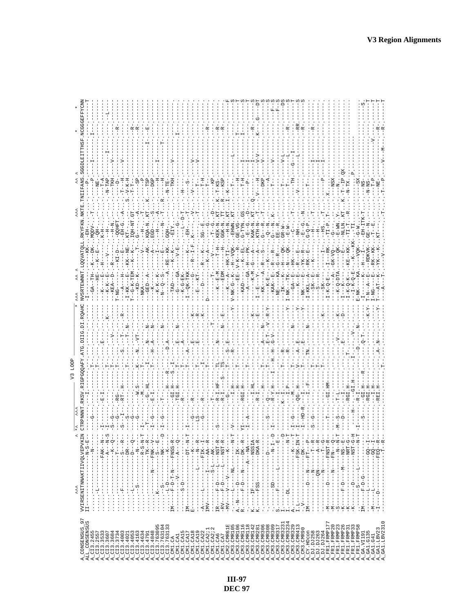|                                                                                                                                                                                                                                                                                                                                                                                                                                         | くくく                                                                                                                                 | EOO1<br>V3                              |                                                                        |  |
|-----------------------------------------------------------------------------------------------------------------------------------------------------------------------------------------------------------------------------------------------------------------------------------------------------------------------------------------------------------------------------------------------------------------------------------------|-------------------------------------------------------------------------------------------------------------------------------------|-----------------------------------------|------------------------------------------------------------------------|--|
| $\begin{array}{l} \texttt{A\_CON SISN SUS} \\ \texttt{A\_C\_C.NISIS} \\ \texttt{A\_C.I} \\ \texttt{A\_C.I} \\ \texttt{A\_C.I} \\ \texttt{A\_C.I} \\ \texttt{A\_C.I} \\ \texttt{A\_C.I} \\ \texttt{A\_C.I} \\ \texttt{A\_C.I} \\ \texttt{A\_C.I} \\ \texttt{A\_C.I} \\ \texttt{A\_C.I} \\ \texttt{A\_C.I} \\ \texttt{A\_C.I} \\ \texttt{A\_C.I} \\ \texttt{A\_C.I} \\ \texttt{A\_C.I} \\ \texttt{A\_C.I} \\ \texttt{A\_C.I} \\ \texttt{$ | $-1 - N - 5$<br>VVIRSENITMNAKTIIVQLVE<br>$\frac{1}{11} - \frac{1}{11}$                                                              | RQAHC<br>RIGPGOOAFY.ATG.DIIG<br>TRPNNNT | IFANS. SGGDLEITHSF                                                     |  |
|                                                                                                                                                                                                                                                                                                                                                                                                                                         | ?<br>⊺<br>٠<br>ţ<br>ı<br>$\frac{1}{2}$                                                                                              |                                         |                                                                        |  |
|                                                                                                                                                                                                                                                                                                                                                                                                                                         | $-$ FAK<br>-1<br>1<br>$\frac{1}{1}$<br>$\frac{1}{2}$<br>$\frac{1}{2}$                                                               |                                         | T-A<br>Ë                                                               |  |
|                                                                                                                                                                                                                                                                                                                                                                                                                                         | $-1 - K$<br>$-4-$<br>п<br>$\frac{1}{2}$                                                                                             |                                         | $-TKH$<br>$-N-TA-P$<br>-H-K<br>$-$ KEA                                 |  |
|                                                                                                                                                                                                                                                                                                                                                                                                                                         | ŧ<br>$\overline{\phantom{a}}$<br>$\frac{1}{2}$<br>$\begin{bmatrix} 1 \\ 1 \\ 2 \end{bmatrix}$                                       |                                         | <b>COHF</b><br>$T - NG -$                                              |  |
|                                                                                                                                                                                                                                                                                                                                                                                                                                         | ÷,<br>က်<br>÷i.<br>$\overline{F}$                                                                                                   |                                         |                                                                        |  |
|                                                                                                                                                                                                                                                                                                                                                                                                                                         | $--DB-$<br>$\frac{1}{1}$<br>ı<br>ı<br>ı<br>$-1 - 1 - 1 - 1 - 1$<br>Í<br>$\frac{1}{2}$                                               | ひ<br>U.                                 | $-$ R $-$<br>$-7 - K - H$<br>-7-7-<br>TQH-NT<br>--G-K-TEM<br>$-1 - KK$ |  |
|                                                                                                                                                                                                                                                                                                                                                                                                                                         | $\frac{1}{2}$<br>п<br>$\frac{5}{2}$                                                                                                 |                                         |                                                                        |  |
|                                                                                                                                                                                                                                                                                                                                                                                                                                         | $- R - S$<br>$\frac{1}{2}$                                                                                                          |                                         | ÷<br>-NKA-                                                             |  |
|                                                                                                                                                                                                                                                                                                                                                                                                                                         | $--TK$<br>٠<br>٠<br>I<br>п<br>I<br>$\frac{1}{2}$                                                                                    |                                         | XQA-N<br>$-$ GED $-$                                                   |  |
|                                                                                                                                                                                                                                                                                                                                                                                                                                         | $-5 -$<br>$--$ FNK $-$<br>т<br>$-1$ $-1$ $-1$ $-1$<br>1<br>I<br>$\frac{1}{1}$<br>$\mathbf{I}$<br>$\cdots$ $K$ ----<br>$\frac{1}{2}$ |                                         | epa-<br>÷<br>Ġ<br>B<br>-K-X                                            |  |
|                                                                                                                                                                                                                                                                                                                                                                                                                                         | $-NK$<br>$\cdots$                                                                                                                   |                                         |                                                                        |  |
|                                                                                                                                                                                                                                                                                                                                                                                                                                         | $-56$<br>٠<br>J.<br>J<br>$\cdots \cdots \cdots \cdots \cdots \cdots$                                                                |                                         | $-2I-IH$<br>$GOH -$<br>$-RE - - KK$                                    |  |
| $CM1$ . CA                                                                                                                                                                                                                                                                                                                                                                                                                              | -- F-1-H-1-H-4-<br>$-7$<br>I<br>$TM = -$                                                                                            | ロワー                                     | -TAD-                                                                  |  |
| CM1.CA1                                                                                                                                                                                                                                                                                                                                                                                                                                 | $-4-$<br>I<br>$\frac{1}{2}$<br>-1<br>п<br>$-4-5-1$<br>ţ<br>$\mathbf{I}$<br>J.                                                       |                                         | $-K-G-FF$                                                              |  |
| CM1.CA15<br>CM1.CA17                                                                                                                                                                                                                                                                                                                                                                                                                    | $-10-1$<br>i<br>I<br>Í<br>٠<br>٠<br>I<br>ı<br>ı<br>I<br>$TM--$                                                                      |                                         | Ė<br>$-9K$                                                             |  |
| $\begin{array}{r} -0.01 & .013 \\ -0.01 & .013 \\ -0.01 & .0122 \\ -0.01 & .0222 \\ -0.01 & .0222 \\ -0.01 & .0222 \\ -0.01 & .0222 \\ -0.01 & .0222 \\ -0.01 & .0222 \\ -0.01 & .0222 \\ -0.01 & .0222 \\ -0.01 & .0222 \\ -0.01 & .0222 \\ -0.01 & .0222 \\ -0.01 & .0222 \\ -0.01 & .0222 \\ -0.01 & .0222 \\ -0.01 & .0222$                                                                                                         | $---K$<br>п<br>п<br>J<br>$\overline{\phantom{a}}$<br>$\frac{1}{1}$                                                                  |                                         |                                                                        |  |
|                                                                                                                                                                                                                                                                                                                                                                                                                                         | -----------                                                                                                                         | ល្ម                                     | 囟                                                                      |  |
|                                                                                                                                                                                                                                                                                                                                                                                                                                         | -------FIK<br>J.<br>1<br>-A---------                                                                                                |                                         |                                                                        |  |
|                                                                                                                                                                                                                                                                                                                                                                                                                                         | $---24 - -1 - -5 - 5 - -1 - -8$<br>$-----AA$<br>Ţ<br>$\frac{1}{1}$<br>ì<br>$\overline{\phantom{a}}$<br>--AMI<br>i                   |                                         | $-XP$                                                                  |  |
| CAG<br>$\Xi$                                                                                                                                                                                                                                                                                                                                                                                                                            | --F-D------------<br>$IR---$                                                                                                        |                                         | $-23-1$                                                                |  |
| CM1.CA7                                                                                                                                                                                                                                                                                                                                                                                                                                 | -- F -- -- -- -- -- -- -- --<br>$-RV - -$                                                                                           |                                         | $-KSP$<br>$3GK - N$                                                    |  |
|                                                                                                                                                                                                                                                                                                                                                                                                                                         | --V------------<br>$-NN$ -                                                                                                          |                                         | イエー                                                                    |  |
|                                                                                                                                                                                                                                                                                                                                                                                                                                         | $-1M -$<br>$\frac{1}{1}$<br>ţ                                                                                                       |                                         |                                                                        |  |
|                                                                                                                                                                                                                                                                                                                                                                                                                                         | $---IK-$<br>$\frac{1}{1}$<br><b>I</b><br>$\frac{1}{1}$<br>$A. -N--$                                                                 |                                         | 了日                                                                     |  |
|                                                                                                                                                                                                                                                                                                                                                                                                                                         | --F------------<br>$R. - - -$                                                                                                       | RGI.                                    | $-T-H$<br>RL-1<br>-KAD                                                 |  |
|                                                                                                                                                                                                                                                                                                                                                                                                                                         | $-1 - 4 - 1 - 1$<br>$- -$ NSS<br>j<br>$\overline{1}$<br>п<br>$-$ – $\Gamma\mathrm{F}$ – –<br>Ì,<br>$\overline{1}$                   |                                         | CAK-1                                                                  |  |
|                                                                                                                                                                                                                                                                                                                                                                                                                                         | $------DK2$<br>ı<br>$-555 -$<br>ţ<br>Ì,<br>ĸ<br>×                                                                                   |                                         | Ě                                                                      |  |
|                                                                                                                                                                                                                                                                                                                                                                                                                                         | I<br>ı<br>л<br>ı<br>I<br>Ì,                                                                                                         |                                         | $-DRP$                                                                 |  |
|                                                                                                                                                                                                                                                                                                                                                                                                                                         | $-1$<br>$\frac{1}{1}$<br>I<br>$\frac{1}{2}$<br>п<br>$\frac{1}{1}$<br>$\mathbf I$<br>ı<br>1<br>$\cdot$                               | Ó                                       | ÷                                                                      |  |
|                                                                                                                                                                                                                                                                                                                                                                                                                                         | "<br>⊃−<br>$\frac{1}{1}$<br>$-1$                                                                                                    |                                         | 中                                                                      |  |
|                                                                                                                                                                                                                                                                                                                                                                                                                                         | п<br>÷,<br>ļ<br>$\frac{1}{1}$<br>ţ<br>$\omega$ H                                                                                    |                                         | <b>بتا</b><br>$EE - -F$                                                |  |
|                                                                                                                                                                                                                                                                                                                                                                                                                                         | I<br>$\frac{1}{1}$<br>$\mathbf{I}$<br>$\frac{1}{1}$<br>$-10-$<br>$\frac{1}{1}$<br>I<br>п<br>Ì,                                      |                                         | I-Y-I<br>۴<br>$GR-W$<br>-E-K<br>-IK                                    |  |
|                                                                                                                                                                                                                                                                                                                                                                                                                                         | $- -K$<br>п<br>-1<br>$\frac{1}{1}$<br>$A. -- --$<br>f,                                                                              | Ċ                                       |                                                                        |  |
|                                                                                                                                                                                                                                                                                                                                                                                                                                         | $---FSK-$<br>I<br>Í<br>J.<br>п<br>$\frac{1}{1}$<br>$1. L - - - - -$                                                                 |                                         | $-RR$                                                                  |  |
|                                                                                                                                                                                                                                                                                                                                                                                                                                         | $---DK-$<br>₹.<br>$\mathbf{I}$                                                                                                      |                                         |                                                                        |  |
| $\begin{array}{ll} \hline \text{CY} & \text{HOCon} \\ \text{DJ} & \text{DJ} & \text{S58} \\ \text{DJ} & \text{DJ} & \text{S63} \\ \text{DJ} & \text{DJ} & \text{S64} \end{array}$                                                                                                                                                                                                                                                       | $-14 -$<br>$-1$<br>$-1$<br>$\frac{1}{1}$<br>$\overline{\phantom{a}}$<br>$EM -$                                                      |                                         |                                                                        |  |
|                                                                                                                                                                                                                                                                                                                                                                                                                                         | $\frac{1}{2}$<br>ı<br>$-1$ -N $-$<br>ı<br>ı<br>1<br>I<br>I<br>т<br>л                                                                |                                         |                                                                        |  |
|                                                                                                                                                                                                                                                                                                                                                                                                                                         | $-1$<br>$-1$<br>$-120 - 1$<br>$-1$ $-1$ $-1$<br>I<br>1<br>I<br>$\frac{1}{1}$<br>٠                                                   |                                         |                                                                        |  |
|                                                                                                                                                                                                                                                                                                                                                                                                                                         | $-FTNST$<br>1<br>٩<br>$\frac{1}{1}$<br>$-1 - N -$                                                                                   |                                         |                                                                        |  |
|                                                                                                                                                                                                                                                                                                                                                                                                                                         | $- F N -$<br>$-1$ - $-1$ - $-1$<br>I<br>п<br>I<br>$-1$ N<br>--                                                                      |                                         | GK-VO-                                                                 |  |
|                                                                                                                                                                                                                                                                                                                                                                                                                                         | $\overline{P}$ +<br>т<br>п<br>I<br>п<br>I<br>ì<br>ł<br>ပ္ပ                                                                          | C)                                      | $E-WN$<br>$-K-O-DT$                                                    |  |
|                                                                                                                                                                                                                                                                                                                                                                                                                                         | $-MS -$<br>$-1$<br>$-1$ - $-1$<br>$-K--$                                                                                            |                                         |                                                                        |  |
| A_FRI.FRMP177<br>A_FRI.FRMP20<br>A_FRI.FRMP23<br>A_FRI.FRMP25<br>A_FRI.FRMP33<br>A_FRI.FRMP33                                                                                                                                                                                                                                                                                                                                           | $-185$<br>$-10R$<br>1<br>ï<br>$\frac{1}{1}$<br>J.<br>$\overline{\phantom{a}}$<br>$-1$<br>Í<br>$-K$<br>$\frac{1}{1}$<br>Ϋ́           | -RGI                                    | -N-T<br>Ė                                                              |  |
|                                                                                                                                                                                                                                                                                                                                                                                                                                         | I<br>I<br>$\frac{1}{1}$<br>$\overline{\phantom{a}}$<br>$-5 -$<br>п<br>I                                                             |                                         |                                                                        |  |
|                                                                                                                                                                                                                                                                                                                                                                                                                                         | $-5 - 4 - 5 - 6$<br>$TM---$                                                                                                         |                                         |                                                                        |  |
|                                                                                                                                                                                                                                                                                                                                                                                                                                         | $Q_0 - 1$<br>ı<br>1<br>÷,<br>1<br>J<br>J.                                                                                           |                                         |                                                                        |  |
| $\begin{array}{l} \sqrt{-} \text{GA. V1191} \\ \sqrt{-} \text{GA1. G135} \\ \sqrt{-} \text{GA1. G41} \\ \sqrt{-} \text{GA1. LBY23} \end{array}$                                                                                                                                                                                                                                                                                         | ı<br>$-1M -$                                                                                                                        |                                         |                                                                        |  |
| BV23<br>BV2310<br>GA1.L                                                                                                                                                                                                                                                                                                                                                                                                                 | $\frac{1}{1}$<br>$\begin{array}{c} \hline \end{array}$<br>$\frac{1}{1}$<br>$-1$ -------                                             |                                         |                                                                        |  |
|                                                                                                                                                                                                                                                                                                                                                                                                                                         |                                                                                                                                     |                                         |                                                                        |  |

 $III-97$ **DEC 97**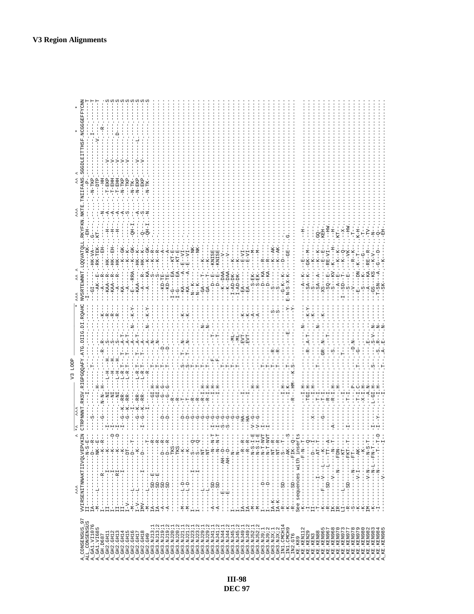|                | NKTE.TNIIFANS.SGGDLEITTHSF.NCGGEFFYCNN                                              | $\overline{v}$                       |                                                                                                                                                                                                                                                                                                                                                                                           |                         |                                                     |                                   |                                                            |                       |                                                                                                              |                |                                              |                         |                   |                                                                                                                                                                                                                                                                                                                                                                                                                                                                 |                       |                                                                                            |                              |                                   |                                                                                            |          |                                   |                                          |                             |                               |                          |                                                                                                                                                                               |                                       |                                                        |                                                |                               |                            |                                   |                                                      |                                                                          |                                                                                              |                                     |                                                                                               |                                                    |                                              |                                                                                                                                                                                                                                                                                                                                                                             |
|----------------|-------------------------------------------------------------------------------------|--------------------------------------|-------------------------------------------------------------------------------------------------------------------------------------------------------------------------------------------------------------------------------------------------------------------------------------------------------------------------------------------------------------------------------------------|-------------------------|-----------------------------------------------------|-----------------------------------|------------------------------------------------------------|-----------------------|--------------------------------------------------------------------------------------------------------------|----------------|----------------------------------------------|-------------------------|-------------------|-----------------------------------------------------------------------------------------------------------------------------------------------------------------------------------------------------------------------------------------------------------------------------------------------------------------------------------------------------------------------------------------------------------------------------------------------------------------|-----------------------|--------------------------------------------------------------------------------------------|------------------------------|-----------------------------------|--------------------------------------------------------------------------------------------|----------|-----------------------------------|------------------------------------------|-----------------------------|-------------------------------|--------------------------|-------------------------------------------------------------------------------------------------------------------------------------------------------------------------------|---------------------------------------|--------------------------------------------------------|------------------------------------------------|-------------------------------|----------------------------|-----------------------------------|------------------------------------------------------|--------------------------------------------------------------------------|----------------------------------------------------------------------------------------------|-------------------------------------|-----------------------------------------------------------------------------------------------|----------------------------------------------------|----------------------------------------------|-----------------------------------------------------------------------------------------------------------------------------------------------------------------------------------------------------------------------------------------------------------------------------------------------------------------------------------------------------------------------------|
|                | $-1 - N - T K P$ .                                                                  | $- DTP$<br>臣!<br>ž                   | HHH-L--<br>$-T-T-EHH$<br>$-1 - T - EKP$<br>$\vec{A}$<br>-A<br>Ą.                                                                                                                                                                                                                                                                                                                          | $-1 - N - TKP$<br>-A    | $---TKP$<br>$- N - T K$<br>ω                        | $-N-EN-$                          | $-ERP$<br>$-N-TK$<br>w                                     |                       |                                                                                                              |                |                                              |                         |                   |                                                                                                                                                                                                                                                                                                                                                                                                                                                                 |                       |                                                                                            |                              |                                   |                                                                                            |          |                                   |                                          |                             |                               |                          |                                                                                                                                                                               |                                       |                                                        |                                                |                               |                            |                                   |                                                      |                                                                          |                                                                                              |                                     |                                                                                               |                                                    |                                              |                                                                                                                                                                                                                                                                                                                                                                             |
|                | NVSRTEWNNT.LQQVATQLL.RKYFKN<br>$\frac{1}{2}$<br>$-HK-VA-$                           | $KT-1$<br>$-AX - -E - - -RK - TEK -$ | $-11$<br>中!<br>Ť<br>$-HK = -EH$                                                                                                                                                                                                                                                                                                                                                           | $-3E - 6K -$            | $-CH - I$<br>$-K--GK-$<br>$- -K - -K -$             | .-HK--K                           | $-CH - I$<br>$\frac{1}{2}$<br>$-K--GK$<br>-R-.-HK--K-      | $- -K - R -$<br>$-5-$ | $- -K - R -$<br>$-5-$                                                                                        |                | $-KT - E$<br>$-KT - E$                       | $-7$                    | 17---             |                                                                                                                                                                                                                                                                                                                                                                                                                                                                 |                       | KNISE                                                                                      | -KNISE                       |                                   |                                                                                            |          | $E - 7I$                          | Ξ<br>$E - 2$                             | ∑<br>⊺                      |                               | $K--AK$                  | Ř<br>-                                                                                                                                                                        | 면<br>다                                |                                                        | ÷<br>$-1/2$                                    | $-14 - 35 - -14$              | $rac{1}{3}$<br>$-K-1$      | KEH-<br>$- -K - K -$<br>$- E - E$ | $-HH -$<br>-SQ--E---E-VI-                            | $-H$<br>$KT -$<br>H<br> -<br> -<br>$-K - K -$<br>$-50$                   | $- X -$<br>$-5 - 7 - 9$                                                                      | $MH$ -<br>÷<br>$--VK$<br>$-R = -K$  | $K-H-$<br>$-DN - K - T$                                                                       | ÷<br>ن<br>ٻ                                        | $-K-V$                                       |                                                                                                                                                                                                                                                                                                                                                                             |
|                | $-5-$                                                                               |                                      | $-KAA-$<br>-KAA<br>$-4-$                                                                                                                                                                                                                                                                                                                                                                  | -KA                     | $--RRA$<br>$\overline{A}$ –<br>$\frac{1}{4}$<br>7   | -KAA                              | $-4$<br>k-y                                                |                       | $-KD-TE-.$                                                                                                   |                | $\frac{1}{2}$<br>$\frac{1}{2}$               |                         |                   |                                                                                                                                                                                                                                                                                                                                                                                                                                                                 | $\mathfrak{F}$        | $-54$                                                                                      |                              | $-K = -DA$                        | $-AD-DK-$                                                                                  | $-AD-DK$ | $-EA$                             | $-5 - EK$<br>$-EA$                       | 면                           |                               |                          |                                                                                                                                                                               | $-G-K--K$<br>$-N-S-X-K$               |                                                        | $-A- -K-$                                      | $-SA - K$<br>א<br>ד           | $-SA - -A -$<br>ပှ         | $-XS$                             |                                                      | $-A - E -$<br>$\frac{1}{6}$                                              | $-1 - 12 - 1$                                                                                | $-5 - -5 -$                         | $\frac{1}{2}$                                                                                 | ပ္ပ                                                | ပ္ပိ                                         | $-5N$                                                                                                                                                                                                                                                                                                                                                                       |
| LOOP           | CTRENNNT RKSV RIGEGOOAFY ATG DIIG DI ROAHC                                          |                                      | ∽.                                                                                                                                                                                                                                                                                                                                                                                        | $A-T$                   | $-4 - T$                                            | $-4 - T$                          |                                                            |                       |                                                                                                              |                |                                              |                         |                   |                                                                                                                                                                                                                                                                                                                                                                                                                                                                 |                       |                                                                                            |                              |                                   |                                                                                            |          |                                   |                                          |                             |                               |                          |                                                                                                                                                                               |                                       |                                                        |                                                | $-R - . A - T$                |                            |                                   |                                                      |                                                                          |                                                                                              | и.<br>Ч                             | Ì                                                                                             |                                                    | 7−S-                                         |                                                                                                                                                                                                                                                                                                                                                                             |
| V <sup>3</sup> |                                                                                     | $N-N$                                | $-L-H$ .<br>IN-                                                                                                                                                                                                                                                                                                                                                                           | $-L-R. T$<br>$-RR$<br>¥ | $-L-R.1$<br>$-RR-$                                  | $L-R$ .<br>$-RR$                  | $-L-R$ .<br>$-K. -RR$                                      | $H \cdot T -$         | ن<br>۱<br>H . I 5-<br>먹                                                                                      |                | ř                                            |                         |                   | Ķ                                                                                                                                                                                                                                                                                                                                                                                                                                                               | $R - I$               |                                                                                            |                              |                                   |                                                                                            |          |                                   |                                          |                             |                               |                          |                                                                                                                                                                               |                                       | $-R$ - $ H$ M                                          | $-1.1$                                         | $-TGT$ .                      | -- 1.1<br>-T-1             | $T - I$                           | $-R-I$                                               | $- R - I$ .                                                              | Ţ                                                                                            | -<br>T-                             | $-1 - 1 - C$                                                                                  | $-X - I$ . H                                       | .<br>15-1                                    |                                                                                                                                                                                                                                                                                                                                                                             |
|                | က်<br>$\frac{1}{4}$<br>"<br>숩<br>$-N-S$<br>$\frac{1}{1}$                            | ĸ<br>$-10K -$<br>¥                   | $-5$<br>$-8 -$<br>¥                                                                                                                                                                                                                                                                                                                                                                       | ن<br>ا<br>¥             | Ė<br>$\frac{1}{1}$                                  | ¥                                 | ب<br>$\frac{1}{1}$                                         |                       | $\frac{1}{1}$                                                                                                | $\frac{1}{1}$  | $---TKS -$<br>$-TTKS$                        | ¥-                      | ¥                 | .<br>-<br> <br>Ω<br>÷                                                                                                                                                                                                                                                                                                                                                                                                                                           | $-7$ $\overline{M}$   | $-100$<br>$-7$                                                                             | 주                            | $-1 - 241 - 1$                    | $- - A H - - D -$<br>$-1$                                                                  | $-1$     |                                   | $-HA$<br>$-K-S-$<br>$- R -$              | T<br>$N-S$<br>$\frac{1}{1}$ | T<br>$-1 - N - T$             | $-1$<br>$--NT-$          | $-1$ NT $-$                                                                                                                                                                   | $- - AK - -$<br>$-5 -$                | $-$ - F IK $-$                                         |                                                |                               | $\frac{1}{1}$              | $-1AT-$<br>$- - K$                | E<br>T                                               | $-5$<br>$-FTM$                                                           | $-55$                                                                                        | $--$ FKT<br>--<br>--FT              | $---AK---$                                                                                    | ī.<br>-K--<br>$-1 - 5$<br>$\overline{\phantom{a}}$ | ï                                            | t<br>$\overline{\phantom{a}}$                                                                                                                                                                                                                                                                                                                                               |
| くくく            | VVIRSENITNNAKTIIVQLVEPVKIN<br>п<br>ï<br>I<br>1<br>1<br>т<br>1<br>ł<br>ł<br>1A<br>ΞI | $- R$<br>$-1$<br>$-1$<br>j<br>Н      | I<br>T<br>$- R I$<br>$\frac{1}{1}$<br>I<br>J<br>J<br>í<br>J.<br>H<br>븝<br>$\mathsf{H}$                                                                                                                                                                                                                                                                                                    | $-1$<br>I<br>冒          | ٠<br>п<br>п<br>$\frac{1}{1}$<br>$1 - V - 1$<br>$-1$ | п<br>$\frac{1}{1}$<br>$I - V - -$ | $\frac{1}{1}$<br>$\mathbf{I}$<br>J<br>Ť<br>TMV--<br>-<br>주 | $--$ SD $--$ E<br>1A  | $-SD = -E$<br>$-9-$<br>$\frac{1}{1}$<br>$IA-$<br>$-4$                                                        | $-9$<br>л<br>F | п<br>п                                       | $-1 - 1 - 1$<br>$-1$ N- | $-1$ -D<br>Í<br>주 | ì<br>$-1$<br>$\frac{1}{2}$<br>ì<br>ŧ<br>1<br>п<br>I<br>н                                                                                                                                                                                                                                                                                                                                                                                                        | 1<br>ï<br>i<br>T<br>٠ | т<br>$\mathbf{I}$<br>ï<br>I<br>$\frac{1}{1}$<br>$- -$ GD $-$<br>I<br>$-1 -$<br>ŧ<br>п<br>К | $-9$<br>I<br>ά<br>H          | I<br>ı<br>Í<br>$-1 - 1$<br>٠<br>ï | í<br>$\frac{1}{1}$<br>$\overline{\phantom{a}}$<br>п<br>$\mathbf{I}$<br>뛰<br>$\overline{1}$ |          | п<br>ł<br>ł<br>$\frac{1}{1}$<br>A | п<br>$\mathbf{I}$<br>1<br>$IA--$<br>$-M$ | п<br>п<br>-<br>주            | ٠<br>$-1$<br>٠<br>$\mathbf I$ | $-1$<br>т<br>$I A - K -$ | ٠<br>$IA-K-$                                                                                                                                                                  | $-1$<br>$- R -$<br>$\frac{1}{1}$<br>¥ | ı<br>$\begin{array}{c} \end{array}$<br>$-9$<br>J.<br>Ŗ | See sequences with inse<br>ı<br>J<br>Ϋ́        | J.<br>J.<br>1<br>J.<br>ï<br>T | Í<br>İ<br>í<br>텃<br>H      | ÷<br>-- F -----<br>¥              | $\frac{1}{1}$<br>$-1$ -SD $-1$<br>$\frac{1}{1}$<br>F | $-1$<br>$-1 - 1 - 1$<br>$\mathbf{I}$<br>ı<br>٠<br>ï<br>IK<br>$E_{\rm R}$ | п<br>ï<br>I<br>1<br>J<br>$\overline{\phantom{a}}$<br>$-1 -$<br>$\overline{\phantom{a}}$<br>늡 | $-1$<br>$-55-$<br>F<br>ŵ            | $\frac{1}{1}$<br>$- -V - I$<br>$\overline{\phantom{a}}$<br>$\overline{\phantom{a}}$<br>п<br>¥ | $- -N - N - -$<br>I<br>$\overline{1}$<br>ΣÄ<br>¥-  | $-1 - N - 1 - 1 - N - 1$<br>t<br>٠<br>i<br>¥ | Ť<br>$-1 - N - -$<br>$-7$<br>$\mathbf{I}$                                                                                                                                                                                                                                                                                                                                   |
|                | CONSENSUS_97<br>LL_CONSENSUS<br>_GA1.VI1076<br><b>ALL</b><br>4<br>A,                | GA1.VI685<br>GH.D687<br>К<br>Ą       | $\begin{tabular}{ll} $\widetilde{A} = 0412$ & \widetilde{A} = 0412$ \\ $\widetilde{A} = 0412$ & \widetilde{A} = 0412$ \\ $\widetilde{A} = 0412$ & \widetilde{A} = 0412$ \\ $\widetilde{A} = 0412$ & \widetilde{A} = 0412$ \\ $\widetilde{A} = 0412$ & \widetilde{A} = 0412$ \\ $\widetilde{A} = 0412$ & \widetilde{A} = 0412$ \\ $\widetilde{A} = 0412$ & \widetilde{A} = 0412$ \\ $\wid$ |                         |                                                     |                                   | A_GH2.GH18<br>GH2.GH9<br>A                                 | GH3.NJ13              | $\begin{array}{l} \texttt{A\_CH3.~NJ13:1} \\ \texttt{A\_CH3.~NJ13:2} \\ \texttt{A\_CH3.~NJ19:1} \end{array}$ |                | A_GH3.NJ19;2<br>A_GH3.NJ20;1<br>A_GH3.NJ20;2 |                         |                   | $\begin{tabular}{ll} $\widetilde{\mathbf{A}}_1$ & \widetilde{\mathbf{C}}_2$ & \widetilde{\mathbf{M}}_2$ & \widetilde{\mathbf{M}}_2$ & \widetilde{\mathbf{A}}_1$ & \widetilde{\mathbf{A}}_2$ & \widetilde{\mathbf{A}}_1$ & \widetilde{\mathbf{A}}_2$ & \widetilde{\mathbf{A}}_1$ & \widetilde{\mathbf{A}}_2$ & \widetilde{\mathbf{A}}_1$ & \widetilde{\mathbf{A}}_2$ & \widetilde{\mathbf{A}}_2$ & \widetilde{\mathbf{A}}_1$ & \widetilde{\mathbf{A}}_2$ & \wid$ |                       | Ą                                                                                          | A_GH3.NJ41;1<br>A_GH3.NJ41;2 |                                   |                                                                                            |          |                                   |                                          |                             |                               | CH3. NJ9:2<br>К          | $\begin{array}{l} \texttt{A\_GH3}\ \texttt{.MJX:1} \\ \texttt{A\_GH3}\ \texttt{.MJX:2} \\ \texttt{A\_IN1}\ \texttt{.CNCH14} \\ \texttt{A\_IN1}\ \texttt{.CNCH14} \end{array}$ |                                       | $\overline{\text{IN2}}$ . GT6<br>A,                    | $\mathbf{\Omega}$<br>KE.KEN11<br>A_KE.K89<br>A | KE.KEN29<br>Þ,                | KE.KEN88<br>A_KE.KEN3<br>∝ |                                   | A_KE.KEN965<br>A_KE.KEN967                           | KE.KEN968<br>∝                                                           | A_KE.KEN970<br>A_KE.KEN973                                                                   | $KE$ . $KEN978$<br>A_KE.KEN977<br>A | A_KE.KEN979                                                                                   |                                                    |                                              | $\begin{array}{l} \text{A} \_ \text{K} \_ \text{K} \_\text{K} \_\text{K} \_\text{K} \_\text{S} \_\text{S} \_\text{S} \\ \text{A} \_\text{K} \_\text{K} \_\text{K} \_\text{K} \_\text{S} \_\text{S} \\ \text{A} \_\text{K} \_\text{K} \_\text{K} \_\text{S} \_\text{S} \_\text{S} \\ \text{A} \_\text{K} \_\text{K} \_\text{K} \_\text{S} \_\text{S} \_\text{S} \end{array}$ |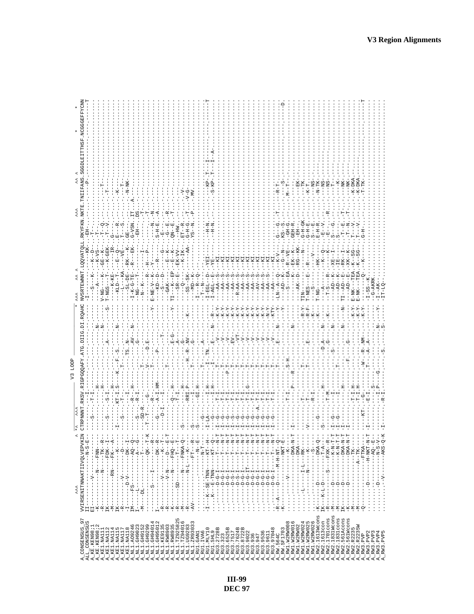|                                                          | ₹<br>くくく                                                                                                                                                     | HOOP<br>$\frac{3}{2}$                     |      |                    |                                                            |                               |                                         |
|----------------------------------------------------------|--------------------------------------------------------------------------------------------------------------------------------------------------------------|-------------------------------------------|------|--------------------|------------------------------------------------------------|-------------------------------|-----------------------------------------|
| CONSENSUS_97<br>ALL_CONSENSUS                            | KIN<br>립<br>VVIRSENITNNAKTIIVQLVEPV<br>$-5 - N - S$<br>$\frac{1}{11}$                                                                                        | TRPNNNT.RKSV.RIGPGQQAFY.ATG.DIIG.DI.RQAHC |      |                    | NVSRTEWNNT.LQQVATQLI                                       | .RKYFKN.NKTE.                 | TNI IFANS . SGODLEITTESF. NCOODDOGETINT |
| _KE.KEN98;1<br>_KE.KEN98;2                               | က်<br>$   \overline{F}$ $\overline{M}$ $\overline{N}$ $-$<br>$-1$ $-1$<br>$-1$<br>ł<br>$\frac{1}{1}$<br>t<br>$E1 -$<br>¥-                                    |                                           |      |                    | $-5V - N - -$<br>$-4 - 2 - -1$<br>$-3 - - - - K -$         |                               |                                         |
| KE1.NA112<br>KE1.NA111                                   | ပ္ပ<br>ά<br>$-311 -$<br>$--FDK-$<br>$-1$ $-1$<br>$TK--$<br>$-\mathbb{R}$                                                                                     | È<br>∶<br>$-5 - 1$                        |      |                    | $-K-GEX$<br>$-3 - -K - - -G - -K -$<br>$-NGS - -$<br>$-58$ | し<br>トー<br>-T--7              | ÷                                       |
|                                                          |                                                                                                                                                              |                                           |      |                    | $---K-KE-.$                                                |                               |                                         |
| <b>LKE1.NA114</b><br><b>LKE1.NA115</b><br>LKE1.NA115     | -------<br>$\frac{1}{1}$<br>$- - - - - - - -$<br>$\mathsf I$<br>$\mathbf{I}$<br>$\mathbf{I}$<br>ï<br>$TK --$<br>Ŗ                                            | $KT - I \cdot S$                          |      |                    | $-E$ - $Q$ -<br>$-KLD = -T =$ .<br>-L----KA                | $E---R$<br>$S - -1$           | $\ddot{a}$<br>$-K-$                     |
| KE1.NA118                                                | $--DR--$<br>I<br>Í<br>Ţ                                                                                                                                      |                                           |      |                    | .-RK---K-<br>$-5L - DE -$                                  | $-1 - 10$ .                   | $-NT - NT -$                            |
| NL1.A09246                                               | $-40-$<br>$-54 - -$<br>$IM - -$                                                                                                                              | $R--H$                                    |      |                    | .-R----EK<br>$I - K - G - TE -$                            | $-VSN$ .                      |                                         |
| GH9152<br>NL1.GH9023<br>NL1                              | $-SD-R$<br>က္<br>Ļ<br>$-4 - 7$<br>1<br>---DL--<br>부<br>п<br>$-M - -$<br>ă                                                                                    | $R - I$                                   |      |                    | $-N--K-$<br>$-KG-$                                         |                               |                                         |
| NL1.GH9299                                               | י<br>ד<br>$-280 - -$                                                                                                                                         | 먼                                         | ロ・ロー |                    | م                                                          |                               |                                         |
| NL1.GH94014<br>$\mathcal{L}_{\mathcal{A}}$<br>NL1.GH9501 | $- - - - - - - - - -$<br>п                                                                                                                                   |                                           |      |                    | $-NE - V - -K -$                                           | $N$ – – –                     |                                         |
|                                                          | --D-I<br>$-5$<br>--DK--<br>$-K-1$<br>$-Y-$<br>$\frac{1}{\sqrt{2}}$                                                                                           | $- A - I$                                 |      |                    | $- R$<br>$-(-KD - -D -$<br>$-5 - -2 -$                     | $S-H-E$<br>--H<br>--H<br>--   |                                         |
| ML1.KE9135<br>ML1.RW8903                                 | $\frac{1}{1}$<br>I<br>$-1 - 2 - 1 - 1$<br>1<br>1<br>$\overline{R}$                                                                                           |                                           |      |                    | $-E = -K$<br>$-GAK-$                                       | $-5 - 5 - 5$                  |                                         |
| NL1.RW8935                                               | $-1$ - $QH - 1$<br>$-1$<br>ı<br>$\overline{K}$                                                                                                               | Ö                                         |      |                    | ن<br>ا<br>$-K--EP$                                         | $-MQ$ .                       |                                         |
| NL1.TZ925825                                             | ן<br>ד<br>$-R -$                                                                                                                                             |                                           |      |                    | -EK-VV<br>$-8R - -E$                                       | $--HM$ .                      |                                         |
| NL1.TZ94016                                              | - KYNKI H - - - - - - - - - -<br>٠<br>J.<br>$-1$ N-<br>$\overline{R}$                                                                                        | ۹.<br>$-RRI$                              |      |                    | $-K-IX$<br>$-SS - - SK -$<br>$\frac{1}{2}$                 | $G-H-G$<br>$ET = -R$          | $\frac{1}{2}$                           |
| ML1.UG9283                                               | $--$ FT-<br>ł<br>$\frac{1}{1}$<br>$-AV - -$                                                                                                                  |                                           |      |                    | --MD---K-                                                  |                               | . NN                                    |
| RU1.GAN1                                                 | $-1$ $N$<br>$\frac{1}{2}$<br>$\vdots$                                                                                                                        |                                           |      |                    |                                                            |                               |                                         |
| RU1.IVA6                                                 | -<br>1<br>1<br>1<br>I<br>٠<br>$\frac{1}{2}$<br>$\frac{1}{2}$ , $\frac{1}{2}$ , $\frac{1}{2}$ , $\frac{1}{2}$ , $\frac{1}{2}$ , $\frac{1}{2}$ , $\frac{1}{2}$ |                                           |      |                    | $T - N -$                                                  |                               |                                         |
| RU1.MLY10                                                | $- -KT -$<br>$-1 - K - K - S E - TNT -$                                                                                                                      |                                           |      |                    | -YE:<br>$-EGL--D-$                                         |                               |                                         |
| RU3.2728B<br>CTHS.<br>RU1                                | $ K$ T $-$<br>é<br>I<br>$K=-E=-TT$<br>$-9-0-1$                                                                                                               |                                           |      |                    | $-AGL--$                                                   |                               | $-S-KP-$                                |
|                                                          | ひ<br>$-9-0-1$<br>$\frac{1}{2}$                                                                                                                               |                                           |      | $_{\rm X}^{\rm Y}$ | ÚΩ<br>-AA--                                                |                               |                                         |
| _RU3.323<br>_RU3.6525B<br>_RU3.7517                      | Н<br>$-9-0-1$<br>ţ                                                                                                                                           |                                           |      | ľ                  |                                                            |                               |                                         |
|                                                          | ۴<br>$-5-5-1$<br>$\frac{1}{2}$                                                                                                                               |                                           |      | Ĩ                  |                                                            |                               |                                         |
| RU3.7624B                                                | е<br>$-5-2-4$                                                                                                                                                |                                           |      | $X - X$            | $R - A A -$                                                |                               |                                         |
| RU3.8722B<br>RU3.9022                                    | 투<br>ŕ<br>$-D-C-I T-$<br>$-9 - 0 - 1$<br>$\frac{1}{4}$                                                                                                       |                                           |      | $X - X$<br>$-X-X$  | $-AA-$                                                     |                               |                                         |
| RU3.936                                                  | $-5 - 6 - 1$<br>$\frac{1}{2}$                                                                                                                                |                                           |      | $X - Y$            | -AA-<br>$-AA-$                                             |                               |                                         |
|                                                          | 투<br>Í<br>$-9-0-1$<br>$\frac{1}{2}$                                                                                                                          |                                           |      | $X - X$            |                                                            |                               |                                         |
| RU3.947<br>RU3.9536                                      | י<br>ו<br>I<br>$-9-0-1$<br>í<br>$\frac{1}{2}$                                                                                                                |                                           |      | -K-Y               | $-AA$ -                                                    |                               |                                         |
| RU3.9611                                                 | ۳<br>ا<br>$-1 - D - G - I - -$<br>$\frac{1}{2}$                                                                                                              |                                           |      | $X - N$ .          | $-KI$<br>$-AA - S$                                         |                               |                                         |
| RU3.97048<br>RW.564C                                     | -R-4-1-1-1-1-1-1-1-2<br>ŕ<br>$-5 - 6 - 1$<br>$\frac{1}{2}$                                                                                                   |                                           |      | È                  | $-K-1$<br>-KI<br>$LN - A - -Q -$                           |                               | $-R-T$                                  |
| RW. SF1703                                               | $---MKT -$<br>-K --                                                                                                                                          |                                           |      |                    | -<br>- 1<br>- 1<br>- 1<br>--AD--                           | $-S-5X$ .                     |                                         |
| RW1.W2RW008                                              | í<br>$-1$<br>I<br>I<br>$\frac{1}{2}$                                                                                                                         |                                           |      |                    | $-R - -VE$<br>$-ERA$<br>$-5-$                              | <b>CH-ED-</b>                 | -N--T                                   |
| RW1.W2RW016                                              | $--DKA-$<br>$\frac{1}{2}$                                                                                                                                    |                                           |      |                    |                                                            | GEH-R                         |                                         |
| RW1.W2RW02                                               | $--DKA-$<br>$\frac{1}{2}$                                                                                                                                    |                                           |      |                    | --AK---D-.-RG--KK                                          | --HH<br>--HH                  | $--RK-$                                 |
| RW1.W2RW024<br>RW1. W2RW025                              | $-5 -$<br>$\frac{1}{1}$<br>$-7$                                                                                                                              |                                           |      | $R - Y$            | $-\mathbb{R}$ .<br>니<br>무<br>$-NES$                        | G-H-G<br>$B-H-B$              | -- TK<br>$-K-T$ .                       |
| RW1. W2RW026                                             | $-5-$<br>$\vdots$                                                                                                                                            | $R - I$                                   |      |                    | $\frac{5}{1}$                                              | $S---E$ .                     | $-2M$                                   |
| RW2.1613Wcons                                            | نې<br>۱<br>$--DKA-$<br>I<br>Í<br>Í<br>¥                                                                                                                      |                                           |      |                    | $-HK$<br>$-NG -$                                           | $E-H-R$                       | $-N-TK-$                                |
| $\overline{\texttt{RW2}}.1613\text{con}$                 | $-4 - T - T -$<br>п<br>$\overline{1}$<br>$IK--K--K--D$                                                                                                       |                                           |      |                    | $\frac{1}{\sqrt{2}}$                                       | $V - E -$                     | $-10$                                   |
| RW2.1701cons                                             | --FXX-<br>$-5 - -$<br>$\mathbf{I}$<br>$\frac{1}{1}$<br>$\frac{1}{\sqrt{2}}$                                                                                  | $M-L$                                     |      |                    | $-1 - S$                                                   | $-1$ $-1$ $-1$ $-1$ $-1$ $-1$ | $-2M -$<br>-R.                          |
| RW2.1831Wcons                                            | ن<br>۱<br>$-K-N$<br>ı<br>$-1$<br>$-1$ N<br>-                                                                                                                 |                                           |      |                    | $-XE$<br>$-AD$ -                                           | $-1 - 5$<br>S                 | Ť                                       |
| RW2.1831cons                                             | $-K-N$<br>п<br>$\frac{1}{1}$<br>$-1$                                                                                                                         |                                           |      |                    | $-AD$ - $K$ -                                              | w                             |                                         |
| RW2.561Acons<br>RW2.561Wcons                             | --DKA-<br>$--DKA-$<br>$-1$<br>Ŷ<br>$-K --$<br>$-K--$                                                                                                         |                                           |      |                    | --AD--E-<br>$-AD-$                                         | $-1 - 1 - 1$<br>$T - -N$      | $-30K -$<br>$-300$                      |
|                                                          | $--TTK-$<br>٠<br>$-1$ N<br>--                                                                                                                                |                                           |      | $-X-X$             |                                                            |                               | $-K-DKA$                                |
| RW2.R2235<br>RW2.R2235W                                  | $---A---TK-$<br>$-1 - 1$                                                                                                                                     | Η<br>Γ                                    |      |                    | - NK                                                       |                               | $-K-DKA$                                |
| RW3.PVP                                                  | $--$ FTKA-<br>ု                                                                                                                                              |                                           |      |                    |                                                            |                               |                                         |
| $RW3.PVP2$<br>$RW3.PVP3$                                 | - H-NKT-<br>- - - - - - - - - - - - - - -                                                                                                                    |                                           |      |                    | $-55-$                                                     |                               |                                         |
|                                                          | $-40$<br>$-5 - 1 - 1$<br>$\frac{1}{1}$<br>I<br>$\vdots$                                                                                                      |                                           |      |                    | $G-AKRI$<br>--AK                                           |                               |                                         |
| A_RW3.PVP4<br>A_RW3.PVP5                                 | $-2X-S$<br><b>I</b>                                                                                                                                          |                                           |      |                    |                                                            |                               |                                         |
|                                                          |                                                                                                                                                              |                                           |      |                    |                                                            |                               |                                         |

**III-99 DEC 97**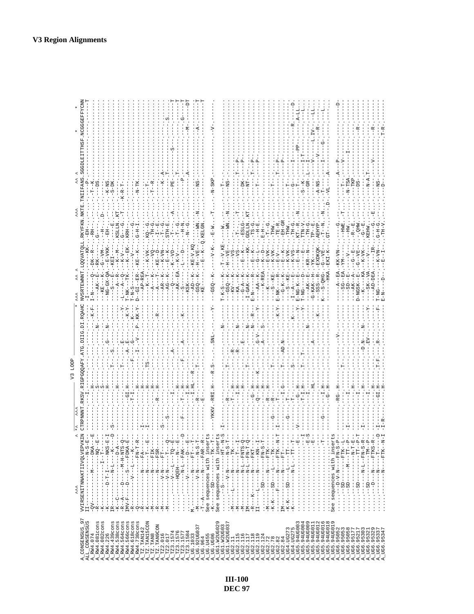|                                                                                                                                                                                                                                                                                                          | $\lambda$                                                                                                                                                                                                                                                                                                                                      |        |                             | HOOF |       |                  |                      |          |                          |                 |   |                    |  |
|----------------------------------------------------------------------------------------------------------------------------------------------------------------------------------------------------------------------------------------------------------------------------------------------------------|------------------------------------------------------------------------------------------------------------------------------------------------------------------------------------------------------------------------------------------------------------------------------------------------------------------------------------------------|--------|-----------------------------|------|-------|------------------|----------------------|----------|--------------------------|-----------------|---|--------------------|--|
|                                                                                                                                                                                                                                                                                                          | VVIRSENITNNAKTIIVQLVEPV                                                                                                                                                                                                                                                                                                                        | RPNMNT | RKSV.RIGPGQQAFY.ATG.DIIG.DI |      | ROAHC |                  |                      |          |                          | <b>INIIFANS</b> |   | <b>ECCCCI LONE</b> |  |
| A_CONSENSUS_97<br>ALL_CONSENSUS                                                                                                                                                                                                                                                                          | 뛰<br>$-M-S$<br>j.<br>H                                                                                                                                                                                                                                                                                                                         |        |                             |      |       |                  |                      |          |                          |                 |   |                    |  |
| A_RW4.074                                                                                                                                                                                                                                                                                                | $--DKA-$<br>$-1$ N $-$<br>I.<br>1<br>1<br>$-VQ -$                                                                                                                                                                                                                                                                                              |        |                             |      |       |                  |                      |          |                          |                 |   |                    |  |
| RW4.081cons<br>A                                                                                                                                                                                                                                                                                         | $-5M$<br>I<br>J<br>п<br>$\frac{1}{1}$<br>$\overline{R}$                                                                                                                                                                                                                                                                                        |        |                             |      |       |                  |                      |          |                          | $-105$          |   |                    |  |
| ARW4.082cons                                                                                                                                                                                                                                                                                             | $--RIKS-$<br>$-1 - 1 - -1 -$<br>$\frac{1}{1}$<br>$---D--T$<br>$\frac{1}{1}$<br>-Κ                                                                                                                                                                                                                                                              |        |                             |      |       | $NG-GX-OA$       |                      | $-E-VKK$ |                          | $-K-NS$         |   |                    |  |
| A_RW4.226                                                                                                                                                                                                                                                                                                | J.<br>$\mathbf{I}$<br>$IR---$<br>-K --                                                                                                                                                                                                                                                                                                         |        |                             |      |       | $\frac{5}{1}$    |                      |          |                          | $-5-18$         |   |                    |  |
| A_RW4.439cons<br>A_RW4.538cons                                                                                                                                                                                                                                                                           | $-4-D-2$<br>$-K--C$                                                                                                                                                                                                                                                                                                                            |        |                             |      |       |                  |                      | $-K--M-$ | KSLIN                    |                 |   |                    |  |
| A_RW4.564cons                                                                                                                                                                                                                                                                                            |                                                                                                                                                                                                                                                                                                                                                |        |                             |      |       |                  | $-X-Y$               |          |                          | $-K-R-T$        |   |                    |  |
| A_RW4.566cons<br>A_RW4.618cons<br>A_RW4.730cons                                                                                                                                                                                                                                                          | IMV-F                                                                                                                                                                                                                                                                                                                                          |        |                             |      |       |                  |                      | $-100$   | KRH-                     |                 |   |                    |  |
|                                                                                                                                                                                                                                                                                                          | --------------<br>$-R$ –                                                                                                                                                                                                                                                                                                                       |        |                             |      |       |                  |                      |          |                          |                 |   |                    |  |
|                                                                                                                                                                                                                                                                                                          | J<br>п<br>$\frac{1}{1}$<br>$\dot{P}$<br>$\frac{R}{I}$                                                                                                                                                                                                                                                                                          |        |                             |      |       | 븅                | $-KE$ – – $K$        |          | $L-H-G$                  | $-N-TK$         |   |                    |  |
| A_TZ.TAN142<br>A_TZ.TAN15CON                                                                                                                                                                                                                                                                             | $-1$<br>$-1$<br>$\blacksquare$<br>J<br>ı<br>ł<br>Í<br>¥                                                                                                                                                                                                                                                                                        |        |                             |      |       |                  | $-K-VK$              |          | $-6.52$                  | $\frac{1}{2}$   |   |                    |  |
| A_TZ.TAN8                                                                                                                                                                                                                                                                                                | --N-----------<br>J.<br>1<br>$-1$ N<br>--                                                                                                                                                                                                                                                                                                      |        |                             |      |       |                  |                      |          | -TH-C                    | $-T$ ––R        |   |                    |  |
|                                                                                                                                                                                                                                                                                                          | $- -N - - - - - F S R - -$<br>$\frac{1}{1}$<br>$\frac{1}{1}$<br>$\overline{R}$                                                                                                                                                                                                                                                                 |        |                             |      |       |                  |                      |          |                          |                 |   |                    |  |
| $\frac{\lambda_{-TZ}}{\lambda_{-TZ2}}$ . TAN9CON<br>$\frac{\lambda_{-TZ2}}{\lambda_{-TZ2}}$ , 016<br>$\frac{\lambda_{-TZ2}}{\lambda_{-TZ3}}$ , 1574<br>$\frac{\lambda_{-TZ3}}{\lambda_{-TZ3}}$ , 1577<br>$\frac{\lambda_{-TZ3}}{\lambda_{-TZ3}}$ , 1584<br>$\frac{\lambda_{-TZ3}}{\lambda_{-UC}}$ , 1684 | --------<br>$N-\Delta$ -<br>ı<br>$\frac{1}{1}$<br>ξ                                                                                                                                                                                                                                                                                            |        |                             |      |       |                  | $-K-VN$              |          |                          | $-56$           |   |                    |  |
|                                                                                                                                                                                                                                                                                                          | ا<br>ا<br>$- - - - - - - - - - - -$<br>-<br>주                                                                                                                                                                                                                                                                                                  |        |                             |      |       |                  |                      |          | F-HLS                    |                 |   |                    |  |
|                                                                                                                                                                                                                                                                                                          | $-10$<br>$-1$ – $-1$<br>$\mathbf{I}$<br>1<br>$\vdots$                                                                                                                                                                                                                                                                                          |        |                             |      |       |                  |                      |          |                          | $-94$           |   |                    |  |
|                                                                                                                                                                                                                                                                                                          | --HQEH----N-<br>$\begin{bmatrix} 1 & 0 & 0 \\ 0 & 1 & 0 \\ 0 & 0 & 0 \\ 0 & 0 & 0 \\ 0 & 0 & 0 \\ 0 & 0 & 0 \\ 0 & 0 & 0 & 0 \\ 0 & 0 & 0 & 0 \\ 0 & 0 & 0 & 0 \\ 0 & 0 & 0 & 0 & 0 \\ 0 & 0 & 0 & 0 & 0 \\ 0 & 0 & 0 & 0 & 0 \\ 0 & 0 & 0 & 0 & 0 & 0 \\ 0 & 0 & 0 & 0 & 0 & 0 \\ 0 & 0 & 0 & 0 & 0 & 0 & 0 \\ 0 & 0 & 0 & 0 & 0 & 0 & 0 \\ $ |        |                             |      |       |                  | -K-V                 |          |                          |                 |   |                    |  |
|                                                                                                                                                                                                                                                                                                          | $\frac{1}{2}$                                                                                                                                                                                                                                                                                                                                  |        |                             |      |       |                  |                      |          |                          |                 |   |                    |  |
|                                                                                                                                                                                                                                                                                                          | $-1$ $-1$ $-1$<br>$-1$<br>J.<br>$\frac{1}{2}$                                                                                                                                                                                                                                                                                                  |        |                             |      |       |                  |                      |          |                          |                 |   |                    |  |
|                                                                                                                                                                                                                                                                                                          | - - LL エ - - - - N - - - - - -<br>$\frac{1}{1}$<br>ż.                                                                                                                                                                                                                                                                                          |        |                             |      |       |                  |                      |          |                          |                 |   |                    |  |
| UG.92UG037                                                                                                                                                                                                                                                                                               | $-5 - 1 - 5 - 1$<br>$- -N - N - -$<br>J<br>п<br>$-1 - 1$                                                                                                                                                                                                                                                                                       |        |                             |      |       |                  |                      |          |                          |                 |   |                    |  |
|                                                                                                                                                                                                                                                                                                          |                                                                                                                                                                                                                                                                                                                                                |        |                             |      |       |                  |                      |          |                          |                 |   |                    |  |
| $T$ UG.964<br>LUG.U455<br>LUG.UG06                                                                                                                                                                                                                                                                       | See sequences with inser                                                                                                                                                                                                                                                                                                                       |        |                             |      |       |                  |                      |          |                          |                 |   |                    |  |
|                                                                                                                                                                                                                                                                                                          | --TK--<br>I,<br>$-1 - 1$<br>$-K--$                                                                                                                                                                                                                                                                                                             | YKKV   | $-RRI.F$                    |      |       | O<br>SS-         |                      |          |                          | $-N-SKP$        |   |                    |  |
| _UG1.W2UG029                                                                                                                                                                                                                                                                                             | See sequences with inser                                                                                                                                                                                                                                                                                                                       |        |                             |      |       |                  |                      |          |                          |                 |   |                    |  |
|                                                                                                                                                                                                                                                                                                          | ---<br>HT---<br>$\frac{1}{1}$<br>$-1 - 5 - 1 - 1 - 5 - 1$                                                                                                                                                                                                                                                                                      |        |                             |      |       |                  |                      |          |                          |                 |   |                    |  |
| $_{\_}$ UG1.W2UG03                                                                                                                                                                                                                                                                                       |                                                                                                                                                                                                                                                                                                                                                |        |                             |      |       |                  |                      |          |                          |                 |   |                    |  |
|                                                                                                                                                                                                                                                                                                          |                                                                                                                                                                                                                                                                                                                                                |        |                             |      |       |                  |                      | $-5V$    |                          |                 |   |                    |  |
|                                                                                                                                                                                                                                                                                                          | i<br>$-1 - N - -$<br>$-M$ -                                                                                                                                                                                                                                                                                                                    |        |                             |      |       |                  |                      | $-5-$    |                          |                 |   |                    |  |
|                                                                                                                                                                                                                                                                                                          | - SHNE+-1-<br>-----<br>п<br>$-1$ - $-1$ - $-1$                                                                                                                                                                                                                                                                                                 |        |                             |      |       |                  |                      |          | -ESLG                    | $-DX$           |   |                    |  |
|                                                                                                                                                                                                                                                                                                          | -- N + N + - - - N + -<br>ì<br>$\frac{1}{1}$<br>$TM---$                                                                                                                                                                                                                                                                                        |        |                             |      |       | $-GAX$           |                      |          | <b>GDLIN</b>             |                 |   |                    |  |
|                                                                                                                                                                                                                                                                                                          | --N------FKT--<br>$\frac{1}{1}$<br>$\mathbf{I}$<br>$-R$ --- $K$ --                                                                                                                                                                                                                                                                             |        |                             |      |       |                  |                      | $E--K$   | -TS-G                    |                 |   |                    |  |
|                                                                                                                                                                                                                                                                                                          | H                                                                                                                                                                                                                                                                                                                                              |        |                             |      |       |                  |                      |          | $-H$ $ E$                |                 |   |                    |  |
|                                                                                                                                                                                                                                                                                                          | - S-NH----<br>Í<br>$\frac{1}{2}$                                                                                                                                                                                                                                                                                                               |        |                             |      |       |                  | -K--D<br>$---K-REAA$ |          | $-H-H$                   |                 |   |                    |  |
|                                                                                                                                                                                                                                                                                                          | --N------------<br>$\frac{1}{1}$<br>$-1$                                                                                                                                                                                                                                                                                                       |        | $\frac{1}{K}$               |      |       | $  \overline{K}$ |                      | E-VK     | ں<br>جات                 |                 |   |                    |  |
|                                                                                                                                                                                                                                                                                                          | --------------<br>$-K-K----SD--K$                                                                                                                                                                                                                                                                                                              |        |                             |      |       |                  |                      |          | <b>NHL</b>               |                 |   |                    |  |
|                                                                                                                                                                                                                                                                                                          | خ<br>ا<br>ł<br>п                                                                                                                                                                                                                                                                                                                               |        |                             |      |       | : - NK           | $_{E-V}$             |          | F-HT.                    |                 |   |                    |  |
|                                                                                                                                                                                                                                                                                                          | ļ<br>I<br>$---1M1$                                                                                                                                                                                                                                                                                                                             |        |                             |      |       | Ğ-K              |                      |          | C<br>HH                  |                 |   |                    |  |
| A_UG4.UG273                                                                                                                                                                                                                                                                                              | $-{\bf K}-{\bf K}--{\bf S} {\bf D}---{\bf L}---{\bf T} {\bf T}-$                                                                                                                                                                                                                                                                               |        |                             |      |       |                  |                      |          | <b>MHL</b>               |                 |   |                    |  |
|                                                                                                                                                                                                                                                                                                          | $-11 - 1 - 1 - 1 - 1$<br>ł<br>$\frac{1}{1}$<br>¥                                                                                                                                                                                                                                                                                               |        |                             |      |       |                  |                      | $2A-7$   | -HH-                     | ပုံ<br>부        |   |                    |  |
| UG5.94UG003                                                                                                                                                                                                                                                                                              | .                                                                                                                                                                                                                                                                                                                                              |        |                             |      |       | $-NG-X$          |                      |          |                          |                 |   |                    |  |
| $-005040004$<br>$_$ UG5.94UG009                                                                                                                                                                                                                                                                          | .                                                                                                                                                                                                                                                                                                                                              |        |                             |      |       |                  |                      |          |                          |                 |   |                    |  |
| UG5.94UG011                                                                                                                                                                                                                                                                                              |                                                                                                                                                                                                                                                                                                                                                |        |                             |      |       | $G-KAK$          |                      |          |                          | -GR             |   |                    |  |
| $_$ UG5.94UG012                                                                                                                                                                                                                                                                                          | .                                                                                                                                                                                                                                                                                                                                              |        |                             |      |       |                  |                      |          |                          | $-A-MS$         |   |                    |  |
| UG5.94UG016                                                                                                                                                                                                                                                                                              | .                                                                                                                                                                                                                                                                                                                                              |        |                             |      |       | $-5-9-5-$        |                      |          |                          |                 | Ö |                    |  |
| UG5.94UG018                                                                                                                                                                                                                                                                                              |                                                                                                                                                                                                                                                                                                                                                |        |                             |      |       |                  |                      |          |                          |                 |   |                    |  |
| TUS.940G019                                                                                                                                                                                                                                                                                              |                                                                                                                                                                                                                                                                                                                                                |        |                             |      |       |                  |                      |          |                          |                 |   |                    |  |
|                                                                                                                                                                                                                                                                                                          | See sequences with inse                                                                                                                                                                                                                                                                                                                        |        |                             |      |       |                  |                      |          |                          |                 |   |                    |  |
| $\frac{1}{1}$ UG6.95052<br>$\frac{1}{1}$ UG6.95053<br>$\frac{1}{1}$ UG6.95058<br>$\frac{1}{1}$ UG6.95177<br>A                                                                                                                                                                                            | -------FTK-<br>$\cdots$ -SD--                                                                                                                                                                                                                                                                                                                  |        |                             |      |       |                  | $KK-VN$              |          | -HWE                     |                 |   |                    |  |
| A,                                                                                                                                                                                                                                                                                                       |                                                                                                                                                                                                                                                                                                                                                |        |                             |      |       |                  |                      |          |                          | $-N-TSA$        |   |                    |  |
| A,                                                                                                                                                                                                                                                                                                       | H-H-N-H-<br>I<br>J.<br>1<br>1<br>п.<br>1<br>-1                                                                                                                                                                                                                                                                                                 |        |                             |      |       |                  |                      | ローウ      | - T<br>- K<br>-<br>$-HH$ | -TKP            |   |                    |  |
|                                                                                                                                                                                                                                                                                                          | ---------<br>í<br>í<br>$\cdots$ $\cdots$                                                                                                                                                                                                                                                                                                       |        |                             |      |       |                  |                      |          |                          |                 |   |                    |  |
|                                                                                                                                                                                                                                                                                                          |                                                                                                                                                                                                                                                                                                                                                |        |                             |      |       |                  |                      |          | MHÒ.                     |                 |   |                    |  |
|                                                                                                                                                                                                                                                                                                          | 「- S - N L - - T - N - - - -<br>$-MI -$<br>$-SD-$<br>Ť<br>$\frac{1}{2}$                                                                                                                                                                                                                                                                        |        |                             |      |       | -SK              |                      | $K-VR$   | MHEX                     | $-N$            |   |                    |  |
| A,                                                                                                                                                                                                                                                                                                       | $\frac{1}{2}$ : $\frac{1}{2}$ : $\frac{1}{2}$ : $\frac{1}{2}$ : $\frac{1}{2}$ : $\frac{1}{2}$ : $\frac{1}{2}$ : $\frac{1}{2}$ : $\frac{1}{2}$ : $\frac{1}{2}$ : $\frac{1}{2}$ : $\frac{1}{2}$ : $\frac{1}{2}$ : $\frac{1}{2}$ : $\frac{1}{2}$ : $\frac{1}{2}$ : $\frac{1}{2}$ : $\frac{1}{2}$ : $\frac{1$                                      |        |                             |      |       |                  |                      |          |                          |                 |   |                    |  |
| A                                                                                                                                                                                                                                                                                                        | ÷<br>$\frac{1}{1}$<br>$\frac{1}{2}$<br>I                                                                                                                                                                                                                                                                                                       |        |                             |      |       |                  |                      |          |                          |                 |   |                    |  |
| $\frac{1}{2}$ UGG . 95211<br>$\frac{1}{2}$ UGG . 95321<br>$\frac{1}{2}$ UGG . 95321<br>$\frac{1}{2}$ UGG . 95325<br>$\frac{1}{2}$ UGG . 95337<br>$\frac{1}{2}$ UGG . 95337                                                                                                                               | $-3TTK - - - -N$<br>$\frac{1}{2}$<br>$\vdots$                                                                                                                                                                                                                                                                                                  |        |                             |      |       |                  |                      |          |                          |                 |   |                    |  |
|                                                                                                                                                                                                                                                                                                          |                                                                                                                                                                                                                                                                                                                                                |        |                             |      |       |                  |                      |          |                          |                 |   |                    |  |

 $III-100$ **DEC 97**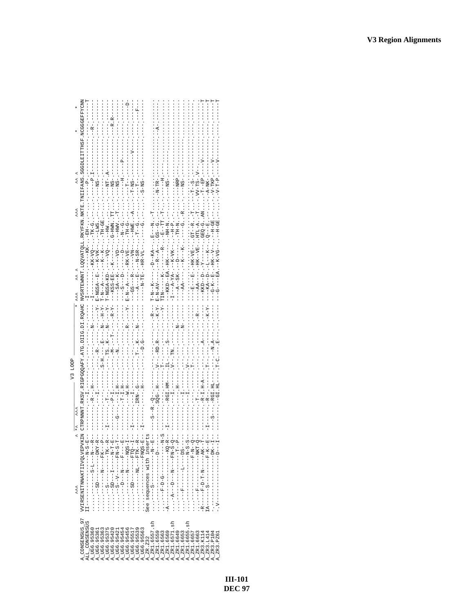| くくへん へん        |                                                                                                                                       |                                                                                                                                                                                                                                                                                                                                    |
|----------------|---------------------------------------------------------------------------------------------------------------------------------------|------------------------------------------------------------------------------------------------------------------------------------------------------------------------------------------------------------------------------------------------------------------------------------------------------------------------------------|
|                |                                                                                                                                       |                                                                                                                                                                                                                                                                                                                                    |
| V3 LOOP<br>$*$ |                                                                                                                                       |                                                                                                                                                                                                                                                                                                                                    |
|                |                                                                                                                                       |                                                                                                                                                                                                                                                                                                                                    |
| $\lambda$      |                                                                                                                                       |                                                                                                                                                                                                                                                                                                                                    |
|                | CONSENSUS_97<br>LL CONSENSUS<br>A_UG6.95421<br>A_UG6.95454<br>A_UG6.95363<br>A_UG6.95375<br>A_UG6.95420<br>A_UG6.95360<br>A_UG6.95361 | $\begin{tabular}{l cccccc} $A\_U966$ & 95456 \\ $A\_U966$ & 95531 \\ $A\_U966$ & 95539 \\ $A\_U966$ & 95539 \\ $A\_U966$ & 9559 \\ $A\_ZR1$ & 6559 \\ $A\_ZR1$ & 6569 \\ $A\_ZR1$ & 6569 \\ $A\_ZR1$ & 6569 \\ $A\_ZR1$ & 6565 \\ $A\_ZR1$ & 6665 \\ $A\_ZR1$ & 6665 \\ $A\_ZR1$ & 6665 \\ $A\_ZR1$ & 6665 \\ $A\_Z$<br>4_ZR3.PZ61 |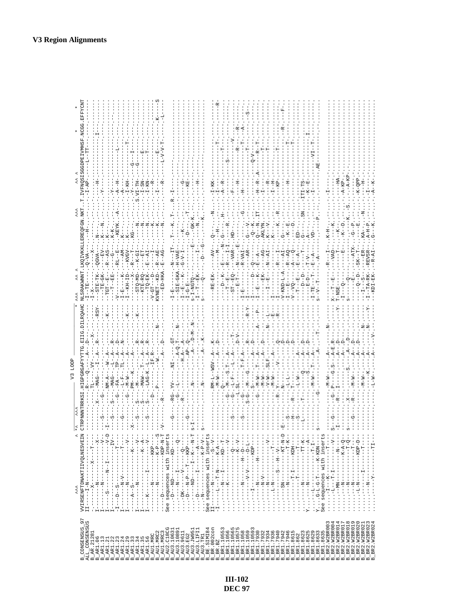|                                                                                                                                                                                                                                                                                                                                                                                                                                             | くくく                                                                                                                                                                                                                                                                                                                                                      | HOOP<br>$\frac{3}{2}$ |          |                                |                      |                               |
|---------------------------------------------------------------------------------------------------------------------------------------------------------------------------------------------------------------------------------------------------------------------------------------------------------------------------------------------------------------------------------------------------------------------------------------------|----------------------------------------------------------------------------------------------------------------------------------------------------------------------------------------------------------------------------------------------------------------------------------------------------------------------------------------------------------|-----------------------|----------|--------------------------------|----------------------|-------------------------------|
|                                                                                                                                                                                                                                                                                                                                                                                                                                             |                                                                                                                                                                                                                                                                                                                                                          |                       |          |                                |                      |                               |
|                                                                                                                                                                                                                                                                                                                                                                                                                                             | CTRPNNNTRRKSI.HIGPGRGAFYYTTG.EIIG.<br>VVIRSENFTDNAKTIIVQLNESVE                                                                                                                                                                                                                                                                                           |                       | DILROAHC | NLSRAKWNNT                     | LKOIVKKLLEREOFGN.NKJ | IVFNOSISCOPEIVMESF.NCGUEIVENT |
|                                                                                                                                                                                                                                                                                                                                                                                                                                             | $-1$ $-1$ $-1$<br>$\frac{1}{1}$<br>Ħ                                                                                                                                                                                                                                                                                                                     |                       |          |                                |                      |                               |
|                                                                                                                                                                                                                                                                                                                                                                                                                                             | $\frac{1}{1}$<br>$-2X$<br>$\frac{1}{1}$<br>$- - - - - - - - - - -$<br>٠<br>Ì,<br>$\mathbf{I}$                                                                                                                                                                                                                                                            |                       |          | $-2 - 1$                       |                      |                               |
|                                                                                                                                                                                                                                                                                                                                                                                                                                             | $X$ – – – $X$<br>ı<br>п<br>$\blacksquare$<br>$-1$<br>$-1$<br>$-1$<br>$\mathbf{I}$<br>п<br>$\frac{1}{1}$                                                                                                                                                                                                                                                  | $-MAG$                | $-RSY$   | -QGVA<br>$-STE-TK$             |                      |                               |
|                                                                                                                                                                                                                                                                                                                                                                                                                                             | S<br>7<br>$\mathbf{I}$<br>Ż<br>I<br>$\mathbf{I}$                                                                                                                                                                                                                                                                                                         |                       |          | FTE.                           |                      |                               |
|                                                                                                                                                                                                                                                                                                                                                                                                                                             | $- - -\nabla$<br>i<br>İ<br>$-7$<br>$\frac{1}{1}$<br>ŧ<br>ပ္ပ<br>$\frac{1}{1}$                                                                                                                                                                                                                                                                            |                       |          | $TCT - - E$                    |                      |                               |
|                                                                                                                                                                                                                                                                                                                                                                                                                                             | C)<br>$---IV$<br>ı<br>ı<br>ı<br>ł<br>Ĥ                                                                                                                                                                                                                                                                                                                   | --- MAG               |          | 田<br>--<br>$-1$                | $K-K-$               |                               |
|                                                                                                                                                                                                                                                                                                                                                                                                                                             | ţ                                                                                                                                                                                                                                                                                                                                                        |                       |          |                                |                      |                               |
| $\begin{array}{l} \texttt{B\_CONSBMSUS\_97}\\ \texttt{A.LL\_CMSBSNSUS}\\ \texttt{A.LL\_CMSBSNSUS}\\ \texttt{B\_AR1}.13\\ \texttt{B\_AR1}.13\\ \texttt{B\_AR1}.13\\ \texttt{B\_AR1}.22\\ \texttt{B\_AR1}.23\\ \texttt{B\_AR1}.23\\ \texttt{B\_AR1}.23\\ \texttt{B\_AR1}.23\\ \texttt{B\_AR1}.23\\ \texttt{B\_AR1}.23\\ \texttt{B\_AR1}.23\\ \end{array}$<br>13<br>13 ARI 23<br>13 ARI 23<br>13 ARI 23<br>13 ARI 33<br>13 ARI 34<br>13 ARI 34 | $-1$<br>п<br>$\frac{1}{1}$<br>J<br>Ĥ                                                                                                                                                                                                                                                                                                                     |                       |          |                                | -KEY                 | $-A$ – $H$                    |
|                                                                                                                                                                                                                                                                                                                                                                                                                                             | ÷<br>$-1$ $-1$ $-1$<br>ı<br>I<br>н                                                                                                                                                                                                                                                                                                                       |                       |          | $\frac{1}{2}$                  |                      |                               |
|                                                                                                                                                                                                                                                                                                                                                                                                                                             | $-7$<br>i<br>$-1$<br>$-1$<br>$-1$<br>I<br>$\overline{1}$<br>н                                                                                                                                                                                                                                                                                            | $-N-N$                |          | -KVGV<br>$--KH-TD$             |                      | $-1-KH$                       |
|                                                                                                                                                                                                                                                                                                                                                                                                                                             | $- -K--$<br>ı<br>ı<br>ı<br>I<br>ï<br>$\frac{1}{1}$                                                                                                                                                                                                                                                                                                       |                       |          |                                |                      | j.                            |
| $\mathbf{d}$                                                                                                                                                                                                                                                                                                                                                                                                                                | $\tilde{\ }$<br>ł<br>$-5$<br>1<br>J.<br>н                                                                                                                                                                                                                                                                                                                |                       |          | -K-GI<br>$-STQ-MD$             |                      | VI-TH                         |
|                                                                                                                                                                                                                                                                                                                                                                                                                                             |                                                                                                                                                                                                                                                                                                                                                          |                       |          |                                |                      |                               |
| O N<br>$\frac{3}{10}$<br>$M_{\odot}$ AR1                                                                                                                                                                                                                                                                                                                                                                                                    | $-K$ -A                                                                                                                                                                                                                                                                                                                                                  |                       |          | $-KTE -$                       |                      | $MS -$                        |
| $3 - \text{AR1}$                                                                                                                                                                                                                                                                                                                                                                                                                            | $-1$<br>ï<br>$-1$<br>$-K--$<br>$\mathbf{I}$<br>н                                                                                                                                                                                                                                                                                                         |                       |          | $-10-1$                        |                      | $-1-KN$                       |
| .MRC<br>$-AU1$<br><b>mmmmmmmm</b>                                                                                                                                                                                                                                                                                                                                                                                                           | $-$ KKP $-$<br>I<br>$-1 - N -$<br>J                                                                                                                                                                                                                                                                                                                      |                       |          | $V-GT-$                        |                      |                               |
| $MU1$ . MRC2                                                                                                                                                                                                                                                                                                                                                                                                                                | $-4-X--$<br>J<br>I                                                                                                                                                                                                                                                                                                                                       |                       |          |                                |                      |                               |
|                                                                                                                                                                                                                                                                                                                                                                                                                                             | ı<br>I<br>$-1 - N -$<br>ı                                                                                                                                                                                                                                                                                                                                |                       |          | KVNET--KD                      |                      |                               |
| .MRC3<br>$M_{\odot}$                                                                                                                                                                                                                                                                                                                                                                                                                        | -KDP-N<br>Ļ                                                                                                                                                                                                                                                                                                                                              |                       |          | -ED-HKJ                        |                      | - 1.– V – V – 1               |
| . C18CG<br>$1 - AU2$                                                                                                                                                                                                                                                                                                                                                                                                                        | sequences with inser<br>See                                                                                                                                                                                                                                                                                                                              |                       |          |                                |                      |                               |
| .10631<br>$-MJ$                                                                                                                                                                                                                                                                                                                                                                                                                             | --RD-<br>I<br>п<br>$\overline{D}$                                                                                                                                                                                                                                                                                                                        |                       |          |                                |                      |                               |
| .10891                                                                                                                                                                                                                                                                                                                                                                                                                                      |                                                                                                                                                                                                                                                                                                                                                          |                       |          |                                |                      |                               |
| $_{\rm AUS}$                                                                                                                                                                                                                                                                                                                                                                                                                                | Y<br>ł<br>$-1 - 1 - 1$<br>Ť<br>$\frac{1}{2}$                                                                                                                                                                                                                                                                                                             |                       |          | -VAE<br>$-STE-GRA$             |                      |                               |
| _AU3.9611                                                                                                                                                                                                                                                                                                                                                                                                                                   | $-1$<br>$\cdots$ - $\cdots$ - DK - - - - - - - V - -                                                                                                                                                                                                                                                                                                     |                       |          | -7-1<br>$-1$                   |                      |                               |
| 3_AU3.EG2<br>3_AU3.JW951<br>m m m m m m m                                                                                                                                                                                                                                                                                                                                                                                                   | -- - KKP --<br>$\cdots$ $\cdots$ $\cdots$ $\cdots$ $\cdots$ $\cdots$                                                                                                                                                                                                                                                                                     |                       |          | ローワー                           |                      |                               |
|                                                                                                                                                                                                                                                                                                                                                                                                                                             |                                                                                                                                                                                                                                                                                                                                                          |                       |          | $S-I-NGTO$                     | $-GR-1$              |                               |
|                                                                                                                                                                                                                                                                                                                                                                                                                                             |                                                                                                                                                                                                                                                                                                                                                          |                       |          |                                |                      |                               |
| AU3.LIFI1                                                                                                                                                                                                                                                                                                                                                                                                                                   | $-4$<br>i<br>j<br>İ<br>$\frac{1}{1}$<br>1<br>$\begin{array}{c}\n-1 \\ \vdots \\ \vdots\n\end{array}$                                                                                                                                                                                                                                                     |                       |          | -- EX<br>İ                     |                      |                               |
| AV3.TR1                                                                                                                                                                                                                                                                                                                                                                                                                                     | $-K-P-V$<br>t<br>٠<br>ï<br>ì<br>ı<br>$\frac{1}{2}$ $\frac{1}{2}$ $\frac{1}{2}$ $\frac{1}{2}$ $\frac{1}{2}$ $\frac{1}{2}$ $\frac{1}{2}$ $\frac{1}{2}$ $\frac{1}{2}$ $\frac{1}{2}$ $\frac{1}{2}$ $\frac{1}{2}$ $\frac{1}{2}$ $\frac{1}{2}$ $\frac{1}{2}$ $\frac{1}{2}$ $\frac{1}{2}$ $\frac{1}{2}$ $\frac{1}{2}$ $\frac{1}{2}$ $\frac{1}{2}$ $\frac{1}{2}$ |                       |          |                                |                      |                               |
| $-BE.SINT84$                                                                                                                                                                                                                                                                                                                                                                                                                                | sequences with inser<br>See                                                                                                                                                                                                                                                                                                                              |                       |          |                                |                      |                               |
|                                                                                                                                                                                                                                                                                                                                                                                                                                             |                                                                                                                                                                                                                                                                                                                                                          |                       |          |                                |                      |                               |
| $BR.002$ con                                                                                                                                                                                                                                                                                                                                                                                                                                | $-5 - 7$<br>ł<br>п<br>$-1$<br>$-1$<br>I<br>ı<br>ï<br>$\overline{11}$                                                                                                                                                                                                                                                                                     |                       |          | $---RE-ER$                     |                      | -1-KK                         |
| $B$ R. $BZ$                                                                                                                                                                                                                                                                                                                                                                                                                                 | $- -K - A -$<br>----------------<br>j<br>T                                                                                                                                                                                                                                                                                                               | $N-N-1$               |          |                                |                      |                               |
| m m                                                                                                                                                                                                                                                                                                                                                                                                                                         | $\mathbf{I}$<br>Ť<br>$-1$ $-1$                                                                                                                                                                                                                                                                                                                           |                       |          | $---D---K$                     |                      |                               |
|                                                                                                                                                                                                                                                                                                                                                                                                                                             | $-1 - KD - T$<br>$\frac{1}{2}$                                                                                                                                                                                                                                                                                                                           |                       |          |                                |                      |                               |
|                                                                                                                                                                                                                                                                                                                                                                                                                                             | $-1$<br>$- -K - -$<br>$\frac{1}{2}$                                                                                                                                                                                                                                                                                                                      | $-1$ - $-1$           |          | $-1 - 1 - -1$<br>-- 1 -- 1 --  |                      |                               |
| 3_BR1.10553<br>3_BR1.1056<br>3_BR1.10565<br>3_BR1.10575                                                                                                                                                                                                                                                                                                                                                                                     | $-1$<br>п<br>ı<br>$\frac{1}{2}$                                                                                                                                                                                                                                                                                                                          | - 1-1-                |          | $- - ED -$                     |                      |                               |
|                                                                                                                                                                                                                                                                                                                                                                                                                                             | $\tilde{z}$<br>¥<br>п<br>1                                                                                                                                                                                                                                                                                                                               |                       |          | - E – T                        |                      |                               |
|                                                                                                                                                                                                                                                                                                                                                                                                                                             | $\frac{1}{2}$                                                                                                                                                                                                                                                                                                                                            |                       |          |                                |                      |                               |
|                                                                                                                                                                                                                                                                                                                                                                                                                                             | ن<br>ا<br>Ω<br>í<br>$-2$<br>I<br>$\frac{1}{2}$                                                                                                                                                                                                                                                                                                           |                       |          | $-R-VAT$<br>$-1$               |                      | ŕ                             |
|                                                                                                                                                                                                                                                                                                                                                                                                                                             | $-1$ – $-1$<br>п<br>7.<br>$-1$<br>$\mathbf{I}$<br>$\frac{1}{2}$                                                                                                                                                                                                                                                                                          |                       |          | $-AR-$                         |                      |                               |
| BR1.10593                                                                                                                                                                                                                                                                                                                                                                                                                                   | $-$ KDP<br>J.<br>ł<br>Ť<br>$\frac{1}{2}$                                                                                                                                                                                                                                                                                                                 |                       |          |                                |                      |                               |
|                                                                                                                                                                                                                                                                                                                                                                                                                                             | $rac{1}{1}$<br>ł<br>$-1$<br>$-1$                                                                                                                                                                                                                                                                                                                         | $M-N-$                |          |                                |                      | $-H--R$                       |
|                                                                                                                                                                                                                                                                                                                                                                                                                                             | $\frac{1}{2}$                                                                                                                                                                                                                                                                                                                                            |                       |          |                                |                      |                               |
|                                                                                                                                                                                                                                                                                                                                                                                                                                             | $-1 - 1 - 1 - 1$<br>Í<br>$\frac{1}{2}$                                                                                                                                                                                                                                                                                                                   | $\frac{8}{1}$         |          |                                | AKLYN                |                               |
|                                                                                                                                                                                                                                                                                                                                                                                                                                             | Ĭ<br>I<br>п<br>$- - - - - - - - - - - -$<br>í<br>$\vdots$                                                                                                                                                                                                                                                                                                | ™-                    |          | $- N - - A$<br>-- H --<br>$-1$ | K----V               |                               |
|                                                                                                                                                                                                                                                                                                                                                                                                                                             | J<br>י<br>י<br>$-1 - 1 - 1 - 1 - 1$                                                                                                                                                                                                                                                                                                                      | $N-N-$                |          |                                |                      | 宇<br>-                        |
|                                                                                                                                                                                                                                                                                                                                                                                                                                             | $\frac{R}{1}$                                                                                                                                                                                                                                                                                                                                            |                       |          |                                |                      |                               |
|                                                                                                                                                                                                                                                                                                                                                                                                                                             | ì<br>ı<br>$\frac{1}{2}$                                                                                                                                                                                                                                                                                                                                  |                       |          | $-$ R $-$                      |                      | $-5XP$                        |
|                                                                                                                                                                                                                                                                                                                                                                                                                                             | "<br>∶<br>$ -KT$ $ N$<br>I<br>$-1$<br>$-1$<br>$-1$<br>$-1$<br>$-1$<br>$-1$                                                                                                                                                                                                                                                                               |                       |          | 4-1-QM2-                       |                      |                               |
|                                                                                                                                                                                                                                                                                                                                                                                                                                             | ω<br>-- T - K<br>I<br>$\frac{1}{1}$<br>$\frac{1}{2}$                                                                                                                                                                                                                                                                                                     | $-1 - 1 - 1$          |          | $-40$<br>-- H                  | $-K--E$              | H<br>-                        |
|                                                                                                                                                                                                                                                                                                                                                                                                                                             | $-HCDH -$<br>$-1 - T - T -$                                                                                                                                                                                                                                                                                                                              |                       |          |                                |                      |                               |
|                                                                                                                                                                                                                                                                                                                                                                                                                                             | $\frac{1}{2}$                                                                                                                                                                                                                                                                                                                                            |                       |          |                                |                      |                               |
|                                                                                                                                                                                                                                                                                                                                                                                                                                             | ŵ<br>÷<br>1<br>י<br>ד<br>$\frac{1}{2}$                                                                                                                                                                                                                                                                                                                   |                       |          |                                |                      |                               |
| 3_BR1.862<br>3_BR1.8623<br>3_BR1.8625<br>3_BR1.8633<br>3_BR1.8635                                                                                                                                                                                                                                                                                                                                                                           | --TT-K<br>$-1$<br>$-1$<br>$\frac{1}{1}$<br>$\frac{1}{2}$                                                                                                                                                                                                                                                                                                 |                       |          |                                |                      |                               |
|                                                                                                                                                                                                                                                                                                                                                                                                                                             | $- - - -$<br>$-1$<br>$-1$<br>$\frac{1}{1}$                                                                                                                                                                                                                                                                                                               |                       |          |                                |                      |                               |
|                                                                                                                                                                                                                                                                                                                                                                                                                                             | $-1 - 1 -$<br>$-1$                                                                                                                                                                                                                                                                                                                                       | $N-N-1$               |          |                                |                      |                               |
|                                                                                                                                                                                                                                                                                                                                                                                                                                             | $\frac{1}{2}$                                                                                                                                                                                                                                                                                                                                            |                       |          |                                |                      |                               |
|                                                                                                                                                                                                                                                                                                                                                                                                                                             | $---K - K - K$ DN--<br>$Y :  1 - 5 - 1 - 6 - 1 - 6 - 7 - 8$                                                                                                                                                                                                                                                                                              |                       |          |                                |                      |                               |
|                                                                                                                                                                                                                                                                                                                                                                                                                                             | sequences with inser<br>see                                                                                                                                                                                                                                                                                                                              |                       |          |                                |                      |                               |
| BR2. W2BR003                                                                                                                                                                                                                                                                                                                                                                                                                                | j.<br>י<br>י<br>I<br>ł<br>т<br>1<br>$\cdots$                                                                                                                                                                                                                                                                                                             |                       |          |                                |                      |                               |
|                                                                                                                                                                                                                                                                                                                                                                                                                                             |                                                                                                                                                                                                                                                                                                                                                          |                       |          |                                |                      |                               |
|                                                                                                                                                                                                                                                                                                                                                                                                                                             | $   -$<br>J.<br>т<br>$\vdots$                                                                                                                                                                                                                                                                                                                            | $- A - E$             |          |                                |                      |                               |
|                                                                                                                                                                                                                                                                                                                                                                                                                                             | $-1$<br>$-1$<br>$\ddot{\cdot}$                                                                                                                                                                                                                                                                                                                           |                       |          | $-$ NSE                        |                      |                               |
|                                                                                                                                                                                                                                                                                                                                                                                                                                             | $- -K - A - O$<br>$-1 - N -$<br>$\frac{1}{2}$                                                                                                                                                                                                                                                                                                            |                       |          | $-1$                           |                      | $-4A-KP-$                     |
|                                                                                                                                                                                                                                                                                                                                                                                                                                             | $-1 - 0$<br>$-1$ $-1$                                                                                                                                                                                                                                                                                                                                    |                       |          |                                |                      |                               |
|                                                                                                                                                                                                                                                                                                                                                                                                                                             | $\ddot{\cdot}$ : $\ddot{\cdot}$ :                                                                                                                                                                                                                                                                                                                        |                       |          |                                |                      |                               |
|                                                                                                                                                                                                                                                                                                                                                                                                                                             | j.<br>י<br>י<br>$-1$<br>$-1$<br>$-1$<br>$\frac{1}{2}$                                                                                                                                                                                                                                                                                                    | $-M-N-1$              |          |                                |                      |                               |
|                                                                                                                                                                                                                                                                                                                                                                                                                                             | $-4CDF$<br>I<br>$-1 - 1 - 1 - 1 - 1 - 1$                                                                                                                                                                                                                                                                                                                 |                       |          |                                |                      | $-K-OPP$                      |
|                                                                                                                                                                                                                                                                                                                                                                                                                                             | $\overline{\phantom{a}}$<br>י<br>י<br>$\vdots$                                                                                                                                                                                                                                                                                                           | $N-N$                 |          |                                |                      |                               |
|                                                                                                                                                                                                                                                                                                                                                                                                                                             | $-5$<br>$\vdots$                                                                                                                                                                                                                                                                                                                                         |                       |          | -REVSR                         | $A-H-F$              |                               |
| $\begin{array}{ll} \texttt{B} \_ \texttt{B} \texttt{B} \texttt{R} \texttt{D}, \texttt{W} \texttt{Z} \texttt{B} \texttt{R} \texttt{O} \texttt{O} \texttt{4} \\ \texttt{B} \_ \texttt{B} \texttt{R} \texttt{R} \texttt{Z}, \texttt{W} \texttt{Z} \texttt{B} \texttt{R} \texttt{O} \texttt{I} \texttt{I} \\ \texttt{B} \_ \texttt{B} \texttt{R} \texttt{R} \texttt{Z}, \texttt{W} \texttt{Z} \texttt{B} \texttt{R} \texttt{O} \$               | $-17 -$<br>$-Y--$<br>$\ddot{\cdot}$ : $\ddot{\cdot}$ : $\ddot{\cdot}$ :                                                                                                                                                                                                                                                                                  |                       |          | ICN-                           |                      |                               |
|                                                                                                                                                                                                                                                                                                                                                                                                                                             |                                                                                                                                                                                                                                                                                                                                                          |                       |          |                                |                      |                               |

**III-102 DEC 97**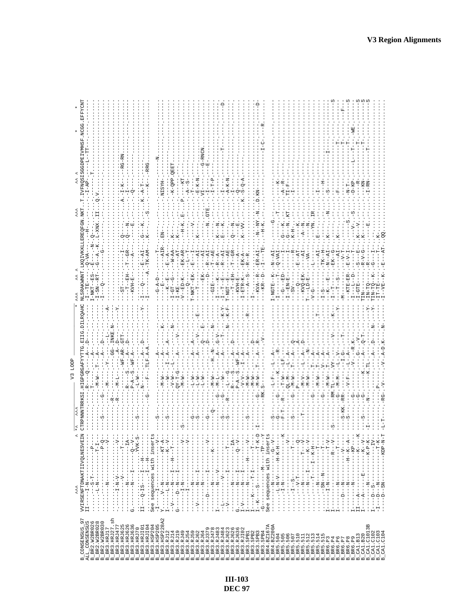|                                                                                                                                                                                                                                                                                                                                                      | くくく                                                                                                                                                                                                                                                                                                                                                               | HOOP<br>S)                                    |                                                                |
|------------------------------------------------------------------------------------------------------------------------------------------------------------------------------------------------------------------------------------------------------------------------------------------------------------------------------------------------------|-------------------------------------------------------------------------------------------------------------------------------------------------------------------------------------------------------------------------------------------------------------------------------------------------------------------------------------------------------------------|-----------------------------------------------|----------------------------------------------------------------|
|                                                                                                                                                                                                                                                                                                                                                      | VVIRSENFTDNAKTIIVQLNES                                                                                                                                                                                                                                                                                                                                            | DILROAHO<br>CTRPNNNTRRKSI.HIGPGRGAFYYTTG.EIIG | <b>NOA HA</b><br>VFNOSISCOPEIVMENTSCOPEIV<br><b>JLSRAKWNNT</b> |
| B_CONSENSUS_97<br>ALL_CONSENSUS<br>B_BR2.W2BR026                                                                                                                                                                                                                                                                                                     | $11 - 1 - 1 - 1 - 1$                                                                                                                                                                                                                                                                                                                                              |                                               |                                                                |
| $\mathbf{\Omega}$                                                                                                                                                                                                                                                                                                                                    | ن<br>ا<br>$-1$<br>$-5 - T$<br>$-1 - 1 - 1 - 1 - 1$<br>$\frac{1}{2}$                                                                                                                                                                                                                                                                                               |                                               | $-$ NKT $-$ ES<br>$I-SN--R$                                    |
| $\frac{\text{BR2}}{\text{BR2}}$ . W2BR028<br>$\omega$                                                                                                                                                                                                                                                                                                | $\frac{1}{1}$                                                                                                                                                                                                                                                                                                                                                     | $\ddot{A}$ .<br>$-5$                          |                                                                |
| BR3.HRJ17<br>$\mathbf{a}$                                                                                                                                                                                                                                                                                                                            | $-1$<br>$-1$<br>$\frac{1}{2}$                                                                                                                                                                                                                                                                                                                                     |                                               |                                                                |
| us.<br>BR3.HRJ27<br>$\mathbf{\Omega}$                                                                                                                                                                                                                                                                                                                | .<br>$\ddot{z}$                                                                                                                                                                                                                                                                                                                                                   |                                               |                                                                |
| $-BR3.HRJ477$<br>$\mathbf{m}$                                                                                                                                                                                                                                                                                                                        | $- -1 - 2 - 2 - 1 - 2 - 1$<br>$\,$ l                                                                                                                                                                                                                                                                                                                              |                                               |                                                                |
| $\mathbf{a}$                                                                                                                                                                                                                                                                                                                                         | i<br>İ<br>$\frac{1}{1}$<br>$- - \nabla - -$<br>п                                                                                                                                                                                                                                                                                                                  | $-WF$ . AR-                                   |                                                                |
| 3_BR3.HRJ625<br>3_BR3.HRJ626<br>3_BR3.HRJ636<br>$\mathbf{m}$                                                                                                                                                                                                                                                                                         | I<br>ı<br>ı                                                                                                                                                                                                                                                                                                                                                       |                                               | $-1$                                                           |
| $\mathbf{\Omega}$                                                                                                                                                                                                                                                                                                                                    |                                                                                                                                                                                                                                                                                                                                                                   | $-$ MF $\cdot$ A<br>$-4.5 - A - S$            | --KVH-F                                                        |
| BR3.HRJ70<br>$\omega$                                                                                                                                                                                                                                                                                                                                | $2N_1$<br>$2N_2$<br>$2N_3$                                                                                                                                                                                                                                                                                                                                        |                                               | $1 - K$                                                        |
| $-BR3$ . HRJI01<br>$\omega$                                                                                                                                                                                                                                                                                                                          |                                                                                                                                                                                                                                                                                                                                                                   |                                               |                                                                |
| BR3.HRJI04<br>$\mathbf{\Omega}$                                                                                                                                                                                                                                                                                                                      | -I---H----<br>See sequences with inse                                                                                                                                                                                                                                                                                                                             | $-$ . TLF. A<br>먼                             | $-TK-AM-$                                                      |
| BR3.HSP204<br>BR3.HSP205<br>$\alpha$<br>$\omega$                                                                                                                                                                                                                                                                                                     |                                                                                                                                                                                                                                                                                                                                                                   |                                               |                                                                |
| BR3.HSP228A2<br>$\omega$                                                                                                                                                                                                                                                                                                                             | $---KT$<br>$\frac{1}{1}$<br>$\frac{1}{1}$<br>$-1$ - - - - - - - - - - -                                                                                                                                                                                                                                                                                           |                                               | HASIN-<br>$--AIR-$<br>$-6 - A - D$                             |
| BR3.RJ12<br>$\alpha$                                                                                                                                                                                                                                                                                                                                 | $- - - - - - - -$<br>$Y :  Y - N - N - N - N - N$                                                                                                                                                                                                                                                                                                                 |                                               |                                                                |
| $\omega$                                                                                                                                                                                                                                                                                                                                             |                                                                                                                                                                                                                                                                                                                                                                   | ŧ<br>۲.<br>$N - V -$                          | -K-QPP.QEET<br>$-4A - 4A - 4A$<br>$1-61$                       |
| LBR3.RJ14<br>LBR3.RJ19<br>$\omega$                                                                                                                                                                                                                                                                                                                   | ්                                                                                                                                                                                                                                                                                                                                                                 | $QY-T-G$                                      | $I-KE$                                                         |
| $\alpha$                                                                                                                                                                                                                                                                                                                                             | $-2$ $-1$ $-1$<br>1<br>-1                                                                                                                                                                                                                                                                                                                                         | $-1 - N - N$                                  | $-H-K$<br>$V = -ED - K$                                        |
| $\infty$                                                                                                                                                                                                                                                                                                                                             | $-1$                                                                                                                                                                                                                                                                                                                                                              |                                               | $-4-5$                                                         |
| JBR3.RJ49<br>PSCN:E2BE<br>PSCN:BR3.RJ59<br>$\mathbf{m}$                                                                                                                                                                                                                                                                                              | $-1 - N -$<br>J<br>J<br>J                                                                                                                                                                                                                                                                                                                                         | $-\mathbb{L}-\mathbb{N}$ –<br>U               | '- NKT - - EK - . - E - - - I                                  |
| BR3.RJ62                                                                                                                                                                                                                                                                                                                                             | $\mathbf{I}$<br>ーーソー                                                                                                                                                                                                                                                                                                                                              | $-1-N$                                        | $N - N - E -$<br>$-4$                                          |
| BR3.RJ64                                                                                                                                                                                                                                                                                                                                             | $-1$<br>$-1$<br>$\frac{1}{1}$                                                                                                                                                                                                                                                                                                                                     | ó<br>$-1-8$                                   | $-G - RNCN$<br>$-41$<br>$--EK-$ .                              |
| BR3.RJ379<br>$\alpha$                                                                                                                                                                                                                                                                                                                                | $-1$ $-1$ $-1$ $-1$<br>$-1$ - $-1$ - $-1$                                                                                                                                                                                                                                                                                                                         |                                               | $N - - -$<br>$-R - - A I$                                      |
| $\infty$<br>BR3.RJ47                                                                                                                                                                                                                                                                                                                                 | $-1$<br>ц<br>$-1 - N -$<br>$\begin{array}{c} 1 \\ 1 \\ 1 \\ 1 \end{array}$                                                                                                                                                                                                                                                                                        | $-M-N$                                        | $-1-1-1-$<br>$-$ -AE<br>$-41B -$                               |
| BR3.RJ483<br>œ                                                                                                                                                                                                                                                                                                                                       | -1<br>ł                                                                                                                                                                                                                                                                                                                                                           | $\overline{C}-\overline{C}$<br>$-1-M-1$<br>نې | $K---N$                                                        |
|                                                                                                                                                                                                                                                                                                                                                      | $- - - - - -$<br>ł<br>$\frac{1}{1}$                                                                                                                                                                                                                                                                                                                               | $-9$                                          | $---K$<br>$R = -A$<br>$R = -AI$<br>$-1$                        |
| BR3.RJ484<br>  BR3.RJ623<br>  BR3.RJ625<br>  BR3.RJ636<br>  BR3.RJ102                                                                                                                                                                                                                                                                                | 턱<br>$-1 - 1 - 1$<br>$-7 -$                                                                                                                                                                                                                                                                                                                                       | $-K-F$<br>$-R - - - - - 1 -$                  | $-A-K-N$<br>$---AB$<br>Ţ<br>T-NGT                              |
| œ                                                                                                                                                                                                                                                                                                                                                    | $-1 - N -$                                                                                                                                                                                                                                                                                                                                                        |                                               | $-T$ -GR<br><b>HII--L---</b>                                   |
|                                                                                                                                                                                                                                                                                                                                                      | Ÿ<br>!<br>$- -1 - -1 - -1 - - -$<br>$G. \ - \ - \ - \ -$                                                                                                                                                                                                                                                                                                          |                                               |                                                                |
| $\infty$                                                                                                                                                                                                                                                                                                                                             | - - H - - - M - - - - - - - H                                                                                                                                                                                                                                                                                                                                     |                                               | $-5-0-2-$<br>$I - ETR - K$                                     |
| BR3.SPB1<br>$\mathbf{a}$                                                                                                                                                                                                                                                                                                                             |                                                                                                                                                                                                                                                                                                                                                                   | $M-N$                                         |                                                                |
|                                                                                                                                                                                                                                                                                                                                                      | $\frac{1}{1}$<br>$\frac{1}{1}$<br>$\begin{array}{c} \textbf{I} - \textbf{I} - \textbf{I} \end{array}$<br>$---X---$                                                                                                                                                                                                                                                |                                               |                                                                |
| $\mathbf{\Omega}$                                                                                                                                                                                                                                                                                                                                    | i<br>İ<br>J.<br>$- -K - - - - S - -$<br>Н                                                                                                                                                                                                                                                                                                                         | Ġ٢                                            | $-ER-AI$<br>-<br>-KVA--R                                       |
| m                                                                                                                                                                                                                                                                                                                                                    | $-1 - 5 - 1 - 1 - 1 = 1$<br>I<br>------                                                                                                                                                                                                                                                                                                                           |                                               |                                                                |
| œ                                                                                                                                                                                                                                                                                                                                                    | See sequences with inse                                                                                                                                                                                                                                                                                                                                           |                                               |                                                                |
| BR4.BZ167A<br>$\mathbf{\Omega}$                                                                                                                                                                                                                                                                                                                      | $\frac{1}{2}$<br>$-1$<br>$-1$                                                                                                                                                                                                                                                                                                                                     |                                               | $I-NGTE--K$                                                    |
| $\mathbf{\Omega}$                                                                                                                                                                                                                                                                                                                                    |                                                                                                                                                                                                                                                                                                                                                                   |                                               | $-VA$                                                          |
| $\omega$                                                                                                                                                                                                                                                                                                                                             | $\frac{1}{2} - \frac{1}{2} \sum_{i=1}^{n} \frac{1}{2} \sum_{i=1}^{n} \frac{1}{2} \sum_{i=1}^{n} \frac{1}{2} \sum_{i=1}^{n} \frac{1}{2} \sum_{i=1}^{n} \frac{1}{2} \sum_{i=1}^{n} \frac{1}{2} \sum_{i=1}^{n} \frac{1}{2} \sum_{i=1}^{n} \frac{1}{2} \sum_{i=1}^{n} \frac{1}{2} \sum_{i=1}^{n} \frac{1}{2} \sum_{i=1}^{n} \frac{1}{2} \sum_{i=1}^{n} \frac{1}{2} \$ | $-1$ $-1$ $-1$ $-1$<br>匤                      | $---K$<br>- 1<br>田<br>-<br>$\frac{1}{\sigma}$                  |
| œ                                                                                                                                                                                                                                                                                                                                                    | $\frac{1}{1}$<br>I<br>$\overline{1}$                                                                                                                                                                                                                                                                                                                              | $M-TQ$ . -                                    | $T1 - F$<br>$G---N$<br>$---E$ N $-$ E                          |
| œ                                                                                                                                                                                                                                                                                                                                                    | ۴,<br>$\cdots$ $\cdots$ $\cdots$ $\cdots$ $\cdots$                                                                                                                                                                                                                                                                                                                | $-M-N$<br>٣<br>C)                             | $-K-H-$<br>$-$ SV                                              |
| $\infty$                                                                                                                                                                                                                                                                                                                                             | ٠<br>--ローマー<br>$\frac{1}{2}$                                                                                                                                                                                                                                                                                                                                      |                                               | $-1$<br>$-B$ – $B$ – $B$ <sup>-</sup>                          |
| BR5.504<br>  BR5.506<br>  BR5.506<br>  BR5.507<br>  BR5.510<br>  BR5.511<br>$\mathbf{m}$                                                                                                                                                                                                                                                             | .<br>اب<br>$\frac{1}{2}$ , $\frac{1}{2}$ , $\frac{1}{2}$ , $\frac{1}{2}$ , $\frac{1}{2}$                                                                                                                                                                                                                                                                          | $-1 - M - 1$                                  | $-A--$<br>$-4$<br>---KVQ-EK-<br>---LD-E---                     |
| $\mathbf{\Omega}$                                                                                                                                                                                                                                                                                                                                    | $-1$<br>-- -- -- --<br>$\frac{1}{2}$                                                                                                                                                                                                                                                                                                                              |                                               | $--VA$                                                         |
| $\mathbf{a}$                                                                                                                                                                                                                                                                                                                                         | $---1 - -1 - -K -H$<br>$\frac{1}{2}$                                                                                                                                                                                                                                                                                                                              | رخ                                            | $-NN--$<br>もーマー                                                |
| $\begin{bmatrix} 1 & 1 & 1 & 1 \\ 1 & 1 & 1 & 1 \\ 1 & 1 & 1 & 1 \\ 1 & 1 & 1 & 1 \\ 1 & 1 & 1 & 1 \\ 1 & 1 & 1 & 1 \\ 1 & 1 & 1 & 1 \\ 1 & 1 & 1 & 1 \\ 1 & 1 & 1 & 1 \\ 1 & 1 & 1 & 1 \\ 1 & 1 & 1 & 1 \\ 1 & 1 & 1 & 1 \\ 1 & 1 & 1 & 1 \\ 1 & 1 & 1 & 1 \\ 1 & 1 & 1 & 1 \\ 1 & 1 & 1 & 1 \\ 1 & 1 & 1 & 1 \\ 1 & 1 & 1 & $<br>$\mathbf{\Omega}$ | י<br>ד                                                                                                                                                                                                                                                                                                                                                            | $M-N-$                                        | 回<br>$-41$                                                     |
| $\alpha$                                                                                                                                                                                                                                                                                                                                             | $\frac{1}{2}$<br>$\frac{1}{1}$<br>$-1 - 2 - 5 - 5 - 1$                                                                                                                                                                                                                                                                                                            | à                                             | .-TK--H<br>$2 - 1$                                             |
| $\mathbf{a}$                                                                                                                                                                                                                                                                                                                                         | י<br>י<br>$-1$<br>$-1$<br>$-1$                                                                                                                                                                                                                                                                                                                                    | $N-N-1$                                       | က်ု<br>$- N - - A I$                                           |
| $\mathbf{\Omega}$                                                                                                                                                                                                                                                                                                                                    | $- R$<br>J.<br>I<br>$\mathbf{H}$                                                                                                                                                                                                                                                                                                                                  |                                               |                                                                |
|                                                                                                                                                                                                                                                                                                                                                      | $\frac{1}{2}$<br>ł<br>ц<br>$-1$ $-1$<br>I<br>ц<br>I                                                                                                                                                                                                                                                                                                               | $-2 - 5 - 1$                                  | י<br>י                                                         |
| $\mathbf{a}$                                                                                                                                                                                                                                                                                                                                         | $-7-$<br>$-1$ $-1$<br>$-1$                                                                                                                                                                                                                                                                                                                                        | $S-KK$                                        | 匤                                                              |
| $\mathbf{\Omega}$                                                                                                                                                                                                                                                                                                                                    | -- H - - K - -<br>J<br>$- - - - - - - - - - - - -$<br>$\frac{1}{1}$                                                                                                                                                                                                                                                                                               |                                               | $-1 - 1$<br>$-$ - $KTE - ER -$                                 |
| മ്                                                                                                                                                                                                                                                                                                                                                   | -KP-<br>i<br>٠<br>I<br>ı<br>J<br>$\frac{1}{1}$                                                                                                                                                                                                                                                                                                                    |                                               | $-D-KP$<br>$\overline{a}$                                      |
| CA1.B13<br>$\mathbf{m}$                                                                                                                                                                                                                                                                                                                              | $-K-$<br>$\frac{1}{1}$                                                                                                                                                                                                                                                                                                                                            |                                               | $I - G T E$                                                    |
| . B20<br>CA <sub>1</sub><br>$\mathbf{\Omega}$                                                                                                                                                                                                                                                                                                        | $-1K-$<br>田<br>----                                                                                                                                                                                                                                                                                                                                               |                                               | $R-V-G$                                                        |
| CAM. C1013B<br>മ്                                                                                                                                                                                                                                                                                                                                    | $-2-X$<br>$-1$ $-1$<br>ı<br>ı<br>1                                                                                                                                                                                                                                                                                                                                |                                               |                                                                |
| CA1.C102<br>CA1.C103<br>CA1.C104<br>$\mathbf{m}$                                                                                                                                                                                                                                                                                                     | $1 - -2 - -1 - -1$                                                                                                                                                                                                                                                                                                                                                |                                               |                                                                |
| $CAD$ .<br>$\mathbf{m}$                                                                                                                                                                                                                                                                                                                              | ÷.<br>$-1 = -1 - 1 - 1$<br>Ĥ                                                                                                                                                                                                                                                                                                                                      |                                               |                                                                |
| CA1<br>$\mathbf{\Omega}$                                                                                                                                                                                                                                                                                                                             | $-$ KDP<br>$-1 - 5N - 1$                                                                                                                                                                                                                                                                                                                                          |                                               |                                                                |

**III-103 DEC 97**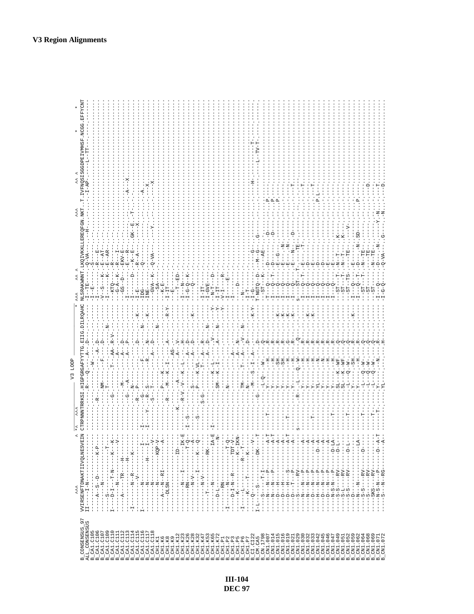| V3 LOOP<br>$\lambda$<br>∢<br>∢<br>$\lambda$                                                                                                                                 |                                                                     |
|-----------------------------------------------------------------------------------------------------------------------------------------------------------------------------|---------------------------------------------------------------------|
| TRPNNNTRRKSI.HIGPGRGAFYYTTG.EIIG.DILROAHC<br>VVIRSENFTDNAKTIIVQLNESVEIN                                                                                                     | T.IVFNQSISGGDPEIVMHSF.NCGLEFYCNT<br>NLSRAKWNNT.LKOIVKKLLEREOFGN.NKT |
| п<br>$-1$ – $-1$ – N <sup>-</sup><br>$\frac{1}{11}$                                                                                                                         | $-VA$<br>ò                                                          |
| $-4-1$<br>-1<br>İ<br>п<br>ı<br>ı<br>$\frac{1}{1}$<br>I<br>ı<br>ı                                                                                                            | $-R$ --- $E$<br>ဂု<br>면<br>                                         |
| h<br>Nu<br>1<br>$-1$ $-1$<br>$\frac{1}{1}$                                                                                                                                  | $-E$ --AT<br>¥<br>$-1$                                              |
| $-1 - 1 - 1$<br>$\frac{1}{1}$<br>$-5--1$                                                                                                                                    | $--AR$<br>囸                                                         |
| $-RA-.R-V$<br>$\frac{1}{2}$                                                                                                                                                 | $-R$ --- $T$<br>$\overline{R}$<br>$G - A - -K$<br>$-KTQ-$           |
|                                                                                                                                                                             | $-$ EKV $-$ E<br>ġ                                                  |
| ı<br>$\frac{1}{2}$<br>J.<br>-1                                                                                                                                              | $- -R$<br>택<br>-                                                    |
| z<br>İ                                                                                                                                                                      | ٦.<br>$GK = -E$ .<br>$- -K - E$<br>٩                                |
| д<br>$-R-$<br>í<br>J<br>I<br>$-1 - -1 - 1$<br>ì<br>J<br>ļ<br>J                                                                                                              | ×<br>-<br>$-R = -A$<br>뛰<br>¥                                       |
| $- -R - S$<br>ပြီ<br>İ<br>$\overline{1}$<br>-<br>$-1 - N -$<br>Í<br>$\frac{1}{1}$<br>$\mathsf{H}$                                                                           | ř<br>ု<br>g<br>. -K                                                 |
| က္<br>$-1$<br>$--\mathbf{N}--$<br>I<br>Ť<br>1                                                                                                                               | $\frac{1}{2}$<br>$-9-7A$<br>$GVA - -K$<br>ENE                       |
| $-1 - N - 1 - 1 - 1 - 1 = KQP - V -$<br>í<br>$\blacksquare$                                                                                                                 | $-SA$                                                               |
| $-4$<br>$\mathbf{I}$<br>-- A -- - - - - - - - -<br>$\frac{1}{1}$                                                                                                            | $-K-E$                                                              |
| ÷<br>ļ<br>л<br>1<br>$- -102.5N - 1$<br>$\mathbf{I}$                                                                                                                         | ÷<br>$-R - Y$                                                       |
| $---1D--$<br>$\mathbf{I}$<br>п<br>ц<br>$\overline{1}$<br>$\overline{\phantom{a}}$<br>-1<br>$\mathbf{I}$<br>I<br>п<br>$\frac{1}{1}$<br>п<br>J<br>п                           | -- ED<br>۲                                                          |
| $- R - V$<br>--------IK-B                                                                                                                                                   | $-1$                                                                |
| $\frac{5}{1}$<br>$-1 - T - T - C -$<br>ı<br>п<br>п<br>$----F2N---$<br>٠                                                                                                     | $-G - Q - -K$                                                       |
| $-1$<br>$-1$<br>$-1$<br>$-1$                                                                                                                                                |                                                                     |
| ဂု<br>$- - K - - - Q -$<br>J<br>$-1$ $-1$ $-1$ $-1$<br>I<br>ı<br>ı                                                                                                          |                                                                     |
| 민<br>C)<br>$\frac{1}{1}$<br>ı<br>Í<br>-->-2----<br>I<br>ı<br>т                                                                                                              | $-17$                                                               |
| ---RK --<br>$\frac{1}{1}$<br>t<br>T<br>I                                                                                                                                    | E<br>A<br>G                                                         |
| $------E$<br>п                                                                                                                                                              |                                                                     |
| $SM-$<br>-------<br>$--D--L----$                                                                                                                                            |                                                                     |
| j                                                                                                                                                                           |                                                                     |
| $Q - T - - - - - -$<br>$\mathsf I$<br>1<br>$\overline{\phantom{a}}$<br>$\frac{1}{2}$                                                                                        |                                                                     |
| $--- - - - - - - - - - - -$<br>----------                                                                                                                                   |                                                                     |
|                                                                                                                                                                             |                                                                     |
| -----------------------                                                                                                                                                     |                                                                     |
| ູ່<br>-<br>-<br>-<br>-<br>$-5$<br>ł<br>ţ<br>$-1$ - $Q$<br>$\overline{\phantom{a}}$<br>Ť                                                                                     |                                                                     |
| $-5$<br>투<br>$1 - L -$                                                                                                                                                      | $-5 - 7 - 7$<br>$\frac{1}{1}$<br>-NGTO                              |
| d−<br>⊣                                                                                                                                                                     | $-AB$ -<br>유                                                        |
| $-1$ – $-1$<br>$\frac{1}{1}$<br>$- -N - -N - - -P$<br>$\frac{1}{1}$                                                                                                         | ۹.<br>Ò                                                             |
| $-4 - 1$<br>$- - - - - - - - - - - - - - - -$<br>1                                                                                                                          | $\frac{1}{1}$<br>ŕ                                                  |
| $-4 - -4$<br>$-4 - 4$<br>$\overline{\phantom{a}}$<br>ц<br>$\mathbf{I}$                                                                                                      | 먹<br>뛰<br>뛰                                                         |
| $-4 - -1$<br>т                                                                                                                                                              | 뛰                                                                   |
| $-4 - -1$                                                                                                                                                                   |                                                                     |
| $- R$<br>$--RV--$<br>$\frac{1}{1}$<br>J,<br>$-5$<br>п                                                                                                                       | U)                                                                  |
| $-1$ – $-1$                                                                                                                                                                 | ۳<br>투                                                              |
| $- -A$<br>J<br>$\frac{1}{1}$<br>$-1 - N - -N - -N - - P$<br>J                                                                                                               |                                                                     |
| Ĥ<br>$-4$<br>$-1 - D - -1 - N - -2$                                                                                                                                         | 부<br>囸                                                              |
| $-4$ – $-1$ – $-4$<br>$-4$<br>٠<br>$\frac{1}{4}$<br>$\blacksquare$<br>$- -\mathbf{H} - \mathbf{N} - \mathbf{N} - \mathbf{P}$<br>$--D--N---P$<br>ı                           | $\overline{a}$<br>۹<br>:                                            |
| -----A<br>ł<br>$--D---N---P$                                                                                                                                                | 변                                                                   |
| 텃<br>$-4 - 1 - 1 - 1 - 1$                                                                                                                                                   | 덕<br>-<br>.                                                         |
| HN<br>F<br>$-1 - 1 -$                                                                                                                                                       | z<br>!<br>텃<br>Ëς.                                                  |
| $\frac{1}{1}$<br>1<br>I                                                                                                                                                     | ŗ<br>51                                                             |
| 투<br>$-1$ - $-1$ - $-1$<br>$--8 - S - - - - - RV - -$<br>$\mathsf I$                                                                                                        | -TE                                                                 |
| $\begin{array}{c} 1 \\ 1 \\ 1 \\ 1 \end{array}$<br>------------                                                                                                             | ठे                                                                  |
| $---LA-$                                                                                                                                                                    | ÷<br>$+1$                                                           |
| $-1$<br>$\begin{array}{c} \n\cdot & \cdot \\ \n\cdot & \cdot \\ \n\cdot & \cdot \n\end{array}$<br>$S-S-1$<br>$-RV -$<br>$\frac{1}{5}$<br>í<br>$\overline{\phantom{a}}$<br>J | ٩<br>$-TTE$<br>5                                                    |
| 부<br>$\frac{1}{1}$<br>$---$ SKS-----RV--<br>ł                                                                                                                               | $-N--T E$<br>51                                                     |
|                                                                                                                                                                             | ٣                                                                   |
|                                                                                                                                                                             | $O-VA$<br>ャリ                                                        |

**III-104 DEC 97** 

 $\begin{smallmatrix} 1 & 1 & 1 & 1 & 1 \\ 1 & 2 & 1 & 1 & 1 \\ 1 & 3 & 1 & 1 & 1 \\ 1 & 4 & 1 & 1 & 1 \\ 1 & 5 & 1 & 1 & 1 \\ 1 & 6 & 1 & 1 & 1 \\ 1 & 7 & 1 & 1 & 1 \\ 1 & 8 & 1 & 1 & 1 \\ 1 & 9 & 1 & 1 & 1 \\ 1 & 1 & 1 & 1 & 1 \\ 1 & 1 & 1 & 1 & 1 \\ 1 & 1 & 1 & 1 & 1 \\ 1 & 1 & 1 & 1 & 1 \\ 1 & 1 & 1 & 1 & 1 \\ 1 &$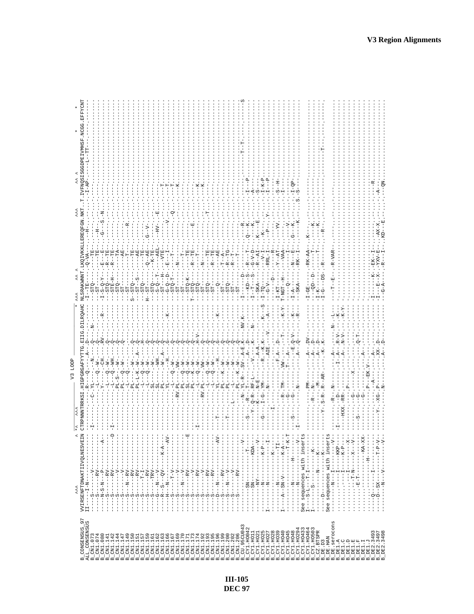|                                                           | くくく                                                                                                                     |      | V3 LOOF                 |                                 |                                            |                          |                                                     |                        |                                    |                                 |
|-----------------------------------------------------------|-------------------------------------------------------------------------------------------------------------------------|------|-------------------------|---------------------------------|--------------------------------------------|--------------------------|-----------------------------------------------------|------------------------|------------------------------------|---------------------------------|
| 3_CONSENSUS_97<br>ALL_CONSENSUS                           | <b>EIN</b><br>VVIRSENFTDNAKTIIVQLNESV                                                                                   |      |                         |                                 | CTRPNNNTRRKSI.HIGPGRGAFYYTTG.EIIG.DILRQAHC |                          | NLSRAKWNNT.LKQIVKKLLEREQFGN.NKT                     |                        |                                    | IVFNQSISGGDPEIVMHSF.NCG-EFFYCNT |
| CM1.073                                                   | $-1$<br>٠<br>$-5 -$<br>$11 -$                                                                                           |      | P<br>$\overline{R}$     | $\overline{a}$                  |                                            | $-17E-$<br>$-STQ$        | $-1$ $T$ E<br>$-45 - 2 - 1$                         |                        | $-L - AP -$                        |                                 |
| $3$ $\overline{C}$ N1.074                                 | $- -RV - -$<br>$\frac{1}{2}$<br>п                                                                                       |      | ÷                       | ਼<br>$-12 - 0$                  |                                            | ដូ                       | EL-                                                 | $- H -$                |                                    |                                 |
| B_CN1.080<br>B_CN1.141                                    | $-1$<br>$-1 - 5 - 1$                                                                                                    |      |                         | $-CH$ .                         | .RV                                        | $X-\overline{Q}-S-$      | 뚜<br>$\frac{1}{1}$                                  | $-5$<br>$- -$ S<br>ဗုံ |                                    |                                 |
| $3$ $\sim$ CN1.142                                        | $--RV--$<br>--RV-<br>J<br>I<br>$-S - -$<br>ပ္ပ<br>ı                                                                     |      | $-1$<br>i<br>i          | $-8. - 10H$ .<br>$-1$           |                                            | $STE-H$<br><b>STQ</b>    | $-1$ $E$<br>$-1$ $E$<br>$\dot{R}$<br>$\overline{R}$ |                        |                                    |                                 |
| $3$ CN1.144                                               | $-7$<br>I,<br>1<br>т<br>$\frac{5}{1}$                                                                                   |      | $PL-S--$                | $\ddot{\tilde{\mathbf{z}}}$     |                                            | .<br>STO                 | $-TA$                                               |                        |                                    |                                 |
| $3$ $CM1.147$                                             | $-1$<br>Ŵ                                                                                                               |      | P                       | ē                               |                                            |                          | $-AE$                                               |                        |                                    |                                 |
| 3_CN1.149                                                 | $- - - - - - - - - - - - - - - -$                                                                                       |      | -1--1-                  |                                 |                                            | 5                        |                                                     | ř                      |                                    |                                 |
| $3 - CM1.150$                                             | $---RV - -$<br>$-S - -$<br>٠                                                                                            |      | PL-                     | ē                               |                                            | .<br>55                  | $-TTE$                                              |                        |                                    |                                 |
| $\frac{151}{2001.157}$                                    | $---RV - -$<br>$\frac{1}{1}$<br>$\frac{5}{1}$<br>j                                                                      |      | $PL-L-K$                | $\frac{1}{2}$                   |                                            |                          | -AE                                                 |                        |                                    |                                 |
| 159<br>$B$ <sub><math>-M1</math></sub>                    | --RV-<br>J<br>$-1 - T - T - T$<br>ì<br>J<br>$-5 -$<br>က်<br>٠                                                           |      | ò<br>ု                  | $-1/2$<br>ķ                     |                                            | O                        | FTE-<br>$-Q$ - - $AE$                               | $-2 - 7 - 5$           |                                    |                                 |
| $3$ $CM1.161$                                             | $-TRV-$<br>w                                                                                                            |      |                         | ē                               |                                            | ģ                        | $-K-T$                                              |                        |                                    |                                 |
| 3_CN1.162                                                 |                                                                                                                         |      | 5Ì                      | $-WH$ .                         |                                            | $T - 0 - T$<br>U.        | $-AAEL$                                             | - 뛰<br>-<br>$--HV-$    |                                    |                                 |
| $3 - CM1.163$                                             | $- -K - A -$<br>$-R - S - -CV - -$                                                                                      |      |                         | $-W - R$                        |                                            |                          | -VTE                                                |                        | ᡛ                                  |                                 |
| $3 - 201.166$                                             | $-7$<br>$\frac{1}{4}$                                                                                                   |      |                         |                                 |                                            | Ą<br>$\frac{1}{2}$<br>T. | ד<br>ו<br>J.<br>덕<br>-                              |                        | н                                  |                                 |
| $3 - CM1.167$                                             | $--\mathbf{T}-\mathbf{V}--$<br>$-5 -$                                                                                   |      | ု                       | . — М — .                       |                                            | $T - 0$ TS               | י<br>י                                              | ု                      | е                                  |                                 |
| B_CN1.169                                                 | $-Y-1$<br>J<br>$-5 -$                                                                                                   |      | -RV                     | VW-                             |                                            |                          | -<br>F                                              |                        |                                    |                                 |
| $3$ $\overline{C}$ (N1.170                                | Í<br>$- - - - - - - - - - - - - - -$                                                                                    |      | ု                       | $\frac{8}{1}$                   |                                            |                          | Ť                                                   |                        |                                    |                                 |
| $B_{C}$ CN1.171                                           | $---RV---$<br>$-5 -$<br>п                                                                                               |      | ò<br>ස්                 | ķ                               |                                            | $STO-K$                  | 뎐                                                   |                        |                                    |                                 |
| 3_CN1.173                                                 | $- -V - -$<br>I<br>п<br>I<br>$\frac{1}{1}$<br>$\frac{5}{1}$<br>$\mathbf{I}$                                             |      | ¥                       | ≅                               |                                            | Ó<br>55                  | E<br>T<br>$\dot{R}$                                 | 뛰                      |                                    |                                 |
| $3$ $\sim$ CN1.174                                        | $-RV -$<br>п<br>က်                                                                                                      |      | ò                       | ₹.                              |                                            | Ò<br>5                   |                                                     |                        |                                    |                                 |
| 3_CN1.192                                                 | $-1$<br>т<br>$\frac{1}{2}$<br>л                                                                                         |      | $-RV$                   | Ř                               |                                            | 5                        | Ż                                                   |                        | ×                                  |                                 |
| $\frac{cm}{cm}$ . 193                                     | $---RV - -$<br>$-5 -$                                                                                                   |      | Ō                       | ē                               |                                            | STQ.                     | $-12$                                               |                        |                                    |                                 |
|                                                           | -- RV --<br>$\mathbf{I}$<br>J<br>$-5 - -$                                                                               |      | ု                       | $\overline{a}$                  |                                            | 51                       | $-R$ – – TE                                         |                        |                                    |                                 |
| 3_CN1.196                                                 | ļ<br>$- N$<br>$\frac{1}{1}$                                                                                             |      |                         |                                 |                                            | Ó                        | $-AB$                                               |                        |                                    |                                 |
| B_CN1.199<br>B_CN1.200                                    | $---PV---$<br>$-5 - 5 -$                                                                                                |      |                         | Þ                               |                                            | 5                        | $-1$<br>۴                                           |                        |                                    |                                 |
| CN1.202                                                   | $-1$<br>$-5$<br>I                                                                                                       |      |                         |                                 |                                            | .<br>STQ                 | --TC<br>י<br>י<br>$\dot{R}$<br>$\tilde{f}$          |                        |                                    |                                 |
|                                                           | ------RV-<br>$\frac{1}{9}$<br>$\frac{5}{1}$                                                                             |      |                         |                                 |                                            | 55<br>Ū)                 |                                                     |                        |                                    |                                 |
| $B_C$ $C$ N1.20 $\overline{6}$<br>$B_C$ $C$ U.95 $C$ U043 | ٠                                                                                                                       |      | $YL - R -$<br>$-10 - 1$ | is<br>∶                         |                                            | ₽                        |                                                     | $-\vec{R}$ .           |                                    |                                 |
| $3$ <sup>CY1.HO042</sup>                                  | -- T--<br>$-$ SN $-$<br>п                                                                                               | ÜΩ   | $-R = -$                | $\ddot{A}$ .                    |                                            | $-5 - -KD - -S -$        | $-R$ ---T                                           | $---K.$<br>O           | $\frac{P}{I}$<br>$-1-$             |                                 |
| $3$ <sub>CY1</sub> . $H$ O11                              | $-$ KDA $-$<br>$-$ NS. $\,$                                                                                             |      | $-18$<br>$Q - R -$      |                                 |                                            | $\frac{1}{2}$<br>부       | $-6 - 7 - D$                                        | $-\kappa$              | À,                                 |                                 |
| 3_СҮ1.НО21                                                | ł<br>$-1$ $-1$ $-1$<br>$\blacksquare$                                                                                   |      |                         | $- A - A$                       |                                            | $-SKA-$                  | $-R = -RI$                                          | - K-----E              | J.<br>ပ္ပ                          |                                 |
| 3_CY1.HO25                                                | $-4 - X - -$<br>$-1$<br>$-1$<br>I                                                                                       | Ú    | $\overset{+}{\circ}$    | $-K$<br>R                       |                                            | PT-                      | $-7-1$                                              | $-K-$                  | $-L-K-P$                           |                                 |
| $3$ <sup>CY1</sup> .HO <sub>2</sub> 7                     | $-1$<br>$\mathbf{I}$                                                                                                    |      |                         |                                 |                                            | $-5 - 7 -$               | $-RRL-1$                                            | ۴                      | $\frac{P}{I}$<br>$\mathbf{I}$<br>Ĥ |                                 |
| B_CY1.HO28                                                | $-K-$                                                                                                                   |      |                         |                                 |                                            |                          |                                                     |                        |                                    |                                 |
| CY1.HO39                                                  | F<br>I<br>I<br>٠<br>I<br>л<br>п                                                                                         |      |                         | $-F \cdot A$                    |                                            | $I - KT$                 | $-X--Y$                                             | N -                    | $-H--S$                            |                                 |
| S_CYL.HO40                                                | $---K - A -$<br>$-1 - 2 - 5N - 7 - 1$<br>$\frac{1}{1}$                                                                  |      | $R -$                   | Б                               | -x-x                                       | $-1$<br>T-DN-            | $-VAA$                                              |                        |                                    |                                 |
| B_CY1.HO45<br>B_CY1.HO48                                  | ÷<br>-                                                                                                                  |      | .<br>ب                  |                                 |                                            | $\frac{1}{\sqrt{2}}$     | ד<br>ו                                              | $-7$                   |                                    |                                 |
|                                                           | $- H -$<br>I<br>J<br>$- -N--$<br>J<br>ı                                                                                 | m    | U                       | $\overline{E}$ . $\overline{Q}$ | ¥                                          | $-A$                     | 뛰<br>$-10 -$                                        | $\frac{1}{1}$<br>Ů     | $-I-QP$                            |                                 |
| 3_CY1.HO294<br>B_CY1.HO433                                | $\frac{1}{2}$                                                                                                           |      |                         | ਼                               | ρζ                                         | $-SK.A-$                 | $-RK - -I$                                          |                        | Ω                                  |                                 |
|                                                           | See sequences with inse<br>-i<br>$-2 - 1 - - -1 - 2 - 1$<br>ł                                                           |      | Ř                       | គ<br>!                          |                                            | 명-                       | $-RK-AA$                                            |                        |                                    |                                 |
| 3_CY1.HO464<br>3_CY1.HO503                                | $-1K-$<br>i<br>$1 - - - - - - - 5$                                                                                      | F    | Ę                       | $-4$                            |                                            | $-1$ $-1$ $-1$ $-1$      | ۴                                                   | ¥                      |                                    |                                 |
| 3_CZ.BTSPR                                                | $-K--$<br>$\mathbf{I}$<br>$-1 - N - -$<br>1                                                                             |      | $-54$                   | $\frac{a}{i}$<br>Ā.             |                                            | $-K-1$                   | Е                                                   | $\frac{1}{1}$          |                                    |                                 |
| $3$ DE. $D3$                                              | $-K--$<br>$-1$                                                                                                          |      | $S-R - R - R$           |                                 |                                            | $-5a$<br>ပု              | $\overline{R}$                                      |                        |                                    |                                 |
| B_DE.HAN                                                  | See sequences with inse                                                                                                 |      |                         |                                 |                                            |                          |                                                     |                        |                                    |                                 |
| B_DE. serocons                                            | ł<br>п                                                                                                                  |      | $-R - - N$              | Ř,                              | ÷<br>ż                                     | 뿌<br>ᡛ                   | $-R-VAR$                                            |                        |                                    |                                 |
| $5$ DE1.A                                                 | $---KKP -$<br>j,<br>$\frac{1}{2}$                                                                                       |      | $\frac{1}{1}$           | ٩                               | $R-V-$                                     |                          |                                                     |                        |                                    |                                 |
| $\begin{array}{c}\n 3 \\  -\end{array}$                   | $------K-P-$<br>$\frac{1}{2}$                                                                                           | -HXX | $-RR-$                  | ٠Ä.                             | -x-y<br>><br>.<br>.                        |                          |                                                     |                        |                                    |                                 |
|                                                           | J<br>İ<br>$\frac{1}{2}$ , $\frac{1}{2}$ , $\frac{1}{2}$ , $\frac{1}{2}$ , $\frac{1}{2}$ , $\frac{1}{2}$ , $\frac{1}{2}$ |      |                         |                                 |                                            |                          |                                                     |                        |                                    |                                 |
|                                                           | $- -X - -$<br>$-1 - 2I - 2I - 1$                                                                                        | S    | φ<br>Ú                  |                                 | ୍                                          |                          |                                                     |                        |                                    |                                 |
| ്യ                                                        | -----------<br>I<br>$\frac{1}{2}$                                                                                       |      | Ú                       |                                 |                                            |                          |                                                     |                        |                                    |                                 |
| $J = 20E1$                                                | $\frac{1}{1}$<br>$-H-$<br>ł<br>$\overline{1}$<br>Ţ<br>1<br>$\vdots$<br>$\vdots$                                         |      |                         |                                 |                                            |                          |                                                     |                        |                                    |                                 |
| B_DE2.3493<br>B_DE2.3497<br>B_DE2.3498                    | ï<br>Ť<br>İ<br>$\circ$                                                                                                  |      | F                       |                                 |                                            |                          | .<br>EX                                             |                        |                                    |                                 |
|                                                           | $-4-1$<br>$\frac{1}{1}$<br>I<br>$- -XS - -D - -C - -$<br>1                                                              |      | $\mathbf{a}$<br>XG      |                                 |                                            | $E - -X -$<br>T          | $-XXX - E$                                          | $-X-X$                 |                                    |                                 |
|                                                           | $-V--$<br>$-1$ <sup>-</sup>                                                                                             |      |                         |                                 |                                            | $-6-4$                   |                                                     | ₽−                     | ð                                  |                                 |

 $III-105$ **DEC 97**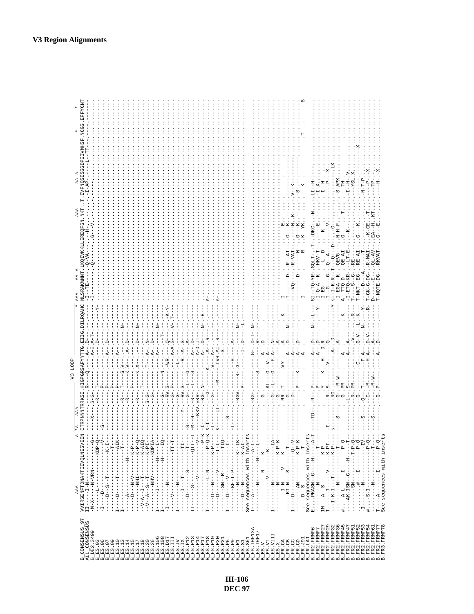|                                                                                                                                                                                                                                                                                                                                                                                                                                                                                                           | $\frac{1}{2}$<br>$\hat{\zeta}$<br>V3 LOOP<br>くくく                                                                                                                                                                                                            |
|-----------------------------------------------------------------------------------------------------------------------------------------------------------------------------------------------------------------------------------------------------------------------------------------------------------------------------------------------------------------------------------------------------------------------------------------------------------------------------------------------------------|-------------------------------------------------------------------------------------------------------------------------------------------------------------------------------------------------------------------------------------------------------------|
| B_CONSENSUS_97<br>ALL_CONSENSUS                                                                                                                                                                                                                                                                                                                                                                                                                                                                           | IVFNQSISGGDPEIVMHSF.NCGG.EFFYCNT<br>$-44-$<br>NLSRAKWNNT.LKQIVKKLLEREQFGN.NKT<br>$-50 - 2$<br>- TE<br>CTRPNNNTRRKSI.HIGPGRGAFYYTTG.EIIG.DILRQAHC<br>Ŗ<br>$-4.4-$<br>ò<br>÷<br>∸<br>VVIRSENFTDNAKTIIVQLNESVI<br>1                                            |
| B_DE2.3499                                                                                                                                                                                                                                                                                                                                                                                                                                                                                                | $-1 - A - E - A - T -$<br>$-5 - 5 - 5$<br>$\frac{R}{1}$<br>$-X-$<br>$-4CD - -$<br>л<br>J<br>ł<br>$-N - X - - - - - N - VI + N$<br>$-1$<br>ł                                                                                                                 |
|                                                                                                                                                                                                                                                                                                                                                                                                                                                                                                           | I<br>$\mathbf{I}$<br>J,<br>$-$ - $-$ - $-$ - $-$ - $-$ - $-$<br>Ĥ                                                                                                                                                                                           |
|                                                                                                                                                                                                                                                                                                                                                                                                                                                                                                           | م<br>آ<br>غ<br>$-1 - K - 1 -$<br>$-1 - 1$<br>л<br>$-1 - 5 - -1 -$<br>l,<br>$\frac{1}{1}$<br>J.<br>$\frac{1}{1}$<br>$\mathbf{I}$                                                                                                                             |
|                                                                                                                                                                                                                                                                                                                                                                                                                                                                                                           | Ā.<br>$---AIR$<br>I<br>$\frac{1}{2}$<br>$\mathbf{H}$                                                                                                                                                                                                        |
|                                                                                                                                                                                                                                                                                                                                                                                                                                                                                                           | ၯ<br>$- R -$<br>Ŗ<br>ł<br>$\mathbf{I}$<br>$-1$ $-1$ $-1$ $-1$ $-1$<br>1<br>ï<br>I<br>$\frac{1}{1}$<br>$\frac{1}{1}$<br>$\frac{1}{1}$<br>----------<br>I<br>1<br>$\frac{1}{1}$<br>1                                                                          |
|                                                                                                                                                                                                                                                                                                                                                                                                                                                                                                           | $-1$ - $-1$ - $-1$ - $-1$<br>٠                                                                                                                                                                                                                              |
|                                                                                                                                                                                                                                                                                                                                                                                                                                                                                                           | $-K \cdot X -$<br>$- R -$<br>$---X--C$<br>$---K-ATC$<br>ł<br>- - - - - - - - - - - - -<br>$\overline{\phantom{a}}$                                                                                                                                          |
|                                                                                                                                                                                                                                                                                                                                                                                                                                                                                                           | $-4.$<br>ŕ<br>.<br>ს<br>თ<br>$---K-PL-$<br>$-1$ - $-1$ - $-1$ - $-1$ - $-1$ - $-1$ - $-1$                                                                                                                                                                   |
|                                                                                                                                                                                                                                                                                                                                                                                                                                                                                                           | -------<br>11 dux----<br>$-1$<br>I<br>$\mathbf{I}$<br>п                                                                                                                                                                                                     |
|                                                                                                                                                                                                                                                                                                                                                                                                                                                                                                           | Ŧ<br>ģ<br>$\frac{1}{1}$<br>1<br>$-$ - - - - - - - - - - - $-$<br>J.<br>т<br>1<br>п<br>$\mathsf I$<br>$\mathbf{H}$<br>$\mathsf{H}$                                                                                                                           |
|                                                                                                                                                                                                                                                                                                                                                                                                                                                                                                           | r<br>Y<br>$-WR$ .<br>$-RV.S$<br>$\frac{1}{1}$<br>$\frac{1}{1}$<br>ı<br>$\frac{1}{1}$<br>Ĥ                                                                                                                                                                   |
|                                                                                                                                                                                                                                                                                                                                                                                                                                                                                                           | $-A-A$ .<br>こしゅー<br>----------<br>$\frac{1}{1}$<br>$\frac{1}{2}$<br>$-1 - 1$                                                                                                                                                                                |
|                                                                                                                                                                                                                                                                                                                                                                                                                                                                                                           | $-R. - A-$<br>$-RV.S-$<br>.<br>ب<br>۶,<br>İ<br>٠<br>I<br>٠<br>п<br>$-1 - N - -$<br>т<br>ı<br>Н<br>٠                                                                                                                                                         |
|                                                                                                                                                                                                                                                                                                                                                                                                                                                                                                           | -1<br>-1<br>-5<br>ł<br>$-2$<br>$\begin{array}{c} \begin{array}{c} \begin{array}{c} \begin{array}{c} \begin{array}{c} \end{array} \\ \end{array} \\ \begin{array}{c} \end{array} \end{array} \end{array} \end{array}$<br>$\frac{1}{1}$<br>ï<br>$\frac{1}{4}$ |
|                                                                                                                                                                                                                                                                                                                                                                                                                                                                                                           | $-.A--I$<br>ပှ<br>$M - H -$<br>$-1TQ - -$<br>1<br>$\frac{1}{1}$<br>$-5 - -$<br>$\overline{\phantom{a}}$<br>1<br>$\frac{1}{1}$<br>冒                                                                                                                          |
|                                                                                                                                                                                                                                                                                                                                                                                                                                                                                                           | $A-D.IT$<br>--KKV.ERR-<br>I<br>$-1$                                                                                                                                                                                                                         |
|                                                                                                                                                                                                                                                                                                                                                                                                                                                                                                           | $-4 - 1$<br>$-4$<br>$\frac{1}{2}$<br>$-4-1$<br>ŧ<br>$\frac{1}{1}$<br>$- - - \underline{\Gamma} - \underline{\Gamma} - \underline{\mathrm{N}} -$<br>$\mathbf{I}$<br>$\mathbf{I}$<br>$\mathbf{I}$<br>$\mathbf{I}$                                             |
| $\begin{array}{l} \hbox{\scriptsize B-BS. P12}\\ \hbox{\scriptsize B-BS. P13}\\ \hbox{\scriptsize B-BS. P14}\\ \hbox{\scriptsize B-BS. P17}\\ \hbox{\scriptsize B-BS. P18}\\ \hbox{\scriptsize B-BS. P18}\\ \hbox{\scriptsize B-BS. P19}\\ \hbox{\scriptsize B-BS. P19}\\ \hbox{\scriptsize B-BS. P19}\\ \hbox{\scriptsize B-BS. P19}\\ \hbox{\scriptsize B-BS. P19}\\ \hbox{\scriptsize B-BS. P19}\\ \hbox{\scriptsize B-BS. P19}\\ \hbox{\scriptsize B-BS. P19}\\ \hbox{\scriptsize B-BS. P19}\\ \hbox$ | $-4 - K - P -$<br>I<br>$-1$ - $-1$ - $-1$                                                                                                                                                                                                                   |
| <b>B_ES.P20</b><br>B_ES.P21                                                                                                                                                                                                                                                                                                                                                                                                                                                                               | TVH.AI<br>$-1 - T - 1 -$<br>$- - - - - - - - - - -$<br>$\overline{\phantom{a}}$<br>ė                                                                                                                                                                        |
|                                                                                                                                                                                                                                                                                                                                                                                                                                                                                                           | $-111$<br>$-1$<br>I<br>I<br>$- - - - -$ SN-<br>$- - - - - - -$<br>$-1$<br>$\frac{1}{1}$<br>н                                                                                                                                                                |
|                                                                                                                                                                                                                                                                                                                                                                                                                                                                                                           | $-4 - KE - 2 - P - -$                                                                                                                                                                                                                                       |
| B_ES.P6<br>B_ES.P9<br>B_ES.R1                                                                                                                                                                                                                                                                                                                                                                                                                                                                             | Ŗ<br>も・<br>Ŗ<br>$-$ RGV<br>I<br>т<br>$-1$ $-1$<br>ı<br>ı                                                                                                                                                                                                    |
| ES.S1<br>$\mathbf{a}^{\parallel}$                                                                                                                                                                                                                                                                                                                                                                                                                                                                         | $\frac{1}{1}$<br>$- -K - A I -$<br>I<br>$-1 - 1 - 1 - 1 - 1$<br>п                                                                                                                                                                                           |
| S.S61<br>$\frac{1}{\mathbf{B}}$                                                                                                                                                                                                                                                                                                                                                                                                                                                                           | sequences with inser<br>See                                                                                                                                                                                                                                 |
| B_ES.THF13A<br>B_ES.THF17<br>$\mathbf{u}^{\parallel}$                                                                                                                                                                                                                                                                                                                                                                                                                                                     | ř<br>$-BC -$<br>$-1 - A - I -$<br>İ<br>$- -A - -$<br>ı<br>1<br>$\sf I$<br>Н                                                                                                                                                                                 |
| $B$ <sub><math>-</math></sub> ES. V                                                                                                                                                                                                                                                                                                                                                                                                                                                                       | ë<br>ķ.<br>$---X--$<br>$-1 - N -$<br>$\,$ I<br>1<br>п.                                                                                                                                                                                                      |
| B_ES.VI                                                                                                                                                                                                                                                                                                                                                                                                                                                                                                   | .<br>-<br>-<br>7.<br>p<br>- .AL-<br>I<br>J                                                                                                                                                                                                                  |
| ES.VIII<br>$\mathbf{a}^{\mathsf{I}}$                                                                                                                                                                                                                                                                                                                                                                                                                                                                      | $-F.A$<br>번<br>-9-1-0-<br>$---E$<br>$-K-P-K-K$<br>$\begin{array}{c} \n\cdot & \cdot \\ \n\cdot & \cdot \\ \n\cdot & \cdot \n\end{array}$<br>л<br>$\blacksquare$<br>?<br>⊺<br>Ŧ<br>л<br>н                                                                    |
| B_FR.CA<br>$B$ <sub>-ES</sub> . $X$                                                                                                                                                                                                                                                                                                                                                                                                                                                                       | .vr .<br>$-RR - T$<br>Ú<br>ì<br>$-K--$<br>$-1 - 1 - 1 - 1 - 1 - 1 - 1 - 1$                                                                                                                                                                                  |
| FR.CB<br>ച്                                                                                                                                                                                                                                                                                                                                                                                                                                                                                               | φ<br>--R---AI-<br>$\frac{1}{1}$<br>φ                                                                                                                                                                                                                        |
| $B$ <sub><math>-FR</math></sub> . CC                                                                                                                                                                                                                                                                                                                                                                                                                                                                      | $V = -K$<br>×.<br>주<br>.-R-VAT<br>$50 -$<br>$-5 - 0 - 1$<br>$\frac{1}{1}$                                                                                                                                                                                   |
| FR.J91<br>FR.CD<br>$\mathbf{m}^{\vert}$<br>മ്                                                                                                                                                                                                                                                                                                                                                                                                                                                             | $-5 - - -$<br>$- - K$<br>$-5 - -K$ .<br>$-K--YK$ .<br>"<br>∶<br>$\frac{R}{1}$<br>$\frac{1}{1}$<br>- 4.<br>÷<br>T<br>j<br>$-5 - 5 - 1$<br>п                                                                                                                  |
| FR.LAI<br>$\mathbf{a}^{\dagger}$                                                                                                                                                                                                                                                                                                                                                                                                                                                                          | See sequences with inser                                                                                                                                                                                                                                    |
| FR2.FRMP6<br>$\mathbf{a}^{\dagger}$                                                                                                                                                                                                                                                                                                                                                                                                                                                                       | $-H--L1-.$<br>z<br>C<br>$-DKC-$ .<br>٢<br>$-1.292 - 204 - 204 - 204$<br>55<br>$\ddot{A}$ - $\ddot{A}$ - $\ddot{D}$<br>$\ddot{ }$ .<br>£<br>$E \ldots PKASM--G-$                                                                                             |
| FR2.FRMP27<br>FR2.FRMP7<br>ച്<br>മ്                                                                                                                                                                                                                                                                                                                                                                                                                                                                       | $-L-X$ .<br>- H<br>- I<br>$-K--$<br>-HKV-T<br>-1--1-<br>$-X--Z$<br>$-EG-$<br>ë<br>$---H.---D. R$<br>$- A -$<br>$-$ K<br>i<br>T<br>$---Z--K$<br>l<br>I<br>I<br>$\begin{array}{c} \hline \end{array}$<br>ı<br>-<br>$IN = -2 - 8 - 5 - 1$<br>t<br>п            |
| FR2.FRMP29<br>$\mathbf{a}$                                                                                                                                                                                                                                                                                                                                                                                                                                                                                | $-4$<br>$-1 - 1 - 1 -$<br>$\ddot{\phantom{0}}$<br>$-4-2-$<br>$\frac{1}{2}$<br>$-5$<br>਼<br>$\frac{1}{2}$<br>$-R - S - -$<br>$-14 - K - P$<br>$-Y--$<br>$\frac{1}{1}$<br>$\mathbf{H}$                                                                        |
| FR2.FRMP32<br>m                                                                                                                                                                                                                                                                                                                                                                                                                                                                                           | $\overset{1}{\circ}$<br>$B = -I - K - R - -T$<br>$-RG$<br>$--- -K - P - -$<br>$\frac{1}{1}$<br>--------------                                                                                                                                               |
| FRMP36<br>FR <sub>2</sub><br>ച്                                                                                                                                                                                                                                                                                                                                                                                                                                                                           | $-S-APX$ .<br>$N-H-F$<br>$-L - EGA - -K - - QEVG -$<br>$N - N - 1 - N - N - N - N$<br>÷<br>T<br>j                                                                                                                                                           |
| FR2.FRMP45<br>FR2.FRMP47<br>$\overline{a}$                                                                                                                                                                                                                                                                                                                                                                                                                                                                | $-1$<br>$\frac{1}{6}$<br>$-1 - 4 - 1 - - - - -$<br>$A - TTQ - D -$<br>−¥−.<br>$\frac{1}{2}$<br>$-G - P M -$<br>$-1$<br>----------------                                                                                                                     |
| മ്                                                                                                                                                                                                                                                                                                                                                                                                                                                                                                        | $-1 - -H - -I -$<br>$---XSL-X$<br>$-K-$<br>$-LT - E$<br>$- - R E - -$<br>$-1 - ETC - KR -$<br>უ<br>ს<br>თ<br>$\frac{1}{1}$<br>Ĥ<br>$-8 - -$<br>$-PR - 2PM -$<br>$-5 - 1$<br>$\frac{1}{1}$<br>--AK-ISN------H--<br>I                                         |
|                                                                                                                                                                                                                                                                                                                                                                                                                                                                                                           | $G---K$<br>$T-TNKT--EG---RE-AT$<br>トー<br>.<br>ٻ<br>.<br>קי<br>$-1$<br>ï<br>$\begin{array}{c} 1 \\ 1 \end{array}$<br>$-1$                                                                                                                                    |
| B_FR2.FRWP51<br>B_FR2.FRWP52<br>B_FR2.FRWP53<br>B_FR2.FRWP54                                                                                                                                                                                                                                                                                                                                                                                                                                              | $-N - T - P$<br>Ą<br>$-F \cdot A$<br>Ė<br>C)<br>$-1$<br>$-7$<br>1<br>1<br>Н<br>$\overline{1}$                                                                                                                                                               |
| FR2.FRMP61<br>m                                                                                                                                                                                                                                                                                                                                                                                                                                                                                           | $-1$ - $-1$<br>$-TP-$<br>$-K-CE$ .<br>$EA$ - $-H$ .<br>$-0L-AV$<br>T-GK-G-DG-.-R-MAI<br>$\Omega$<br>Ŗ<br>$-H.A$<br>$-M-M-$<br>ÚΩ<br>$-4$<br>ان<br>1<br>$\frac{1}{1}$<br>I<br>1<br>j<br>$-2$ $-1$<br>ł<br>$\frac{1}{1}$                                      |
| FR2.FRMP77<br>FR3.FRMP78<br>$\mathbf{m}^{\vert}$                                                                                                                                                                                                                                                                                                                                                                                                                                                          | -RKVA1<br>T-NQTE-DG-<br>$-1 - 1$<br>J<br>$-1 - 1 - 1 -$<br>J<br>$T = - - - - - - -$                                                                                                                                                                         |
| 'പ                                                                                                                                                                                                                                                                                                                                                                                                                                                                                                        | See sequences with inser                                                                                                                                                                                                                                    |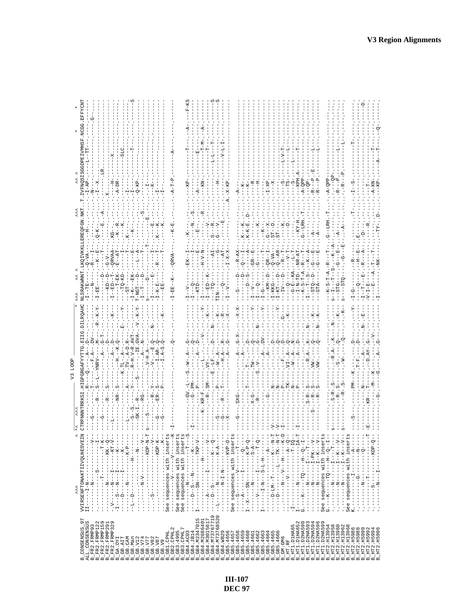|                                                                                                                                                                                                                                                                                                                                                                                                                                                 | くくく                                                                                                                         | o<br>S                     |        |                                                                      |
|-------------------------------------------------------------------------------------------------------------------------------------------------------------------------------------------------------------------------------------------------------------------------------------------------------------------------------------------------------------------------------------------------------------------------------------------------|-----------------------------------------------------------------------------------------------------------------------------|----------------------------|--------|----------------------------------------------------------------------|
|                                                                                                                                                                                                                                                                                                                                                                                                                                                 | VVIRSENFTDNAKTIVQLNES                                                                                                       | <b>CTRPNNNTF</b>           |        |                                                                      |
| $\begin{array}{l} \texttt{B\_CONSBISUS\_97} \\ \texttt{A} \texttt{Lip} \\ \texttt{A} \texttt{Lip} \\ \texttt{B} \texttt{Lip} \\ \texttt{B} \texttt{Lip} \\ \texttt{B} \texttt{Lip} \\ \texttt{B} \texttt{Lip} \\ \texttt{B} \texttt{Lip} \\ \texttt{B} \texttt{Lip} \\ \texttt{B} \texttt{Lip} \\ \texttt{B} \texttt{Lip} \\ \texttt{B} \texttt{Lip} \\ \texttt{B} \texttt{Lip} \\ \texttt{B} \texttt{Lip} \\ \texttt{B} \texttt{Lip} \\ \text$ | ٠<br>- - - - -⊠- - - - - - - -<br>I<br>ı<br>$-1$<br>$-1$<br>$-1$<br>٠<br>٠<br>I<br>Ħ<br>I                                   |                            |        |                                                                      |
|                                                                                                                                                                                                                                                                                                                                                                                                                                                 | п<br>$-5$<br>ı<br>ı<br>ı<br>ı<br>$\frac{1}{1}$                                                                              | $---L---YNRY$              | $-K-Y$ | $X=-I$ - $-Y$<br>$-3-8-0$ .<br>$-1 - EE$                             |
|                                                                                                                                                                                                                                                                                                                                                                                                                                                 | ۲.<br>ا<br>투<br>$\overline{1}$                                                                                              |                            |        | $-1$                                                                 |
|                                                                                                                                                                                                                                                                                                                                                                                                                                                 | $-KK-$<br>$-55$<br>п<br>$\overline{1}$<br>?<br>−<br>п<br>$\frac{1}{1}$<br>$\ddot{\phantom{0}}$                              |                            |        | H<br>------<br>$. 0.16 - 1.04$<br>$-L=-ED=-T-1-QRVAA-$               |
|                                                                                                                                                                                                                                                                                                                                                                                                                                                 | $-K-$<br>ì<br>$-1 - 2 - 1$<br>$- - -$                                                                                       |                            |        | $- A - DR$<br>$-K$ –– $R$<br>$---AT-$                                |
|                                                                                                                                                                                                                                                                                                                                                                                                                                                 | $-1 -$ K $-$<br>$-1 - K - P$<br>$\frac{1}{1}$<br>т<br>Ţ<br>I<br>٠<br>$-1 - N - 1$<br>п<br>$\frac{1}{1}$<br>ł<br>Ţ<br>л<br>j | $-$ . $TV -$ . $A-D$ . $R$ |        | Ĥ<br>------<br>$-1 - 2T - 4$<br>$-122 -$                             |
|                                                                                                                                                                                                                                                                                                                                                                                                                                                 | Ŧ<br>J<br>ţ<br>т<br>$-L--D$                                                                                                 | $-- R-H. V-R. A$           |        | $-L - K - - - EK -$                                                  |
|                                                                                                                                                                                                                                                                                                                                                                                                                                                 | $-1$<br>I<br>$\mathbf{I}$<br>$\frac{1}{1}$                                                                                  | $-SK - I$                  | .-K-Y  | $-Q-KP$<br>$L = -A$<br>$T-NGT---D-.$                                 |
| $-$ GB. $V74$<br>മ്                                                                                                                                                                                                                                                                                                                                                                                                                             | J<br>п<br>->-¤--<br>$\frac{1}{2}$                                                                                           |                            |        | $-1 - -1 -$                                                          |
|                                                                                                                                                                                                                                                                                                                                                                                                                                                 | $-$ KDP<br>$\frac{1}{1}$<br>Ť.<br>t<br>1<br>٠<br>ı<br>I<br>п<br>т<br>$\frac{1}{2}$<br>т<br>1                                | $-2$                       |        | ا<br>ا<br>$- - K$<br>- H<br>- H<br>÷                                 |
| $-6B. V82$<br>$-6B. V87$                                                                                                                                                                                                                                                                                                                                                                                                                        | $-KDP$<br>т<br>$S - 1$<br>$\begin{array}{c} \vdots \\ \vdots \\ \vdots \\ \vdots \end{array}$                               |                            |        | $-K-E$                                                               |
| )<br><u>미국 (1898 - 1882</u><br>미국 (1898 - 1895 - 1895 - 1895 - 1895 - 1895 - 1895 - 1895 - 1895 - 1895 - 1895 - 1895 - 1895 - 1895 - 1895 - 1<br>미국 - 1895 - 1895 - 1895 - 1895 - 1895 - 1895 - 1895 - 1895 - 1895 - 1895 - 1895 - 1895 - 1                                                                                                                                                                                                     | See sequences with ins                                                                                                      |                            |        |                                                                      |
|                                                                                                                                                                                                                                                                                                                                                                                                                                                 | $- -1 - -$<br>$\frac{1}{2}$<br>99<br>So                                                                                     |                            |        | $-4-1-4-$<br>$-K-E$                                                  |
|                                                                                                                                                                                                                                                                                                                                                                                                                                                 | See sequences with ins                                                                                                      |                            |        |                                                                      |
|                                                                                                                                                                                                                                                                                                                                                                                                                                                 | ins<br>with<br>sequences<br>See                                                                                             |                            |        |                                                                      |
|                                                                                                                                                                                                                                                                                                                                                                                                                                                 | י<br>ו<br>I<br>٠<br>$-1$ $-1$ $-1$<br>1<br>٠<br>t<br>I<br>J                                                                 |                            |        |                                                                      |
|                                                                                                                                                                                                                                                                                                                                                                                                                                                 | $---ITKP$<br>$\overline{\phantom{a}}$<br>$--$ SN- $-$<br>-1<br>$\overline{1}$<br>J                                          |                            |        | $ KTD$                                                               |
|                                                                                                                                                                                                                                                                                                                                                                                                                                                 | 1<br>$\frac{1}{1}$<br>1<br>л<br>1<br>т<br>п.<br>1                                                                           |                            |        | $N-T-$<br>$-50$                                                      |
|                                                                                                                                                                                                                                                                                                                                                                                                                                                 | -------------                                                                                                               |                            |        | $-0.5 - 0.7$                                                         |
|                                                                                                                                                                                                                                                                                                                                                                                                                                                 | $-K-$<br>$\frac{1}{1}$<br>$\frac{1}{1}$<br>I<br>$\frac{1}{1}$<br>$-1 - D - S$                                               |                            |        | $-- \Gamma$<br>$- - A I$<br>$-10$                                    |
|                                                                                                                                                                                                                                                                                                                                                                                                                                                 | $-K - A$<br>ı<br>ı<br>$-1$ $-1$ $-1$<br>넊                                                                                   |                            |        | TIN--                                                                |
|                                                                                                                                                                                                                                                                                                                                                                                                                                                 | $\frac{1}{1}$<br>ı<br>I<br>l,<br>$N-I-I$<br>ı<br>I<br>I                                                                     |                            |        |                                                                      |
|                                                                                                                                                                                                                                                                                                                                                                                                                                                 | -KVP<br>ins<br>sequences with<br>See                                                                                        |                            |        | $-X-X-$<br>$X-X-T$                                                   |
|                                                                                                                                                                                                                                                                                                                                                                                                                                                 | י<br>י<br>ı<br>ī.<br>$\mathbf{I}$<br>т<br>1<br>1<br>ن<br>ٻ<br>ı                                                             |                            |        | $-R-AX$                                                              |
|                                                                                                                                                                                                                                                                                                                                                                                                                                                 | $\frac{1}{\alpha}$<br>ł<br>Ţ<br>ı<br>$-1 - 2 - 1$                                                                           |                            |        |                                                                      |
|                                                                                                                                                                                                                                                                                                                                                                                                                                                 | $-K-P$<br>$\frac{1}{1}$<br>J<br>$\overline{\phantom{a}}$<br>$--$ SN- $-$<br>$- -X - -$                                      |                            |        | $K - K - E$<br>$---A$<br>$-5 - 0 - -$                                |
|                                                                                                                                                                                                                                                                                                                                                                                                                                                 | $-5 - A$<br>—<br> -<br>                                                                                                     |                            |        | $-GR = -E$                                                           |
|                                                                                                                                                                                                                                                                                                                                                                                                                                                 | í<br>Ì<br>J.<br>$\begin{array}{c} \n\downarrow \\ \downarrow \\ \downarrow\n\end{array}$<br>$-7$<br>ï<br>J                  |                            |        | $\frac{1}{2}$                                                        |
|                                                                                                                                                                                                                                                                                                                                                                                                                                                 | $-4 -$<br>п<br>ł<br>I<br>Í<br>ï<br>Н                                                                                        |                            |        | $-XP$<br>$S---S$<br>$-K--$<br>$-1 - 7$<br>$--KN--D---QR--I$<br>$G -$ |
|                                                                                                                                                                                                                                                                                                                                                                                                                                                 | $-K-1$<br>I<br>$\overline{\phantom{a}}$<br>ï<br>$- - D - LM - - T - -$<br>ï                                                 |                            |        | $X$ ----<br>$G - -D$<br>$Q-VA$<br>$I - KK$                           |
|                                                                                                                                                                                                                                                                                                                                                                                                                                                 | $--TTK-$<br>ė<br>J.<br>ı.<br>1<br>1<br>ţ<br>ė<br>1                                                                          |                            |        | $Q = -AR$<br>$-1 - 1$<br>$T - KT$                                    |
|                                                                                                                                                                                                                                                                                                                                                                                                                                                 | $-1$ $-1$ $-1$<br>$-1$ $-1$<br>$\frac{1}{2}$                                                                                |                            |        |                                                                      |
|                                                                                                                                                                                                                                                                                                                                                                                                                                                 | $-4-$<br>ı<br>I<br>п<br>$-1$<br>1<br>1<br>п                                                                                 |                            |        | $---TS$<br>$\begin{array}{c} -1 \\ -1 \end{array}$<br>$-L-\Lambda$   |
|                                                                                                                                                                                                                                                                                                                                                                                                                                                 | ÷<br>ı<br>1<br>$-1$<br>$-1$<br>I<br>ı<br>٠<br>I<br>T                                                                        | $-W - R$                   |        | $---KPH$ .<br>$-1 - 1 - 7$<br>$-NR$<br>$-KA$                         |
|                                                                                                                                                                                                                                                                                                                                                                                                                                                 | $-1$<br>$-1$<br>$-1$<br>$-1$<br>$-1 - 1 - 1$<br>$-K-$<br>.<br>ق                                                             |                            |        | $- A - QPP$<br>$-K-S-T-A$                                            |
|                                                                                                                                                                                                                                                                                                                                                                                                                                                 | $\frac{1}{1}$<br>Ť<br>$-1$<br>$-1$                                                                                          | $- R. A-$                  |        | $-K = -R$<br>$-G = -E$                                               |
|                                                                                                                                                                                                                                                                                                                                                                                                                                                 | $---ZI-PK--$<br>$-1$ $-1$ $-1$<br>п                                                                                         |                            |        | $-R$ – – – $P$<br>$-STQ$ -D                                          |
| HT1.D2HA596<br>$\begin{array}{c} \text{B} \text{I} \text{HT1} \\ \text{B} \text{I} \text{HT1} \end{array}$                                                                                                                                                                                                                                                                                                                                      | $---21--K---$<br>٠<br>$-2$<br>٠                                                                                             |                            |        |                                                                      |
| D2HA599                                                                                                                                                                                                                                                                                                                                                                                                                                         | See sequences with ins<br>$-K------TQ$                                                                                      |                            |        |                                                                      |
|                                                                                                                                                                                                                                                                                                                                                                                                                                                 | $   +$ $ +$ $  +$<br>$-1 - -1$<br>$\frac{1}{1}$<br>1<br>්.                                                                  |                            |        | $- A - OPP$<br>$-K-S-T-A$                                            |
|                                                                                                                                                                                                                                                                                                                                                                                                                                                 | $-K--$<br>i<br>İ<br>I<br>1<br>$-1 - N -$<br>1<br>I<br>ļ<br>$\frac{1}{1}$                                                    | ن<br>ن                     | ÜΩ     | $-9T5 - -$                                                           |
|                                                                                                                                                                                                                                                                                                                                                                                                                                                 | $---21--K--$<br>$-1$<br>$-1$<br>ı<br>ï<br>$\mathbf{I}$                                                                      |                            |        | <b>STO</b>                                                           |
|                                                                                                                                                                                                                                                                                                                                                                                                                                                 | with ins<br>sequences<br>see                                                                                                |                            |        |                                                                      |
|                                                                                                                                                                                                                                                                                                                                                                                                                                                 | $-2A$<br>п<br>Ţ<br>J.<br>п<br>$\ddot{\mathbf{k}}$ .                                                                         |                            |        | $-5$<br>- T<br>- T                                                   |
|                                                                                                                                                                                                                                                                                                                                                                                                                                                 | $-1$ – $\overline{N}$ –<br>$-1$<br>ı<br>$\mathbf{I}$                                                                        |                            |        | 면<br>                                                                |
|                                                                                                                                                                                                                                                                                                                                                                                                                                                 | $\frac{1}{\alpha}$<br>ŕ<br>$-1$ $-1$<br>$\frac{1}{1}$                                                                       |                            |        | $-1-1$<br>$T = -T$                                                   |
|                                                                                                                                                                                                                                                                                                                                                                                                                                                 | $-$ KDP<br>п<br>$\frac{1}{2}$<br>ţ                                                                                          |                            |        |                                                                      |
|                                                                                                                                                                                                                                                                                                                                                                                                                                                 | $\frac{1}{1}$<br>$\frac{1}{1}$<br>$- - -N - -1$<br>$\frac{1}{1}$                                                            |                            |        |                                                                      |

 $III-107$ **DEC 97**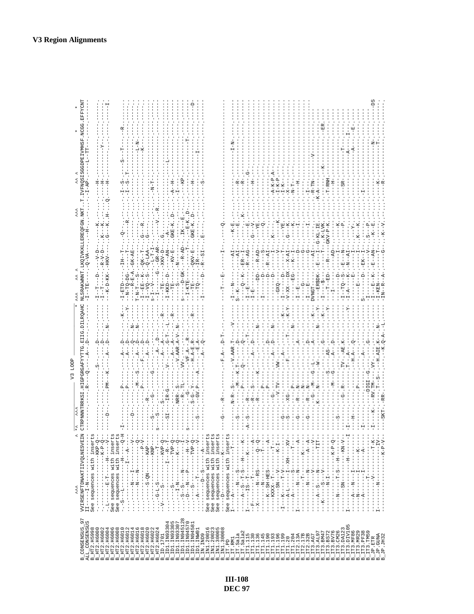$\begin{array}{lll} \mathsf{NL}.\mathsf{SRAKWNNT} & \mathsf{L}\mathsf{KQ}\mathsf{IVKKLLEREQFGN} \\\mathsf{NL}.\mathsf{SKT} & \mathsf{L}\mathsf{KQ}\mathsf{IVKKLLEREQFGN} \\\mathsf{L1} & \mathsf{L}\mathsf{TL2} & \mathsf{L}\mathsf{TL3} \end{array}$  $- - - - - - - - - - - - - - - - - - - -{\textstyle\frac{1}{2}}{\textstyle\prod}$  - - R – - A – DILRQAHC  $\begin{array}{c} \begin{array}{c} \begin{array}{c} \begin{array}{c} \end{array} \\ \begin{array}{c} \end{array} \end{array} \\ \begin{array}{c} \end{array} \end{array} \end{array}$  $\begin{array}{cccccc} -H & AIE & K & - & - & N- \\ - & - & - & -K & Q & - & - & -L \end{array}$  $BITG.$  $\label{eq:exp} \begin{array}{ll} \texttt{CT}\texttt{RP} \texttt{NN} \texttt{N} \texttt{TR}\texttt{R} \texttt{K}\texttt{S} \texttt{I} \texttt{.}\ \texttt{H} \texttt{IGP} \texttt{GR} \texttt{G} \texttt{A} \texttt{F} \texttt{Y} \texttt{Y} \texttt{T} \texttt{T} \texttt{G} \texttt{.} \\ \texttt{---} \texttt{---} \texttt{---} \texttt{---} \texttt{---} \texttt{.} \texttt{R} \texttt{---} \texttt{---} \texttt{.} \end{array}$ -----SKT-.-RR- $\begin{array}{c} \begin{array}{c} \begin{array}{c} \begin{array}{c} \end{array} \\ \begin{array}{c} \end{array} \\ \begin{array}{c} \end{array} \\ \begin{array}{c} \end{array} \end{array} \end{array} \end{array}$ ķ  $\left| \cdot \right|$ VIRSENTIVOLVES SURFACE TO THE TALL IN THE RELATION  $\overline{a}$  and  $\overline{b}$  are a square of with inserting  $\overline{b}$  and  $\overline{b}$  and  $\overline{b}$  are a square of with inserting  $\overline{b}$  and  $\overline{b}$  are  $\overline{b}$  and  $\overline{b}$  are  $\overline{\phantom{a}}$ 

LOOP  $\tilde{c}$ 

**III-108 DEC 97**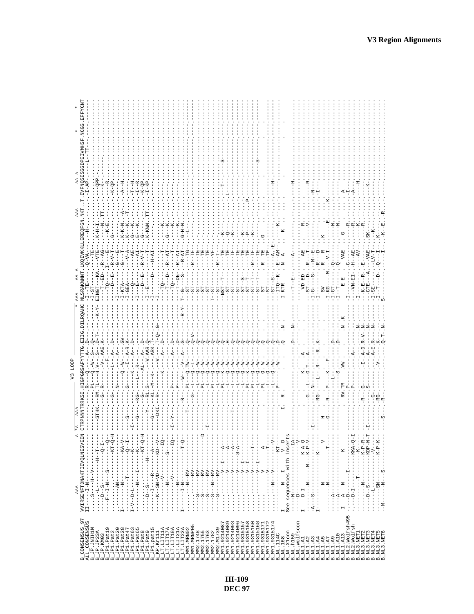|                                                                                                                                                                                                      | くへへ                                                                                                                                                                                                                                                                                                                                                                                                                                                                                                                                                                                     | <b>EOOT</b><br>$\frac{3}{2}$                   |                                                             |                 |                                |
|------------------------------------------------------------------------------------------------------------------------------------------------------------------------------------------------------|-----------------------------------------------------------------------------------------------------------------------------------------------------------------------------------------------------------------------------------------------------------------------------------------------------------------------------------------------------------------------------------------------------------------------------------------------------------------------------------------------------------------------------------------------------------------------------------------|------------------------------------------------|-------------------------------------------------------------|-----------------|--------------------------------|
|                                                                                                                                                                                                      | EIN<br>VVIRSENFTDNAKTIIVQLNESV                                                                                                                                                                                                                                                                                                                                                                                                                                                                                                                                                          | DILRQAHC<br>CTRPNNNTRRKSI.HIGPGRGAFYYTTG.EIIG. | NLSRAKWNNT.LKOIVKKLLEREOFGN                                 |                 | VFNQSISGODPEIVMHSF.NCGGLEFYCNT |
| B_CONSENSUS_97<br>ALL_CONSENSUS                                                                                                                                                                      | $11 - -1 - -1 - 1 - 1 -$                                                                                                                                                                                                                                                                                                                                                                                                                                                                                                                                                                |                                                | $-9 - VA$<br>Ed-                                            |                 | -I-AP                          |
| B_JP.JNIHIM<br>$JP$ . $JP$ 23A<br>m                                                                                                                                                                  | $-1 - 2I - 2I - 1$<br>I<br>л<br>п<br>$-1 - 1 - 1 - 1 - 2 - 1 - 2 - 1 - 2 - 1$                                                                                                                                                                                                                                                                                                                                                                                                                                                                                                           | $-X-X$<br>ທຸ<br>$-18$<br>$-RM$ . TI<br>$-STHK$ | $-VTE$ -<br>$-KA$ .<br>EINGT<br>$I-ST$                      | $K-H-I$         | $-QPP$                         |
| $B_U$ JP.KM03                                                                                                                                                                                        | $-1 - Q - 1$<br>-1<br>$\frac{1}{1}$                                                                                                                                                                                                                                                                                                                                                                                                                                                                                                                                                     | $-V - AAE$ .K<br>$-G - R$                      | $-$ ED $   R$ $  R$ $-$                                     | $-7$            | $-K-$<br>Ę                     |
| JP1.Pat19<br>m                                                                                                                                                                                       | - S-- - - N- II - - L-- - -                                                                                                                                                                                                                                                                                                                                                                                                                                                                                                                                                             |                                                | 甲!<br>J.                                                    | $-K-E$          | $-R$                           |
| B_JP1.Pat2                                                                                                                                                                                           | $----FT2 -$<br>I<br>$\frac{1}{2}$ , $\frac{1}{2}$ , $\frac{1}{2}$ , $\frac{1}{2}$ , $\frac{1}{2}$ , $\frac{1}{2}$ , $\frac{1}{2}$ , $\frac{1}{2}$ , $\frac{1}{2}$ , $\frac{1}{2}$                                                                                                                                                                                                                                                                                                                                                                                                       | $-4.4-$<br>Ļ.<br>්                             | $-1 - R - V - T$<br>Ė<br>∣<br>؋<br>!<br>л                   | ં               | $-K-QP$                        |
| B_JP1.Pat20<br>B_JP1.Pat28<br>B_JP1.Pat47                                                                                                                                                            | $---KA -$<br>٠<br>$-AM--$<br>ı<br>$\,$ I<br>-<br>ţ<br>$\cdot$ $\mapsto$                                                                                                                                                                                                                                                                                                                                                                                                                                                                                                                 |                                                | 뚜<br>$\ddot{\phantom{a}}$<br>-KTA                           | $K - K - N$     |                                |
|                                                                                                                                                                                                      | ı<br>$\overline{\phantom{a}}$<br>I<br>- - - - - -⊠- - - - - - - - -<br>$\begin{array}{ccccccccccccc} \multicolumn{2}{c}{} & \multicolumn{2}{c}{} & \multicolumn{2}{c}{} & \multicolumn{2}{c}{} & \multicolumn{2}{c}{} & \multicolumn{2}{c}{} & \multicolumn{2}{c}{} & \multicolumn{2}{c}{} & \multicolumn{2}{c}{} & \multicolumn{2}{c}{} & \multicolumn{2}{c}{} & \multicolumn{2}{c}{} & \multicolumn{2}{c}{} & \multicolumn{2}{c}{} & \multicolumn{2}{c}{} & \multicolumn{2}{c}{} & \multicolumn{2}{c}{} & \multicolumn{2}{c}{} & \multicolumn{2}{c}{} & \$<br>$\frac{1}{1}$<br>٠<br>ï | $-5$ <sup>-</sup><br>ά<br>Ω                    | $-X - Y - A$<br>$\frac{1}{9}$<br>$-GEA$                     | $---K$          | $-A$ -H                        |
| $\mathbf{u}$                                                                                                                                                                                         | $-1 - 2 - 1$<br>п.<br>$\mathbb{I}-\mathbb{V}=-\mathbb{D}-\mathbb{L}=---$                                                                                                                                                                                                                                                                                                                                                                                                                                                                                                                | $\frac{1}{2}$<br>.<br>- X                      | $- - A E$<br>o<br>                                          | .<br>-K<br>RQEQ | $H - -T -$                     |
| 3_JP1.Pat63<br>3_JP1.Pat65<br>m                                                                                                                                                                      | $- -K - -$<br>$\frac{1}{1}$<br>$\frac{1}{1}$<br>ţ                                                                                                                                                                                                                                                                                                                                                                                                                                                                                                                                       | RG<br>먹                                        |                                                             | $ -K$           | $-I - -R$                      |
| JP1.Pat8<br>$\mathbf{m}$                                                                                                                                                                             | $--KT-$                                                                                                                                                                                                                                                                                                                                                                                                                                                                                                                                                                                 | Φ                                              | -V-T<br>$- R$<br>뛰<br>$\frac{1}{1}$                         |                 | $-K-QP$                        |
| UP1.Pat9<br>$\mathbf{m}$                                                                                                                                                                             |                                                                                                                                                                                                                                                                                                                                                                                                                                                                                                                                                                                         | -RL.<br>$-Y-$                                  | 면<br>                                                       | $K-KWN$         | $-X-I-T$<br>E                  |
| B_JP1.pat15<br>B_KP.Kr111                                                                                                                                                                            | $- -A - -$<br>$\overline{\phantom{a}}$<br>$- - - - - - - - - - - - - -$                                                                                                                                                                                                                                                                                                                                                                                                                                                                                                                 | $KL -M - -K$<br>ပု                             | $-H - H - I$                                                |                 |                                |
|                                                                                                                                                                                                      | $-KD$ -<br>$- -K - SN - VD - - - -$<br>I                                                                                                                                                                                                                                                                                                                                                                                                                                                                                                                                                | --DKI                                          | $\vdots$                                                    |                 |                                |
| BLLT.LIT11A                                                                                                                                                                                          | ī<br>$\mathbf{I}$<br>--v--                                                                                                                                                                                                                                                                                                                                                                                                                                                                                                                                                              |                                                |                                                             |                 |                                |
| в Інг. інтіта<br>в Інг. інтіва<br>в Інг. інт21А                                                                                                                                                      | $-5 - -$<br>1<br>ï<br>ł                                                                                                                                                                                                                                                                                                                                                                                                                                                                                                                                                                 |                                                | $-44-$<br>$-5$<br>$\begin{matrix} 1 \ -1 \end{matrix}$      | $-1$<br>ひ       |                                |
|                                                                                                                                                                                                      | $-1$<br>$\frac{1}{2}$<br>п<br>$- - - - - - - -$<br>j<br>J<br>J                                                                                                                                                                                                                                                                                                                                                                                                                                                                                                                          | ż<br>$\frac{1}{2}$                             | ģ                                                           | $- -K$          |                                |
|                                                                                                                                                                                                      | ì<br>$\frac{1}{1}$<br>J.<br>п<br>$-1 - 2I - 2I - 1$<br>$\frac{1}{1}$<br>I                                                                                                                                                                                                                                                                                                                                                                                                                                                                                                               |                                                | $-R$ --AT<br>$---DE$                                        | $-$ K           |                                |
| B_LT.LIT22A<br>B_MM1.MRN02                                                                                                                                                                           | $-1$<br>ł<br>$\frac{1}{1}$<br>$\frac{1}{4}$                                                                                                                                                                                                                                                                                                                                                                                                                                                                                                                                             |                                                | $- -R - A$                                                  | $G-H-D$         |                                |
|                                                                                                                                                                                                      | ļ<br>ł                                                                                                                                                                                                                                                                                                                                                                                                                                                                                                                                                                                  | $-5-$                                          | ř<br>5                                                      |                 |                                |
| B_MM1.MRNP05                                                                                                                                                                                         | Ť<br>$- -RV - -$<br>$-1 - 5 - - - - - - - 8V -$<br>I<br>$\frac{1}{2}$                                                                                                                                                                                                                                                                                                                                                                                                                                                                                                                   |                                                | $-R = -TE$                                                  |                 |                                |
|                                                                                                                                                                                                      |                                                                                                                                                                                                                                                                                                                                                                                                                                                                                                                                                                                         | $\sim -1$                                      |                                                             |                 |                                |
|                                                                                                                                                                                                      | $---RV -$<br>$\frac{1}{4}$<br>$\frac{5}{1}$<br>J                                                                                                                                                                                                                                                                                                                                                                                                                                                                                                                                        | ု                                              |                                                             |                 |                                |
|                                                                                                                                                                                                      | $\mathbf{I}$<br>$\overline{\phantom{a}}$<br>$---NI--RV-$<br>$\frac{5}{1}$<br>$\frac{5}{1}$<br>J.                                                                                                                                                                                                                                                                                                                                                                                                                                                                                        |                                                |                                                             |                 |                                |
|                                                                                                                                                                                                      | $- -RV - -$                                                                                                                                                                                                                                                                                                                                                                                                                                                                                                                                                                             |                                                | Ķ                                                           |                 |                                |
|                                                                                                                                                                                                      | $-4 -$<br>$-5 - -$                                                                                                                                                                                                                                                                                                                                                                                                                                                                                                                                                                      |                                                | 51                                                          |                 |                                |
|                                                                                                                                                                                                      | $-4 -$<br>---------<br>$\frac{1}{2}$                                                                                                                                                                                                                                                                                                                                                                                                                                                                                                                                                    |                                                |                                                             | $\circ$         |                                |
|                                                                                                                                                                                                      | $-4$<br>ı<br>$-1$                                                                                                                                                                                                                                                                                                                                                                                                                                                                                                                                                                       |                                                |                                                             |                 |                                |
| $\begin{tabular}{c} B = M11.9214093\\ B = M11.9314093\\ B = M11.9315159\\ B = M11.9315159\\ B = M11.9315156\\ B = M11.9315171\\ B = M11.9315171\\ B = M11.9315171\\ B = M11.9315174\\ \end{tabular}$ | $A-S------Y--Y--$<br>$\frac{1}{2}$                                                                                                                                                                                                                                                                                                                                                                                                                                                                                                                                                      |                                                |                                                             |                 |                                |
|                                                                                                                                                                                                      | í<br>$-1 - 7 - -1$<br>$\frac{1}{1}$<br>$\frac{1}{2}$                                                                                                                                                                                                                                                                                                                                                                                                                                                                                                                                    | з                                              | 囟<br>ကူ                                                     |                 |                                |
|                                                                                                                                                                                                      | ì<br>$\frac{1}{1}$<br>$-1 - 1 - 1 - 1$<br>$\frac{1}{1}$<br>$\frac{1}{2}$                                                                                                                                                                                                                                                                                                                                                                                                                                                                                                                |                                                | 闰<br>5                                                      |                 |                                |
|                                                                                                                                                                                                      | $-1$<br>İ<br>$-V -$<br>$\frac{1}{2}$                                                                                                                                                                                                                                                                                                                                                                                                                                                                                                                                                    |                                                | F                                                           |                 |                                |
|                                                                                                                                                                                                      | $\frac{1}{1}$<br>I<br>$---V---I$<br>$\frac{1}{2}$<br>$\frac{1}{2}$                                                                                                                                                                                                                                                                                                                                                                                                                                                                                                                      | O                                              |                                                             |                 |                                |
|                                                                                                                                                                                                      | $-4$<br>ı<br>$- -1 - -$<br>$\frac{1}{2}$                                                                                                                                                                                                                                                                                                                                                                                                                                                                                                                                                |                                                | 뚸                                                           |                 |                                |
|                                                                                                                                                                                                      | $\mathbf{I}$<br>$\frac{1}{2}$                                                                                                                                                                                                                                                                                                                                                                                                                                                                                                                                                           |                                                |                                                             |                 |                                |
|                                                                                                                                                                                                      | ţ<br>ţ<br>J.<br>ł<br>$-1 - 1 - 1 - 1 - 1 - 1$                                                                                                                                                                                                                                                                                                                                                                                                                                                                                                                                           |                                                | ပ္ပ                                                         |                 | 녺                              |
|                                                                                                                                                                                                      | $--\mathbf{F} \mathbf{F}$ -<br>ı<br>ı<br>ı                                                                                                                                                                                                                                                                                                                                                                                                                                                                                                                                              |                                                | AM.<br>Í<br>뛰<br>ITQ--K                                     |                 |                                |
| B_NL.168                                                                                                                                                                                             | $-1$<br>$\mathbf{I}$<br>$- - -N - - -1$<br>$\frac{1}{1}$                                                                                                                                                                                                                                                                                                                                                                                                                                                                                                                                |                                                |                                                             |                 |                                |
| B_NL.Xlcon                                                                                                                                                                                           | See sequences with inse                                                                                                                                                                                                                                                                                                                                                                                                                                                                                                                                                                 |                                                |                                                             |                 |                                |
| <b>B_NL.h159</b>                                                                                                                                                                                     | i.<br>J.<br>п<br>1<br>$\mathbf{I}$<br>$-1 - N -$                                                                                                                                                                                                                                                                                                                                                                                                                                                                                                                                        |                                                | 뛰                                                           |                 | 푸                              |
| B_NL.wolfscon                                                                                                                                                                                        | л<br>п.<br>1<br>I<br>т<br>-1<br>İ<br>$-1$<br>л                                                                                                                                                                                                                                                                                                                                                                                                                                                                                                                                          |                                                |                                                             |                 |                                |
| B_NL1.A1                                                                                                                                                                                             |                                                                                                                                                                                                                                                                                                                                                                                                                                                                                                                                                                                         |                                                | $-AB$<br>-VD-ED                                             |                 |                                |
| $\frac{\text{B}_{\text{ML1.A2}}}{\text{B}_{\text{ML1.A3}}}$                                                                                                                                          | $-1$<br>$-1$<br>$-1$<br>J                                                                                                                                                                                                                                                                                                                                                                                                                                                                                                                                                               | ပုံ                                            | 투<br>ė<br>۲İ                                                |                 | $\tilde{\mathbf{r}}$           |
| $B_ML1.A4$                                                                                                                                                                                           | $-K--$<br>$\begin{bmatrix} 1 \\ 1 \\ 1 \\ 1 \end{bmatrix}$<br>$-A$ ---S                                                                                                                                                                                                                                                                                                                                                                                                                                                                                                                 | $-$ . $R$<br>$-RG-$                            | 国<br>$\frac{1}{1}$<br>$-1$ N-<br>$\overline{R}$<br>က်ု<br>ģ |                 | 1<br>$\overline{P}$            |
| 5<br>NL1.A                                                                                                                                                                                           | $\frac{1}{1}$<br>$\overline{\phantom{a}}$<br>$\overline{\phantom{a}}$<br>$\overline{\phantom{a}}$<br>$-1$<br>$-1$<br>$-1$<br>ł<br>$\overline{\phantom{a}}$                                                                                                                                                                                                                                                                                                                                                                                                                              | 푸                                              | $- - R$<br>$- R$<br>$-5V$                                   | $k-1$           |                                |
| B_NL1.AS<br>B_NL1.A7                                                                                                                                                                                 | ÷<br>T<br>$-1$ $-1$                                                                                                                                                                                                                                                                                                                                                                                                                                                                                                                                                                     | ÷<br>ب                                         | Ξ<br>$-KG$                                                  |                 |                                |
| G<br>$B$ <sub>_NL1</sub> .A                                                                                                                                                                          | л<br>п.<br>ļ<br>$- -A - -$<br>т                                                                                                                                                                                                                                                                                                                                                                                                                                                                                                                                                         |                                                | Ÿ.<br>5                                                     | z<br>!          |                                |
| <b>NL1.A10</b>                                                                                                                                                                                       | I<br>$\frac{1}{2}$<br>$\frac{1}{1}$<br>$-4$<br>I                                                                                                                                                                                                                                                                                                                                                                                                                                                                                                                                        |                                                |                                                             |                 |                                |
| $B_M1.110$<br>$B_M1.113$                                                                                                                                                                             | $-1 - K -$<br>Ţ                                                                                                                                                                                                                                                                                                                                                                                                                                                                                                                                                                         | -<br>NT<br>$-RV$                               | -VAE<br>田山<br>$\frac{1}{1}$                                 | ပှံ             | $-1 - 2 - 1$                   |
| B_NL2.Wolfsh495                                                                                                                                                                                      | T<br> <br> <br>$-1$<br>$\cdot$                                                                                                                                                                                                                                                                                                                                                                                                                                                                                                                                                          | д                                              | ပု                                                          | Ķ               | ÷                              |
| ML2.Wolfsh<br>$\mathbf{m}^{\prime}$                                                                                                                                                                  | $--KKA-$<br>$\blacksquare$<br>1<br>$-----1--1---$                                                                                                                                                                                                                                                                                                                                                                                                                                                                                                                                       |                                                | $--AB$<br>Ŧ<br>$--VN-EI$                                    |                 | $- A -$                        |
| B_NL3.NET1                                                                                                                                                                                           | $-K-$<br>I,<br>$-1 - 1 - 1$<br>I<br>I<br>I                                                                                                                                                                                                                                                                                                                                                                                                                                                                                                                                              |                                                | $-4V$                                                       |                 | $H -$                          |
| B_NL3.NET2                                                                                                                                                                                           | $-4 - K - P -$<br>$\frac{1}{1}$<br>ı                                                                                                                                                                                                                                                                                                                                                                                                                                                                                                                                                    | $A-D$ . $R-V$<br>ά<br>$-8$                     | 뚜<br>$-1$<br>$-K-E$                                         | $-$ R           |                                |
| NL3.NET3<br>മ്                                                                                                                                                                                       | $-4CDP-$<br>$-1$                                                                                                                                                                                                                                                                                                                                                                                                                                                                                                                                                                        | $A - E$<br>$-5-$                               | $-VAE$<br>-SE                                               | $-5$<br>$SK-$   | - K-                           |
|                                                                                                                                                                                                      | $-4 - K - P -$<br>٠<br>ı<br>ı<br>I<br>ł<br>$---$ SN-<br>I<br>п                                                                                                                                                                                                                                                                                                                                                                                                                                                                                                                          | Ŗ<br>RG-                                       | $-1 - 1$                                                    |                 |                                |
| B_NL3.NET4<br>B_NL3.NET5<br>B_NL3.NET6                                                                                                                                                               | $-1 - 5 - 1 - 1$<br>$- -M - -$                                                                                                                                                                                                                                                                                                                                                                                                                                                                                                                                                          |                                                |                                                             |                 |                                |
|                                                                                                                                                                                                      |                                                                                                                                                                                                                                                                                                                                                                                                                                                                                                                                                                                         |                                                |                                                             |                 |                                |

**III-109 DEC 97**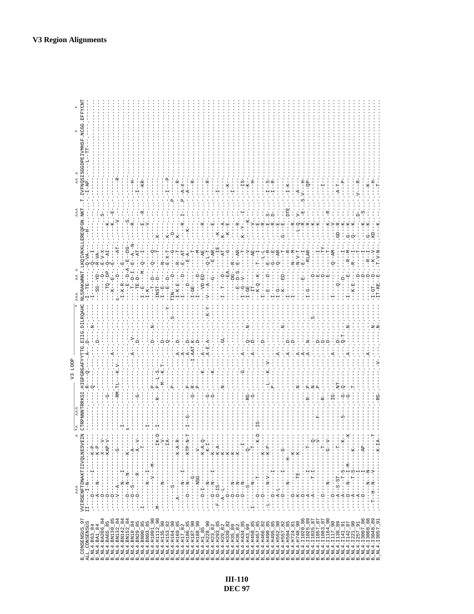|                                                                                                        | V3 LOOF<br>$\lambda$                                                                                                                         |                                                                                           |  |
|--------------------------------------------------------------------------------------------------------|----------------------------------------------------------------------------------------------------------------------------------------------|-------------------------------------------------------------------------------------------|--|
|                                                                                                        | CTRPNNNTRRKSI.HIGPGRGAFYYTTG.EIIG.DILRQAHC<br>Ā<br>VVIRSENFTDNAKTIIVQLNESVE                                                                  | IVFNQSISGGDPEIVMHSF.NCG-EFFYCNT<br>н<br>NLSRAKWNNT.LKQIVKKLLEREQFGN.NKT                   |  |
| 3_CONSENSUS_97<br>ALL_CONSENSUS                                                                        | .<br>-<br>-<br>ė<br>Ř<br>H                                                                                                                   | $-I - AP$<br>$-0-VA$<br>-187-                                                             |  |
| 84<br>4<br>$MT-4. B63 - 8$<br>$ML4$ . BA1                                                              | A.<br>਼<br>Ť<br>$\mathbf{I}$<br>$- -K - P$<br>$- -K - P$<br>Ť<br>$\frac{1}{1}$<br>$- - - - - - - - - - -$<br>п.<br>$\overline{a}$<br>ï<br>J, | $- R - VA$<br>$-9S - 2S -$                                                                |  |
|                                                                                                        | $-1-X$<br>$\frac{1}{1}$                                                                                                                      | ს<br>:<br>$-Y-X$<br>$-1$                                                                  |  |
|                                                                                                        | $--KAP-V$<br>$\frac{1}{1}$                                                                                                                   | $-41$<br>$-10 - 10 - 0$                                                                   |  |
|                                                                                                        | $-RM.T$<br>$\overset{1}{\circ}$<br>$\frac{1}{1}$<br>$\frac{1}{1}$<br>ì                                                                       | 뛱.<br>¥<br>- - K - - - E - - - - - E                                                      |  |
|                                                                                                        | $---N---I$<br>$-4$                                                                                                                           | $- R$<br>$-AT$<br>부<br>۹<br>$I - K - R$                                                   |  |
|                                                                                                        | $-K--$<br>ı<br>$-1 - 2 - 1 - 1 - 1$                                                                                                          | $-1 - 10$<br>$-$ -D $-A$<br>부                                                             |  |
|                                                                                                        | $-4-$<br>ı<br>I<br>$-1 - 5 - 5$                                                                                                              | $-11 -$<br>-T--D-I                                                                        |  |
|                                                                                                        | 먹<br>$-4 - 7$<br>$- R -$<br>$-1$                                                                                                             | -AT<br>$-TE-D$                                                                            |  |
|                                                                                                        | 턱                                                                                                                                            | -KR-<br>$\tilde{f}$<br>囯<br>٩<br>N-<br>- H<br>- I                                         |  |
|                                                                                                        | $-1 - 1 - 1 - 1$                                                                                                                             | $-K-$                                                                                     |  |
|                                                                                                        | $\frac{1}{1}$<br>$- -N - - -N -$<br>п<br>I<br>ı<br>J<br>$\mathbf{I}$<br>I                                                                    | $\circ$<br>j<br>٩                                                                         |  |
|                                                                                                        | Á<br>$L - S$<br>Ţ<br>는<br>-<br>-<br>$\frac{1}{\cdot}$<br>$- R -$<br>-- IK<br>$\tilde{a}$<br>п<br>I<br>$-1$<br>$-1$<br>$M - -$<br>1           | ķ<br>$\frac{1}{1}$<br>$-TNST - D$<br>덕<br>                                                |  |
|                                                                                                        | $---LA$                                                                                                                                      | م<br>ا<br>۲Ì.<br>$\ddot{x}$<br>$-X - 1$<br>م<br>۱                                         |  |
|                                                                                                        | $-5 -$<br>I                                                                                                                                  | $\frac{1}{1}$<br>ė<br>-NT.                                                                |  |
|                                                                                                        | $--K-A-R$<br>$\ddot{A}$                                                                                                                      | $- R$<br>-R----T<br>$I - K - E$                                                           |  |
|                                                                                                        | $\frac{1}{1}$                                                                                                                                | $P - A - X -$<br>$-E - -A T$<br>$\begin{array}{c}\n\hline\n\vdots \\ \hline\n\end{array}$ |  |
|                                                                                                        | ≏<br>¢<br>$--KTP-N$<br>$-1$ $-1$ $-1$<br>$\frac{1}{1}$                                                                                       | $-4-$<br>$-K-$<br>$- E - A$<br>$\frac{1}{1}$                                              |  |
|                                                                                                        | .AAT<br>먼<br>$\frac{1}{\sqrt{2}}$                                                                                                            | ř<br>-GE                                                                                  |  |
|                                                                                                        | $-1$<br>$-58H - -$                                                                                                                           | ؋<br>۱                                                                                    |  |
|                                                                                                        | $-4 - K - A - O$<br>ı<br>I<br>$\mathbf{I}$<br>Ť<br>$-1 - 1$<br>ı                                                                             | $-VD-ED$                                                                                  |  |
|                                                                                                        | -E.A<br>Ó<br>$-1 - K - 1$<br>п<br>?<br>⊺<br>I<br>ì<br>п                                                                                      | Ť<br>-0-1-0-<br>$-A-$                                                                     |  |
|                                                                                                        | ب<br>$- -K - -$<br>$\frac{1}{1}$<br>$- - \mathbf{N} - \mathbf{N} - \mathbf{I}$<br>$\overline{\phantom{a}}$                                   | $-E - AR$<br>$\frac{1}{2}$                                                                |  |
|                                                                                                        | $-K - A -$<br>$-F$ -D-IS-                                                                                                                    | ¥                                                                                         |  |
|                                                                                                        | ö<br>$-K--$<br>$-1 - A - -L -$                                                                                                               | $-41$<br>----------                                                                       |  |
|                                                                                                        | $-K--$<br>т<br>п<br>$\overline{a}$                                                                                                           | $-5$<br>면<br> <br> <br>¥<br>U<br>$-EB$                                                    |  |
|                                                                                                        | $-K--$<br>$\frac{1}{1}$<br>Ż<br> <br>$\frac{1}{1}$                                                                                           | ن<br>ף                                                                                    |  |
|                                                                                                        | $-K--$<br>$\frac{1}{1}$<br>Ż<br> <br>$-1$                                                                                                    | $-AR-$<br>뛰<br>$-1 - 5$<br>뛰                                                              |  |
|                                                                                                        | $\frac{1}{1}$<br>$-1$<br>$-1$<br>$\frac{1}{1}$                                                                                               | $-19$<br>ပု                                                                               |  |
|                                                                                                        | -RG<br>.<br>−T−<br>$-1$<br>$-1$ $-1$<br>$-5-$<br>п<br>п<br>п                                                                                 | ŧ<br>$-16$<br>Ë<br>뜅-                                                                     |  |
|                                                                                                        | ロー<br>I<br>------------                                                                                                                      |                                                                                           |  |
|                                                                                                        | $---K$<br>$-K--$<br>л<br>$\frac{1}{1}$                                                                                                       | ŕ<br>$-K-Q$ -K-                                                                           |  |
|                                                                                                        | $-K-P$<br>$-1 - N - N - 1$<br>ا<br>با                                                                                                        | $\frac{5}{1}$<br>w<br>림<br>٩<br>$\frac{1}{H}$                                             |  |
|                                                                                                        | $-1 - 1$<br>J.<br>$-1$                                                                                                                       | $- R$<br>Ą<br>더<br> <br>                                                                  |  |
|                                                                                                        | í<br>ı<br>$\frac{1}{1}$<br>л<br>$- -A - L - -$                                                                                               | $-4R$<br>÷                                                                                |  |
|                                                                                                        | $-1$<br>$\frac{1}{1}$                                                                                                                        | E<br>Ü<br>日中                                                                              |  |
|                                                                                                        | -- H -- --<br>I<br>$-1$<br>$-1$<br>$-1$<br>ţ<br>т                                                                                            | -I-K-<br>EL                                                                               |  |
|                                                                                                        | $-K-$<br>$\overline{a}$                                                                                                                      | $-1$ $-1$                                                                                 |  |
|                                                                                                        | -------------<br>$-K--$                                                                                                                      | $-4-$<br>5<br>ا<br>أ<br>$-5 - 5 - 5 - 5$                                                  |  |
|                                                                                                        | $\overline{a}$                                                                                                                               | $N = -11$<br>뛰<br>$\frac{1}{1}$<br>뛰<br>呁                                                 |  |
|                                                                                                        | z<br>$-$ R $-$<br>텃<br>$\frac{1}{1}$<br>$-4$                                                                                                 | ĝ<br>-RLAR-                                                                               |  |
|                                                                                                        | ု<br>$-1 - 1 -$<br>$-4$                                                                                                                      | $\overline{a}$                                                                            |  |
|                                                                                                        | 匠<br>ĩ                                                                                                                                       | 휴                                                                                         |  |
|                                                                                                        | Ú<br>$-R-$<br>$\frac{1}{1}$<br>J<br>$\frac{1}{1}$                                                                                            | Ť<br>Á,                                                                                   |  |
|                                                                                                        | <b>2-5-5-</b><br>$-1$<br>п                                                                                                                   | 뛰                                                                                         |  |
|                                                                                                        | $-10$<br>$\mathbf{I}$<br>i<br>$\frac{1}{1}$                                                                                                  | $-2 - 2M -$                                                                               |  |
|                                                                                                        | ŕ<br>$-125 - 8 - 8 - 1$                                                                                                                      | $-1 - A - T -$<br>ģ<br>؋                                                                  |  |
|                                                                                                        | ں<br>ن<br>ပု<br>U)<br>$-1$<br>$-1 - 5$<br>$- -A - -$                                                                                         | ؋<br>!                                                                                    |  |
|                                                                                                        | 먼                                                                                                                                            | ់ $\frac{1}{2}$<br>--R---M<br>뛰                                                           |  |
|                                                                                                        | -- K --<br>$-2 - 2 - 1 - 1 - 5 - 1$                                                                                                          | $\frac{1}{\alpha}$<br>$-K - E$                                                            |  |
|                                                                                                        | $-$ - $-$ - $ -$<br>$-4 - -$                                                                                                                 | $- - -R$<br>Ļ                                                                             |  |
| $-86$                                                                                                  | $--AP$ .<br>ï<br>$-1$ $-1$ $-1$<br>$-1$<br>п<br>$\frac{1}{1}$                                                                                | $\overline{R}$                                                                            |  |
| $\begin{array}{c} 8 & 0 & -1 \\ 0 & -1 & -1 \end{array}$<br>) INL4.I3008<br>- ML4.I3048<br>- ML4.I3057 |                                                                                                                                              | 中<br>-<br>$-1K$<br>Ŕ.<br>$\frac{1}{\mathbf{C}}$<br>Ï<br>57                                |  |
|                                                                                                        | $---K-TA$<br>п                                                                                                                               | Е<br>$T - V - N$<br>$T - KT$                                                              |  |
|                                                                                                        |                                                                                                                                              |                                                                                           |  |

 $III-110$ **DEC 97**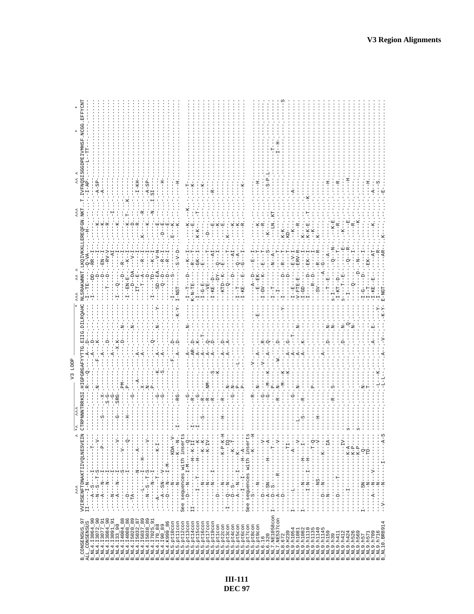|                                                                                                                                                                                                                                                                                                                                                        | くくく                                                                                                          | EOOE<br>$\frac{3}{2}$                         |          |                                        |                                     |                                                         |
|--------------------------------------------------------------------------------------------------------------------------------------------------------------------------------------------------------------------------------------------------------------------------------------------------------------------------------------------------------|--------------------------------------------------------------------------------------------------------------|-----------------------------------------------|----------|----------------------------------------|-------------------------------------|---------------------------------------------------------|
| CONSENSUS_97<br>മ്                                                                                                                                                                                                                                                                                                                                     | <b>NIR</b><br>VVIRSENFTDNAKTIIVQLNES                                                                         | CTRPNNNTRRKSI HIGPGRGAFYYTTG EI               | DILRQAHC |                                        | <b>JLSRAKWNNT.LKQIVKKLLEREQFGN</b>  | <b>LNOA HA</b><br>囯<br>IVFNQSISGGDPEIVMHSF.NCG-<br>.NKT |
|                                                                                                                                                                                                                                                                                                                                                        | ÷<br>т<br>п<br>$\frac{1}{4}$<br>$\frac{1}{1}$<br>$-1$ $-1$ $-1$<br>$11 -$<br>Ĵ,                              | $\ddot{A}$ .<br>ု<br>Ŗ                        |          | $-RRR - -$<br>$-0-VA$<br>$\frac{1}{1}$ |                                     | - I-AP                                                  |
|                                                                                                                                                                                                                                                                                                                                                        | $-1$<br>ŧ<br>п<br>$- - S - T - S -$<br>$-1$<br>$- -A - -N - -$<br>$\overline{a}$<br>$\frac{1}{1}$<br>ŧ       | Ą.<br>Ŀ<br>$-X -$<br>U)                       |          | Ą<br>Ĥ                                 | $-K$ .<br>×<br>!<br>$-EN = -$       | $- A - SP$<br>$-4$                                      |
|                                                                                                                                                                                                                                                                                                                                                        | J<br>$-1$<br>$-1$ $-1$<br>I<br>J<br>п                                                                        | $\frac{1}{2}$                                 |          | $\bar{D}_1^-$<br>텃                     | Ķ<br>$-RV - V$                      |                                                         |
|                                                                                                                                                                                                                                                                                                                                                        | ł<br>$-1$<br>י<br>ד<br>$\frac{1}{1}$<br>$-1$<br>$\frac{1}{1}$                                                | $\overline{c}$                                |          |                                        | $-41$                               |                                                         |
|                                                                                                                                                                                                                                                                                                                                                        | $---V - -$<br>$\frac{1}{1}$<br>$\overline{\phantom{a}}$<br>$-2$<br>$-1 - A - -N -$<br>ł<br>$\mathbf{I}$<br>ŧ | -PM-<br>SRG-<br>Ú                             |          | $-8 - -1$<br>$\frac{1}{1}$<br>ċ        | ×                                   |                                                         |
|                                                                                                                                                                                                                                                                                                                                                        | ı<br>ł<br>$\frac{1}{1}$<br>п.<br>Í<br>-1<br>f,<br>$-1 - T A$<br>$\frac{1}{\sqrt{2}}$<br>Í                    | ۹.                                            |          | $---K$<br>--<br>HH-                    | Ä<br>×<br>i<br>}                    |                                                         |
|                                                                                                                                                                                                                                                                                                                                                        | $- - A$<br>т<br>I<br>J<br>í<br>$\frac{1}{2}$<br>í<br>т                                                       | ب                                             |          | $---D--DA.$<br>$-1T - -E$              | α                                   | $-1 - KH$                                               |
|                                                                                                                                                                                                                                                                                                                                                        | $\frac{1}{1}$<br>ł<br>$\frac{1}{1}$<br>ł                                                                     |                                               |          | $- R$<br>$-T--A-.$                     | ×<br>Ï                              | ř                                                       |
|                                                                                                                                                                                                                                                                                                                                                        | ٠<br>ı<br>٠<br>ł<br>$-1 - 5 - 1 - 5 - 5$<br>ł                                                                | ą                                             |          | $\frac{1}{1}$                          | ×<br>$\frac{1}{1}$                  | $- A - SP$                                              |
|                                                                                                                                                                                                                                                                                                                                                        | $\mathbf{I}$<br>ł<br>$-1 - 1 - 1 - 1$<br>$-1$<br>ł                                                           |                                               |          | $-1$ TD-                               |                                     | $-15$ .                                                 |
|                                                                                                                                                                                                                                                                                                                                                        | $-1 - K -$<br>J.<br>J.<br>I<br>I<br>$\frac{1}{1}$<br>$- - - - - - -$                                         | ゥ                                             |          | ř<br>$-SD = -EA$<br>$\frac{1}{1}$<br>ó | 甲<br>囸<br>$\frac{1}{1}$<br>$-7 - N$ | -<br>-<br>-<br>-                                        |
|                                                                                                                                                                                                                                                                                                                                                        | $\frac{1}{2}$                                                                                                |                                               |          |                                        |                                     |                                                         |
|                                                                                                                                                                                                                                                                                                                                                        | I<br>п<br>п<br>п                                                                                             |                                               |          | ù                                      | 벽                                   |                                                         |
|                                                                                                                                                                                                                                                                                                                                                        | with inse<br>-K--<br>$\frac{1}{7}$<br>See                                                                    | RG                                            |          | $-$ NST                                | $S-V-D$                             | 푸                                                       |
|                                                                                                                                                                                                                                                                                                                                                        | ł.<br>sequences<br>п<br>п                                                                                    | $\overset{+}{\circ}$                          |          | י<br>ד                                 | $-5$<br>--X--1                      | Н                                                       |
|                                                                                                                                                                                                                                                                                                                                                        | $- -H - -K - I$<br>$\frac{1}{1}$<br>I<br>I<br>$-11$                                                          | Ř                                             |          | $-R = - -$<br>$K - N - TE -$           | - H<br>-<br>н                       | $-5$                                                    |
|                                                                                                                                                                                                                                                                                                                                                        | 푸<br>$-1$ – $T$ – –<br>Ť                                                                                     | ひ                                             |          | $-$ GK                                 | $K - K$                             |                                                         |
|                                                                                                                                                                                                                                                                                                                                                        | $-5k$<br>$\frac{1}{1}$<br>п<br>$-1$<br>$-1$<br>$-1$<br>ł                                                     | $\mathbb{A}^-$<br>$\frac{1}{\sqrt{2}}$<br>ပ္ပ |          | 뛰<br>$-I - G - E -$                    |                                     | $-5$                                                    |
|                                                                                                                                                                                                                                                                                                                                                        | $-1 - K - I$<br>I<br>I<br>I<br>п<br>п<br>$- - - - - - - - - - - -$<br>I<br>ı<br>ı                            | $-$ . NM $-$<br>α                             |          | EA-                                    | $\frac{1}{1}$<br>턱                  |                                                         |
|                                                                                                                                                                                                                                                                                                                                                        | I.<br>$\frac{1}{1}$<br>$- - -N - -1$<br>-<br>-1                                                              |                                               |          | À<br>¦<br>$-KE$                        | $-AA$                               | $-R-$                                                   |
|                                                                                                                                                                                                                                                                                                                                                        | ؋<br>۱                                                                                                       |                                               |          | $\circ$<br>-DY                         |                                     |                                                         |
|                                                                                                                                                                                                                                                                                                                                                        | $-4-X--$<br>п<br>$\frac{1}{1}$<br>п<br>I<br>1<br>л                                                           | Ŗ                                             |          | $-KTD - K$                             | 뛰                                   |                                                         |
|                                                                                                                                                                                                                                                                                                                                                        | I<br>$-7$<br>$-1$ - $-0$                                                                                     | z                                             |          | O                                      |                                     |                                                         |
|                                                                                                                                                                                                                                                                                                                                                        | $-16$<br>-k-<br>$-1 - 1 - -1 -$<br>$-5 -$<br>$-4 - -$<br>م<br>۱<br>п                                         | ¤<br>⇒<br>д                                   |          | ò<br>Ŗ<br>f<br>1                       | --AI<br>$-4$                        |                                                         |
|                                                                                                                                                                                                                                                                                                                                                        | $-4 - H - H -$<br>ı<br>$-1 - 1 - -1 - 1 -$<br>٠<br>л                                                         |                                               |          | ပု<br>中!<br>FX-                        |                                     | $-K-$                                                   |
|                                                                                                                                                                                                                                                                                                                                                        | sequences with inse<br>see<br>See                                                                            |                                               |          |                                        |                                     |                                                         |
|                                                                                                                                                                                                                                                                                                                                                        | ÷<br>¥<br>$\overline{\phantom{a}}$<br>$\overline{\phantom{a}}$<br>U)<br>L.<br>$\overline{\phantom{a}}$       |                                               |          | 中!<br>$-4$ -D <sup>-</sup>             |                                     |                                                         |
|                                                                                                                                                                                                                                                                                                                                                        | ı<br>I<br>٠<br>٠                                                                                             | z<br>i                                        |          | $---$ EK<br>뚜                          |                                     | Ŧ                                                       |
|                                                                                                                                                                                                                                                                                                                                                        | I<br>$--- -1$<br>-1<br>J<br>$\frac{1}{1}$<br>ı                                                               | .<br>ს<br>1                                   |          | $\frac{1}{2}$<br>¥<br>$\widetilde{c}$  | F<br>부                              |                                                         |
|                                                                                                                                                                                                                                                                                                                                                        | ÷<br>$-H$ –<br>1<br>J<br>$-5 -$<br>Ā,<br>؋<br>۱<br>$\frac{1}{1}$<br>$\frac{1}{1}$                            | ー<br>コー・ロー<br>Ą                               |          | $A - N - A$<br>י<br>י                  | $-11$<br>w                          | $\frac{p}{q}$                                           |
|                                                                                                                                                                                                                                                                                                                                                        | ł<br>٠<br>I<br>$- -A - -$<br>ı<br>ı                                                                          | ™<br>T<br>$\overline{R}$ .                    |          | 7                                      | н                                   | H<br>-                                                  |
|                                                                                                                                                                                                                                                                                                                                                        | ł<br>$\overline{\phantom{a}}$<br>$\frac{1}{1}$<br>$\mathbf{I}$                                               |                                               |          | $-R-$                                  | $K - K$                             |                                                         |
| B_NL7.NE537con<br>B_NL8.672<br>B_NL9.H239<br>B_NL9.h1054                                                                                                                                                                                                                                                                                               | 11<br>-----<br>I<br>п<br>п<br>ı                                                                              |                                               |          |                                        | $-CD$                               |                                                         |
|                                                                                                                                                                                                                                                                                                                                                        | $-4-$<br>1<br>--1--<br>J.<br>$\frac{1}{1}$<br>Н                                                              | $-5-$                                         |          | 中!                                     | $-1$<br>$-E - V - I$                | $-A-$                                                   |
|                                                                                                                                                                                                                                                                                                                                                        | $\mathbf{I}$<br>$\overline{\phantom{a}}$<br>I<br>J<br>$\frac{1}{2}$<br>I<br>п<br>$\mathbf{I}$<br>Н           | Ŵ                                             |          | $-FTE-E$<br>ė                          | ×<br>$-ERV - R$                     |                                                         |
|                                                                                                                                                                                                                                                                                                                                                        | Ŧ<br>J<br>İ<br>$-1 - 1 - N -$<br>1<br>j.                                                                     |                                               |          | .-EK--<br>$\frac{1}{1}$                | $K - K - E$                         |                                                         |
| $\frac{B\_{NLS}}{B\_{NLS}}$ , h.1081<br>B_NL9. h.1082<br>B_NL9. h.1110<br>B_NL9. h.11135                                                                                                                                                                                                                                                               | ÷                                                                                                            |                                               |          | --R---D                                |                                     |                                                         |
|                                                                                                                                                                                                                                                                                                                                                        | ı<br>ł<br>$--MS$<br>ł<br>ı<br>٠                                                                              |                                               |          | $-R-$<br>$-5V$                         | $- - R$                             |                                                         |
|                                                                                                                                                                                                                                                                                                                                                        | $-K--$<br>п<br>$-1$ - $-1$ $-1$ $-1$ $-1$<br>I                                                               |                                               |          | $\frac{1}{2}$                          |                                     |                                                         |
| B_ML9.h1140<br>B_ML9.h1145<br>B_ML9.h159<br>  NL9.h1145<br>  NL9.h159<br>  NL9.h39                                                                                                                                                                                                                                                                     | T<br>Ż                                                                                                       |                                               |          |                                        |                                     | Ŧ                                                       |
| ררים<br>ממ                                                                                                                                                                                                                                                                                                                                             |                                                                                                              |                                               |          | $\frac{1}{\alpha}$                     | $-3 - 7 - -$                        |                                                         |
| ML9.h411                                                                                                                                                                                                                                                                                                                                               | п<br>п<br>$-1$<br>$-1$<br>I                                                                                  |                                               |          | $-KT$                                  | $--R$                               | $\widetilde{\mathcal{F}}$                               |
| NL9.h412                                                                                                                                                                                                                                                                                                                                               | $\overline{\phantom{a}}$                                                                                     |                                               |          |                                        | J,<br>- H<br>- I                    |                                                         |
|                                                                                                                                                                                                                                                                                                                                                        | $- -K - A -$<br>Ţ                                                                                            |                                               |          |                                        | $\overline{R}$                      | Ŧ                                                       |
| B_NL9.h424<br>B_NL9.h526<br>B_NL9.h569                                                                                                                                                                                                                                                                                                                 | $-4-X$<br>$-$ = $K$ – $P$ –<br>ı                                                                             |                                               |          | Ż<br>!<br>Ō                            |                                     |                                                         |
|                                                                                                                                                                                                                                                                                                                                                        | $\frac{1}{\sqrt{2}}$<br>$-$ SN-                                                                              |                                               |          | $\frac{1}{\sqrt{2}}$                   |                                     |                                                         |
|                                                                                                                                                                                                                                                                                                                                                        | ę<br>J<br>주                                                                                                  |                                               |          | ٢                                      |                                     | 푸                                                       |
|                                                                                                                                                                                                                                                                                                                                                        | ٠                                                                                                            |                                               |          | -KE                                    |                                     | $\overline{A}$                                          |
| 4<br>51<br>$\begin{array}{l} \hbox{B\,\rule{0pt}{2.5pt}1pt} \hbox{0pt} \, 0.157 \\ \hbox{B\,\rule{0pt}{2.5pt}1pt} \, 0.1571 \\ \hbox{B\,\rule{0pt}{2.5pt}1pt} \, 0.1571 \\ \hbox{B\,\rule{0pt}{2.5pt}1pt} \, 0.1572 \\ \hbox{B\,\rule{0pt}{2.5pt}1pt} \, 0.1571 \\ \hbox{B\,\rule{0pt}{2.5pt}1pt} \, 0.1716 \\ \hbox{B\,\rule{0pt}{2.5pt}1pt} \, 0.17$ | $\frac{1}{1}$<br>$\frac{1}{1}$<br>$\frac{1}{2}$<br>Ŧ<br>J<br>$\frac{1}{1}$<br>$-Y-$                          |                                               |          |                                        |                                     |                                                         |
|                                                                                                                                                                                                                                                                                                                                                        |                                                                                                              |                                               |          |                                        |                                     |                                                         |

 $III-111$ **DEC 97**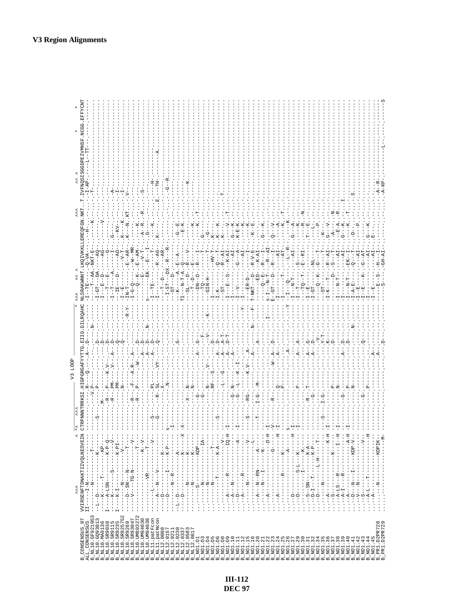| -A<br>$-5 - -R$<br>$---K$<br>--I-AP<br>宇<br>!<br>$-1$<br>$\frac{5}{1}$<br>$-4 -$<br>ć<br>NLSRAKWNNT.LKQIVKKLLEREQFGN.NKT<br>$K\!-\!-\!N$ . $KT$<br>$-4-7$ -R.<br>$\frac{1}{1}$<br>주<br>$---K.$<br>$K---K$ .<br>- -K.<br>$-\overline{R}$ .<br>$-XN-$<br>$---K$<br>¥<br>$T---E$<br>-- - 7<br>퍼<br>- 5-<br>$K - E - K$<br>$-K--E$<br>$G---K$<br>д<br>$- E - A$<br>-- - K<br>$---E-K$<br>$---K$<br>$---K$<br>$-1$<br>$---K$<br>7<br> <br> <br>$G---K$<br>ŧ<br>Ţ<br>f<br>Ť<br>ŧ<br>ł<br>$-$<br>İ<br>$-K-$<br>$-A-$<br>$\frac{1}{6}$<br>မ္<br>ł<br>$\frac{1}{\mathbf{C}}$<br>ł<br>υ<br>$-40$<br>$-W - MR$<br>$-4A$ . $-NKT - E -$<br>$-I-ST---DX. -R---R$<br>$-4-1-4-$<br>$-1A-$<br>$-R = -AT$<br>--I---R<br>$-40$<br>$- -K - - = - - AM -$<br>$- R - - A G$<br>ن<br>!<br>$-AA$<br>$--AR$<br>÷.<br>-AT-<br>$-9--1$<br>$-$ R $-V$ $E$<br>$-1$<br>$R - - A I$<br>$-R$ --AI<br>$-40 - 12$<br>$T - \Lambda -$<br>$-1-\Lambda-\mathbb{T}$<br>י<br>י<br>$L-MH-$<br>$-1$ - $-0$<br>$-4A$<br>Ī<br>$- - A I$<br>$-41$<br>$-K- A1$<br>$-X$<br>$\frac{1}{1}$<br>- - AI<br>$-9 - -9 -$<br>$-4$<br>$-4$<br>$-$ EK--<br>$-NTI$<br>$\frac{\alpha}{1}$<br>덕<br>-<br>$---A. -E$<br>J.<br>ں<br>ا<br>S<br>$---D---R$<br>덕<br>-<br>$-N-T-A$ . -<br>$-ER -$<br>Ì<br>$-DDA$<br>$-1 - Q - -K -$<br>$\frac{1}{1}$<br>$-5T$ --D<br>؋<br>۱<br>$-DM--D$<br>؋<br>۱<br>급<br>- 비<br>ŧ<br>뛰<br>囸<br>$-2$<br>田<br>- 10<br>Ĥ<br>۹<br>ا<br>$-1$<br>$-1$<br>¥<br>$H - M I D -$<br>$---ER-D$<br>T-N-T<br>$-501 -$<br>$-1$<br>$- N - T$<br>-7-T<br>$\mathbf{I}$<br>$\frac{1}{2} - \frac{1}{2} - \frac{1}{2}$<br>Ed-<br>י<br>ו<br>$-1 - 1 - 1 -$<br>면<br> <br> <br>$-1$<br>中!<br>$\frac{1}{1}$<br>$-A-E$<br>5Ī<br>텃<br>$-K-1$<br>$-7$<br>$T-MKT$<br>5<br>면<br> <br>$\frac{1}{2}$<br>$-1E$<br>$-1$<br>TN-T<br>5,<br>55-<br>$-ST$<br>뛰<br>뛰<br>뛰<br>$1 - K$<br>$\mathbf{I}$<br>т<br>H<br>ω<br>$-R - Y$<br>ţ<br>$Y-T$<br>d.<br>i<br>؋<br>۰<br>$-4.$<br>$-$ . A $-$<br>$\ddot{A}$<br>$-4$<br>$-4.$<br>$\ddot{A}$<br>$-4$<br>$-18$<br>VY-<br>$- -K$ . $-I$<br>$- -A \cdot R$<br>$\frac{1}{2}$<br>$ K$ .<br>Ò<br>$- P M -$<br>PM-<br>÷<br>$-19L -$<br>$-$ RF $-$<br>$-5$<br>$\frac{1}{1}$<br>中<br>-<br>1<br>51<br>$-$ . R<br>$\circ$<br>ρ<br>$\frac{1}{\sqrt{2}}$<br>z<br>İ<br>и<br>-9-<br>$\overline{v}$ .<br>È<br>$-5 - 1 - 1$<br>$-5 - 1 - 1$<br>$-RG-$<br>$\ddot{R}$<br>먹<br>$-R-$<br>¢<br>$\blacksquare$<br>Φ<br>ب<br>$-R-$<br>$-\mathbb{R}$<br>$\dot{R}$<br>S<br>Ŵ<br>U<br>S<br>S<br>S<br>J,<br>$\frac{1}{1}$<br>$- X^-$<br>1<br>÷<br>í<br>٢<br>ÜΩ<br>ÜΩ<br>$- - - - - - - -$<br>H-------<br>$---X - H$<br>$H--T--T$<br>H-------<br>$H - 1 - 1 - 1 - 1$<br>H---------<br>$-----$<br>$-4 - -1$<br>$-1 - 1 - 1 - 1 - 1 - 1$<br>$-1$<br>$---EA$<br>$\frac{1}{1}$<br>ł<br>$-1$<br>$----1 - -K - -V -$<br>$      -$<br>$-1$<br>---------------<br>$-1 - 1 - 1 -$<br>$----1$<br>$\frac{1}{1}$<br>$-1$<br>$---X---$<br>$-$ KDP $-$<br>-- T -- - - - - - - - K - A - -<br>$- -K - A - -$<br>Ť<br>Í<br>$\frac{1}{1}$<br>$--- -K - - - - - -$<br>$-9 - -$<br>1<br>$\frac{1}{4}$<br>$\frac{1}{1}$<br>$\frac{1}{1}$<br>$\overline{\phantom{a}}$<br>$\frac{1}{1}$<br>ł<br>$\frac{1}{2}$<br>t<br>$\frac{1}{1}$<br>$\mathbf{I}$<br>п<br>ţ<br>-1<br>$\mathbf{I}$<br>ł<br>ł<br>Í<br>$\overline{1}$<br>I.<br>$\frac{1}{1}$<br>J.<br>$\mathbf{I}$<br>т<br>$\blacksquare$<br>$\mathbf{I}$<br>$\mathbf{I}$<br>$\overline{\phantom{a}}$<br>$\overline{1}$<br>$\mathbf{I}$<br>т<br>$\mathbf{I}$<br>$\mathbf{I}$<br>1<br>ï.<br>ï<br>$\mathsf I$<br>I<br>I<br>$\mathsf I$<br>$\overline{\phantom{a}}$<br>$\mathsf I$<br>I<br>-1<br>ı<br>$- - - - - - - - - - - - - - -$<br>$- - - - - - - - - - - - -$<br>ļ<br>$---27R - 1 - 1 = 0$<br>$\frac{1}{1}$<br>$\frac{1}{1}$<br>I<br>$\frac{1}{1}$<br>ł<br>1<br>$\frac{1}{1}$<br>$\begin{array}{c} \n\cdot & \cdot \\ \n\cdot & \cdot \\ \n\cdot & \cdot \n\end{array}$<br>$\mathbf{I}$<br>Ť<br>Í<br>I.<br>I<br>т<br>$\blacksquare$<br>$\overline{\phantom{a}}$<br>1<br>$\frac{1}{1}$<br>J.<br>j<br>$\mathsf I$<br>ţ<br>-1<br>$\frac{1}{1}$<br>$\frac{1}{1}$<br>$\frac{1}{1}$<br>$\frac{1}{1}$ | くくく                        | V3 LOOP<br>$\hat{*}$<br>≺                  | くくく |                                      |
|--------------------------------------------------------------------------------------------------------------------------------------------------------------------------------------------------------------------------------------------------------------------------------------------------------------------------------------------------------------------------------------------------------------------------------------------------------------------------------------------------------------------------------------------------------------------------------------------------------------------------------------------------------------------------------------------------------------------------------------------------------------------------------------------------------------------------------------------------------------------------------------------------------------------------------------------------------------------------------------------------------------------------------------------------------------------------------------------------------------------------------------------------------------------------------------------------------------------------------------------------------------------------------------------------------------------------------------------------------------------------------------------------------------------------------------------------------------------------------------------------------------------------------------------------------------------------------------------------------------------------------------------------------------------------------------------------------------------------------------------------------------------------------------------------------------------------------------------------------------------------------------------------------------------------------------------------------------------------------------------------------------------------------------------------------------------------------------------------------------------------------------------------------------------------------------------------------------------------------------------------------------------------------------------------------------------------------------------------------------------------------------------------------------------------------------------------------------------------------------------------------------------------------------------------------------------------------------------------------------------------------------------------------------------------------------------------------------------------------------------------------------------------------------------------------------------------------------------------------------------------------------------------------------------------------------------------------------------------------------------------------------------------------------------------------------------------------------------------------------------------------------------------------------------------------------------------------------------------------------------------------------------------------------------------------------------------------------------------------------------------------------------------------------------------------------------------------------------------------------------------------------------------------------------------------------------------------------------------------------------------------------------------------------------------------------------------------------------------------------------------------------------------------------------------------------------------------------------------------------------------------------------------------------------------------------------------------------------------------------------------------------------------------------------------------------------|----------------------------|--------------------------------------------|-----|--------------------------------------|
|                                                                                                                                                                                                                                                                                                                                                                                                                                                                                                                                                                                                                                                                                                                                                                                                                                                                                                                                                                                                                                                                                                                                                                                                                                                                                                                                                                                                                                                                                                                                                                                                                                                                                                                                                                                                                                                                                                                                                                                                                                                                                                                                                                                                                                                                                                                                                                                                                                                                                                                                                                                                                                                                                                                                                                                                                                                                                                                                                                                                                                                                                                                                                                                                                                                                                                                                                                                                                                                                                                                                                                                                                                                                                                                                                                                                                                                                                                                                                                                                                                                                    | VVIRSENFTDNAKTIIVQLNESVEIN | CTRPNNNTRRKSI.HIGPGRGAFYYTTG.EIIG.DILRQAHC |     | T. IVFNQSISCGENTIVMESF. NCGC. EFYCHT |
|                                                                                                                                                                                                                                                                                                                                                                                                                                                                                                                                                                                                                                                                                                                                                                                                                                                                                                                                                                                                                                                                                                                                                                                                                                                                                                                                                                                                                                                                                                                                                                                                                                                                                                                                                                                                                                                                                                                                                                                                                                                                                                                                                                                                                                                                                                                                                                                                                                                                                                                                                                                                                                                                                                                                                                                                                                                                                                                                                                                                                                                                                                                                                                                                                                                                                                                                                                                                                                                                                                                                                                                                                                                                                                                                                                                                                                                                                                                                                                                                                                                                    |                            |                                            |     |                                      |
|                                                                                                                                                                                                                                                                                                                                                                                                                                                                                                                                                                                                                                                                                                                                                                                                                                                                                                                                                                                                                                                                                                                                                                                                                                                                                                                                                                                                                                                                                                                                                                                                                                                                                                                                                                                                                                                                                                                                                                                                                                                                                                                                                                                                                                                                                                                                                                                                                                                                                                                                                                                                                                                                                                                                                                                                                                                                                                                                                                                                                                                                                                                                                                                                                                                                                                                                                                                                                                                                                                                                                                                                                                                                                                                                                                                                                                                                                                                                                                                                                                                                    |                            |                                            |     |                                      |
|                                                                                                                                                                                                                                                                                                                                                                                                                                                                                                                                                                                                                                                                                                                                                                                                                                                                                                                                                                                                                                                                                                                                                                                                                                                                                                                                                                                                                                                                                                                                                                                                                                                                                                                                                                                                                                                                                                                                                                                                                                                                                                                                                                                                                                                                                                                                                                                                                                                                                                                                                                                                                                                                                                                                                                                                                                                                                                                                                                                                                                                                                                                                                                                                                                                                                                                                                                                                                                                                                                                                                                                                                                                                                                                                                                                                                                                                                                                                                                                                                                                                    |                            |                                            |     |                                      |
|                                                                                                                                                                                                                                                                                                                                                                                                                                                                                                                                                                                                                                                                                                                                                                                                                                                                                                                                                                                                                                                                                                                                                                                                                                                                                                                                                                                                                                                                                                                                                                                                                                                                                                                                                                                                                                                                                                                                                                                                                                                                                                                                                                                                                                                                                                                                                                                                                                                                                                                                                                                                                                                                                                                                                                                                                                                                                                                                                                                                                                                                                                                                                                                                                                                                                                                                                                                                                                                                                                                                                                                                                                                                                                                                                                                                                                                                                                                                                                                                                                                                    |                            |                                            |     |                                      |
|                                                                                                                                                                                                                                                                                                                                                                                                                                                                                                                                                                                                                                                                                                                                                                                                                                                                                                                                                                                                                                                                                                                                                                                                                                                                                                                                                                                                                                                                                                                                                                                                                                                                                                                                                                                                                                                                                                                                                                                                                                                                                                                                                                                                                                                                                                                                                                                                                                                                                                                                                                                                                                                                                                                                                                                                                                                                                                                                                                                                                                                                                                                                                                                                                                                                                                                                                                                                                                                                                                                                                                                                                                                                                                                                                                                                                                                                                                                                                                                                                                                                    |                            |                                            |     |                                      |
|                                                                                                                                                                                                                                                                                                                                                                                                                                                                                                                                                                                                                                                                                                                                                                                                                                                                                                                                                                                                                                                                                                                                                                                                                                                                                                                                                                                                                                                                                                                                                                                                                                                                                                                                                                                                                                                                                                                                                                                                                                                                                                                                                                                                                                                                                                                                                                                                                                                                                                                                                                                                                                                                                                                                                                                                                                                                                                                                                                                                                                                                                                                                                                                                                                                                                                                                                                                                                                                                                                                                                                                                                                                                                                                                                                                                                                                                                                                                                                                                                                                                    |                            |                                            |     |                                      |
|                                                                                                                                                                                                                                                                                                                                                                                                                                                                                                                                                                                                                                                                                                                                                                                                                                                                                                                                                                                                                                                                                                                                                                                                                                                                                                                                                                                                                                                                                                                                                                                                                                                                                                                                                                                                                                                                                                                                                                                                                                                                                                                                                                                                                                                                                                                                                                                                                                                                                                                                                                                                                                                                                                                                                                                                                                                                                                                                                                                                                                                                                                                                                                                                                                                                                                                                                                                                                                                                                                                                                                                                                                                                                                                                                                                                                                                                                                                                                                                                                                                                    |                            |                                            |     |                                      |
|                                                                                                                                                                                                                                                                                                                                                                                                                                                                                                                                                                                                                                                                                                                                                                                                                                                                                                                                                                                                                                                                                                                                                                                                                                                                                                                                                                                                                                                                                                                                                                                                                                                                                                                                                                                                                                                                                                                                                                                                                                                                                                                                                                                                                                                                                                                                                                                                                                                                                                                                                                                                                                                                                                                                                                                                                                                                                                                                                                                                                                                                                                                                                                                                                                                                                                                                                                                                                                                                                                                                                                                                                                                                                                                                                                                                                                                                                                                                                                                                                                                                    |                            |                                            |     |                                      |
|                                                                                                                                                                                                                                                                                                                                                                                                                                                                                                                                                                                                                                                                                                                                                                                                                                                                                                                                                                                                                                                                                                                                                                                                                                                                                                                                                                                                                                                                                                                                                                                                                                                                                                                                                                                                                                                                                                                                                                                                                                                                                                                                                                                                                                                                                                                                                                                                                                                                                                                                                                                                                                                                                                                                                                                                                                                                                                                                                                                                                                                                                                                                                                                                                                                                                                                                                                                                                                                                                                                                                                                                                                                                                                                                                                                                                                                                                                                                                                                                                                                                    |                            |                                            |     |                                      |
|                                                                                                                                                                                                                                                                                                                                                                                                                                                                                                                                                                                                                                                                                                                                                                                                                                                                                                                                                                                                                                                                                                                                                                                                                                                                                                                                                                                                                                                                                                                                                                                                                                                                                                                                                                                                                                                                                                                                                                                                                                                                                                                                                                                                                                                                                                                                                                                                                                                                                                                                                                                                                                                                                                                                                                                                                                                                                                                                                                                                                                                                                                                                                                                                                                                                                                                                                                                                                                                                                                                                                                                                                                                                                                                                                                                                                                                                                                                                                                                                                                                                    |                            |                                            |     |                                      |
|                                                                                                                                                                                                                                                                                                                                                                                                                                                                                                                                                                                                                                                                                                                                                                                                                                                                                                                                                                                                                                                                                                                                                                                                                                                                                                                                                                                                                                                                                                                                                                                                                                                                                                                                                                                                                                                                                                                                                                                                                                                                                                                                                                                                                                                                                                                                                                                                                                                                                                                                                                                                                                                                                                                                                                                                                                                                                                                                                                                                                                                                                                                                                                                                                                                                                                                                                                                                                                                                                                                                                                                                                                                                                                                                                                                                                                                                                                                                                                                                                                                                    |                            |                                            |     |                                      |
|                                                                                                                                                                                                                                                                                                                                                                                                                                                                                                                                                                                                                                                                                                                                                                                                                                                                                                                                                                                                                                                                                                                                                                                                                                                                                                                                                                                                                                                                                                                                                                                                                                                                                                                                                                                                                                                                                                                                                                                                                                                                                                                                                                                                                                                                                                                                                                                                                                                                                                                                                                                                                                                                                                                                                                                                                                                                                                                                                                                                                                                                                                                                                                                                                                                                                                                                                                                                                                                                                                                                                                                                                                                                                                                                                                                                                                                                                                                                                                                                                                                                    |                            |                                            |     |                                      |
|                                                                                                                                                                                                                                                                                                                                                                                                                                                                                                                                                                                                                                                                                                                                                                                                                                                                                                                                                                                                                                                                                                                                                                                                                                                                                                                                                                                                                                                                                                                                                                                                                                                                                                                                                                                                                                                                                                                                                                                                                                                                                                                                                                                                                                                                                                                                                                                                                                                                                                                                                                                                                                                                                                                                                                                                                                                                                                                                                                                                                                                                                                                                                                                                                                                                                                                                                                                                                                                                                                                                                                                                                                                                                                                                                                                                                                                                                                                                                                                                                                                                    |                            |                                            |     |                                      |
| $-1$ $-1$ $-1$ $-1$ $-1$ $-1$ $-1$<br>$-1$ - $-1$ - $-1$                                                                                                                                                                                                                                                                                                                                                                                                                                                                                                                                                                                                                                                                                                                                                                                                                                                                                                                                                                                                                                                                                                                                                                                                                                                                                                                                                                                                                                                                                                                                                                                                                                                                                                                                                                                                                                                                                                                                                                                                                                                                                                                                                                                                                                                                                                                                                                                                                                                                                                                                                                                                                                                                                                                                                                                                                                                                                                                                                                                                                                                                                                                                                                                                                                                                                                                                                                                                                                                                                                                                                                                                                                                                                                                                                                                                                                                                                                                                                                                                           |                            |                                            |     |                                      |
|                                                                                                                                                                                                                                                                                                                                                                                                                                                                                                                                                                                                                                                                                                                                                                                                                                                                                                                                                                                                                                                                                                                                                                                                                                                                                                                                                                                                                                                                                                                                                                                                                                                                                                                                                                                                                                                                                                                                                                                                                                                                                                                                                                                                                                                                                                                                                                                                                                                                                                                                                                                                                                                                                                                                                                                                                                                                                                                                                                                                                                                                                                                                                                                                                                                                                                                                                                                                                                                                                                                                                                                                                                                                                                                                                                                                                                                                                                                                                                                                                                                                    |                            |                                            |     |                                      |
| $H - Q -$<br>$-$ - $-$ - $-$ - $-$ - $-$ - $-$ - $-$ - $-$ - $-$ - $-$ - $-$ - $-$ - $-$ - $-$ - $-$ - $-$ - $-$ - $-$ - $-$ - $-$ - $-$ - $-$ - $-$ - $-$ - $-$ - $-$ - $-$ - $-$ - $-$ - $-$ - $-$ - $-$ - $-$ - $-$ - $-$ - $-$ - $-$ -<br>$S------------K----$<br>$- - - - - - - - - - - - - - - - - - - -$<br>----------<br>$\frac{1}{2}$ . $\frac{1}{2}$ - $\frac{1}{2}$ - $\frac{1}{2}$ - $\frac{1}{2}$ - $\frac{1}{2}$ - $\frac{1}{2}$<br>$- - -N - - - -$<br>$- -1 - -1 - -1 - -1 -$<br>$-1 - 5 - -$<br>$-1$<br>$-1$<br>$-1$<br>$- -N - - - - - - - - -$<br>$\frac{1}{1}$<br>$-4 - 2$<br>$-4 - 2$<br>$\frac{1}{1}$<br>$\frac{1}{1}$                                                                                                                                                                                                                                                                                                                                                                                                                                                                                                                                                                                                                                                                                                                                                                                                                                                                                                                                                                                                                                                                                                                                                                                                                                                                                                                                                                                                                                                                                                                                                                                                                                                                                                                                                                                                                                                                                                                                                                                                                                                                                                                                                                                                                                                                                                                                                                                                                                                                                                                                                                                                                                                                                                                                                                                                                                                                                                                                                                                                                                                                                                                                                                                                                                                                                                                                                                                                                       |                            |                                            |     |                                      |
|                                                                                                                                                                                                                                                                                                                                                                                                                                                                                                                                                                                                                                                                                                                                                                                                                                                                                                                                                                                                                                                                                                                                                                                                                                                                                                                                                                                                                                                                                                                                                                                                                                                                                                                                                                                                                                                                                                                                                                                                                                                                                                                                                                                                                                                                                                                                                                                                                                                                                                                                                                                                                                                                                                                                                                                                                                                                                                                                                                                                                                                                                                                                                                                                                                                                                                                                                                                                                                                                                                                                                                                                                                                                                                                                                                                                                                                                                                                                                                                                                                                                    |                            |                                            |     |                                      |
|                                                                                                                                                                                                                                                                                                                                                                                                                                                                                                                                                                                                                                                                                                                                                                                                                                                                                                                                                                                                                                                                                                                                                                                                                                                                                                                                                                                                                                                                                                                                                                                                                                                                                                                                                                                                                                                                                                                                                                                                                                                                                                                                                                                                                                                                                                                                                                                                                                                                                                                                                                                                                                                                                                                                                                                                                                                                                                                                                                                                                                                                                                                                                                                                                                                                                                                                                                                                                                                                                                                                                                                                                                                                                                                                                                                                                                                                                                                                                                                                                                                                    |                            |                                            |     |                                      |
|                                                                                                                                                                                                                                                                                                                                                                                                                                                                                                                                                                                                                                                                                                                                                                                                                                                                                                                                                                                                                                                                                                                                                                                                                                                                                                                                                                                                                                                                                                                                                                                                                                                                                                                                                                                                                                                                                                                                                                                                                                                                                                                                                                                                                                                                                                                                                                                                                                                                                                                                                                                                                                                                                                                                                                                                                                                                                                                                                                                                                                                                                                                                                                                                                                                                                                                                                                                                                                                                                                                                                                                                                                                                                                                                                                                                                                                                                                                                                                                                                                                                    |                            |                                            |     |                                      |
|                                                                                                                                                                                                                                                                                                                                                                                                                                                                                                                                                                                                                                                                                                                                                                                                                                                                                                                                                                                                                                                                                                                                                                                                                                                                                                                                                                                                                                                                                                                                                                                                                                                                                                                                                                                                                                                                                                                                                                                                                                                                                                                                                                                                                                                                                                                                                                                                                                                                                                                                                                                                                                                                                                                                                                                                                                                                                                                                                                                                                                                                                                                                                                                                                                                                                                                                                                                                                                                                                                                                                                                                                                                                                                                                                                                                                                                                                                                                                                                                                                                                    |                            |                                            |     |                                      |
|                                                                                                                                                                                                                                                                                                                                                                                                                                                                                                                                                                                                                                                                                                                                                                                                                                                                                                                                                                                                                                                                                                                                                                                                                                                                                                                                                                                                                                                                                                                                                                                                                                                                                                                                                                                                                                                                                                                                                                                                                                                                                                                                                                                                                                                                                                                                                                                                                                                                                                                                                                                                                                                                                                                                                                                                                                                                                                                                                                                                                                                                                                                                                                                                                                                                                                                                                                                                                                                                                                                                                                                                                                                                                                                                                                                                                                                                                                                                                                                                                                                                    |                            |                                            |     |                                      |
|                                                                                                                                                                                                                                                                                                                                                                                                                                                                                                                                                                                                                                                                                                                                                                                                                                                                                                                                                                                                                                                                                                                                                                                                                                                                                                                                                                                                                                                                                                                                                                                                                                                                                                                                                                                                                                                                                                                                                                                                                                                                                                                                                                                                                                                                                                                                                                                                                                                                                                                                                                                                                                                                                                                                                                                                                                                                                                                                                                                                                                                                                                                                                                                                                                                                                                                                                                                                                                                                                                                                                                                                                                                                                                                                                                                                                                                                                                                                                                                                                                                                    |                            |                                            |     |                                      |
|                                                                                                                                                                                                                                                                                                                                                                                                                                                                                                                                                                                                                                                                                                                                                                                                                                                                                                                                                                                                                                                                                                                                                                                                                                                                                                                                                                                                                                                                                                                                                                                                                                                                                                                                                                                                                                                                                                                                                                                                                                                                                                                                                                                                                                                                                                                                                                                                                                                                                                                                                                                                                                                                                                                                                                                                                                                                                                                                                                                                                                                                                                                                                                                                                                                                                                                                                                                                                                                                                                                                                                                                                                                                                                                                                                                                                                                                                                                                                                                                                                                                    |                            |                                            |     |                                      |
|                                                                                                                                                                                                                                                                                                                                                                                                                                                                                                                                                                                                                                                                                                                                                                                                                                                                                                                                                                                                                                                                                                                                                                                                                                                                                                                                                                                                                                                                                                                                                                                                                                                                                                                                                                                                                                                                                                                                                                                                                                                                                                                                                                                                                                                                                                                                                                                                                                                                                                                                                                                                                                                                                                                                                                                                                                                                                                                                                                                                                                                                                                                                                                                                                                                                                                                                                                                                                                                                                                                                                                                                                                                                                                                                                                                                                                                                                                                                                                                                                                                                    |                            |                                            |     |                                      |
|                                                                                                                                                                                                                                                                                                                                                                                                                                                                                                                                                                                                                                                                                                                                                                                                                                                                                                                                                                                                                                                                                                                                                                                                                                                                                                                                                                                                                                                                                                                                                                                                                                                                                                                                                                                                                                                                                                                                                                                                                                                                                                                                                                                                                                                                                                                                                                                                                                                                                                                                                                                                                                                                                                                                                                                                                                                                                                                                                                                                                                                                                                                                                                                                                                                                                                                                                                                                                                                                                                                                                                                                                                                                                                                                                                                                                                                                                                                                                                                                                                                                    |                            |                                            |     |                                      |
|                                                                                                                                                                                                                                                                                                                                                                                                                                                                                                                                                                                                                                                                                                                                                                                                                                                                                                                                                                                                                                                                                                                                                                                                                                                                                                                                                                                                                                                                                                                                                                                                                                                                                                                                                                                                                                                                                                                                                                                                                                                                                                                                                                                                                                                                                                                                                                                                                                                                                                                                                                                                                                                                                                                                                                                                                                                                                                                                                                                                                                                                                                                                                                                                                                                                                                                                                                                                                                                                                                                                                                                                                                                                                                                                                                                                                                                                                                                                                                                                                                                                    |                            |                                            |     |                                      |
|                                                                                                                                                                                                                                                                                                                                                                                                                                                                                                                                                                                                                                                                                                                                                                                                                                                                                                                                                                                                                                                                                                                                                                                                                                                                                                                                                                                                                                                                                                                                                                                                                                                                                                                                                                                                                                                                                                                                                                                                                                                                                                                                                                                                                                                                                                                                                                                                                                                                                                                                                                                                                                                                                                                                                                                                                                                                                                                                                                                                                                                                                                                                                                                                                                                                                                                                                                                                                                                                                                                                                                                                                                                                                                                                                                                                                                                                                                                                                                                                                                                                    |                            |                                            |     |                                      |
|                                                                                                                                                                                                                                                                                                                                                                                                                                                                                                                                                                                                                                                                                                                                                                                                                                                                                                                                                                                                                                                                                                                                                                                                                                                                                                                                                                                                                                                                                                                                                                                                                                                                                                                                                                                                                                                                                                                                                                                                                                                                                                                                                                                                                                                                                                                                                                                                                                                                                                                                                                                                                                                                                                                                                                                                                                                                                                                                                                                                                                                                                                                                                                                                                                                                                                                                                                                                                                                                                                                                                                                                                                                                                                                                                                                                                                                                                                                                                                                                                                                                    |                            |                                            |     |                                      |
|                                                                                                                                                                                                                                                                                                                                                                                                                                                                                                                                                                                                                                                                                                                                                                                                                                                                                                                                                                                                                                                                                                                                                                                                                                                                                                                                                                                                                                                                                                                                                                                                                                                                                                                                                                                                                                                                                                                                                                                                                                                                                                                                                                                                                                                                                                                                                                                                                                                                                                                                                                                                                                                                                                                                                                                                                                                                                                                                                                                                                                                                                                                                                                                                                                                                                                                                                                                                                                                                                                                                                                                                                                                                                                                                                                                                                                                                                                                                                                                                                                                                    |                            |                                            |     |                                      |
|                                                                                                                                                                                                                                                                                                                                                                                                                                                                                                                                                                                                                                                                                                                                                                                                                                                                                                                                                                                                                                                                                                                                                                                                                                                                                                                                                                                                                                                                                                                                                                                                                                                                                                                                                                                                                                                                                                                                                                                                                                                                                                                                                                                                                                                                                                                                                                                                                                                                                                                                                                                                                                                                                                                                                                                                                                                                                                                                                                                                                                                                                                                                                                                                                                                                                                                                                                                                                                                                                                                                                                                                                                                                                                                                                                                                                                                                                                                                                                                                                                                                    |                            |                                            |     |                                      |
|                                                                                                                                                                                                                                                                                                                                                                                                                                                                                                                                                                                                                                                                                                                                                                                                                                                                                                                                                                                                                                                                                                                                                                                                                                                                                                                                                                                                                                                                                                                                                                                                                                                                                                                                                                                                                                                                                                                                                                                                                                                                                                                                                                                                                                                                                                                                                                                                                                                                                                                                                                                                                                                                                                                                                                                                                                                                                                                                                                                                                                                                                                                                                                                                                                                                                                                                                                                                                                                                                                                                                                                                                                                                                                                                                                                                                                                                                                                                                                                                                                                                    |                            |                                            |     |                                      |
|                                                                                                                                                                                                                                                                                                                                                                                                                                                                                                                                                                                                                                                                                                                                                                                                                                                                                                                                                                                                                                                                                                                                                                                                                                                                                                                                                                                                                                                                                                                                                                                                                                                                                                                                                                                                                                                                                                                                                                                                                                                                                                                                                                                                                                                                                                                                                                                                                                                                                                                                                                                                                                                                                                                                                                                                                                                                                                                                                                                                                                                                                                                                                                                                                                                                                                                                                                                                                                                                                                                                                                                                                                                                                                                                                                                                                                                                                                                                                                                                                                                                    |                            |                                            |     |                                      |
|                                                                                                                                                                                                                                                                                                                                                                                                                                                                                                                                                                                                                                                                                                                                                                                                                                                                                                                                                                                                                                                                                                                                                                                                                                                                                                                                                                                                                                                                                                                                                                                                                                                                                                                                                                                                                                                                                                                                                                                                                                                                                                                                                                                                                                                                                                                                                                                                                                                                                                                                                                                                                                                                                                                                                                                                                                                                                                                                                                                                                                                                                                                                                                                                                                                                                                                                                                                                                                                                                                                                                                                                                                                                                                                                                                                                                                                                                                                                                                                                                                                                    |                            |                                            |     |                                      |
|                                                                                                                                                                                                                                                                                                                                                                                                                                                                                                                                                                                                                                                                                                                                                                                                                                                                                                                                                                                                                                                                                                                                                                                                                                                                                                                                                                                                                                                                                                                                                                                                                                                                                                                                                                                                                                                                                                                                                                                                                                                                                                                                                                                                                                                                                                                                                                                                                                                                                                                                                                                                                                                                                                                                                                                                                                                                                                                                                                                                                                                                                                                                                                                                                                                                                                                                                                                                                                                                                                                                                                                                                                                                                                                                                                                                                                                                                                                                                                                                                                                                    |                            |                                            |     |                                      |
|                                                                                                                                                                                                                                                                                                                                                                                                                                                                                                                                                                                                                                                                                                                                                                                                                                                                                                                                                                                                                                                                                                                                                                                                                                                                                                                                                                                                                                                                                                                                                                                                                                                                                                                                                                                                                                                                                                                                                                                                                                                                                                                                                                                                                                                                                                                                                                                                                                                                                                                                                                                                                                                                                                                                                                                                                                                                                                                                                                                                                                                                                                                                                                                                                                                                                                                                                                                                                                                                                                                                                                                                                                                                                                                                                                                                                                                                                                                                                                                                                                                                    |                            |                                            |     |                                      |
|                                                                                                                                                                                                                                                                                                                                                                                                                                                                                                                                                                                                                                                                                                                                                                                                                                                                                                                                                                                                                                                                                                                                                                                                                                                                                                                                                                                                                                                                                                                                                                                                                                                                                                                                                                                                                                                                                                                                                                                                                                                                                                                                                                                                                                                                                                                                                                                                                                                                                                                                                                                                                                                                                                                                                                                                                                                                                                                                                                                                                                                                                                                                                                                                                                                                                                                                                                                                                                                                                                                                                                                                                                                                                                                                                                                                                                                                                                                                                                                                                                                                    |                            |                                            |     |                                      |
|                                                                                                                                                                                                                                                                                                                                                                                                                                                                                                                                                                                                                                                                                                                                                                                                                                                                                                                                                                                                                                                                                                                                                                                                                                                                                                                                                                                                                                                                                                                                                                                                                                                                                                                                                                                                                                                                                                                                                                                                                                                                                                                                                                                                                                                                                                                                                                                                                                                                                                                                                                                                                                                                                                                                                                                                                                                                                                                                                                                                                                                                                                                                                                                                                                                                                                                                                                                                                                                                                                                                                                                                                                                                                                                                                                                                                                                                                                                                                                                                                                                                    |                            |                                            |     |                                      |
|                                                                                                                                                                                                                                                                                                                                                                                                                                                                                                                                                                                                                                                                                                                                                                                                                                                                                                                                                                                                                                                                                                                                                                                                                                                                                                                                                                                                                                                                                                                                                                                                                                                                                                                                                                                                                                                                                                                                                                                                                                                                                                                                                                                                                                                                                                                                                                                                                                                                                                                                                                                                                                                                                                                                                                                                                                                                                                                                                                                                                                                                                                                                                                                                                                                                                                                                                                                                                                                                                                                                                                                                                                                                                                                                                                                                                                                                                                                                                                                                                                                                    |                            |                                            |     |                                      |
|                                                                                                                                                                                                                                                                                                                                                                                                                                                                                                                                                                                                                                                                                                                                                                                                                                                                                                                                                                                                                                                                                                                                                                                                                                                                                                                                                                                                                                                                                                                                                                                                                                                                                                                                                                                                                                                                                                                                                                                                                                                                                                                                                                                                                                                                                                                                                                                                                                                                                                                                                                                                                                                                                                                                                                                                                                                                                                                                                                                                                                                                                                                                                                                                                                                                                                                                                                                                                                                                                                                                                                                                                                                                                                                                                                                                                                                                                                                                                                                                                                                                    |                            |                                            |     |                                      |
|                                                                                                                                                                                                                                                                                                                                                                                                                                                                                                                                                                                                                                                                                                                                                                                                                                                                                                                                                                                                                                                                                                                                                                                                                                                                                                                                                                                                                                                                                                                                                                                                                                                                                                                                                                                                                                                                                                                                                                                                                                                                                                                                                                                                                                                                                                                                                                                                                                                                                                                                                                                                                                                                                                                                                                                                                                                                                                                                                                                                                                                                                                                                                                                                                                                                                                                                                                                                                                                                                                                                                                                                                                                                                                                                                                                                                                                                                                                                                                                                                                                                    |                            |                                            |     |                                      |
|                                                                                                                                                                                                                                                                                                                                                                                                                                                                                                                                                                                                                                                                                                                                                                                                                                                                                                                                                                                                                                                                                                                                                                                                                                                                                                                                                                                                                                                                                                                                                                                                                                                                                                                                                                                                                                                                                                                                                                                                                                                                                                                                                                                                                                                                                                                                                                                                                                                                                                                                                                                                                                                                                                                                                                                                                                                                                                                                                                                                                                                                                                                                                                                                                                                                                                                                                                                                                                                                                                                                                                                                                                                                                                                                                                                                                                                                                                                                                                                                                                                                    |                            |                                            |     |                                      |
|                                                                                                                                                                                                                                                                                                                                                                                                                                                                                                                                                                                                                                                                                                                                                                                                                                                                                                                                                                                                                                                                                                                                                                                                                                                                                                                                                                                                                                                                                                                                                                                                                                                                                                                                                                                                                                                                                                                                                                                                                                                                                                                                                                                                                                                                                                                                                                                                                                                                                                                                                                                                                                                                                                                                                                                                                                                                                                                                                                                                                                                                                                                                                                                                                                                                                                                                                                                                                                                                                                                                                                                                                                                                                                                                                                                                                                                                                                                                                                                                                                                                    |                            |                                            |     |                                      |
|                                                                                                                                                                                                                                                                                                                                                                                                                                                                                                                                                                                                                                                                                                                                                                                                                                                                                                                                                                                                                                                                                                                                                                                                                                                                                                                                                                                                                                                                                                                                                                                                                                                                                                                                                                                                                                                                                                                                                                                                                                                                                                                                                                                                                                                                                                                                                                                                                                                                                                                                                                                                                                                                                                                                                                                                                                                                                                                                                                                                                                                                                                                                                                                                                                                                                                                                                                                                                                                                                                                                                                                                                                                                                                                                                                                                                                                                                                                                                                                                                                                                    |                            |                                            |     |                                      |
|                                                                                                                                                                                                                                                                                                                                                                                                                                                                                                                                                                                                                                                                                                                                                                                                                                                                                                                                                                                                                                                                                                                                                                                                                                                                                                                                                                                                                                                                                                                                                                                                                                                                                                                                                                                                                                                                                                                                                                                                                                                                                                                                                                                                                                                                                                                                                                                                                                                                                                                                                                                                                                                                                                                                                                                                                                                                                                                                                                                                                                                                                                                                                                                                                                                                                                                                                                                                                                                                                                                                                                                                                                                                                                                                                                                                                                                                                                                                                                                                                                                                    |                            |                                            |     |                                      |
|                                                                                                                                                                                                                                                                                                                                                                                                                                                                                                                                                                                                                                                                                                                                                                                                                                                                                                                                                                                                                                                                                                                                                                                                                                                                                                                                                                                                                                                                                                                                                                                                                                                                                                                                                                                                                                                                                                                                                                                                                                                                                                                                                                                                                                                                                                                                                                                                                                                                                                                                                                                                                                                                                                                                                                                                                                                                                                                                                                                                                                                                                                                                                                                                                                                                                                                                                                                                                                                                                                                                                                                                                                                                                                                                                                                                                                                                                                                                                                                                                                                                    |                            |                                            |     |                                      |
|                                                                                                                                                                                                                                                                                                                                                                                                                                                                                                                                                                                                                                                                                                                                                                                                                                                                                                                                                                                                                                                                                                                                                                                                                                                                                                                                                                                                                                                                                                                                                                                                                                                                                                                                                                                                                                                                                                                                                                                                                                                                                                                                                                                                                                                                                                                                                                                                                                                                                                                                                                                                                                                                                                                                                                                                                                                                                                                                                                                                                                                                                                                                                                                                                                                                                                                                                                                                                                                                                                                                                                                                                                                                                                                                                                                                                                                                                                                                                                                                                                                                    |                            |                                            |     |                                      |
|                                                                                                                                                                                                                                                                                                                                                                                                                                                                                                                                                                                                                                                                                                                                                                                                                                                                                                                                                                                                                                                                                                                                                                                                                                                                                                                                                                                                                                                                                                                                                                                                                                                                                                                                                                                                                                                                                                                                                                                                                                                                                                                                                                                                                                                                                                                                                                                                                                                                                                                                                                                                                                                                                                                                                                                                                                                                                                                                                                                                                                                                                                                                                                                                                                                                                                                                                                                                                                                                                                                                                                                                                                                                                                                                                                                                                                                                                                                                                                                                                                                                    |                            |                                            |     |                                      |
|                                                                                                                                                                                                                                                                                                                                                                                                                                                                                                                                                                                                                                                                                                                                                                                                                                                                                                                                                                                                                                                                                                                                                                                                                                                                                                                                                                                                                                                                                                                                                                                                                                                                                                                                                                                                                                                                                                                                                                                                                                                                                                                                                                                                                                                                                                                                                                                                                                                                                                                                                                                                                                                                                                                                                                                                                                                                                                                                                                                                                                                                                                                                                                                                                                                                                                                                                                                                                                                                                                                                                                                                                                                                                                                                                                                                                                                                                                                                                                                                                                                                    |                            |                                            |     |                                      |
|                                                                                                                                                                                                                                                                                                                                                                                                                                                                                                                                                                                                                                                                                                                                                                                                                                                                                                                                                                                                                                                                                                                                                                                                                                                                                                                                                                                                                                                                                                                                                                                                                                                                                                                                                                                                                                                                                                                                                                                                                                                                                                                                                                                                                                                                                                                                                                                                                                                                                                                                                                                                                                                                                                                                                                                                                                                                                                                                                                                                                                                                                                                                                                                                                                                                                                                                                                                                                                                                                                                                                                                                                                                                                                                                                                                                                                                                                                                                                                                                                                                                    |                            |                                            |     |                                      |
|                                                                                                                                                                                                                                                                                                                                                                                                                                                                                                                                                                                                                                                                                                                                                                                                                                                                                                                                                                                                                                                                                                                                                                                                                                                                                                                                                                                                                                                                                                                                                                                                                                                                                                                                                                                                                                                                                                                                                                                                                                                                                                                                                                                                                                                                                                                                                                                                                                                                                                                                                                                                                                                                                                                                                                                                                                                                                                                                                                                                                                                                                                                                                                                                                                                                                                                                                                                                                                                                                                                                                                                                                                                                                                                                                                                                                                                                                                                                                                                                                                                                    |                            |                                            |     |                                      |
|                                                                                                                                                                                                                                                                                                                                                                                                                                                                                                                                                                                                                                                                                                                                                                                                                                                                                                                                                                                                                                                                                                                                                                                                                                                                                                                                                                                                                                                                                                                                                                                                                                                                                                                                                                                                                                                                                                                                                                                                                                                                                                                                                                                                                                                                                                                                                                                                                                                                                                                                                                                                                                                                                                                                                                                                                                                                                                                                                                                                                                                                                                                                                                                                                                                                                                                                                                                                                                                                                                                                                                                                                                                                                                                                                                                                                                                                                                                                                                                                                                                                    |                            |                                            |     |                                      |
|                                                                                                                                                                                                                                                                                                                                                                                                                                                                                                                                                                                                                                                                                                                                                                                                                                                                                                                                                                                                                                                                                                                                                                                                                                                                                                                                                                                                                                                                                                                                                                                                                                                                                                                                                                                                                                                                                                                                                                                                                                                                                                                                                                                                                                                                                                                                                                                                                                                                                                                                                                                                                                                                                                                                                                                                                                                                                                                                                                                                                                                                                                                                                                                                                                                                                                                                                                                                                                                                                                                                                                                                                                                                                                                                                                                                                                                                                                                                                                                                                                                                    |                            |                                            |     |                                      |

**III-112 DEC 97** 

 $\begin{array}{l} \texttt{0.01:}\quad\texttt{1.1:}\quad\texttt{1.1:}\quad\texttt{1.1:}\quad\texttt{1.1:}\quad\texttt{1.1:}\quad\texttt{1.1:}\quad\texttt{1.1:}\quad\texttt{1.1:}\quad\texttt{1.1:}\quad\texttt{1.1:}\quad\texttt{1.1:}\quad\texttt{1.1:}\quad\texttt{1.1:}\quad\texttt{1.1:}\quad\texttt{1.1:}\quad\texttt{1.1:}\quad\texttt{1.1:}\quad\texttt{1.1:}\quad\texttt{1.1:}\quad\texttt{1.1:}\quad\text$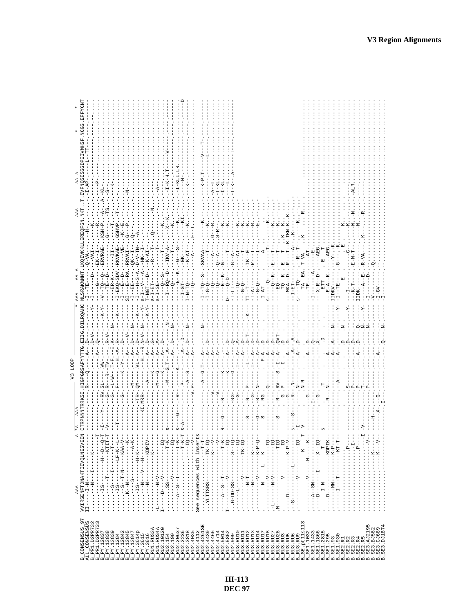|                                                                                                                                                                                                                                                                                                                                                                                                                                     | くくく                                                                                                     | HOOF<br>$\frac{3}{2}$             |                      |                                           |                                     |                                         |
|-------------------------------------------------------------------------------------------------------------------------------------------------------------------------------------------------------------------------------------------------------------------------------------------------------------------------------------------------------------------------------------------------------------------------------------|---------------------------------------------------------------------------------------------------------|-----------------------------------|----------------------|-------------------------------------------|-------------------------------------|-----------------------------------------|
|                                                                                                                                                                                                                                                                                                                                                                                                                                     | VVIRSENFTDNAKTIIVQLNESV                                                                                 | CTRPNNNTRRKSI.HIGPGRGAFYYTTG.EIIG | DILROAHC             | <b>JLSRAKWNNT</b>                         | LKOIVKKLLEREOFGN                    | NDAH<br>VFNOSISCHENTERIOSISCHE<br>L.NK. |
| $\begin{array}{l} \texttt{B\_CONSBNSUBS\_97} \\ \texttt{A\!} \\ \texttt{A\!} \\ \texttt{A\!} \\ \texttt{B\_PR1} \\ \texttt{B\_PR1} \\ \texttt{B\_PR1} \\ \texttt{B\_PR1} \\ \texttt{B\_PR1} \\ \texttt{B\_PR1} \\ \texttt{B\_PR1} \\ \texttt{B\_PR1} \\ \texttt{B\_PR1} \\ \texttt{B\_PR1} \\ \texttt{B\_PR1} \\ \texttt{B\_PR1} \\ \texttt{B\_PR1} \\ \texttt{B\_PR1} \\ \texttt{B\_PR1} \\ \texttt{B\_PR1} \\ \texttt{B\_PR1} \\$ | $-5K -$<br>ŧ<br>$-1$ $-1$ $-1$<br>$11 - -1 - -1 - 1 - 1$<br>$\frac{1}{2}$<br>$\ddot{\cdot}$             |                                   |                      |                                           | $-K$                                | $-1 - 1 - \lambda F$                    |
|                                                                                                                                                                                                                                                                                                                                                                                                                                     | $\frac{1}{2}$                                                                                           |                                   |                      |                                           | $-1$                                |                                         |
|                                                                                                                                                                                                                                                                                                                                                                                                                                     | $ KTTI$<br>$-H$ $-H$<br>п<br>-- T--<br>$\cdots$ $\cdots$<br>I<br>ţ<br>$\vdots$                          |                                   | $-X-X$               | $-9T-7$<br>--TE---D                       | $$ KSH-P. $-A-$<br>U<br>$ -$ ERVRAE | - KL-<br>$-TTS$                         |
|                                                                                                                                                                                                                                                                                                                                                                                                                                     | ÷<br>¦<br>Ţ<br>$\frac{1}{1}$<br>$\cdots$                                                                | <b>8-1-1-1-1</b>                  |                      | $-3 - E - E - E -$                        | $-1$<br>$-11$                       | $- - K$                                 |
|                                                                                                                                                                                                                                                                                                                                                                                                                                     | $-LF - K - -$<br>í<br>í<br>$\frac{1}{1}$<br>$-15$                                                       |                                   | $-$ . $\overline{R}$ | $-$ EKQ $-$ SDV. $-$ RKVKAE               | GSHVP.                              |                                         |
|                                                                                                                                                                                                                                                                                                                                                                                                                                     | $---KAA$ -<br>$-1$ <b>N</b> -H <sub>1</sub> -S <sup>-1</sup> -S <sup>-1</sup><br>$\ldots$ . $K$ – – N – | $rac{1}{9}$                       |                      | $---E---RA. -RRVAI$<br>$-1$ – $-1$ – $-1$ | $-K--E$<br>ಿ.                       |                                         |
|                                                                                                                                                                                                                                                                                                                                                                                                                                     | $-4$<br>$\frac{1}{1}$<br>ï<br>ı<br>t<br>$\begin{array}{c}\n 2 \\  -1 \\  \end{array}$                   |                                   |                      | $-12B -$                                  | م<br>۱<br>$\circ$                   |                                         |
|                                                                                                                                                                                                                                                                                                                                                                                                                                     | $-K--$<br>I<br>J<br>I<br>ì<br>$\cdots \cdots$                                                           |                                   |                      | $-$ - $H$ - $S$ - $A$                     | $-D-V-TN$                           |                                         |
| B_PY.3614p<br>B_PY.3615                                                                                                                                                                                                                                                                                                                                                                                                             | ÷<br>$-7$                                                                                               |                                   | $-R \cdot N$         | $S - 1 - 7$                               | .-HK--                              |                                         |
| B_PY.3616                                                                                                                                                                                                                                                                                                                                                                                                                           | --KOPI<br>$\bar{z}$<br>$\frac{1}{2}$                                                                    |                                   | - X – Y              | ģ<br>$-{\rm NGT}$ –                       | $-K-AT$                             |                                         |
| B_RU1.RUS3A<br>B_RU1.RUS4A                                                                                                                                                                                                                                                                                                                                                                                                          | $-1 - K -$                                                                                              |                                   |                      | 접                                         |                                     |                                         |
| B_RU2.10120                                                                                                                                                                                                                                                                                                                                                                                                                         | Ţ<br>1<br>J.<br>--7--------<br>$-1 - N - V -$<br>1<br>I<br>$-1 -$<br>$\frac{1}{1}$<br>Н                 |                                   |                      | $-$ SE                                    | ÷                                   |                                         |
|                                                                                                                                                                                                                                                                                                                                                                                                                                     | ý<br>ÚΩ<br>$\frac{5}{2}$<br>$\vdots$                                                                    |                                   |                      |                                           |                                     | $-1 - 1 - K - H$                        |
| <b>B_RU2.154</b><br><b>B_RU2.190</b>                                                                                                                                                                                                                                                                                                                                                                                                | ţ<br>I<br>$--V--$<br>I<br>п<br>1                                                                        |                                   |                      |                                           |                                     |                                         |
|                                                                                                                                                                                                                                                                                                                                                                                                                                     | ť<br>$-1 - 2 - 5 - 1$                                                                                   |                                   |                      |                                           | $\frac{1}{9}$                       | $-1-KLI$ .LR                            |
|                                                                                                                                                                                                                                                                                                                                                                                                                                     | י<br>י<br>$\ddot{\phantom{0}}$<br>$\vdots$<br>$\vdots$<br>$\vdots$                                      |                                   |                      |                                           |                                     |                                         |
| $\begin{array}{l} \texttt{B} = \texttt{RU2} \cdot 20637\\ \texttt{B} = \texttt{RU2} \cdot 2236\\ \texttt{B} = \texttt{RU2} \cdot 3818\\ \texttt{B} = \texttt{RU2} \cdot 4035\\ \texttt{B} = \texttt{RU2} \cdot 4112\\ \texttt{B} = \texttt{RU2} \cdot 4112\\ \end{array}$                                                                                                                                                           | Í<br>ı.<br>$1 + 1 + 1 + 1 + 1 + 1 + 1 + 1 + 1 + 1$                                                      |                                   |                      | -N-T                                      | $-K-AT$                             |                                         |
|                                                                                                                                                                                                                                                                                                                                                                                                                                     |                                                                                                         |                                   |                      |                                           |                                     |                                         |
| <b>B_RU2.4261SE</b>                                                                                                                                                                                                                                                                                                                                                                                                                 | See sequences with inse                                                                                 | ロこり                               |                      |                                           | -SKVAA-                             | $- -K - P$ . I                          |
|                                                                                                                                                                                                                                                                                                                                                                                                                                     |                                                                                                         |                                   |                      | $-5 -$                                    | $---K$                              |                                         |
| B_RU2.4439<br>B_RU2.4466                                                                                                                                                                                                                                                                                                                                                                                                            | $-K-$<br>I<br>п<br>ц                                                                                    |                                   |                      |                                           | $-1 - R$ .<br>ن<br>.<br>$-4$        | $-4-1$ .                                |
| B_RU2.4714                                                                                                                                                                                                                                                                                                                                                                                                                          |                                                                                                         |                                   |                      | -TQ                                       | $S - R - -$<br>$-4 - 9 - -4$        | $T-KL$ .                                |
|                                                                                                                                                                                                                                                                                                                                                                                                                                     | ÷<br> <br>$-1 - 2 - 5 - 1$<br>L.                                                                        |                                   |                      | -- E-- K- - C                             |                                     | $-1 - KI$                               |
| B_RU2.5014<br>B_RU2.5852                                                                                                                                                                                                                                                                                                                                                                                                            | Ţ<br>$\bar{\ }$<br>ı<br>I<br>ı<br>$\mathsf{H}$                                                          |                                   |                      | $-1 - 0 - 1$                              | ------                              |                                         |
| RU2.999<br>∣่⊣                                                                                                                                                                                                                                                                                                                                                                                                                      | $-5 -$<br>$-55 - 00 - 5$                                                                                | $-RG-$                            |                      | $-11 - 17$                                | $-4$ - $-9$ -                       |                                         |
| RU3.RU10<br>∣`∥                                                                                                                                                                                                                                                                                                                                                                                                                     | $\overline{\phantom{a}}$<br>ا<br>1                                                                      | ή                                 |                      |                                           |                                     |                                         |
| B_RU3.RU11                                                                                                                                                                                                                                                                                                                                                                                                                          | $--T K-$<br>$-1$<br>٠<br>ı<br>ı<br>٠                                                                    |                                   |                      | $-5-5$                                    |                                     |                                         |
| RU3.RU12<br>∣ ⊿                                                                                                                                                                                                                                                                                                                                                                                                                     | J.<br>$-1 - N - T -$<br>I<br>I<br>ц                                                                     | $-R - - P$<br>U,                  |                      | İ                                         | ¥.<br>$-1K - E$                     |                                         |
| B_RU3.RU13                                                                                                                                                                                                                                                                                                                                                                                                                          | $-2-X$<br>$-5 - 5$<br>$-1$<br>$\overline{z}$                                                            |                                   |                      | $-AT$                                     | 뎩<br>Ķ                              |                                         |
|                                                                                                                                                                                                                                                                                                                                                                                                                                     | $-N$ ––––––––––––––<br>$\blacksquare$<br>л<br>ı<br>1                                                    | $-K--K$<br>$-RG-$ .<br>ひ<br>Ω     |                      | o<br>ウ<br>$I - A T$                       |                                     |                                         |
| $\begin{array}{r} \texttt{B\_RU3} \\ \texttt{B\_RU3} \\ \texttt{RUI3} \\ \texttt{RUI4} \\ \end{array}$                                                                                                                                                                                                                                                                                                                              | $-1$                                                                                                    | ਼                                 |                      |                                           |                                     |                                         |
| RU3.RU27<br>$\mathbf{a}^{\dagger}$                                                                                                                                                                                                                                                                                                                                                                                                  | $-7 - N - V -$<br>-1<br>i<br>i                                                                          |                                   |                      | --Q--K-.-E-                               |                                     |                                         |
| RU3.RU28<br>$B$ RU3 .RU2<br>$B$ RU3 .RU3<br>$B$ RU3 .RU5                                                                                                                                                                                                                                                                                                                                                                            | $-17-$<br>$N_{-}$                                                                                       | $R$ --. $RV$<br>O)                |                      | 무                                         |                                     |                                         |
|                                                                                                                                                                                                                                                                                                                                                                                                                                     | I<br>$-1$<br>J                                                                                          |                                   |                      | $Q - -K - -E -$<br>$\frac{1}{2}$          |                                     |                                         |
|                                                                                                                                                                                                                                                                                                                                                                                                                                     | $- -K - P$<br>I,<br>f<br>$-1$                                                                           | .<br>ج                            |                      | $-MKA - D -$                              | $-LKN-K$ .<br>$-\tilde{R}$          |                                         |
| $B_RUS.RU6$<br>$B_RUS.RU9$<br>$B_S=E:11s113$                                                                                                                                                                                                                                                                                                                                                                                        | J.<br>п<br>$-1$<br>I<br>л<br>1<br>٠<br>ن<br>ا<br>٠                                                      | z<br>İ                            |                      | 복                                         | $- R -$                             |                                         |
|                                                                                                                                                                                                                                                                                                                                                                                                                                     | $\mathbf{I}$<br>$- -K$                                                                                  |                                   |                      | --TA--EA.-                                |                                     |                                         |
|                                                                                                                                                                                                                                                                                                                                                                                                                                     | 푸<br>$-1$                                                                                               |                                   |                      |                                           |                                     |                                         |
| B_SE1.1032<br>B_SE1.1433<br>B_SE1.1866<br>B_SE1.2815                                                                                                                                                                                                                                                                                                                                                                                | $-7 - A - S N -$                                                                                        |                                   |                      |                                           |                                     |                                         |
|                                                                                                                                                                                                                                                                                                                                                                                                                                     | $-2X - 1$<br>I<br>Ť<br>J<br>$\frac{1}{1}$                                                               |                                   |                      | $-X-R$ -D                                 |                                     |                                         |
|                                                                                                                                                                                                                                                                                                                                                                                                                                     | ۲.<br>ا<br>$-1$ $-1$ $-1$ $-1$ $-1$<br>$\frac{1}{1}$<br>1                                               |                                   |                      |                                           |                                     |                                         |
| B_SE1.295<br>B_SE1.93<br>B_SE1.930                                                                                                                                                                                                                                                                                                                                                                                                  | Iddy-<br>$-K-P-$<br>$-1$<br>٠                                                                           | z<br>İ                            |                      | $-E - A - -K$                             | $-AAEC$                             |                                         |
|                                                                                                                                                                                                                                                                                                                                                                                                                                     | $-551 -$                                                                                                |                                   |                      | $-17E$                                    | -- -- -- ---<br>-- -- --            |                                         |
| $B$ SE2. R1                                                                                                                                                                                                                                                                                                                                                                                                                         | $\frac{1}{2}$<br>$\vdots$                                                                               |                                   |                      |                                           |                                     |                                         |
|                                                                                                                                                                                                                                                                                                                                                                                                                                     | $\frac{1}{2}$<br>.                                                                                      |                                   |                      |                                           |                                     |                                         |
| $B = SE2 \cdot R2$<br>$B = SE2 \cdot R4$                                                                                                                                                                                                                                                                                                                                                                                            | $\frac{1}{2}$<br>$\vdots$                                                                               |                                   |                      |                                           | $-1 - N - H -$                      |                                         |
|                                                                                                                                                                                                                                                                                                                                                                                                                                     | $\frac{p}{p}$<br>$\vdots$                                                                               |                                   |                      |                                           |                                     |                                         |
| B_SE2.R5                                                                                                                                                                                                                                                                                                                                                                                                                            | $\frac{1}{2}$                                                                                           |                                   |                      |                                           |                                     |                                         |
| B_SE3.AJ2195<br>B_SE3.BJ562<br>B_SE3.CJ669<br>B_SE3.DJ1874                                                                                                                                                                                                                                                                                                                                                                          | $-K--$                                                                                                  |                                   |                      |                                           |                                     |                                         |
|                                                                                                                                                                                                                                                                                                                                                                                                                                     | $-K-$<br>п                                                                                              |                                   |                      |                                           |                                     |                                         |
|                                                                                                                                                                                                                                                                                                                                                                                                                                     |                                                                                                         |                                   |                      |                                           |                                     |                                         |

**III-113 DEC 97**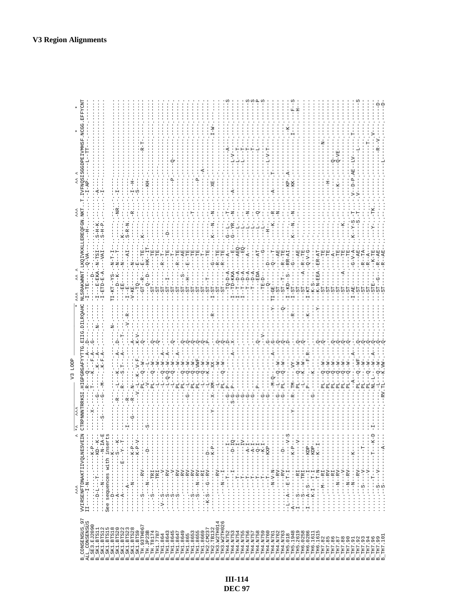| $\begin{tabular}{r rrrr} \texttt{1} & \texttt{1} & \texttt{0} & \texttt{0} & \texttt{0} & \texttt{0} & \texttt{0} & \texttt{0} & \texttt{0} & \texttt{0} & \texttt{0} & \texttt{0} & \texttt{0} & \texttt{0} & \texttt{0} & \texttt{0} & \texttt{0} & \texttt{0} & \texttt{0} & \texttt{0} & \texttt{0} & \texttt{0} & \texttt{0} & \texttt{0} & \texttt{0} & \texttt{0} & \texttt{0} & \texttt{0} & \texttt{0} & \texttt{0}$ |                                                                                                                                                                                             |                                            |   |                                                                     |                |                                 |
|-------------------------------------------------------------------------------------------------------------------------------------------------------------------------------------------------------------------------------------------------------------------------------------------------------------------------------------------------------------------------------------------------------------------------------|---------------------------------------------------------------------------------------------------------------------------------------------------------------------------------------------|--------------------------------------------|---|---------------------------------------------------------------------|----------------|---------------------------------|
|                                                                                                                                                                                                                                                                                                                                                                                                                               | VVIRSENFTDNAKTIIVQLNESVEIN                                                                                                                                                                  | CTRPNNNTRRKSI.HIGPGRGAFYYTTG.EIG.DILROAHC  |   | NLSRAKWNNT.LKQIVKKLLEREQFGN.NKT                                     |                | LIVENCOSISCOPEIVAHSE.NCG-EFFYCN |
|                                                                                                                                                                                                                                                                                                                                                                                                                               | $-1 - 1 - N -$<br>$\frac{1}{1}$<br>Ė                                                                                                                                                        | $\circ$                                    |   |                                                                     |                |                                 |
|                                                                                                                                                                                                                                                                                                                                                                                                                               | $---Z--K$                                                                                                                                                                                   | $-5.4$<br>با<br>أ                          |   | م<br>-                                                              |                |                                 |
|                                                                                                                                                                                                                                                                                                                                                                                                                               | $---L$<br>$-1 - N - 1$<br>$-1$ N <sup>-</sup>                                                                                                                                               | $K-F$ .<br>ပု<br>C)                        |   | $S-H-F$<br>$S-H$<br>$-I = -E - EKA$ . $-N-TST$<br>$L - ETD - E - A$ |                |                                 |
|                                                                                                                                                                                                                                                                                                                                                                                                                               | sequences with inser<br>see                                                                                                                                                                 |                                            |   |                                                                     |                |                                 |
|                                                                                                                                                                                                                                                                                                                                                                                                                               | $---X---$<br>٠<br>٠<br>٠<br>ı<br>ï<br>$\frac{1}{1}$<br>٠                                                                                                                                    |                                            |   | $-1 - 1 - 1$<br>$-X - KT - TX - T$                                  |                |                                 |
|                                                                                                                                                                                                                                                                                                                                                                                                                               | $\,$ I<br>$\mathbf{I}$<br>$\overline{\phantom{a}}$<br>----------<br>J.                                                                                                                      |                                            |   |                                                                     |                |                                 |
|                                                                                                                                                                                                                                                                                                                                                                                                                               | $-1 - 2 - - -1 = -$<br>ı<br>$\frac{1}{1}$<br>$\frac{1}{1}$<br>$-4 - -$<br>п                                                                                                                 | - A<br>Ξ.<br>$R -$                         |   | $S - R - N$<br>$- - A I$<br>주<br>$-EEB -$                           |                |                                 |
|                                                                                                                                                                                                                                                                                                                                                                                                                               | $---Z--K$<br>٠<br>ı<br>I<br>$\frac{1}{1}$<br>1<br>J.                                                                                                                                        | $-R - - N -$                               |   | Ż.<br>$-KE$                                                         | $rac{1}{1}$    |                                 |
|                                                                                                                                                                                                                                                                                                                                                                                                                               | $-4 - K - P -$<br>$\mathbf{I}$<br>$\overline{\phantom{a}}$<br>-<br>$\mathsf I$<br>п<br>٠<br>$\overline{1}$<br>$\mathbf{I}$                                                                  | $-V - L - -K -$                            |   | 뛰<br>ģ                                                              | က်ု            |                                 |
|                                                                                                                                                                                                                                                                                                                                                                                                                               | j.<br>$------ERV$<br>w<br>$\frac{1}{2}$<br>$\overline{\phantom{a}}$                                                                                                                         |                                            |   | F-1<br>뛰<br>$--R--$<br>5                                            |                |                                 |
|                                                                                                                                                                                                                                                                                                                                                                                                                               | $-1$<br>I<br>I                                                                                                                                                                              | ÷.                                         |   | -0--D---HK---                                                       | $-KH$          |                                 |
|                                                                                                                                                                                                                                                                                                                                                                                                                               | $--TRI--$<br>J<br>$\frac{1}{1}$<br>$\frac{5}{2}$                                                                                                                                            | PL----Q.-M                                 |   | 5                                                                   |                |                                 |
|                                                                                                                                                                                                                                                                                                                                                                                                                               | ï                                                                                                                                                                                           |                                            |   |                                                                     |                |                                 |
|                                                                                                                                                                                                                                                                                                                                                                                                                               |                                                                                                                                                                                             | $\ddot{A}$<br>$-9 - 6$                     |   |                                                                     |                |                                 |
|                                                                                                                                                                                                                                                                                                                                                                                                                               | 1<br>$--RV--$<br>$-Y--$<br>٠<br>ï<br>$\frac{1}{1}$<br>$-1 - 5$<br>$\frac{5}{1}$<br>٠<br>٠                                                                                                   | $\ddotsc$<br>Ó<br>-4<br>-1                 |   | F<br>F<br>F                                                         |                | O                               |
|                                                                                                                                                                                                                                                                                                                                                                                                                               | $--RV--$<br>$-1 - 5$                                                                                                                                                                        | ×−<br>?                                    |   |                                                                     |                |                                 |
|                                                                                                                                                                                                                                                                                                                                                                                                                               | $\frac{1}{1}$<br>$- - R V - -$<br>٠<br>I                                                                                                                                                    | $-8$                                       |   | $-AE$<br>$-2-$<br>$5T -$                                            |                |                                 |
|                                                                                                                                                                                                                                                                                                                                                                                                                               | ı<br>ï<br>$---RV--$<br>$\frac{1}{2}$<br>$\frac{1}{2}$                                                                                                                                       | ¤−.<br>?                                   |   | <sup>버</sup> .<br>÷<br>+                                            |                |                                 |
|                                                                                                                                                                                                                                                                                                                                                                                                                               | $\mathbf{I}$<br>$---RV---$<br>$\frac{1}{1}$<br>$S$ -----                                                                                                                                    | $\overline{N}$ - $\overline{N}$            |   |                                                                     |                |                                 |
|                                                                                                                                                                                                                                                                                                                                                                                                                               | $-1 - N - 1 - 1$<br>$\frac{5}{3}$                                                                                                                                                           | Q. VWH                                     |   |                                                                     |                |                                 |
|                                                                                                                                                                                                                                                                                                                                                                                                                               | п<br>$---RII -$                                                                                                                                                                             | $\overline{\mathbf{r}}$<br>$\alpha \times$ |   |                                                                     |                |                                 |
|                                                                                                                                                                                                                                                                                                                                                                                                                               | $-1$                                                                                                                                                                                        | $\tilde{=}$ .                              |   | -- TE<br>$T = -TS$                                                  |                |                                 |
|                                                                                                                                                                                                                                                                                                                                                                                                                               | $-K-P$<br>$\overline{\phantom{a}}$                                                                                                                                                          |                                            |   | ې<br>.                                                              | $-2XE$         |                                 |
|                                                                                                                                                                                                                                                                                                                                                                                                                               | п<br>J<br>$-$ RV $-$<br>$\overline{\phantom{a}}$<br>J<br>$\frac{1}{2}$                                                                                                                      |                                            |   | $-$ R $-$ -TE                                                       |                |                                 |
|                                                                                                                                                                                                                                                                                                                                                                                                                               | ļ<br>$\frac{1}{1}$                                                                                                                                                                          | $\frac{1}{2}$ .                            |   | H1-<br>$-\frac{R}{l}$                                               |                |                                 |
|                                                                                                                                                                                                                                                                                                                                                                                                                               | $-1$<br>$\overline{\phantom{a}}$<br>$\overline{\phantom{a}}$<br>$-1 - 1 -$<br>$\frac{1}{2}$ , $\frac{1}{2}$ , $\frac{1}{2}$ , $\frac{1}{2}$ , $\frac{1}{2}$ , $\frac{1}{2}$ , $\frac{1}{2}$ |                                            |   | $G - -L -$<br>$-10-0-7$                                             |                |                                 |
|                                                                                                                                                                                                                                                                                                                                                                                                                               | $-4-1$<br>$\mathbf{I}$<br>İ<br>$\frac{1}{1}$                                                                                                                                                | じっ                                         |   | $G--YR$ .<br>--TD-KKA                                               |                | $-1$ $-7$                       |
|                                                                                                                                                                                                                                                                                                                                                                                                                               | $-1$<br>$-1$<br>$\frac{1}{2}$                                                                                                                                                               | ᄞ                                          |   | -AEQ-<br>A-d--T-                                                    |                | $\frac{1}{2}$<br>부              |
|                                                                                                                                                                                                                                                                                                                                                                                                                               | T<br>л<br>$\frac{1}{4}$<br>Ţ<br>$\frac{1}{2}$                                                                                                                                               |                                            |   | $-1$                                                                |                | יך<br>י<br>Ţ<br>휴               |
|                                                                                                                                                                                                                                                                                                                                                                                                                               | $-4 - 7$<br>$-4 - 1$<br>$\frac{1}{1}$<br>J<br>İ<br>Ť                                                                                                                                        |                                            |   | $T = -D - A$<br>$-1$                                                |                | 텃                               |
|                                                                                                                                                                                                                                                                                                                                                                                                                               | $-1$ - $Q$<br>$\frac{1}{1}$<br><b>Production</b><br>$\frac{1}{2}$                                                                                                                           |                                            |   | $--AT--$<br>$---EDA$                                                |                | Ť                               |
|                                                                                                                                                                                                                                                                                                                                                                                                                               | $-3 - -1$<br>ı<br>ł<br>Ť                                                                                                                                                                    |                                            |   | Ú<br>$-TE-D$                                                        |                |                                 |
|                                                                                                                                                                                                                                                                                                                                                                                                                               | $---KXP -$                                                                                                                                                                                  |                                            |   | $\frac{1}{1}$                                                       |                | $-L-V-T$                        |
|                                                                                                                                                                                                                                                                                                                                                                                                                               | $\mathbf{I}$<br>1<br>$-1$<br>$-1$<br>$-1$<br>$-1$<br>$-1$<br>$-1$<br>$-1$                                                                                                                   | $-5 - 0$                                   | ᄞ | $\frac{1}{1}$<br>۴<br>$\frac{1}{2}$<br>명-                           |                |                                 |
|                                                                                                                                                                                                                                                                                                                                                                                                                               | $\frac{1}{1}$<br>$---RV - -$<br>$\frac{1}{2}$<br>$\frac{1}{2}$                                                                                                                              | <b>N-1-1-1-1</b>                           |   | $---AE$                                                             |                |                                 |
|                                                                                                                                                                                                                                                                                                                                                                                                                               | $---RV - -$                                                                                                                                                                                 | PL-                                        |   | $R = -T$<br>т – т                                                   |                |                                 |
|                                                                                                                                                                                                                                                                                                                                                                                                                               | $\frac{1}{1}$<br>1<br>п<br>$-1 - 1 - -A - - -E - T - I$                                                                                                                                     |                                            |   | $- - RR - AL$<br>$-KD--S$                                           | $-$ KP $-$ . A |                                 |
|                                                                                                                                                                                                                                                                                                                                                                                                                               | $-4 - X - -$<br>$\frac{1}{1}$<br>$\overline{A}$                                                                                                                                             | --kII                                      |   | Ŧ<br>ပု                                                             |                |                                 |
|                                                                                                                                                                                                                                                                                                                                                                                                                               | -1<br>L.<br>$---RI---$<br>ŧ<br>$S - -$<br>부                                                                                                                                                 | $-5$<br>Ö                                  |   | $---AB$                                                             |                |                                 |
|                                                                                                                                                                                                                                                                                                                                                                                                                               | $-4CDP-$<br>$\mathbf{I}$<br>$--TRI$<br>$\frac{1}{1}$<br>$-2$<br>$\mathbf{I}$<br>Ţ<br>$\overline{\phantom{a}}$<br>$\mathbf{I}$                                                               | $\frac{1}{1}$<br>$-K - W$                  |   | <b>0-7-0-1</b><br>$-FT = -TF$<br>$-4$                               |                |                                 |
|                                                                                                                                                                                                                                                                                                                                                                                                                               | $-$ KDP $-$<br>-- -- -- -- -- --<br>$\overline{1}$<br>$-1 - T - -T$<br>$- -K$<br>$\mathbf{I}$<br>$\mathsf I$<br>I.                                                                          |                                            |   |                                                                     |                |                                 |
|                                                                                                                                                                                                                                                                                                                                                                                                                               | $- -K - I$<br>$-1$ $-1$ $-1$ $-1$<br>$\blacksquare$                                                                                                                                         |                                            |   | $-ER-AT$<br>$-N$ - EEA                                              |                |                                 |
|                                                                                                                                                                                                                                                                                                                                                                                                                               | 1                                                                                                                                                                                           | $\circ$                                    |   |                                                                     |                |                                 |
|                                                                                                                                                                                                                                                                                                                                                                                                                               | $--RV--$<br>ı<br>$\frac{1}{2}$                                                                                                                                                              | O                                          |   |                                                                     | Ŧ              |                                 |
|                                                                                                                                                                                                                                                                                                                                                                                                                               | л<br>$-ERI -$<br>1<br>J.<br>$\vdots$<br>$\vdots$                                                                                                                                            | O                                          |   |                                                                     |                | O                               |
|                                                                                                                                                                                                                                                                                                                                                                                                                               | $- -N - -RV - -$<br>$\frac{1}{2}$                                                                                                                                                           | $\circ$                                    |   |                                                                     | $- - K - -$    | EA-<br>$\circ$                  |
|                                                                                                                                                                                                                                                                                                                                                                                                                               | $-1 - 7$<br>I<br>j<br>I<br>Ì<br>$\vdots$                                                                                                                                                    | $-5$<br>O                                  |   | $ -K$                                                               |                |                                 |
|                                                                                                                                                                                                                                                                                                                                                                                                                               | $\overline{\phantom{a}}$                                                                                                                                                                    |                                            |   |                                                                     |                |                                 |
| $B_THT$ .91                                                                                                                                                                                                                                                                                                                                                                                                                   | $- -K -$<br>$-1/2$<br>$\frac{1}{2}$                                                                                                                                                         |                                            |   | $S - X - 5$<br>$-9 - 5 - 7$                                         | $V--D-P.A$     |                                 |
| $\approx$ $\sim$                                                                                                                                                                                                                                                                                                                                                                                                              | 1<br>$\overline{\phantom{a}}$<br>$\frac{1}{1}$<br>$-1$<br>$-1$<br>$-1$<br>$-1$<br>$-1$<br>$-1$<br>$-1$                                                                                      | $Q - WF$                                   |   | $-2$                                                                |                |                                 |
| $\frac{B-TH7.92}{B-TH7.94}$                                                                                                                                                                                                                                                                                                                                                                                                   | $\frac{1}{1}$<br>1<br>$-Y-1$<br>$\frac{1}{4}$<br>$\frac{5}{1}$                                                                                                                              |                                            |   | $-R$ --TZ                                                           |                |                                 |
| 4                                                                                                                                                                                                                                                                                                                                                                                                                             | $-1$<br>$\frac{1}{1}$<br>÷<br> <br>$\frac{1}{1}$<br>$\vdots$                                                                                                                                | - . NL - 1                                 |   | $-K-1$<br>R                                                         |                |                                 |
|                                                                                                                                                                                                                                                                                                                                                                                                                               | ì<br>I<br>I<br>$--V---$<br>$\frac{1}{4}$<br>$\frac{1}{2}$                                                                                                                                   |                                            |   | $-R = -$                                                            |                |                                 |
| $\frac{B - TH7.96}{B - TH7.99}$                                                                                                                                                                                                                                                                                                                                                                                               | $- - - - -$<br>f.<br>$\frac{5}{1}$                                                                                                                                                          |                                            |   |                                                                     |                |                                 |

**III-114 DEC 97**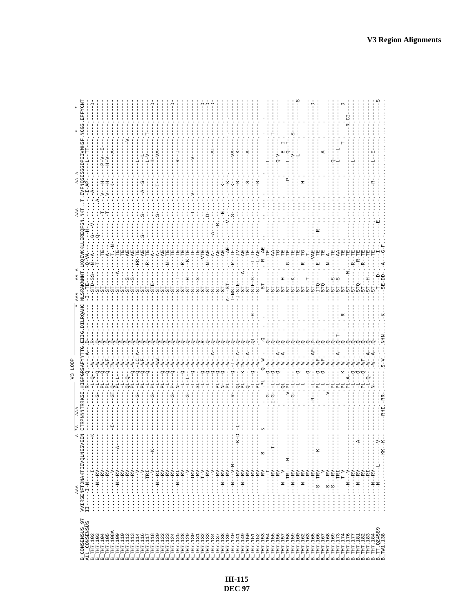|           |                                                             |                                        |                                                                          |                                                                                                                                                                                                                                                                                                                                                                    |                                                                                           |                                     |                 |                                                                                                                                                                                                                                                                                         | ę               |                                         |                                                                                                                                                                                        |                                  |                                               |                                           |                                              |               | ۹<br>ę                                                                               | Ŗ                                                |                 |                                              |                                                          |                         |                                  |                    |                              |                                |                      |                                                |                              |                        |           |                                     |                     |                        |                                                |                                       |                        |                                          | 5                         |                                   |                                                                               |               |                       |                            |
|-----------|-------------------------------------------------------------|----------------------------------------|--------------------------------------------------------------------------|--------------------------------------------------------------------------------------------------------------------------------------------------------------------------------------------------------------------------------------------------------------------------------------------------------------------------------------------------------------------|-------------------------------------------------------------------------------------------|-------------------------------------|-----------------|-----------------------------------------------------------------------------------------------------------------------------------------------------------------------------------------------------------------------------------------------------------------------------------------|-----------------|-----------------------------------------|----------------------------------------------------------------------------------------------------------------------------------------------------------------------------------------|----------------------------------|-----------------------------------------------|-------------------------------------------|----------------------------------------------|---------------|--------------------------------------------------------------------------------------|--------------------------------------------------|-----------------|----------------------------------------------|----------------------------------------------------------|-------------------------|----------------------------------|--------------------|------------------------------|--------------------------------|----------------------|------------------------------------------------|------------------------------|------------------------|-----------|-------------------------------------|---------------------|------------------------|------------------------------------------------|---------------------------------------|------------------------|------------------------------------------|---------------------------|-----------------------------------|-------------------------------------------------------------------------------|---------------|-----------------------|----------------------------|
|           |                                                             |                                        |                                                                          |                                                                                                                                                                                                                                                                                                                                                                    |                                                                                           |                                     |                 |                                                                                                                                                                                                                                                                                         |                 |                                         |                                                                                                                                                                                        |                                  |                                               |                                           |                                              |               |                                                                                      |                                                  |                 |                                              |                                                          |                         |                                  |                    |                              |                                |                      |                                                |                              |                        |           |                                     |                     |                        |                                                |                                       |                        |                                          | œ                         |                                   |                                                                               |               |                       |                            |
|           | IVFNQSISGGDPEIVMHSF.NCGG.EFFYCNT<br>$-1 - 1 - -1$           |                                        | $P-V--I$<br>7<br>H                                                       | $\vec{A}$                                                                                                                                                                                                                                                                                                                                                          |                                                                                           |                                     |                 | Ĥ<br>-1-V                                                                                                                                                                                                                                                                               | 푸               | $--VA$                                  |                                                                                                                                                                                        |                                  | $R - -$                                       |                                           |                                              |               |                                                                                      | AT.                                              |                 |                                              | ŅA                                                       | ¥                       |                                  | К                  |                              |                                |                      |                                                | н<br>덕<br>!<br>$\frac{5}{2}$ | Ÿ<br>I                 |           |                                     |                     |                        | К                                              |                                       | O                      |                                          |                           |                                   |                                                                               |               | E                     |                            |
|           | -I-I-AP                                                     | ż.                                     | $V - -H -$<br>È<br>−−−                                                   | ř                                                                                                                                                                                                                                                                                                                                                                  |                                                                                           |                                     |                 | ပ္ပ<br>$-4-$                                                                                                                                                                                                                                                                            |                 | ÷                                       |                                                                                                                                                                                        |                                  |                                               |                                           |                                              |               |                                                                                      |                                                  |                 | $-K-$                                        | $-K--$<br>¥                                              | Ŗ                       |                                  | က်ူ                | $R_{-}$                      |                                |                      |                                                |                              | $\frac{p}{i}$          |           | $-H-$                               |                     |                        |                                                |                                       |                        |                                          |                           |                                   |                                                                               |               | Ŗ                     |                            |
|           | L.NKT                                                       |                                        | 텃                                                                        |                                                                                                                                                                                                                                                                                                                                                                    |                                                                                           |                                     |                 |                                                                                                                                                                                                                                                                                         |                 |                                         |                                                                                                                                                                                        |                                  |                                               |                                           |                                              |               | Ļ.                                                                                   |                                                  |                 | 뛰                                            |                                                          |                         |                                  |                    |                              |                                |                      |                                                |                              |                        |           |                                     |                     |                        |                                                |                                       |                        |                                          |                           |                                   |                                                                               |               |                       |                            |
|           | NLSRAKWNNT.LKQIVKKLLEREQFGN<br>$\frac{1}{2}$                | ં<br>Ò<br>$-4$                         | $-TE-$<br>К                                                              | z<br>İ.<br>$-TET-$<br>H                                                                                                                                                                                                                                                                                                                                            | $\rm{TE}$ –                                                                               | $-AE-$<br>$-AA$ -                   |                 | $-AB$<br>闰                                                                                                                                                                                                                                                                              | F               | ĀE.<br>$\tilde{\mathcal{F}}$            | EL-L                                                                                                                                                                                   | $-TTE$                           | $-R$ – – TE<br>FTE-                           | $K-TE$                                    | ÷TE.                                         | $-TTE$<br>FV. | 国                                                                                    | F                                                | AE.             | $-AA$ -                                      | -AE<br>$-1$                                              | $\frac{1}{2}$           | $-AE$                            | .<br>TE            | $-1 - 1 =$<br>$L - AE$       | .-R--AE                        | -<br>다<br>다          | ÷F<br>AA.                                      | Ė                            | Ė-                     | $-TE$     | Ė<br>$-10$                          |                     | -VAE-                  | $\dot{r}$<br>$-TTE$                            | F                                     | 囟                      | $-AA$<br>$-TTE$                          | $-TE$                     | יי<br>י                           | 匞                                                                             |               |                       |                            |
|           | $-400-0-14$<br>$---E1$                                      | 주<br>.<br>$STD-SS-$                    |                                                                          |                                                                                                                                                                                                                                                                                                                                                                    |                                                                                           | თ თ                                 | $-RR - TE$      | $-F$ – $-T$                                                                                                                                                                                                                                                                             | STE.            |                                         | خ<br>ڊ                                                                                                                                                                                 |                                  |                                               | 푸                                         |                                              | C)            | $-N--A E$                                                                            |                                                  |                 |                                              | $\tilde{f}$                                              |                         |                                  |                    | $STE-S$                      | Ëς.                            |                      |                                                | 王!                           | ن<br>ا                 | $-1$      | $\tilde{\mathbf{r}}$                | ė                   |                        | 뛰<br>TTQ-<br>ŠL5                               | Ŧ                                     | $\frac{1}{2}$          | S                                        | ř                         | Ķ                                 | $- R - T$<br>ř<br>STO.                                                        |               |                       |                            |
| くく        | DILRQAHC                                                    | 55                                     | 55<br>5                                                                  | 55<br>5                                                                                                                                                                                                                                                                                                                                                            | 51                                                                                        |                                     |                 |                                                                                                                                                                                                                                                                                         |                 | 55                                      | 5                                                                                                                                                                                      | 55                               |                                               |                                           |                                              |               |                                                                                      | 55                                               |                 | 5                                            | ပှ<br>$-NST$                                             | <b>HIS-</b>             | 5                                | 5                  |                              |                                | 5                    |                                                | 55                           |                        | 5         | 55                                  | 55                  |                        |                                                |                                       | 55                     |                                          |                           |                                   |                                                                               |               |                       |                            |
|           |                                                             |                                        |                                                                          |                                                                                                                                                                                                                                                                                                                                                                    |                                                                                           |                                     |                 |                                                                                                                                                                                                                                                                                         |                 |                                         |                                                                                                                                                                                        |                                  |                                               |                                           |                                              |               |                                                                                      |                                                  |                 |                                              |                                                          |                         |                                  |                    |                              |                                |                      |                                                |                              |                        |           |                                     |                     |                        |                                                |                                       |                        |                                          |                           |                                   |                                                                               |               |                       |                            |
| HOOF      | <u>لم</u> .<br>¦<br>?                                       | $\ddot{\tilde{\mathbf{z}}}$<br>™-<br>? | $\frac{8}{9}$                                                            | $\frac{1}{2}$                                                                                                                                                                                                                                                                                                                                                      |                                                                                           |                                     |                 | D. - NF                                                                                                                                                                                                                                                                                 |                 | $-50$                                   | з                                                                                                                                                                                      | з                                |                                               |                                           |                                              |               |                                                                                      |                                                  |                 |                                              |                                                          |                         |                                  | ₹.                 |                              | $\frac{1}{2}$                  | ™<br>○               | Ţ                                              | ₹.                           |                        |           | ₹.                                  | ₹<br>T              |                        | $-WF$<br>E<br>P<br>F                           |                                       |                        | з                                        |                           |                                   |                                                                               |               |                       |                            |
| Σ,        |                                                             | $-1$ $ \Omega$                         | ု<br>PL-<br>Ė                                                            | 」<br>上<br>ó<br>$\overline{\mathsf{p}}$                                                                                                                                                                                                                                                                                                                             |                                                                                           | ု<br>$QL-Q$<br>PL-                  | ٦<br>.<br>ب     | ā                                                                                                                                                                                                                                                                                       | $14 - 5$        | PL-                                     |                                                                                                                                                                                        | $\overline{\mathbf{a}}$          |                                               |                                           |                                              |               |                                                                                      |                                                  | $^{\circ}$<br>ħ | $\circ$<br>ż                                 | ᆸ                                                        | di-                     | PL-                              | C                  |                              | E.                             |                      |                                                | ā                            |                        |           |                                     | $\circ$             |                        | Ò                                              |                                       | Ė                      |                                          | $PL - A -$                |                                   | ä                                                                             |               |                       |                            |
|           | CTRPNNNTRRKSI.HIGPGRGAFYYTTG.EIIG.                          | $-5-$                                  |                                                                          | 55-                                                                                                                                                                                                                                                                                                                                                                |                                                                                           |                                     |                 |                                                                                                                                                                                                                                                                                         |                 |                                         |                                                                                                                                                                                        | Ò                                |                                               | ပ္ပံ                                      |                                              |               |                                                                                      |                                                  |                 |                                              | Ť                                                        |                         |                                  |                    |                              |                                | ပ္ပံ                 | $\overset{1}{\circ}$                           |                              |                        | ပ္ပ       |                                     |                     |                        |                                                |                                       |                        |                                          |                           |                                   |                                                                               |               |                       |                            |
|           | NIENS                                                       |                                        |                                                                          | $\frac{1}{1}$                                                                                                                                                                                                                                                                                                                                                      |                                                                                           |                                     |                 | J                                                                                                                                                                                                                                                                                       | $-1 - K$        |                                         |                                                                                                                                                                                        |                                  |                                               |                                           |                                              |               |                                                                                      |                                                  |                 |                                              |                                                          |                         |                                  |                    |                              | $-5 - 1$                       |                      |                                                | ı                            |                        |           |                                     |                     |                        | $  K$                                          |                                       |                        |                                          |                           |                                   |                                                                               |               |                       | $---KK$                    |
|           | <b>VVIRSENFTDNAKTIIVQLNE</b>                                |                                        | $-1 - 1 - 1 - 1 - 1 - 1$<br>$-1$<br>$-1$<br>$-1$<br>$-1$<br>$-1$<br>$-1$ | $- -N - -RV - -$<br>$-1$ - $-1$ - $-1$                                                                                                                                                                                                                                                                                                                             | $- -RV - -$<br>$--RV - -$                                                                 | $---RV---$                          | $-1 - 7 -$<br>I | $---TRL$<br>$-7$<br>-1                                                                                                                                                                                                                                                                  | $- - - - - - -$ | $- -RV - -$<br>$-1 - 2 - 1 - 2 - 1 - 1$ | $- -RV - -$<br>I                                                                                                                                                                       | п<br>$--RV--$<br>I<br>I          | -1<br>$-1 - 2 - 1 - 1 - 1 - 1$<br>$---RV - -$ | --v--<br>I<br>1                           | $---TRV---$                                  | $--RV--$      | $\mathbf{I}$<br>$---\Delta-\mathbb{L}$<br>$- - - RV - -$<br>$\overline{\phantom{a}}$ | $-Y--$<br>$\overline{\phantom{a}}$               | $---RV---$      | т<br>$- -N - -N - -$                         | $-1 - 2 - 1 - 2 - 1 - 2 - 1$<br>ı<br>$- - - RV - -$<br>J | $- - - R V - -$         |                                  | $---RV - - -$      | $- -RV - -$<br>$--RV--$<br>ı | $- - - - - -$                  | $\frac{1}{1}$<br>ı   | п<br>$- -RV - -$<br>$-RV -$                    | I<br>$-1$ - $-1$ - $-1$      | -- TR -- -- H --       |           | $---RV$<br>$-1 - 2F - 1 - 2F - 1$   | $---RV---$<br>ı     | $---RV - -$            | п<br>$- - S - - TRY - -$<br>$-1$ - $-1$ - $-1$ | $S--RV-$                              | $S = -RV -$            | $---TRL -$<br>$-1-\mathbf{T}-\mathbf{V}$ | $-7$ - $-7$               | ---------                         | $--RV--$                                                                      | $--R1$        | 1<br>$- -N - -RV - -$ | $\frac{1}{1}$<br>$-1$ $-1$ |
| $\lambda$ | -------------                                               | $\cdots$ $\cdots$                      |                                                                          | 1<br>$\vdots$<br>$\frac{1}{2}$                                                                                                                                                                                                                                                                                                                                     | $\begin{array}{c} \begin{array}{c} \bullet \\ \bullet \\ \bullet \end{array} \end{array}$ | t<br>$\frac{1}{2}$<br>т<br>$\vdots$ | $\frac{1}{2}$   | $\frac{1}{2}$<br>$\vdots$                                                                                                                                                                                                                                                               | I<br>$\vdots$   | $\mathsf I$                             | $\frac{1}{2}$<br>$\vdots$                                                                                                                                                              | $\vdots$<br>$\ddot{\phantom{0}}$ |                                               | ٠<br>$\vdots$<br>$\vdots$                 | I,<br>$\frac{1}{2}$                          |               | I<br>$\mathbf{I}$<br>$\vdots$                                                        | $\vdots$                                         |                 | $\vdots$                                     | I<br>$\vdots$                                            | $\vdots$                |                                  | I<br>1<br>$\vdots$ | $\vdots$                     | t<br>т<br>$\vdots$<br>$\vdots$ | $\vdots$             | $\vdots$                                       | $\vdots$<br>$\vdots$         | $\frac{1}{2}$          |           | $\vdots$<br>$\cdot$                 | $\vdots$<br>$\cdot$ | $\frac{1}{2}$          | $\vdots$                                       | $\frac{1}{1}$<br>$\vdots$<br>$\vdots$ | $\vdots$               | $\vdots$                                 | ı<br>$\vdots$<br>$\vdots$ | t<br>$\vdots$                     | $\vdots$<br>$\vdots$                                                          | $\frac{1}{2}$ | $\vdots$              |                            |
|           |                                                             |                                        |                                                                          |                                                                                                                                                                                                                                                                                                                                                                    |                                                                                           | 113                                 | $\overline{14}$ |                                                                                                                                                                                                                                                                                         |                 |                                         |                                                                                                                                                                                        |                                  |                                               | σ                                         |                                              |               |                                                                                      |                                                  |                 | $\frac{8}{3}$                                | 139<br>140                                               |                         |                                  |                    |                              | 52<br>53                       | 154                  |                                                |                              |                        |           |                                     |                     |                        |                                                |                                       |                        | 74                                       |                           |                                   |                                                                               |               |                       | σ                          |
|           | $\substack{\text{B\_CONSENSUS\_97}}{\text{ALL\_CONSENSUS}}$ |                                        |                                                                          | $\begin{array}{l} \texttt{B}-\texttt{HH} \cdot 1.02\\ \texttt{B}-\texttt{HH} \cdot 1.03\\ \texttt{B}-\texttt{HH} \cdot 1.04\\ \texttt{B}-\texttt{HH} \cdot 1.06\\ \texttt{B}-\texttt{HH} \cdot 1.09\\ \texttt{B}-\texttt{HH} \cdot 1.10\\ \texttt{B}-\texttt{HH} \cdot 1.11\\ \texttt{B}-\texttt{HH} \cdot 1.12\\ \texttt{B}-\texttt{HH} \cdot 1.12\\ \end{array}$ |                                                                                           | в_тн7.11<br>в_тн7.11<br>в_тн7.11    |                 | $\begin{array}{l} \texttt{B} \overline{\texttt{TH1}} \texttt{7} \texttt{1116} \\ \texttt{B} \overline{\texttt{TH1}} \texttt{7} \texttt{1117} \\ \texttt{B} \overline{\texttt{TH1}} \texttt{7} \texttt{1118} \\ \texttt{B} \overline{\texttt{TH1}} \texttt{7} \texttt{1128} \end{array}$ |                 |                                         | $\begin{array}{l} 47\\ -2\mathrm{H}7\\ 1\\ \underline{3-1}\mathrm{H}7\\ \underline{B-1}\mathrm{H}7\\ \underline{B-1}\mathrm{H}7\\ \underline{B-1}\mathrm{H}7\\ 1\\ 2\\ 1 \end{array},$ |                                  |                                               | $\frac{B_{\text{THT}}}{B_{\text{THT}}}\,$ | $B_{\text{THT}}$ .1:<br>$B_{\text{THT}}$ .1: |               |                                                                                      | в_тн7.131<br>В_тн7.132<br>В_тн7.133<br>В_тн7.134 |                 | в_тнт.13<br>В_тнт.13<br>В_тнт.13<br>В_тнт.14 |                                                          | $B$ <sub>TH7</sub> .141 | $B_{TH7}$ .149<br>$B_{TH7}$ .150 |                    | TH7.151<br>∣่                | $B_{\_THT}$ . 15               | $B$ <sub>THT</sub> . | $B_{\text{TH7}}$ .155<br>$B_{\text{TH7}}$ .156 |                              | B_TH7.157<br>B_TH7.158 | B_TH7.159 | в_тн7.160<br>В_тн7.162<br>В_тн7.163 | ∣ผ่                 | B_TH7.165<br>B_TH7.166 | TH7.167<br>ן<br>מ                              | TH7.168<br>넓                          | B_TH7.169<br>B_TH7.173 | $B_{\text{L}}$ THT .1.                   | B_TH7.176                 | TH7.177<br>$\mathbf{a}^{\dagger}$ | B_TH7.181<br>B_TH7.182<br>B_TH7.183<br>B_TH7.184<br>B_TT1.0Z4589<br>B_TW1.138 |               |                       |                            |

 $III-115$ **DEC 97**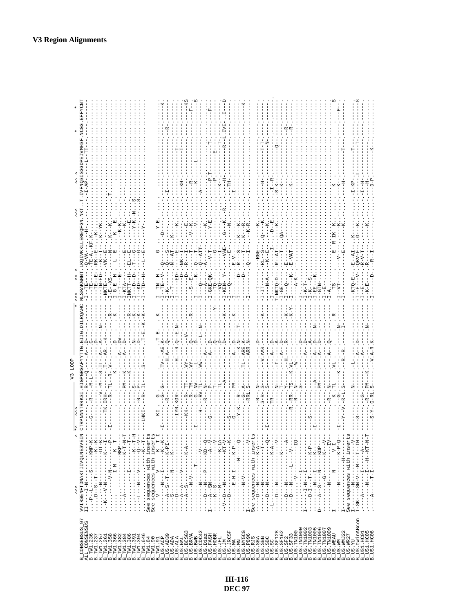| See sequences with inser<br>See sequences with inser<br>The sequences with inser<br>sequences with inser<br>$\frac{1}{1}$<br>۲<br>ا<br>ï<br>$-$ - $-$ - $-$ - $-$ - $-$ - $-$ - $-$ - $-$ - $-$<br>$- - - - - - - - - - -$<br>$-1$ $-1$ $-1$ $-1$ $-1$<br>$-1$ – $-1$<br>1<br>$-1 - 2 - 5 - 5 - 4 - 1$<br>$\frac{1}{1}$<br>I<br>I<br>I<br>ı<br>I<br>I<br>I<br>ı<br>$- - -1 - - - -$<br>$-Y-Y$<br>$-H-H-I$<br>$-1 - 2 - 5 - 1$<br>ı<br>п<br>$-1$<br>$-1 - 1 - 1 - 1 - 1$<br>$\frac{1}{1}$<br>$-1 - 3 - 5 - 1$<br>п<br>1<br>í<br>п<br>1<br>т<br>I<br>п<br>ı<br>$- -K - S - - - -$<br>$-1$ $-1$ $-1$ $-1$ $-1$ $-1$ $-1$ $-1$<br>$-1$ - $-1$ - $-1$ - $-1$<br>$-1$ - $-1$ - $-1$ - $-1$ - $-1$<br>$-1$ - $-1$ - $-1$ - $-1$<br>J.<br>$- -A - SM - -$<br>$-1$ $N$<br>$-1$ $-1$<br>т<br>ł<br>$-1$ - $-1$ - $-1$<br>т<br>$-1 - N - -$<br>ı<br>$\frac{1}{1}$<br>ı<br>Í<br>ı<br>ţ<br>$-1$<br>$------I$<br>$\frac{1}{1}$<br>$\frac{1}{1}$<br>ì<br>í<br>$\frac{1}{1}$<br>Í<br>ı<br>п<br>Í<br>í<br>$\frac{5}{1}$<br>I<br>I<br>$\frac{1}{1}$<br>$\mathbf{I}$<br>Í<br>J<br>Í<br>$\frac{1}{1}$<br>٠<br>1<br>ı<br>٠<br>ı<br>$\overset{\mathbb{O}}{\oplus}$<br>$\overline{\phantom{a}}$<br>I<br>I<br>I<br>I<br>$\frac{1}{1}$<br>J<br>I<br>I,<br>I<br>I<br>I<br>$\frac{1}{\Delta}$<br>I<br>I<br>÷<br>f,<br>$\frac{1}{1}$<br>$\mathbf{I}$<br>$\overline{1}$<br>п<br><b>I</b><br>J.<br>т<br>п<br>т<br>п<br>٠<br>$\mathbf{I}$<br><b>I</b><br>п<br>ł<br>п<br>п<br>J.<br>$\blacksquare$<br>J.<br>J.<br>J.<br>ŪΩ<br>$\cdot$ $\mapsto$<br>$\mathbf{H}$ | ------K-IA<br>------<br>------------<br>$\tilde{C}$<br>-- - - - - - - - - - -<br>$\frac{1}{1}$<br>$- - - -$<br>$- - - 10$<br>$-1 - -1 - 1$<br>$- -K - P - C$<br>$-1 - K - -1$<br>$-1$<br>$---X-P-$<br>$- -K - A -$<br>$- -1 - -$<br>J<br>$-4CDP-$<br>ī<br>$---X - - -$<br>ł<br>í<br>I<br>$-K--$<br>ı<br>J<br>J.<br>J.<br>I<br>$\mathbf{I}$<br>п<br>ì<br>п<br>п<br>İ<br>÷<br>T<br>$\mathbf{I}$<br>п<br>1<br>л<br>п<br>$\overline{\phantom{a}}$<br>٠<br>ı<br>т<br>٠<br>$\frac{1}{1}$<br>j<br>$\mathbf{I}$<br>J.<br>I<br>п<br>J<br>ı<br>٠ | S | $-1$<br>$-K-F$<br>$-VAT$<br>$-41$<br>-NKTO | $-S-K$ |
|--------------------------------------------------------------------------------------------------------------------------------------------------------------------------------------------------------------------------------------------------------------------------------------------------------------------------------------------------------------------------------------------------------------------------------------------------------------------------------------------------------------------------------------------------------------------------------------------------------------------------------------------------------------------------------------------------------------------------------------------------------------------------------------------------------------------------------------------------------------------------------------------------------------------------------------------------------------------------------------------------------------------------------------------------------------------------------------------------------------------------------------------------------------------------------------------------------------------------------------------------------------------------------------------------------------------------------------------------------------------------------------------------------------------------------------------------------------------------------------------------------------------------------|----------------------------------------------------------------------------------------------------------------------------------------------------------------------------------------------------------------------------------------------------------------------------------------------------------------------------------------------------------------------------------------------------------------------------------------------------------------------------------------------------------------------------------------|---|--------------------------------------------|--------|
| See sequences with inser<br>I----------------------------<br>$\tt I - ST---T---N--N---T--1H$<br>$-A$ --<br>$\overline{1}$                                                                                                                                                                                                                                                                                                                                                                                                                                                                                                                                                                                                                                                                                                                                                                                                                                                                                                                                                                                                                                                                                                                                                                                                                                                                                                                                                                                                      | $-4 - -$<br>j<br>$\mathbf{I}$                                                                                                                                                                                                                                                                                                                                                                                                                                                                                                          |   |                                            |        |
|                                                                                                                                                                                                                                                                                                                                                                                                                                                                                                                                                                                                                                                                                                                                                                                                                                                                                                                                                                                                                                                                                                                                                                                                                                                                                                                                                                                                                                                                                                                                |                                                                                                                                                                                                                                                                                                                                                                                                                                                                                                                                        |   |                                            |        |

**III-116 DEC 97**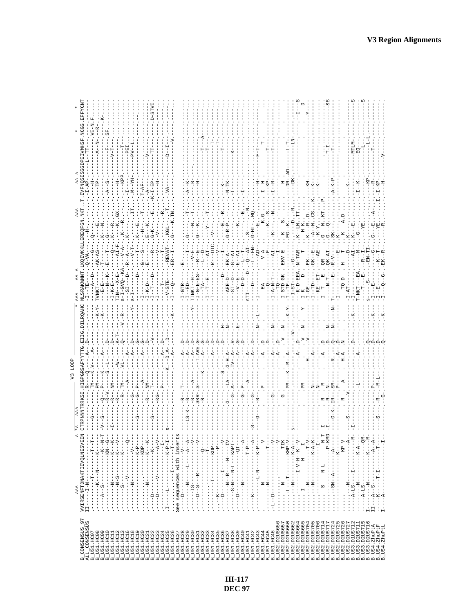$\begin{split} &\textbf{x}^{*}, \textbf{1}, \textbf{1}, \textbf{2}, \textbf{3}, \textbf{4}, \textbf{5}, \textbf{6}, \textbf{7}, \textbf{8}, \textbf{8}, \textbf{7}, \textbf{8}, \textbf{8}, \textbf{9}, \textbf{1}, \textbf{1}, \textbf{1}, \textbf{1}, \textbf{1}, \textbf{1}, \textbf{1}, \textbf{1}, \textbf{1}, \textbf{1}, \textbf{1}, \textbf{1}, \textbf{1}, \textbf{1}, \textbf{1}, \textbf{1}, \textbf{1}, \textbf{1}, \textbf{1}, \textbf{1}, \text$ ------------------- $\cdots$  -  $\cdots$  - - - - -  $\mathbb{R}$  - $-1 - \frac{1}{2}$  $-L-KP \stackrel{\textstyle\wedge}{\textstyle\sim}$  NKT  $-4$  $---YE.$  $\frac{1}{2}$ ಀ಼  $-I - -Q - -C - - -EK - -R$  $---X--T$  $\frac{1}{2}$  $---x$  ----- $\frac{1}{2}$ EIIG.  $\circ$  $\mathop \Delta \limits^{\mathop \perp} \mathop \Delta \limits^{\mathop \perp}$ CTRPNNNTRRKSI.HIGPGRGAFYYTTG. LOOP  $\begin{bmatrix} 1 & 1 \\ 1 & 1 \\ 1 & 1 \end{bmatrix}$ ļ  $\tilde{c}$  $-\frac{1}{2}$ Ķ  $\begin{split} \mathcal{L}^{(1)}_{\mathcal{A}}&=\mathcal{L}^{(2)}_{\mathcal{A}}\left(\mathcal{L}^{(1)}_{\mathcal{A}}\right)=-\mathcal{L}^{(3)}_{\mathcal{A}}\left(\mathcal{L}^{(2)}_{\mathcal{A}}\right)=-\mathcal{L}^{(4)}_{\mathcal{A}}\left(\mathcal{L}^{(3)}_{\mathcal{A}}\right)=-\mathcal{L}^{(5)}_{\mathcal{A}}\left(\mathcal{L}^{(4)}_{\mathcal{A}}\right)=-\mathcal{L}^{(6)}_{\mathcal{A}}\left(\mathcal{L}^{(6)}_{\mathcal{A}}\$ l. VVIRSENFTDNAKTIIVQLNESVEIN  $-1 - 1$  $---K-A \begin{array}{c} \begin{array}{c} \cdot & \cdot & \cdot & \cdot & \cdot & \cdot \\ \cdot & \cdot & \cdot & \cdot & \cdot \\ \cdot & \cdot & \cdot & \cdot & \cdot \\ \cdot & \cdot & \cdot & \cdot & \cdot \\ \cdot & \cdot & \cdot & \cdot & \cdot \end{array} \\ \end{array}$  $-24 - 7 - 7 - 7$  $II = -A - S \hat{\zeta}$  $-A$ i. L CONSENSUS<br>CONSENSUS<br>T. CONSENSUS<br>T. H CO .D2US715<br>2015716 : ZhuPtA<br>. ZhuPtF<br>. ZhuPtL HCO<sub>3</sub> CONSENSI 

**III-117 DEC 97**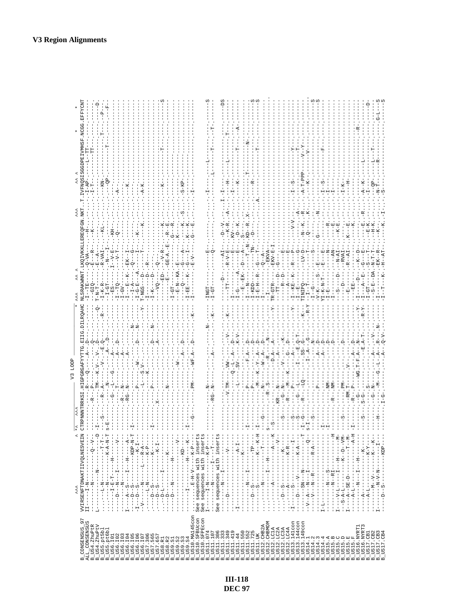|                                                                                                                                                                                                                                                                                                                                                                                                                                  | くくく                                                                                                                             | HOOP                                          |                                                        |
|----------------------------------------------------------------------------------------------------------------------------------------------------------------------------------------------------------------------------------------------------------------------------------------------------------------------------------------------------------------------------------------------------------------------------------|---------------------------------------------------------------------------------------------------------------------------------|-----------------------------------------------|--------------------------------------------------------|
|                                                                                                                                                                                                                                                                                                                                                                                                                                  | VVIRSENFTDNAKTIIVQLNESVE                                                                                                        | DILROAHC<br>CTRPNNNTRRKSI.HIGPGRGAFYYTTG.EIIG | CODPEIVABLESE NOCH ERRYCHT<br><b>JLSRAKWNN</b>         |
| B_CONSENSUS_97<br>ALL_CONSENSUS                                                                                                                                                                                                                                                                                                                                                                                                  |                                                                                                                                 |                                               |                                                        |
| US4. ZhuPEER<br>m,                                                                                                                                                                                                                                                                                                                                                                                                               | $-9 - -0$<br>1<br>J.<br>1<br>$-1$<br>$-1$<br>٠<br>ı<br>İ                                                                        |                                               | 019-                                                   |
|                                                                                                                                                                                                                                                                                                                                                                                                                                  | $\frac{1}{1}$<br>$-1 - N - -$<br>$\mathbf{I}$<br>J.<br>$\begin{array}{c} \hline \end{array}$<br>$\frac{1}{2}$                   |                                               |                                                        |
|                                                                                                                                                                                                                                                                                                                                                                                                                                  | $-1 - T - T$<br>т<br>1<br>$-1 - 1 - N -$<br>$\frac{1}{2}$                                                                       |                                               | $-KN$ -<br>-KL<br>$-R-VAI$<br>$I - K - R$              |
|                                                                                                                                                                                                                                                                                                                                                                                                                                  | $---K-A-N$<br>$\mathbf{I}$<br>$\overline{\phantom{a}}$<br>$-1 - E$<br>ţ<br>$\ddot{\cdot}$                                       | .<br>- 5<br>$R - R$                           | $ -$ QP<br>HZ-<br>$-1 - 2 - 1$<br>$-1 - 0$<br>$-53$    |
| $\begin{array}{l} \texttt{B}-\texttt{U34} \texttt{ .} \texttt{Zhupiv} \\ \texttt{B}-\texttt{U35} \texttt{ .} \texttt{pt5} \\ \texttt{B}-\texttt{U35} \texttt{ .} \texttt{pt6} \\ \texttt{B}-\texttt{U36} \texttt{ .} \texttt{1} \texttt{0} \\ \texttt{B}-\texttt{U36} \texttt{ .} \texttt{1} \texttt{0} \\ \texttt{B}-\texttt{U36} \texttt{ .} \texttt{1} \texttt{0} \\ \texttt{B}-\texttt{U36} \texttt{ .} \texttt{1} \text$    | $   V$<br>j<br>$\frac{1}{1}$<br>$\frac{1}{1}$<br>$H - - -Z - - - - - - - - -$                                                   |                                               | $-A-$<br>$\frac{1}{\sqrt{2}}$<br>$-1 - 1 - 1$<br>$-10$ |
|                                                                                                                                                                                                                                                                                                                                                                                                                                  | J.<br>п<br>$\frac{1}{1}$<br>1<br>$-1$<br>$-1$<br>$-1$<br>п<br>í<br>$\frac{1}{1}$                                                | $-R$ - - $\Lambda$                            | $\overline{5}$                                         |
|                                                                                                                                                                                                                                                                                                                                                                                                                                  | <b>ベー - - - - - H - - - - - -</b><br>$-1 - 4 - 5$                                                                               | $-RC - N$                                     | $-$ K                                                  |
|                                                                                                                                                                                                                                                                                                                                                                                                                                  | $N-4CDP$<br>Í<br>$\frac{1}{1}$<br>$\frac{1}{4}$<br>$-1$ - $-1$ - $-5$                                                           |                                               | A<br>-                                                 |
|                                                                                                                                                                                                                                                                                                                                                                                                                                  | $-1 - K - 1 -$<br>I<br>I<br>I<br>I<br>I<br>$\frac{1}{4}$<br>$-1 - - - - - S$                                                    |                                               |                                                        |
| - 1086<br>3_1087 . 306<br>3_1087 . 565<br>3_1087 . 657<br>3_1087 . 657<br>മ്                                                                                                                                                                                                                                                                                                                                                     | $-7$                                                                                                                            |                                               | $-A-K$<br>$-NGS$                                       |
| $\frac{1}{1}$<br>$\frac{1}{1}$<br>$\frac{1}{1}$<br>$\frac{1}{1}$<br>$\frac{1}{1}$<br>$\frac{1}{1}$<br>$\frac{1}{1}$<br>$\frac{1}{1}$<br>$\frac{1}{1}$                                                                                                                                                                                                                                                                            | $-4 - K - P -$<br>л<br>$\,$ I<br>т<br>-- I-- I--<br>ţ                                                                           |                                               |                                                        |
|                                                                                                                                                                                                                                                                                                                                                                                                                                  | $---X$<br>ł<br>$\begin{array}{c} 1 \\ 1 \\ 1 \end{array}$<br>$-1 - 1 - 5$                                                       |                                               |                                                        |
| $_{\rm USS}$ . R1<br>മ്                                                                                                                                                                                                                                                                                                                                                                                                          | - - - - - - - - - - - - - - -<br>$\frac{1}{1}$                                                                                  |                                               | -- K<br>$\frac{1}{2}$<br>$-50-$                        |
|                                                                                                                                                                                                                                                                                                                                                                                                                                  | $----K$<br>؋                                                                                                                    |                                               |                                                        |
|                                                                                                                                                                                                                                                                                                                                                                                                                                  |                                                                                                                                 |                                               | 55-                                                    |
|                                                                                                                                                                                                                                                                                                                                                                                                                                  |                                                                                                                                 |                                               |                                                        |
|                                                                                                                                                                                                                                                                                                                                                                                                                                  | $-7$<br>л                                                                                                                       |                                               | $E-N--KP$                                              |
|                                                                                                                                                                                                                                                                                                                                                                                                                                  | $-CD$<br>т<br>1                                                                                                                 |                                               | $-S-KP$                                                |
| $_U$ US10. MA145con<br>$\begin{array}{l} \texttt{B}-\texttt{USB} \ \texttt{R2} \\ \texttt{B}-\texttt{USB} \ \texttt{S3} \\ \texttt{B}-\texttt{USB} \ \texttt{S3} \\ \texttt{B}-\texttt{USB} \ \texttt{S3} \\ \texttt{B}-\texttt{USB} \ \texttt{S4} \\ \texttt{B}-\texttt{USB} \ \texttt{S4} \\ \texttt{B}-\texttt{USD} \ \texttt{MAB} \end{array}$                                                                               | --------------<br>I<br>$-1$<br>$\frac{1}{1}$                                                                                    |                                               |                                                        |
|                                                                                                                                                                                                                                                                                                                                                                                                                                  | See sequences with inser                                                                                                        |                                               |                                                        |
|                                                                                                                                                                                                                                                                                                                                                                                                                                  |                                                                                                                                 |                                               |                                                        |
|                                                                                                                                                                                                                                                                                                                                                                                                                                  | sequences with inser-<br>see<br>S                                                                                               |                                               |                                                        |
|                                                                                                                                                                                                                                                                                                                                                                                                                                  | $---Z-F$<br>$\frac{1}{1}$<br>$\mathbf{I}$<br>$\frac{1}{1}$                                                                      |                                               |                                                        |
|                                                                                                                                                                                                                                                                                                                                                                                                                                  | i<br>T<br>$-1$                                                                                                                  | $RG - . N$                                    | 5                                                      |
|                                                                                                                                                                                                                                                                                                                                                                                                                                  | See sequences with inser                                                                                                        |                                               |                                                        |
| $\begin{tabular}{ c c } \hline \texttt{1}\, & \texttt{1}\, & \texttt{1}\, & \texttt{1}\, & \texttt{1}\, & \texttt{1}\, & \texttt{1}\, & \texttt{1}\, & \texttt{1}\, & \texttt{1}\, & \texttt{1}\, & \texttt{1}\, & \texttt{1}\, & \texttt{1}\, & \texttt{1}\, & \texttt{1}\, & \texttt{1}\, & \texttt{1}\, & \texttt{1}\, & \texttt{1}\, & \texttt{1}\, & \texttt{1}\, & \texttt{1}\, & \texttt{1}\, & \texttt{1}\, & \texttt{1$ | ÷<br>т<br>-1                                                                                                                    |                                               |                                                        |
|                                                                                                                                                                                                                                                                                                                                                                                                                                  | $-7$ -<br>I<br>1<br>I<br>$\frac{1}{1}$<br>$\frac{1}{1}$<br>$-1$ - $-1$ - $-1$                                                   |                                               | $-K-R$<br>$-R-V-E$                                     |
|                                                                                                                                                                                                                                                                                                                                                                                                                                  | ı<br>ı<br>í                                                                                                                     |                                               |                                                        |
| $4400$<br>$5000$<br>$500$<br>$500$<br>$755$                                                                                                                                                                                                                                                                                                                                                                                      | $-1 - A - I -$<br>ł<br>$\begin{bmatrix} 1 & 1 & 1 \\ 1 & 1 & 1 \\ 1 & 1 & 1 \\ 1 & 1 & 1 \end{bmatrix}$<br>부                    |                                               | -D--K<br>ပု                                            |
|                                                                                                                                                                                                                                                                                                                                                                                                                                  | ı<br>1<br>ı<br>1<br>п<br>ï<br>ı<br>I<br>1                                                                                       |                                               | --E--- EK                                              |
|                                                                                                                                                                                                                                                                                                                                                                                                                                  | -- -- -- -- -- -- --<br>$\frac{1}{1}$<br>п                                                                                      |                                               | $KD = -R$<br>$-1$                                      |
|                                                                                                                                                                                                                                                                                                                                                                                                                                  | $-TP-$<br>$\overline{\phantom{a}}$<br>л<br>1<br>$\frac{1}{1}$<br>$-1 - 5 - 5$<br>-1                                             |                                               |                                                        |
|                                                                                                                                                                                                                                                                                                                                                                                                                                  | $---X---K$<br>$-1$ - $-1$ - $-1$<br>ł                                                                                           |                                               | 먼<br>$-E-H--R$                                         |
| $_U$ US12. CHB <sub>2A</sub>                                                                                                                                                                                                                                                                                                                                                                                                     | $-1$ $-1$ $-1$ $-1$ $-1$<br>J<br>í                                                                                              |                                               | $-1$                                                   |
|                                                                                                                                                                                                                                                                                                                                                                                                                                  | $\frac{1}{1}$<br>$\frac{1}{2}$                                                                                                  | $- R -$                                       |                                                        |
|                                                                                                                                                                                                                                                                                                                                                                                                                                  | $-4 -$<br>$\mathbf{I}$<br>$-----A-$<br>$\frac{1}{2}$                                                                            | $-D \cdot A$                                  | EKV-F<br>-GTR                                          |
| B_US12.CHBMOM<br>B_US12.LC1A<br>B_US12.LC2A<br>B_US12.LC2A<br>B_US12.LC3A                                                                                                                                                                                                                                                                                                                                                        | $    -$<br>$\frac{1}{1}$<br>ı<br>ı.<br>ı.<br>$\frac{1}{2}$                                                                      | $R - -$ . $N -$                               |                                                        |
|                                                                                                                                                                                                                                                                                                                                                                                                                                  | $-K--$<br>J<br>I<br>J<br>$\frac{1}{1}$<br>$\frac{1}{1}$<br>$\cdots$ $\cdots$ $\cdots$ $\cdots$ $\cdots$ $\cdots$                | $-5 - 7$                                      | $\frac{R}{I}$                                          |
| $\xi$ us12.LC4A<br>m,                                                                                                                                                                                                                                                                                                                                                                                                            | $-K - R -$<br>$\mathbf{I}$<br>-<br>ł<br>$---A---$                                                                               | ن<br>ا<br>$-R - - - -N$                       |                                                        |
|                                                                                                                                                                                                                                                                                                                                                                                                                                  | Ţ<br>$\frac{1}{1}$<br>$\frac{5}{1}$<br>$\frac{1}{2}$<br>j.<br>$\mathbf{H}$<br>T.                                                |                                               | --KE                                                   |
| <b>B_US13.141con</b><br><b>B_US13.144con</b>                                                                                                                                                                                                                                                                                                                                                                                     | $- -K - A -$<br>1<br>$\mathbf{I}$                                                                                               | ပု                                            |                                                        |
|                                                                                                                                                                                                                                                                                                                                                                                                                                  | $-N - -N = -N$<br>I<br>ı                                                                                                        | $-R-$<br>ں<br>-                               | $- A - T - P P P$<br>$-N--K$<br>$-1 - 1$<br>DdINI      |
| <b>B_US13.149con</b><br><b>B_US14.1</b>                                                                                                                                                                                                                                                                                                                                                                                          | Ÿ<br>¦<br>$-1$ $-1$ $-1$ $-1$                                                                                                   |                                               |                                                        |
| $\mathbf{\Omega}$                                                                                                                                                                                                                                                                                                                                                                                                                | $---R - A -$                                                                                                                    |                                               |                                                        |
| $\sim$<br>$B = 0.314$<br>$B = 0.314$<br>$B = 0.314$<br>$5 - 0514$ .                                                                                                                                                                                                                                                                                                                                                              | ı                                                                                                                               |                                               | $I - K$                                                |
| US14.<br>m,                                                                                                                                                                                                                                                                                                                                                                                                                      | $\mathbf{I}$<br>-<br>$\frac{1}{1}$<br>$\frac{1}{1}$<br>I<br>$\overline{\phantom{a}}$<br>$\overline{\phantom{a}}$<br>$1 - 1 - 1$ |                                               | $-5$<br>-<br>7-<br>Ť                                   |
|                                                                                                                                                                                                                                                                                                                                                                                                                                  | $-1$ - $-1$ - $-1$ - $-1$                                                                                                       |                                               |                                                        |
| B_US15.1<br>B_US15.1                                                                                                                                                                                                                                                                                                                                                                                                             | $-1 - N - 1 - 1$<br>п<br>л                                                                                                      |                                               |                                                        |
| mυ<br>$-0.515$ .<br>$-0.515$ .<br>் ம                                                                                                                                                                                                                                                                                                                                                                                            |                                                                                                                                 |                                               | - - K - E<br>$-N-K-$<br>ù                              |
| $\Box$<br>$USS15$ .<br>ற்                                                                                                                                                                                                                                                                                                                                                                                                        | $- -K - D - -V$<br>$\overline{\phantom{a}}$<br>$\mathbf{I}$<br>$-1 - S - A - L - -$                                             |                                               | $K - K -$<br><b>RVAI</b>                               |
| മ്                                                                                                                                                                                                                                                                                                                                                                                                                               | -------<br>$\overline{1}$<br>$\frac{1}{1}$<br>Н                                                                                 | -RM.                                          |                                                        |
| 国国<br>$_$ US15.                                                                                                                                                                                                                                                                                                                                                                                                                  |                                                                                                                                 |                                               |                                                        |
| US16.NYRT1<br>$B_UUS15$ .<br>m,                                                                                                                                                                                                                                                                                                                                                                                                  | $- - - - - -$<br>٠<br>ı<br>ı<br>$-1 - 1 - 1$                                                                                    | ပု                                            | 白田                                                     |
| മ്                                                                                                                                                                                                                                                                                                                                                                                                                               | -----------<br>-1<br>$---A---$<br>j.                                                                                            | 먿                                             |                                                        |
|                                                                                                                                                                                                                                                                                                                                                                                                                                  | $- -X - X - - -$<br>--A-L--<br>J                                                                                                |                                               |                                                        |
|                                                                                                                                                                                                                                                                                                                                                                                                                                  | $---X---K$<br>Í<br>$-1$ - $-1$ - $-1$                                                                                           |                                               | $-9P$                                                  |
| B_USI6.NYRT3<br>B_USI7.CB1<br>B_USI7.CB2<br>B_USI7.CB3<br>B_USI7.CB4                                                                                                                                                                                                                                                                                                                                                             | $\frac{1}{1}$<br>$\frac{1}{2}$<br>-1<br>$\mathbf{I}$<br>ï.<br>$\mathbf{H}$                                                      |                                               |                                                        |
|                                                                                                                                                                                                                                                                                                                                                                                                                                  | $---KDP$<br>í<br>$\frac{1}{1}$<br>$---D--S$<br>$\overline{\phantom{a}}$                                                         |                                               |                                                        |

 $III-118$ **DEC 97**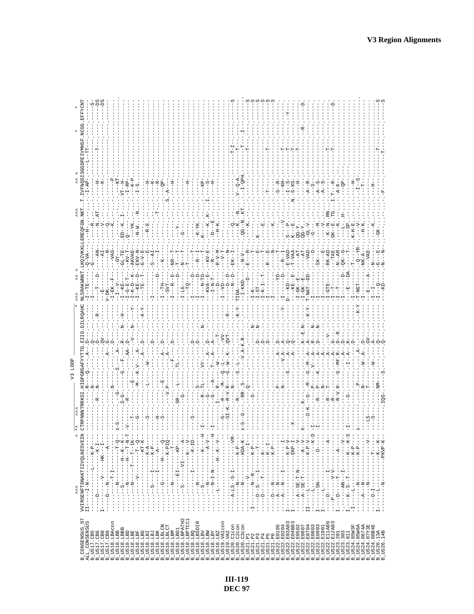|         | -DS<br>IVFNQSISGGDPEIVMHSF.NCGG.EFFYCNT<br>Ģ<br>-11--11-<br>$-1 - AP - 1 -$<br>$- H -$<br>$-16 -$                                                    | $VT-H-$<br>$\frac{1}{1}$<br>$-55$                            | $---K-P$<br>$-1 - RP -$                                     | ŧ<br>$-1-5$ .                                    | $-1 - K -$<br>$- R -$                            | $-QP-$<br>$-A-$                                     | $\pm$                     |                                                | $\pm$                          | $-KP-$                                   | $\frac{1}{2}$                                             | $H -$                        |                                  |                   | ٢<br>$V - O - A$ | HdO-r-                           |                |                                          |                          | $-5 - -R -$                  | ę<br>$-KH$   | Ĥ<br>ę<br>$-2 - -1 -$<br>$N - S - KS -$      | $rac{1}{1}$                  | $-4 - -R -$                                 | $-8 - -8 -$<br>$\frac{1}{2}$                                                                                              | $-A$ – $S$          | $T---R--$                      | $-2A-K--$               | $-90 -$                                                                            | キー                             | $-1 - 5$              |                                              | ÷                                          |            |
|---------|------------------------------------------------------------------------------------------------------------------------------------------------------|--------------------------------------------------------------|-------------------------------------------------------------|--------------------------------------------------|--------------------------------------------------|-----------------------------------------------------|---------------------------|------------------------------------------------|--------------------------------|------------------------------------------|-----------------------------------------------------------|------------------------------|----------------------------------|-------------------|------------------|----------------------------------|----------------|------------------------------------------|--------------------------|------------------------------|--------------|----------------------------------------------|------------------------------|---------------------------------------------|---------------------------------------------------------------------------------------------------------------------------|---------------------|--------------------------------|-------------------------|------------------------------------------------------------------------------------|--------------------------------|-----------------------|----------------------------------------------|--------------------------------------------|------------|
|         |                                                                                                                                                      |                                                              |                                                             |                                                  |                                                  |                                                     |                           |                                                |                                |                                          |                                                           |                              |                                  |                   | z<br>T           |                                  |                |                                          |                          |                              |              |                                              |                              |                                             |                                                                                                                           |                     |                                |                         |                                                                                    |                                |                       |                                              |                                            |            |
|         | $-N \cdot A T$<br>$\circ$                                                                                                                            | .ED--K<br>$-1$                                               | $-2K$ .<br>$    \sim$                                       | $-N-W$ .<br>$-R - E$                             |                                                  |                                                     | $-Y-$                     |                                                |                                | $-K-YK$<br>. K----                       | $---K.$ .K                                                | -D---E<br>$-H-K$             |                                  |                   | ÷K.              | $-50$ .<br>$ K$ .                |                |                                          |                          |                              |              | U)                                           | $X$ -50                      | $-55-$<br>$QG-Y$ .                          | N--<br>÷                                                                                                                  |                     | $-K--N$ . RN<br>GK--B          | ÷.                      | --1-<br>$-$ SP.                                                                    | $-K-H-E$                       | i<br>$-H-K$           |                                              |                                            |            |
|         | $-AN$<br>ř<br>$-AA$<br>$-50-7$                                                                                                                       | $-11 - 15 -$<br>$-77AC$<br>$-X5 -$                           | $-$ EKV $-$ N-<br>$-1-XV-T$                                 | 부<br>ローマーウー                                      | $-5 - - A1$                                      | $-1$                                                | $-MR-$<br>÷               | $\frac{1}{7}$                                  |                                | I<br>$- R -$                             | $-KN-E$                                                   | $-R - V - M$                 | z<br>!<br>$-1 - 7 - 1$           | .-BK---           |                  | $---R$<br>->-2-<br>벽             |                | 뛰<br>י<br>י                              | - H<br>- I<br>$-R -$     | Ŧ<br>I                       | --R---I      | $-E-VAD$<br>-T-VAA                           | $-4T$                        | $-VTAD$<br>$-4T$                            | $\bigcap_{i=1}^n$<br>$-SK-$                                                                                               | 뛰                   | -RK-AD-<br>$-TAE$              | $-N - - AR$             | $-20K - 9$                                                                         | ا<br>م                         | $-0--YR$<br>$-NK - A$ | $-VTA$ E                                     | - H<br>- I<br>z<br>!                       |            |
|         | NLSRAKWNNT.LKQIVKKLLEREQFGN.NKT<br>ė<br>$-10$<br>ŕ<br>$\frac{1}{1}$<br>$7 - DK -$                                                                    | $I - EK = -F$<br>$-1 - 1 -$<br>$--KE-$                       | $-K-D--K-$ . $-AKVAB$<br>$- -KE - -D -$<br>$-1 - 1 - 1 - 0$ | $\frac{1}{2}$<br>$-TTE$                          |                                                  | $-17H$<br>$-$ SVT                                   | Ļ<br>----R--E             | $I-I.G$ -                                      | $-1$<br>--01---                | $-1$ $-1$ $-1$ $-1$                      | $-KVA - -E -$                                             | $T - N - T$<br>$\frac{1}{1}$ | $-1$ - $D$ - $-1$<br>$-4$        | $-1$ $-1$ $-1$    | -ACT.            | $\frac{1}{1}$<br>$-L-KKD$        | $-K-1$         | $-K - I - -T$<br>$-5T$                   |                          | - - TY - -                   | ė            | $-KE - -E -$<br>$- - KD - -$                 | $-$ GK $-$ -E                | $-MAT$ -DD<br>-GK                           |                                                                                                                           |                     | <b>HIP-</b><br>i               | י<br>י                  | 뛰                                                                                  |                                | T-NGT                 | $-A-$<br>$- E -$                             | ؋                                          |            |
|         |                                                                                                                                                      |                                                              |                                                             | $X - X -$                                        |                                                  |                                                     |                           |                                                |                                |                                          |                                                           |                              |                                  |                   | $\tilde{t}$      |                                  |                |                                          |                          |                              |              |                                              |                              |                                             |                                                                                                                           |                     |                                |                         |                                                                                    |                                |                       |                                              |                                            |            |
|         | Š<br>⊹<br>∶<br>਼<br>Ŗ                                                                                                                                |                                                              |                                                             |                                                  |                                                  |                                                     |                           |                                                |                                |                                          |                                                           |                              |                                  |                   |                  |                                  |                |                                          |                          |                              |              |                                              |                              |                                             | R                                                                                                                         |                     |                                |                         |                                                                                    |                                |                       |                                              |                                            |            |
| V3 LOOP | $-4$                                                                                                                                                 | $A -$<br>ŀ                                                   | $-.AA-.D$                                                   |                                                  |                                                  |                                                     |                           |                                                |                                |                                          |                                                           |                              | -1-1-0-                          |                   | $-V.A-K$         |                                  |                |                                          |                          |                              | -V.A-        | $\ddot{A}$ .<br>$-4$                         |                              | $A - M - A$                                 | ŗ                                                                                                                         | ٩                   |                                | $G - MF$ .              |                                                                                    |                                |                       |                                              | $-18-$                                     |            |
|         | CTRPNNNTRRKSI.HIGPGRGAFYYTTG.EIIG.DILRQAHC<br>.<br>?<br>$-1$ . N $-$<br>$-R - - N$                                                                   | ပ္ပ္ပ္ပ္ကြ<br>ပ<br>.<br>ب                                    | $-5 - K$<br>$-1$                                            | ÷<br>F                                           |                                                  | 뛰<br>$\ddot{\triangledown}$                         |                           |                                                |                                | $-R-$                                    |                                                           | .<br>לף                      | 먼<br>-N- --R-<br>$- R - V$ . $R$ | $\frac{1}{\cdot}$ | ςò<br>$-R = -1$  | $-RR-$                           |                |                                          |                          |                              |              |                                              |                              | 주 · - - - - - -                             | $-R = -$                                                                                                                  |                     | $-R = -T$                      | $-R-V$ . R              |                                                                                    |                                |                       |                                              |                                            |            |
|         |                                                                                                                                                      |                                                              | 투                                                           | ပု<br>ŵ                                          | 푸                                                | S                                                   | $SR-$                     |                                                |                                |                                          | 법                                                         |                              | $-SI-K$<br>ပုံ                   |                   | $S - G -$        |                                  | 먼              |                                          |                          |                              |              |                                              |                              | -D-K.                                       |                                                                                                                           |                     | $- R -$                        |                         |                                                                                    |                                |                       | LS.                                          | ω                                          | $10-$      |
|         |                                                                                                                                                      |                                                              |                                                             |                                                  |                                                  |                                                     |                           |                                                |                                |                                          |                                                           |                              |                                  |                   |                  |                                  |                |                                          |                          |                              |              |                                              |                              |                                             |                                                                                                                           |                     |                                |                         |                                                                                    |                                |                       |                                              |                                            |            |
|         | ---HK----I<br>$-4 - 1$<br>$-1 - K - I$<br>$- - K - P$                                                                                                | $\frac{1}{1}$<br>Í<br>$\frac{1}{1}$                          | $-1 - 1 - - - -$                                            | $---K$ T $-$<br>$-4 - K - A -$                   | $-4 - K - P -$<br>$-4-$<br>$\frac{1}{1}$         | $--X-FI$<br>$\frac{1}{4}$                           | اءِ<br>ا<br>ı             | í<br>í                                         |                                | --------                                 | $-4 - 2$                                                  | -H--K-                       |                                  |                   | $-2-X$           | Ţ<br>$-$ KDA                     | $-4 - K - P -$ | j<br>i<br>T<br>$-K--$                    | $- -K - -1$              | $-4 - X - -$<br>i            |              | $-4 - K - P -$<br>$--$ EXP                   | ł                            | -- - K --<br>$-2-X$<br>п                    | $\frac{1}{1}$                                                                                                             |                     |                                | $-4$                    | $-5 -$                                                                             | $-X-P$                         | $-1 - K - P$          |                                              | $-K--$<br>ł                                | $--$ PKVP  |
|         | $\frac{1}{1}$<br>$- - \sqrt{-}$                                                                                                                      | $\frac{1}{1}$                                                | $-1$                                                        |                                                  | I<br>$\frac{1}{1}$<br>$\frac{1}{1}$              | I<br>٠<br>$\frac{1}{1}$<br>$\frac{1}{1}$            | ---------------           | $- - - - - - - - - - -$                        | $-1 - 1 -$                     | ł                                        |                                                           | J.                           |                                  |                   |                  | л<br>ı<br>I<br>$-1$              |                | ٠<br>$- - - - 1$                         |                          |                              |              |                                              |                              |                                             | п                                                                                                                         |                     | $-1 - 1 - 1$<br>$\frac{1}{1}$  | $\frac{1}{1}$<br>י<br>ו |                                                                                    |                                |                       |                                              | I                                          |            |
| くくく     | VVIRSENFTDNAKTIIVQLNESVEIN<br>$\frac{1}{1}$<br>$-1$ $-1$ $-1$ $-1$<br>$-1$ $-1$ $-1$<br>п<br>$\frac{1}{1}$<br>$11 - - -$<br>$\frac{1}{1}$<br>÷,<br>л | ပ္ပ<br>$\ddot{\cdot}$ : $\ddot{\cdot}$ :                     | I<br>$\ddot{\cdot}$                                         | $\frac{1}{2}$<br>$\frac{1}{2}$<br>$\ddot{\cdot}$ | $\frac{1}{1}$<br>$\blacksquare$<br>$\frac{1}{2}$ | $-1$ - $-0$<br>ı<br>$\frac{1}{2}$<br>$\ddot{\cdot}$ |                           | $\frac{1}{2}$<br>$\ddot{\cdot}$                | $\frac{1}{1}$<br>$\frac{1}{2}$ | $-1 - N -$<br>$\vdots$<br>$\ddot{\cdot}$ | $-1 - N -$<br>$\begin{bmatrix} 1 \\ 1 \\ 2 \end{bmatrix}$ | ı<br>$\frac{1}{1}$           | .                                |                   | $-\frac{1}{1}$   | ٠                                | $-$ R $-$      | $-1 - 1 - 1 - 1 - 1 - 1$<br>$-1 - 5 - 5$ | $\overline{\phantom{a}}$ | $-1$ - $-1$ - $-1$           |              | п<br>$\mathsf{H}$                            | $- -A - -SE - T - N$         | $-1 - A - S E - T$<br>I<br>ī<br>j<br>J<br>H | $-1 - SS - 1$<br>--<br>-- 1-<br>I<br>$\mathbf{I}$<br>$\frac{1}{1}$                                                        | 늰<br>$\overline{a}$ |                                | $-1$ - $-1$ - $-1$ .    | $- - - - - - - - - - - -$<br>$-1 - K - S - - T -$<br>$\frac{1}{1}$<br>$\mathbf{H}$ | ŀ.<br>٢                        | --A---A--             | $-5$<br>1                                    | $-1 - 1$<br>$--L--L--$<br>I<br>1<br>i<br>H | $-5$       |
|         |                                                                                                                                                      |                                                              |                                                             |                                                  |                                                  |                                                     |                           |                                                |                                |                                          |                                                           |                              |                                  |                   |                  |                                  |                |                                          |                          |                              |              |                                              |                              |                                             |                                                                                                                           |                     |                                |                         |                                                                                    |                                |                       |                                              |                                            |            |
|         | CONSENSUS_97<br>ALL_CONSENSUS<br>$-$ US17. CB5<br>3_US17.CB8<br>R_US17.CB9<br>US17.CB6<br>$\mathbf{m}$<br>$\mathbf{m}$<br>щ<br>Щ<br>$\mathbf{m}$     | B_US18.LBAcon<br>US18.LBBB<br>USS18.IBB<br>$\mathbf{m}$<br>m | B_US18.LBD<br>B_US18.LBE<br>m                               | B_US18.LBG<br>USS18.LBF<br>B_US18.LBI            | B_US18.LBJ<br>$B_$ US18. LBK                     | B_US18.LBLCN<br>$\_$ US18.LBLCT<br>$\mathbf{m}$     | B_US18.LBO1<br>B_US18.LBM | US18.LBPATH2<br>B_US18.LBPTCC1<br>$\mathbf{m}$ | B_US18.LBQ                     | US18.LBSDIR<br>B_US18.LBV<br>m           | <b>B_USI8.LBW</b><br>WEL.812U_E                           | B_US18.LBZ                   | B_US19.VAlcon<br>US19.VA2<br>ച്  | B_US20.Clcon      | B_US20.C2con     | <b>B_US20.C3con</b><br>B_US21.P1 | B_US21.P2      | $B_{US21.P3}$                            | B_US21.P5                | B_US22.E0105<br>US21.P6<br>m | B_US22.E0204 | $B_{U}$ US22. E03A03<br>$B_{U}$ US22. E04B03 | B_US22.E0502<br>B_US22.E0607 | B_US22.E0704                                | $\begin{array}{l} \hbox{B-US22. E0803}\\ \hbox{B-US22. E0903}\\ \hbox{B-US22. E1001}\\ \hbox{D\_US22. E1001} \end{array}$ |                     | B_US22.E11A06<br>B_US22.E12A03 | B_US23.201              | B_US23.303                                                                         | $B_U$ US24.85W3F<br>B_US23.811 | B_US24.85W6A<br>m     | $\frac{3 - 0524.8674A}{3 - 0524.87Y3E}$<br>m | US26.13A<br>മ് മ                           | B_US26.14B |

 $III-119$ **DEC 97**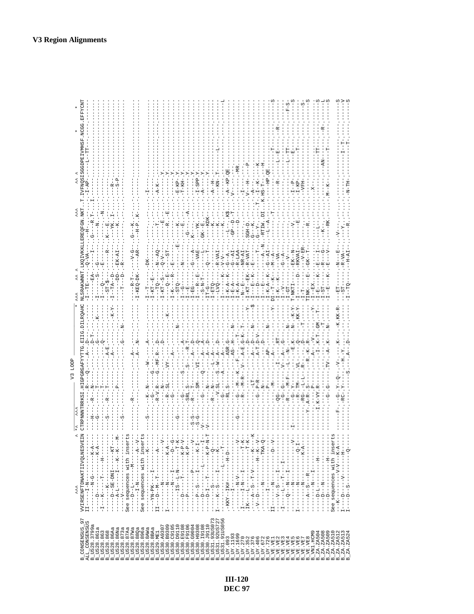|                                              | $\lambda$                                                                                                           | <b>EOOT</b><br>$\frac{1}{2}$         |          |                     |                                   |                                                                         |                                      |  |
|----------------------------------------------|---------------------------------------------------------------------------------------------------------------------|--------------------------------------|----------|---------------------|-----------------------------------|-------------------------------------------------------------------------|--------------------------------------|--|
| CONSENSUS_97<br>മ്                           | VVIRSENFTDNAKTIIVQLNESV                                                                                             | CTRPNNNTRRKSI HIGPGRGAFYYTTG EIIG    | DILROAHC |                     | NLSRAKWNNT.LKOIVKKLLEREOFGN.NKT   |                                                                         | ZURE SCORINGE ESPERIENTE EN SOCIONAL |  |
| ALL_CONSENSUS                                | I<br>---------------                                                                                                | $-8.1$                               |          |                     | $-1 - 9 - 17A$                    |                                                                         | $-1-AP$                              |  |
| B_US28.3799a<br>B_US28.861a                  | $---K - A -$<br>$-10 - 2 - 1 - 1$<br>ï<br>1                                                                         | $\sum_{i=1}^{n}$<br>Ė.               |          | $\frac{1}{2}$       | $-1 - - - - - -$<br>$\frac{1}{2}$ | $-5$                                                                    |                                      |  |
|                                              | $-1 - H - -$<br>----------------                                                                                    | F.                                   |          | $\frac{1}{1}$       |                                   |                                                                         |                                      |  |
| B_US28.863<br>B_US28.868                     |                                                                                                                     |                                      |          |                     |                                   | $-1$                                                                    |                                      |  |
| B_US28.86Aa                                  |                                                                                                                     |                                      |          | --TA--D-            |                                   |                                                                         |                                      |  |
| B_US28.86Na<br>B_US28.873a                   |                                                                                                                     |                                      |          | ۹<br>¦              |                                   |                                                                         | $5 - p$                              |  |
| B_US28.87Aa                                  | See sequences with inse                                                                                             |                                      |          |                     |                                   |                                                                         |                                      |  |
| $B_U$ US28.87Wa                              |                                                                                                                     |                                      |          | $R-T$               |                                   |                                                                         |                                      |  |
| <b>B_US28.88Qa</b>                           | $- -A - -$<br>$\frac{1}{1}$                                                                                         |                                      |          | $-L-KEO-DK$         | $- H - P$                         |                                                                         |                                      |  |
| B_US28.896a                                  | See sequences with inse                                                                                             |                                      |          |                     |                                   |                                                                         |                                      |  |
| B_US28.8AWa<br>$B_$ US28.8BAa                | $-K--$<br>$\frac{1}{1}$<br>$\frac{1}{1}$<br>j<br>$\frac{1}{1}$<br>$\begin{array}{c} \n 1 \\  1 \\  1\n \end{array}$ |                                      |          | - KT - - E          |                                   |                                                                         |                                      |  |
| B_US29.ME1                                   | $- -A - -$<br>II----------                                                                                          | $-MF$ . $R-$<br>먹<br>$R-V \cdot R -$ |          | $-10$               | $-N--AO$                          |                                                                         | $- A - K$                            |  |
| B_US30.A9307                                 | 1<br>1<br>-1                                                                                                        |                                      |          | $I - KT - S$        | $-5 - 0 - 1$                      |                                                                         |                                      |  |
| B_US30.B9309                                 | $- -K - A -$<br>Í                                                                                                   | $-R - SI$                            |          |                     |                                   | $---R$ $-E$                                                             |                                      |  |
| B_US30.C9105                                 | $-1$ $-1$<br>$\frac{1}{1}$<br>J<br>$\frac{1}{1}$                                                                    |                                      |          | $- R -$<br>$-1$     |                                   |                                                                         |                                      |  |
| B_US30.D9110                                 | $\frac{1}{2}$<br>$-1 - 2 - 1 - 5 - 1 - 1$                                                                           |                                      |          |                     |                                   |                                                                         | $E - KP - Y$                         |  |
| B_US30.E9108                                 | - ユーーローーーーーーーーーーーーーーーーーー                                                                                            |                                      |          | りー                  |                                   | $\begin{array}{c}\n\mathbf{H} \\ \mathbf{I} \\ \mathbf{I}\n\end{array}$ | $T-KH- Y$                            |  |
| B_US30.F9106                                 | $---2--1$                                                                                                           | $-$ SRL.S                            |          | $-1$                |                                   | A<br>- - - - - - - - A<br>-                                             |                                      |  |
| B_US30.G9004                                 | $-$ - $P$<br>$\frac{1}{1}$<br>$\frac{1}{1}$<br>$\mathbf{I}$                                                         | ပူ                                   |          | - EG                |                                   |                                                                         |                                      |  |
| B_US30.H9308                                 |                                                                                                                     | $MS -$                               |          | ----R---E           | --- YK<br><b>HAV-</b>             |                                                                         | $-1-$ SPP.                           |  |
|                                              | I                                                                                                                   | .<br>با<br>!                         |          | $-5 - N - 7$        | $-5K - -E$ .                      |                                                                         | $-A-$                                |  |
| B_US30.19108<br>B_US30.020110                | ---------------<br>$---D - I$                                                                                       |                                      |          | $LT-G$              |                                   | $-$ KDF                                                                 |                                      |  |
| B_US31.93US073                               | $-1$ $-1$<br>I<br>1<br>$\frac{1}{1}$<br>$-5 - 5 - 5 - 5$<br>1                                                       |                                      |          | $-ETQ-$             |                                   | - - K.                                                                  | $-A$ – $H$ –                         |  |
| B_US31.92US727                               | н                                                                                                                   |                                      |          | $-501-$             | $-R-VAI$                          | $-K$ .                                                                  | $-EM-1$                              |  |
| B_US31.91US056                               | -------------<br>$\frac{1}{1}$<br>т<br>٠<br>٠<br>$\frac{1}{1}$                                                      |                                      |          |                     | $-V - V -$                        | - - K.                                                                  |                                      |  |
| B_UY.093                                     | - KKY - - IK# - - - - - - H-D                                                                                       | $-RL.S$                              |          | $-K - A - -K$       | $A - D -$                         |                                                                         | $-A$ --KP.QE                         |  |
| B_UY.1193                                    |                                                                                                                     |                                      |          | $-A$ -E             | $G - -A$                          | - . q--qp-                                                              |                                      |  |
| B_UY.1699                                    | $-1$<br>j<br>í<br>H---H-H-----H                                                                                     |                                      |          | $-1 - 1$<br>- X – A | $R-LAA$                           |                                                                         |                                      |  |
| B_UY.270<br>B_UY.352                         | $\frac{1}{1}$<br>ţ                                                                                                  |                                      |          | $-KT -$             | $SGH-D$ .                         |                                                                         |                                      |  |
| B_UY.376                                     |                                                                                                                     | ÷II.                                 |          |                     | $G---K$                           |                                                                         | -<br>+<br>+<br>+<br>+                |  |
| B_UY.406                                     |                                                                                                                     | $G-1. P-R$                           |          |                     |                                   |                                                                         |                                      |  |
| B_UY.672                                     | $------TKA-$                                                                                                        |                                      |          |                     |                                   | $-RTIW$ . D                                                             |                                      |  |
| B_UY.726                                     |                                                                                                                     |                                      |          | $-K - A - -K$       |                                   |                                                                         | $-$ -HP.QE                           |  |
| B_VE.VE1                                     | $\frac{1}{1}$<br>I<br>--------------                                                                                |                                      |          |                     |                                   |                                                                         |                                      |  |
| B_VE.VE2                                     |                                                                                                                     |                                      |          |                     |                                   |                                                                         |                                      |  |
| B_VE.VE3                                     |                                                                                                                     |                                      |          |                     | $\ddot{c}$ – $\ddot{c}$           |                                                                         |                                      |  |
| B_VE.VE4                                     | $-1$ - $-1$ - $-1$ - $-1$ - $-1$                                                                                    | $R$ ---- $-M-F$                      |          |                     |                                   |                                                                         | -1---11                              |  |
| B_VE.VE5                                     | $\frac{1}{1}$                                                                                                       |                                      |          |                     |                                   |                                                                         |                                      |  |
| B_VE.VE6                                     | $-9-1$<br>ï<br>I<br>ı<br>í                                                                                          |                                      |          |                     | -RKVAI                            |                                                                         | $-I-KP$                              |  |
| $B_VE.VE.7$                                  | - 4-2-1-1-1-1-1-1-1                                                                                                 |                                      |          |                     |                                   |                                                                         | --VFH-                               |  |
| B_VE.VE8                                     |                                                                                                                     |                                      |          |                     |                                   |                                                                         |                                      |  |
| B_VN1.HCM9                                   |                                                                                                                     |                                      |          |                     |                                   |                                                                         |                                      |  |
| ZA. ZA504<br>$\mathbf{m}^{\vert}$            | ---------                                                                                                           | K-VY.R                               |          |                     |                                   |                                                                         |                                      |  |
| ZA.ZA508<br>മ്                               | $\begin{array}{c} \n 1 \\  1 \\  1\n \end{array}$<br>$- - - - - - - - - - - - - - -$                                |                                      |          |                     |                                   |                                                                         |                                      |  |
| ZA.ZA509<br>ZA. ZA510<br>$\mathbf{a}$        | See sequences with inse                                                                                             | Ġ<br>$\frac{1}{9}$                   |          |                     | $\frac{1}{1}$                     |                                                                         |                                      |  |
| ZA512<br>ZA.<br>$\mathbf{m}^{\vert}$<br>മ    | п                                                                                                                   |                                      |          |                     |                                   |                                                                         |                                      |  |
| ച്                                           |                                                                                                                     |                                      |          |                     | -R-VA                             |                                                                         |                                      |  |
| $-2A. ZAS13$<br>$-2A. ZAS24$<br>$\mathbf{a}$ | $-1$ $-1$<br>$\frac{1}{1}$                                                                                          |                                      |          |                     | $-A$                              |                                                                         |                                      |  |
|                                              |                                                                                                                     |                                      |          |                     |                                   |                                                                         |                                      |  |

 $III-120$ **DEC 97**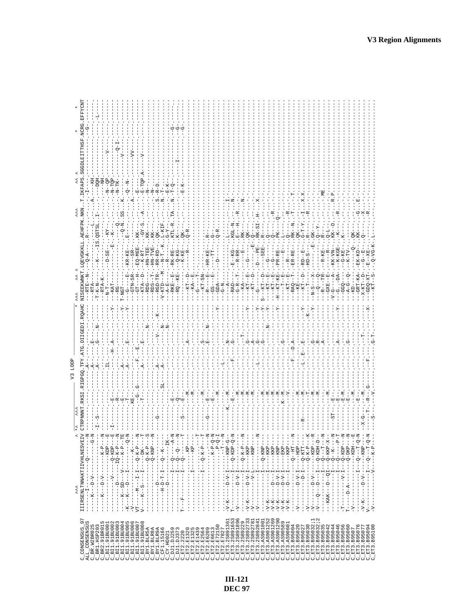|                                                                                                                                                                                                                                                                                                                                             | くくく                                                                                                                                                            |                    | LOOP<br>V <sub>3</sub>                         | $\hat{\zeta}$                                         | くく                                                                     |
|---------------------------------------------------------------------------------------------------------------------------------------------------------------------------------------------------------------------------------------------------------------------------------------------------------------------------------------------|----------------------------------------------------------------------------------------------------------------------------------------------------------------|--------------------|------------------------------------------------|-------------------------------------------------------|------------------------------------------------------------------------|
| 97<br>CONSENSUS<br>び                                                                                                                                                                                                                                                                                                                        | IIIRSENLTNNAKTIIVHLNESVEIV                                                                                                                                     |                    | .RQAHC<br>CTRPNNNT.RKSI.RIGPGQ.TFY.ATG.DIIGEDI | NISEEKWNKT.LQEVGKKLL.AEHFPK.NKN                       | .T.IKFAPS.SGGDLEITTHSF.NCRG.EFFYCNT                                    |
| ALL_CONSENSUS<br>U                                                                                                                                                                                                                                                                                                                          | $\frac{1}{2}$<br>$N-G$<br>$\frac{1}{\alpha}$<br>т<br>$- -K - -D - V -$<br>т<br>1<br>$\frac{1}{1}$<br>٠                                                         |                    | Ė,<br>$-4-1$<br>$\ddot{A}$ -                   | -- A -- N -- N -- - Q -- A --<br>-RTA                 | $\frac{1}{2}$<br>$--KH$<br>$-2.7$                                      |
| $\frac{B}{B}$ . W2BR025<br>U                                                                                                                                                                                                                                                                                                                |                                                                                                                                                                | ၯ                  | ಀ಼<br>$\ddot{A}$                               | $-K----15.05TSL$<br>$T-K-N--$                         | $-$ DQH                                                                |
| 91BR015<br>$-BR2.$<br>U                                                                                                                                                                                                                                                                                                                     | $- -K - P$<br>$- -K - - - - - - - - -$                                                                                                                         |                    |                                                | $-$ -RTA $-$ K                                        | HM--                                                                   |
| _arl.91BU001<br>_b11.91BU002<br>200UBI0.1BL<br>U<br>U                                                                                                                                                                                                                                                                                       | $-0 - KDP$<br>$-$ KDP<br>$--\nabla--$                                                                                                                          |                    | $-H-.A$                                        | 면<br>-<br>-<br>$-D-SE-$<br>$-TAT-$<br>$-1$ $-1$       | $\frac{1}{2}$<br>$- N - N - QP$<br>$-N-N-QP$<br>$-XX^{2}$<br>- - K - - |
| U                                                                                                                                                                                                                                                                                                                                           | $-LQ-K-P$<br>I<br>$- - 1 - - - -$<br>í<br>í<br>J<br>п                                                                                                          |                    |                                                | $-BC -$                                               | $-9 - 7$<br>$- N - T K$                                                |
| BI1.91BU004<br>U                                                                                                                                                                                                                                                                                                                            | ٢<br>$-X-F$<br>J.<br>$- -K - SD - -V -$                                                                                                                        | 뛰                  |                                                | $I-MGT$                                               | $\frac{35}{3}$<br>$N-\tilde{O}$ -                                      |
| 91BU005<br>$\cdot$<br>BI1<br>U                                                                                                                                                                                                                                                                                                              | $-5 - 2$<br>٠<br>ì<br>-K ---K --- ---                                                                                                                          | 투                  |                                                | .-KR-KE--<br>립<br>$\overset{+}{\circ}$                | $-2$ - $-1$ - $-1$                                                     |
| 91BU006<br>BII<br>U                                                                                                                                                                                                                                                                                                                         | $-5K -$<br>ı<br>ı<br>I<br>$\frac{1}{1}$<br>ı<br>ı<br>I<br>ł<br>₹                                                                                               | $KE -$             |                                                | $-5R -$<br>$-GTN - SR -$                              | Ş<br>$\ddot{A}$                                                        |
| .91BU007<br>$C$ _BI1                                                                                                                                                                                                                                                                                                                        | $- -N - -1 - 1 - - - -C - K - P$<br>$\frac{1}{1}$<br>ţ                                                                                                         | $\frac{1}{2}$      | ۱                                              | $-EDO-MEE-$<br>$-H---TD-$                             | $-\frac{1}{2}$<br>$-351.$                                              |
| 8000BT6.<br>BI1<br>U                                                                                                                                                                                                                                                                                                                        | $--DR-$<br>Ţ<br>$\frac{1}{1}$<br>$- -K - S$<br>$V - -$                                                                                                         |                    |                                                | $---K-RT-$<br>$-KTA--D-$                              | $- E - TQP$<br>$S - X5 -$                                              |
| U<br>U                                                                                                                                                                                                                                                                                                                                      | $-2 - X - P$<br>$-9-5-1$<br>í<br>$\blacksquare$<br>J<br>I                                                                                                      |                    |                                                | $-HHT-TEE$<br>$-H N-T V E-$<br>$-T$ -RDS--T-<br>$-50$ | $\overline{P}$<br>KK – –<br>KK --                                      |
| 7_BY1.BLR5A<br>2_BY1.BLR8A<br>2_BY1.BLR9A<br>2_CF1.15166<br>U                                                                                                                                                                                                                                                                               | п<br>Ĥ                                                                                                                                                         | ά                  |                                                | $-RR-RD-$<br>$-RCD-TR-$                               | $-R-D$ .<br>S.<br>$OK --$                                              |
| U                                                                                                                                                                                                                                                                                                                                           | $-2 - -2 - -$<br>ł<br>$---H$ -D-T-I                                                                                                                            |                    |                                                | $-N-T$ . -K<br>$N - KTD - -M$                         | $\begin{bmatrix} 1 \\ -1 \\ 1 \end{bmatrix}$<br>z<br>L-KIF             |
| CY.HO021<br>U                                                                                                                                                                                                                                                                                                                               | Š<br>ı<br>$\begin{array}{c} -1 \\ -1 \end{array}$                                                                                                              |                    |                                                | $- R -$<br>$- A - E$                                  | $-E - K - -$<br>$-X - D$                                               |
| $C_{\text{DM1.}DJ259}^{\text{C1}}$                                                                                                                                                                                                                                                                                                          | $-4-$<br>÷<br>1<br>Ţ<br>п<br>1                                                                                                                                 | 뛰                  |                                                | $-RK-RE-$<br>$\frac{1}{2}$<br>$-RKE-$                 | Ů<br>$-1$ -0<br>Z<br>KTL-R                                             |
|                                                                                                                                                                                                                                                                                                                                             | ÷<br>Ö<br>o<br>--<br>$\frac{1}{2}$                                                                                                                             |                    |                                                | $-Q-KG$<br>$-RQ$ - $-KE$                              | $\frac{1}{2}$                                                          |
|                                                                                                                                                                                                                                                                                                                                             | $\alpha$<br>T<br>T<br>$\frac{1}{1}$<br>l,<br>م<br>ا<br>Е                                                                                                       | 뛰<br>U)            |                                                | $-K-KE-$                                              | ں<br>ا<br>$-E-K$<br>$OK--$                                             |
|                                                                                                                                                                                                                                                                                                                                             |                                                                                                                                                                | ž.                 |                                                | $-KT$ --D-                                            | $Q - R$                                                                |
|                                                                                                                                                                                                                                                                                                                                             | $-58$<br>ı<br>í<br>$\mathbf{H}$                                                                                                                                | ₹<br>⊺             |                                                | $-KA - E$                                             |                                                                        |
|                                                                                                                                                                                                                                                                                                                                             | $\vdots$<br>.                                                                                                                                                  |                    |                                                | ۴<br>ပ္ပ                                              |                                                                        |
|                                                                                                                                                                                                                                                                                                                                             | $-3 - 2 - 6 - - -$<br>$-1$<br>$\frac{1}{1}$<br>I<br>ţ                                                                                                          | - M -              |                                                | $-KT-SN-$                                             |                                                                        |
| $\begin{smallmatrix} \begin{smallmatrix} 1 & 1 & 1 & 1 & 1 & 1 \\ 1 & 1 & 1 & 1 & 1 \\ 1 & 1 & 1 & 1 & 1 \\ 1 & 1 & 1 & 1 & 1 \\ 1 & 1 & 1 & 1 & 1 \\ 1 & 1 & 1 & 1 & 1 \\ 1 & 1 & 1 & 1 & 1 \\ 1 & 1 & 1 & 1 & 1 \\ 1 & 1 & 1 & 1 & 1 \\ 1 & 1 & 1 & 1 & 1 \\ 1 & 1 & 1 & 1 & 1 \\ 1 & 1 & 1 & 1 & 1 \\ 1 & 1 & 1 & 1 & 1 \\ 1 & 1 & 1 & $ | $\vdots$<br>$\vdots$<br>$\begin{array}{c} \vdots \\ \vdots \\ \vdots \end{array}$                                                                              | $-1 - 4$           |                                                | $-HR-KE$<br>Ï<br>中!<br>$-R -$                         |                                                                        |
|                                                                                                                                                                                                                                                                                                                                             | ó<br>$K-P$<br>.                                                                                                                                                | Ĥ,                 |                                                | $-95 -$                                               | 也                                                                      |
|                                                                                                                                                                                                                                                                                                                                             | ą<br><b>A</b>                                                                                                                                                  | - M<br>-           |                                                | $\frac{1}{1}$<br>$-6D$ A-                             | $Q - R$ .                                                              |
|                                                                                                                                                                                                                                                                                                                                             | $\frac{1}{2}$<br>$\frac{1}{2}$ , $\frac{1}{2}$ , $\frac{1}{2}$ , $\frac{1}{2}$ , $\frac{1}{2}$ , $\frac{1}{2}$ , $\frac{1}{2}$ , $\frac{1}{2}$ , $\frac{1}{2}$ |                    |                                                | スーウー                                                  |                                                                        |
|                                                                                                                                                                                                                                                                                                                                             | ಲ<br>$-KMP$<br>$-1 - 1 - 1 - 1$<br>-V-K---                                                                                                                     | ÷N.                |                                                | - A                                                   |                                                                        |
|                                                                                                                                                                                                                                                                                                                                             | Ģ<br>$-Q - KDP$<br>$\frac{1}{1}$<br>Ţ<br>ا<br>پا                                                                                                               | ۴                  |                                                | $E - -KG - -$<br>-RAD-                                | ą<br>KGL-N                                                             |
|                                                                                                                                                                                                                                                                                                                                             | $-D-V-I$<br>J.<br>$\overline{v}$                                                                                                                               | Σ                  |                                                | $--R-RR$<br>부<br>$-G-R$                               | $-5$<br>$E---H$                                                        |
|                                                                                                                                                                                                                                                                                                                                             | $-2-2-6-1$<br>$-1$<br>İ                                                                                                                                        | ≥.<br>≍            |                                                | $-1$<br>$-1$<br>$-KAA$                                | Ę<br>RK--                                                              |
|                                                                                                                                                                                                                                                                                                                                             | $-KKP$<br>$\frac{1}{1}$<br>$-1 - D - C - I$<br>$-V-K--$                                                                                                        | Σ                  |                                                | $\frac{1}{9}$<br>--KT--E-                             |                                                                        |
|                                                                                                                                                                                                                                                                                                                                             | $-KMP$<br>J<br>---V-L--<br>J<br>------                                                                                                                         | i<br>F             |                                                | 덕<br>-<br>--KT--D                                     |                                                                        |
|                                                                                                                                                                                                                                                                                                                                             | л<br>$\rightarrow$                                                                                                                                             |                    |                                                | $-D - - - P E -$<br>$\frac{1}{2}$                     | RK-SI-.H-                                                              |
|                                                                                                                                                                                                                                                                                                                                             | $-100 - 20$<br>Ţ<br>í<br>Í                                                                                                                                     | Σ                  |                                                | $--SEE--$<br>--KT--D-                                 |                                                                        |
|                                                                                                                                                                                                                                                                                                                                             | $-$ KKP<br>י<br>י<br>$-X-X-$                                                                                                                                   | Σ,                 |                                                | $\overset{+}{\circ}$<br>Ï<br>$---KT---E$              |                                                                        |
|                                                                                                                                                                                                                                                                                                                                             | $-$ KKP<br>부<br>$\bar{P}$<br>$-V-K$                                                                                                                            | Σ                  |                                                | $\overset{+}{\circ}$<br>뛰<br>$-KT$                    | $\vec{r}$                                                              |
|                                                                                                                                                                                                                                                                                                                                             | $-$ KNP<br>$-1 - D - V - I$<br>$-V-K-$                                                                                                                         | Σ                  |                                                | $---KT-KE-. - PR - RE -$<br>Ŧ                         | ÞK                                                                     |
|                                                                                                                                                                                                                                                                                                                                             | $--$ EKP<br>$\frac{1}{1}$<br>$-1 - 1 - 1 - 1$<br>$-V-K--$                                                                                                      | Σ                  |                                                | -- H<br>----<br>中山<br>텃                               |                                                                        |
|                                                                                                                                                                                                                                                                                                                                             | $-$ KKP<br>I<br>ì<br>$- - - - - - -$<br>п<br>$-V-K-$                                                                                                           |                    |                                                | $\mathbf{I}$<br>自己<br>$-5X$                           | .<br>-R.                                                               |
| ET3.B95004<br>U                                                                                                                                                                                                                                                                                                                             | $-141 - 0 - - -$<br>$\overline{\phantom{a}}$                                                                                                                   |                    | $\frac{1}{1}$                                  | -BR-RE-<br>$-RAO - T$                                 | $RK - -N$                                                              |
| U                                                                                                                                                                                                                                                                                                                                           | -<br>HDP<br>ł<br>$-1 - D - C - I$<br>٠<br>I<br>$\frac{1}{2}$                                                                                                   | Σ                  |                                                | $---KE$                                               | ă                                                                      |
| $\cup$                                                                                                                                                                                                                                                                                                                                      | $-1 - Q - KTT$<br>$---D$<br>I<br>ì<br>$-Y-$<br>ł                                                                                                               | Σ                  | 囯<br>þ<br>$\frac{1}{2}$                        | $-$ RD $-$ -E-<br>$-KT - D$                           | $X-T-D$                                                                |
| Ü                                                                                                                                                                                                                                                                                                                                           | $-2-X-D$<br>7                                                                                                                                                  | н                  |                                                | $S$ -HF-                                              |                                                                        |
| U                                                                                                                                                                                                                                                                                                                                           | $-$ KDP<br>$--D$ - $V$ -<br>ł                                                                                                                                  | $\geq$             | Ú                                              | 中<br>!<br>$-X-$<br>$-K-S$                             |                                                                        |
| U                                                                                                                                                                                                                                                                                                                                           | $HCDI-Q----$<br>$-1$ - $-1$ - $-1$ - $-1$                                                                                                                      | $\sum_{i=1}^{n}$   |                                                | ု<br>$\frac{1}{2}$                                    | $-1 - 1$                                                               |
| U                                                                                                                                                                                                                                                                                                                                           | $-1 - 9 - -1$<br>$-1$<br>$\frac{1}{1}$<br>т                                                                                                                    |                    | Ą                                              | $-RE - KE =$<br>$-R$ - - $-TR$ -                      |                                                                        |
| .B95044<br>ET3<br>U<br>U                                                                                                                                                                                                                                                                                                                    | Ÿ<br>- KAK---D--QI---Q-KKP<br>Í                                                                                                                                | N-                 |                                                | .- KK-VN--<br>$-4 - R$<br>$-GXE - E$                  | ر<br>-1                                                                |
| ET3. B95046                                                                                                                                                                                                                                                                                                                                 | $-2 - -C -$<br>$\frac{1}{1}$<br>J.<br>I<br>J.<br>J<br>ł                                                                                                        | $-1$<br>뛰<br>Ś     |                                                | $V-G-$                                                | A<br>I                                                                 |
| ET3.B95056<br>ບ່<br>U                                                                                                                                                                                                                                                                                                                       | <u>ا</u><br>$-1 - Q - KDP$<br>$\frac{1}{\gamma}$<br>$-1$<br>$-------I$<br>I<br>í<br>$\frac{1}{1}$<br>부                                                         | $-N-E$             |                                                | $-K-KGE-$<br>$G-KE-$<br>$-6.1 - DA$<br>$-GGQ-$        |                                                                        |
| ET3.B95060<br>U                                                                                                                                                                                                                                                                                                                             | $-Q-DKP$<br>$-4 - D - A -$<br>$\frac{1}{1}$                                                                                                                    | 뛰                  |                                                | $-X-TT$<br>$-5 - 4$                                   |                                                                        |
| ET3.B9507<br>U                                                                                                                                                                                                                                                                                                                              | H <sub>CT</sub><br>I<br>I<br>1<br>$\frac{1}{\gamma}$                                                                                                           | ΣĻ                 |                                                | $-K$                                                  |                                                                        |
| ET3.B95076<br>U                                                                                                                                                                                                                                                                                                                             | $\dot{\vec{Q}}$<br>$-1 - 2 - -1$<br>ı<br>п                                                                                                                     | 넊                  |                                                | $-GRT-KA-$ . $-EX-FD-$                                |                                                                        |
| ET3.B95077<br>U                                                                                                                                                                                                                                                                                                                             | $-KMP$<br>--D-V--<br>-V-K---                                                                                                                                   | $\geq$<br>رنې<br>۱ |                                                | - 10 - 10 -<br>$X-KT--D$                              |                                                                        |
| ET3.B95094<br>ET3.B95100<br>び                                                                                                                                                                                                                                                                                                               | Α<br>Α<br>$-1 - 2 - -1$<br>$-1$<br>$\frac{1}{1}$                                                                                                               |                    |                                                | $-E$ $-K$ $-KE$<br>GDQ-2                              |                                                                        |
| Ō                                                                                                                                                                                                                                                                                                                                           | $-1 - K - P$<br>п<br>$-1$<br>л<br>$\frac{1}{1}$<br>$\frac{1}{2}$                                                                                               |                    |                                                | A-PA-0                                                |                                                                        |

 $III-121$ **DEC 97**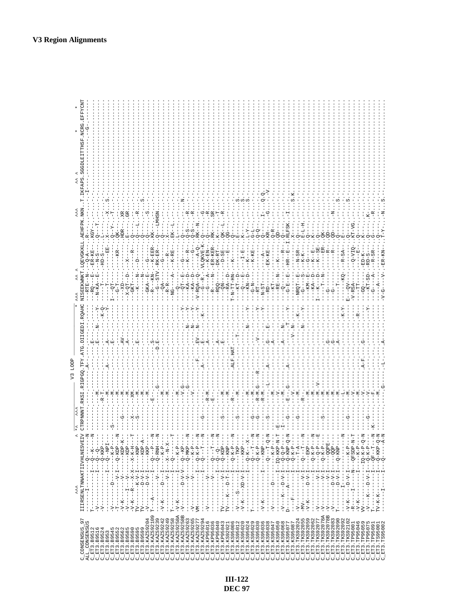|                                                                                                                                                                                                                                                                                                                                                                                                                                                                                                                            | くくく                                                                                                               | $\lambda$<br>$\frac{1}{k}$ | LOOP<br>$\sqrt{3}$                         |         |                              | $\frac{1}{2}$<br>くへく                                                                                                                      |                                | $\frac{\left\langle \right\rangle}{\left\langle \right\rangle}$ |  |
|----------------------------------------------------------------------------------------------------------------------------------------------------------------------------------------------------------------------------------------------------------------------------------------------------------------------------------------------------------------------------------------------------------------------------------------------------------------------------------------------------------------------------|-------------------------------------------------------------------------------------------------------------------|----------------------------|--------------------------------------------|---------|------------------------------|-------------------------------------------------------------------------------------------------------------------------------------------|--------------------------------|-----------------------------------------------------------------|--|
| $\begin{array}{c} \begin{array}{c} \small \text{C-}\ \small \text{C-}\ \small \text{C-}\ \small \text{C-}\ \small \text{S-}\ \small \text{S-}\ \small \text{S-}\ \small \end{array} \end{array} \begin{array}{c} \small \text{S-}\ \small \text{S-}\ \small \text{S-}\ \small \text{S-}\ \small \text{S-}\ \small \text{S-}\ \small \text{S-}\ \small \text{S-}\ \small \text{S-}\ \small \text{S-}\ \small \text{S-}\ \small \text{S-}\ \small \text{S-}\ \small \text{S-}\ \small \text{S-}\ \small \text{S-}\ \small \$ | <b>EIV</b><br>IIIRSENLTNNAKTIIVHLNESV                                                                             |                            | CTRPNNNT RKSI RIGPGQ TFY ATG DIIGEDI RQAHC |         |                              | NISEEKWNKT.LQEVGKKLL.AEHFPK.NKN                                                                                                           | با<br>:                        | .IKFAPS.SGGDLEITTHSF.NCRG.EFFYCNT                               |  |
|                                                                                                                                                                                                                                                                                                                                                                                                                                                                                                                            | $\frac{1}{\sqrt{2}}$<br>주<br>$Q - K -$<br>Ó<br>т<br>п<br>J.<br>$\frac{1}{1}$<br>í<br>ı<br>T<br>$\frac{1}{1}$<br>Ė |                            |                                            | 띅       |                              | --EN-4-ER-KE-<br>$-RTE - -N - - -Q - A -$<br>$-RQ -$                                                                                      | $-$ XOX $-$                    | ن<br>ا                                                          |  |
| $\begin{array}{cccc} \texttt{C\_ET3} & \texttt{B9512} \\ \texttt{C\_ET3} & \texttt{B9516} \\ \texttt{C\_ET3} & \texttt{B9524} \\ \texttt{C\_ET3} & \texttt{B9524} \end{array}$                                                                                                                                                                                                                                                                                                                                             | $Q - -Q -$<br>$\mathsf I$<br>$-1$<br>-v-                                                                          |                            | N-                                         | 톅       | $-Y-$<br>$-1$ $\overline{N}$ | ť<br>$-N-KA- -E$                                                                                                                          | י<br>ד<br>ő                    |                                                                 |  |
|                                                                                                                                                                                                                                                                                                                                                                                                                                                                                                                            | $Q - KK\bar{E}P -$<br>I<br>$\overline{a}$                                                                         |                            | $-R-T$                                     |         | $-K-0$                       | ۴                                                                                                                                         |                                |                                                                 |  |
| ال<br>ما                                                                                                                                                                                                                                                                                                                                                                                                                                                                                                                   | $I$ dN-- $\overline{O}$<br>$-4 - X - -$<br>T<br>؋<br>J.<br>$\frac{1}{2}$                                          |                            | Σ<br>Σ                                     | 囸<br>К  |                              | $\overline{\phantom{a}}$<br>- EE<br>$-7Q$                                                                                                 | $Q$ – $Y$ –                    |                                                                 |  |
| $\begin{array}{r} \boxed{211} \quad 189545 \quad \\ \boxed{111} \quad 189552 \quad \\ \boxed{111} \quad 189552 \quad \\ \boxed{111} \quad 1895562 \quad \\ \boxed{111} \quad 1895560 \quad \\ \boxed{111} \quad 189590 \quad \\ \boxed{111} \quad 189590 \quad \\ \boxed{111} \quad 189590 \quad \\ \boxed{111} \quad 18959200 \quad \\ \boxed{111} \quad 18959200 \quad \\ \boxed{111} \quad 1895920$<br>U                                                                                                                | $-Q$ - KDP -<br>J<br>$---V--I$<br>í<br>텃                                                                          |                            | Σ                                          |         |                              | $- R R -$<br>$-5 - 5 -$                                                                                                                   | ă                              |                                                                 |  |
| Ü                                                                                                                                                                                                                                                                                                                                                                                                                                                                                                                          | --ROP--<br>J<br>$\frac{1}{2}$<br>J<br>J<br>$-X-X-$                                                                | ဗုံ                        | Σ                                          | ξ       |                              | -XD                                                                                                                                       | $HDR -$                        |                                                                 |  |
| ່ບ                                                                                                                                                                                                                                                                                                                                                                                                                                                                                                                         | $-$ KDP<br>$-1$<br>$\frac{1}{1}$<br>$-1$                                                                          |                            | ΣĻ                                         |         |                              | п<br>Ÿ<br>$X-QT--D-$                                                                                                                      | Ğ<br> <br>田                    |                                                                 |  |
| ET3<br>U<br>U                                                                                                                                                                                                                                                                                                                                                                                                                                                                                                              | $-X-K-H$<br>$-$ KNP<br>п<br>J.<br>$-2 - 2 - - -$<br>$-K-V-I$<br>$-V - K - - - R$<br>1<br>$- -1$                   | $\times$<br>ပ္ပ            | ΣĻ<br>$-XXM$                               |         |                              | $-$ R $-$<br>Á,<br>$-7$ $-1$<br>-GKT-                                                                                                     | ÷<br>O                         |                                                                 |  |
| $\cup$                                                                                                                                                                                                                                                                                                                                                                                                                                                                                                                     | $-4CDP-$<br>$--D-V-I$<br>--AI                                                                                     |                            | ×−                                         |         |                              | $\frac{1}{1}$<br>$-1$                                                                                                                     |                                |                                                                 |  |
| び                                                                                                                                                                                                                                                                                                                                                                                                                                                                                                                          | $-4XKP-$<br>$-1 - D - V - I$<br>$-Y -$                                                                            |                            |                                            |         |                              | $-5 -$<br>$-$ GKA $ -$ E $-$                                                                                                              |                                |                                                                 |  |
| Ō<br>ಲ                                                                                                                                                                                                                                                                                                                                                                                                                                                                                                                     | $-1 - 2 - -1$<br>Ţ<br>J<br>ł<br>$T---A$                                                                           | ن<br>ا                     |                                            | U,      |                              | $K - EER -$<br>$-R - - - KN -$                                                                                                            |                                |                                                                 |  |
| $C$ $E$ T3.KAZS9239                                                                                                                                                                                                                                                                                                                                                                                                                                                                                                        | $Q - RNH -$<br>$-V$ -<br>п<br>I<br>I<br>п                                                                         |                            | U                                          |         |                              | $-RK-ER-$<br>$-G - - STV$                                                                                                                 | $Q$ ---LMHSN                   |                                                                 |  |
| ET3.KAZS9242<br>ET3.KAZS9249<br>び                                                                                                                                                                                                                                                                                                                                                                                                                                                                                          | $-K-P$<br>Ţ<br>슈<br>$-V-K-$                                                                                       |                            | Σ                                          |         |                              | υ<br>$-4$                                                                                                                                 |                                |                                                                 |  |
| ບ່ບ                                                                                                                                                                                                                                                                                                                                                                                                                                                                                                                        | $-X$ – $N$ – $X$ – $X$<br>$\blacksquare$<br>$-1 - 1$                                                              |                            | Σ                                          |         |                              | $-5$<br>$-R-R-$                                                                                                                           |                                |                                                                 |  |
| ET3.KAZS9258<br>  ET3.KAZS9258A<br>  ET3.KAZS9258B<br>  ET3.KAZS9263<br>  ET3.KAZS9265                                                                                                                                                                                                                                                                                                                                                                                                                                     | $\frac{1}{\alpha}$<br>н<br>I<br>п<br>J<br>J<br>i<br>H                                                             |                            |                                            |         |                              | $-K-RE-$<br>$-4-$<br>-bd-                                                                                                                 | Í<br>EK                        |                                                                 |  |
| び                                                                                                                                                                                                                                                                                                                                                                                                                                                                                                                          | $-K-P$<br>$-V-K-$                                                                                                 |                            |                                            |         |                              | $\overline{Q}$                                                                                                                            |                                |                                                                 |  |
| ြု                                                                                                                                                                                                                                                                                                                                                                                                                                                                                                                         | $-Q-MKP -$<br>$-9-7-0$<br>J.<br>$-V-V-V$<br>$-V$ -<br>1                                                           |                            | ಲ್ಲ                                        |         |                              | $-K = -R -$<br>Ġ<br>$-KA--D-$<br>$-10$                                                                                                    |                                |                                                                 |  |
| $ET3$ .<br>U                                                                                                                                                                                                                                                                                                                                                                                                                                                                                                               | í<br>$\frac{1}{2}$                                                                                                |                            |                                            |         |                              |                                                                                                                                           | $\frac{5}{1}$<br>$\frac{5}{1}$ |                                                                 |  |
| ET3.KAZS9277<br>لیٰا                                                                                                                                                                                                                                                                                                                                                                                                                                                                                                       | $-1 - K - P$<br>$Q - K - P$<br>Ţ<br>÷,<br>š                                                                       |                            |                                            |         |                              | $-9 - 2 - 0$<br>ن<br>!<br>Ϋ́<br>$-KA - D$<br>$V-ROA-$                                                                                     | そーー                            |                                                                 |  |
| ET <sub>3</sub><br>U                                                                                                                                                                                                                                                                                                                                                                                                                                                                                                       | $T - -7$<br>$-1$                                                                                                  | 먹                          |                                            |         |                              | VLQKVE-K<br>법                                                                                                                             |                                |                                                                 |  |
| ETS.KP9<br>び                                                                                                                                                                                                                                                                                                                                                                                                                                                                                                               | ı<br>$\overline{v}$<br>₹                                                                                          |                            | $-R - M$                                   |         |                              | $-K-EM-$<br>ن<br>ج                                                                                                                        |                                |                                                                 |  |
| 3.KAZS9294<br>3.KP95016<br>3.KP95036<br>C_ET3.KP95                                                                                                                                                                                                                                                                                                                                                                                                                                                                         | $-1 - -1 -$<br>$-V -$                                                                                             |                            | ų                                          |         |                              | $-ER - KER -$<br>$-7$<br>$-R = -$                                                                                                         |                                |                                                                 |  |
|                                                                                                                                                                                                                                                                                                                                                                                                                                                                                                                            | $Q - Q - Q$<br>$-1$                                                                                               |                            |                                            |         |                              | DK-RT<br>RQQ.                                                                                                                             |                                |                                                                 |  |
|                                                                                                                                                                                                                                                                                                                                                                                                                                                                                                                            | $-Q-KDP$ -<br>Ï<br>$-1 - 1$<br>è                                                                                  | Ŵ                          | ΣT                                         |         |                              | $-D-SE$<br>Ż<br>?                                                                                                                         | ī                              |                                                                 |  |
| $C = E T 3$ .KP95040<br>$C = E T 3$ .KP95043<br>$C = E T 3$ .KS92021                                                                                                                                                                                                                                                                                                                                                                                                                                                       | $-4 \text{NN}$<br>I<br>$TV--K--D-T-T\\$                                                                           |                            | Σ                                          |         |                              | 中!<br>$-RA - D -$                                                                                                                         | Φ                              |                                                                 |  |
| ಲ                                                                                                                                                                                                                                                                                                                                                                                                                                                                                                                          | $-Q-K-P$ -                                                                                                        |                            |                                            | ALF.HAT |                              | ¥<br>$-ML -KL -KL -111 -KL -111 -KL -111 -KL -111 -KL -111 -KL -111 -KL -111 -KL -111 -KL -111 -KL -111 -KL -111 -KL -111 -KL -111 -KL -$ |                                |                                                                 |  |
| <br>  ET3 .KS95006<br>  ET3 .KS95020<br>  ET3 .KS95024<br>  ET3 .KS95024<br>ಲ                                                                                                                                                                                                                                                                                                                                                                                                                                              | $-TTKP$<br>$\mathbf{I}$<br>$\frac{1}{1}$<br>J<br>$\frac{1}{2}$<br>J,<br>$\frac{1}{2}$                             | ù                          | N-                                         |         |                              | -KT--D                                                                                                                                    |                                |                                                                 |  |
| ່ບ່                                                                                                                                                                                                                                                                                                                                                                                                                                                                                                                        | --KKP-<br>ı<br>t<br>$-1-\text{X}-\text{C}$<br>$-V - K - -$                                                        |                            |                                            |         |                              | $-1 - E$<br>-<br>1<br>ó                                                                                                                   |                                |                                                                 |  |
| Ω                                                                                                                                                                                                                                                                                                                                                                                                                                                                                                                          | $Q - K - - -$<br>$\overline{1}$<br>Ï                                                                              |                            | Σ                                          |         |                              | $\frac{1}{1}$<br>×<br>$-KN--D-$                                                                                                           | ١,                             |                                                                 |  |
|                                                                                                                                                                                                                                                                                                                                                                                                                                                                                                                            | ÷<br>ó<br>Á                                                                                                       | ب                          | ₹                                          |         |                              | $-K-KE-$<br>スーウー                                                                                                                          | 급                              |                                                                 |  |
| $\begin{array}{l} \texttt{(C-ER1)} \\\texttt{(C-ER1)} \\\texttt{(S3505035)} \\\texttt{(L1)} \\\texttt{(S35035)} \\\texttt{(L2)} \\\texttt{(S35035)} \\\texttt{(S35035)} \\\texttt{(S35035)} \\\texttt{(S35035)} \\\texttt{(S35035)} \\\texttt{(S35035)} \\\texttt{(S35035)} \\\texttt{(S35035)} \\\texttt{(S35035)} \\\texttt{(S35035)} \\\texttt{(S35035)} \\\texttt{(S35035)} \\\texttt{(S35$                                                                                                                            | $-Q-K-P$<br>ı<br>٠                                                                                                | Φ                          | ں<br>ف<br>$R - M$                          |         |                              | $-RT$                                                                                                                                     | ု                              |                                                                 |  |
|                                                                                                                                                                                                                                                                                                                                                                                                                                                                                                                            | $-4$ KNP $-$<br>I<br>$\frac{1}{1}$<br>1<br>$\frac{1}{1}$<br>$-V-K-$                                               |                            | $-R - M$                                   |         |                              | $-4 -$<br>$N-ST-$                                                                                                                         |                                |                                                                 |  |
|                                                                                                                                                                                                                                                                                                                                                                                                                                                                                                                            | $-1$<br>$-4 - X - -$<br>$\frac{1}{2}$                                                                             | Ŵ                          |                                            | Ú       | E                            | $-EX-KE$<br>$-RD$                                                                                                                         | Ř                              |                                                                 |  |
|                                                                                                                                                                                                                                                                                                                                                                                                                                                                                                                            | $\frac{1}{1}$<br>Ţ<br>ı<br>م<br>۱<br>I<br>$\frac{1}{\gamma}$                                                      |                            | Σ                                          |         |                              | $-RE = -N$<br>-KT-                                                                                                                        |                                |                                                                 |  |
|                                                                                                                                                                                                                                                                                                                                                                                                                                                                                                                            | $IQ - KKP -$<br>$-9 - 0 - 0$<br>$\overline{\phantom{a}}$<br>$\mathbf{I}$<br>$-V$ - - - $K$ - - - D - $V$ - I<br>ı |                            | ΣĪ                                         |         |                              | $-1 - R$<br>$-K--$<br>$\frac{1}{2}$                                                                                                       | 8                              |                                                                 |  |
|                                                                                                                                                                                                                                                                                                                                                                                                                                                                                                                            | $Q - KNP -$<br>Ţ<br>$-A$ -<br>$\Delta$                                                                            | 먼                          | 闰                                          |         |                              | $-HR - - E$<br>$\mathbf{I}$<br>- F<br>- T<br>中中                                                                                           | <b>RLFSK</b>                   |                                                                 |  |
|                                                                                                                                                                                                                                                                                                                                                                                                                                                                                                                            | $-Q - K - P -$<br>Ţ<br>п<br>п<br>۱<br>۱                                                                           |                            |                                            |         |                              |                                                                                                                                           |                                |                                                                 |  |
| TKS92024<br>$C$ <sub>ET3</sub>                                                                                                                                                                                                                                                                                                                                                                                                                                                                                             | $- -T - A -$<br>t<br>Ţ<br>п<br>t<br>٠<br>ï<br>I<br>$\rightarrow$                                                  | ب                          | N<br>F                                     |         |                              | $-N-SR-$<br>$-MEQT - -E$                                                                                                                  |                                |                                                                 |  |
| Ω                                                                                                                                                                                                                                                                                                                                                                                                                                                                                                                          | i<br>İ<br>Ö<br>$I - \Lambda - -$<br>$\mathbf{I}$<br>$-NN$ -                                                       |                            |                                            |         |                              | $-K-K-$<br>ω<br>ှု                                                                                                                        | $-L-H$                         |                                                                 |  |
| J                                                                                                                                                                                                                                                                                                                                                                                                                                                                                                                          | $--$ EKP<br>$-1$ - $-1$<br>$-V-K-$                                                                                |                            | N-                                         |         |                              | رخ<br>۱<br>$---KM---E$                                                                                                                    |                                |                                                                 |  |
| $C$ $ET3$                                                                                                                                                                                                                                                                                                                                                                                                                                                                                                                  | $-5 - X - 5$<br>T                                                                                                 |                            | Σ                                          |         |                              | $-K--E-$<br>$-KA--D-$                                                                                                                     |                                |                                                                 |  |
| $\begin{array}{ll} \hline \text{EFT3} & \text{TKS92055} \\ \text{EFT3} & \text{TKS92059} \\ \text{EFT3} & \text{TKS92067} \\ \text{EFT3} & \text{TKS92007} \\ \text{EFT3} & \text{TKS920078a} \\ \text{EFT3} & \text{TKS920078a} \\ \text{EFT3} & \text{TKS92078b} \end{array} .$<br>び                                                                                                                                                                                                                                     | $\frac{p}{Q}$<br>ł<br>$-1 - \Lambda -$<br>÷<br>$\frac{5}{1}$                                                      |                            | 7<br>Σ                                     |         |                              | $-5E$<br>×<br>٩<br>$-K-$                                                                                                                  |                                |                                                                 |  |
| .<br>ت                                                                                                                                                                                                                                                                                                                                                                                                                                                                                                                     | $-2-X-D$<br>$-7 - 1$<br>$-7-1$<br>j<br>j.<br>$\overline{Y}$                                                       | U,                         | Σ                                          |         |                              | $-ER-$<br>$-T - T -$<br>년<br>                                                                                                             | E                              |                                                                 |  |
| $\infty$<br>TKS9208<br>ET3<br>$\cup$<br>$\circ$                                                                                                                                                                                                                                                                                                                                                                                                                                                                            | $-00P$ E<br>$-900 -$<br>٠<br>1<br>t<br>$-1$ $-1$<br>٠<br>I<br>1<br>J.<br>$\overline{a}$<br>$\overline{a}$         |                            | Σ                                          |         |                              | $-R-$<br>$-4$                                                                                                                             |                                |                                                                 |  |
| ET <sub>3</sub><br>ا ن                                                                                                                                                                                                                                                                                                                                                                                                                                                                                                     | $-Q - KNP$<br>$-1 - 1 - 1 - 1$<br>Ė                                                                               |                            | Σ                                          |         |                              | ÷                                                                                                                                         |                                |                                                                 |  |
| ET <sub>3</sub><br>U                                                                                                                                                                                                                                                                                                                                                                                                                                                                                                       | п<br>$\frac{1}{1}$<br>п<br>$\frac{1}{1}$                                                                          |                            |                                            |         |                              | $-R-SA-$<br>$-50$                                                                                                                         |                                |                                                                 |  |
| $-ET3$ .<br>び                                                                                                                                                                                                                                                                                                                                                                                                                                                                                                              | $-2 - 3 - -$<br>$-1 - 1 - 1 - 1$<br>$-V-K-$                                                                       | ᄞ                          |                                            |         |                              | $-QV$                                                                                                                                     |                                |                                                                 |  |
| ET <sub>3</sub><br>$\vec{O}$                                                                                                                                                                                                                                                                                                                                                                                                                                                                                               | $-QFGB = -P$<br>-1<br>$\bar{z}$ <sup>-</sup><br>ı.<br>Ť<br>İ<br>I<br>I<br>$\frac{R}{1}$                           |                            |                                            |         |                              | $-Q+V+Q-$<br>$-V-RSA-$                                                                                                                    | ドエーンに                          |                                                                 |  |
| ET3<br>U                                                                                                                                                                                                                                                                                                                                                                                                                                                                                                                   | $- -K - P$<br>I<br>ł<br>$-V-K-$                                                                                   |                            |                                            |         |                              | 뚜<br>-TT-                                                                                                                                 |                                |                                                                 |  |
| 3 TKS92090<br>3 TKS92092<br>3 TKS92102<br>3 TP950046<br>3 TP95059<br>3 TP95059<br>$C$ <sub>ET3</sub><br>່ບ່                                                                                                                                                                                                                                                                                                                                                                                                                | $TQ-K-P$<br>T<br>ı<br>$\overline{\nabla}$                                                                         |                            |                                            |         |                              | $-ED-K--$<br>$-99$                                                                                                                        |                                |                                                                 |  |
| ET3<br>ET <sub>3</sub><br>Ü                                                                                                                                                                                                                                                                                                                                                                                                                                                                                                | $-3 - 2 - 6 - - -$<br>$-99 - 7$<br>$-V$ - - - $K$ - - - $D$ - $V$ - $I$<br>T                                      |                            |                                            |         |                              | $-R-SR$<br>$-B-D-S-$<br>$-KT-SD-$<br>$-4-$<br>ن<br>ا                                                                                      |                                |                                                                 |  |
| : TP95091<br>: TS95001<br>: TS95002                                                                                                                                                                                                                                                                                                                                                                                                                                                                                        | $-4829 - 6 - -$<br>j.<br>$\mathsf I$<br>$-1$<br>$\mathbf I$<br>$\frac{1}{1}$<br>$TV-K-K-<$                        |                            |                                            |         |                              | $-4$                                                                                                                                      |                                |                                                                 |  |
| ET3<br>ບ ບ                                                                                                                                                                                                                                                                                                                                                                                                                                                                                                                 | ī<br>Ĥ                                                                                                            |                            |                                            |         |                              | <b>FR-KN</b>                                                                                                                              |                                |                                                                 |  |

**III-122 DEC 97**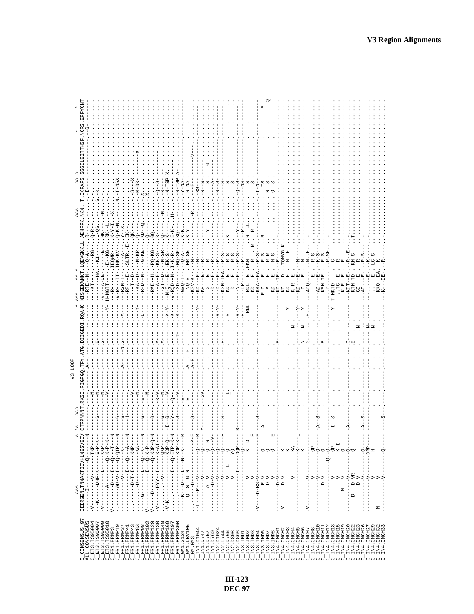|                                                                                                                                                                                                                                                                                                                                                                                                                                                                                       | くくく                                                                                                                                                                                                                                                                                                                                                                 |                                   | HOOF<br>73                                 |                                                                       |                                          |                                      |
|---------------------------------------------------------------------------------------------------------------------------------------------------------------------------------------------------------------------------------------------------------------------------------------------------------------------------------------------------------------------------------------------------------------------------------------------------------------------------------------|---------------------------------------------------------------------------------------------------------------------------------------------------------------------------------------------------------------------------------------------------------------------------------------------------------------------------------------------------------------------|-----------------------------------|--------------------------------------------|-----------------------------------------------------------------------|------------------------------------------|--------------------------------------|
| CONSENSUS_97<br>υ                                                                                                                                                                                                                                                                                                                                                                                                                                                                     | VEIV<br>IIIRSENLTNNAKTIIVHLNES                                                                                                                                                                                                                                                                                                                                      |                                   | CTRENNNY RKSI RIGEGQ TFY ATG DIIGEDI ROAHC | NISEEKWNKT.LQEVGKKLL.AEHFPK.NKN                                       | Ĥ                                        | NCRG. EFFYCNT<br>IKFAPS SGGDLEITTHSF |
| ALL_CONSENSUS                                                                                                                                                                                                                                                                                                                                                                                                                                                                         | $-7$<br>$-\frac{1}{2}$<br>$\frac{1}{1}$<br>$\frac{1}{1}$<br>$\frac{1}{1}$                                                                                                                                                                                                                                                                                           |                                   |                                            |                                                                       |                                          | $\frac{1}{2}$                        |
|                                                                                                                                                                                                                                                                                                                                                                                                                                                                                       | $-5$<br>$--$ TKP<br>$- - E - P$<br>٠<br>J<br>$\frac{1}{1}$<br>---K------DHF-K<br>ı<br>$-V-$                                                                                                                                                                                                                                                                         | ÷<br>≃<br>F<br>ပ္ပ်               | 떡.                                         | $-58-$<br>$-HA. -KI -$<br>$-5X$                                       | $\ddot{r}$<br>$L-QS$<br>$Q - R -$        |                                      |
|                                                                                                                                                                                                                                                                                                                                                                                                                                                                                       | $-KKP$<br>Ţ<br>$\frac{1}{2}$<br>$\overline{v}$                                                                                                                                                                                                                                                                                                                      | ÷м.                               | Ů                                          | $-1$<br>$-V$ ---A-DE                                                  | $\overline{a}$<br>$HK--$                 |                                      |
|                                                                                                                                                                                                                                                                                                                                                                                                                                                                                       | ¥<br>$-3-2-5$<br>I<br>ł<br>$---A---$<br>$\begin{bmatrix} 1 \\ 1 \\ 1 \end{bmatrix}$                                                                                                                                                                                                                                                                                 |                                   |                                            | $- E - - K G$<br>H-NGLL                                               | $RK - -L$                                |                                      |
|                                                                                                                                                                                                                                                                                                                                                                                                                                                                                       | $- - - - - - -$<br>ı<br>$v----$                                                                                                                                                                                                                                                                                                                                     |                                   |                                            | - IEQWR-<br>$-$ R $-$                                                 | $K - Y - I$                              |                                      |
|                                                                                                                                                                                                                                                                                                                                                                                                                                                                                       | $-Q-Q-CP$<br>$\frac{1}{1}$<br>$---A--V-T$<br>I<br>J,                                                                                                                                                                                                                                                                                                                | 뛰<br>Ú                            |                                            | $-V - R - -TT - . \nTHK-KV -$                                         | $-TT-NSX$<br>$Q-K-N$                     |                                      |
|                                                                                                                                                                                                                                                                                                                                                                                                                                                                                       | $-K-$<br>$-1$                                                                                                                                                                                                                                                                                                                                                       | ω                                 |                                            | $-RGN-T$                                                              | $-\mathbf{X}$ .                          |                                      |
|                                                                                                                                                                                                                                                                                                                                                                                                                                                                                       | $-9 - -9 -$<br>ł<br>Ţ<br>ï<br>п<br>п<br>$\frac{1}{1}$<br>ł                                                                                                                                                                                                                                                                                                          | 부                                 |                                            | $-1 -$ SLTR. $-$ E<br>-<br>1<br>$-$ RP $-$                            | EK--.                                    |                                      |
|                                                                                                                                                                                                                                                                                                                                                                                                                                                                                       | $-FA$<br>$-KMP$<br>ł<br>$1 - 2 - 4 - 4 - 1 - 1 - 1$                                                                                                                                                                                                                                                                                                                 | $\frac{5}{1}$                     |                                            | $-1 - 2 - 1 - 1$                                                      | $-7$<br>J,                               |                                      |
|                                                                                                                                                                                                                                                                                                                                                                                                                                                                                       | $\frac{1}{1}$<br>$\begin{array}{c}\n0 \\ \hline\n\vdots \\ \hline\n\end{array}$<br>$\overline{\phantom{a}}$<br>$\overline{1}$                                                                                                                                                                                                                                       | ≅<br>Ú                            |                                            | $- -N - KR - -$<br>$-4 - G - KE = -$<br>$-R$ -D- $N$ -<br>$-KA - D -$ | O--CDX<br>O                              |                                      |
|                                                                                                                                                                                                                                                                                                                                                                                                                                                                                       | $-1 - Q - -K -$<br>$-3 - 2 - 6 - - - -$<br>$-1$<br>$\frac{1}{1}$<br>i<br>さー<br>٠<br>$J - -$                                                                                                                                                                                                                                                                         | $\sum_{i=1}^{n}$<br>$\frac{1}{2}$ |                                            |                                                                       | $\circ$                                  |                                      |
|                                                                                                                                                                                                                                                                                                                                                                                                                                                                                       | ó<br>$-9 - 2 - 6$<br>ţ<br>$\mathbf{I}$<br>-1<br>J,<br>$V-----D-$                                                                                                                                                                                                                                                                                                    | Ó                                 |                                            | $-53-29-1$<br>$-RAE--H$                                               | $\frac{1}{3}$                            |                                      |
|                                                                                                                                                                                                                                                                                                                                                                                                                                                                                       | $-K - A$<br>ì<br>$I - K X H - - - - - - N -$                                                                                                                                                                                                                                                                                                                        | $-R-V$ .                          |                                            | $-.KK-S$<br>$-4 - 2 - 1$                                              | $S - -Q -$<br>Ř                          |                                      |
| FR1.FRMP148<br>び                                                                                                                                                                                                                                                                                                                                                                                                                                                                      | $--$ OKP                                                                                                                                                                                                                                                                                                                                                            | $\sum_{i=1}^{n}$<br>ಲ             |                                            | $    N$ $ SR$<br>$-19 - -1$                                           | $\overline{R}$<br>N<br>T<br>ł<br>$\circ$ |                                      |
| FR1.FRMP169<br>U                                                                                                                                                                                                                                                                                                                                                                                                                                                                      | $--KDP$<br>٠<br>$\begin{array}{c} \n\cdot & \cdot \\ \n\cdot & \cdot \\ \n\cdot & \cdot \n\end{array}$<br>٠<br>$-V - K - - - -$                                                                                                                                                                                                                                     | $\tilde{\gamma}$<br>ゥ             | א<br>י                                     | ł,<br>$- - EK-S$<br>$-N-Q$ – $-$ E                                    | $-X-TSE$ . X<br>ŧ                        |                                      |
| FR1.FRMP197<br>ु                                                                                                                                                                                                                                                                                                                                                                                                                                                                      | $---Q-FTP$<br>$-1$<br>$\frac{1}{1}$<br>$\begin{array}{c} \hline \end{array}$<br>$\frac{1}{2}$                                                                                                                                                                                                                                                                       | ှု<br>↣                           |                                            | $V-RQD---N---I-K-R$                                                   | $\pm$<br>$E-K-$                          |                                      |
| FR1.FRMP300<br>U                                                                                                                                                                                                                                                                                                                                                                                                                                                                      | $-KN-$<br>J.<br>п<br>п<br>-1<br>ł<br>$\begin{bmatrix} 1 & 0 & 0 \\ 0 & 1 & 0 \\ 0 & 0 & 0 \\ 0 & 0 & 0 \\ 0 & 0 & 0 \\ 0 & 0 & 0 \\ 0 & 0 & 0 \\ 0 & 0 & 0 & 0 \\ 0 & 0 & 0 & 0 \\ 0 & 0 & 0 & 0 \\ 0 & 0 & 0 & 0 & 0 \\ 0 & 0 & 0 & 0 & 0 \\ 0 & 0 & 0 & 0 & 0 \\ 0 & 0 & 0 & 0 & 0 & 0 \\ 0 & 0 & 0 & 0 & 0 & 0 \\ 0 & 0 & 0 & 0 & 0 & 0 \\ 0 & 0 & 0 & 0 & 0 & $ | $\overline{a}$<br>Ŵ               |                                            | $-90 - 50$<br>$-0.5 - 1$                                              | $-N-TSP$ . A<br>KQ-                      |                                      |
| GA1.G134<br>↻                                                                                                                                                                                                                                                                                                                                                                                                                                                                         | $-1 - N - -K -$<br>$-$ - $-$ - $ K$ - $  D$ - $  I$                                                                                                                                                                                                                                                                                                                 | $\frac{1}{1}$<br>부                |                                            | $Q - A$<br>ļ<br>$-98Q - T -$                                          | $-X-NPA-$<br>$K-KL$ .                    |                                      |
| GA1.LBV105<br>Ü                                                                                                                                                                                                                                                                                                                                                                                                                                                                       | $N-S$ -S-S-N<br>$\,$ I<br>п.                                                                                                                                                                                                                                                                                                                                        | 뛰                                 | ρ                                          | $-HR-SE$<br>$-5 - 5 - 5 - -$                                          | $-R - NA$<br>$K-Y-$                      |                                      |
| $2 -$ GM.GM3<br>$2 - 1$ N1.D1044<br>U                                                                                                                                                                                                                                                                                                                                                                                                                                                 | $\overline{\phantom{a}}$<br>$-1$ - $-1$<br>ţ                                                                                                                                                                                                                                                                                                                        |                                   |                                            | Σ<br>$-KSV-K-$                                                        | -<br>1                                   |                                      |
| Ü                                                                                                                                                                                                                                                                                                                                                                                                                                                                                     | --v--<br>$\frac{1}{1}$<br>습                                                                                                                                                                                                                                                                                                                                         |                                   |                                            | $-M -$<br>덕<br>!<br>-印-                                               | $-RSS-$                                  |                                      |
| $C$ IN1.D747                                                                                                                                                                                                                                                                                                                                                                                                                                                                          | à<br>J.<br>ı<br>ı<br>$---V---$<br>i<br>٠<br>I                                                                                                                                                                                                                                                                                                                       | $\zeta$                           |                                            | α<br>뛰<br>$-KH-$                                                      | $-R - -S$                                |                                      |
| U                                                                                                                                                                                                                                                                                                                                                                                                                                                                                     | ု                                                                                                                                                                                                                                                                                                                                                                   |                                   |                                            | $\approx$<br>뛰<br>ಲ್ಲ                                                 | ŵ                                        | 먼                                    |
| $2$ $1M1. D757$<br>$2$ $1M1. D760$<br>U                                                                                                                                                                                                                                                                                                                                                                                                                                               | Ÿ<br>п<br>$-$ - $     -$<br>1<br>ï<br>I<br>$\overline{\phantom{a}}$<br>J                                                                                                                                                                                                                                                                                            |                                   |                                            | 뛰<br>٩                                                                | Ť                                        |                                      |
| IN2.D1024<br>Ü                                                                                                                                                                                                                                                                                                                                                                                                                                                                        | $\circ$<br>--V--                                                                                                                                                                                                                                                                                                                                                    |                                   | $R - Y$                                    | $-\vec{R}$<br>뛰<br>÷                                                  | $-10 - 5$                                |                                      |
| IN2.D744<br>U                                                                                                                                                                                                                                                                                                                                                                                                                                                                         | 우<br>$-1$                                                                                                                                                                                                                                                                                                                                                           |                                   |                                            | $R-S$<br>KGN-TEA                                                      | ω                                        |                                      |
| $C_$ IN2. $D766$                                                                                                                                                                                                                                                                                                                                                                                                                                                                      | Ģ                                                                                                                                                                                                                                                                                                                                                                   |                                   | ė                                          | $- R - S$<br>뛰<br>-KD-                                                | Ŵ                                        |                                      |
| び                                                                                                                                                                                                                                                                                                                                                                                                                                                                                     | $-X\overline{0}$<br>ı<br>J<br>$-Y-$<br>í                                                                                                                                                                                                                                                                                                                            |                                   |                                            | $R-S$<br>뛰<br>$\frac{1}{1}$                                           | ပ္ပ                                      |                                      |
| _IN2.D808<br>_IN2.D868<br>(1)                                                                                                                                                                                                                                                                                                                                                                                                                                                         | $--$ DQP<br>J.<br>Ť<br>Ť<br>1<br>J.<br>1<br>ï                                                                                                                                                                                                                                                                                                                       |                                   | $R - Y$                                    | $-8 - 5$<br>뛰<br>$-1$                                                 | $-5 - 2$<br>$-Y$ -                       |                                      |
| C_IN3.IND1                                                                                                                                                                                                                                                                                                                                                                                                                                                                            | ∻∻                                                                                                                                                                                                                                                                                                                                                                  |                                   | 뎍                                          | 囟<br>$-DR$                                                            | $-MS$<br>$- R -$                         |                                      |
| IN3.IND2<br>U                                                                                                                                                                                                                                                                                                                                                                                                                                                                         | $\mathbf{I}$<br>$\mathbf{I}$<br>$\overline{\phantom{a}}$<br>$\begin{array}{c} \hline \end{array}$<br>$---V---$<br>$\frac{1}{1}$<br>п                                                                                                                                                                                                                                |                                   | -RNI                                       | FKM--<br>뛰<br>TŒN-                                                    | $-2$<br>R---LL                           |                                      |
| IN3.IND3<br>(1)                                                                                                                                                                                                                                                                                                                                                                                                                                                                       | $\ddot{\phantom{0}}$                                                                                                                                                                                                                                                                                                                                                |                                   |                                            | $- R$<br>$-\mathbf{\hat{R}}$<br>$-KD$ -                               | ပှ<br>$- R -$                            |                                      |
| $\overline{\phantom{0}}$ $\overline{\phantom{0}}$ $\overline{\phantom{0}}$ $\overline{\phantom{0}}$ $\overline{\phantom{0}}$ $\overline{\phantom{0}}$ $\overline{\phantom{0}}$ $\overline{\phantom{0}}$ $\overline{\phantom{0}}$ $\overline{\phantom{0}}$ $\overline{\phantom{0}}$ $\overline{\phantom{0}}$ $\overline{\phantom{0}}$ $\overline{\phantom{0}}$ $\overline{\phantom{0}}$ $\overline{\phantom{0}}$ $\overline{\phantom{0}}$ $\overline{\phantom{0}}$ $\overline{\$<br>τj | $--D-KS-V-$<br>$-5$                                                                                                                                                                                                                                                                                                                                                 |                                   |                                            | $R-S$<br>$-EA$<br>-KKA-                                               | $-1$ $-1$                                |                                      |
| $\begin{array}{l} \texttt{LNN3} \texttt{ .} \texttt{LND6} \\ \texttt{LNN3} \texttt{ .} \texttt{LND7} \end{array}$<br>τJ                                                                                                                                                                                                                                                                                                                                                               | Ÿ<br>т<br>٠<br>$- - E$ . $V - -$<br>ı<br>٠                                                                                                                                                                                                                                                                                                                          |                                   |                                            | $R-S$<br>$-R-D-$                                                      | $-15$                                    |                                      |
| $\mathfrak{c}$ )                                                                                                                                                                                                                                                                                                                                                                                                                                                                      | ġġ<br>п<br>$-$ - $     -$<br>ì                                                                                                                                                                                                                                                                                                                                      |                                   |                                            | $R - R$<br>囯                                                          | $-N-TS$                                  |                                      |
| IN3.IND8<br>$\mathfrak{c}$ )                                                                                                                                                                                                                                                                                                                                                                                                                                                          | --V---<br>1                                                                                                                                                                                                                                                                                                                                                         |                                   |                                            | $-M-S$<br>뛰<br>-KD-                                                   | $S - 2 -$                                |                                      |
| C_IN4.CMCH1<br>U                                                                                                                                                                                                                                                                                                                                                                                                                                                                      | $-D - V - -$                                                                                                                                                                                                                                                                                                                                                        |                                   |                                            | R<br>묩<br>- KD-                                                       |                                          |                                      |
| U                                                                                                                                                                                                                                                                                                                                                                                                                                                                                     | $-5 -$<br>$\mathbf{I}$<br>$\mathbf{I}$<br>$-1 - D - V -$<br>$\frac{1}{1}$<br>$-1$                                                                                                                                                                                                                                                                                   |                                   |                                            | TOMVG-K<br>Á<br>!<br>$-KD$ –                                          |                                          |                                      |
| C_IN4.CMCH3                                                                                                                                                                                                                                                                                                                                                                                                                                                                           | $-K-$                                                                                                                                                                                                                                                                                                                                                               |                                   |                                            | $-N$ - $E$<br>뭐<br>$-KD -$                                            |                                          |                                      |
| <b>CHORA</b><br>CIN4.CMCH5<br>CIN4.CMCH6<br>U<br>U                                                                                                                                                                                                                                                                                                                                                                                                                                    | $---KA$<br>$-1$<br>ł<br>I                                                                                                                                                                                                                                                                                                                                           |                                   |                                            | ź.<br>囸<br>$-K-R-$<br>$-KD$                                           |                                          |                                      |
| U                                                                                                                                                                                                                                                                                                                                                                                                                                                                                     | $-5 - 5$<br>$-K-$<br>I<br>٠<br>п<br>ı<br>п<br>п<br>т<br>J.<br>т<br>I<br>п<br>j<br>Í<br>п<br>J<br>٠<br>п                                                                                                                                                                                                                                                             |                                   | ξ<br>7<br>ż                                | ź.<br>뛰<br>뛰<br>$\frac{1}{1}$                                         |                                          |                                      |
| CMCH7<br>TN4<br>U                                                                                                                                                                                                                                                                                                                                                                                                                                                                     | $-1$<br>$\frac{1}{1}$                                                                                                                                                                                                                                                                                                                                               |                                   | ぴ                                          | $M - -E$<br>-ADQ-                                                     |                                          |                                      |
| IN4. CMCH8<br>U                                                                                                                                                                                                                                                                                                                                                                                                                                                                       | ခု<br>$-7$                                                                                                                                                                                                                                                                                                                                                          |                                   |                                            | $R-S$                                                                 |                                          |                                      |
| IN4.CMCH10<br>U                                                                                                                                                                                                                                                                                                                                                                                                                                                                       | ု<br>٠<br>п<br>$---V---$<br>Í<br>٠                                                                                                                                                                                                                                                                                                                                  | က်ူ                               |                                            | $K-S$<br>뛰<br>$-AD-$                                                  |                                          |                                      |
| .CMCH11<br>$\overline{\Box}$ IN4.<br>U                                                                                                                                                                                                                                                                                                                                                                                                                                                | O<br>$-$ - $     -$<br>I                                                                                                                                                                                                                                                                                                                                            |                                   |                                            | $R-S$<br>$-KSM-TE$                                                    |                                          |                                      |
| IN4. CMCH12<br>$_{\circ}$                                                                                                                                                                                                                                                                                                                                                                                                                                                             | $Q - -Q -$                                                                                                                                                                                                                                                                                                                                                          |                                   |                                            | $R-SE$<br>$\frac{1}{1}$                                               |                                          |                                      |
| .CMCH13<br>IN4<br>U                                                                                                                                                                                                                                                                                                                                                                                                                                                                   | ęp-<br>п<br>٠<br>$-1$<br>ı                                                                                                                                                                                                                                                                                                                                          | Ŵ                                 |                                            | Ů<br>'-NKTD-                                                          |                                          |                                      |
| .CMCH15<br>IN4<br>び                                                                                                                                                                                                                                                                                                                                                                                                                                                                   | $-K-$<br>$-1$<br>п                                                                                                                                                                                                                                                                                                                                                  |                                   |                                            | œ<br>$-51$                                                            |                                          |                                      |
| C_IN4.CMCH19                                                                                                                                                                                                                                                                                                                                                                                                                                                                          | Ϋ́<br>$- -N - - -V -$                                                                                                                                                                                                                                                                                                                                               |                                   |                                            | $\alpha$<br>뛰<br>$-{\rm K}-{\rm R}-$                                  |                                          |                                      |
| U                                                                                                                                                                                                                                                                                                                                                                                                                                                                                     | $\frac{1}{\sqrt{2}}$<br>$-7$                                                                                                                                                                                                                                                                                                                                        |                                   |                                            | - H<br>-<br>囟<br>$-TCDT$                                              |                                          |                                      |
| $\begin{array}{c} \begin{array}{c} \text{IN4}\end{array} \begin{array}{c} \text{CMCH20}\\ \text{CMCH22} \end{array} \end{array}$<br>U                                                                                                                                                                                                                                                                                                                                                 | $\frac{1}{2}$<br>$\blacksquare$<br>л<br>п<br>--D---D-VR--                                                                                                                                                                                                                                                                                                           |                                   | 囟                                          | $-KN-S$<br>$-KTN-TD$                                                  |                                          |                                      |
| IN4. CMCH23<br>י<br>ט                                                                                                                                                                                                                                                                                                                                                                                                                                                                 | $-$ - $      -$<br>ì                                                                                                                                                                                                                                                                                                                                                |                                   |                                            | ġ<br>뛰<br>$\frac{1}{6}$                                               |                                          |                                      |
| $C\_IM4$ . CMCH26<br>$C\_IM4$ . CMCH27                                                                                                                                                                                                                                                                                                                                                                                                                                                | $\frac{1}{\sqrt{2}}$<br>$-Y--$                                                                                                                                                                                                                                                                                                                                      | S                                 |                                            | $R-S$<br>国<br>₽F−                                                     |                                          |                                      |
|                                                                                                                                                                                                                                                                                                                                                                                                                                                                                       | $--DRP$<br>J<br>$-1$                                                                                                                                                                                                                                                                                                                                                |                                   |                                            |                                                                       |                                          |                                      |
| IN4.CMCH29<br>IN4.CMCH32<br>IN4.CMCH33<br>$\cup$                                                                                                                                                                                                                                                                                                                                                                                                                                      | $\frac{1}{1}$<br>٠<br>$-1$                                                                                                                                                                                                                                                                                                                                          |                                   |                                            | $-5 - 5 - -$<br>뛰                                                     |                                          |                                      |
| U                                                                                                                                                                                                                                                                                                                                                                                                                                                                                     | т<br>$-1$<br>т<br>$-1 - N -$                                                                                                                                                                                                                                                                                                                                        |                                   |                                            | KKQ-                                                                  |                                          |                                      |
| $\circ$                                                                                                                                                                                                                                                                                                                                                                                                                                                                               | $\frac{1}{1}$<br>$-7 -$                                                                                                                                                                                                                                                                                                                                             |                                   |                                            |                                                                       |                                          |                                      |

**III-123 DEC 97**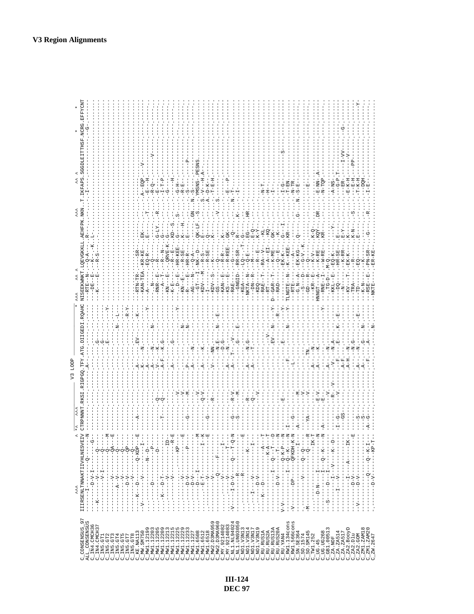| <b>V3 Region Alignments</b> |  |
|-----------------------------|--|
|-----------------------------|--|

|            | T. IKFAPS . SGGDLEITTHSF. NCRG. EFFYCNT                                                                                     |                                                                              |                                                                |                  |         |                                                  |                                               |            |                |                                |                                      |                                           |                                |               |                                                  |                                  |                       |                           |                |                                                   |   |                                      |               |                |           |                                |                                        |                                 |                                                                          |                                        |                                     |                           |                        |                           |                         |                   |                            |                                           |                  |                            |                                       |                              |                                     |               |                        |                  |                          |                |                            |                    | Ŗ         |                        |                                |    |                                   |                                                 |
|------------|-----------------------------------------------------------------------------------------------------------------------------|------------------------------------------------------------------------------|----------------------------------------------------------------|------------------|---------|--------------------------------------------------|-----------------------------------------------|------------|----------------|--------------------------------|--------------------------------------|-------------------------------------------|--------------------------------|---------------|--------------------------------------------------|----------------------------------|-----------------------|---------------------------|----------------|---------------------------------------------------|---|--------------------------------------|---------------|----------------|-----------|--------------------------------|----------------------------------------|---------------------------------|--------------------------------------------------------------------------|----------------------------------------|-------------------------------------|---------------------------|------------------------|---------------------------|-------------------------|-------------------|----------------------------|-------------------------------------------|------------------|----------------------------|---------------------------------------|------------------------------|-------------------------------------|---------------|------------------------|------------------|--------------------------|----------------|----------------------------|--------------------|-----------|------------------------|--------------------------------|----|-----------------------------------|-------------------------------------------------|
|            |                                                                                                                             |                                                                              |                                                                |                  |         |                                                  |                                               |            |                |                                | $-$ EQP                              | $         +$                              | $-R-Q$                         | 뛰             | $-T-T-T$                                         | ဗ္                               |                       | $-11$                     | $-R - E$       | က္                                                |   | YMSNS-<br>$\frac{1}{2}$              | PESNS         | $-1$ $-1$ $-1$ | $-D-K--$  | $H - E - H$                    |                                        | 림                               |                                                                          |                                        |                                     |                           |                        |                           |                         |                   |                            |                                           |                  | $M = -1$                   | $-N-TR$                               | 되<br>-S-                     |                                     |               |                        | $-EM-NN$         | $-N-N-N-N$               |                | $-A-NS$                    | $-5-5$             | $-ER-$    | $-E-K-H$               | $-T-K-H$<br>$- E - H$          |    |                                   |                                                 |
|            |                                                                                                                             |                                                                              |                                                                |                  |         |                                                  |                                               |            |                |                                |                                      | ۲<br>ا<br>闰                               |                                | $G-LY$        |                                                  |                                  | ကူ<br>ġ               |                           | Ŧ              |                                                   |   | $CK - LF$                            |               |                |           |                                |                                        |                                 |                                                                          |                                        |                                     |                           |                        |                           |                         | $-5X$             |                            |                                           |                  |                            |                                       |                              |                                     |               | $K-Q-$                 | KÓX              |                          |                | ř                          |                    | $E - Y$   |                        | $K-N-$                         |    | ن<br>ا                            |                                                 |
|            | NISEEKWNKT.LOEVGKKLL.AEHFPK.NKN                                                                                             | $\Phi$ - $\Delta$<br>$K-$<br>$\frac{1}{2}$<br>뛰<br>$-RTE$<br>Ed-             | R-S                                                            |                  |         |                                                  |                                               |            |                | $RTN - TR$                     | $-KR-KE$<br>KAN-TEA                  | $-EQ-$ R-<br>-4--                         | Ó<br>$\ddot{M}$                | $-RNR - E$    | $R - -N -$<br>텃<br>$-4$                          | .QRVE-K<br>뛰<br>$-MX$            | $R = -E -$<br>$K - E$ | .-HR-KEE<br>$\frac{1}{2}$ | $-1 - 12 - 12$ | $-R-SE-$<br>$-HR - R$<br>뛰<br>-<br>产              |   | $NK--D-$<br>$Q - A -$<br>ģ<br>$AG -$ |               | $R-S-$<br>KDV  | $R-SE$    | KDV--S                         | $R - R -$<br>KAN--E<br>ں<br>وی         | $R - R E E -$<br>뛰<br>$KS -$    | ৬<br>-RAE-                                                               | RR-SR-<br>-GNGID                       | $-KGA$ --                           | $O - E$<br><b>NETA--N</b> | $-DN--R$               | $R = -E -$<br><b>OCN-</b> | $-RA - V$<br><b>RAE</b> | $A - EI$<br>$RT-$ | $-K-ME-$<br>GAR.           | $Q - E$<br>-RAD                           | $K-K-$           | $---KEE-$<br>N--BLDNT      | RTE                                   | -BK-KG-<br>$-4 - 7 - 7$      | $\frac{5}{5}$<br>Ĥ<br>$\frac{1}{2}$ | $\frac{1}{6}$ | $K-N-$<br>뛰<br>$-KR$ - | $K-RE-$          | $W - REE$<br>$-RNE - -1$ | 1-51.          | -EO-K<br>-KKL              | HR-SE-<br>ă        | $K-RR$    | -EK-K<br>R             | Ċ<br>F<br>ŘÃ                   | そし | $-PN-SR$<br><b>RSE</b>            | ER-KE<br><b>NKTE</b>                            |
|            |                                                                                                                             |                                                                              |                                                                |                  |         |                                                  |                                               |            |                | N.                             |                                      |                                           |                                |               | ¥                                                |                                  |                       |                           |                |                                                   |   |                                      |               |                |           |                                | E<br>F<br>o<br>P                       | z                               |                                                                          |                                        |                                     |                           |                        |                           |                         |                   |                            |                                           |                  |                            |                                       |                              |                                     |               |                        |                  |                          |                | $-N.A$                     |                    |           | Ŧ                      |                                |    |                                   |                                                 |
| LOOP<br>Σ. | CTRPNNNT RKSI RIGPGQ TFY ATG DIIGEDI RQAHC                                                                                  |                                                                              |                                                                |                  |         |                                                  |                                               |            |                |                                |                                      |                                           |                                |               |                                                  |                                  |                       |                           |                |                                                   |   |                                      |               |                |           | $\sum_{i=1}^{n}$               |                                        |                                 |                                                                          |                                        |                                     |                           |                        |                           |                         |                   |                            |                                           |                  |                            |                                       |                              |                                     |               |                        |                  |                          |                |                            |                    |           | Ŧ                      |                                |    |                                   |                                                 |
|            |                                                                                                                             |                                                                              |                                                                |                  |         |                                                  |                                               |            |                |                                |                                      |                                           |                                |               |                                                  |                                  |                       |                           |                |                                                   |   |                                      |               | ?−<br>?        |           |                                |                                        |                                 | ά                                                                        | S                                      |                                     |                           |                        |                           |                         |                   |                            |                                           |                  |                            | ๓                                     |                              |                                     | ÝÄ.           |                        | $- E - V$        | 뛰                        |                |                            | ή                  | 95        |                        | Ŵ                              |    | τ٠                                |                                                 |
|            | IIIRSENLTNNAKTIIVHLNESVE                                                                                                    | á<br>I<br>$\frac{1}{\sqrt{2}}$<br>٠<br>ı<br>$-$ - $-$ - $D - V - I - -$<br>ı | $\frac{1}{\sqrt{2}}$<br>$\mathbf{I}$<br>I<br>$- - - - - - - -$ | ġ<br>$- - - - -$ | ု       | $-QA$<br>$\frac{1}{2}$<br>٠<br>$- - - - - - - -$ | $\dot{\varphi}$<br>$- -1 - -N - - -$<br>--V-- | $--J--V--$ | <u>க்</u><br>٠ | i<br>$- - - - - - - -$<br>$-1$ | $\frac{1}{1}$<br>$-4CDF - C$<br>$-7$ | $-1$ $-1$ $-1$ $-1$<br>п<br>$\frac{1}{1}$ | $-1$<br>т<br>$-1$              | $-1$<br>п     |                                                  | $\frac{11}{1}$<br>ı<br>п<br>$-1$ | $-7$<br>$-1$          | $-KP$                     | ļ<br>п<br>$-7$ | $-1$<br>٠<br>п<br>Ţ<br>I                          | ı | $-$ - $     -$<br>7                  | $\frac{1}{1}$ | ī<br>ı<br>ı    | ı<br>$-1$ | $\frac{1}{1}$<br>$-1$          | Ţ<br>٠<br>ı<br>$-9-$<br>$- - \sqrt{-}$ | j<br>י<br>י<br>J<br>п<br>--V--- | $-1 - 1 - 1 - 1 - 1$                                                     | т<br>т<br>$\overline{1}$<br>$- R$<br>ł | J.<br>т<br>ŧ<br>$-\mathbf{\hat{R}}$ | --K--<br>$\blacksquare$   | $\frac{1}{2}$          | ì<br>٠                    | $-4$<br>ı               | $-K - A$          | $-1 - 2 - -1$<br>$-1$<br>1 | $\frac{1}{1}$<br>п<br>п<br>$-1 - D - V -$ | $-3 - 2 - C - -$ | $-3 - -2 - -1 - -1 -$<br>j | $---Q$ FKDH $-K$<br>1<br>-1<br>$-10P$ | $\frac{1}{1}$<br>ı<br>ı<br>I | $- - - - - - -$                     | $\frac{1}{2}$ | - IK                   | Ţ                | $-1$ - -0 - - - - -      | í<br>---D----I | - コーコーーフーーースーー             | $-1 - 1 -$         |           | $---IK$<br>$-A$ -<br>ŧ | $--D$ – $V$ –<br>$-1$ -D $-$ V |    | $-1 - 2 - -K - 1$<br>$-1$<br>$-1$ | $---XP - T$<br>ı<br>ı<br>$-1$ - $\mathcal{V}$ - |
| $\lambda$  |                                                                                                                             | i<br>Ţ<br>I<br>ì<br>ì<br>т<br>٠                                              | $\frac{1}{1}$<br>$- -K - -$                                    |                  |         |                                                  |                                               |            | ì<br>I<br>٠    |                                | $-1 - K -$<br>$-\nabla$              | I                                         | $\frac{1}{1}$<br>$\frac{1}{2}$ | $\frac{1}{2}$ | $\ldots -K$ --D-T-<br>$\frac{1}{2}$              | ı<br>ı                           | $\vdots$              | $\frac{1}{2}$             | .              | $-1$ - $-1$ - $-1$ - $-1$ - $-1$<br>$\frac{1}{2}$ |   | $\frac{1}{2}$                        | $\frac{1}{2}$ |                |           | $\frac{1}{1}$<br>$\frac{1}{1}$ | $\frac{1}{1}$<br>J                     | I<br>$\frac{1}{2}$              | $\frac{1}{2}$<br>$-\nabla$                                               | т<br>I                                 | т<br>ï<br>$\frac{1}{2}$             | ţ.                        |                        | I<br>$\frac{1}{2}$        | $- -K - - -D - -$<br>ı  |                   | J.                         |                                           | $V-V-$           |                            | j<br>п<br>$-\nabla$                   | I<br>ı                       | ì<br>п<br>I                         | 주             | $\vdots$               | $-1 - 2 - 4 - 1$ |                          | $-5 -$         | I<br>п<br>ï<br>I<br>٠<br>t | $\frac{1}{1}$<br>J |           |                        | $\frac{1}{1}$<br>$-V -$        |    |                                   |                                                 |
|            | $\begin{array}{rl} \texttt{CONSENSUS} & 97 \\ \texttt{LL\_CONSENSUS} \\ \texttt{IN4. CMCH36} \\ \texttt{LMH36} \end{array}$ |                                                                              |                                                                | IN5.GT1          | IN5.GT2 | IN5.GT3<br>IN5.GT4                               | IN5.GT5                                       | IN5.GT7    |                | KE.NA113<br>IN5.GT8            | MW.SM750                             |                                           |                                |               | MW1.12199<br>MW1.12203<br>MW1.12205<br>MW1.12209 |                                  |                       |                           |                |                                                   |   | MW1.6508                             |               | MW1.6512       | MW1.6518  | MW2.D3MA959<br>MW2.D3MA960     |                                        |                                 | NY.9214082<br>NY.9214083<br>NH.1.NL94024<br>NH.1.NL94024<br>NH.1.NL93050 |                                        | NO1. V3N13                          |                           | NO1.V3N14<br>NO1.V3N17 | NO1.V3N19                 | RU.RUSIA                | RU.RUS2A          | RU.RUS13A                  | RU.RUS20A                                 | RU.YAN4          | RW1.134cons<br>RW1.566cons |                                       | SN. SE364                    | SO.1574                             | SO.SM145      | TW1.252                | UG. 45           | UG. UG268                | GB1.00513      | ZA.NOF                     | ZA. ZA514          | ZA. ZA517 | ZA2.BooyD              | ZA2.Dlu<br>ZA2.GOM             |    | _ZM1.ZAM18<br>_ZM1.ZAM20          | ZW.2647                                         |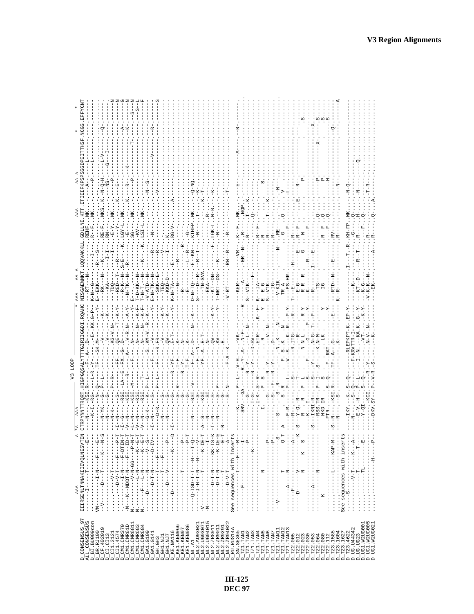|                                                                                                                                                                                                                                                                                                                                                                                                                                      | くくく                                                                                                                                                                                                                                                                                                                                             |                     |                             |
|--------------------------------------------------------------------------------------------------------------------------------------------------------------------------------------------------------------------------------------------------------------------------------------------------------------------------------------------------------------------------------------------------------------------------------------|-------------------------------------------------------------------------------------------------------------------------------------------------------------------------------------------------------------------------------------------------------------------------------------------------------------------------------------------------|---------------------|-----------------------------|
|                                                                                                                                                                                                                                                                                                                                                                                                                                      | IIIRSENLTNNAKIIIVQLNESV                                                                                                                                                                                                                                                                                                                         | ROAHC               | IFKPSPSGGDPEI               |
| $\begin{array}{l} \texttt{D\_CONSENSUS\_97}\\ \texttt{ALL\_CONSENSUS} \end{array}$                                                                                                                                                                                                                                                                                                                                                   |                                                                                                                                                                                                                                                                                                                                                 |                     |                             |
| $\begin{array}{l} \texttt{D\_B\overline{1}}.\;\texttt{BU009con} \\ \texttt{D\_BR}.\;\texttt{RJ100} \end{array}$                                                                                                                                                                                                                                                                                                                      | $\frac{1}{1}$<br>۱<br>ا<br>J<br>п<br>í<br>ł                                                                                                                                                                                                                                                                                                     |                     |                             |
|                                                                                                                                                                                                                                                                                                                                                                                                                                      | $-1 - K -$<br>J<br>$-1$<br>--V----------                                                                                                                                                                                                                                                                                                        |                     | $H - Q - N - 1$             |
|                                                                                                                                                                                                                                                                                                                                                                                                                                      | Ľ.                                                                                                                                                                                                                                                                                                                                              |                     |                             |
| $\begin{array}{l} \frac{\text{D-CF} + 40\,2019}{\text{D-CT}} \\ \frac{\text{D-CT}}{\text{D-CT}} \cdot 2121 \\ \frac{\text{D-CT}}{\text{D-CT}} \cdot 4574 \\ \frac{\text{D-CT}}{\text{D-CT}} \cdot 4574 \\ \frac{\text{D-CT}}{\text{D-CT}} \cdot 4574 \\ \frac{\text{D-CT}}{\text{D-CT}} \cdot 2565 \\ \frac{\text{D-CT}}{\text{D-CT}} \cdot 2565 \\ \frac{\text{D-CT}}{\text{D-CT}} \cdot 2565 \\ \frac{\text{D-CT}}{\text{D-CT}} \$ | $\frac{1}{1}$<br>$\frac{1}{1}$<br>$\cdots$ $\cdots$ $\cdots$ $\cdots$ $\cdots$ $\cdots$ $\cdots$                                                                                                                                                                                                                                                | $X - E -$<br>$-$ R  | $\frac{p}{q}$<br>- F<br>- T |
|                                                                                                                                                                                                                                                                                                                                                                                                                                      | $--F$ $--T$                                                                                                                                                                                                                                                                                                                                     | $-3-5-1$            |                             |
|                                                                                                                                                                                                                                                                                                                                                                                                                                      | - M - - - K - - NDDT-N - - - - F - - - I                                                                                                                                                                                                                                                                                                        |                     |                             |
|                                                                                                                                                                                                                                                                                                                                                                                                                                      | 1<br>$\frac{1}{2}$                                                                                                                                                                                                                                                                                                                              | -D-KP               |                             |
| D_CM1.CMR683<br>D_CM1.CMR684                                                                                                                                                                                                                                                                                                                                                                                                         |                                                                                                                                                                                                                                                                                                                                                 |                     |                             |
|                                                                                                                                                                                                                                                                                                                                                                                                                                      | J.                                                                                                                                                                                                                                                                                                                                              |                     |                             |
|                                                                                                                                                                                                                                                                                                                                                                                                                                      |                                                                                                                                                                                                                                                                                                                                                 |                     |                             |
| $\begin{array}{l} {\rm D-GA1~.} \ 6109 \\ {\rm D-GA1~.} \ 6141 \\ {\rm D-GH1~.} \ 6141 \\ {\rm D-GH1~.} \ 6141 \\ {\rm D-GH1~.} \ 6171 \\ {\rm D-GH1~.} \ 6171 \\ {\rm D-GH1~.} \ 6171 \\ {\rm D-GH1~.} \end{array}$                                                                                                                                                                                                                 | $\frac{1}{1}$<br>$\frac{1}{4}$<br>י<br>י<br>$\frac{1}{1}$<br>$-1$                                                                                                                                                                                                                                                                               | -SKK                |                             |
|                                                                                                                                                                                                                                                                                                                                                                                                                                      | ÷<br>ا<br>$\begin{bmatrix} 1 \\ 1 \\ 1 \\ 1 \end{bmatrix}$<br>п                                                                                                                                                                                                                                                                                 |                     |                             |
| $D$ $K$ E. NA116                                                                                                                                                                                                                                                                                                                                                                                                                     | ----------------<br>ţ<br>$\frac{1}{1}$                                                                                                                                                                                                                                                                                                          |                     |                             |
| D_KEl.KEN966                                                                                                                                                                                                                                                                                                                                                                                                                         | $\frac{1}{1}$<br>I<br>$\frac{1}{1}$<br>ı                                                                                                                                                                                                                                                                                                        |                     |                             |
|                                                                                                                                                                                                                                                                                                                                                                                                                                      | í<br>I<br>ı                                                                                                                                                                                                                                                                                                                                     |                     |                             |
|                                                                                                                                                                                                                                                                                                                                                                                                                                      |                                                                                                                                                                                                                                                                                                                                                 |                     |                             |
| D_KE1.KEN97<br>D_KE1.KEN986<br>D_NL.Al                                                                                                                                                                                                                                                                                                                                                                                               | --Q-ISD-T----H---T                                                                                                                                                                                                                                                                                                                              | KTHFP               |                             |
|                                                                                                                                                                                                                                                                                                                                                                                                                                      | - - - - - H - - - N - H - H - - - -                                                                                                                                                                                                                                                                                                             |                     |                             |
| D_NL2.A093021<br>D_NL2.UG93071                                                                                                                                                                                                                                                                                                                                                                                                       |                                                                                                                                                                                                                                                                                                                                                 |                     |                             |
|                                                                                                                                                                                                                                                                                                                                                                                                                                      | $\frac{1}{1}$<br>$\frac{1}{1}$<br>$\frac{1}{1}$                                                                                                                                                                                                                                                                                                 |                     |                             |
|                                                                                                                                                                                                                                                                                                                                                                                                                                      | $---KK - I$<br>I                                                                                                                                                                                                                                                                                                                                |                     |                             |
| <b>D_NL2.UG94015</b><br><b>D_NL2.ZR8911</b><br>P_NL2.ZR9011                                                                                                                                                                                                                                                                                                                                                                          | -- -- -- K - I<br>$---U - U - U - U - U - U - U - U - U - U - U - U - U - U - U - U - U - U - U - U - U - U - U - U - U - U - U - $<br>п<br>ı                                                                                                                                                                                                   |                     |                             |
| $\overline{D\_ML2}$ . ZR9291<br>$\overline{D\_ML2}$ . ZR94022                                                                                                                                                                                                                                                                                                                                                                        | $\frac{1}{1}$<br>ı<br>I<br>٠                                                                                                                                                                                                                                                                                                                    |                     |                             |
|                                                                                                                                                                                                                                                                                                                                                                                                                                      | ı<br>$---D--V--T-- \nonumber$<br>٠<br>1                                                                                                                                                                                                                                                                                                         |                     |                             |
|                                                                                                                                                                                                                                                                                                                                                                                                                                      | See sequences with inser<br>1                                                                                                                                                                                                                                                                                                                   |                     |                             |
|                                                                                                                                                                                                                                                                                                                                                                                                                                      | I                                                                                                                                                                                                                                                                                                                                               |                     |                             |
| $\begin{array}{l} \texttt{D\_RU}.\texttt{RUS14A} \\ \texttt{D\_SN}.\texttt{SBS365} \\ \texttt{D\_TZ1}.\texttt{TAM1} \\ \texttt{D\_TZ1}.\texttt{TAM2} \\ \texttt{D\_TZ1}.\texttt{TAM2} \\ \texttt{D\_TZ1}.\texttt{TAM3} \\ \texttt{D\_TZ1}.\texttt{TAM4} \\ \texttt{D\_TZ1}.\texttt{TAM5} \end{array}$                                                                                                                                | $\begin{array}{c} \n\cdot & \cdot \\ \n\cdot & \cdot \\ \n\cdot & \cdot \n\end{array}$<br>$\frac{1}{1}$<br>I<br>ì<br>I<br>I<br>$\frac{1}{1}$<br>I<br>I<br>ì<br>I<br>J<br>I                                                                                                                                                                      |                     |                             |
|                                                                                                                                                                                                                                                                                                                                                                                                                                      | $-k-$<br>J<br>J<br>í                                                                                                                                                                                                                                                                                                                            |                     |                             |
|                                                                                                                                                                                                                                                                                                                                                                                                                                      | $\frac{1}{1}$<br>ı                                                                                                                                                                                                                                                                                                                              |                     |                             |
|                                                                                                                                                                                                                                                                                                                                                                                                                                      | п<br>ţ<br>п<br>1                                                                                                                                                                                                                                                                                                                                | $- E - G$           |                             |
| $\begin{array}{l} {\bf D} {\begin{array}{c} {\bf T} {\bf Z1}.~{\bf T} {\bf A}{\bf N6} \\ {\bf D} {\bf T}{\bf Z1}.~{\bf T} {\bf A}{\bf N7} \\ {\bf D} {\bf T}{\bf Z1}.~{\bf T} {\bf A}{\bf N11} \\ {\bf D} {\bf T}{\bf Z1}.~{\bf T} {\bf A}{\bf N112} \\ {\bf D} {\bf T21}.~{\bf T} {\bf A}{\bf N112} \\ \end{array} \end{array}$                                                                                                     | $\frac{1}{2}$<br>$\frac{1}{1}$<br>$\mathbf{I}$<br>$\mathbf{I}$<br>$\frac{1}{1}$                                                                                                                                                                                                                                                                 |                     |                             |
|                                                                                                                                                                                                                                                                                                                                                                                                                                      | J.<br>$\frac{1}{1}$<br>í<br>J<br>$\frac{1}{1}$                                                                                                                                                                                                                                                                                                  | -- 10               |                             |
|                                                                                                                                                                                                                                                                                                                                                                                                                                      | ı<br>J.<br>ı<br>I<br>$-1$                                                                                                                                                                                                                                                                                                                       | $-V$ -KIK           |                             |
|                                                                                                                                                                                                                                                                                                                                                                                                                                      | I<br>$\frac{1}{1}$<br>÷.<br>I<br>ì<br>I<br>ı                                                                                                                                                                                                                                                                                                    | $-TR - A$           |                             |
| $D_TZ1$ . $TAM13$                                                                                                                                                                                                                                                                                                                                                                                                                    | $N - E$<br>$-1$<br>$-1$<br>$- -A - -$<br>$\frac{1}{1}$                                                                                                                                                                                                                                                                                          | $-55 - H$           |                             |
|                                                                                                                                                                                                                                                                                                                                                                                                                                      | ł<br>ı<br>$\frac{1}{1}$<br>I<br>-- 1                                                                                                                                                                                                                                                                                                            |                     |                             |
|                                                                                                                                                                                                                                                                                                                                                                                                                                      | $---X$<br>$-Y--$<br>I<br>$-1$<br>$\frac{1}{1}$                                                                                                                                                                                                                                                                                                  | 민<br>뛰<br>$-8 - -R$ |                             |
|                                                                                                                                                                                                                                                                                                                                                                                                                                      | $-1$ $-1$ $-1$ $-1$                                                                                                                                                                                                                                                                                                                             |                     |                             |
|                                                                                                                                                                                                                                                                                                                                                                                                                                      | п<br>п<br>$- - A$<br>1<br>1<br>ı                                                                                                                                                                                                                                                                                                                |                     |                             |
|                                                                                                                                                                                                                                                                                                                                                                                                                                      | ì<br>i<br>$-1$<br>$-1$<br>$-1$<br>$\frac{1}{1}$<br>í                                                                                                                                                                                                                                                                                            |                     | $\frac{a}{l}$               |
|                                                                                                                                                                                                                                                                                                                                                                                                                                      | I<br>$\frac{1}{1}$<br>$\frac{1}{1}$<br>$\frac{1}{1}$<br>I<br>$---X---$                                                                                                                                                                                                                                                                          |                     |                             |
|                                                                                                                                                                                                                                                                                                                                                                                                                                      | J.<br>$\overline{1}$<br>J<br>ı<br>ı                                                                                                                                                                                                                                                                                                             |                     |                             |
|                                                                                                                                                                                                                                                                                                                                                                                                                                      | --1---------<br>İ                                                                                                                                                                                                                                                                                                                               | ŖÏ                  |                             |
|                                                                                                                                                                                                                                                                                                                                                                                                                                      |                                                                                                                                                                                                                                                                                                                                                 |                     |                             |
|                                                                                                                                                                                                                                                                                                                                                                                                                                      | See sequences with inser                                                                                                                                                                                                                                                                                                                        |                     |                             |
|                                                                                                                                                                                                                                                                                                                                                                                                                                      | í<br>I<br>$-5-$<br>ļ                                                                                                                                                                                                                                                                                                                            |                     |                             |
|                                                                                                                                                                                                                                                                                                                                                                                                                                      |                                                                                                                                                                                                                                                                                                                                                 |                     |                             |
|                                                                                                                                                                                                                                                                                                                                                                                                                                      | $\frac{1}{2}$                                                                                                                                                                                                                                                                                                                                   |                     |                             |
|                                                                                                                                                                                                                                                                                                                                                                                                                                      | --------<br>$\frac{1}{1}$<br>$\frac{1}{2}$                                                                                                                                                                                                                                                                                                      |                     |                             |
| $\frac{D\ \text{IG}}{D\ \text{UG1}}$ . W2UG001<br>$\frac{D\ \text{UG1}}{D\ \text{UG1}}$ . W2UG005<br>$D\ \text{UG1}}$ . W2UG021                                                                                                                                                                                                                                                                                                      | $\begin{bmatrix} 1 & 1 & 1 \\ 1 & 1 & 1 \\ 1 & 1 & 1 \\ 1 & 1 & 1 \\ 1 & 1 & 1 \\ 1 & 1 & 1 \\ 1 & 1 & 1 \\ 1 & 1 & 1 \\ 1 & 1 & 1 \\ 1 & 1 & 1 \\ 1 & 1 & 1 \\ 1 & 1 & 1 \\ 1 & 1 & 1 \\ 1 & 1 & 1 \\ 1 & 1 & 1 & 1 \\ 1 & 1 & 1 & 1 \\ 1 & 1 & 1 & 1 \\ 1 & 1 & 1 & 1 \\ 1 & 1 & 1 & 1 \\ 1 & 1 & 1 & 1 \\ 1 & 1 & 1 & 1 \\ 1 & $<br>$\vdots$ |                     |                             |
|                                                                                                                                                                                                                                                                                                                                                                                                                                      |                                                                                                                                                                                                                                                                                                                                                 |                     |                             |

 $III-125$ **DEC 97**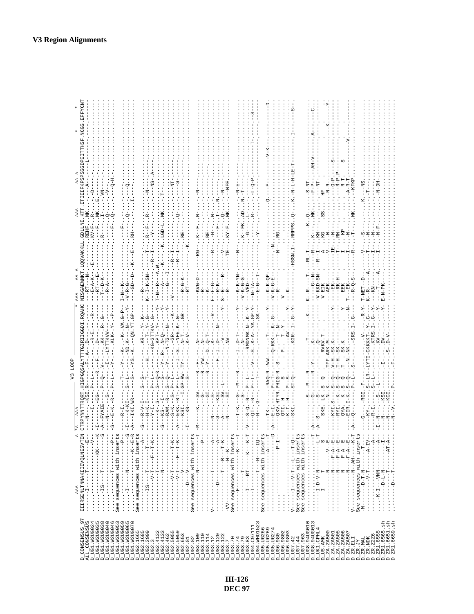V3 LOOP

**III-126 DEC 97**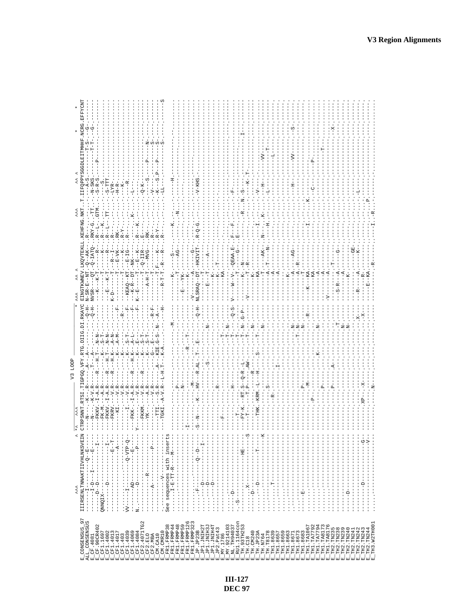|                                                                                                                        | $\lambda$                                                                                                                                                                                                                                                                                                                                           | LOOP<br>$\frac{1}{2}$<br>ξ                                                                                                                                                                        |                                                                         |                                                                  |                                                         |
|------------------------------------------------------------------------------------------------------------------------|-----------------------------------------------------------------------------------------------------------------------------------------------------------------------------------------------------------------------------------------------------------------------------------------------------------------------------------------------------|---------------------------------------------------------------------------------------------------------------------------------------------------------------------------------------------------|-------------------------------------------------------------------------|------------------------------------------------------------------|---------------------------------------------------------|
| $\begin{array}{l} \texttt{E\_CONSENSUS\_97}\\ \texttt{ALL\_CONSENSUS} \end{array}$                                     | NIEN<br>IIIRSENLTNNAKTIIVHLNKS<br>$-1$ - $Q$ - $-1$<br>$\frac{1}{1}$                                                                                                                                                                                                                                                                                | RKAYC<br>$-H-\Omega$<br>RTSI TIGPGQ VFY RTG DIIG DI<br>$-1. A - 1. A -$<br>$-R - -K -$<br>CTRPSNNT.<br>$\frac{1}{7}$                                                                              | EINGTKWNEV.LKQVTEKLL.KEHFNG.NKT<br>$-9 - 2K - 9 -$<br>$N - SR - E - NT$ | $---A-S$                                                         | IIFQPPYSGGDLEITMHHF.NCRG.EFFYCN<br>$-1 - 5 - 1 - 6 - 1$ |
| $-$ CF.4081<br>$-$ CF.90CR402<br>回<br>回                                                                                | $\frac{1}{1}$                                                                                                                                                                                                                                                                                                                                       | $Q-H$<br>- - R . - - H . T - - N - -<br>$-4 - 7 - 7 - 4$<br>$-1 - A \cdot R -$<br>$-K-V$ . R<br><b>FKKV</b><br>$-1$                                                                               | $-QT - Q - IATQ -$<br>$---R-$<br>$- -K - -K - T$<br>$NVSR-$             | $-S - R - S$<br>$-N-SKS$<br>$R=-L-1$ . GTM.<br>$-11$<br>$RXY-G.$ | ċ<br>$-T-T-$                                            |
|                                                                                                                        | QNNQIX-----<br>$-1$<br>í<br>I                                                                                                                                                                                                                                                                                                                       | $N-N-$<br>$-5 - T$<br>$- -R$ . $- -H$ . $T - -$<br>$-$ , $\mathbf{K}--$<br>FK-M.<br><b>FKKV</b>                                                                                                   | $-K--$<br>$-4$<br>-- E -- -- K - T -                                    | $TTT-5-7$<br>$- - - -$<br>Ę<br>$R - -K$ .<br>$R - -L -$          |                                                         |
| $\frac{E-CFT1.1697}{E-CFT1.4002}$<br>$\frac{E-CFT1.4002}{E-CFT1.4013}$                                                 | ę<br>$-1$<br>$-4$<br>I<br>I<br>I<br>I<br>$\frac{1}{1}$<br>ì<br>t                                                                                                                                                                                                                                                                                    | 번<br>$-N-A$ .<br>$-$ . $K$ - - . $A - M$ -<br>$- -R$ . $- -H$ . $K - -$<br>$A_1$ - - - A . R - -<br>$7$ . - I - A . R - -<br>$7$ . - - - V . R - -<br>L . - - - V . R - -<br><b>FKRV</b><br>$-KT$ | .--E-VK--<br>$-1 - R - I - I -$<br>턱<br>투<br>$K-D--$                    | $-LYR-$<br>$-H-R-$<br>$\frac{1}{1}$<br>$\overline{R}$<br>.RK     |                                                         |
| 回                                                                                                                      | $\frac{1}{1}$<br>$\mathbf{I}$<br>.                                                                                                                                                                                                                                                                                                                  | $- R$<br>$\ddotsc$<br>$-V.R$<br>$\frac{1}{1}$                                                                                                                                                     |                                                                         | $---X---K$<br>$R-Y-$                                             |                                                         |
| E_CF1.403<br>E_CF1.4039<br>E_CF1.4069<br>E_CF1.4084<br>回<br>国                                                          | $-9TVTP$<br>$-1$<br>İ<br>п<br>л<br>---AD-<br>t<br>ī<br>$\frac{1}{1}$<br>--<br>N                                                                                                                                                                                                                                                                     | 中<br>뿌<br>$-S-T-$<br>$.A - L -$<br>$R$ . $- -H$ . $K - -$<br>$-K-$<br>$PKK- -I - A$ . $R-$<br>$-V$ . R                                                                                            | $-$ KEAQ $-$ KT. $-$ E-IG<br>$- -K - R - - DT - -NK - -$                | $- R$<br>÷<br>$\stackrel{+}{\approx}$                            |                                                         |
| CF2.4071TG2<br>国                                                                                                       | $\frac{1}{2}$<br>$\frac{1}{1}$<br>$\frac{1}{2}$<br>$\mathbb{Z}$                                                                                                                                                                                                                                                                                     | 뚜<br>$-5 - T$<br>闰<br>$-K-1$<br>$-K$<br>$\tilde{f}$<br>$-V. R-$<br>$-V \cdot R$<br>-FKKM.                                                                                                         | $- -B - -K -$<br>$-9IIIR-$<br>$-1$<br>י<br>ד<br>$-1$                    | $-5 - 6 - 1$<br>$R = -K$<br>İ<br>圍                               |                                                         |
| $\begin{array}{l} \texttt{E\_CF2.4071}\ \texttt{E\_CF2. ELO}\ \texttt{E\_CF2. MBA}\ \texttt{E\_CF2. MBA}\ \end{array}$ | п<br>$----P-1$<br>I<br>٠<br>٠                                                                                                                                                                                                                                                                                                                       | - 5 - T<br>A.R<br>- YK --                                                                                                                                                                         | $-2M - H - T$ . --MVG                                                   | $-5$<br>1<br>ŧ<br>.RK                                            | z                                                       |
|                                                                                                                        | $\overline{a}$<br>J<br>Í<br>$- -A - -$                                                                                                                                                                                                                                                                                                              | $- R - F$<br>$-5 - 5$ .<br>벽.<br>KIE<br>ပ္ပ်<br>S.R<br>V.R<br>TTT                                                                                                                                 | $---Z - F - --- K - -$                                                  | Á,<br>$-K---S.-P$<br>$-1$ $-1$<br>$-K-Y-$<br>$R---$              | ÜΩ<br>U)                                                |
| $CM$ . CMR10<br>回                                                                                                      | $---V---$<br>$\frac{1}{1}$                                                                                                                                                                                                                                                                                                                          | 干<br>一<br>$-A-$<br>$\ddot{A}$<br>.-A-V.R--L-H.T<br>TGKI<br>                                                                                                                                       | $-$ R $-$ T $-$ T .<br>- R $ -$ R $-$                                   | -11                                                              | Ω,                                                      |
| $-FRI.FRMP38$<br>回                                                                                                     | See sequences with inse                                                                                                                                                                                                                                                                                                                             |                                                                                                                                                                                                   |                                                                         |                                                                  |                                                         |
| $_F$ R1. FRMP44<br>E_FR1.FRMP48<br>囸                                                                                   |                                                                                                                                                                                                                                                                                                                                                     | Á                                                                                                                                                                                                 | $-46-$<br>$\frac{5}{1}$<br>$-K-$<br>י<br>ד                              | Ŧ<br>N<br>P<br>$ K$                                              |                                                         |
| 国                                                                                                                      | $\frac{1}{1}$<br>$\frac{1}{2}$<br>I                                                                                                                                                                                                                                                                                                                 |                                                                                                                                                                                                   | $---XK--$<br>뚜                                                          |                                                                  |                                                         |
| $\begin{array}{c} \begin{array}{c} \texttt{FR1. FRMPS9} \\ \texttt{FR1. FRMP126} \end{array} \end{array}$<br>囸         | Í<br>J<br>п<br>ı<br>I                                                                                                                                                                                                                                                                                                                               |                                                                                                                                                                                                   | $-5$                                                                    |                                                                  |                                                         |
| $_F$ R1. $F$ RMP323<br>国                                                                                               | J                                                                                                                                                                                                                                                                                                                                                   | ÷N-                                                                                                                                                                                               | $-5 -$<br>j                                                             |                                                                  |                                                         |
| $JP$ . $JP$ 23B<br>E<br>国                                                                                              | $-9 - 0 - 0$<br>中!"                                                                                                                                                                                                                                                                                                                                 | $- H - O$<br>É.<br>$-RL -$<br>$-$ . HV-<br>$-K-$<br>?<br>¦                                                                                                                                        | NLSRAQ--DT.-HKIVIT-<br>$\frac{1}{2}$                                    | $-V-KHS$<br>$-9-0-7$                                             |                                                         |
| $-JPI.$ JNIH2T<br>LEHING. LED<br>国                                                                                     |                                                                                                                                                                                                                                                                                                                                                     |                                                                                                                                                                                                   | $-4$<br>י-ד<br>闰                                                        |                                                                  |                                                         |
| TPILUL.JNIH4T<br>囸                                                                                                     | $-1$ - $-1$ - $-1$ - $-1$ - $-1$ - $-1$                                                                                                                                                                                                                                                                                                             |                                                                                                                                                                                                   | $-K-$                                                                   |                                                                  |                                                         |
| JP2.Pat43<br>国                                                                                                         |                                                                                                                                                                                                                                                                                                                                                     |                                                                                                                                                                                                   | $-K-1$                                                                  |                                                                  |                                                         |
| E_MY.1786                                                                                                              | $\frac{1}{1}$ $\frac{1}{1}$ $\frac{1}{1}$ $\frac{1}{1}$ $\frac{1}{1}$                                                                                                                                                                                                                                                                               |                                                                                                                                                                                                   | $-KA$ .                                                                 |                                                                  |                                                         |
| MY.9214103<br>凹                                                                                                        | I<br>$\frac{1}{2}$                                                                                                                                                                                                                                                                                                                                  | ¤<br>∶                                                                                                                                                                                            |                                                                         |                                                                  |                                                         |
| $EUI.1164$ con<br>MT.TH94037<br>回<br>囸                                                                                 | J<br>$\frac{1}{1}$<br>$-5-$                                                                                                                                                                                                                                                                                                                         | °-∂-<br>ļ.<br>⊬<br>텃<br>ار<br>آ                                                                                                                                                                   | မှ<br>F,                                                                | ۱<br> -<br> <br>回                                                |                                                         |
| тн. 93 тн253<br>回                                                                                                      | 臣<br>--<br>I<br>$\frac{1}{1}$<br>$\frac{1}{1}$                                                                                                                                                                                                                                                                                                      | $-1 - 1 - 1 - 1 - 1 - 1$<br>$- - RT$ . $S - - Q - R$ . $- L -$<br>$-FY-K.$                                                                                                                        | $-K  N-$                                                                | $\frac{1}{2}$<br>$\overline{R}$ .                                |                                                         |
| $-m.C18$<br>回                                                                                                          | $\cdots$ $\cdots$                                                                                                                                                                                                                                                                                                                                   | 텃<br>$-.AM$<br>д<br>$-1$<br>- T-                                                                                                                                                                  | $-$ R $-$<br>$-1$                                                       | $ -K$                                                            |                                                         |
| $-TH$ . CM240<br>囸                                                                                                     | $-1$                                                                                                                                                                                                                                                                                                                                                | ą<br>$- R$                                                                                                                                                                                        | -K-                                                                     |                                                                  |                                                         |
| $-TH. JP23A$<br>国                                                                                                      | $-1$                                                                                                                                                                                                                                                                                                                                                | $\frac{1}{1}$<br>$-THK. -KRM. -L-$                                                                                                                                                                | -KA.                                                                    | $-V-$                                                            |                                                         |
| $-TH. T8178$<br>TH. N764<br>囸<br>囯                                                                                     | $\frac{1}{1}$<br>$\frac{1}{1}$                                                                                                                                                                                                                                                                                                                      |                                                                                                                                                                                                   | --AK--<br>$-2$ - $-$ - $-$<br>$-4. -T$<br>턱                             | $rac{1}{1}$                                                      | י<br>ד                                                  |
| TH1.8639<br>囸                                                                                                          | $\frac{1}{2}$ = $\frac{1}{2}$ = $\frac{1}{2}$ = $\frac{1}{2}$ = $\frac{1}{2}$ = $\frac{1}{2}$ = $\frac{1}{2}$ = $\frac{1}{2}$ = $\frac{1}{2}$ = $\frac{1}{2}$ = $\frac{1}{2}$ = $\frac{1}{2}$ = $\frac{1}{2}$ = $\frac{1}{2}$ = $\frac{1}{2}$ = $\frac{1}{2}$ = $\frac{1}{2}$ = $\frac{1}{2}$ = $\frac{1$<br>$\frac{1}{2}$                          | ř                                                                                                                                                                                                 | $\ddot{\mathcal{L}}$                                                    |                                                                  |                                                         |
| - тн1.8657<br>1 11.8659<br>国                                                                                           | $\frac{1}{2}$                                                                                                                                                                                                                                                                                                                                       |                                                                                                                                                                                                   | $\ddot{A}$ .                                                            |                                                                  |                                                         |
| 国                                                                                                                      | $\begin{bmatrix} 1 & 1 & 1 \\ 1 & 1 & 1 \\ 1 & 1 & 1 \end{bmatrix}$                                                                                                                                                                                                                                                                                 |                                                                                                                                                                                                   |                                                                         |                                                                  |                                                         |
| TH1.8663<br>国<br>囸                                                                                                     | $\frac{1}{2}$                                                                                                                                                                                                                                                                                                                                       |                                                                                                                                                                                                   | $-AA$<br>$-$ Å.                                                         | ž<br>ŧ                                                           |                                                         |
| 3_TH1.8671<br>3_TH1.8673<br>3_TH1.8683<br>囸                                                                            | $\frac{1}{2}$                                                                                                                                                                                                                                                                                                                                       | z                                                                                                                                                                                                 | $-A. -R$                                                                |                                                                  |                                                         |
| 回                                                                                                                      |                                                                                                                                                                                                                                                                                                                                                     | Ŗ                                                                                                                                                                                                 | י<br>ד                                                                  |                                                                  |                                                         |
| $\frac{\text{TH1}}{\text{TH1}}$ .TA1067<br>囸                                                                           |                                                                                                                                                                                                                                                                                                                                                     |                                                                                                                                                                                                   | $---KA.$                                                                |                                                                  |                                                         |
| THI.TA7794<br>国<br>囸                                                                                                   | $\begin{array}{c} \vdots \\ \vdots \\ \vdots \\ \vdots \end{array}$                                                                                                                                                                                                                                                                                 |                                                                                                                                                                                                   | -KA.<br>$\frac{1}{4}$                                                   | ېم<br>Ų                                                          |                                                         |
| TH1.TA8173<br>国                                                                                                        | $\begin{bmatrix} 1 & 1 & 1 \\ 1 & 1 & 1 \\ 1 & 1 & 1 \\ 1 & 1 & 1 \\ 1 & 1 & 1 \\ 1 & 1 & 1 \\ 1 & 1 & 1 \\ 1 & 1 & 1 \\ 1 & 1 & 1 \\ 1 & 1 & 1 \\ 1 & 1 & 1 \\ 1 & 1 & 1 \\ 1 & 1 & 1 \\ 1 & 1 & 1 \\ 1 & 1 & 1 & 1 \\ 1 & 1 & 1 & 1 \\ 1 & 1 & 1 & 1 \\ 1 & 1 & 1 & 1 \\ 1 & 1 & 1 & 1 \\ 1 & 1 & 1 & 1 & 1 \\ 1 & 1 & 1 & 1 & $<br>$\frac{1}{2}$ |                                                                                                                                                                                                   | $-$ A.                                                                  |                                                                  |                                                         |
| TH1.TA8176<br>国                                                                                                        | $\begin{array}{c} \n\vdots \\ \vdots \\ \vdots \\ \vdots\n\end{array}$                                                                                                                                                                                                                                                                              |                                                                                                                                                                                                   | $-4$                                                                    |                                                                  |                                                         |
| TH2.TN235<br>国                                                                                                         |                                                                                                                                                                                                                                                                                                                                                     |                                                                                                                                                                                                   |                                                                         |                                                                  |                                                         |
| <b>E_TH2.TN238</b><br>E_TH2.TN239<br>回                                                                                 |                                                                                                                                                                                                                                                                                                                                                     |                                                                                                                                                                                                   | Ġ<br>$-4$ .<br>$S-R-$                                                   |                                                                  |                                                         |
| 国                                                                                                                      |                                                                                                                                                                                                                                                                                                                                                     |                                                                                                                                                                                                   |                                                                         |                                                                  |                                                         |
| TH2.TN240<br>TH2.TN241<br>回<br>国                                                                                       | $-1$                                                                                                                                                                                                                                                                                                                                                |                                                                                                                                                                                                   | ED-<br>-K-                                                              |                                                                  |                                                         |
|                                                                                                                        |                                                                                                                                                                                                                                                                                                                                                     |                                                                                                                                                                                                   | $-4$ .                                                                  |                                                                  |                                                         |
| Е_TH2.TN242<br>Е_TH2.TN243<br>Е_TH2.TN244                                                                              | $\frac{1}{1}$                                                                                                                                                                                                                                                                                                                                       |                                                                                                                                                                                                   | $-R-$                                                                   |                                                                  |                                                         |
|                                                                                                                        |                                                                                                                                                                                                                                                                                                                                                     |                                                                                                                                                                                                   | $E - -KA$                                                               |                                                                  |                                                         |
| E TH3.W2TH001                                                                                                          |                                                                                                                                                                                                                                                                                                                                                     |                                                                                                                                                                                                   |                                                                         |                                                                  |                                                         |

 $III-127$ **DEC 97**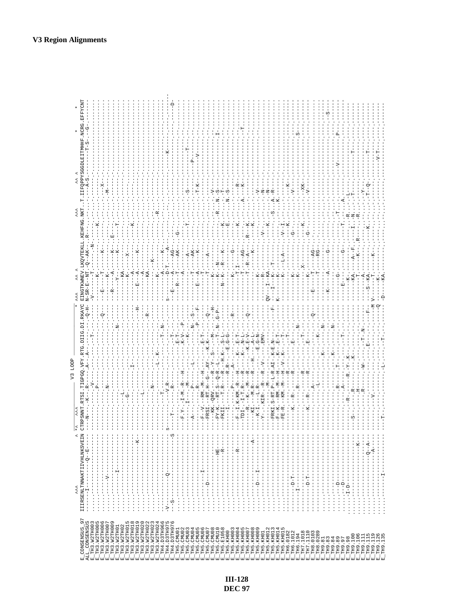$III-128$ **DEC 97**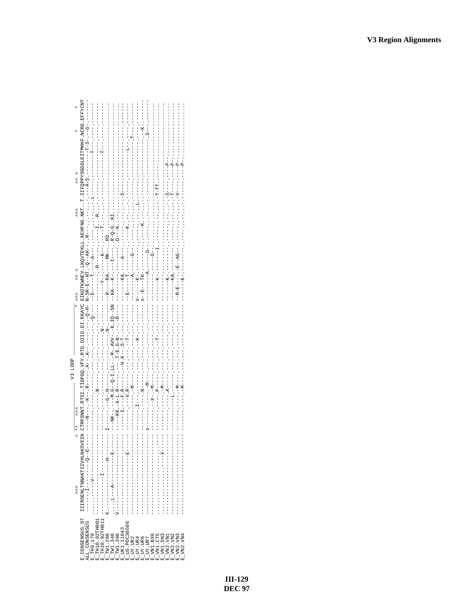|                  | -- -- -- -- --                                                                                                                                                                                                                                                                                                                                                 |  |
|------------------|----------------------------------------------------------------------------------------------------------------------------------------------------------------------------------------------------------------------------------------------------------------------------------------------------------------------------------------------------------------|--|
|                  |                                                                                                                                                                                                                                                                                                                                                                |  |
| くくく              |                                                                                                                                                                                                                                                                                                                                                                |  |
| $\lambda$        |                                                                                                                                                                                                                                                                                                                                                                |  |
| $\lambda$        | CTRESNNT RTSG VFY RTG DI GLO DI RKAYC DINGTKWNEV LKQVTEKLL KEHFNG NKT I IIIQDPYSGGDLEITMHHF NCRG EFFYLMI                                                                                                                                                                                                                                                       |  |
| $*$ $*$          |                                                                                                                                                                                                                                                                                                                                                                |  |
|                  |                                                                                                                                                                                                                                                                                                                                                                |  |
| V3 LOOP          | ・ コートトーーー フート・トローー フーーー・コート コート・コート コートーム コートーー                                                                                                                                                                                                                                                                                                                |  |
| $\lambda$        |                                                                                                                                                                                                                                                                                                                                                                |  |
| $\frac{1}{\ast}$ |                                                                                                                                                                                                                                                                                                                                                                |  |
|                  | <b>NIEZNS</b><br> <br> <br> <br> <br>                                                                                                                                                                                                                                                                                                                          |  |
| $\lambda$        | - 印--〇--------- II --------<br>IIRSENLTNNAKTIIVHLNK                                                                                                                                                                                                                                                                                                            |  |
|                  | CONSENSUS 97<br>THM0.92TH001<br>TH10.92TH011<br>LLL_CONSENSUS<br>US. POC30506<br>$_UK1.11643$<br>TH9.179<br>TW1.286<br>TW1.396<br>$-TW1.346$<br>$-W1. BX6$<br>$_N$ N2. VN4<br>$\frac{1}{2}$ -VN2 . VN2<br>$\frac{1}{2}$ -VN2 . VN3<br>$_N$ N1.DN3<br>$\_$ VN1. $_{\rm CTS}$<br>$\text{UN2} \cdot \text{VM1}$<br>TV.UR2<br>$_UY$ . UR4<br>$_UY$ . UR6<br>UY.UR7 |  |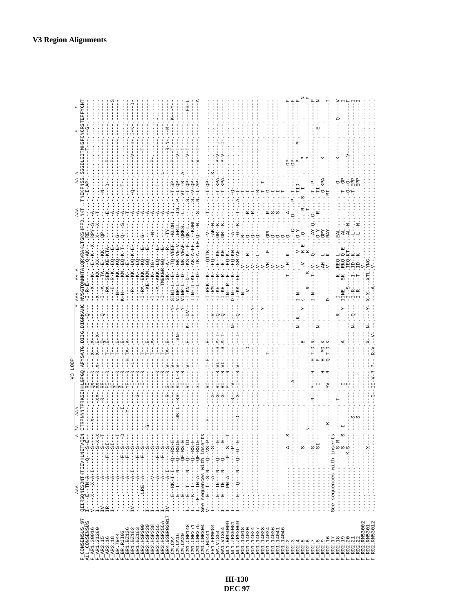|                                                                                                                                                                                                                                                                                                     | くくく                                                                                                                                                                                                                                                                                                                                                                                                                                                                                                                                                                                             | TOOP<br>Δ3                                    |                                                                   |                                               |
|-----------------------------------------------------------------------------------------------------------------------------------------------------------------------------------------------------------------------------------------------------------------------------------------------------|-------------------------------------------------------------------------------------------------------------------------------------------------------------------------------------------------------------------------------------------------------------------------------------------------------------------------------------------------------------------------------------------------------------------------------------------------------------------------------------------------------------------------------------------------------------------------------------------------|-----------------------------------------------|-------------------------------------------------------------------|-----------------------------------------------|
| CONSENSUS_97<br>国                                                                                                                                                                                                                                                                                   |                                                                                                                                                                                                                                                                                                                                                                                                                                                                                                                                                                                                 | DIGRKAHC<br>CTRPNNNTPRKSIHHLGPGQ.AFYSATG.DIIG | TVSGTQWNNTALQRVRAKLTGKSHFPD.NKT                                   | <b>NOA HA</b><br>INIKFNSS.SGGDLEITMHSFCNCRGTE |
| ALL_CONSENSES<br>F_AR1.20016<br>F_AR1.21280<br>F_AR2.15<br>F_AR2.18<br>F_BR.7944<br>F_BR.7944                                                                                                                                                                                                       | j.<br>$-2$<br>$\frac{1}{4}$<br>$- -X - -X - -Y - \mathbb{I}$<br>$\frac{1}{2}$                                                                                                                                                                                                                                                                                                                                                                                                                                                                                                                   |                                               | $I - R - E$                                                       | $-I - AP -$                                   |
|                                                                                                                                                                                                                                                                                                     | $-2 - 8 - 8$<br>т<br>$-4 - -$<br>$\frac{1}{1}$<br>$\frac{1}{1}$                                                                                                                                                                                                                                                                                                                                                                                                                                                                                                                                 | ×<br>-<br>$-2.1 - R$<br>$-XX - XX$            | $-XX -$<br>$-KX$                                                  | $-7$                                          |
|                                                                                                                                                                                                                                                                                                     | $--$ SI-<br>Ŀ,<br>$\frac{1}{1}$<br>-1<br>$TV---$<br>ı<br>ŧ<br>H                                                                                                                                                                                                                                                                                                                                                                                                                                                                                                                                 | ï<br>$-.RF-$<br>Ė.                            | .-KE-KTA<br>$-E$ -- $K$<br>$-TA$<br><b>SEK</b><br>$-RA--$<br>$-4$ | $\mathbf{\Omega}$<br>ė                        |
|                                                                                                                                                                                                                                                                                                     | $-51$<br>I<br>п<br>j<br>À<br>Í<br>I<br>$\frac{1}{1}$<br>$\overline{H}$                                                                                                                                                                                                                                                                                                                                                                                                                                                                                                                          | ä                                             | $-1 - 2B - 1$<br>$R - K$<br>$\frac{1}{1}$                         | ρ                                             |
|                                                                                                                                                                                                                                                                                                     | $\blacksquare$<br>$-2$<br>$-5$<br>Ť<br>$\mathbf{I}$<br>п<br>J.<br>$\frac{1}{1}$<br>$-A--$<br>$-4$<br>I.                                                                                                                                                                                                                                                                                                                                                                                                                                                                                         | α<br>α<br>$\circ$<br>$\mathbf{\Omega}$        | 田<br>!<br>$KM - EQ - K - T$<br>$-$ KQ<br>-KK<br>ż<br>$K-H$        | 턱                                             |
|                                                                                                                                                                                                                                                                                                     | $\frac{5}{1}$<br>国<br>Ŧ<br>$- - A - -$<br>т<br>Ţ<br>$\frac{1}{2}$<br>$\begin{array}{c}\n\vdots \\ \vdots \\ \vdots \\ \vdots\n\end{array}$<br>$\mathsf I$                                                                                                                                                                                                                                                                                                                                                                                                                                       | α                                             |                                                                   |                                               |
| F_BR.RJI03<br>F_BR1.BZ126<br>F_BR1.BZ162<br>F_BR1.BZ163                                                                                                                                                                                                                                             | $-5$<br>ı<br>ł<br>т<br>$-2 - A - I$<br>I<br>$\frac{1}{1}$<br>ŧ<br>Ż                                                                                                                                                                                                                                                                                                                                                                                                                                                                                                                             | Ķ                                             | --KK.-DQ-K-E<br>$- R$                                             | : K<br>$-H - H -$                             |
|                                                                                                                                                                                                                                                                                                     | ÷,<br>国<br>Ŧ<br>п<br>H<br>$A - -$<br>$\overline{\phantom{a}}$<br>$-4$<br>Ť<br>$\frac{1}{2}$<br>$\mathsf I$                                                                                                                                                                                                                                                                                                                                                                                                                                                                                      |                                               | 뛰<br>-<br>EQ<br>$-KQ$<br>$I - RA - EKK$                           |                                               |
|                                                                                                                                                                                                                                                                                                     | $\blacksquare$                                                                                                                                                                                                                                                                                                                                                                                                                                                                                                                                                                                  |                                               | 뛰<br>$-$ KE-YKM. $-$ GQ                                           |                                               |
|                                                                                                                                                                                                                                                                                                     | $\frac{5}{1}$<br>ı<br>ı<br>ł<br>$---$<br>$\begin{array}{c} \cdot \cdot \cdot \cdot \cdot \cdot \text{LRB-} \\ \text{I----------} \\ \text{I----------} \end{array}$                                                                                                                                                                                                                                                                                                                                                                                                                             |                                               | 먼                                                                 | д                                             |
| $\begin{tabular}{r rrrr} \hline $F=1872 & 182209 \\ $F=1872 & 182223 \\ $F=1872 & 182225 \\ $F=1872 & 182255 \\ $F=1872 & 182255 \\ $F=1872 & 182255 \\ $F=1201 & 0.44 \\ $F=1010 & 0.420 \\ $F=1011 & 0.0420 \\ $F=1011 & 0.0420 \\ $F=1011 & 0.0420 \\ $F=1011 & 0.0420 \\ $F=1011 & 0.0420 \\ $$ | $\overline{1}$<br>$-5$<br>Ť<br>$- -A - - -$<br>ï<br>I<br>٠<br>$\overline{\phantom{a}}$<br>$\frac{1}{1}$<br>H H                                                                                                                                                                                                                                                                                                                                                                                                                                                                                  | œ                                             | 뛰<br>$-50$<br>$- -A - KKK$                                        | ę                                             |
|                                                                                                                                                                                                                                                                                                     | $-2$<br>÷<br>$-A$ -<br>$\overline{1}$<br>$\mathbf{I}$                                                                                                                                                                                                                                                                                                                                                                                                                                                                                                                                           | ្ត                                            | 뛰<br>-TMEKGR-GQ                                                   | $-R-N$                                        |
|                                                                                                                                                                                                                                                                                                     | $---P-S-1$<br>$-5$<br>ŧ<br>$-4 - 4 - 1$<br>$---RK - I - I$<br>Ř                                                                                                                                                                                                                                                                                                                                                                                                                                                                                                                                 |                                               | O-VEEF<br>SINI-L                                                  | $-1 - 5P$<br>KLDH                             |
|                                                                                                                                                                                                                                                                                                     | <b>SKTI</b><br>$-Q$ --RSI<br>J.<br>$\frac{1}{2}$<br>$--T--$<br>$\frac{1}{2}$<br>$\frac{1}{2}$                                                                                                                                                                                                                                                                                                                                                                                                                                                                                                   | $-RR-RI-IL-R.$                                | -GK-VE-V<br>$IMR-$                                                | $-L-\Lambda$<br><b>ERLI</b>                   |
|                                                                                                                                                                                                                                                                                                     | $-58 - 40 -$<br>1<br>ï<br>$\frac{1}{1}$<br>Ţ<br>J.<br>Ť                                                                                                                                                                                                                                                                                                                                                                                                                                                                                                                                         |                                               | NK-VEAF                                                           | 텃                                             |
|                                                                                                                                                                                                                                                                                                     | $-1 - 2 - 4 - 5 - 6 - 1$<br>$\begin{array}{c} \mathbf{L} & \mathbf{L} \\ \mathbf{L} & \mathbf{L} \\ \mathbf{L} & \mathbf{L} \\ \mathbf{L} & \mathbf{L} \end{array}$                                                                                                                                                                                                                                                                                                                                                                                                                             |                                               | $S-K$<br>$-K$                                                     | $_{\rm ES}$<br>$-1$                           |
|                                                                                                                                                                                                                                                                                                     | $-2 - RS - 1$<br>$-QF - RST$<br>$\mathbf{I}$<br>$\overline{1}$<br>ï<br>1<br>---------<br>$1. -F -T -T -N -A -$                                                                                                                                                                                                                                                                                                                                                                                                                                                                                  |                                               | AK-A-EF<br>IN-IL-KE                                               | $\mathbf{\underline{\alpha}}$                 |
|                                                                                                                                                                                                                                                                                                     | See sequences with inser                                                                                                                                                                                                                                                                                                                                                                                                                                                                                                                                                                        |                                               |                                                                   |                                               |
|                                                                                                                                                                                                                                                                                                     | -<br>5<br>-<br>5<br>-<br>5<br>-<br>5<br>-<br><br><br><br><br><br><br><br><br>国<br>$\frac{1}{1}$<br>$\overline{\phantom{a}}$                                                                                                                                                                                                                                                                                                                                                                                                                                                                     |                                               | QITK<br>$I - REX$                                                 | $-1-0$                                        |
|                                                                                                                                                                                                                                                                                                     | $-5 - - -$<br>п<br>$- -A - -$<br>$\frac{1}{1}$<br>$\overline{\phantom{a}}$<br>İ<br>ji,                                                                                                                                                                                                                                                                                                                                                                                                                                                                                                          |                                               | $-M=$                                                             | $-AK-N$                                       |
| $F_{GAI. VI354}$<br>$F_{GAI. VI354}$                                                                                                                                                                                                                                                                | $\frac{1}{1}$<br>Ģ<br>$\frac{1}{1}$<br>$\frac{1}{2}$<br>$-TTE-$<br>$\begin{array}{c} \begin{array}{c} \text{ } & \text{ } \\ \text{ } & \text{ } \\ \text{ } & \text{ } \\ \text{ } & \text{ } \\ \text{ } & \text{ } \\ \text{ } & \text{ } \\ \text{ } & \text{ } \\ \text{ } & \text{ } \\ \text{ } & \text{ } \\ \text{ } & \text{ } \\ \text{ } & \text{ } \\ \text{ } & \text{ } \\ \text{ } & \text{ } \\ \text{ } & \text{ } \\ \text{ } & \text{ } \\ \text{ } & \text{ } \\ \text{ } & \text{ } \\ \text{ } & \text{ } \\ \text{ } & \text{ } \\ \text{ } & \text{ } \\ \text{ } & \$ | R.VI<br>$-1.51$<br>ಲ್ಲ                        | --KE<br>$I - K E$                                                 | -T-KPA                                        |
|                                                                                                                                                                                                                                                                                                     | $-1$<br>ı<br>$-1 - 2I$                                                                                                                                                                                                                                                                                                                                                                                                                                                                                                                                                                          | A.<br>S<br>Ę<br>R<br>$-6 - .R1$               | $ KE$<br>뛰<br>$I - K E -$                                         | $-T-KPA$<br>$GR - -K$                         |
| $F\_NL1$ .BR94009<br>$F\_NL1$ .ZR89081                                                                                                                                                                                                                                                              | $\frac{1}{2}$<br>م<br>ا<br>٠<br>ا<br>$- -P N - A - - -$<br>$\overline{1}$<br>J.<br>$\overline{a}$                                                                                                                                                                                                                                                                                                                                                                                                                                                                                               | R<br>نم<br>ن                                  | $-EQ-KN$<br>$-EQ-K$<br>$IN--R$<br>-NTV                            |                                               |
| F_NL1.ZR93069                                                                                                                                                                                                                                                                                       | ローロー<br>Ť<br>$\frac{1}{2}$<br>$Q - 1$<br>덕<br> <br>-1<br>$\overline{\phantom{a}}$<br>$\overline{\phantom{0}}$                                                                                                                                                                                                                                                                                                                                                                                                                                                                                   | $\ddot{\approx}$<br>م<br>.<br>Þ               | $- -$ SM-AE<br>田<br>- T<br>$I - KK$                               | ပု                                            |
|                                                                                                                                                                                                                                                                                                     | $\ddot{\phantom{a}}$<br>$\blacksquare$<br>$\cdot$<br>$\mathbf{I}$                                                                                                                                                                                                                                                                                                                                                                                                                                                                                                                               |                                               |                                                                   |                                               |
|                                                                                                                                                                                                                                                                                                     | I<br>$\frac{1}{2}$<br>$\mathbf{I}$                                                                                                                                                                                                                                                                                                                                                                                                                                                                                                                                                              |                                               | H---V                                                             |                                               |
|                                                                                                                                                                                                                                                                                                     | 1<br>$\frac{1}{2}$<br>I.                                                                                                                                                                                                                                                                                                                                                                                                                                                                                                                                                                        |                                               |                                                                   |                                               |
|                                                                                                                                                                                                                                                                                                     | л<br>$\frac{1}{1}$<br>$\frac{1}{2}$<br>J.                                                                                                                                                                                                                                                                                                                                                                                                                                                                                                                                                       |                                               | İ                                                                 | Ö                                             |
|                                                                                                                                                                                                                                                                                                     | $\ddot{\cdot}$<br>$\vdots$<br>$\mathbf{I}$<br>$\overline{1}$                                                                                                                                                                                                                                                                                                                                                                                                                                                                                                                                    |                                               | 뛰<br>VH-                                                          | 턱<br>QPL.                                     |
|                                                                                                                                                                                                                                                                                                     | $\vdots$<br>$\frac{1}{1}$                                                                                                                                                                                                                                                                                                                                                                                                                                                                                                                                                                       |                                               |                                                                   | C)                                            |
|                                                                                                                                                                                                                                                                                                     | $\vdots$                                                                                                                                                                                                                                                                                                                                                                                                                                                                                                                                                                                        |                                               |                                                                   |                                               |
|                                                                                                                                                                                                                                                                                                     | $\ddot{\cdot}$                                                                                                                                                                                                                                                                                                                                                                                                                                                                                                                                                                                  |                                               |                                                                   |                                               |
|                                                                                                                                                                                                                                                                                                     | $-4$<br>J<br>$\frac{1}{2}$ , $\frac{1}{2}$ , $\frac{1}{2}$ , $\frac{1}{2}$ , $\frac{1}{2}$ , $\frac{1}{2}$ , $\frac{1}{2}$ , $\frac{1}{2}$ , $\frac{1}{2}$<br>$\vdots$                                                                                                                                                                                                                                                                                                                                                                                                                          |                                               | $ -K$                                                             |                                               |
|                                                                                                                                                                                                                                                                                                     | .                                                                                                                                                                                                                                                                                                                                                                                                                                                                                                                                                                                               |                                               |                                                                   | $\mathbf{\Omega}$<br>ep<br>-<br>FTP           |
|                                                                                                                                                                                                                                                                                                     | $-2$<br>$\frac{1}{1}$<br>.                                                                                                                                                                                                                                                                                                                                                                                                                                                                                                                                                                      |                                               | $-K-E$                                                            |                                               |
|                                                                                                                                                                                                                                                                                                     | .                                                                                                                                                                                                                                                                                                                                                                                                                                                                                                                                                                                               |                                               |                                                                   |                                               |
|                                                                                                                                                                                                                                                                                                     | ှ<br>$\frac{1}{2}$<br>$\begin{bmatrix} 1 & 1 & 1 \\ 1 & 1 & 1 \\ 1 & 1 & 1 \\ 1 & 1 & 1 \end{bmatrix}$                                                                                                                                                                                                                                                                                                                                                                                                                                                                                          |                                               |                                                                   |                                               |
|                                                                                                                                                                                                                                                                                                     | $-52-$<br>$\frac{1}{2}$<br>$\vdots$                                                                                                                                                                                                                                                                                                                                                                                                                                                                                                                                                             |                                               |                                                                   |                                               |
|                                                                                                                                                                                                                                                                                                     | 1<br>$\frac{1}{1}$<br>$\begin{bmatrix} 1 & 1 & 1 & 1 \\ 1 & 1 & 1 & 1 \\ 1 & 1 & 1 & 1 \\ 1 & 1 & 1 & 1 \\ 1 & 1 & 1 & 1 \\ 1 & 1 & 1 & 1 \\ 1 & 1 & 1 & 1 \\ 1 & 1 & 1 & 1 \\ 1 & 1 & 1 & 1 \\ 1 & 1 & 1 & 1 \\ 1 & 1 & 1 & 1 & 1 \\ 1 & 1 & 1 & 1 & 1 \\ 1 & 1 & 1 & 1 & 1 \\ 1 & 1 & 1 & 1 & 1 \\ 1 & 1 & 1 & 1 & 1 \\ 1 & 1 & 1 & 1 & 1 \\ 1 & $                                                                                                                                                                                                                                            | -ND . A<br>Ŧ                                  | .AH--L                                                            | $Q - KPA$                                     |
| ۱ ص<br>$F = R02.17$<br>$F = R02.17$<br>$F = R02.18$                                                                                                                                                                                                                                                 | ee sequences with inser<br>.<br>C)                                                                                                                                                                                                                                                                                                                                                                                                                                                                                                                                                              | $0. T - D.$<br>F                              |                                                                   |                                               |
|                                                                                                                                                                                                                                                                                                     | $-5 - 7$<br>.<br>$\vdots$                                                                                                                                                                                                                                                                                                                                                                                                                                                                                                                                                                       |                                               | -REQ-L                                                            | ု                                             |
| $\infty$ on<br>$F_R$ RO2.1                                                                                                                                                                                                                                                                          | j<br>$-5$<br>п<br>I<br>ı<br>.                                                                                                                                                                                                                                                                                                                                                                                                                                                                                                                                                                   |                                               | $-$ . RKQ-Q-E<br>ă<br><b>IINE</b>                                 | $-T$ -7-QP<br>-AL                             |
| $\circ$<br>$F_R$ RO2 . 21                                                                                                                                                                                                                                                                           | $- -K-S -$<br>.                                                                                                                                                                                                                                                                                                                                                                                                                                                                                                                                                                                 |                                               | IEQ-K<br>ن<br>-                                                   | o<br>--                                       |
|                                                                                                                                                                                                                                                                                                     | m<br>л<br>т<br>1<br>$\vdots$<br>$\vdots$<br>$\begin{array}{c} \vdots \\ \vdots \\ \vdots \\ \vdots \end{array}$                                                                                                                                                                                                                                                                                                                                                                                                                                                                                 |                                               | $\frac{1}{1}$<br>$R_{-}$                                          | $T - EPP$                                     |
| $\mathbf{\sim}$<br>$F_R$ $Q2.2$                                                                                                                                                                                                                                                                     | $\overline{\phantom{a}}$<br>$\frac{1}{1}$<br>$\vdots$                                                                                                                                                                                                                                                                                                                                                                                                                                                                                                                                           |                                               | F.                                                                |                                               |
|                                                                                                                                                                                                                                                                                                     | $-7$<br>1<br>Ì                                                                                                                                                                                                                                                                                                                                                                                                                                                                                                                                                                                  |                                               | YNG<br>$X - X$                                                    |                                               |
| F_RO2.RM53002<br>F_RO2.RM5301<br>F_RO2.RM53012                                                                                                                                                                                                                                                      | $\frac{1}{1}$<br>$\frac{1}{1}$<br>ı<br>ï<br>I<br>I<br>$\frac{1}{1}$<br>ć                                                                                                                                                                                                                                                                                                                                                                                                                                                                                                                        |                                               |                                                                   |                                               |

 $III-130$ **DEC 97**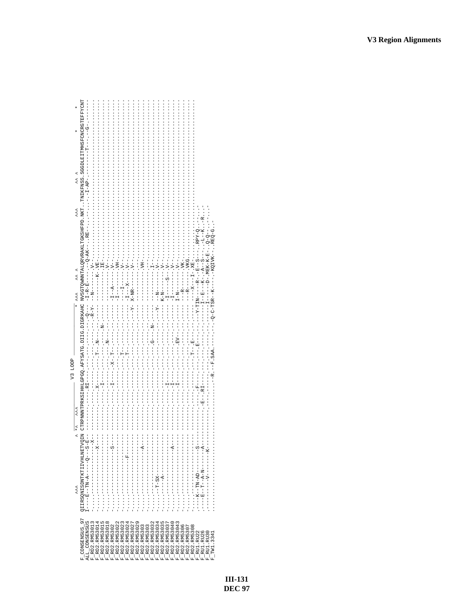| CTRENMATPRKSIHHIGPGQ AFYSATG DIGRAHG NYGFONNATAG NYGFONNEALQRVRIALQRVRIHPD NYT. TNIKF NYT. TNIKFNSS SGGDLBITMESFCNCRGTPFYCNT                                                                                                                                                                                                                                                                                                                                                                                                                                                                                                                                                                                                                                                                                                                                                                                                                                    |   |
|-----------------------------------------------------------------------------------------------------------------------------------------------------------------------------------------------------------------------------------------------------------------------------------------------------------------------------------------------------------------------------------------------------------------------------------------------------------------------------------------------------------------------------------------------------------------------------------------------------------------------------------------------------------------------------------------------------------------------------------------------------------------------------------------------------------------------------------------------------------------------------------------------------------------------------------------------------------------|---|
|                                                                                                                                                                                                                                                                                                                                                                                                                                                                                                                                                                                                                                                                                                                                                                                                                                                                                                                                                                 |   |
|                                                                                                                                                                                                                                                                                                                                                                                                                                                                                                                                                                                                                                                                                                                                                                                                                                                                                                                                                                 |   |
|                                                                                                                                                                                                                                                                                                                                                                                                                                                                                                                                                                                                                                                                                                                                                                                                                                                                                                                                                                 |   |
|                                                                                                                                                                                                                                                                                                                                                                                                                                                                                                                                                                                                                                                                                                                                                                                                                                                                                                                                                                 |   |
|                                                                                                                                                                                                                                                                                                                                                                                                                                                                                                                                                                                                                                                                                                                                                                                                                                                                                                                                                                 |   |
|                                                                                                                                                                                                                                                                                                                                                                                                                                                                                                                                                                                                                                                                                                                                                                                                                                                                                                                                                                 |   |
|                                                                                                                                                                                                                                                                                                                                                                                                                                                                                                                                                                                                                                                                                                                                                                                                                                                                                                                                                                 |   |
|                                                                                                                                                                                                                                                                                                                                                                                                                                                                                                                                                                                                                                                                                                                                                                                                                                                                                                                                                                 |   |
|                                                                                                                                                                                                                                                                                                                                                                                                                                                                                                                                                                                                                                                                                                                                                                                                                                                                                                                                                                 |   |
|                                                                                                                                                                                                                                                                                                                                                                                                                                                                                                                                                                                                                                                                                                                                                                                                                                                                                                                                                                 |   |
| くへん                                                                                                                                                                                                                                                                                                                                                                                                                                                                                                                                                                                                                                                                                                                                                                                                                                                                                                                                                             |   |
| $-$ - $-$ - $-$ - $-$ - $K - 1$ - $-$ - $-$ - $-$ - $-$ - $-$ - $-$ - $-$ - $-$ - $-$ - $-$ - $-$ - $-$ - $-$ - $-$ - $-$ - $-$ - $-$ - $-$ - $-$ - $-$ - $-$ - $-$ - $-$ - $-$ - $-$ - $-$ - $-$ - $-$ - $-$ - $   -$<br>: - HIA: - - - - - - - - - -<br>$\begin{array}{cccccccccc} . & . & . & . & . & . & . & . \\ . & . & . & . & . & . & . & . \\ . & . & . & . & . & . & . & . \\ . & . & . & . & . & . & . & . \\ . & . & . & . & . & . & . & . \\ . & . & . & . & . & . & . \\ . & . & . & . & . & . & . \\ . & . & . & . & . & . & . \\ . & . & . & . & . & . & . \\ . & . & . & . & . & . & . \\ . & . & . & . & . & . & . \\ . & . & . & . & . & . & . \\ . & . & . & . & . & . & . \\ . & . & . & . & . & . & . \\ . & . & .$                                                                                                                                                                                                                       |   |
| $\begin{split} \mathbf{1}_{\mathbf{1}_{\mathbf{1}_{\mathbf{2}_{\mathbf{3}_{\mathbf{3}_{\mathbf{4}}\mathbf{1}}}}}=\mathbf{1}_{\mathbf{1}_{\mathbf{2}_{\mathbf{3}_{\mathbf{3}}\mathbf{1}}}}\mathbf{1}_{\mathbf{2}_{\mathbf{3}_{\mathbf{3}}\mathbf{1}}=\mathbf{1}_{\mathbf{3}_{\mathbf{3}_{\mathbf{3}}\mathbf{1}}=\mathbf{1}_{\mathbf{3}_{\mathbf{3}}\mathbf{1}}\mathbf{1}_{\mathbf{3}_{\mathbf{3}}\mathbf{1}}=\mathbf{1}_{\mathbf{3}_{\mathbf{3}}\mathbf$<br>$\begin{split} &\lambda_1+\cdots+\lambda_{n-1}+\cdots+\lambda_{n-1}+\cdots+\cdots+\lambda_{n-1}+\cdots+\lambda_{n-1}+\cdots+\lambda_{n-1}+\cdots+\lambda_{n-1}+\cdots+\lambda_{n-1}+\cdots+\lambda_{n-1}+\cdots+\lambda_{n-1}+\cdots+\lambda_{n-1}+\cdots+\lambda_{n-1}+\cdots+\lambda_{n-1}+\cdots+\lambda_{n-1}+\cdots+\lambda_{n-1}+\cdots+\lambda_{n-1}+\cdots+\lambda_{n-1}+\cdots+\lambda_{n-1}+\cdots+\lambda_{n-1}+\cdots+\lambda_{n-1}+\cdots+\lambda_{n-1}+\cdots+\lambda_{n$<br>$\lambda$ |   |
| ----O- -- -- ---- --- --- --- --- ----- H¤ ---                                                                                                                                                                                                                                                                                                                                                                                                                                                                                                                                                                                                                                                                                                                                                                                                                                                                                                                  |   |
|                                                                                                                                                                                                                                                                                                                                                                                                                                                                                                                                                                                                                                                                                                                                                                                                                                                                                                                                                                 |   |
|                                                                                                                                                                                                                                                                                                                                                                                                                                                                                                                                                                                                                                                                                                                                                                                                                                                                                                                                                                 |   |
| V3 LOOP                                                                                                                                                                                                                                                                                                                                                                                                                                                                                                                                                                                                                                                                                                                                                                                                                                                                                                                                                         |   |
|                                                                                                                                                                                                                                                                                                                                                                                                                                                                                                                                                                                                                                                                                                                                                                                                                                                                                                                                                                 |   |
|                                                                                                                                                                                                                                                                                                                                                                                                                                                                                                                                                                                                                                                                                                                                                                                                                                                                                                                                                                 |   |
| $\lambda$                                                                                                                                                                                                                                                                                                                                                                                                                                                                                                                                                                                                                                                                                                                                                                                                                                                                                                                                                       |   |
| $\lambda$                                                                                                                                                                                                                                                                                                                                                                                                                                                                                                                                                                                                                                                                                                                                                                                                                                                                                                                                                       |   |
| - H-TE-                                                                                                                                                                                                                                                                                                                                                                                                                                                                                                                                                                                                                                                                                                                                                                                                                                                                                                                                                         |   |
|                                                                                                                                                                                                                                                                                                                                                                                                                                                                                                                                                                                                                                                                                                                                                                                                                                                                                                                                                                 |   |
|                                                                                                                                                                                                                                                                                                                                                                                                                                                                                                                                                                                                                                                                                                                                                                                                                                                                                                                                                                 |   |
| $\lambda$                                                                                                                                                                                                                                                                                                                                                                                                                                                                                                                                                                                                                                                                                                                                                                                                                                                                                                                                                       |   |
| $\begin{minipage}{0.5\textwidth} \begin{minipage}{0.5\textwidth} \begin{itemize} \texttt{Q11NQ} \texttt{M31NQ} \texttt{M21NQ} \texttt{M22NQ} \texttt{M33NQ} \texttt{M33NQ} \texttt{M34NQ} \texttt{M35NQ} \texttt{M36NQ} \texttt{M36NQ} \texttt{M36NQ} \texttt{M36NQ} \texttt{M36NQ} \texttt{M36NQ} \texttt{M36NQ} \texttt{M36NQ} \texttt{M36NQ} \texttt{M36NQ} \texttt{M3$                                                                                                                                                                                                                                                                                                                                                                                                                                                                                                                                                                                      | . |
|                                                                                                                                                                                                                                                                                                                                                                                                                                                                                                                                                                                                                                                                                                                                                                                                                                                                                                                                                                 |   |
|                                                                                                                                                                                                                                                                                                                                                                                                                                                                                                                                                                                                                                                                                                                                                                                                                                                                                                                                                                 |   |
| F_CONSENSUS_97<br>ALL_CONSENSUS<br>$\begin{tabular}{c c c c} $P_1Q22$ & RMS30113 \\ F_LQ22$ & RMS30113 \\ F_LQ23$ & RMS30123 \\ F_LQ22$ & RMS3023 \\ F_LQ23$ & RMS3023 \\ F_LQ23$ & RMS3023 \\ F_LQ23$ & RMS3023 \\ F_LQ23$ & RMS3023 \\ F_LQ23$ & RMS3023 \\ F_LQ23$ & RMS3023 \\ F_LQ23$ & RMS3033 \\ F_LQ23$ & RMS3033 \\ F_LQ23$ & RMS3033 \\ F_LQ23$ & RMS3033 \\ F_LQ23$                                                                                                                                                                                                                                                                                                                                                                                                                                                                                                                                                                                  |   |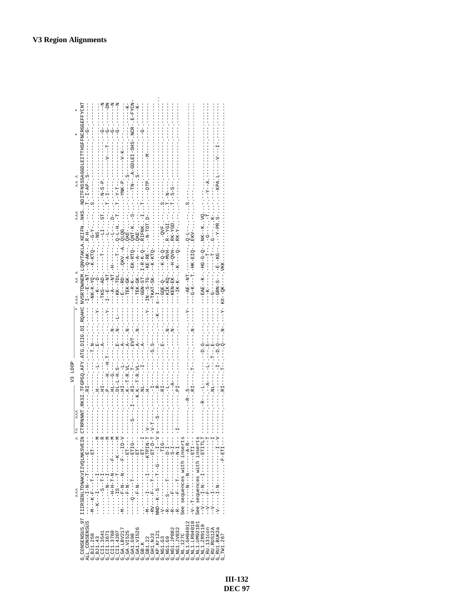| くくく                  | $\begin{array}{l} \vspace{0.2cm} \begin{array}{l} \vspace{0.2cm} \vspace{0.2cm} \vspace{0.2cm} \vspace{0.2cm} \vspace{0.2cm} \vspace{0.2cm} \vspace{0.2cm} \vspace{0.2cm} \vspace{0.2cm} \vspace{0.2cm} \vspace{0.2cm} \vspace{0.2cm} \vspace{0.2cm} \vspace{0.2cm} \vspace{0.2cm} \vspace{0.2cm} \vspace{0.2cm} \vspace{0.2cm} \vspace{0.2cm} \vspace{0.2cm} \vspace{0.2cm} \vspace{0.2cm$<br>CTRENNNT RKSI REGPOQ AFY ATG DIIG DI RQAHC NVSRTDWNEM LQNVTAKLA KEIFN .NKS .NKS .NESSSSAGGDLEITTESFFNCRGBEFYCNT                                                                                                                                                                                                                                                                                                                                                                     |  |
|----------------------|------------------------------------------------------------------------------------------------------------------------------------------------------------------------------------------------------------------------------------------------------------------------------------------------------------------------------------------------------------------------------------------------------------------------------------------------------------------------------------------------------------------------------------------------------------------------------------------------------------------------------------------------------------------------------------------------------------------------------------------------------------------------------------------------------------------------------------------------------------------------------------|--|
| くくく<br>$\lambda$     |                                                                                                                                                                                                                                                                                                                                                                                                                                                                                                                                                                                                                                                                                                                                                                                                                                                                                    |  |
| V3 LOOP<br>$\lambda$ | IIIRSENLTDNAKVIIVQLNKSVEI                                                                                                                                                                                                                                                                                                                                                                                                                                                                                                                                                                                                                                                                                                                                                                                                                                                          |  |
|                      | CONSENSUS 97<br>LL_CONSENSUS<br>$\begin{array}{l} q\text{-GB} \text{ }X_1\\ q\text{-GH} \text{ }X31\\ q\text{-GH} \text{ }X31\\ q\text{-KH} \text{ }X41\\ q\text{-NA1} \text{ }G3\\ q\text{-NA1} \text{ }G3\\ q\text{-NA1} \text{ }G3\\ q\text{-NA1} \text{ }G3\\ q\text{-NA1} \text{ }G3\\ q\text{-NA1} \text{ }G3\\ q\text{-NA1} \text{ }G3\\ q\text{-NA1} \text{ }G3\\ q\text{-NA1} \text{ }G3\\ q\text{-NA1} \text{ }G3\\ q\text{-NA1} \text{ }G3\\ q\text$<br>3_RU.131con<br>3_RU.RUS12A<br>3_RU1.BUK3a<br>$\begin{array}{l} 0-1\\ -2\\ 0\\ -1\\ 1\\ 3\\ 6\\ -1\\ 1\\ -2\\ 1\\ 2\\ 0\\ -1\\ 1\\ 3\\ 0\\ -1\\ 0\\ -1\\ 0\\ -1\\ 0\\ -1\\ 0\\ -1\\ 0\\ -1\\ 0\\ -1\\ 0\\ -1\\ 0\\ -1\\ 0\\ -1\\ 0\\ -1\\ 0\\ -1\\ 0\\ -1\\ 0\\ -1\\ 0\\ -1\\ 0\\ -1\\ 0\\ 0\\ -1\\ 0\\ 0\\ -1\\ 0\\ 0\\ -1\\ 0\\ 0\\ -1\\ 0\\ 0\\ 0\\ -1\\ 0\\ 0\\ -1\\ 0\\ 0\\ -1\\ $<br>BJ1.259<br>$-TW1.267$ |  |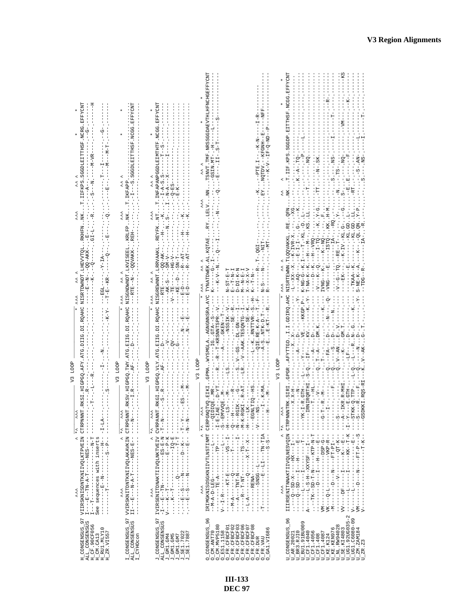|                                                                                                                                                                                                                                                                                                                                                           | V3 LOOP                                                                                                                                                                                                                                                                                                                                                                                                                                                                                                                                                                                                                                                                                                                                                                                                                                                                                                                            |
|-----------------------------------------------------------------------------------------------------------------------------------------------------------------------------------------------------------------------------------------------------------------------------------------------------------------------------------------------------------|------------------------------------------------------------------------------------------------------------------------------------------------------------------------------------------------------------------------------------------------------------------------------------------------------------------------------------------------------------------------------------------------------------------------------------------------------------------------------------------------------------------------------------------------------------------------------------------------------------------------------------------------------------------------------------------------------------------------------------------------------------------------------------------------------------------------------------------------------------------------------------------------------------------------------------|
| H_CONSENSUS_97<br>ALL_CONSENSUS<br>$H_C$ $F.90CF056$                                                                                                                                                                                                                                                                                                      | .T. IIFKPS. SGGDLEITTHSF. NCRG. EFFYCNT<br>$---M-VR$<br>$-1.5 - -1.7 - 1.7$<br>$\ldots -R$ .<br>. NK.<br>RKHFN<br>$-1-15$ .<br>NISRTDWNDT.LHEVVTQL<br>$- -N - - QQ - AKK$<br>CTRENNNT.RKSI.HIGPGQ.AFY.ATG.DIIG.DI.RQAHC<br>$-$ -R.<br>$\frac{1}{1}$<br>$*$<br>VIIRSKNISDNTKNIIVQLKTPVEIN<br>くくく                                                                                                                                                                                                                                                                                                                                                                                                                                                                                                                                                                                                                                    |
| HRU1.MLY10<br>H ZR.VI557<br>$H$ <sub>CM</sub> . CA13                                                                                                                                                                                                                                                                                                      | H-M---M---- '--⊞--- '-'' '' 'O- ' ----⊞- ' '---O----<br>ׇׇׇ֧֧ׅׅׅ֧֧֪ׅ֧֧֪ׅ֧֧֧֪ׅ֧֪֪֪֪֪֪֦֧֓֓֓֓֝֬֓֓֓֓֓֝<br>֧֧֧֧֧֪֧֪֧֪֧֓֝֩֓֝֬֓֝֬֝֬֝֬<br>$-7 - 7 - 7 - -$<br>$-123 - 152 - 152$<br>$-10H -$<br>$-X-X-$ - $X-$<br>?<br>⊺<br>$-1 - 1 -$<br>-1-17<br>$-1$ + $-1$ + $-1$ + $-1$<br>See sequences with inserts<br>$-1 - 1$<br>$\frac{1}{1}$<br>$\overline{\phantom{a}}$                                                                                                                                                                                                                                                                                                                                                                                                                                                                                                                                                                        |
| CONSENSUS <sub>97</sub><br>ALL_CONSENSUS<br>I_CYHOcon                                                                                                                                                                                                                                                                                                     | . T. IKFAPP<br>- - - I - - - S. SGGDLEITHSF. NCGG. BFFYCNT<br>- - - - I - - - S. SGGDLEITHSF. NCGG. BFFYCNT<br>≺<br>ξ<br>.KRLFP.NK.<br>くくく<br>NISGNDWNDT.LKVISEEL<br>$---RTE---N---QQVAKK-$<br>$\left\{ \right.$<br>$\lambda$<br>CTRPGNNT.RKSV.HIGPGQ.TWY.ATG.EIIG.DI.RQAHC<br>¥<br>V3 LOOP<br>$\lambda$<br>$-1$<br>$\frac{1}{2}$<br>VVIRSKNITDNTKNI IVQLAKAVKIN<br>∢<br>$-1 - 2 - 5 - 5$<br>$\lambda$                                                                                                                                                                                                                                                                                                                                                                                                                                                                                                                             |
| ALL_CONSENSUS<br>J_GM1.GM4<br>J_GM1.GM5<br>J_GM1.GM5<br>J_SE1.7022<br>J_SE1.7887                                                                                                                                                                                                                                                                          | REYEK. NT. T. INFAPANPGGDLEIMTHTF NCGG. EFFYCNT<br>$\ldots$ S- $\ldots$ $\ldots$ $\ldots$<br>--SE-O-'-'-'-'-'-----<br>$\cdots$ $ \cdots$ $ \cdots$ $ \cdots$ $\cdots$ $\cdots$ $\cdots$ $\cdots$ $\cdots$ $\cdots$ $\cdots$ $\cdots$<br>$\cdots$ - $\cdots$ - $E - K -$<br>$\frac{1}{2}$<br>NISGREWNNT.LRRVAAKL<br>$-1 - 24K - S - 3 - 5N - 7 - 7$<br>$-1.4 - R - 2R -$<br>$-346 - 20 - - - -$<br>$-7 - 12H - 1 - 14H - 1$<br>$---XE---D-.$ -SN-T-<br>$-1 - 1$<br>くくく<br>J_CONSENSUS_97 IVIRSENITDNAKTIIVQLMKTVEIV CVRPANNT RKGI HIGPQ VLY ATG EIIG DI RQAHC<br>$-1.1 - 1.7 - 1.7$<br>H- - - N- -<br>V3 LOOP<br>$\lambda$<br>$-1$<br>$\frac{1}{1}$<br>$\frac{1}{1}$<br>$*$<br>------------E<br>$\overline{\phantom{a}}$<br>$V----K---T-----------E--P-K$<br>$\ldots$ $K--T--$<br>くくく                                                                                                                                               |
|                                                                                                                                                                                                                                                                                                                                                           | V3 LOOP<br>l*                                                                                                                                                                                                                                                                                                                                                                                                                                                                                                                                                                                                                                                                                                                                                                                                                                                                                                                      |
| $\frac{6}{ }$<br>O_CM.MVP5180<br>$\begin{array}{l} 0-m, \; \mathrm{CFBCP02} \\ 0-m, \; \mathrm{CFBCP03} \\ 0-m, \; \mathrm{CFBCP06} \\ 0-m, \; \mathrm{CFBCP06} \\ 0-m, \; \mathrm{CFBCP07} \\ 0-m, \; \mathrm{CFBCP08} \end{array}$<br>CONSENSUS<br>O_FR.CFBCF01<br>O_FR.VAU<br>O_GA1.VI686<br>O_ES1.1158<br>O_CONSENSU<br>O_CM.ANT70<br>$O$ $_F$ R. DUR | ⊠-・・ ○- ・・ - − M- ・・<br>TYNATDWEK.AL.KQTAE<br>$-0.05 -$<br>$K$ ------------<br>$---K-V---N$ .<br>₹<br>$------R$<br>$N-ST - E-T$<br>D-DI-K-N<br>$M - N - E - I$<br>$X - X - X - Y - V$<br>$E--L--L--R$<br>$K--T--N--$<br>くくく<br>. AGNGNNSRA.AYC<br>$-1 - -1 - -K$ . RNTTVR--S.-H-<br>-- ' I ---- N5 -- IQ ·-- S5 -- -- ' ' -- ' --<br>$\texttt{I-RCGKT} - \texttt{R-ATT} \cdot \texttt{I-LS} \cdot \texttt{I-RAK} \cdot \texttt{TESQNTG-IL} \cdot \texttt{I-1}$<br>$-$ SE $-$ -K. -<br>$----EI$<br>$T - -1 = R$ -R- $R - T - KR$ SNNTSPR-<br>S-- YLD : DI ------ ------<br>GPMA. WYSMGLA<br>$\frac{1}{1}$<br>1990年1月19日<br>EGNLTIQ--HS.<br>$-.K-MA.$<br>$-EMVVQEM-$<br>CERPGNQTVQ EIKI<br>$-Q$ ---H---------<br>-N----RGIK--G<br>OIDIQEMR<br>M---51----<br>İ<br>$-1-1$<br>$-5 -$<br>$-H--$<br>$-M - N$<br>$\frac{1}{1}$<br>j<br>÷<br>IRIMGKNISDSGKNIIVTLNSTINMT<br>$-1$<br>$\frac{1}{1}$<br>$V - -1 - R - - - - - - -$<br>$\lambda$ |
|                                                                                                                                                                                                                                                                                                                                                           | V3 LOOP<br>$- - - - - - - - - - - - - - -$<br>$\frac{1}{2}$                                                                                                                                                                                                                                                                                                                                                                                                                                                                                                                                                                                                                                                                                                                                                                                                                                                                        |
| O<br>U_CONSENSUS_9<br>U_BU1.91BU009<br>U_BR3.RJI0<br>U_CF1.4040<br>U_CF1.4056<br>U_AR.20021                                                                                                                                                                                                                                                               | NK. TIF.IF.KPS. SGGDP. EITTHSF. NCGG. EFFYCNT<br>$K-NG-G--K\ .\ I----T\ .\ KL\ .\ D\ .\ L--$<br>$\cdots$ - $   XG$ .<br>NISRTEWNN.TLQQVAKKLREQFN<br>$-L$ - $-XX$ - $-X$ . - $-K$ - $IVR$ - $X$<br>CTRPNNNTRK.SIRIGPGRAFYTTGDI.I.GDIRQ.AHC<br>$-X-$ - $-$ - $-$ - $-$<br>$\ast$<br>$\mathsf I$<br>$\frac{1}{1}$<br>$-YK - I - R$ . $GTH - I$<br>$---X.X - H$<br>IIIRSENITMNAKTIIVQLNESVQIN<br>-TK--SD-T-N------KTP-N-T<br>くへへ                                                                                                                                                                                                                                                                                                                                                                                                                                                                                                       |
| U_CF1.4087<br>$U$ <sup><math>CF1.408</math></sup><br>U_KE.K124                                                                                                                                                                                                                                                                                            | $-1 - 1 - 1 - 1 - 1$<br>$VK - -Q - L - - - - - - - - - - VKP - R -$                                                                                                                                                                                                                                                                                                                                                                                                                                                                                                                                                                                                                                                                                                                                                                                                                                                                |
| U_NL.RW94028<br>U_KE.KEN976                                                                                                                                                                                                                                                                                                                               | $\cdots - -$<br>$-V - G - TQ - RE - TT -$<br>$\frac{1}{9}$<br>----------------------------                                                                                                                                                                                                                                                                                                                                                                                                                                                                                                                                                                                                                                                                                                                                                                                                                                         |
| U_UG1.92UG035-2<br>U_SE.KI4803                                                                                                                                                                                                                                                                                                                            | $---1 - 1 - 1 - 1 - $<br>$-A$ -IKR.R-MHI.<br>VV -----------------------                                                                                                                                                                                                                                                                                                                                                                                                                                                                                                                                                                                                                                                                                                                                                                                                                                                            |
| U_UG1.C6080-09<br>$U$ ZM. ZAM184<br>$U$ ZR. Z3                                                                                                                                                                                                                                                                                                            | $-124. -5 - 5 - 124$<br>. -RT<br>$-1 - KL$ , GD, $LL$ ,<br>$S-NE-K--A$ . $-CL$ . $QL$ . $QN$ . $Y-P$<br>-- TKAA--K.-<br>$---K.$<br>$-STKK-Q$ . TTP--L-Q-L--RN-.G.<br>$- -5 -$                                                                                                                                                                                                                                                                                                                                                                                                                                                                                                                                                                                                                                                                                                                                                      |
|                                                                                                                                                                                                                                                                                                                                                           | $-9 - 10G - 16$<br>$--X.$ . $V--AK-$ .<br>-GSDKKI.RQS-RI<br>--------------<br>$V$ – – – – – – – – – – –                                                                                                                                                                                                                                                                                                                                                                                                                                                                                                                                                                                                                                                                                                                                                                                                                            |

**III-133 DEC 97**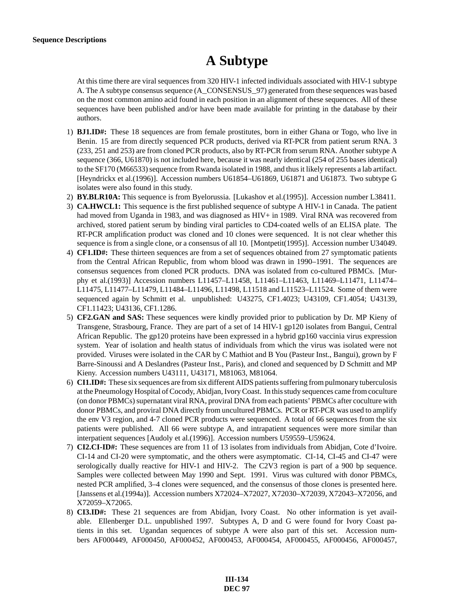## **A Subtype**

At this time there are viral sequences from 320 HIV-1 infected individuals associated with HIV-1 subtype A. The A subtype consensus sequence (A\_CONSENSUS\_97) generated from these sequences was based on the most common amino acid found in each position in an alignment of these sequences. All of these sequences have been published and/or have been made available for printing in the database by their authors.

- 1) **BJ1.ID#:** These 18 sequences are from female prostitutes, born in either Ghana or Togo, who live in Benin. 15 are from directly sequenced PCR products, derived via RT-PCR from patient serum RNA. 3 (233, 251 and 253) are from cloned PCR products, also by RT-PCR from serum RNA. Another subtype A sequence (366, U61870) is not included here, because it was nearly identical (254 of 255 bases identical) to the SF170 (M66533) sequence from Rwanda isolated in 1988, and thus it likely represents a lab artifact. [Heyndrickx et al.(1996)]. Accession numbers U61854–U61869, U61871 and U61873. Two subtype G isolates were also found in this study.
- 2) **BY.BLR10A:** This sequence is from Byelorussia. [Lukashov et al.(1995)]. Accession number L38411.
- 3) **CA.HWCL1:** This sequence is the first published sequence of subtype A HIV-1 in Canada. The patient had moved from Uganda in 1983, and was diagnosed as HIV+ in 1989. Viral RNA was recovered from archived, stored patient serum by binding viral particles to CD4-coated wells of an ELISA plate. The RT-PCR amplification product was cloned and 10 clones were sequenced. It is not clear whether this sequence is from a single clone, or a consensus of all 10. [Montpetit(1995)]. Accession number U34049.
- 4) **CF1.ID#:** These thirteen sequences are from a set of sequences obtained from 27 symptomatic patients from the Central African Republic, from whom blood was drawn in 1990–1991. The sequences are consensus sequences from cloned PCR products. DNA was isolated from co-cultured PBMCs. [Murphy et al.(1993)] Accession numbers L11457–L11458, L11461–L11463, L11469–L11471, L11474– L11475, L11477–L11479, L11484–L11496, L11498, L11518 and L11523–L11524. Some of them were sequenced again by Schmitt et al. unpublished: U43275, CF1.4023; U43109, CF1.4054; U43139, CF1.11423; U43136, CF1.1286.
- 5) **CF2.GAN and SAS:** These sequences were kindly provided prior to publication by Dr. MP Kieny of Transgene, Strasbourg, France. They are part of a set of 14 HIV-1 gp120 isolates from Bangui, Central African Republic. The gp120 proteins have been expressed in a hybrid gp160 vaccinia virus expression system. Year of isolation and health status of individuals from which the virus was isolated were not provided. Viruses were isolated in the CAR by C Mathiot and B You (Pasteur Inst., Bangui), grown by F Barre-Sinoussi and A Deslandres (Pasteur Inst., Paris), and cloned and sequenced by D Schmitt and MP Kieny. Accession numbers U43111, U43171, M81063, M81064.
- 6) **CI1.ID#:** These six sequences are from six different AIDS patients suffering from pulmonary tuberculosis at the Pneumology Hospital of Cocody, Abidjan, Ivory Coast. In this study sequences came from coculture (on donor PBMCs) supernatant viral RNA, proviral DNA from each patients' PBMCs after coculture with donor PBMCs, and proviral DNA directly from uncultured PBMCs. PCR or RT-PCR was used to amplify the env V3 region, and 4-7 cloned PCR products were sequenced. A total of 66 sequences from the six patients were published. All 66 were subtype A, and intrapatient sequences were more similar than interpatient sequences [Audoly et al.(1996)]. Accession numbers U59559–U59624.
- 7) **CI2.CI-ID#:** These sequences are from 11 of 13 isolates from individuals from Abidjan, Cote d'Ivoire. CI-14 and CI-20 were symptomatic, and the others were asymptomatic. CI-14, CI-45 and CI-47 were serologically dually reactive for HIV-1 and HIV-2. The C2V3 region is part of a 900 bp sequence. Samples were collected between May 1990 and Sept. 1991. Virus was cultured with donor PBMCs, nested PCR amplified, 3–4 clones were sequenced, and the consensus of those clones is presented here. [Janssens et al.(1994a)]. Accession numbers X72024–X72027, X72030–X72039, X72043–X72056, and X72059–X72065.
- 8) **CI3.ID#:** These 21 sequences are from Abidjan, Ivory Coast. No other information is yet available. Ellenberger D.L. unpublished 1997. Subtypes A, D and G were found for Ivory Coast patients in this set. Ugandan sequences of subtype A were also part of this set. Accession numbers AF000449, AF000450, AF000452, AF000453, AF000454, AF000455, AF000456, AF000457,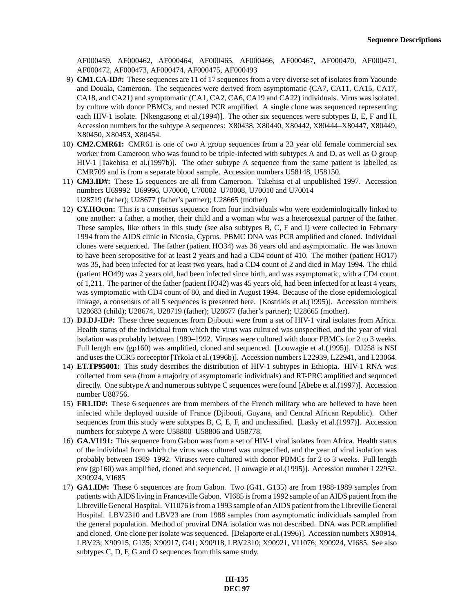AF000459, AF000462, AF000464, AF000465, AF000466, AF000467, AF000470, AF000471, AF000472, AF000473, AF000474, AF000475, AF000493

- 9) **CM1.CA-ID#:** These sequences are 11 of 17 sequences from a very diverse set of isolates from Yaounde and Douala, Cameroon. The sequences were derived from asymptomatic (CA7, CA11, CA15, CA17, CA18, and CA21) and symptomatic (CA1, CA2, CA6, CA19 and CA22) individuals. Virus was isolated by culture with donor PBMCs, and nested PCR amplified. A single clone was sequenced representing each HIV-1 isolate. [Nkengasong et al.(1994)]. The other six sequences were subtypes B, E, F and H. Accession numbers for the subtype A sequences: X80438, X80440, X80442, X80444–X80447, X80449, X80450, X80453, X80454.
- 10) **CM2.CMR61:** CMR61 is one of two A group sequences from a 23 year old female commercial sex worker from Cameroon who was found to be triple-infected with subtypes A and D, as well as O group HIV-1 [Takehisa et al.(1997b)]. The other subtype A sequence from the same patient is labelled as CMR709 and is from a separate blood sample. Accession numbers U58148, U58150.
- 11) **CM3.ID#:** These 15 sequences are all from Cameroon. Takehisa et al unpublished 1997. Accession numbers U69992–U69996, U70000, U70002–U70008, U70010 and U70014 U28719 (father); U28677 (father's partner); U28665 (mother)
- 12) **CY.HOcon:** This is a consensus sequence from four individuals who were epidemiologically linked to one another: a father, a mother, their child and a woman who was a heterosexual partner of the father. These samples, like others in this study (see also subtypes B, C, F and I) were collected in February 1994 from the AIDS clinic in Nicosia, Cyprus. PBMC DNA was PCR amplified and cloned. Individual clones were sequenced. The father (patient HO34) was 36 years old and asymptomatic. He was known to have been seropositive for at least 2 years and had a CD4 count of 410. The mother (patient HO17) was 35, had been infected for at least two years, had a CD4 count of 2 and died in May 1994. The child (patient HO49) was 2 years old, had been infected since birth, and was asymptomatic, with a CD4 count of 1,211. The partner of the father (patient HO42) was 45 years old, had been infected for at least 4 years, was symptomatic with CD4 count of 80, and died in August 1994. Because of the close epidemiological linkage, a consensus of all 5 sequences is presented here. [Kostrikis et al.(1995)]. Accession numbers U28683 (child); U28674, U28719 (father); U28677 (father's partner); U28665 (mother).
- 13) **DJ.DJ-ID#:** These three sequences from Djibouti were from a set of HIV-1 viral isolates from Africa. Health status of the individual from which the virus was cultured was unspecified, and the year of viral isolation was probably between 1989–1992. Viruses were cultured with donor PBMCs for 2 to 3 weeks. Full length env (gp160) was amplified, cloned and sequenced. [Louwagie et al.(1995)]. DJ258 is NSI and uses the CCR5 coreceptor [Trkola et al.(1996b)]. Accession numbers L22939, L22941, and L23064.
- 14) **ET.TP95001:** This study describes the distribution of HIV-1 subtypes in Ethiopia. HIV-1 RNA was collected from sera (from a majority of asymptomatic individuals) and RT-PRC amplified and sequnced directly. One subtype A and numerous subtype C sequences were found [Abebe et al.(1997)]. Accession number U88756.
- 15) **FR1.ID#:** These 6 sequences are from members of the French military who are believed to have been infected while deployed outside of France (Djibouti, Guyana, and Central African Republic). Other sequences from this study were subtypes B, C, E, F, and unclassified. [Lasky et al.(1997)]. Accession numbers for subtype A were U58800–U58806 and U58778.
- 16) **GA.VI191:** This sequence from Gabon was from a set of HIV-1 viral isolates from Africa. Health status of the individual from which the virus was cultured was unspecified, and the year of viral isolation was probably between 1989–1992. Viruses were cultured with donor PBMCs for 2 to 3 weeks. Full length env (gp160) was amplified, cloned and sequenced. [Louwagie et al.(1995)]. Accession number L22952. X90924, VI685
- 17) **GA1.ID#:** These 6 sequences are from Gabon. Two (G41, G135) are from 1988-1989 samples from patients with AIDS living in Franceville Gabon. VI685 is from a 1992 sample of an AIDS patient from the Libreville General Hospital. VI1076 is from a 1993 sample of an AIDS patient from the Libreville General Hospital. LBV2310 and LBV23 are from 1988 samples from asymptomatic individuals sampled from the general population. Method of proviral DNA isolation was not described. DNA was PCR amplified and cloned. One clone per isolate was sequenced. [Delaporte et al.(1996)]. Accession numbers X90914, LBV23; X90915, G135; X90917, G41; X90918, LBV2310; X90921, VI1076; X90924, VI685. See also subtypes C, D, F, G and O sequences from this same study.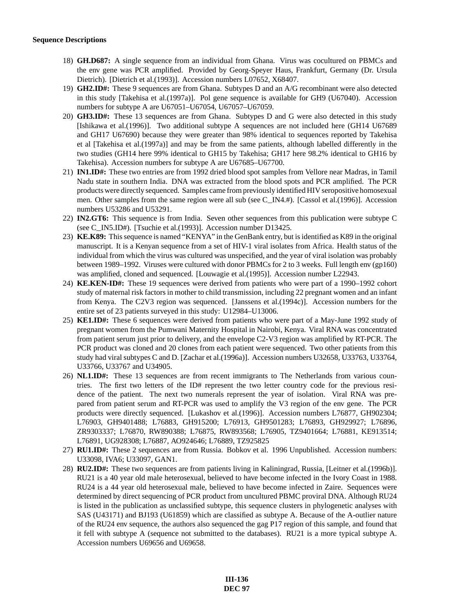- 18) **GH.D687:** A single sequence from an individual from Ghana. Virus was cocultured on PBMCs and the env gene was PCR amplified. Provided by Georg-Speyer Haus, Frankfurt, Germany (Dr. Ursula Dietrich). [Dietrich et al.(1993)]. Accession numbers L07652, X68407.
- 19) **GH2.ID#:** These 9 sequences are from Ghana. Subtypes D and an A/G recombinant were also detected in this study [Takehisa et al.(1997a)]. Pol gene sequence is available for GH9 (U67040). Accession numbers for subtype A are U67051–U67054, U67057–U67059.
- 20) **GH3.ID#:** These 13 sequences are from Ghana. Subtypes D and G were also detected in this study [Ishikawa et al.(1996)]. Two additional subtype A sequences are not included here (GH14 U67689 and GH17 U67690) because they were greater than 98% identical to sequences reported by Takehisa et al [Takehisa et al.(1997a)] and may be from the same patients, although labelled differently in the two studies (GH14 here 99% identical to GH15 by Takehisa; GH17 here 98.2% identical to GH16 by Takehisa). Accession numbers for subtype A are U67685–U67700.
- 21) **IN1.ID#:** These two entries are from 1992 dried blood spot samples from Vellore near Madras, in Tamil Nadu state in southern India. DNA was extracted from the blood spots and PCR amplified. The PCR products were directly sequenced. Samples came from previously identified HIV seropositive homosexual men. Other samples from the same region were all sub (see C\_IN4.#). [Cassol et al.(1996)]. Accession numbers U53286 and U53291.
- 22) **IN2.GT6:** This sequence is from India. Seven other sequences from this publication were subtype C (see C\_IN5.ID#). [Tsuchie et al.(1993)]. Accession number D13425.
- 23) **KE.K89:** This sequence is named "KENYA" in the GenBank entry, but is identified as K89 in the original manuscript. It is a Kenyan sequence from a set of HIV-1 viral isolates from Africa. Health status of the individual from which the virus was cultured was unspecified, and the year of viral isolation was probably between 1989–1992. Viruses were cultured with donor PBMCs for 2 to 3 weeks. Full length env (gp160) was amplified, cloned and sequenced. [Louwagie et al.(1995)]. Accession number L22943.
- 24) **KE.KEN-ID#:** These 19 sequences were derived from patients who were part of a 1990–1992 cohort study of maternal risk factors in mother to child transmission, including 22 pregnant women and an infant from Kenya. The C2V3 region was sequenced. [Janssens et al.(1994c)]. Accession numbers for the entire set of 23 patients surveyed in this study: U12984–U13006.
- 25) **KE1.ID#:** These 6 sequences were derived from patients who were part of a May-June 1992 study of pregnant women from the Pumwani Maternity Hospital in Nairobi, Kenya. Viral RNA was concentrated from patient serum just prior to delivery, and the envelope C2-V3 region was amplified by RT-PCR. The PCR product was cloned and 20 clones from each patient were sequenced. Two other patients from this study had viral subtypes C and D. [Zachar et al.(1996a)]. Accession numbers U32658, U33763, U33764, U33766, U33767 and U34905.
- 26) **NL1.ID#:** These 13 sequences are from recent immigrants to The Netherlands from various countries. The first two letters of the ID# represent the two letter country code for the previous residence of the patient. The next two numerals represent the year of isolation. Viral RNA was prepared from patient serum and RT-PCR was used to amplify the V3 region of the env gene. The PCR products were directly sequenced. [Lukashov et al.(1996)]. Accession numbers L76877, GH902304; L76903, GH9401488; L76883, GH915200; L76913, GH9501283; L76893, GH929927; L76896, ZR9303337; L76870, RW890388; L76875, RW893568; L76905, TZ9401664; L76881, KE913514; L76891, UG928308; L76887, AO924646; L76889, TZ925825
- 27) **RU1.ID#:** These 2 sequences are from Russia. Bobkov et al. 1996 Unpublished. Accession numbers: U33098, IVA6; U33097, GAN1.
- 28) **RU2.ID#:** These two sequences are from patients living in Kaliningrad, Russia, [Leitner et al.(1996b)]. RU21 is a 40 year old male heterosexual, believed to have become infected in the Ivory Coast in 1988. RU24 is a 44 year old heterosexual male, believed to have become infected in Zaire. Sequences were determined by direct sequencing of PCR product from uncultured PBMC proviral DNA. Although RU24 is listed in the publication as unclassified subtype, this sequence clusters in phylogenetic analyses with SAS (U43171) and BJ193 (U61859) which are classified as subtype A. Because of the A-outlier nature of the RU24 env sequence, the authors also sequenced the gag P17 region of this sample, and found that it fell with subtype A (sequence not submitted to the databases). RU21 is a more typical subtype A. Accession numbers U69656 and U69658.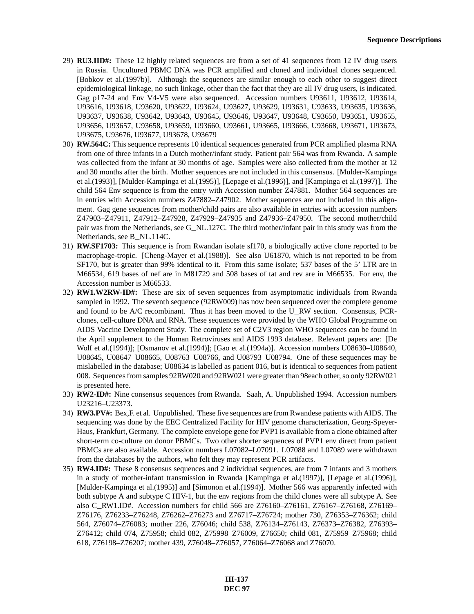- 29) **RU3.IID#:** These 12 highly related sequences are from a set of 41 sequences from 12 IV drug users in Russia. Uncultured PBMC DNA was PCR amplified and cloned and individual clones sequenced. [Bobkov et al.(1997b)]. Although the sequences are similar enough to each other to suggest direct epidemiological linkage, no such linkage, other than the fact that they are all IV drug users, is indicated. Gag p17-24 and Env V4-V5 were also sequenced. Accession numbers U93611, U93612, U93614, U93616, U93618, U93620, U93622, U93624, U93627, U93629, U93631, U93633, U93635, U93636, U93637, U93638, U93642, U93643, U93645, U93646, U93647, U93648, U93650, U93651, U93655, U93656, U93657, U93658, U93659, U93660, U93661, U93665, U93666, U93668, U93671, U93673, U93675, U93676, U93677, U93678, U93679
- 30) **RW.564C:** This sequence represents 10 identical sequences generated from PCR amplified plasma RNA from one of three infants in a Dutch mother/infant study. Patient pair 564 was from Rwanda. A sample was collected from the infant at 30 months of age. Samples were also collected from the mother at 12 and 30 months after the birth. Mother sequences are not included in this consensus. [Mulder-Kampinga et al.(1993)], [Mulder-Kampinga et al.(1995)], [Lepage et al.(1996)], and [Kampinga et al.(1997)]. The child 564 Env sequence is from the entry with Accession number Z47881. Mother 564 sequences are in entries with Accession numbers Z47882–Z47902. Mother sequences are not included in this alignment. Gag gene sequences from mother/child pairs are also available in entries with accession numbers Z47903–Z47911, Z47912–Z47928, Z47929–Z47935 and Z47936–Z47950. The second mother/child pair was from the Netherlands, see G\_NL.127C. The third mother/infant pair in this study was from the Netherlands, see B\_NL.114C.
- 31) **RW.SF1703:** This sequence is from Rwandan isolate sf170, a biologically active clone reported to be macrophage-tropic. [Cheng-Mayer et al.(1988)]. See also U61870, which is not reported to be from SF170, but is greater than 99% identical to it. From this same isolate; 537 bases of the 5' LTR are in M66534, 619 bases of nef are in M81729 and 508 bases of tat and rev are in M66535. For env, the Accession number is M66533.
- 32) **RW1.W2RW-ID#:** These are six of seven sequences from asymptomatic individuals from Rwanda sampled in 1992. The seventh sequence (92RW009) has now been sequenced over the complete genome and found to be A/C recombinant. Thus it has been moved to the U\_RW section. Consensus, PCRclones, cell-culture DNA and RNA. These sequences were provided by the WHO Global Programme on AIDS Vaccine Development Study. The complete set of C2V3 region WHO sequences can be found in the April supplement to the Human Retroviruses and AIDS 1993 database. Relevant papers are: [De Wolf et al.(1994)]; [Osmanov et al.(1994)]; [Gao et al.(1994a)]. Accession numbers U08630–U08640, U08645, U08647–U08665, U08763–U08766, and U08793–U08794. One of these sequences may be mislabelled in the database; U08634 is labelled as patient 016, but is identical to sequences from patient 008. Sequences from samples 92RW020 and 92RW021 were greater than 98each other, so only 92RW021 is presented here.
- 33) **RW2-ID#:** Nine consensus sequences from Rwanda. Saah, A. Unpublished 1994. Accession numbers U23216–U23373.
- 34) **RW3.PV#:** Bex,F. et al. Unpublished. These five sequences are from Rwandese patients with AIDS. The sequencing was done by the EEC Centralized Facility for HIV genome characterization, Georg-Speyer-Haus, Frankfurt, Germany. The complete envelope gene for PVP1 is available from a clone obtained after short-term co-culture on donor PBMCs. Two other shorter sequences of PVP1 env direct from patient PBMCs are also available. Accession numbers L07082–L07091. L07088 and L07089 were withdrawn from the databases by the authors, who felt they may represent PCR artifacts.
- 35) **RW4.ID#:** These 8 consensus sequences and 2 individual sequences, are from 7 infants and 3 mothers in a study of mother-infant transmission in Rwanda [Kampinga et al.(1997)], [Lepage et al.(1996)], [Mulder-Kampinga et al.(1995)] and [Simonon et al.(1994)]. Mother 566 was apparently infected with both subtype A and subtype C HIV-1, but the env regions from the child clones were all subtype A. See also C\_RW1.ID#. Accession numbers for child 566 are Z76160–Z76161, Z76167–Z76168, Z76169– Z76176, Z76233–Z76248, Z76262–Z76273 and Z76717–Z76724; mother 730, Z76353–Z76362; child 564, Z76074–Z76083; mother 226, Z76046; child 538, Z76134–Z76143, Z76373–Z76382, Z76393– Z76412; child 074, Z75958; child 082, Z75998–Z76009, Z76650; child 081, Z75959–Z75968; child 618, Z76198–Z76207; mother 439, Z76048–Z76057, Z76064–Z76068 and Z76070.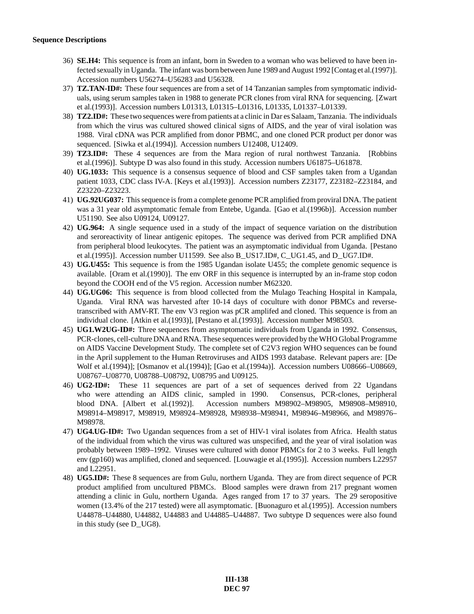- 36) **SE.H4:** This sequence is from an infant, born in Sweden to a woman who was believed to have been infected sexually in Uganda. The infant was born between June 1989 and August 1992 [Contag et al.(1997)]. Accession numbers U56274–U56283 and U56328.
- 37) **TZ.TAN-ID#:** These four sequences are from a set of 14 Tanzanian samples from symptomatic individuals, using serum samples taken in 1988 to generate PCR clones from viral RNA for sequencing. [Zwart et al.(1993)]. Accession numbers L01313, L01315–L01316, L01335, L01337–L01339.
- 38) **TZ2.ID#:** These two sequences were from patients at a clinic in Dar es Salaam, Tanzania. The individuals from which the virus was cultured showed clinical signs of AIDS, and the year of viral isolation was 1988. Viral cDNA was PCR amplified from donor PBMC, and one cloned PCR product per donor was sequenced. [Siwka et al.(1994)]. Accession numbers U12408, U12409.
- 39) **TZ3.ID#:** These 4 sequences are from the Mara region of rural northwest Tanzania. [Robbins et al.(1996)]. Subtype D was also found in this study. Accession numbers U61875–U61878.
- 40) **UG.1033:** This sequence is a consensus sequence of blood and CSF samples taken from a Ugandan patient 1033, CDC class IV-A. [Keys et al.(1993)]. Accession numbers Z23177, Z23182–Z23184, and Z23220–Z23223.
- 41) **UG.92UG037:** This sequence is from a complete genome PCR amplified from proviral DNA. The patient was a 31 year old asymptomatic female from Entebe, Uganda. [Gao et al.(1996b)]. Accession number U51190. See also U09124, U09127.
- 42) **UG.964:** A single sequence used in a study of the impact of sequence variation on the distribution and seroreactivity of linear antigenic epitopes. The sequence was derived from PCR amplified DNA from peripheral blood leukocytes. The patient was an asymptomatic individual from Uganda. [Pestano et al.(1995)]. Accession number U11599. See also B\_US17.ID#, C\_UG1.45, and D\_UG7.ID#.
- 43) **UG.U455:** This sequence is from the 1985 Ugandan isolate U455; the complete genomic sequence is available. [Oram et al.(1990)]. The env ORF in this sequence is interrupted by an in-frame stop codon beyond the COOH end of the V5 region. Accession number M62320.
- 44) **UG.UG06:** This sequence is from blood collected from the Mulago Teaching Hospital in Kampala, Uganda. Viral RNA was harvested after 10-14 days of coculture with donor PBMCs and reversetranscribed with AMV-RT. The env V3 region was pCR amplifed and cloned. This sequence is from an individual clone. [Atkin et al.(1993)], [Pestano et al.(1993)]. Accession number M98503.
- 45) **UG1.W2UG-ID#:** Three sequences from asymptomatic individuals from Uganda in 1992. Consensus, PCR-clones, cell-culture DNA and RNA. These sequences were provided by the WHO Global Programme on AIDS Vaccine Development Study. The complete set of C2V3 region WHO sequences can be found in the April supplement to the Human Retroviruses and AIDS 1993 database. Relevant papers are: [De Wolf et al.(1994)]; [Osmanov et al.(1994)]; [Gao et al.(1994a)]. Accession numbers U08666–U08669, U08767–U08770, U08788–U08792, U08795 and U09125.
- 46) **UG2-ID#:** These 11 sequences are part of a set of sequences derived from 22 Ugandans who were attending an AIDS clinic, sampled in 1990. Consensus, PCR-clones, peripheral blood DNA. [Albert et al.(1992)]. Accession numbers M98902–M98905, M98908–M98910, M98914–M98917, M98919, M98924–M98928, M98938–M98941, M98946–M98966, and M98976– M98978.
- 47) **UG4.UG-ID#:** Two Ugandan sequences from a set of HIV-1 viral isolates from Africa. Health status of the individual from which the virus was cultured was unspecified, and the year of viral isolation was probably between 1989–1992. Viruses were cultured with donor PBMCs for 2 to 3 weeks. Full length env (gp160) was amplified, cloned and sequenced. [Louwagie et al.(1995)]. Accession numbers L22957 and L22951.
- 48) **UG5.ID#:** These 8 sequences are from Gulu, northern Uganda. They are from direct sequence of PCR product amplified from uncultured PBMCs. Blood samples were drawn from 217 pregnant women attending a clinic in Gulu, northern Uganda. Ages ranged from 17 to 37 years. The 29 seropositive women (13.4% of the 217 tested) were all asymptomatic. [Buonaguro et al.(1995)]. Accession numbers U44878–U44880, U44882, U44883 and U44885–U44887. Two subtype D sequences were also found in this study (see D\_UG8).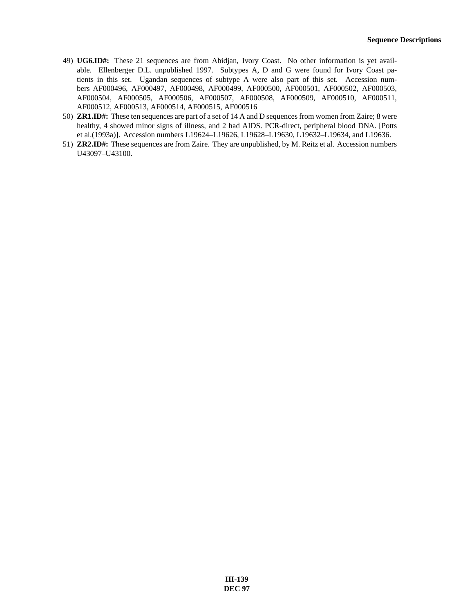- 49) **UG6.ID#:** These 21 sequences are from Abidjan, Ivory Coast. No other information is yet available. Ellenberger D.L. unpublished 1997. Subtypes A, D and G were found for Ivory Coast patients in this set. Ugandan sequences of subtype A were also part of this set. Accession numbers AF000496, AF000497, AF000498, AF000499, AF000500, AF000501, AF000502, AF000503, AF000504, AF000505, AF000506, AF000507, AF000508, AF000509, AF000510, AF000511, AF000512, AF000513, AF000514, AF000515, AF000516
- 50) **ZR1.ID#:** These ten sequences are part of a set of 14 A and D sequences from women from Zaire; 8 were healthy, 4 showed minor signs of illness, and 2 had AIDS. PCR-direct, peripheral blood DNA. [Potts et al.(1993a)]. Accession numbers L19624–L19626, L19628–L19630, L19632–L19634, and L19636.
- 51) **ZR2.ID#:** These sequences are from Zaire. They are unpublished, by M. Reitz et al. Accession numbers U43097–U43100.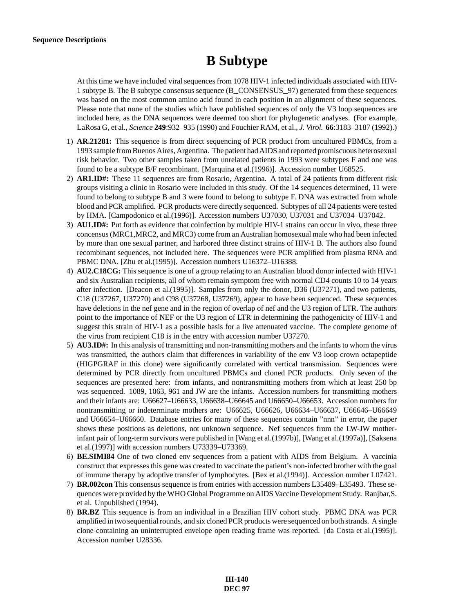## **B Subtype**

At this time we have included viral sequences from 1078 HIV-1 infected individuals associated with HIV-1 subtype B. The B subtype consensus sequence (B\_CONSENSUS\_97) generated from these sequences was based on the most common amino acid found in each position in an alignment of these sequences. Please note that none of the studies which have published sequences of only the V3 loop sequences are included here, as the DNA sequences were deemed too short for phylogenetic analyses. (For example, LaRosa G, et al., *Science* **249**:932–935 (1990) and Fouchier RAM, et al., *J. Virol.* **66**:3183–3187 (1992).)

- 1) **AR.21281:** This sequence is from direct sequencing of PCR product from uncultured PBMCs, from a 1993 sample from Buenos Aires, Argentina. The patient had AIDS and reported promiscuous heterosexual risk behavior. Two other samples taken from unrelated patients in 1993 were subtypes F and one was found to be a subtype B/F recombinant. [Marquina et al.(1996)]. Accession number U68525.
- 2) **AR1.ID#:** These 11 sequences are from Rosario, Argentina. A total of 24 patients from different risk groups visiting a clinic in Rosario were included in this study. Of the 14 sequences determined, 11 were found to belong to subtype B and 3 were found to belong to subtype F. DNA was extracted from whole blood and PCR amplified. PCR products were directly sequenced. Subtypes of all 24 patients were tested by HMA. [Campodonico et al.(1996)]. Accession numbers U37030, U37031 and U37034–U37042.
- 3) **AU1.ID#:** Put forth as evidence that coinfection by multiple HIV-1 strains can occur in vivo, these three concensus (MRC1,MRC2, and MRC3) come from an Australian homosexual male who had been infected by more than one sexual partner, and harbored three distinct strains of HIV-1 B. The authors also found recombinant sequences, not included here. The sequences were PCR amplified from plasma RNA and PBMC DNA. [Zhu et al.(1995)]. Accession numbers U16372–U16388.
- 4) **AU2.C18CG:** This sequence is one of a group relating to an Australian blood donor infected with HIV-1 and six Australian recipients, all of whom remain symptom free with normal CD4 counts 10 to 14 years after infection. [Deacon et al.(1995)]. Samples from only the donor, D36 (U37271), and two patients, C18 (U37267, U37270) and C98 (U37268, U37269), appear to have been sequenced. These sequences have deletions in the nef gene and in the region of overlap of nef and the U3 region of LTR. The authors point to the importance of NEF or the U3 region of LTR in determining the pathogenicity of HIV-1 and suggest this strain of HIV-1 as a possible basis for a live attenuated vaccine. The complete genome of the virus from recipient C18 is in the entry with accession number U37270.
- 5) **AU3.ID#:** In this analysis of transmitting and non-transmitting mothers and the infants to whom the virus was transmitted, the authors claim that differences in variability of the env V3 loop crown octapeptide (HIGPGRAF in this clone) were significantly correlated with vertical transmission. Sequences were determined by PCR directly from uncultured PBMCs and cloned PCR products. Only seven of the sequences are presented here: from infants, and nontransmitting mothers from which at least 250 bp was sequenced. 1089, 1063, 961 and JW are the infants. Accession numbers for transmitting mothers and their infants are: U66627–U66633, U66638–U66645 and U66650–U66653. Accession numbers for nontransmitting or indeterminate mothers are: U66625, U66626, U66634–U66637, U66646–U66649 and U66654–U66660. Database entries for many of these sequences contain "nnn" in error, the paper shows these positions as deletions, not unknown sequence. Nef sequences from the LW-JW motherinfant pair of long-term survivors were published in [Wang et al.(1997b)], [Wang et al.(1997a)], [Saksena et al.(1997)] with accession numbers U73339–U73369.
- 6) **BE.SIMI84** One of two cloned env sequences from a patient with AIDS from Belgium. A vaccinia construct that expresses this gene was created to vaccinate the patient's non-infected brother with the goal of immune therapy by adoptive transfer of lymphocytes. [Bex et al.(1994)]. Accession number L07421.
- 7) **BR.002con** This consensus sequence is from entries with accession numbers L35489–L35493. These sequences were provided by the WHO Global Programme on AIDS Vaccine Development Study. Ranjbar,S. et al. Unpublished (1994).
- 8) **BR.BZ** This sequence is from an individual in a Brazilian HIV cohort study. PBMC DNA was PCR amplified in two sequential rounds, and six cloned PCR products were sequenced on both strands. A single clone containing an uninterrupted envelope open reading frame was reported. [da Costa et al.(1995)]. Accession number U28336.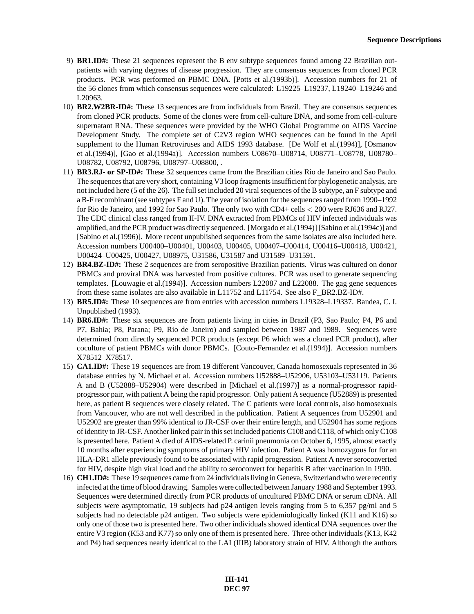- 9) **BR1.ID#:** These 21 sequences represent the B env subtype sequences found among 22 Brazilian outpatients with varying degrees of disease progression. They are consensus sequences from cloned PCR products. PCR was performed on PBMC DNA. [Potts et al.(1993b)]. Accession numbers for 21 of the 56 clones from which consensus sequences were calculated: L19225–L19237, L19240–L19246 and L20963.
- 10) **BR2.W2BR-ID#:** These 13 sequences are from individuals from Brazil. They are consensus sequences from cloned PCR products. Some of the clones were from cell-culture DNA, and some from cell-culture supernatant RNA. These sequences were provided by the WHO Global Programme on AIDS Vaccine Development Study. The complete set of C2V3 region WHO sequences can be found in the April supplement to the Human Retroviruses and AIDS 1993 database. [De Wolf et al.(1994)], [Osmanov et al.(1994)], [Gao et al.(1994a)]. Accession numbers U08670–U08714, U08771–U08778, U08780– U08782, U08792, U08796, U08797–U08800, .
- 11) **BR3.RJ- or SP-ID#:** These 32 sequences came from the Brazilian cities Rio de Janeiro and Sao Paulo. The sequences that are very short, containing V3 loop fragments insufficient for phylogenetic analysis, are not included here (5 of the 26). The full set included 20 viral sequences of the B subtype, an F subtype and a B-F recombinant (see subtypes F and U). The year of isolation for the sequences ranged from 1990–1992 for Rio de Janeiro, and 1992 for Sao Paulo. The only two with CD4+ cells < 200 were RJ636 and RJ27. The CDC clinical class ranged from II-IV. DNA extracted from PBMCs of HIV infected individuals was amplified, and the PCR product was directly sequenced. [Morgado et al.(1994)] [Sabino et al.(1994c)] and [Sabino et al.(1996)]. More recent unpublished sequences from the same isolates are also included here. Accession numbers U00400–U00401, U00403, U00405, U00407–U00414, U00416–U00418, U00421, U00424–U00425, U00427, U08975, U31586, U31587 and U31589–U31591.
- 12) **BR4.BZ-ID#:** These 2 sequences are from seropositive Brazilian patients. Virus was cultured on donor PBMCs and proviral DNA was harvested from positive cultures. PCR was used to generate sequencing templates. [Louwagie et al.(1994)]. Accession numbers L22087 and L22088. The gag gene sequences from these same isolates are also available in L11752 and L11754. See also F\_BR2.BZ-ID#.
- 13) **BR5.ID#:** These 10 sequences are from entries with accession numbers L19328–L19337. Bandea, C. I. Unpublished (1993).
- 14) **BR6.ID#:** These six sequences are from patients living in cities in Brazil (P3, Sao Paulo; P4, P6 and P7, Bahia; P8, Parana; P9, Rio de Janeiro) and sampled between 1987 and 1989. Sequences were determined from directly sequenced PCR products (except P6 which was a cloned PCR product), after coculture of patient PBMCs with donor PBMCs. [Couto-Fernandez et al.(1994)]. Accession numbers X78512–X78517.
- 15) **CA1.ID#:** These 19 sequences are from 19 different Vancouver, Canada homosexuals represented in 36 database entries by N. Michael et al. Accession numbers U52888–U52906, U53103–U53119. Patients A and B (U52888–U52904) were described in [Michael et al.(1997)] as a normal-progressor rapidprogressor pair, with patient A being the rapid progressor. Only patient A sequence (U52889) is presented here, as patient B sequences were closely related. The C patients were local controls, also homosexuals from Vancouver, who are not well described in the publication. Patient A sequences from U52901 and U52902 are greater than 99% identical to JR-CSF over their entire length, and U52904 has some regions of identity to JR-CSF. Another linked pair in this set included patients C108 and C118, of which only C108 is presented here. Patient A died of AIDS-related P. carinii pneumonia on October 6, 1995, almost exactly 10 months after experiencing symptoms of primary HIV infection. Patient A was homozygous for for an HLA-DR1 allele previously found to be assosiated with rapid progression. Patient A never seroconverted for HIV, despite high viral load and the ability to seroconvert for hepatitis B after vaccination in 1990.
- 16) **CH1.ID#:** These 19 sequences came from 24 individuals living in Geneva, Switzerland who were recently infected at the time of blood drawing. Samples were collected between January 1988 and September 1993. Sequences were determined directly from PCR products of uncultured PBMC DNA or serum cDNA. All subjects were asymptomatic, 19 subjects had p24 antigen levels ranging from 5 to 6,357 pg/ml and 5 subjects had no detectable p24 antigen. Two subjects were epidemiologically linked (K11 and K16) so only one of those two is presented here. Two other individuals showed identical DNA sequences over the entire V3 region (K53 and K77) so only one of them is presented here. Three other individuals (K13, K42 and P4) had sequences nearly identical to the LAI (IIIB) laboratory strain of HIV. Although the authors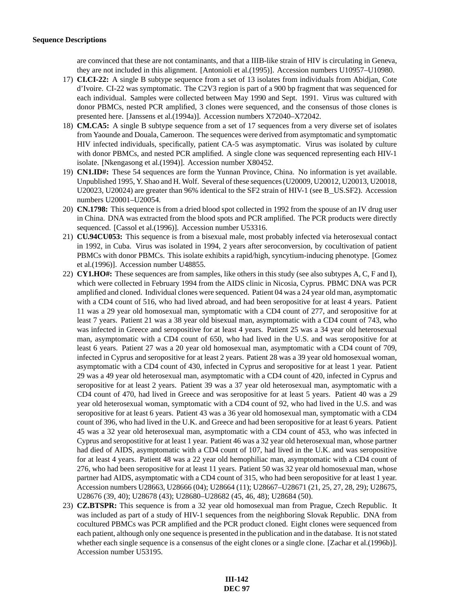## **Sequence Descriptions**

are convinced that these are not contaminants, and that a IIIB-like strain of HIV is circulating in Geneva, they are not included in this alignment. [Antonioli et al.(1995)]. Accession numbers U10957–U10980.

- 17) **CI.CI-22:** A single B subtype sequence from a set of 13 isolates from individuals from Abidjan, Cote d'Ivoire. CI-22 was symptomatic. The C2V3 region is part of a 900 bp fragment that was sequenced for each individual. Samples were collected between May 1990 and Sept. 1991. Virus was cultured with donor PBMCs, nested PCR amplified, 3 clones were sequenced, and the consensus of those clones is presented here. [Janssens et al.(1994a)]. Accession numbers X72040–X72042.
- 18) **CM.CA5:** A single B subtype sequence from a set of 17 sequences from a very diverse set of isolates from Yaounde and Douala, Cameroon. The sequences were derived from asymptomatic and symptomatic HIV infected individuals, specifically, patient CA-5 was asymptomatic. Virus was isolated by culture with donor PBMCs, and nested PCR amplified. A single clone was sequenced representing each HIV-1 isolate. [Nkengasong et al.(1994)]. Accession number X80452.
- 19) **CN1.ID#:** These 54 sequences are form the Yunnan Province, China. No information is yet available. Unpublished 1995, Y. Shao and H. Wolf. Several of these sequences (U20009, U20012, U20013, U20018, U20023, U20024) are greater than 96% identical to the SF2 strain of HIV-1 (see B\_US.SF2). Accession numbers U20001–U20054.
- 20) **CN.1798:** This sequence is from a dried blood spot collected in 1992 from the spouse of an IV drug user in China. DNA was extracted from the blood spots and PCR amplified. The PCR products were directly sequenced. [Cassol et al.(1996)]. Accession number U53316.
- 21) **CU.94CU053:** This sequence is from a bisexual male, most probably infected via heterosexual contact in 1992, in Cuba. Virus was isolated in 1994, 2 years after seroconversion, by cocultivation of patient PBMCs with donor PBMCs. This isolate exhibits a rapid/high, syncytium-inducing phenotype. [Gomez et al.(1996)]. Accession number U48855.
- 22) **CY1.HO#:** These sequences are from samples, like others in this study (see also subtypes A, C, F and I), which were collected in February 1994 from the AIDS clinic in Nicosia, Cyprus. PBMC DNA was PCR amplified and cloned. Individual clones were sequenced. Patient 04 was a 24 year old man, asymptomatic with a CD4 count of 516, who had lived abroad, and had been seropositive for at least 4 years. Patient 11 was a 29 year old homosexual man, symptomatic with a CD4 count of 277, and seropositive for at least 7 years. Patient 21 was a 38 year old bisexual man, asymptomatic with a CD4 count of 743, who was infected in Greece and seropositive for at least 4 years. Patient 25 was a 34 year old heterosexual man, asymptomatic with a CD4 count of 650, who had lived in the U.S. and was seropositive for at least 6 years. Patient 27 was a 20 year old homosexual man, asymptomatic with a CD4 count of 709, infected in Cyprus and seropositive for at least 2 years. Patient 28 was a 39 year old homosexual woman, asymptomatic with a CD4 count of 430, infected in Cyprus and seropositive for at least 1 year. Patient 29 was a 49 year old heterosexual man, asymptomatic with a CD4 count of 420, infected in Cyprus and seropositive for at least 2 years. Patient 39 was a 37 year old heterosexual man, asymptomatic with a CD4 count of 470, had lived in Greece and was seropositive for at least 5 years. Patient 40 was a 29 year old heterosexual woman, symptomatic with a CD4 count of 92, who had lived in the U.S. and was seropositive for at least 6 years. Patient 43 was a 36 year old homosexual man, symptomatic with a CD4 count of 396, who had lived in the U.K. and Greece and had been seropositive for at least 6 years. Patient 45 was a 32 year old heterosexual man, asymptomatic with a CD4 count of 453, who was infected in Cyprus and seropostitive for at least 1 year. Patient 46 was a 32 year old heterosexual man, whose partner had died of AIDS, asymptomatic with a CD4 count of 107, had lived in the U.K. and was seropositive for at least 4 years. Patient 48 was a 22 year old hemophiliac man, asymptomatic with a CD4 count of 276, who had been seropositive for at least 11 years. Patient 50 was 32 year old homosexual man, whose partner had AIDS, asymptomatic with a CD4 count of 315, who had been seropositive for at least 1 year. Accession numbers U28663, U28666 (04); U28664 (11); U28667–U28671 (21, 25, 27, 28, 29); U28675, U28676 (39, 40); U28678 (43); U28680–U28682 (45, 46, 48); U28684 (50).
- 23) **CZ.BTSPR:** This sequence is from a 32 year old homosexual man from Prague, Czech Republic. It was included as part of a study of HIV-1 sequences from the neighboring Slovak Republic. DNA from cocultured PBMCs was PCR amplified and the PCR product cloned. Eight clones were sequenced from each patient, although only one sequence is presented in the publication and in the database. It is not stated whether each single sequence is a consensus of the eight clones or a single clone. [Zachar et al.(1996b)]. Accession number U53195.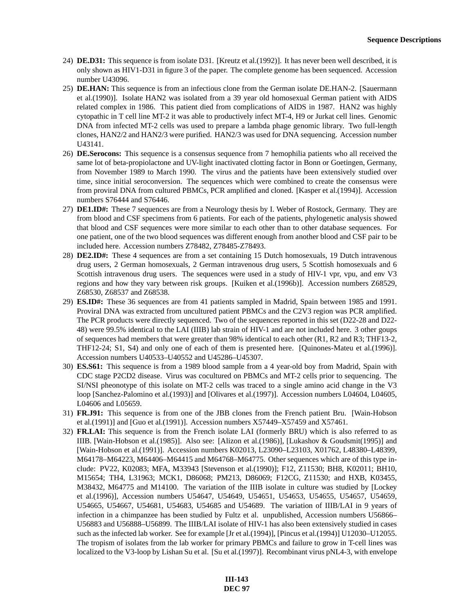- 24) **DE.D31:** This sequence is from isolate D31. [Kreutz et al.(1992)]. It has never been well described, it is only shown as HIV1-D31 in figure 3 of the paper. The complete genome has been sequenced. Accession number U43096.
- 25) **DE.HAN:** This sequence is from an infectious clone from the German isolate DE.HAN-2. [Sauermann et al.(1990)]. Isolate HAN2 was isolated from a 39 year old homosexual German patient with AIDS related complex in 1986. This patient died from complications of AIDS in 1987. HAN2 was highly cytopathic in T cell line MT-2 it was able to productively infect MT-4, H9 or Jurkat cell lines. Genomic DNA from infected MT-2 cells was used to prepare a lambda phage genomic library. Two full-length clones, HAN2/2 and HAN2/3 were purified. HAN2/3 was used for DNA sequencing. Accession number U43141.
- 26) **DE.Serocons:** This sequence is a consensus sequence from 7 hemophilia patients who all received the same lot of beta-propiolactone and UV-light inactivated clotting factor in Bonn or Goetingen, Germany, from November 1989 to March 1990. The virus and the patients have been extensively studied over time, since initial seroconversion. The sequences which were combined to create the consensus were from proviral DNA from cultured PBMCs, PCR amplified and cloned. [Kasper et al.(1994)]. Accession numbers S76444 and S76446.
- 27) **DE1.ID#:** These 7 sequences are from a Neurology thesis by I. Weber of Rostock, Germany. They are from blood and CSF specimens from 6 patients. For each of the patients, phylogenetic analysis showed that blood and CSF sequences were more similar to each other than to other database sequences. For one patient, one of the two blood sequences was different enough from another blood and CSF pair to be included here. Accession numbers Z78482, Z78485-Z78493.
- 28) **DE2.ID#:** These 4 sequences are from a set containing 15 Dutch homosexuals, 19 Dutch intravenous drug users, 2 German homosexuals, 2 German intravenous drug users, 5 Scottish homosexuals and 6 Scottish intravenous drug users. The sequences were used in a study of HIV-1 vpr, vpu, and env V3 regions and how they vary between risk groups. [Kuiken et al.(1996b)]. Accession numbers Z68529, Z68530, Z68537 and Z68538.
- 29) **ES.ID#:** These 36 sequences are from 41 patients sampled in Madrid, Spain between 1985 and 1991. Proviral DNA was extracted from uncultured patient PBMCs and the C2V3 region was PCR amplified. The PCR products were directly sequenced. Two of the sequences reported in this set (D22-28 and D22- 48) were 99.5% identical to the LAI (IIIB) lab strain of HIV-1 and are not included here. 3 other goups of sequences had members that were greater than 98% identical to each other (R1, R2 and R3; THF13-2, THF12-24; S1, S4) and only one of each of them is presented here. [Quinones-Mateu et al.(1996)]. Accession numbers U40533–U40552 and U45286–U45307.
- 30) **ES.S61:** This sequence is from a 1989 blood sample from a 4 year-old boy from Madrid, Spain with CDC stage P2CD2 disease. Virus was cocultured on PBMCs and MT-2 cells prior to sequencing. The SI/NSI pheonotype of this isolate on MT-2 cells was traced to a single amino acid change in the V3 loop [Sanchez-Palomino et al.(1993)] and [Olivares et al.(1997)]. Accession numbers L04604, L04605, L04606 and L05659.
- 31) **FR.J91:** This sequence is from one of the JBB clones from the French patient Bru. [Wain-Hobson et al.(1991)] and [Guo et al.(1991)]. Accession numbers X57449–X57459 and X57461.
- 32) **FR.LAI:** This sequence is from the French isolate LAI (formerly BRU) which is also referred to as IIIB. [Wain-Hobson et al.(1985)]. Also see: [Alizon et al.(1986)], [Lukashov & Goudsmit(1995)] and [Wain-Hobson et al.(1991)]. Accession numbers K02013, L23090–L23103, X01762, L48380–L48399, M64178–M64223, M64406–M64415 and M64768–M64775. Other sequences which are of this type include: PV22, K02083; MFA, M33943 [Stevenson et al.(1990)]; F12, Z11530; BH8, K02011; BH10, M15654; TH4, L31963; MCK1, D86068; PM213, D86069; F12CG, Z11530; and HXB, K03455, M38432, M64775 and M14100. The variation of the IIIB isolate in culture was studied by [Lockey et al.(1996)], Accession numbers U54647, U54649, U54651, U54653, U54655, U54657, U54659, U54665, U54667, U54681, U54683, U54685 and U54689. The variation of IIIB/LAI in 9 years of infection in a chimpanzee has been studied by Fultz et al. unpublished, Accession numbers U56866– U56883 and U56888–U56899. The IIIB/LAI isolate of HIV-1 has also been extensively studied in cases such as the infected lab worker. See for example [Jr et al.(1994)], [Pincus et al.(1994)] U12030–U12055. The tropism of isolates from the lab worker for primary PBMCs and failure to grow in T-cell lines was localized to the V3-loop by Lishan Su et al. [Su et al.(1997)]. Recombinant virus pNL4-3, with envelope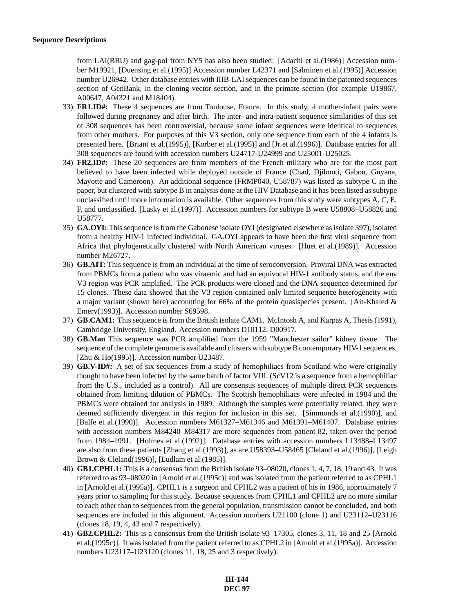from LAI(BRU) and gag-pol from NY5 has also been studied: [Adachi et al.(1986)] Accession number M19921, [Duensing et al.(1995)] Accession number L42371 and [Salminen et al.(1995)] Accession number U26942. Other database entries with IIIB-LAI sequences can be found in the patented sequences section of GenBank, in the cloning vector section, and in the primate section (for example U19867, A00647, A04321 and M18404).

- 33) **FR1.ID#:** These 4 sequences are from Toulouse, France. In this study, 4 mother-infant pairs were followed during pregnancy and after birth. The inter- and intra-patient sequence similarities of this set of 308 sequences has been controversial, because some infant sequences were identical to sequences from other mothers. For purposes of this V3 section, only one sequence from each of the 4 infants is presented here. [Briant et al.(1995)], [Korber et al.(1995)] and [Jr et al.(1996)]. Database entries for all 308 sequences are found with accession numbers U24717-U24999 and U25001-U25025.
- 34) **FR2.ID#:** These 20 sequences are from members of the French military who are for the most part believed to have been infected while deployed outside of France (Chad, Djibouti, Gabon, Guyana, Mayotte and Cameroon). An additional sequence (FRMP040, U58787) was listed as subtype C in the paper, but clustered with subtype B in analysis done at the HIV Database and it has been listed as subtype unclassified until more information is available. Other sequences from this study were subtypes A, C, E, F, and unclassified. [Lasky et al.(1997)]. Accession numbers for subtype B were U58808–U58826 and U58777.
- 35) **GA.OYI:** This sequence is from the Gabonese isolate OYI (designated elsewhere as isolate 397), isolated from a healthy HIV-1 infected individual. GA.OYI appears to have been the first viral sequence from Africa that phylogenetically clustered with North American viruses. [Huet et al.(1989)]. Accession number M26727.
- 36) **GB.AIT:** This sequence is from an individual at the time of seroconversion. Proviral DNA was extracted from PBMCs from a patient who was viraemic and had an equivocal HIV-1 antibody status, and the env V3 region was PCR amplified. The PCR products were cloned and the DNA sequence determined for 15 clones. These data showed that the V3 region contained only limited sequence heterogeneity with a major variant (shown here) accounting for 66% of the protein quasispecies present. [Ait-Khaled & Emery(1993)]. Accession number S69598.
- 37) **GB.CAM1:** This sequence is from the British isolate CAM1. McIntosh A, and Karpas A, Thesis (1991), Cambridge University, England. Accession numbers D10112, D00917.
- 38) **GB.Man** This sequence was PCR amplified from the 1959 "Manchester sailor" kidney tissue. The sequence of the complete genome is available and clusters with subtype B contemporary HIV-1 sequences. [Zhu & Ho(1995)]. Accession number U23487.
- 39) **GB.V-ID#:** A set of six sequences from a study of hemophiliacs from Scotland who were originally thought to have been infected by the same batch of factor VIII. (ScV12 is a sequence from a hemophiliac from the U.S., included as a control). All are consensus sequences of multiple direct PCR sequences obtained from limiting dilution of PBMCs. The Scottish hemophiliacs were infected in 1984 and the PBMCs were obtained for analysis in 1989. Although the samples were potentially related, they were deemed sufficiently divergent in this region for inclusion in this set. [Simmonds et al.(1990)], and [Balfe et al.(1990)]. Accession numbers M61327–M61346 and M61391–M61407. Database entries with accession numbers M84240–M84317 are more sequences from patient 82, taken over the period from 1984–1991. [Holmes et al.(1992)]. Database entries with accession numbers L13488–L13497 are also from these patients [Zhang et al.(1993)], as are U58393–U58465 [Cleland et al.(1996)], [Leigh Brown & Cleland(1996)], [Ludlam et al.(1985)].
- 40) **GB1.CPHL1:** This is a consensus from the British isolate 93–08020, clones 1, 4, 7, 18, 19 and 43. It was referred to as 93–08020 in [Arnold et al.(1995c)] and was isolated from the patient referred to as CPHL1 in [Arnold et al.(1995a)]. CPHL1 is a surgeon and CPHL2 was a patient of his in 1986, approximately 7 years prior to sampling for this study. Because sequences from CPHL1 and CPHL2 are no more similar to each other than to sequences from the general population, transmission cannot be concluded, and both sequences are included in this alignment. Accession numbers U21100 (clone 1) and U23112–U23116 (clones 18, 19, 4, 43 and 7 respectively).
- 41) **GB2.CPHL2:** This is a consensus from the British isolate 93–17305, clones 3, 11, 18 and 25 [Arnold et al.(1995c)]. It was isolated from the patient referred to as CPHL2 in [Arnold et al.(1995a)]. Accession numbers U23117–U23120 (clones 11, 18, 25 and 3 respectively).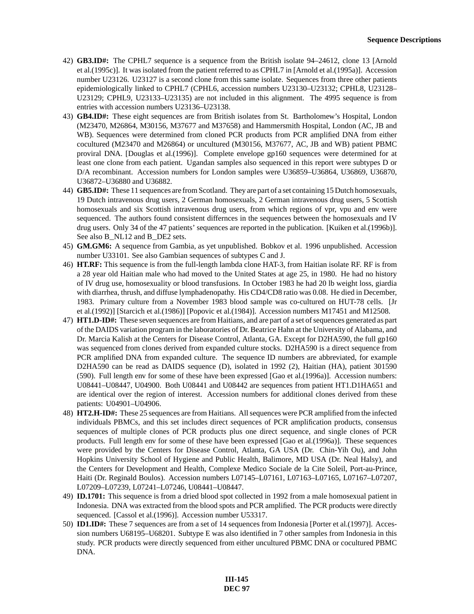- 42) **GB3.ID#:** The CPHL7 sequence is a sequence from the British isolate 94–24612, clone 13 [Arnold et al.(1995c)]. It was isolated from the patient referred to as CPHL7 in [Arnold et al.(1995a)]. Accession number U23126. U23127 is a second clone from this same isolate. Sequences from three other patients epidemiologically linked to CPHL7 (CPHL6, accession numbers U23130–U23132; CPHL8, U23128– U23129; CPHL9, U23133–U23135) are not included in this alignment. The 4995 sequence is from entries with accession numbers U23136–U23138.
- 43) **GB4.ID#:** These eight sequences are from British isolates from St. Bartholomew's Hospital, London (M23470, M26864, M30156, M37677 and M37658) and Hammersmith Hospital, London (AC, JB and WB). Sequences were determined from cloned PCR products from PCR amplified DNA from either cocultured (M23470 and M26864) or uncultured (M30156, M37677, AC, JB and WB) patient PBMC proviral DNA. [Douglas et al.(1996)]. Complete envelope gp160 sequences were determined for at least one clone from each patient. Ugandan samples also sequenced in this report were subtypes D or D/A recombinant. Accession numbers for London samples were U36859–U36864, U36869, U36870, U36872–U36880 and U36882.
- 44) **GB5.ID#:** These 11 sequences are from Scotland. They are part of a set containing 15 Dutch homosexuals, 19 Dutch intravenous drug users, 2 German homosexuals, 2 German intravenous drug users, 5 Scottish homosexuals and six Scottish intravenous drug users, from which regions of vpr, vpu and env were sequenced. The authors found consistent differnces in the sequences between the homosexuals and IV drug users. Only 34 of the 47 patients' sequences are reported in the publication. [Kuiken et al.(1996b)]. See also B NL12 and B DE2 sets.
- 45) **GM.GM6:** A sequence from Gambia, as yet unpublished. Bobkov et al. 1996 unpublished. Accession number U33101. See also Gambian sequences of subtypes C and J.
- 46) **HT.RF:** This sequence is from the full-length lambda clone HAT-3, from Haitian isolate RF. RF is from a 28 year old Haitian male who had moved to the United States at age 25, in 1980. He had no history of IV drug use, homosexuality or blood transfusions. In October 1983 he had 20 lb weight loss, giardia with diarrhea, thrush, and diffuse lymphadenopathy. His CD4/CD8 ratio was 0.08. He died in December, 1983. Primary culture from a November 1983 blood sample was co-cultured on HUT-78 cells. [Jr et al.(1992)] [Starcich et al.(1986)] [Popovic et al.(1984)]. Accession numbers M17451 and M12508.
- 47) **HT1.D-ID#:** These seven sequences are from Haitians, and are part of a set of sequences generated as part of the DAIDS variation program in the laboratories of Dr. Beatrice Hahn at the University of Alabama, and Dr. Marcia Kalish at the Centers for Disease Control, Atlanta, GA. Except for D2HA590, the full gp160 was sequenced from clones derived from expanded culture stocks. D2HA590 is a direct sequence from PCR amplified DNA from expanded culture. The sequence ID numbers are abbreviated, for example D2HA590 can be read as DAIDS sequence (D), isolated in 1992 (2), Haitian (HA), patient 301590 (590). Full length env for some of these have been expressed [Gao et al.(1996a)]. Accession numbers: U08441–U08447, U04900. Both U08441 and U08442 are sequences from patient HT1.D1HA651 and are identical over the region of interest. Accession numbers for additional clones derived from these patients: U04901–U04906.
- 48) **HT2.H-ID#:** These 25 sequences are from Haitians. All sequences were PCR amplified from the infected individuals PBMCs, and this set includes direct sequences of PCR amplification products, consensus sequences of multiple clones of PCR products plus one direct sequence, and single clones of PCR products. Full length env for some of these have been expressed [Gao et al.(1996a)]. These sequences were provided by the Centers for Disease Control, Atlanta, GA USA (Dr. Chin-Yih Ou), and John Hopkins University School of Hygiene and Public Health, Balimore, MD USA (Dr. Neal Halsy), and the Centers for Development and Health, Complexe Medico Sociale de la Cite Soleil, Port-au-Prince, Haiti (Dr. Reginald Boulos). Accession numbers L07145–L07161, L07163–L07165, L07167–L07207, L07209–L07239, L07241–L07246, U08441–U08447.
- 49) **ID.1701:** This sequence is from a dried blood spot collected in 1992 from a male homosexual patient in Indonesia. DNA was extracted from the blood spots and PCR amplified. The PCR products were directly sequenced. [Cassol et al.(1996)]. Accession number U53317.
- 50) **ID1.ID#:** These 7 sequences are from a set of 14 sequences from Indonesia [Porter et al.(1997)]. Accession numbers U68195–U68201. Subtype E was also identified in 7 other samples from Indonesia in this study. PCR products were directly sequenced from either uncultured PBMC DNA or cocultured PBMC DNA.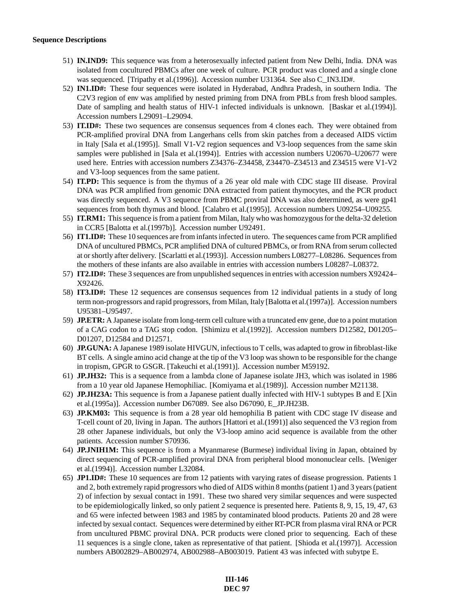- 51) **IN.IND9:** This sequence was from a heterosexually infected patient from New Delhi, India. DNA was isolated from cocultured PBMCs after one week of culture. PCR product was cloned and a single clone was sequenced. [Tripathy et al.(1996)]. Accession number U31364. See also C\_IN3.ID#.
- 52) **IN1.ID#:** These four sequences were isolated in Hyderabad, Andhra Pradesh, in southern India. The C2V3 region of env was amplified by nested priming from DNA from PBLs from fresh blood samples. Date of sampling and health status of HIV-1 infected individuals is unknown. [Baskar et al.(1994)]. Accession numbers L29091–L29094.
- 53) **IT.ID#:** These two sequences are consensus sequences from 4 clones each. They were obtained from PCR-amplified proviral DNA from Langerhans cells from skin patches from a deceased AIDS victim in Italy [Sala et al.(1995)]. Small V1-V2 region sequences and V3-loop sequences from the same skin samples were published in [Sala et al.(1994)]. Entries with accession numbers U20670–U20677 were used here. Entries with accession numbers Z34376–Z34458, Z34470–Z34513 and Z34515 were V1-V2 and V3-loop sequences from the same patient.
- 54) **IT.PD:** This sequence is from the thymus of a 26 year old male with CDC stage III disease. Proviral DNA was PCR amplified from genomic DNA extracted from patient thymocytes, and the PCR product was directly sequenced. A V3 sequence from PBMC proviral DNA was also determined, as were gp41 sequences from both thymus and blood. [Calabro et al.(1995)]. Accession numbers U09254–U09255.
- 55) **IT.RM1:** This sequence is from a patient from Milan, Italy who was homozygous for the delta-32 deletion in CCR5 [Balotta et al.(1997b)]. Accession number U92491.
- 56) **IT1.ID#:** These 10 sequences are from infants infected in utero. The sequences came from PCR amplified DNA of uncultured PBMCs, PCR amplified DNA of cultured PBMCs, or from RNA from serum collected at or shortly after delivery. [Scarlatti et al.(1993)]. Accession numbers L08277–L08286. Sequences from the mothers of these infants are also available in entries with accession numbers L08287–L08372.
- 57) **IT2.ID#:** These 3 sequences are from unpublished sequences in entries with accession numbers X92424– X92426.
- 58) **IT3.ID#:** These 12 sequences are consensus sequences from 12 individual patients in a study of long term non-progressors and rapid progressors, from Milan, Italy [Balotta et al.(1997a)]. Accession numbers U95381–U95497.
- 59) **JP.ETR:** A Japanese isolate from long-term cell culture with a truncated env gene, due to a point mutation of a CAG codon to a TAG stop codon. [Shimizu et al.(1992)]. Accession numbers D12582, D01205– D01207, D12584 and D12571.
- 60) **JP.GUNA:** A Japanese 1989 isolate HIVGUN, infectious to T cells, was adapted to grow in fibroblast-like BT cells. A single amino acid change at the tip of the V3 loop was shown to be responsible for the change in tropism, GPGR to GSGR. [Takeuchi et al.(1991)]. Accession number M59192.
- 61) **JP.JH32:** This is a sequence from a lambda clone of Japanese isolate JH3, which was isolated in 1986 from a 10 year old Japanese Hemophiliac. [Komiyama et al.(1989)]. Accession number M21138.
- 62) **JP.JH23A:** This sequence is from a Japanese patient dually infected with HIV-1 subtypes B and E [Xin et al.(1995a)]. Accession number D67089. See also D67090, E\_JP.JH23B.
- 63) **JP.KM03:** This sequence is from a 28 year old hemophilia B patient with CDC stage IV disease and T-cell count of 20, living in Japan. The authors [Hattori et al.(1991)] also sequenced the V3 region from 28 other Japanese individuals, but only the V3-loop amino acid sequence is available from the other patients. Accession number S70936.
- 64) **JP.JNIH1M:** This sequence is from a Myanmarese (Burmese) individual living in Japan, obtained by direct sequencing of PCR-amplified proviral DNA from peripheral blood mononuclear cells. [Weniger et al.(1994)]. Accession number L32084.
- 65) **JP1.ID#:** These 10 sequences are from 12 patients with varying rates of disease progression. Patients 1 and 2, both extremely rapid progressors who died of AIDS within 8 months (patient 1) and 3 years (patient 2) of infection by sexual contact in 1991. These two shared very similar sequences and were suspected to be epidemiologically linked, so only patient 2 sequence is presented here. Patients 8, 9, 15, 19, 47, 63 and 65 were infected between 1983 and 1985 by contaminated blood products. Patients 20 and 28 were infected by sexual contact. Sequences were determined by either RT-PCR from plasma viral RNA or PCR from uncultured PBMC proviral DNA. PCR products were cloned prior to sequencing. Each of these 11 sequences is a single clone, taken as representative of that patient. [Shioda et al.(1997)]. Accession numbers AB002829–AB002974, AB002988–AB003019. Patient 43 was infected with subytpe E.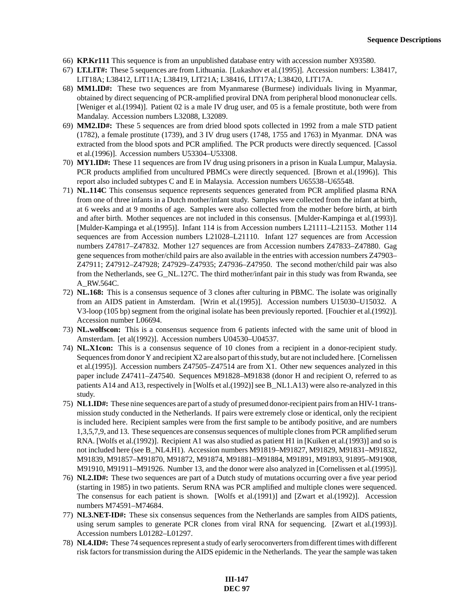- 66) **KP.Kr111** This sequence is from an unpublished database entry with accession number X93580.
- 67) **LT.LIT#:** These 5 sequences are from Lithuania. [Lukashov et al.(1995)]. Accession numbers: L38417, LIT18A; L38412, LIT11A; L38419, LIT21A; L38416, LIT17A; L38420, LIT17A.
- 68) **MM1.ID#:** These two sequences are from Myanmarese (Burmese) individuals living in Myanmar, obtained by direct sequencing of PCR-amplified proviral DNA from peripheral blood mononuclear cells. [Weniger et al.(1994)]. Patient 02 is a male IV drug user, and 05 is a female prostitute, both were from Mandalay. Accession numbers L32088, L32089.
- 69) **MM2.ID#:** These 5 sequences are from dried blood spots collected in 1992 from a male STD patient (1782), a female prostitute (1739), and 3 IV drug users (1748, 1755 and 1763) in Myanmar. DNA was extracted from the blood spots and PCR amplified. The PCR products were directly sequenced. [Cassol et al.(1996)]. Accession numbers U53304–U53308.
- 70) **MY1.ID#:** These 11 sequences are from IV drug using prisoners in a prison in Kuala Lumpur, Malaysia. PCR products amplified from uncultured PBMCs were directly sequenced. [Brown et al.(1996)]. This report also included subtypes C and E in Malaysia. Accession numbers U65538–U65548.
- 71) **NL.114C** This consensus sequence represents sequences generated from PCR amplified plasma RNA from one of three infants in a Dutch mother/infant study. Samples were collected from the infant at birth, at 6 weeks and at 9 months of age. Samples were also collected from the mother before birth, at birth and after birth. Mother sequences are not included in this consensus. [Mulder-Kampinga et al.(1993)]. [Mulder-Kampinga et al.(1995)]. Infant 114 is from Accession numbers L21111–L21153. Mother 114 sequences are from Accession numbers L21028–L21110. Infant 127 sequences are from Accession numbers Z47817–Z47832. Mother 127 sequences are from Accession numbers Z47833–Z47880. Gag gene sequences from mother/child pairs are also available in the entries with accession numbers Z47903– Z47911; Z47912–Z47928; Z47929–Z47935; Z47936–Z47950. The second mother/child pair was also from the Netherlands, see G\_NL.127C. The third mother/infant pair in this study was from Rwanda, see A\_RW.564C.
- 72) **NL.168:** This is a consensus sequence of 3 clones after culturing in PBMC. The isolate was originally from an AIDS patient in Amsterdam. [Wrin et al.(1995)]. Accession numbers U15030–U15032. A V3-loop (105 bp) segment from the original isolate has been previously reported. [Fouchier et al.(1992)]. Accession number L06694.
- 73) **NL.wolfscon:** This is a consensus sequence from 6 patients infected with the same unit of blood in Amsterdam. [et al(1992)]. Accession numbers U04530–U04537.
- 74) **NL.X1con:** This is a consensus sequence of 10 clones from a recipient in a donor-recipient study. Sequences from donor Y and recipient X2 are also part of this study, but are not included here. [Cornelissen et al.(1995)]. Accession numbers Z47505–Z47514 are from X1. Other new sequences analyzed in this paper include Z47411–Z47540. Sequences M91828–M91838 (donor H and recipient O, referred to as patients A14 and A13, respectively in [Wolfs et al.(1992)] see B\_NL1.A13) were also re-analyzed in this study.
- 75) **NL1.ID#:** These nine sequences are part of a study of presumed donor-recipient pairs from an HIV-1 transmission study conducted in the Netherlands. If pairs were extremely close or identical, only the recipient is included here. Recipient samples were from the first sample to be antibody positive, and are numbers 1,3,5,7,9, and 13. These sequences are consensus sequences of multiple clones from PCR amplified serum RNA. [Wolfs et al.(1992)]. Recipient A1 was also studied as patient H1 in [Kuiken et al.(1993)] and so is not included here (see B\_NL4.H1). Accession numbers M91819–M91827, M91829, M91831–M91832, M91839, M91857–M91870, M91872, M91874, M91881–M91884, M91891, M91893, 91895–M91908, M91910, M91911–M91926. Number 13, and the donor were also analyzed in [Cornelissen et al.(1995)].
- 76) **NL2.ID#:** These two sequences are part of a Dutch study of mutations occurring over a five year period (starting in 1985) in two patients. Serum RNA was PCR amplified and multiple clones were sequenced. The consensus for each patient is shown. [Wolfs et al.(1991)] and [Zwart et al.(1992)]. Accession numbers M74591–M74684.
- 77) **NL3.NET-ID#:** These six consensus sequences from the Netherlands are samples from AIDS patients, using serum samples to generate PCR clones from viral RNA for sequencing. [Zwart et al.(1993)]. Accession numbers L01282–L01297.
- 78) **NL4.ID#:** These 74 sequences represent a study of early seroconverters from different times with different risk factors for transmission during the AIDS epidemic in the Netherlands. The year the sample was taken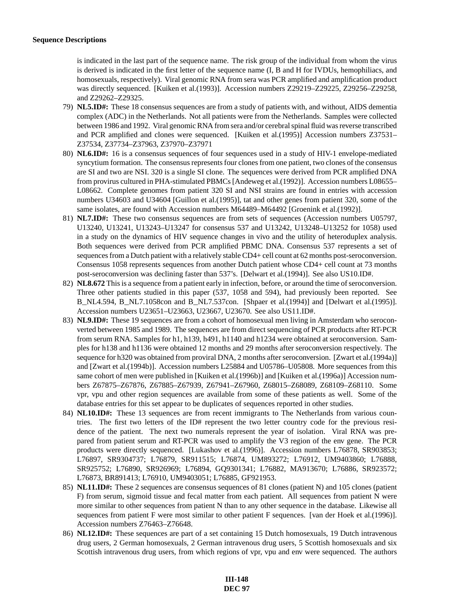is indicated in the last part of the sequence name. The risk group of the individual from whom the virus is derived is indicated in the first letter of the sequence name (I, B and H for IVDUs, hemophiliacs, and homosexuals, respectively). Viral genomic RNA from sera was PCR amplified and amplification product was directly sequenced. [Kuiken et al.(1993)]. Accession numbers Z29219–Z29225, Z29256–Z29258, and Z29262–Z29325.

- 79) **NL5.ID#:** These 18 consensus sequences are from a study of patients with, and without, AIDS dementia complex (ADC) in the Netherlands. Not all patients were from the Netherlands. Samples were collected between 1986 and 1992. Viral genomic RNA from sera and/or cerebral spinal fluid was reverse transcribed and PCR amplified and clones were sequenced. [Kuiken et al.(1995)] Accession numbers Z37531– Z37534, Z37734–Z37963, Z37970–Z37971
- 80) **NL6.ID#:** 16 is a consensus sequences of four sequences used in a study of HIV-1 envelope-mediated syncytium formation. The consensus represents four clones from one patient, two clones of the consensus are SI and two are NSI. 320 is a single SI clone. The sequences were derived from PCR amplified DNA from provirus cultured in PHA-stimulated PBMCs [Andeweg et al.(1992)]. Accession numbers L08655– L08662. Complete genomes from patient 320 SI and NSI strains are found in entries with accession numbers U34603 and U34604 [Guillon et al.(1995)], tat and other genes from patient 320, some of the same isolates, are found with Accession numbers M64489–M64492 [Groenink et al.(1992)].
- 81) **NL7.ID#:** These two consensus sequences are from sets of sequences (Accession numbers U05797, U13240, U13241, U13243–U13247 for consensus 537 and U13242, U13248–U13252 for 1058) used in a study on the dynamics of HIV sequence changes in vivo and the utility of heteroduplex analysis. Both sequences were derived from PCR amplified PBMC DNA. Consensus 537 represents a set of sequences from a Dutch patient with a relatively stable CD4+ cell count at 62 months post-seroconversion. Consensus 1058 represents sequences from another Dutch patient whose CD4+ cell count at 73 months post-seroconversion was declining faster than 537's. [Delwart et al.(1994)]. See also US10.ID#.
- 82) **NL8.672** This is a sequence from a patient early in infection, before, or around the time of seroconversion. Three other patients studied in this paper (537, 1058 and 594), had previously been reported. See B\_NL4.594, B\_NL7.1058con and B\_NL7.537con. [Shpaer et al.(1994)] and [Delwart et al.(1995)]. Accession numbers U23651–U23663, U23667, U23670. See also US11.ID#.
- 83) **NL9.ID#:** These 19 sequences are from a cohort of homosexual men living in Amsterdam who seroconverted between 1985 and 1989. The sequences are from direct sequencing of PCR products after RT-PCR from serum RNA. Samples for h1, h139, h491, h1140 and h1234 were obtained at seroconversion. Samples for h138 and h1136 were obtained 12 months and 29 months after seroconversion respectively. The sequence for h320 was obtained from proviral DNA, 2 months after seroconversion. [Zwart et al.(1994a)] and [Zwart et al.(1994b)]. Accession numbers L25884 and U05786–U05808. More sequences from this same cohort of men were published in [Kuiken et al.(1996b)] and [Kuiken et al.(1996a)] Accession numbers Z67875–Z67876, Z67885–Z67939, Z67941–Z67960, Z68015–Z68089, Z68109–Z68110. Some vpr, vpu and other region sequences are available from some of these patients as well. Some of the database entries for this set appear to be duplicates of sequences reported in other studies.
- 84) **NL10.ID#:** These 13 sequences are from recent immigrants to The Netherlands from various countries. The first two letters of the ID# represent the two letter country code for the previous residence of the patient. The next two numerals represent the year of isolation. Viral RNA was prepared from patient serum and RT-PCR was used to amplify the V3 region of the env gene. The PCR products were directly sequenced. [Lukashov et al.(1996)]. Accession numbers L76878, SR903853; L76897, SR9304737; L76879, SR911515; L76874, UM893272; L76912, UM9403860; L76888, SR925752; L76890, SR926969; L76894, GQ9301341; L76882, MA913670; L76886, SR923572; L76873, BR891413; L76910, UM9403051; L76885, GF921953.
- 85) **NL11.ID#:** These 2 sequences are consensus sequences of 81 clones (patient N) and 105 clones (patient F) from serum, sigmoid tissue and fecal matter from each patient. All sequences from patient N were more similar to other sequences from patient N than to any other sequence in the database. Likewise all sequences from patient F were most similar to other patient F sequences. [van der Hoek et al.(1996)]. Accession numbers Z76463–Z76648.
- 86) **NL12.ID#:** These sequences are part of a set containing 15 Dutch homosexuals, 19 Dutch intravenous drug users, 2 German homosexuals, 2 German intravenous drug users, 5 Scottish homosexuals and six Scottish intravenous drug users, from which regions of vpr, vpu and env were sequenced. The authors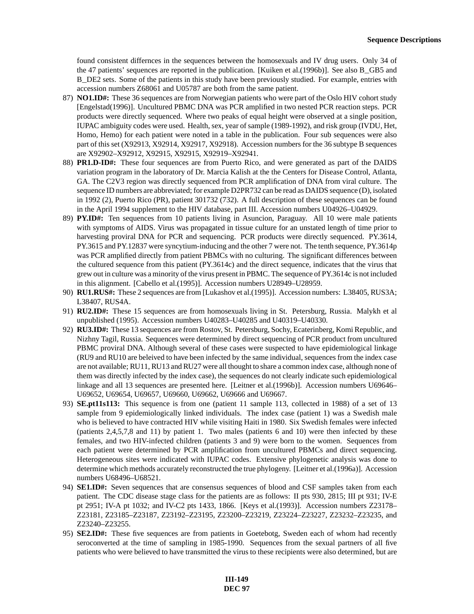found consistent differnces in the sequences between the homosexuals and IV drug users. Only 34 of the 47 patients' sequences are reported in the publication. [Kuiken et al.(1996b)]. See also B\_GB5 and B DE2 sets. Some of the patients in this study have been previously studied. For example, entries with accession numbers Z68061 and U05787 are both from the same patient.

- 87) **NO1.ID#:** These 36 sequences are from Norwegian patients who were part of the Oslo HIV cohort study [Engelstad(1996)]. Uncultured PBMC DNA was PCR amplified in two nested PCR reaction steps. PCR products were directly sequenced. Where two peaks of equal height were observed at a single position, IUPAC ambiguity codes were used. Health, sex, year of sample (1989-1992), and risk group (IVDU, Het, Homo, Hemo) for each patient were noted in a table in the publication. Four sub sequences were also part of this set (X92913, X92914, X92917, X92918). Accession numbers for the 36 subtype B sequences are X92902–X92912, X92915, X92915, X92919–X92941.
- 88) **PR1.D-ID#:** These four sequences are from Puerto Rico, and were generated as part of the DAIDS variation program in the laboratory of Dr. Marcia Kalish at the the Centers for Disease Control, Atlanta, GA. The C2V3 region was directly sequenced from PCR amplification of DNA from viral culture. The sequence ID numbers are abbreviated; for example D2PR732 can be read as DAIDS sequence (D), isolated in 1992 (2), Puerto Rico (PR), patient 301732 (732). A full description of these sequences can be found in the April 1994 supplement to the HIV database, part III. Accession numbers U04926–U04929.
- 89) **PY.ID#:** Ten sequences from 10 patients living in Asuncion, Paraguay. All 10 were male patients with symptoms of AIDS. Virus was propagated in tissue culture for an unstated length of time prior to harvesting proviral DNA for PCR and sequencing. PCR products were directly sequenced. PY.3614, PY.3615 and PY.12837 were syncytium-inducing and the other 7 were not. The tenth sequence, PY.3614p was PCR amplified directly from patient PBMCs with no culturing. The significant differences between the cultured sequence from this patient (PY.3614c) and the direct sequence, indicates that the virus that grew out in culture was a minority of the virus present in PBMC. The sequence of PY.3614c is not included in this alignment. [Cabello et al.(1995)]. Accession numbers U28949–U28959.
- 90) **RU1.RUS#:** These 2 sequences are from [Lukashov et al.(1995)]. Accession numbers: L38405, RUS3A; L38407, RUS4A.
- 91) **RU2.ID#:** These 15 sequences are from homosexuals living in St. Petersburg, Russia. Malykh et al unpublished (1995). Accession numbers U40283–U40285 and U40319–U40330.
- 92) **RU3.ID#:** These 13 sequences are from Rostov, St. Petersburg, Sochy, Ecaterinberg, Komi Republic, and Nizhny Tagil, Russia. Sequences were determined by direct sequencing of PCR product from uncultured PBMC proviral DNA. Although several of these cases were suspected to have epidemiological linkage (RU9 and RU10 are beleived to have been infected by the same individual, sequences from the index case are not available; RU11, RU13 and RU27 were all thought to share a common index case, although none of them was directly infected by the index case), the sequences do not clearly indicate such epidemiological linkage and all 13 sequences are presented here. [Leitner et al.(1996b)]. Accession numbers U69646– U69652, U69654, U69657, U69660, U69662, U69666 and U69667.
- 93) **SE.pt11s113:** This sequence is from one (patient 11 sample 113, collected in 1988) of a set of 13 sample from 9 epidemiologically linked individuals. The index case (patient 1) was a Swedish male who is believed to have contracted HIV while visiting Haiti in 1980. Six Swedish females were infected (patients 2,4,5,7,8 and 11) by patient 1. Two males (patients 6 and 10) were then infected by these females, and two HIV-infected children (patients 3 and 9) were born to the women. Sequences from each patient were determined by PCR amplification from uncultured PBMCs and direct sequencing. Heterogeneous sites were indicated with IUPAC codes. Extensive phylogenetic analysis was done to determine which methods accurately reconstructed the true phylogeny. [Leitner et al.(1996a)]. Accession numbers U68496–U68521.
- 94) **SE1.ID#:** Seven sequences that are consensus sequences of blood and CSF samples taken from each patient. The CDC disease stage class for the patients are as follows: II pts 930, 2815; III pt 931; IV-E pt 2951; IV-A pt 1032; and IV-C2 pts 1433, 1866. [Keys et al.(1993)]. Accession numbers Z23178– Z23181, Z23185–Z23187, Z23192–Z23195, Z23200–Z23219, Z23224–Z23227, Z23232–Z23235, and Z23240–Z23255.
- 95) **SE2.ID#:** These five sequences are from patients in Goetebotg, Sweden each of whom had recently seroconverted at the time of sampling in 1985-1990. Sequences from the sexual partners of all five patients who were believed to have transmitted the virus to these recipients were also determined, but are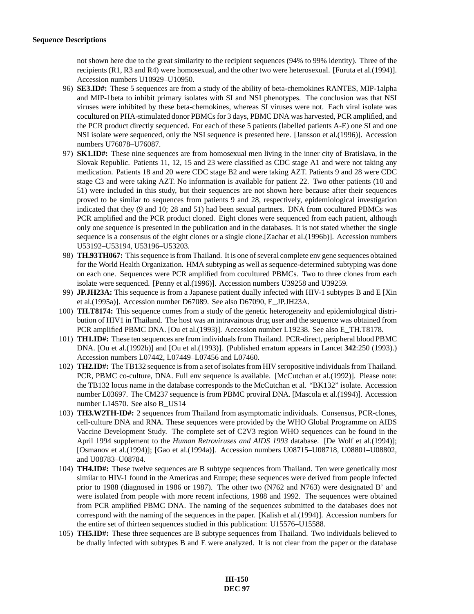not shown here due to the great similarity to the recipient sequences (94% to 99% identity). Three of the recipients (R1, R3 and R4) were homosexual, and the other two were heterosexual. [Furuta et al.(1994)]. Accession numbers U10929–U10950.

- 96) **SE3.ID#:** These 5 sequences are from a study of the ability of beta-chemokines RANTES, MIP-1alpha and MIP-1beta to inhibit primary isolates with SI and NSI phenotypes. The conclusion was that NSI viruses were inhibited by these beta-chemokines, whereas SI viruses were not. Each viral isolate was cocultured on PHA-stimulated donor PBMCs for 3 days, PBMC DNA was harvested, PCR amplified, and the PCR product directly sequenced. For each of these 5 patients (labelled patients A-E) one SI and one NSI isolate were sequenced, only the NSI sequence is presented here. [Jansson et al.(1996)]. Accession numbers U76078–U76087.
- 97) **SK1.ID#:** These nine sequences are from homosexual men living in the inner city of Bratislava, in the Slovak Republic. Patients 11, 12, 15 and 23 were classified as CDC stage A1 and were not taking any medication. Patients 18 and 20 were CDC stage B2 and were taking AZT. Patients 9 and 28 were CDC stage C3 and were taking AZT. No information is available for patient 22. Two other patients (10 and 51) were included in this study, but their sequences are not shown here because after their sequences proved to be similar to sequences from patients 9 and 28, respectively, epidemiological investigation indicated that they (9 and 10; 28 and 51) had been sexual partners. DNA from cocultured PBMCs was PCR amplified and the PCR product cloned. Eight clones were sequenced from each patient, although only one sequence is presented in the publication and in the databases. It is not stated whether the single sequence is a consensus of the eight clones or a single clone.[Zachar et al.(1996b)]. Accession numbers U53192–U53194, U53196–U53203.
- 98) **TH.93TH067:** This sequence is from Thailand. It is one of several complete env gene sequences obtained for the World Health Organization. HMA subtyping as well as sequence-determined subtyping was done on each one. Sequences were PCR amplified from cocultured PBMCs. Two to three clones from each isolate were sequenced. [Penny et al.(1996)]. Accession numbers U39258 and U39259.
- 99) **JP.JH23A:** This sequence is from a Japanese patient dually infected with HIV-1 subtypes B and E [Xin et al.(1995a)]. Accession number D67089. See also D67090, E\_JP.JH23A.
- 100) **TH.T8174:** This sequence comes from a study of the genetic heterogeneity and epidemiological distribution of HIV1 in Thailand. The host was an intravainous drug user and the sequence was obtained from PCR amplified PBMC DNA. [Ou et al.(1993)]. Accession number L19238. See also E\_TH.T8178.
- 101) **TH1.ID#:** These ten sequences are from individuals from Thailand. PCR-direct, peripheral blood PBMC DNA. [Ou et al.(1992b)] and [Ou et al.(1993)]. (Published erratum appears in Lancet **342**:250 (1993).) Accession numbers L07442, L07449–L07456 and L07460.
- 102) **TH2.ID#:** The TB132 sequence is from a set of isolates from HIV seropositive individuals from Thailand. PCR, PBMC co-culture, DNA. Full env sequence is available. [McCutchan et al.(1992)]. Please note: the TB132 locus name in the database corresponds to the McCutchan et al. "BK132" isolate. Accession number L03697. The CM237 sequence is from PBMC proviral DNA. [Mascola et al.(1994)]. Accession number L14570. See also B\_US14
- 103) **TH3.W2TH-ID#:** 2 sequences from Thailand from asymptomatic individuals. Consensus, PCR-clones, cell-culture DNA and RNA. These sequences were provided by the WHO Global Programme on AIDS Vaccine Development Study. The complete set of C2V3 region WHO sequences can be found in the April 1994 supplement to the *Human Retroviruses and AIDS 1993* database. [De Wolf et al.(1994)]; [Osmanov et al.(1994)]; [Gao et al.(1994a)]. Accession numbers U08715–U08718, U08801–U08802, and U08783–U08784.
- 104) **TH4.ID#:** These twelve sequences are B subtype sequences from Thailand. Ten were genetically most similar to HIV-1 found in the Americas and Europe; these sequences were derived from people infected prior to 1988 (diagnosed in 1986 or 1987). The other two (N762 and N763) were designated B' and were isolated from people with more recent infections, 1988 and 1992. The sequences were obtained from PCR amplified PBMC DNA. The naming of the sequences submitted to the databases does not correspond with the naming of the sequences in the paper. [Kalish et al.(1994)]. Accession numbers for the entire set of thirteen sequences studied in this publication: U15576–U15588.
- 105) **TH5.ID#:** These three sequences are B subtype sequences from Thailand. Two individuals believed to be dually infected with subtypes B and E were analyzed. It is not clear from the paper or the database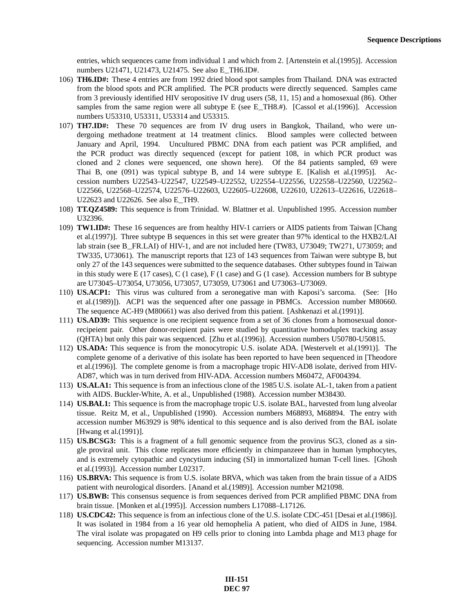entries, which sequences came from individual 1 and which from 2. [Artenstein et al.(1995)]. Accession numbers U21471, U21473, U21475. See also E\_TH6.ID#.

- 106) **TH6.ID#:** These 4 entries are from 1992 dried blood spot samples from Thailand. DNA was extracted from the blood spots and PCR amplified. The PCR products were directly sequenced. Samples came from 3 previously identified HIV seropositive IV drug users (58, 11, 15) and a homosexual (86). Other samples from the same region were all subtype E (see  $E_T=1H8. #$ ). [Cassol et al.(1996)]. Accession numbers U53310, U53311, U53314 and U53315.
- 107) **TH7.ID#:** These 70 sequences are from IV drug users in Bangkok, Thailand, who were undergoing methadone treatment at 14 treatment clinics. Blood samples were collected between January and April, 1994. Uncultured PBMC DNA from each patient was PCR amplified, and the PCR product was directly sequenced (except for patient 108, in which PCR product was cloned and 2 clones were sequenced, one shown here). Of the 84 patients sampled, 69 were Thai B, one (091) was typical subtype B, and 14 were subtype E. [Kalish et al.(1995)]. Accession numbers U22543–U22547, U22549–U22552, U22554–U22556, U22558–U22560, U22562– U22566, U22568–U22574, U22576–U22603, U22605–U22608, U22610, U22613–U22616, U22618– U22623 and U22626. See also E\_TH9.
- 108) **TT.QZ4589:** This sequence is from Trinidad. W. Blattner et al. Unpublished 1995. Accession number U32396.
- 109) **TW1.ID#:** These 16 sequences are from healthy HIV-1 carriers or AIDS patients from Taiwan [Chang et al.(1997)]. Three subtype B sequences in this set were greater than 97% identical to the HXB2/LAI lab strain (see B\_FR.LAI) of HIV-1, and are not included here (TW83, U73049; TW271, U73059; and TW335, U73061). The manuscript reports that 123 of 143 sequences from Taiwan were subtype B, but only 27 of the 143 sequences were submitted to the sequence databases. Other subtypes found in Taiwan in this study were E (17 cases), C (1 case), F (1 case) and G (1 case). Accession numbers for B subtype are U73045–U73054, U73056, U73057, U73059, U73061 and U73063–U73069.
- 110) **US.ACP1:** This virus was cultured from a seronegative man with Kaposi's sarcoma. (See: [Ho et al.(1989)]). ACP1 was the sequenced after one passage in PBMCs. Accession number M80660. The sequence AC-H9 (M80661) was also derived from this patient. [Ashkenazi et al.(1991)].
- 111) **US.AD39:** This sequence is one recipient sequence from a set of 36 clones from a homosexual donorrecipeient pair. Other donor-recipient pairs were studied by quantitative homoduplex tracking assay (QHTA) but only this pair was sequenced. [Zhu et al.(1996)]. Accession numbers U50780-U50815.
- 112) **US.ADA:** This sequence is from the monocytropic U.S. isolate ADA. [Westervelt et al.(1991)]. The complete genome of a derivative of this isolate has been reported to have been sequenced in [Theodore et al.(1996)]. The complete genome is from a macrophage tropic HIV-AD8 isolate, derived from HIV-AD87, which was in turn derived from HIV-ADA. Accession numbers M60472, AF004394.
- 113) **US.ALA1:** This sequence is from an infectious clone of the 1985 U.S. isolate AL-1, taken from a patient with AIDS. Buckler-White, A. et al., Unpublished (1988). Accession number M38430.
- 114) **US.BAL1:** This sequence is from the macrophage tropic U.S. isolate BAL, harvested from lung alveolar tissue. Reitz M, et al., Unpublished (1990). Accession numbers M68893, M68894. The entry with accession number M63929 is 98% identical to this sequence and is also derived from the BAL isolate [Hwang et al.(1991)].
- 115) **US.BCSG3:** This is a fragment of a full genomic sequence from the provirus SG3, cloned as a single proviral unit. This clone replicates more efficiently in chimpanzeee than in human lymphocytes, and is extremely cytopathic and cyncytium inducing (SI) in immortalized human T-cell lines. [Ghosh et al.(1993)]. Accession number L02317.
- 116) **US.BRVA:** This sequence is from U.S. isolate BRVA, which was taken from the brain tissue of a AIDS patient with neurological disorders. [Anand et al.(1989)]. Accession number M21098.
- 117) **US.BWB:** This consensus sequence is from sequences derived from PCR amplified PBMC DNA from brain tissue. [Monken et al.(1995)]. Accession numbers L17088–L17126.
- 118) **US.CDC42:** This sequence is from an infectious clone of the U.S. isolate CDC-451 [Desai et al.(1986)]. It was isolated in 1984 from a 16 year old hemophelia A patient, who died of AIDS in June, 1984. The viral isolate was propagated on H9 cells prior to cloning into Lambda phage and M13 phage for sequencing. Accession number M13137.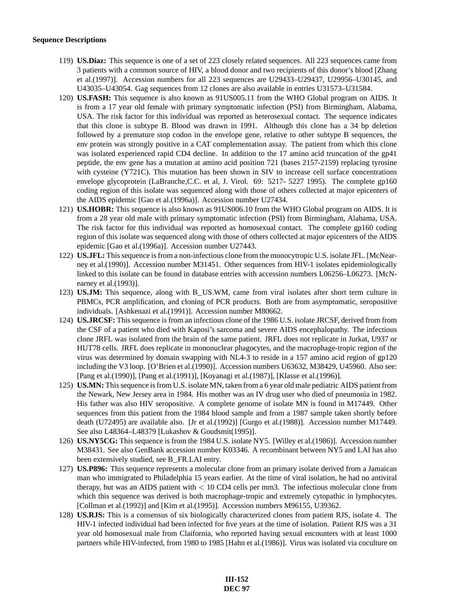- 119) **US.Diaz:** This sequence is one of a set of 223 closely related sequences. All 223 sequences came from 3 patients with a common source of HIV, a blood donor and two recipients of this donor's blood [Zhang et al.(1997)]. Accession numbers for all 223 sequences are U29433–U29437, U29956–U30145, and U43035–U43054. Gag sequences from 12 clones are also available in entries U31573–U31584.
- 120) **US.FASH:** This sequence is also known as 91US005.11 from the WHO Global program on AIDS. It is from a 17 year old female with primary symptomatic infection (PSI) from Birmingham, Alabama, USA. The risk factor for this individual was reported as heterosexual contact. The sequence indicates that this clone is subtype B. Blood was drawn in 1991. Although this clone has a 34 bp deletion followed by a premature stop codon in the envelope gene, relative to other subtype B sequences, the env protein was strongly positive in a CAT complementation assay. The patient from which this clone was isolated experienced rapid CD4 decline. In addition to the 17 amino acid truncation of the gp41 peptide, the env gene has a mutation at amino acid position 721 (bases 2157-2159) replacing tyrosine with cysteine (Y721C). This mutation has been shown in SIV to increase cell surface concentrations envelope glycoprotein (LaBranche,C.C. et al, J. Virol. 69: 5217- 5227 1995). The complete gp160 coding region of this isolate was sequenced along with those of others collected at major epicenters of the AIDS epidemic [Gao et al.(1996a)]. Accession number U27434.
- 121) **US.HOBR:** This sequence is also known as 91US006.10 from the WHO Global program on AIDS. It is from a 28 year old male with primary symptomatic infection (PSI) from Birmingham, Alabama, USA. The risk factor for this individual was reported as homosexual contact. The complete gp160 coding region of this isolate was sequenced along with those of others collected at major epicenters of the AIDS epidemic [Gao et al.(1996a)]. Accession number U27443.
- 122) **US.JFL:** This sequence is from a non-infectious clone from the monocytropic U.S. isolate JFL. [McNearney et al.(1990)]. Accession number M31451. Other sequences from HIV-1 isolates epidemiologically linked to this isolate can be found in database entries with accession numbers L06256–L06273. [McNearney et al.(1993)].
- 123) **US.JM:** This sequence, along with B\_US.WM, came from viral isolates after short term culture in PBMCs, PCR amplification, and cloning of PCR products. Both are from asymptomatic, seropositive individuals. [Ashkenazi et al.(1991)]. Accession number M80662.
- 124) **US.JRCSF:** This sequence is from an infectious clone of the 1986 U.S. isolate JRCSF, derived from from the CSF of a patient who died with Kaposi's sarcoma and severe AIDS encephalopathy. The infectious clone JRFL was isolated from the brain of the same patient. JRFL does not replicate in Jurkat, U937 or HUT78 cells. JRFL does replicate in mononuclear phagocytes, and the macrophage-tropic region of the virus was determined by domain swapping with NL4-3 to reside in a 157 amino acid region of gp120 including the V3 loop. [O'Brien et al.(1990)]. Accession numbers U63632, M38429, U45960. Also see: [Pang et al.(1990)], [Pang et al.(1991)], [Koyanagi et al.(1987)], [Klasse et al.(1996)].
- 125) **US.MN:** This sequence is from U.S. isolate MN, taken from a 6 year old male pediatric AIDS patient from the Newark, New Jersey area in 1984. His mother was an IV drug user who died of pneumonia in 1982. His father was also HIV seropositive. A complete genome of isolate MN is found in M17449. Other sequences from this patient from the 1984 blood sample and from a 1987 sample taken shortly before death (U72495) are available also. [Jr et al.(1992)] [Gurgo et al.(1988)]. Accession number M17449. See also L48364–L48379 [Lukashov & Goudsmit(1995)].
- 126) **US.NY5CG:** This sequence is from the 1984 U.S. isolate NY5. [Willey et al.(1986)]. Accession number M38431. See also GenBank accession number K03346. A recombinant between NY5 and LAI has also been extensively studied, see B\_FR.LAI entry.
- 127) **US.P896:** This sequence represents a molecular clone from an primary isolate derived from a Jamaican man who immigrated to Philadelphia 15 years earlier. At the time of viral isolation, he had no antiviral therapy, but was an AIDS patient with  $< 10 \text{ CD4}$  cells per mm3. The infectious molecular clone from which this sequence was derived is both macrophage-tropic and extremely cytopathic in lymphocytes. [Collman et al.(1992)] and [Kim et al.(1995)]. Accession numbers M96155, U39362.
- 128) **US.RJS:** This is a consensus of six biologically characterized clones from patient RJS, isolate 4. The HIV-1 infected individual had been infected for five years at the time of isolation. Patient RJS was a 31 year old homosexual male from Claifornia, who reported having sexual encounters with at least 1000 partners while HIV-infected, from 1980 to 1985 [Hahn et al.(1986)]. Virus was isolated via coculture on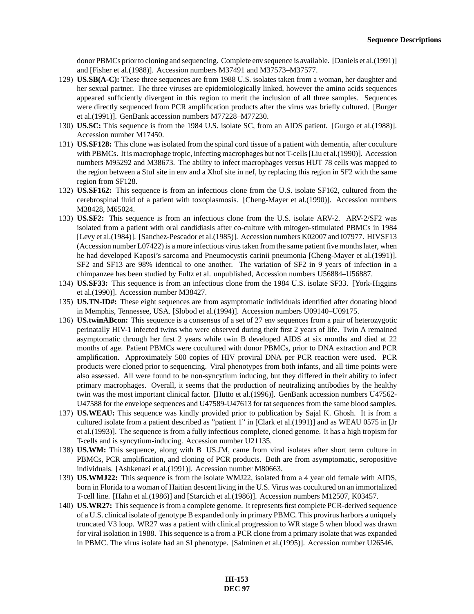donor PBMCs prior to cloning and sequencing. Complete env sequence is available. [Daniels et al.(1991)] and [Fisher et al.(1988)]. Accession numbers M37491 and M37573–M37577.

- 129) **US.SB(A-C):** These three sequences are from 1988 U.S. isolates taken from a woman, her daughter and her sexual partner. The three viruses are epidemiologically linked, however the amino acids sequences appeared sufficiently divergent in this region to merit the inclusion of all three samples. Sequences were directly sequenced from PCR amplification products after the virus was briefly cultured. [Burger et al.(1991)]. GenBank accession numbers M77228–M77230.
- 130) **US.SC:** This sequence is from the 1984 U.S. isolate SC, from an AIDS patient. [Gurgo et al.(1988)]. Accession number M17450.
- 131) **US.SF128:** This clone was isolated from the spinal cord tissue of a patient with dementia, after coculture with PBMCs. It is macrophage tropic, infecting macrophages but not T-cells [Liu et al.(1990)]. Accession numbers M95292 and M38673. The ability to infect macrophages versus HUT 78 cells was mapped to the region between a StuI site in env and a XhoI site in nef, by replacing this region in SF2 with the same region from SF128.
- 132) **US.SF162:** This sequence is from an infectious clone from the U.S. isolate SF162, cultured from the cerebrospinal fluid of a patient with toxoplasmosis. [Cheng-Mayer et al.(1990)]. Accession numbers M38428, M65024.
- 133) **US.SF2:** This sequence is from an infectious clone from the U.S. isolate ARV-2. ARV-2/SF2 was isolated from a patient with oral candidiasis after co-culture with mitogen-stimulated PBMCs in 1984 [Levy et al.(1984)]. [Sanchez-Pescador et al.(1985)]. Accession numbers K02007 and I07977. HIVSF13 (Accession number L07422) is a more infectious virus taken from the same patient five months later, when he had developed Kaposi's sarcoma and Pneumocystis carinii pneumonia [Cheng-Mayer et al.(1991)]. SF2 and SF13 are 98% identical to one another. The variation of SF2 in 9 years of infection in a chimpanzee has been studied by Fultz et al. unpublished, Accession numbers U56884–U56887.
- 134) **US.SF33:** This sequence is from an infectious clone from the 1984 U.S. isolate SF33. [York-Higgins et al.(1990)]. Accession number M38427.
- 135) **US.TN-ID#:** These eight sequences are from asymptomatic individuals identified after donating blood in Memphis, Tennessee, USA. [Slobod et al.(1994)]. Accession numbers U09140–U09175.
- 136) **US.twinABcon:** This sequence is a consensus of a set of 27 env sequences from a pair of heterozygotic perinatally HIV-1 infected twins who were observed during their first 2 years of life. Twin A remained asymptomatic through her first 2 years while twin B developed AIDS at six months and died at 22 months of age. Patient PBMCs were cocultured with donor PBMCs, prior to DNA extraction and PCR amplification. Approximately 500 copies of HIV proviral DNA per PCR reaction were used. PCR products were cloned prior to sequencing. Viral phenotypes from both infants, and all time points were also assessed. All were found to be non-syncytium inducing, but they differed in their ability to infect primary macrophages. Overall, it seems that the production of neutralizing antibodies by the healthy twin was the most important clinical factor. [Hutto et al.(1996)]. GenBank accession numbers U47562- U47588 for the envelope sequences and U47589-U47613 for tat sequences from the same blood samples.
- 137) **US.WEAU:** This sequence was kindly provided prior to publication by Sajal K. Ghosh. It is from a cultured isolate from a patient described as "patient 1" in [Clark et al.(1991)] and as WEAU 0575 in [Jr et al.(1993)]. The sequence is from a fully infectious complete, cloned genome. It has a high tropism for T-cells and is syncytium-inducing. Accession number U21135.
- 138) **US.WM:** This sequence, along with B\_US.JM, came from viral isolates after short term culture in PBMCs, PCR amplification, and cloning of PCR products. Both are from asymptomatic, seropositive individuals. [Ashkenazi et al.(1991)]. Accession number M80663.
- 139) **US.WMJ22:** This sequence is from the isolate WMJ22, isolated from a 4 year old female with AIDS, born in Florida to a woman of Haitian descent living in the U.S. Virus was cocultured on an immortalized T-cell line. [Hahn et al.(1986)] and [Starcich et al.(1986)]. Accession numbers M12507, K03457.
- 140) **US.WR27:** This sequence is from a complete genome. It represents first complete PCR-derived sequence of a U.S. clinical isolate of genotype B expanded only in primary PBMC. This provirus harbors a uniquely truncated V3 loop. WR27 was a patient with clinical progression to WR stage 5 when blood was drawn for viral isolation in 1988. This sequence is a from a PCR clone from a primary isolate that was expanded in PBMC. The virus isolate had an SI phenotype. [Salminen et al.(1995)]. Accession number U26546.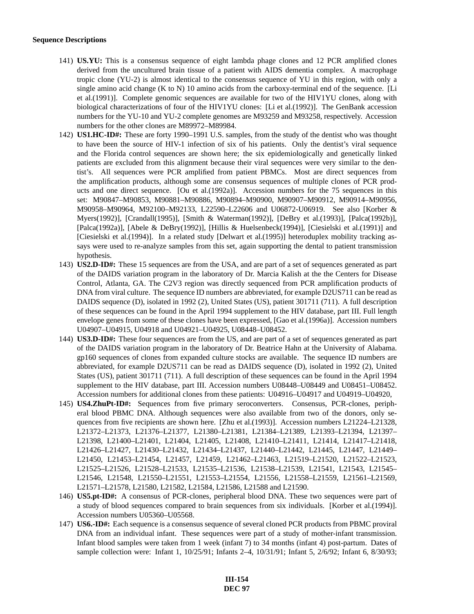- 141) **US.YU:** This is a consensus sequence of eight lambda phage clones and 12 PCR amplified clones derived from the uncultured brain tissue of a patient with AIDS dementia complex. A macrophage tropic clone (YU-2) is almost identical to the consensus sequence of YU in this region, with only a single amino acid change (K to N) 10 amino acids from the carboxy-terminal end of the sequence. [Li et al.(1991)]. Complete genomic sequences are available for two of the HIV1YU clones, along with biological characterizations of four of the HIV1YU clones: [Li et al.(1992)]. The GenBank accession numbers for the YU-10 and YU-2 complete genomes are M93259 and M93258, respectively. Accession numbers for the other clones are M89972–M89984.
- 142) **US1.HC-ID#:** These are forty 1990–1991 U.S. samples, from the study of the dentist who was thought to have been the source of HIV-1 infection of six of his patients. Only the dentist's viral sequence and the Florida control sequences are shown here; the six epidemiologically and genetically linked patients are excluded from this alignment because their viral sequences were very similar to the dentist's. All sequences were PCR amplified from patient PBMCs. Most are direct sequences from the amplification products, although some are consensus sequences of multiple clones of PCR products and one direct sequence. [Ou et al.(1992a)]. Accession numbers for the 75 sequences in this set: M90847–M90853, M90881–M90886, M90894–M90900, M90907–M90912, M90914–M90956, M90958–M90964, M92100–M92133, L22590–L22606 and U06872-U06919. See also [Korber & Myers(1992)], [Crandall(1995)], [Smith & Waterman(1992)], [DeBry et al.(1993)], [Palca(1992b)], [Palca(1992a)], [Abele & DeBry(1992)], [Hillis & Huelsenbeck(1994)], [Ciesielski et al.(1991)] and [Ciesielski et al.(1994)]. In a related study [Delwart et al.(1995)] heteroduplex mobility tracking assays were used to re-analyze samples from this set, again supporting the dental to patient transmission hypothesis.
- 143) **US2.D-ID#:** These 15 sequences are from the USA, and are part of a set of sequences generated as part of the DAIDS variation program in the laboratory of Dr. Marcia Kalish at the the Centers for Disease Control, Atlanta, GA. The C2V3 region was directly sequenced from PCR amplification products of DNA from viral culture. The sequence ID numbers are abbreviated, for example D2US711 can be read as DAIDS sequence (D), isolated in 1992 (2), United States (US), patient 301711 (711). A full description of these sequences can be found in the April 1994 supplement to the HIV database, part III. Full length envelope genes from some of these clones have been expressed, [Gao et al.(1996a)]. Accession numbers U04907–U04915, U04918 and U04921–U04925, U08448–U08452.
- 144) **US3.D-ID#:** These four sequences are from the US, and are part of a set of sequences generated as part of the DAIDS variation program in the laboratory of Dr. Beatrice Hahn at the University of Alabama. gp160 sequences of clones from expanded culture stocks are available. The sequence ID numbers are abbreviated, for example D2US711 can be read as DAIDS sequence (D), isolated in 1992 (2), United States (US), patient 301711 (711). A full description of these sequences can be found in the April 1994 supplement to the HIV database, part III. Accession numbers U08448–U08449 and U08451–U08452. Accession numbers for additional clones from these patients: U04916–U04917 and U04919–U04920,
- 145) **US4.ZhuPt-ID#:** Sequences from five primary seroconverters. Consensus, PCR-clones, peripheral blood PBMC DNA. Although sequences were also available from two of the donors, only sequences from five recipients are shown here. [Zhu et al.(1993)]. Accession numbers L21224–L21328, L21372–L21373, L21376–L21377, L21380–L21381, L21384–L21389, L21393–L21394, L21397– L21398, L21400–L21401, L21404, L21405, L21408, L21410–L21411, L21414, L21417–L21418, L21426–L21427, L21430–L21432, L21434–L21437, L21440–L21442, L21445, L21447, L21449– L21450, L21453–L21454, L21457, L21459, L21462–L21463, L21519–L21520, L21522–L21523, L21525–L21526, L21528–L21533, L21535–L21536, L21538–L21539, L21541, L21543, L21545– L21546, L21548, L21550–L21551, L21553–L21554, L21556, L21558–L21559, L21561–L21569, L21571–L21578, L21580, L21582, L21584, L21586, L21588 and L21590.
- 146) **US5.pt-ID#:** A consensus of PCR-clones, peripheral blood DNA. These two sequences were part of a study of blood sequences compared to brain sequences from six individuals. [Korber et al.(1994)]. Accession numbers U05360–U05568.
- 147) **US6.-ID#:** Each sequence is a consensus sequence of several cloned PCR products from PBMC proviral DNA from an individual infant. These sequences were part of a study of mother-infant transmission. Infant blood samples were taken from 1 week (infant 7) to 34 months (infant 4) post-partum. Dates of sample collection were: Infant 1, 10/25/91; Infants 2–4, 10/31/91; Infant 5, 2/6/92; Infant 6, 8/30/93;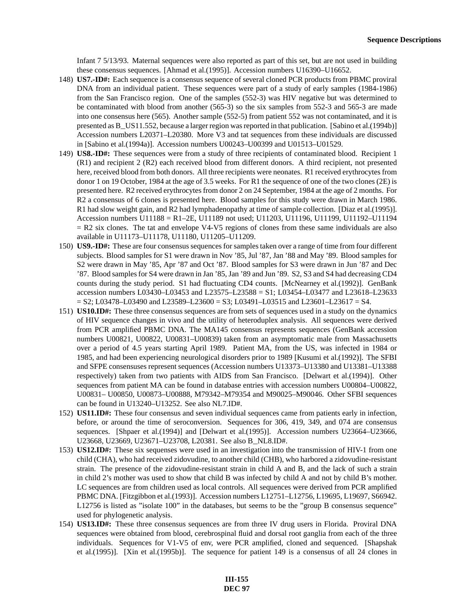Infant 7 5/13/93. Maternal sequences were also reported as part of this set, but are not used in building these consensus sequences. [Ahmad et al.(1995)]. Accession numbers U16390–U16652.

- 148) **US7.-ID#:** Each sequence is a consensus sequence of several cloned PCR products from PBMC proviral DNA from an individual patient. These sequences were part of a study of early samples (1984-1986) from the San Francisco region. One of the samples (552-3) was HIV negative but was determined to be contaminated with blood from another (565-3) so the six samples from 552-3 and 565-3 are made into one consensus here (565). Another sample (552-5) from patient 552 was not contaminated, and it is presented as B\_US11.552, because a larger region was reported in that publication. [Sabino et al.(1994b)] Accession numbers L20371–L20380. More V3 and tat sequences from these individuals are discussed in [Sabino et al.(1994a)]. Accession numbers U00243–U00399 and U01513–U01529.
- 149) **US8.-ID#:** These sequences were from a study of three recipients of contaminated blood. Recipient 1 (R1) and recipient 2 (R2) each received blood from different donors. A third recipient, not presented here, received blood from both donors. All three recipients were neonates. R1 received erythrocytes from donor 1 on 19 October, 1984 at the age of 3.5 weeks. For R1 the sequence of one of the two clones (2E) is presented here. R2 received erythrocytes from donor 2 on 24 September, 1984 at the age of 2 months. For R2 a consensus of 6 clones is presented here. Blood samples for this study were drawn in March 1986. R1 had slow weight gain, and R2 had lymphadenopathy at time of sample collection. [Diaz et al.(1995)]. Accession numbers U11188 = R1–2E, U11189 not used; U11203, U11196, U11199, U11192–U11194 = R2 six clones. The tat and envelope V4-V5 regions of clones from these same individuals are also available in U11173–U11178, U11180, U11205–U11209.
- 150) **US9.-ID#:** These are four consensus sequences for samples taken over a range of time from four different subjects. Blood samples for S1 were drawn in Nov '85, Jul '87, Jan '88 and May '89. Blood samples for S2 were drawn in May '85, Apr '87 and Oct '87. Blood samples for S3 were drawn in Jun '87 and Dec '87. Blood samples for S4 were drawn in Jan '85, Jan '89 and Jun '89. S2, S3 and S4 had decreasing CD4 counts during the study period. S1 had fluctuating CD4 counts. [McNearney et al.(1992)]. GenBank accession numbers L03430–L03453 and L23575–L23588 = S1; L03454–L03477 and L23618–L23633  $=$  S2; L03478–L03490 and L23589–L23600 = S3; L03491–L03515 and L23601–L23617 = S4.
- 151) **US10.ID#:** These three consensus sequences are from sets of sequences used in a study on the dynamics of HIV sequence changes in vivo and the utility of heteroduplex analysis. All sequences were derived from PCR amplified PBMC DNA. The MA145 consensus represents sequences (GenBank accession numbers U00821, U00822, U00831–U00839) taken from an asymptomatic male from Massachusetts over a period of 4.5 years starting April 1989. Patient MA, from the US, was infected in 1984 or 1985, and had been experiencing neurological disorders prior to 1989 [Kusumi et al.(1992)]. The SFBI and SFPE consensuses represent sequences (Accession numbers U13373–U13380 and U13381–U13388 respectively) taken from two patients with AIDS from San Francisco. [Delwart et al.(1994)]. Other sequences from patient MA can be found in database entries with accession numbers U00804–U00822, U00831– U00850, U00873–U00888, M79342–M79354 and M90025–M90046. Other SFBI sequences can be found in U13240–U13252. See also NL7.ID#.
- 152) **US11.ID#:** These four consensus and seven individual sequences came from patients early in infection, before, or around the time of seroconversion. Sequences for 306, 419, 349, and 074 are consensus sequences. [Shpaer et al.(1994)] and [Delwart et al.(1995)]. Accession numbers U23664–U23666, U23668, U23669, U23671–U23708, L20381. See also B\_NL8.ID#.
- 153) **US12.ID#:** These six sequenses were used in an investigation into the transmission of HIV-1 from one child (CHA), who had received zidovudine, to another child (CHB), who harbored a zidovudine-resistant strain. The presence of the zidovudine-resistant strain in child A and B, and the lack of such a strain in child 2's mother was used to show that child B was infected by child A and not by child B's mother. LC sequences are from children used as local controls. All sequences were derived from PCR amplified PBMC DNA. [Fitzgibbon et al.(1993)]. Accession numbers L12751–L12756, L19695, L19697, S66942. L12756 is listed as "isolate 100" in the databases, but seems to be the "group B consensus sequence" used for phylogenetic analysis.
- 154) **US13.ID#:** These three consensus sequences are from three IV drug users in Florida. Proviral DNA sequences were obtained from blood, cerebrospinal fluid and dorsal root ganglia from each of the three individuals. Sequences for V1-V5 of env, were PCR amplified, cloned and sequenced. [Shapshak et al.(1995)]. [Xin et al.(1995b)]. The sequence for patient 149 is a consensus of all 24 clones in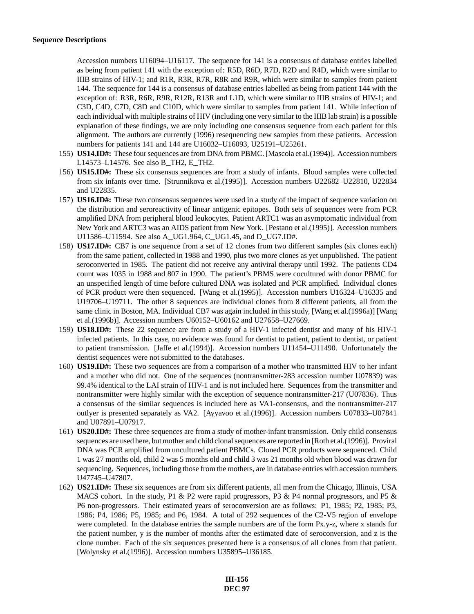Accession numbers U16094–U16117. The sequence for 141 is a consensus of database entries labelled as being from patient 141 with the exception of: R5D, R6D, R7D, R2D and R4D, which were similar to IIIB strains of HIV-1; and R1R, R3R, R7R, R8R and R9R, which were similar to samples from patient 144. The sequence for 144 is a consensus of database entries labelled as being from patient 144 with the exception of: R3R, R6R, R9R, R12R, R13R and L1D, which were similar to IIIB strains of HIV-1; and C3D, C4D, C7D, C8D and C10D, which were similar to samples from patient 141. While infection of each individual with multiple strains of HIV (including one very similar to the IIIB lab strain) is a possible explanation of these findings, we are only including one consensus sequence from each patient for this alignment. The authors are currently (1996) resequencing new samples from these patients. Accession numbers for patients 141 and 144 are U16032–U16093, U25191–U25261.

- 155) **US14.ID#:** These four sequences are from DNA from PBMC. [Mascola et al.(1994)]. Accession numbers L14573–L14576. See also B\_TH2, E\_TH2.
- 156) **US15.ID#:** These six consensus sequences are from a study of infants. Blood samples were collected from six infants over time. [Strunnikova et al.(1995)]. Accession numbers U22682–U22810, U22834 and U22835.
- 157) **US16.ID#:** These two consensus sequences were used in a study of the impact of sequence variation on the distribution and seroreactivity of linear antigenic epitopes. Both sets of sequences were from PCR amplified DNA from peripheral blood leukocytes. Patient ARTC1 was an asymptomatic individual from New York and ARTC3 was an AIDS patient from New York. [Pestano et al.(1995)]. Accession numbers U11586–U11594. See also A\_UG1.964, C\_UG1.45, and D\_UG7.ID#.
- 158) **US17.ID#:** CB7 is one sequence from a set of 12 clones from two different samples (six clones each) from the same patient, collected in 1988 and 1990, plus two more clones as yet unpublished. The patient seroconverted in 1985. The patient did not receive any antiviral therapy until 1992. The patients CD4 count was 1035 in 1988 and 807 in 1990. The patient's PBMS were cocultured with donor PBMC for an unspecified length of time before cultured DNA was isolated and PCR amplified. Individual clones of PCR product were then sequenced. [Wang et al.(1995)]. Accession numbers U16324–U16335 and U19706–U19711. The other 8 sequences are individual clones from 8 different patients, all from the same clinic in Boston, MA. Individual CB7 was again included in this study, [Wang et al.(1996a)] [Wang et al.(1996b)]. Accession numbers U60152–U60162 and U27658–U27669.
- 159) **US18.ID#:** These 22 sequence are from a study of a HIV-1 infected dentist and many of his HIV-1 infected patients. In this case, no evidence was found for dentist to patient, patient to dentist, or patient to patient transmission. [Jaffe et al.(1994)]. Accession numbers U11454–U11490. Unfortunately the dentist sequences were not submitted to the databases.
- 160) **US19.ID#:** These two sequences are from a comparison of a mother who transmitted HIV to her infant and a mother who did not. One of the sequences (nontransmitter-283 accession number U07839) was 99.4% identical to the LAI strain of HIV-1 and is not included here. Sequences from the transmitter and nontransmitter were highly similar with the exception of sequence nontransmitter-217 (U07836). Thus a consensus of the similar sequences is included here as VA1-consensus, and the nontransmitter-217 outlyer is presented separately as VA2. [Ayyavoo et al.(1996)]. Accession numbers U07833–U07841 and U07891–U07917.
- 161) **US20.ID#:** These three sequences are from a study of mother-infant transmission. Only child consensus sequences are used here, but mother and child clonal sequences are reported in [Roth et al.(1996)]. Proviral DNA was PCR amplified from uncultured patient PBMCs. Cloned PCR products were sequenced. Child 1 was 27 months old, child 2 was 5 months old and child 3 was 21 months old when blood was drawn for sequencing. Sequences, including those from the mothers, are in database entries with accession numbers U47745–U47807.
- 162) **US21.ID#:** These six sequences are from six different patients, all men from the Chicago, Illinois, USA MACS cohort. In the study, P1 & P2 were rapid progressors, P3 & P4 normal progressors, and P5 & P6 non-progressors. Their estimated years of seroconversion are as follows: P1, 1985; P2, 1985; P3, 1986; P4, 1986; P5, 1985; and P6, 1984. A total of 292 sequences of the C2-V5 region of envelope were completed. In the database entries the sample numbers are of the form Px.y-z, where x stands for the patient number, y is the number of months after the estimated date of seroconversion, and z is the clone number. Each of the six sequences presented here is a consensus of all clones from that patient. [Wolynsky et al.(1996)]. Accession numbers U35895–U36185.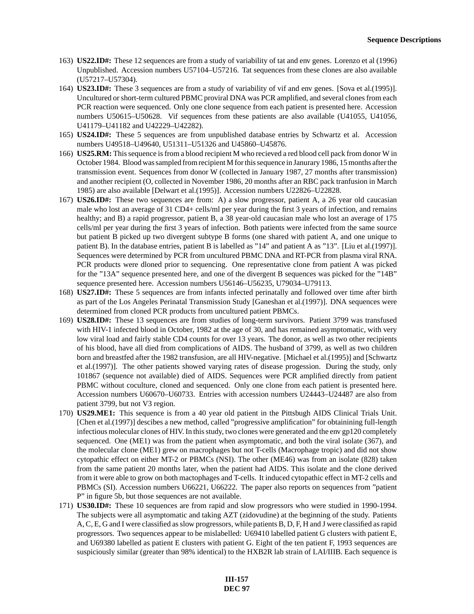- 163) **US22.ID#:** These 12 sequences are from a study of variability of tat and env genes. Lorenzo et al (1996) Unpublished. Accession numbers U57104–U57216. Tat sequences from these clones are also available (U57217–U57304).
- 164) **US23.ID#:** These 3 sequences are from a study of variability of vif and env genes. [Sova et al.(1995)]. Uncultured or short-term cultured PBMC proviral DNA was PCR amplified, and several clones from each PCR reaction were sequenced. Only one clone sequence from each patient is presented here. Accession numbers U50615–U50628. Vif sequences from these patients are also available (U41055, U41056, U41179–U41182 and U42229–U42282).
- 165) **US24.ID#:** These 5 sequences are from unpublished database entries by Schwartz et al. Accession numbers U49518–U49640, U51311–U51326 and U45860–U45876.
- 166) **US25.RM:** This sequence is from a blood recipient M who recieved a red blood cell pack from donor W in October 1984. Blood was sampled from recipient M for this sequence in Janurary 1986, 15 months after the transmission event. Sequences from donor W (collected in January 1987, 27 months after transmission) and another recipient (O, collected in November 1986, 20 months after an RBC pack tranfusion in March 1985) are also available [Delwart et al.(1995)]. Accession numbers U22826–U22828.
- 167) **US26.ID#:** These two sequences are from: A) a slow progressor, patient A, a 26 year old caucasian male who lost an average of 31 CD4+ cells/ml per year during the first 3 years of infection, and remains healthy; and B) a rapid progressor, patient B, a 38 year-old caucasian male who lost an average of 175 cells/ml per year during the first 3 years of infection. Both patients were infected from the same source but patient B picked up two divergent subtype B forms (one shared with patient A, and one unique to patient B). In the database entries, patient B is labelled as "14" and patient A as "13". [Liu et al.(1997)]. Sequences were determined by PCR from uncultured PBMC DNA and RT-PCR from plasma viral RNA. PCR products were dloned prior to sequencing. One representative clone from patient A was picked for the "13A" sequence presented here, and one of the divergent B sequences was picked for the "14B" sequence presented here. Accession numbers U56146–U56235, U79034–U79113.
- 168) **US27.ID#:** These 5 sequences are from infants infected perinatally and followed over time after birth as part of the Los Angeles Perinatal Transmission Study [Ganeshan et al.(1997)]. DNA sequences were determined from cloned PCR products from uncultured patient PBMCs.
- 169) **US28.ID#:** These 13 sequences are from studies of long-term survivors. Patient 3799 was transfused with HIV-1 infected blood in October, 1982 at the age of 30, and has remained asymptomatic, with very low viral load and fairly stable CD4 counts for over 13 years. The donor, as well as two other recipients of his blood, have all died from complications of AIDS. The husband of 3799, as well as two children born and breastfed after the 1982 transfusion, are all HIV-negative. [Michael et al.(1995)] and [Schwartz et al.(1997)]. The other patients showed varying rates of disease progession. During the study, only 101867 (sequence not available) died of AIDS. Sequences were PCR amplified directly from patient PBMC without coculture, cloned and sequenced. Only one clone from each patient is presented here. Accession numbers U60670–U60733. Entries with accession numbers U24443–U24487 are also from patient 3799, but not V3 region.
- 170) **US29.ME1:** This sequence is from a 40 year old patient in the Pittsbugh AIDS Clinical Trials Unit. [Chen et al.(1997)] descibes a new method, called "progressive amplification" for obtainining full-length infectious molecular clones of HIV. In this study, two clones were generated and the env gp120 completely sequenced. One (ME1) was from the patient when asymptomatic, and both the viral isolate (367), and the molecular clone (ME1) grew on macrophages but not T-cells (Macrophage tropic) and did not show cytopathic effect on either MT-2 or PBMCs (NSI). The other (ME46) was from an isolate (828) taken from the same patient 20 months later, when the patient had AIDS. This isolate and the clone derived from it were able to grow on both mactophages and T-cells. It induced cytopathic effect in MT-2 cells and PBMCs (SI). Accession numbers U66221, U66222. The paper also reports on sequences from "patient P" in figure 5b, but those sequences are not available.
- 171) **US30.ID#:** These 10 sequences are from rapid and slow progressors who were studied in 1990-1994. The subjects were all asymptomatic and taking AZT (zidovudine) at the beginning of the study. Patients A, C, E, G and I were classified as slow progressors, while patients B, D, F, H and J were classified as rapid progressors. Two sequences appear to be mislabelled: U69410 labelled patient G clusters with patient E, and U69380 labelled as patient E clusters with patient G. Eight of the ten patient F, 1993 sequences are suspiciously similar (greater than 98% identical) to the HXB2R lab strain of LAI/IIIB. Each sequence is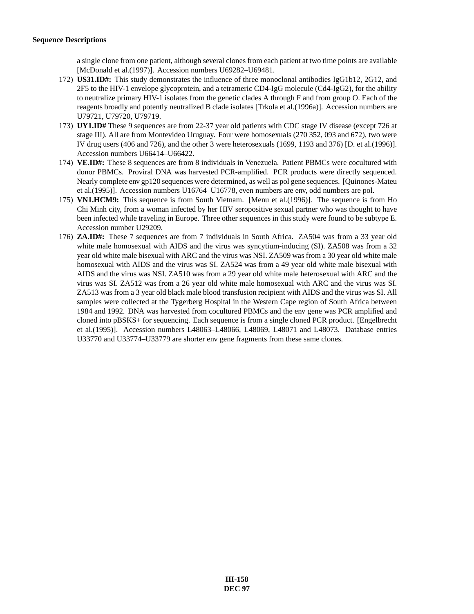a single clone from one patient, although several clones from each patient at two time points are available [McDonald et al.(1997)]. Accession numbers U69282–U69481.

- 172) **US31.ID#:** This study demonstrates the influence of three monoclonal antibodies IgG1b12, 2G12, and 2F5 to the HIV-1 envelope glycoprotein, and a tetrameric CD4-IgG molecule (Cd4-IgG2), for the ability to neutralize primary HIV-1 isolates from the genetic clades A through F and from group O. Each of the reagents broadly and potently neutralized B clade isolates [Trkola et al.(1996a)]. Accession numbers are U79721, U79720, U79719.
- 173) **UY1.ID#** These 9 sequences are from 22-37 year old patients with CDC stage IV disease (except 726 at stage III). All are from Montevideo Uruguay. Four were homosexuals (270 352, 093 and 672), two were IV drug users (406 and 726), and the other 3 were heterosexuals (1699, 1193 and 376) [D. et al.(1996)]. Accession numbers U66414–U66422.
- 174) **VE.ID#:** These 8 sequences are from 8 individuals in Venezuela. Patient PBMCs were cocultured with donor PBMCs. Proviral DNA was harvested PCR-amplified. PCR products were directly sequenced. Nearly complete env gp120 sequences were determined, as well as pol gene sequences. [Quinones-Mateu et al.(1995)]. Accession numbers U16764–U16778, even numbers are env, odd numbers are pol.
- 175) **VN1.HCM9:** This sequence is from South Vietnam. [Menu et al.(1996)]. The sequence is from Ho Chi Minh city, from a woman infected by her HIV seropositive sexual partner who was thought to have been infected while traveling in Europe. Three other sequences in this study were found to be subtype E. Accession number U29209.
- 176) **ZA.ID#:** These 7 sequences are from 7 individuals in South Africa. ZA504 was from a 33 year old white male homosexual with AIDS and the virus was syncytium-inducing (SI). ZA508 was from a 32 year old white male bisexual with ARC and the virus was NSI. ZA509 was from a 30 year old white male homosexual with AIDS and the virus was SI. ZA524 was from a 49 year old white male bisexual with AIDS and the virus was NSI. ZA510 was from a 29 year old white male heterosexual with ARC and the virus was SI. ZA512 was from a 26 year old white male homosexual with ARC and the virus was SI. ZA513 was from a 3 year old black male blood transfusion recipient with AIDS and the virus was SI. All samples were collected at the Tygerberg Hospital in the Western Cape region of South Africa between 1984 and 1992. DNA was harvested from cocultured PBMCs and the env gene was PCR amplified and cloned into pBSKS+ for sequencing. Each sequence is from a single cloned PCR product. [Engelbrecht et al.(1995)]. Accession numbers L48063–L48066, L48069, L48071 and L48073. Database entries U33770 and U33774–U33779 are shorter env gene fragments from these same clones.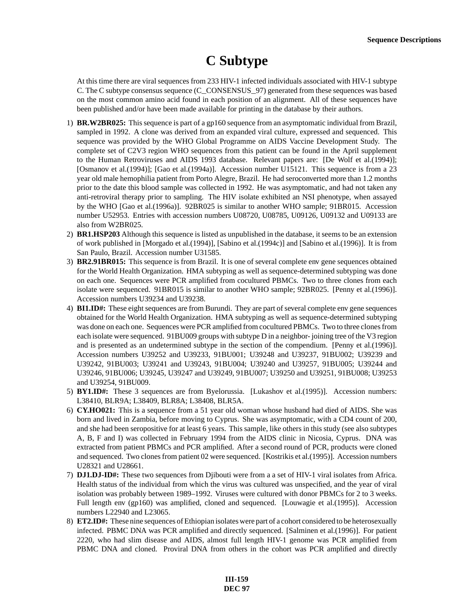# **C Subtype**

At this time there are viral sequences from 233 HIV-1 infected individuals associated with HIV-1 subtype C. The C subtype consensus sequence (C\_CONSENSUS\_97) generated from these sequences was based on the most common amino acid found in each position of an alignment. All of these sequences have been published and/or have been made available for printing in the database by their authors.

- 1) **BR.W2BR025:** This sequence is part of a gp160 sequence from an asymptomatic individual from Brazil, sampled in 1992. A clone was derived from an expanded viral culture, expressed and sequenced. This sequence was provided by the WHO Global Programme on AIDS Vaccine Development Study. The complete set of C2V3 region WHO sequences from this patient can be found in the April supplement to the Human Retroviruses and AIDS 1993 database. Relevant papers are: [De Wolf et al.(1994)]; [Osmanov et al.(1994)]; [Gao et al.(1994a)]. Accession number U15121. This sequence is from a 23 year old male hemophilia patient from Porto Alegre, Brazil. He had seroconverted more than 1.2 months prior to the date this blood sample was collected in 1992. He was asymptomatic, and had not taken any anti-retroviral therapy prior to sampling. The HIV isolate exhibited an NSI phenotype, when assayed by the WHO [Gao et al.(1996a)]. 92BR025 is similar to another WHO sample; 91BR015. Accession number U52953. Entries with accession numbers U08720, U08785, U09126, U09132 and U09133 are also from W2BR025.
- 2) **BR1.HSP203** Although this sequence is listed as unpublished in the database, it seems to be an extension of work published in [Morgado et al.(1994)], [Sabino et al.(1994c)] and [Sabino et al.(1996)]. It is from San Paulo, Brazil. Accession number U31585.
- 3) **BR2.91BR015:** This sequence is from Brazil. It is one of several complete env gene sequences obtained for the World Health Organization. HMA subtyping as well as sequence-determined subtyping was done on each one. Sequences were PCR amplified from cocultured PBMCs. Two to three clones from each isolate were sequenced. 91BR015 is similar to another WHO sample; 92BR025. [Penny et al.(1996)]. Accession numbers U39234 and U39238.
- 4) **BI1.ID#:** These eight sequences are from Burundi. They are part of several complete env gene sequences obtained for the World Health Organization. HMA subtyping as well as sequence-determined subtyping was done on each one. Sequences were PCR amplified from cocultured PBMCs. Two to three clones from each isolate were sequenced. 91BU009 groups with subtype D in a neighbor- joining tree of the V3 region and is presented as an undetermined subtype in the section of the compendium. [Penny et al.(1996)]. Accession numbers U39252 and U39233, 91BU001; U39248 and U39237, 91BU002; U39239 and U39242, 91BU003; U39241 and U39243, 91BU004; U39240 and U39257, 91BU005; U39244 and U39246, 91BU006; U39245, U39247 and U39249, 91BU007; U39250 and U39251, 91BU008; U39253 and U39254, 91BU009.
- 5) **BY1.ID#:** These 3 sequences are from Byelorussia. [Lukashov et al.(1995)]. Accession numbers: L38410, BLR9A; L38409, BLR8A; L38408, BLR5A.
- 6) **CY.HO021:** This is a sequence from a 51 year old woman whose husband had died of AIDS. She was born and lived in Zambia, before moving to Cyprus. She was asymptomatic, with a CD4 count of 200, and she had been seropositive for at least 6 years. This sample, like others in this study (see also subtypes A, B, F and I) was collected in February 1994 from the AIDS clinic in Nicosia, Cyprus. DNA was extracted from patient PBMCs and PCR amplified. After a second round of PCR, products were cloned and sequenced. Two clones from patient 02 were sequenced. [Kostrikis et al.(1995)]. Accession numbers U28321 and U28661.
- 7) **DJ1.DJ-ID#:** These two sequences from Djibouti were from a a set of HIV-1 viral isolates from Africa. Health status of the individual from which the virus was cultured was unspecified, and the year of viral isolation was probably between 1989–1992. Viruses were cultured with donor PBMCs for 2 to 3 weeks. Full length env (gp160) was amplified, cloned and sequenced. [Louwagie et al.(1995)]. Accession numbers L22940 and L23065.
- 8) **ET2.ID#:** These nine sequences of Ethiopian isolates were part of a cohort considered to be heterosexually infected. PBMC DNA was PCR amplified and directly sequenced. [Salminen et al.(1996)]. For patient 2220, who had slim disease and AIDS, almost full length HIV-1 genome was PCR amplified from PBMC DNA and cloned. Proviral DNA from others in the cohort was PCR amplified and directly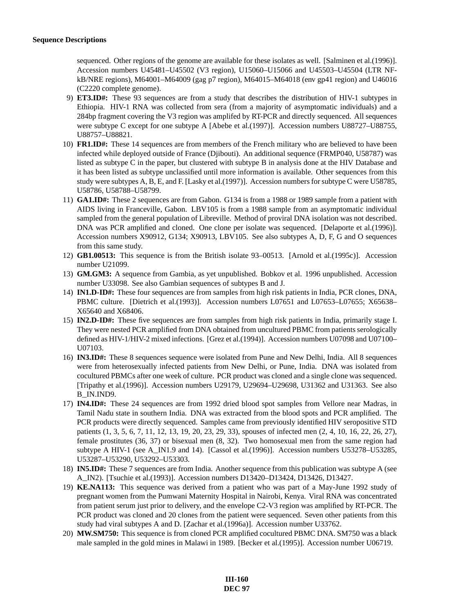sequenced. Other regions of the genome are available for these isolates as well. [Salminen et al.(1996)]. Accession numbers U45481–U45502 (V3 region), U15060–U15066 and U45503–U45504 (LTR NFkB/NRE regions), M64001–M64009 (gag p7 region), M64015–M64018 (env gp41 region) and U46016 (C2220 complete genome).

- 9) **ET3.ID#:** These 93 sequences are from a study that describes the distribution of HIV-1 subtypes in Ethiopia. HIV-1 RNA was collected from sera (from a majority of asymptomatic individuals) and a 284bp fragment covering the V3 region was amplifed by RT-PCR and directly sequenced. All sequences were subtype C except for one subtype A [Abebe et al.(1997)]. Accession numbers U88727–U88755, U88757–U88821.
- 10) **FR1.ID#:** These 14 sequences are from members of the French military who are believed to have been infected while deployed outside of France (Djibouti). An additional sequence (FRMP040, U58787) was listed as subtype C in the paper, but clustered with subtype B in analysis done at the HIV Database and it has been listed as subtype unclassified until more information is available. Other sequences from this study were subtypes A, B, E, and F. [Lasky et al.(1997)]. Accession numbers for subtype C were U58785, U58786, U58788–U58799.
- 11) **GA1.ID#:** These 2 sequences are from Gabon. G134 is from a 1988 or 1989 sample from a patient with AIDS living in Franceville, Gabon. LBV105 is from a 1988 sample from an asymptomatic individual sampled from the general population of Libreville. Method of proviral DNA isolation was not described. DNA was PCR amplified and cloned. One clone per isolate was sequenced. [Delaporte et al.(1996)]. Accession numbers X90912, G134; X90913, LBV105. See also subtypes A, D, F, G and O sequences from this same study.
- 12) **GB1.00513:** This sequence is from the British isolate 93–00513. [Arnold et al.(1995c)]. Accession number U21099.
- 13) **GM.GM3:** A sequence from Gambia, as yet unpublished. Bobkov et al. 1996 unpublished. Accession number U33098. See also Gambian sequences of subtypes B and J.
- 14) **IN1.D-ID#:** These four sequences are from samples from high risk patients in India, PCR clones, DNA, PBMC culture. [Dietrich et al.(1993)]. Accession numbers L07651 and L07653–L07655; X65638– X65640 and X68406.
- 15) **IN2.D-ID#:** These five sequences are from samples from high risk patients in India, primarily stage I. They were nested PCR amplified from DNA obtained from uncultured PBMC from patients serologically defined as HIV-1/HIV-2 mixed infections. [Grez et al.(1994)]. Accession numbers U07098 and U07100– U07103.
- 16) **IN3.ID#:** These 8 sequences sequence were isolated from Pune and New Delhi, India. All 8 sequences were from heterosexually infected patients from New Delhi, or Pune, India. DNA was isolated from cocultured PBMCs after one week of culture. PCR product was cloned and a single clone was sequenced. [Tripathy et al.(1996)]. Accession numbers U29179, U29694–U29698, U31362 and U31363. See also B\_IN.IND9.
- 17) **IN4.ID#:** These 24 sequences are from 1992 dried blood spot samples from Vellore near Madras, in Tamil Nadu state in southern India. DNA was extracted from the blood spots and PCR amplified. The PCR products were directly sequenced. Samples came from previously identified HIV seropositive STD patients (1, 3, 5, 6, 7, 11, 12, 13, 19, 20, 23, 29, 33), spouses of infected men (2, 4, 10, 16, 22, 26, 27), female prostitutes (36, 37) or bisexual men (8, 32). Two homosexual men from the same region had subtype A HIV-1 (see A\_IN1.9 and 14). [Cassol et al.(1996)]. Accession numbers U53278–U53285, U53287–U53290, U53292–U53303.
- 18) **IN5.ID#:** These 7 sequences are from India. Another sequence from this publication was subtype A (see A\_IN2). [Tsuchie et al.(1993)]. Accession numbers D13420–D13424, D13426, D13427.
- 19) **KE.NA113:** This sequence was derived from a patient who was part of a May-June 1992 study of pregnant women from the Pumwani Maternity Hospital in Nairobi, Kenya. Viral RNA was concentrated from patient serum just prior to delivery, and the envelope C2-V3 region was amplified by RT-PCR. The PCR product was cloned and 20 clones from the patient were sequenced. Seven other patients from this study had viral subtypes A and D. [Zachar et al.(1996a)]. Accession number U33762.
- 20) **MW.SM750:** This sequence is from cloned PCR amplified cocultured PBMC DNA. SM750 was a black male sampled in the gold mines in Malawi in 1989. [Becker et al.(1995)]. Accession number U06719.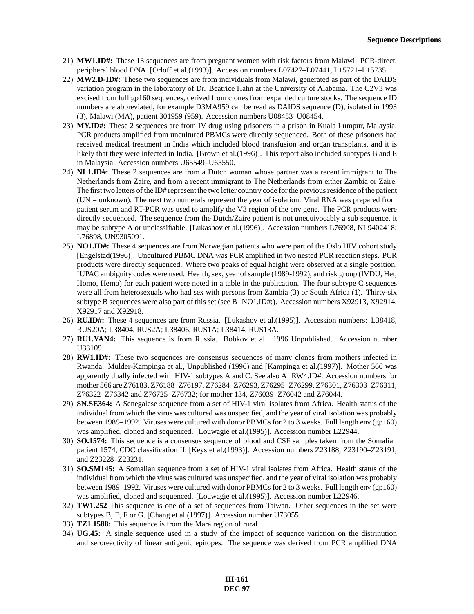- 21) **MW1.ID#:** These 13 sequences are from pregnant women with risk factors from Malawi. PCR-direct, peripheral blood DNA. [Orloff et al.(1993)]. Accession numbers L07427–L07441, L15721–L15735.
- 22) **MW2.D-ID#:** These two sequences are from individuals from Malawi, generated as part of the DAIDS variation program in the laboratory of Dr. Beatrice Hahn at the University of Alabama. The C2V3 was excised from full gp160 sequences, derived from clones from expanded culture stocks. The sequence ID numbers are abbreviated, for example D3MA959 can be read as DAIDS sequence (D), isolated in 1993 (3), Malawi (MA), patient 301959 (959). Accession numbers U08453–U08454.
- 23) **MY.ID#:** These 2 sequences are from IV drug using prisoners in a prison in Kuala Lumpur, Malaysia. PCR products amplified from uncultured PBMCs were directly sequenced. Both of these prisoners had received medical treatment in India which included blood transfusion and organ transplants, and it is likely that they were infected in India. [Brown et al.(1996)]. This report also included subtypes B and E in Malaysia. Accession numbers U65549–U65550.
- 24) **NL1.ID#:** These 2 sequences are from a Dutch woman whose partner was a recent immigrant to The Netherlands from Zaire, and from a recent immigrant to The Netherlands from either Zambia or Zaire. The first two letters of the ID# represent the two letter country code for the previous residence of the patient (UN = unknown). The next two numerals represent the year of isolation. Viral RNA was prepared from patient serum and RT-PCR was used to amplify the V3 region of the env gene. The PCR products were directly sequenced. The sequence from the Dutch/Zaire patient is not unequivocably a sub sequence, it may be subtype A or unclassifiable. [Lukashov et al.(1996)]. Accession numbers L76908, NL9402418; L76898, UN9305091.
- 25) **NO1.ID#:** These 4 sequences are from Norwegian patients who were part of the Oslo HIV cohort study [Engelstad(1996)]. Uncultured PBMC DNA was PCR amplified in two nested PCR reaction steps. PCR products were directly sequenced. Where two peaks of equal height were observed at a single position, IUPAC ambiguity codes were used. Health, sex, year of sample (1989-1992), and risk group (IVDU, Het, Homo, Hemo) for each patient were noted in a table in the publication. The four subtype C sequences were all from heterosexuals who had sex with persons from Zambia (3) or South Africa (1). Thirty-six subtype B sequences were also part of this set (see B\_NO1.ID#:). Accession numbers X92913, X92914, X92917 and X92918.
- 26) **RU.ID#:** These 4 sequences are from Russia. [Lukashov et al.(1995)]. Accession numbers: L38418, RUS20A; L38404, RUS2A; L38406, RUS1A; L38414, RUS13A.
- 27) **RU1.YAN4:** This sequence is from Russia. Bobkov et al. 1996 Unpublished. Accession number U33109.
- 28) **RW1.ID#:** These two sequences are consensus sequences of many clones from mothers infected in Rwanda. Mulder-Kampinga et al., Unpublished (1996) and [Kampinga et al.(1997)]. Mother 566 was apparently dually infected with HIV-1 subtypes A and C. See also A\_RW4.ID#. Accession numbers for mother 566 are Z76183, Z76188–Z76197, Z76284–Z76293, Z76295–Z76299, Z76301, Z76303–Z76311, Z76322–Z76342 and Z76725–Z76732; for mother 134, Z76039–Z76042 and Z76044.
- 29) **SN.SE364:** A Senegalese sequence from a set of HIV-1 viral isolates from Africa. Health status of the individual from which the virus was cultured was unspecified, and the year of viral isolation was probably between 1989–1992. Viruses were cultured with donor PBMCs for 2 to 3 weeks. Full length env (gp160) was amplified, cloned and sequenced. [Louwagie et al.(1995)]. Accession number L22944.
- 30) **SO.1574:** This sequence is a consensus sequence of blood and CSF samples taken from the Somalian patient 1574, CDC classification II. [Keys et al.(1993)]. Accession numbers Z23188, Z23190–Z23191, and Z23228–Z23231.
- 31) **SO.SM145:** A Somalian sequence from a set of HIV-1 viral isolates from Africa. Health status of the individual from which the virus was cultured was unspecified, and the year of viral isolation was probably between 1989–1992. Viruses were cultured with donor PBMCs for 2 to 3 weeks. Full length env (gp160) was amplified, cloned and sequenced. [Louwagie et al.(1995)]. Accession number L22946.
- 32) **TW1.252** This sequence is one of a set of sequences from Taiwan. Other sequences in the set were subtypes B, E, F or G. [Chang et al.(1997)]. Accession number U73055.
- 33) **TZ1.1588:** This sequence is from the Mara region of rural
- 34) **UG.45:** A single sequence used in a study of the impact of sequence variation on the distrinution and seroreactivity of linear antigenic epitopes. The sequence was derived from PCR amplified DNA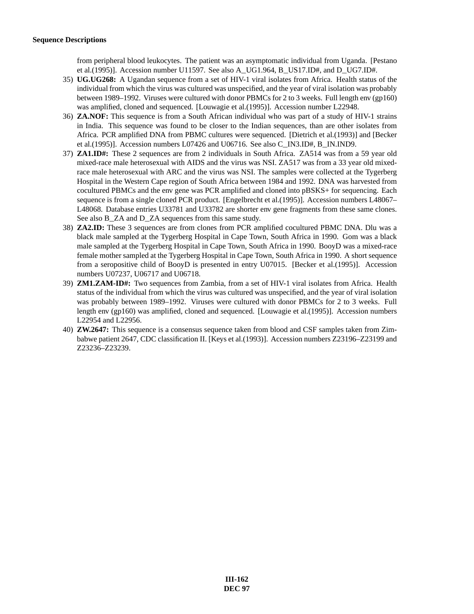from peripheral blood leukocytes. The patient was an asymptomatic individual from Uganda. [Pestano et al.(1995)]. Accession number U11597. See also A\_UG1.964, B\_US17.ID#, and D\_UG7.ID#.

- 35) **UG.UG268:** A Ugandan sequence from a set of HIV-1 viral isolates from Africa. Health status of the individual from which the virus was cultured was unspecified, and the year of viral isolation was probably between 1989–1992. Viruses were cultured with donor PBMCs for 2 to 3 weeks. Full length env (gp160) was amplified, cloned and sequenced. [Louwagie et al.(1995)]. Accession number L22948.
- 36) **ZA.NOF:** This sequence is from a South African individual who was part of a study of HIV-1 strains in India. This sequence was found to be closer to the Indian sequences, than are other isolates from Africa. PCR amplified DNA from PBMC cultures were sequenced. [Dietrich et al.(1993)] and [Becker et al.(1995)]. Accession numbers L07426 and U06716. See also C\_IN3.ID#, B\_IN.IND9.
- 37) **ZA1.ID#:** These 2 sequences are from 2 individuals in South Africa. ZA514 was from a 59 year old mixed-race male heterosexual with AIDS and the virus was NSI. ZA517 was from a 33 year old mixedrace male heterosexual with ARC and the virus was NSI. The samples were collected at the Tygerberg Hospital in the Western Cape region of South Africa between 1984 and 1992. DNA was harvested from cocultured PBMCs and the env gene was PCR amplified and cloned into pBSKS+ for sequencing. Each sequence is from a single cloned PCR product. [Engelbrecht et al.(1995)]. Accession numbers L48067– L48068. Database entries U33781 and U33782 are shorter env gene fragments from these same clones. See also B\_ZA and D\_ZA sequences from this same study.
- 38) **ZA2.ID:** These 3 sequences are from clones from PCR amplified cocultured PBMC DNA. Dlu was a black male sampled at the Tygerberg Hospital in Cape Town, South Africa in 1990. Gom was a black male sampled at the Tygerberg Hospital in Cape Town, South Africa in 1990. BooyD was a mixed-race female mother sampled at the Tygerberg Hospital in Cape Town, South Africa in 1990. A short sequence from a seropositive child of BooyD is presented in entry U07015. [Becker et al.(1995)]. Accession numbers U07237, U06717 and U06718.
- 39) **ZM1.ZAM-ID#:** Two sequences from Zambia, from a set of HIV-1 viral isolates from Africa. Health status of the individual from which the virus was cultured was unspecified, and the year of viral isolation was probably between 1989–1992. Viruses were cultured with donor PBMCs for 2 to 3 weeks. Full length env (gp160) was amplified, cloned and sequenced. [Louwagie et al.(1995)]. Accession numbers L22954 and L22956.
- 40) **ZW.2647:** This sequence is a consensus sequence taken from blood and CSF samples taken from Zimbabwe patient 2647, CDC classification II. [Keys et al.(1993)]. Accession numbers Z23196–Z23199 and Z23236–Z23239.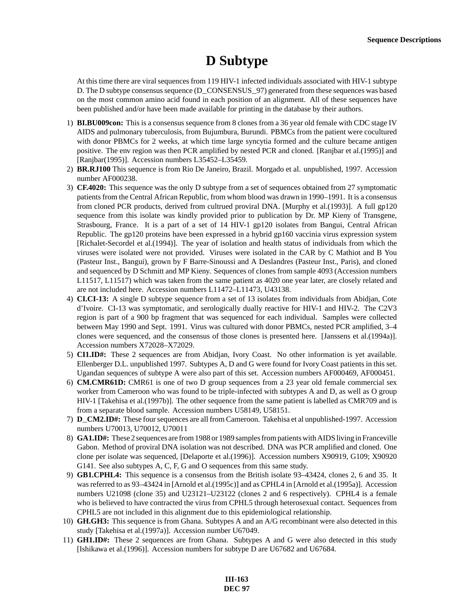## **D Subtype**

At this time there are viral sequences from 119 HIV-1 infected individuals associated with HIV-1 subtype D. The D subtype consensus sequence (D\_CONSENSUS\_97) generated from these sequences was based on the most common amino acid found in each position of an alignment. All of these sequences have been published and/or have been made available for printing in the database by their authors.

- 1) **BI.BU009con:** This is a consensus sequence from 8 clones from a 36 year old female with CDC stage IV AIDS and pulmonary tuberculosis, from Bujumbura, Burundi. PBMCs from the patient were cocultured with donor PBMCs for 2 weeks, at which time large syncytia formed and the culture became antigen positive. The env region was then PCR amplified by nested PCR and cloned. [Ranjbar et al.(1995)] and [Ranjbar(1995)]. Accession numbers L35452–L35459.
- 2) **BR.RJ100** This sequence is from Rio De Janeiro, Brazil. Morgado et al. unpublished, 1997. Accession number AF000238.
- 3) **CF.4020:** This sequence was the only D subtype from a set of sequences obtained from 27 symptomatic patients from the Central African Republic, from whom blood was drawn in 1990–1991. It is a consensus from cloned PCR products, derived from cultrued proviral DNA. [Murphy et al.(1993)]. A full gp120 sequence from this isolate was kindly provided prior to publication by Dr. MP Kieny of Transgene, Strasbourg, France. It is a part of a set of 14 HIV-1 gp120 isolates from Bangui, Central African Republic. The gp120 proteins have been expressed in a hybrid gp160 vaccinia virus expression system [Richalet-Secordel et al.(1994)]. The year of isolation and health status of individuals from which the viruses were isolated were not provided. Viruses were isolated in the CAR by C Mathiot and B You (Pasteur Inst., Bangui), grown by F Barre-Sinoussi and A Deslandres (Pasteur Inst., Paris), and cloned and sequenced by D Schmitt and MP Kieny. Sequences of clones from sample 4093 (Accession numbers L11517, L11517) which was taken from the same patient as 4020 one year later, are closely related and are not included here. Accession numbers L11472–L11473, U43138.
- 4) **CI.CI-13:** A single D subtype sequence from a set of 13 isolates from individuals from Abidjan, Cote d'Ivoire. CI-13 was symptomatic, and serologically dually reactive for HIV-1 and HIV-2. The C2V3 region is part of a 900 bp fragment that was sequenced for each individual. Samples were collected between May 1990 and Sept. 1991. Virus was cultured with donor PBMCs, nested PCR amplified, 3–4 clones were sequenced, and the consensus of those clones is presented here. [Janssens et al.(1994a)]. Accession numbers X72028–X72029.
- 5) **CI1.ID#:** These 2 sequences are from Abidjan, Ivory Coast. No other information is yet available. Ellenberger D.L. unpublished 1997. Subtypes A, D and G were found for Ivory Coast patients in this set. Ugandan sequences of subtype A were also part of this set. Accession numbers AF000469, AF000451.
- 6) **CM.CMR61D:** CMR61 is one of two D group sequences from a 23 year old female commercial sex worker from Cameroon who was found to be triple-infected with subtypes A and D, as well as O group HIV-1 [Takehisa et al.(1997b)]. The other sequence from the same patient is labelled as CMR709 and is from a separate blood sample. Accession numbers U58149, U58151.
- 7) **D**\_**CM2.ID#:** These four sequences are all from Cameroon. Takehisa et al unpublished-1997. Accession numbers U70013, U70012, U70011
- 8) **GA1.ID#:** These 2 sequences are from 1988 or 1989 samples from patients with AIDS living in Franceville Gabon. Method of proviral DNA isolation was not described. DNA was PCR amplified and cloned. One clone per isolate was sequenced, [Delaporte et al.(1996)]. Accession numbers X90919, G109; X90920 G141. See also subtypes A, C, F, G and O sequences from this same study.
- 9) **GB1.CPHL4:** This sequence is a consensus from the British isolate 93–43424, clones 2, 6 and 35. It was referred to as 93–43424 in [Arnold et al.(1995c)] and as CPHL4 in [Arnold et al.(1995a)]. Accession numbers U21098 (clone 35) and U23121–U23122 (clones 2 and 6 respectively). CPHL4 is a female who is believed to have contracted the virus from CPHL5 through heterosexual contact. Sequences from CPHL5 are not included in this alignment due to this epidemiological relationship.
- 10) **GH.GH3:** This sequence is from Ghana. Subtypes A and an A/G recombinant were also detected in this study [Takehisa et al.(1997a)]. Accession number U67049.
- 11) **GH1.ID#:** These 2 sequences are from Ghana. Subtypes A and G were also detected in this study [Ishikawa et al.(1996)]. Accession numbers for subtype D are U67682 and U67684.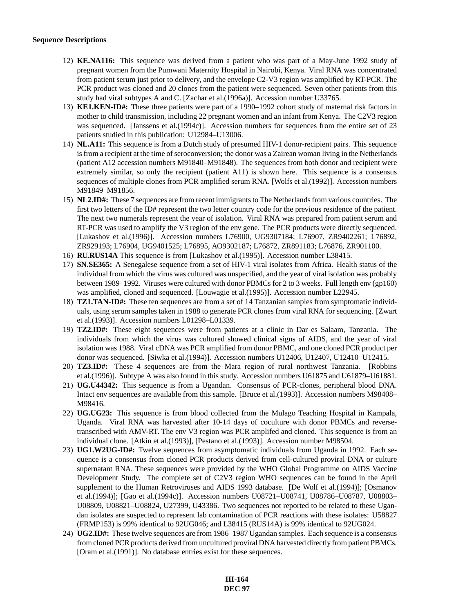- 12) **KE.NA116:** This sequence was derived from a patient who was part of a May-June 1992 study of pregnant women from the Pumwani Maternity Hospital in Nairobi, Kenya. Viral RNA was concentrated from patient serum just prior to delivery, and the envelope C2-V3 region was amplified by RT-PCR. The PCR product was cloned and 20 clones from the patient were sequenced. Seven other patients from this study had viral subtypes A and C. [Zachar et al.(1996a)]. Accession number U33765.
- 13) **KE1.KEN-ID#:** These three patients were part of a 1990–1992 cohort study of maternal risk factors in mother to child transmission, including 22 pregnant women and an infant from Kenya. The C2V3 region was sequenced. [Janssens et al.(1994c)]. Accession numbers for sequences from the entire set of 23 patients studied in this publication: U12984–U13006.
- 14) **NL.A11:** This sequence is from a Dutch study of presumed HIV-1 donor-recipient pairs. This sequence is from a recipient at the time of seroconversion; the donor was a Zairean woman living in the Netherlands (patient A12 accession numbers M91840–M91848). The sequences from both donor and recipient were extremely similar, so only the recipient (patient A11) is shown here. This sequence is a consensus sequences of multiple clones from PCR amplified serum RNA. [Wolfs et al.(1992)]. Accession numbers M91849–M91856.
- 15) **NL2.ID#:** These 7 sequences are from recent immigrants to The Netherlands from various countries. The first two letters of the ID# represent the two letter country code for the previous residence of the patient. The next two numerals represent the year of isolation. Viral RNA was prepared from patient serum and RT-PCR was used to amplify the V3 region of the env gene. The PCR products were directly sequenced. [Lukashov et al.(1996)]. Accession numbers L76900, UG9307184; L76907, ZR9402261; L76892, ZR929193; L76904, UG9401525; L76895, AO9302187; L76872, ZR891183; L76876, ZR901100.
- 16) **RU.RUS14A** This sequence is from [Lukashov et al.(1995)]. Accession number L38415.
- 17) **SN.SE365:** A Senegalese sequence from a set of HIV-1 viral isolates from Africa. Health status of the individual from which the virus was cultured was unspecified, and the year of viral isolation was probably between 1989–1992. Viruses were cultured with donor PBMCs for 2 to 3 weeks. Full length env (gp160) was amplified, cloned and sequenced. [Louwagie et al.(1995)]. Accession number L22945.
- 18) **TZ1.TAN-ID#:** These ten sequences are from a set of 14 Tanzanian samples from symptomatic individuals, using serum samples taken in 1988 to generate PCR clones from viral RNA for sequencing. [Zwart et al.(1993)]. Accession numbers L01298–L01339.
- 19) **TZ2.ID#:** These eight sequences were from patients at a clinic in Dar es Salaam, Tanzania. The individuals from which the virus was cultured showed clinical signs of AIDS, and the year of viral isolation was 1988. Viral cDNA was PCR amplified from donor PBMC, and one cloned PCR product per donor was sequenced. [Siwka et al.(1994)]. Accession numbers U12406, U12407, U12410–U12415.
- 20) **TZ3.ID#:** These 4 sequences are from the Mara region of rural northwest Tanzania. [Robbins et al.(1996)]. Subtype A was also found in this study. Accession numbers U61875 and U61879–U61881.
- 21) **UG.U44342:** This sequence is from a Ugandan. Consensus of PCR-clones, peripheral blood DNA. Intact env sequences are available from this sample. [Bruce et al.(1993)]. Accession numbers M98408– M98416.
- 22) **UG.UG23:** This sequence is from blood collected from the Mulago Teaching Hospital in Kampala, Uganda. Viral RNA was harvested after 10-14 days of coculture with donor PBMCs and reversetranscribed with AMV-RT. The env V3 region was PCR amplifed and cloned. This sequence is from an individual clone. [Atkin et al.(1993)], [Pestano et al.(1993)]. Accession number M98504.
- 23) **UG1.W2UG-ID#:** Twelve sequences from asymptomatic individuals from Uganda in 1992. Each sequence is a consensus from cloned PCR products derived from cell-cultured proviral DNA or culture supernatant RNA. These sequences were provided by the WHO Global Programme on AIDS Vaccine Development Study. The complete set of C2V3 region WHO sequences can be found in the April supplement to the Human Retroviruses and AIDS 1993 database. [De Wolf et al.(1994)]; [Osmanov et al.(1994)]; [Gao et al.(1994c)]. Accession numbers U08721–U08741, U08786–U08787, U08803– U08809, U08821–U08824, U27399, U43386. Two sequences not reported to be related to these Ugandan isolates are suspected to represent lab contamination of PCR reactions with these isolates: U58827 (FRMP153) is 99% identical to 92UG046; and L38415 (RUS14A) is 99% identical to 92UG024.
- 24) **UG2.ID#:** These twelve sequences are from 1986–1987 Ugandan samples. Each sequence is a consensus from cloned PCR products derived from uncultured proviral DNA harvested directly from patient PBMCs. [Oram et al.(1991)]. No database entries exist for these sequences.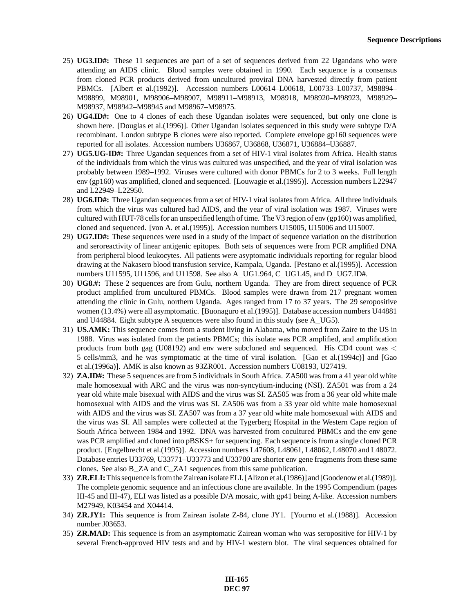- 25) **UG3.ID#:** These 11 sequences are part of a set of sequences derived from 22 Ugandans who were attending an AIDS clinic. Blood samples were obtained in 1990. Each sequence is a consensus from cloned PCR products derived from uncultured proviral DNA harvested directly from patient PBMCs. [Albert et al.(1992)]. Accession numbers L00614–L00618, L00733–L00737, M98894– M98899, M98901, M98906–M98907, M98911–M98913, M98918, M98920–M98923, M98929– M98937, M98942–M98945 and M98967–M98975.
- 26) **UG4.ID#:** One to 4 clones of each these Ugandan isolates were sequenced, but only one clone is shown here. [Douglas et al.(1996)]. Other Ugandan isolates sequenced in this study were subtype D/A recombinant. London subtype B clones were also reported. Complete envelope gp160 sequences were reported for all isolates. Accession numbers U36867, U36868, U36871, U36884–U36887.
- 27) **UG5.UG-ID#:** Three Ugandan sequences from a set of HIV-1 viral isolates from Africa. Health status of the individuals from which the virus was cultured was unspecified, and the year of viral isolation was probably between 1989–1992. Viruses were cultured with donor PBMCs for 2 to 3 weeks. Full length env (gp160) was amplified, cloned and sequenced. [Louwagie et al.(1995)]. Accession numbers L22947 and L22949–L22950.
- 28) **UG6.ID#:** Three Ugandan sequences from a set of HIV-1 viral isolates from Africa. All three individuals from which the virus was cultured had AIDS, and the year of viral isolation was 1987. Viruses were cultured with HUT-78 cells for an unspecified length of time. The V3 region of env (gp160) was amplified, cloned and sequenced. [von A. et al.(1995)]. Accession numbers U15005, U15006 and U15007.
- 29) **UG7.ID#:** These sequences were used in a study of the impact of sequence variation on the distribution and seroreactivity of linear antigenic epitopes. Both sets of sequences were from PCR amplified DNA from peripheral blood leukocytes. All patients were asyptomatic individuals reporting for regular blood drawing at the Nakasero blood transfusion service, Kampala, Uganda. [Pestano et al.(1995)]. Accession numbers U11595, U11596, and U11598. See also A\_UG1.964, C\_UG1.45, and D\_UG7.ID#.
- 30) **UG8.#:** These 2 sequences are from Gulu, northern Uganda. They are from direct sequence of PCR product amplified from uncultured PBMCs. Blood samples were drawn from 217 pregnant women attending the clinic in Gulu, northern Uganda. Ages ranged from 17 to 37 years. The 29 seropositive women (13.4%) were all asymptomatic. [Buonaguro et al.(1995)]. Database accession numbers U44881 and U44884. Eight subtype A sequences were also found in this study (see A\_UG5).
- 31) **US.AMK:** This sequence comes from a student living in Alabama, who moved from Zaire to the US in 1988. Virus was isolated from the patients PBMCs; this isolate was PCR amplified, and amplification products from both gag (U08192) and env were subcloned and sequenced. His CD4 count was < 5 cells/mm3, and he was symptomatic at the time of viral isolation. [Gao et al.(1994c)] and [Gao et al.(1996a)]. AMK is also known as 93ZR001. Accession numbers U08193, U27419.
- 32) **ZA.ID#:** These 5 sequences are from 5 individuals in South Africa. ZA500 was from a 41 year old white male homosexual with ARC and the virus was non-syncytium-inducing (NSI). ZA501 was from a 24 year old white male bisexual with AIDS and the virus was SI. ZA505 was from a 36 year old white male homosexual with AIDS and the virus was SI. ZA506 was from a 33 year old white male homosexual with AIDS and the virus was SI. ZA507 was from a 37 year old white male homosexual with AIDS and the virus was SI. All samples were collected at the Tygerberg Hospital in the Western Cape region of South Africa between 1984 and 1992. DNA was harvested from cocultured PBMCs and the env gene was PCR amplified and cloned into pBSKS+ for sequencing. Each sequence is from a single cloned PCR product. [Engelbrecht et al.(1995)]. Accession numbers L47608, L48061, L48062, L48070 and L48072. Database entries U33769, U33771–U33773 and U33780 are shorter env gene fragments from these same clones. See also B\_ZA and C\_ZA1 sequences from this same publication.
- 33) **ZR.ELI:**This sequence is from the Zairean isolate ELI. [Alizon et al.(1986)] and [Goodenow et al.(1989)]. The complete genomic sequence and an infectious clone are available. In the 1995 Compendium (pages III-45 and III-47), ELI was listed as a possible D/A mosaic, with gp41 being A-like. Accession numbers M27949, K03454 and X04414.
- 34) **ZR.JY1:** This sequence is from Zairean isolate Z-84, clone JY1. [Yourno et al.(1988)]. Accession number J03653.
- 35) **ZR.MAD:** This sequence is from an asymptomatic Zairean woman who was seropositive for HIV-1 by several French-approved HIV tests and and by HIV-1 western blot. The viral sequences obtained for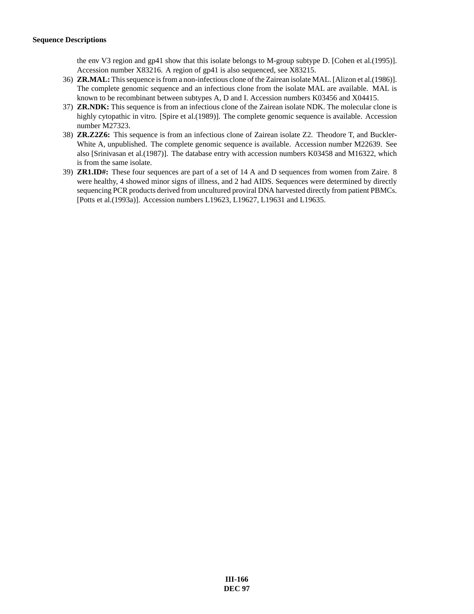the env V3 region and gp41 show that this isolate belongs to M-group subtype D. [Cohen et al.(1995)]. Accession number X83216. A region of gp41 is also sequenced, see X83215.

- 36) **ZR.MAL:** This sequence is from a non-infectious clone of the Zairean isolate MAL. [Alizon et al.(1986)]. The complete genomic sequence and an infectious clone from the isolate MAL are available. MAL is known to be recombinant between subtypes A, D and I. Accession numbers K03456 and X04415.
- 37) **ZR.NDK:** This sequence is from an infectious clone of the Zairean isolate NDK. The molecular clone is highly cytopathic in vitro. [Spire et al.(1989)]. The complete genomic sequence is available. Accession number M27323.
- 38) **ZR.Z2Z6:** This sequence is from an infectious clone of Zairean isolate Z2. Theodore T, and Buckler-White A, unpublished. The complete genomic sequence is available. Accession number M22639. See also [Srinivasan et al.(1987)]. The database entry with accession numbers K03458 and M16322, which is from the same isolate.
- 39) **ZR1.ID#:** These four sequences are part of a set of 14 A and D sequences from women from Zaire. 8 were healthy, 4 showed minor signs of illness, and 2 had AIDS. Sequences were determined by directly sequencing PCR products derived from uncultured proviral DNA harvested directly from patient PBMCs. [Potts et al.(1993a)]. Accession numbers L19623, L19627, L19631 and L19635.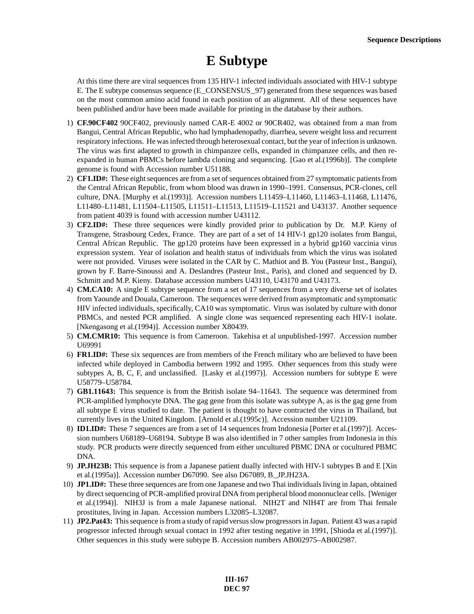### **E Subtype**

At this time there are viral sequences from 135 HIV-1 infected individuals associated with HIV-1 subtype E. The E subtype consensus sequence (E\_CONSENSUS\_97) generated from these sequences was based on the most common amino acid found in each position of an alignment. All of these sequences have been published and/or have been made available for printing in the database by their authors.

- 1) **CF.90CF402** 90CF402, previously named CAR-E 4002 or 90CR402, was obtained from a man from Bangui, Central African Republic, who had lymphadenopathy, diarrhea, severe weight loss and recurrent respiratory infections. He was infected through heterosexual contact, but the year of infection is unknown. The virus was first adapted to growth in chimpanzee cells, expanded in chimpanzee cells, and then reexpanded in human PBMCs before lambda cloning and sequencing. [Gao et al.(1996b)]. The complete genome is found with Accession number U51188.
- 2) **CF1.ID#:** These eight sequences are from a set of sequences obtained from 27 symptomatic patients from the Central African Republic, from whom blood was drawn in 1990–1991. Consensus, PCR-clones, cell culture, DNA. [Murphy et al.(1993)]. Accession numbers L11459–L11460, L11463–L11468, L11476, L11480–L11481, L11504–L11505, L11511–L11513, L11519–L11521 and U43137. Another sequence from patient 4039 is found with accession number U43112.
- 3) **CF2.ID#:** These three sequences were kindly provided prior to publication by Dr. M.P. Kieny of Transgene, Strasbourg Cedex, France. They are part of a set of 14 HIV-1 gp120 isolates from Bangui, Central African Republic. The gp120 proteins have been expressed in a hybrid gp160 vaccinia virus expression system. Year of isolation and health status of individuals from which the virus was isolated were not provided. Viruses were isolated in the CAR by C. Mathiot and B. You (Pasteur Inst., Bangui), grown by F. Barre-Sinoussi and A. Deslandres (Pasteur Inst., Paris), and cloned and sequenced by D. Schmitt and M.P. Kieny. Database accession numbers U43110, U43170 and U43173.
- 4) **CM.CA10:** A single E subtype sequence from a set of 17 sequences from a very diverse set of isolates from Yaounde and Douala, Cameroon. The sequences were derived from asymptomatic and symptomatic HIV infected individuals, specifically, CA10 was symptomatic. Virus was isolated by culture with donor PBMCs, and nested PCR amplified. A single clone was sequenced representing each HIV-1 isolate. [Nkengasong et al.(1994)]. Accession number X80439.
- 5) **CM.CMR10:** This sequence is from Cameroon. Takehisa et al unpublished-1997. Accession number U69991
- 6) **FR1.ID#:** These six sequences are from members of the French military who are believed to have been infected while deployed in Cambodia between 1992 and 1995. Other sequences from this study were subtypes A, B, C, F, and unclassified. [Lasky et al.(1997)]. Accession numbers for subtype E were U58779–U58784.
- 7) **GB1.11643:** This sequence is from the British isolate 94–11643. The sequence was determined from PCR-amplified lymphocyte DNA. The gag gene from this isolate was subtype A, as is the gag gene from all subtype E virus studied to date. The patient is thought to have contracted the virus in Thailand, but currently lives in the United Kingdom. [Arnold et al.(1995c)]. Accession number U21109.
- 8) **ID1.ID#:** These 7 sequences are from a set of 14 sequences from Indonesia [Porter et al.(1997)]. Accession numbers U68189–U68194. Subtype B was also identified in 7 other samples from Indonesia in this study. PCR products were directly sequenced from either uncultured PBMC DNA or cocultured PBMC DNA.
- 9) **JP.JH23B:** This sequence is from a Japanese patient dually infected with HIV-1 subtypes B and E [Xin et al.(1995a)]. Accession number D67090. See also D67089, B\_JP.JH23A.
- 10) **JP1.ID#:** These three sequences are from one Japanese and two Thai individuals living in Japan, obtained by direct sequencing of PCR-amplified proviral DNA from peripheral blood mononuclear cells. [Weniger et al.(1994)]. NIH3J is from a male Japanese national. NIH2T and NIH4T are from Thai female prostitutes, living in Japan. Accession numbers L32085–L32087.
- 11) **JP2.Pat43:** This sequence is from a study of rapid versus slow progressors in Japan. Patient 43 was a rapid progressor infected through sexual contact in 1992 after testing negative in 1991, [Shioda et al.(1997)]. Other sequences in this study were subtype B. Accession numbers AB002975–AB002987.

**III-167 DEC 97**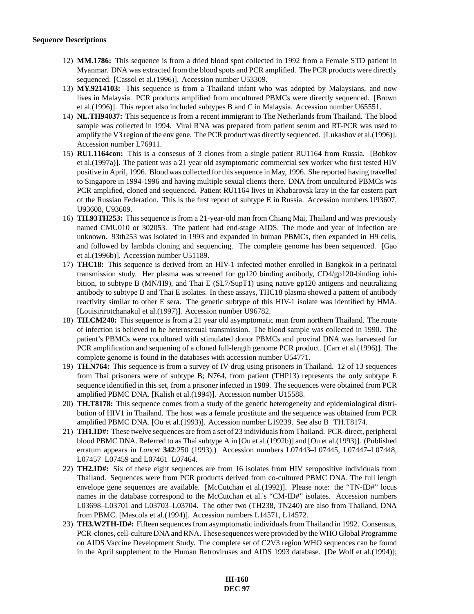- 12) **MM.1786:** This sequence is from a dried blood spot collected in 1992 from a Female STD patient in Myanmar. DNA was extracted from the blood spots and PCR amplified. The PCR products were directly sequenced. [Cassol et al.(1996)]. Accession number U53309.
- 13) **MY.9214103:** This sequence is from a Thailand infant who was adopted by Malaysians, and now lives in Malaysia. PCR products amplified from uncultured PBMCs were directly sequenced. [Brown et al.(1996)]. This report also included subtypes B and C in Malaysia. Accession number U65551.
- 14) **NL.TH94037:** This sequence is from a recent immigrant to The Netherlands from Thailand. The blood sample was collected in 1994. Viral RNA was prepared from patient serum and RT-PCR was used to amplify the V3 region of the env gene. The PCR product was directly sequenced. [Lukashov et al.(1996)]. Accession number L76911.
- 15) **RU1.1164con:** This is a consesus of 3 clones from a single patient RU1164 from Russia. [Bobkov et al.(1997a)]. The patient was a 21 year old asymptomatic commercial sex worker who first tested HIV positive in April, 1996. Blood was collected for this sequence in May, 1996. She reported having travelled to Singapore in 1994-1996 and having multiple sexual clients there. DNA from uncultured PBMCs was PCR amplified, cloned and sequenced. Patient RU1164 lives in Khabarovsk kray in the far eastern part of the Russian Federation. This is the first report of subtype E in Russia. Accession numbers U93607, U93608, U93609.
- 16) **TH.93TH253:** This sequence is from a 21-year-old man from Chiang Mai, Thailand and was previously named CMU010 or 302053. The patient had end-stage AIDS. The mode and year of infection are unknown. 93th253 was isolated in 1993 and expanded in human PBMCs, then expanded in H9 cells, and followed by lambda cloning and sequencing. The complete genome has been sequenced. [Gao et al.(1996b)]. Accession number U51189.
- 17) **THC18:** This sequence is derived from an HIV-1 infected mother enrolled in Bangkok in a perinatal transmission study. Her plasma was screened for gp120 binding antibody, CD4/gp120-binding inhibition, to subtype B (MN/H9), and Thai E (SL7/SupT1) using native gp120 antigens and neutralizing antibody to subtype B and Thai E isolates. In these assays, THC18 plasma showed a pattern of antibody reactivity similar to other E sera. The genetic subtype of this HIV-1 isolate was identified by HMA. [Louisirirotchanakul et al.(1997)]. Accession number U96782.
- 18) **TH.CM240:** This sequence is from a 21 year old asymptomatic man from northern Thailand. The route of infection is believed to be heterosexual transmission. The blood sample was collected in 1990. The patient's PBMCs were cocultured with stimulated donor PBMCs and proviral DNA was harvested for PCR amplification and sequening of a cloned full-length genome PCR product. [Carr et al.(1996)]. The complete genome is found in the databases with accession number U54771.
- 19) **TH.N764:** This sequence is from a survey of IV drug using prisoners in Thailand. 12 of 13 sequences from Thai prisoners were of subtype B; N764, from patient (THP13) represents the only subtype E sequence identified in this set, from a prisoner infected in 1989. The sequences were obtained from PCR amplified PBMC DNA. [Kalish et al.(1994)]. Accession number U15588.
- 20) **TH.T8178:** This sequence comes from a study of the genetic heterogeneity and epidemiological distribution of HIV1 in Thailand. The host was a female prostitute and the sequence was obtained from PCR amplified PBMC DNA. [Ou et al.(1993)]. Accession number L19239. See also B\_TH.T8174.
- 21) **TH1.ID#:** These twelve sequences are from a set of 23 individuals from Thailand. PCR-direct, peripheral blood PBMC DNA. Referred to as Thai subtype A in [Ou et al.(1992b)] and [Ou et al.(1993)]. (Published erratum appears in *Lancet* **342**:250 (1993).) Accession numbers L07443–L07445, L07447–L07448, L07457–L07459 and L07461–L07464.
- 22) **TH2.ID#:** Six of these eight sequences are from 16 isolates from HIV seropositive individuals from Thailand. Sequences were from PCR products derived from co-cultured PBMC DNA. The full length envelope gene sequences are available. [McCutchan et al.(1992)]. Please note: the "TN-ID#" locus names in the database correspond to the McCutchan et al.'s "CM-ID#" isolates. Accession numbers L03698–L03701 and L03703–L03704. The other two (TH238, TN240) are also from Thailand, DNA from PBMC. [Mascola et al.(1994)]. Accession numbers L14571, L14572.
- 23) **TH3.W2TH-ID#:** Fifteen sequences from asymptomatic individuals from Thailand in 1992. Consensus, PCR-clones, cell-culture DNA and RNA. These sequences were provided by the WHO Global Programme on AIDS Vaccine Development Study. The complete set of C2V3 region WHO sequences can be found in the April supplement to the Human Retroviruses and AIDS 1993 database. [De Wolf et al.(1994)];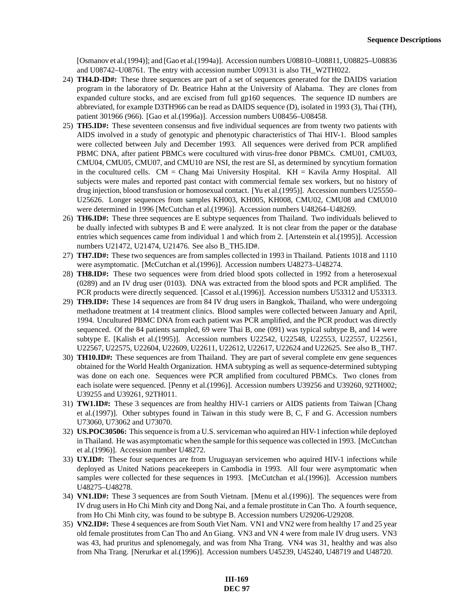[Osmanov et al.(1994)]; and [Gao et al.(1994a)]. Accession numbers U08810–U08811, U08825–U08836 and U08742–U08761. The entry with accession number U09131 is also TH\_W2TH022.

- 24) **TH4.D-ID#:** These three sequences are part of a set of sequences generated for the DAIDS variation program in the laboratory of Dr. Beatrice Hahn at the University of Alabama. They are clones from expanded culture stocks, and are excised from full gp160 sequences. The sequence ID numbers are abbreviated, for example D3TH966 can be read as DAIDS sequence (D), isolated in 1993 (3), Thai (TH), patient 301966 (966). [Gao et al.(1996a)]. Accession numbers U08456–U08458.
- 25) **TH5.ID#:** These seventeen consensus and five individual sequences are from twenty two patients with AIDS involved in a study of genotypic and phenotypic characteristics of Thai HIV-1. Blood samples were collected between July and December 1993. All sequences were derived from PCR amplified PBMC DNA, after patient PBMCs were cocultured with virus-free donor PBMCs. CMU01, CMU03, CMU04, CMU05, CMU07, and CMU10 are NSI, the rest are SI, as determined by syncytium formation in the cocultured cells. CM = Chang Mai University Hospital. KH = Kavila Army Hospital. All subjects were males and reported past contact with commercial female sex workers, but no history of drug injection, blood transfusion or homosexual contact. [Yu et al.(1995)]. Accession numbers U25550– U25626. Longer sequences from samples KH003, KH005, KH008, CMU02, CMU08 and CMU010 were determined in 1996 [McCutchan et al.(1996)]. Accession numbers U48264–U48269.
- 26) **TH6.ID#:** These three sequences are E subtype sequences from Thailand. Two individuals believed to be dually infected with subtypes B and E were analyzed. It is not clear from the paper or the database entries which sequences came from individual 1 and which from 2. [Artenstein et al.(1995)]. Accession numbers U21472, U21474, U21476. See also B\_TH5.ID#.
- 27) **TH7.ID#:** These two sequences are from samples collected in 1993 in Thailand. Patients 1018 and 1110 were asymptomatic. [McCutchan et al.(1996)]. Accession numbers U48273–U48274.
- 28) **TH8.ID#:** These two sequences were from dried blood spots collected in 1992 from a heterosexual (0289) and an IV drug user (0103). DNA was extracted from the blood spots and PCR amplified. The PCR products were directly sequenced. [Cassol et al.(1996)]. Accession numbers U53312 and U53313.
- 29) **TH9.ID#:** These 14 sequences are from 84 IV drug users in Bangkok, Thailand, who were undergoing methadone treatment at 14 treatment clinics. Blood samples were collected between January and April, 1994. Uncultured PBMC DNA from each patient was PCR amplified, and the PCR product was directly sequenced. Of the 84 patients sampled, 69 were Thai B, one (091) was typical subtype B, and 14 were subtype E. [Kalish et al.(1995)]. Accession numbers U22542, U22548, U22553, U22557, U22561, U22567, U22575, U22604, U22609, U22611, U22612, U22617, U22624 and U22625. See also B\_TH7.
- 30) **TH10.ID#:** These sequences are from Thailand. They are part of several complete env gene sequences obtained for the World Health Organization. HMA subtyping as well as sequence-determined subtyping was done on each one. Sequences were PCR amplified from cocultured PBMCs. Two clones from each isolate were sequenced. [Penny et al.(1996)]. Accession numbers U39256 and U39260, 92TH002; U39255 and U39261, 92TH011.
- 31) **TW1.ID#:** These 3 sequences are from healthy HIV-1 carriers or AIDS patients from Taiwan [Chang et al.(1997)]. Other subtypes found in Taiwan in this study were B, C, F and G. Accession numbers U73060, U73062 and U73070.
- 32) **US.POC30506:** This sequence is from a U.S. serviceman who aquired an HIV-1 infection while deployed in Thailand. He was asymptomatic when the sample for this sequence was collected in 1993. [McCutchan et al.(1996)]. Accession number U48272.
- 33) **UY.ID#:** These four sequences are from Uruguayan servicemen who aquired HIV-1 infections while deployed as United Nations peacekeepers in Cambodia in 1993. All four were asymptomatic when samples were collected for these sequences in 1993. [McCutchan et al.(1996)]. Accession numbers U48275–U48278.
- 34) **VN1.ID#:** These 3 sequences are from South Vietnam. [Menu et al.(1996)]. The sequences were from IV drug users in Ho Chi Minh city and Dong Nai, and a female prostitute in Can Tho. A fourth sequence, from Ho Chi Minh city, was found to be subtype B. Accession numbers U29206-U29208.
- 35) **VN2.ID#:** These 4 sequences are from South Viet Nam. VN1 and VN2 were from healthy 17 and 25 year old female prostitutes from Can Tho and An Giang. VN3 and VN 4 were from male IV drug users. VN3 was 43, had pruritus and splenomegaly, and was from Nha Trang. VN4 was 31, healthy and was also from Nha Trang. [Nerurkar et al.(1996)]. Accession numbers U45239, U45240, U48719 and U48720.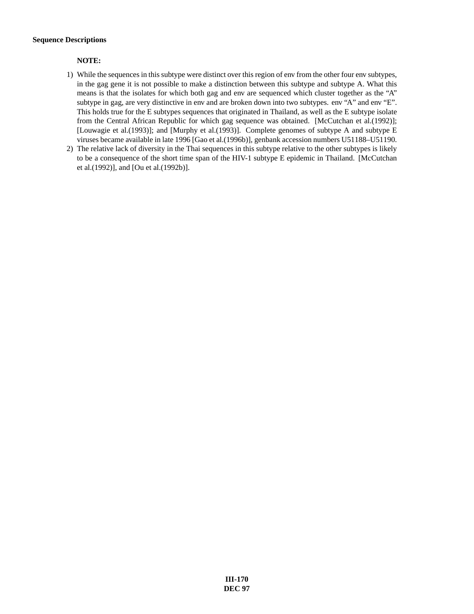#### **NOTE:**

- 1) While the sequences in this subtype were distinct over this region of env from the other four env subtypes, in the gag gene it is not possible to make a distinction between this subtype and subtype A. What this means is that the isolates for which both gag and env are sequenced which cluster together as the "A" subtype in gag, are very distinctive in env and are broken down into two subtypes. env "A" and env "E". This holds true for the E subtypes sequences that originated in Thailand, as well as the E subtype isolate from the Central African Republic for which gag sequence was obtained. [McCutchan et al.(1992)]; [Louwagie et al.(1993)]; and [Murphy et al.(1993)]. Complete genomes of subtype A and subtype E viruses became available in late 1996 [Gao et al.(1996b)], genbank accession numbers U51188–U51190.
- 2) The relative lack of diversity in the Thai sequences in this subtype relative to the other subtypes is likely to be a consequence of the short time span of the HIV-1 subtype E epidemic in Thailand. [McCutchan et al.(1992)], and [Ou et al.(1992b)].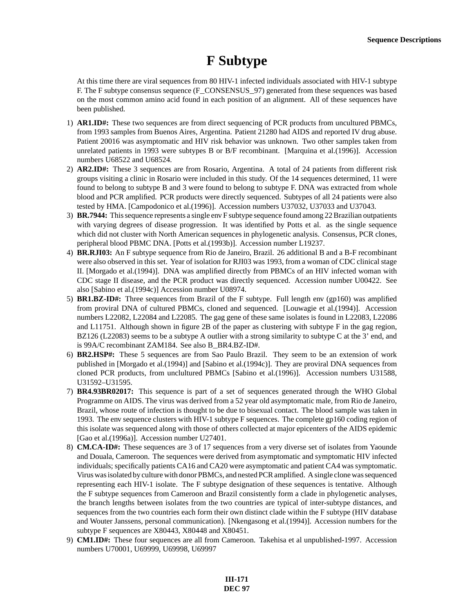### **F Subtype**

At this time there are viral sequences from 80 HIV-1 infected individuals associated with HIV-1 subtype F. The F subtype consensus sequence (F\_CONSENSUS\_97) generated from these sequences was based on the most common amino acid found in each position of an alignment. All of these sequences have been published.

- 1) **AR1.ID#:** These two sequences are from direct sequencing of PCR products from uncultured PBMCs, from 1993 samples from Buenos Aires, Argentina. Patient 21280 had AIDS and reported IV drug abuse. Patient 20016 was asymptomatic and HIV risk behavior was unknown. Two other samples taken from unrelated patients in 1993 were subtypes B or B/F recombinant. [Marquina et al.(1996)]. Accession numbers U68522 and U68524.
- 2) **AR2.ID#:** These 3 sequences are from Rosario, Argentina. A total of 24 patients from different risk groups visiting a clinic in Rosario were included in this study. Of the 14 sequences determined, 11 were found to belong to subtype B and 3 were found to belong to subtype F. DNA was extracted from whole blood and PCR amplified. PCR products were directly sequenced. Subtypes of all 24 patients were also tested by HMA. [Campodonico et al.(1996)]. Accession numbers U37032, U37033 and U37043.
- 3) **BR.7944:** This sequence represents a single env F subtype sequence found among 22 Brazilian outpatients with varying degrees of disease progression. It was identified by Potts et al. as the single sequence which did not cluster with North American sequences in phylogenetic analysis. Consensus, PCR clones, peripheral blood PBMC DNA. [Potts et al.(1993b)]. Accession number L19237.
- 4) **BR.RJI03:** An F subtype sequence from Rio de Janeiro, Brazil. 26 additional B and a B-F recombinant were also observed in this set. Year of isolation for RJI03 was 1993, from a woman of CDC clinical stage II. [Morgado et al.(1994)]. DNA was amplified directly from PBMCs of an HIV infected woman with CDC stage II disease, and the PCR product was directly sequenced. Accession number U00422. See also [Sabino et al.(1994c)] Accession number U08974.
- 5) **BR1.BZ-ID#:** Three sequences from Brazil of the F subtype. Full length env (gp160) was amplified from proviral DNA of cultured PBMCs, cloned and sequenced. [Louwagie et al.(1994)]. Accession numbers L22082, L22084 and L22085. The gag gene of these same isolates is found in L22083, L22086 and L11751. Although shown in figure 2B of the paper as clustering with subtype F in the gag region, BZ126 (L22083) seems to be a subtype A outlier with a strong similarity to subtype C at the 3' end, and is 99A/C recombinant ZAM184. See also B\_BR4.BZ-ID#.
- 6) **BR2.HSP#:** These 5 sequences are from Sao Paulo Brazil. They seem to be an extension of work published in [Morgado et al.(1994)] and [Sabino et al.(1994c)]. They are proviral DNA sequences from cloned PCR products, from unclultured PBMCs [Sabino et al.(1996)]. Accession numbers U31588, U31592–U31595.
- 7) **BR4.93BR02017:** This sequence is part of a set of sequences generated through the WHO Global Programme on AIDS. The virus was derived from a 52 year old asymptomatic male, from Rio de Janeiro, Brazil, whose route of infection is thought to be due to bisexual contact. The blood sample was taken in 1993. The env sequence clusters with HIV-1 subtype F sequences. The complete gp160 coding region of this isolate was sequenced along with those of others collected at major epicenters of the AIDS epidemic [Gao et al.(1996a)]. Accession number U27401.
- 8) **CM.CA-ID#:** These sequences are 3 of 17 sequences from a very diverse set of isolates from Yaounde and Douala, Cameroon. The sequences were derived from asymptomatic and symptomatic HIV infected individuals; specifically patients CA16 and CA20 were asymptomatic and patient CA4 was symptomatic. Virus was isolated by culture with donor PBMCs, and nested PCR amplified. A single clone was sequenced representing each HIV-1 isolate. The F subtype designation of these sequences is tentative. Although the F subtype sequences from Cameroon and Brazil consistently form a clade in phylogenetic analyses, the branch lengths between isolates from the two countries are typical of inter-subtype distances, and sequences from the two countries each form their own distinct clade within the F subtype (HIV database and Wouter Janssens, personal communication). [Nkengasong et al.(1994)]. Accession numbers for the subtype F sequences are X80443, X80448 and X80451.
- 9) **CM1.ID#:** These four sequences are all from Cameroon. Takehisa et al unpublished-1997. Accession numbers U70001, U69999, U69998, U69997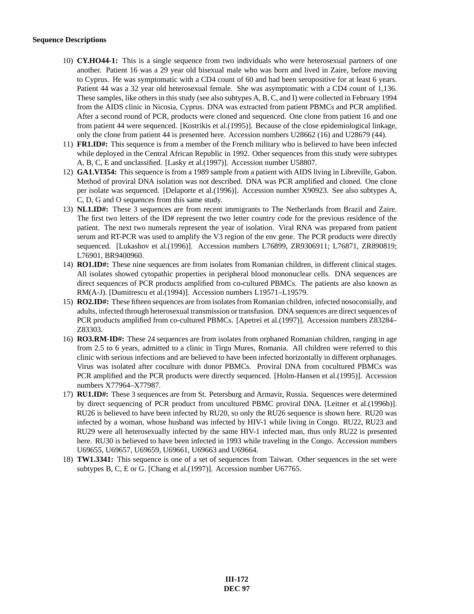- 10) **CY.HO44-1:** This is a single sequence from two individuals who were heterosexual partners of one another. Patient 16 was a 29 year old bisexual male who was born and lived in Zaire, before moving to Cyprus. He was symptomatic with a CD4 count of 60 and had been seropositive for at least 6 years. Patient 44 was a 32 year old heterosexual female. She was asymptomatic with a CD4 count of 1,136. These samples, like others in this study (see also subtypes A, B, C, and I) were collected in February 1994 from the AIDS clinic in Nicosia, Cyprus. DNA was extracted from patient PBMCs and PCR amplified. After a second round of PCR, products were cloned and sequenced. One clone from patient 16 and one from patient 44 were sequenced. [Kostrikis et al.(1995)]. Because of the close epidemiological linkage, only the clone from patient 44 is presented here. Accession numbers U28662 (16) and U28679 (44).
- 11) **FR1.ID#:** This sequence is from a member of the French military who is believed to have been infected while deployed in the Central African Republic in 1992. Other sequences from this study were subtypes A, B, C, E and unclassified. [Lasky et al.(1997)]. Accession number U58807.
- 12) **GA1.VI354:** This sequence is from a 1989 sample from a patient with AIDS living in Libreville, Gabon. Method of proviral DNA isolation was not described. DNA was PCR amplified and cloned. One clone per isolate was sequenced. [Delaporte et al.(1996)]. Accession number X90923. See also subtypes A, C, D, G and O sequences from this same study.
- 13) **NL1.ID#:** These 3 sequences are from recent immigrants to The Netherlands from Brazil and Zaire. The first two letters of the ID# represent the two letter country code for the previous residence of the patient. The next two numerals represent the year of isolation. Viral RNA was prepared from patient serum and RT-PCR was used to amplify the V3 region of the env gene. The PCR products were directly sequenced. [Lukashov et al.(1996)]. Accession numbers L76899, ZR9306911; L76871, ZR890819; L76901, BR9400960.
- 14) **RO1.ID#:** These nine sequences are from isolates from Romanian children, in different clinical stages. All isolates showed cytopathic properties in peripheral blood mononuclear cells. DNA sequences are direct sequences of PCR products amplified from co-cultured PBMCs. The patients are also known as RM(A-J). [Dumitrescu et al.(1994)]. Accession numbers L19571–L19579.
- 15) **RO2.ID#:** These fifteen sequences are from isolates from Romanian children, infected nosocomially, and adults, infected through heterosexual transmission or transfusion. DNA sequences are direct sequences of PCR products amplified from co-cultured PBMCs. [Apetrei et al.(1997)]. Accession numbers Z83284– Z83303.
- 16) **RO3.RM-ID#:** These 24 sequences are from isolates from orphaned Romanian children, ranging in age from 2.5 to 6 years, admitted to a clinic in Tirgu Mures, Romania. All children were referred to this clinic with serious infections and are believed to have been infected horizontally in different orphanages. Virus was isolated after coculture with donor PBMCs. Proviral DNA from cocultured PBMCs was PCR amplified and the PCR products were directly sequenced. [Holm-Hansen et al.(1995)]. Accession numbers X77964–X77987.
- 17) **RU1.ID#:** These 3 sequences are from St. Petersburg and Armavir, Russia. Sequences were determined by direct sequencing of PCR product from uncultured PBMC proviral DNA. [Leitner et al.(1996b)]. RU26 is believed to have been infected by RU20, so only the RU26 sequence is shown here. RU20 was infected by a woman, whose husband was infected by HIV-1 while living in Congo. RU22, RU23 and RU29 were all heterosexually infected by the same HIV-1 infected man, thus only RU22 is presented here. RU30 is believed to have been infected in 1993 while traveling in the Congo. Accession numbers U69655, U69657, U69659, U69661, U69663 and U69664.
- 18) **TW1.3341:** This sequence is one of a set of sequences from Taiwan. Other sequences in the set were subtypes B, C, E or G. [Chang et al.(1997)]. Accession number U67765.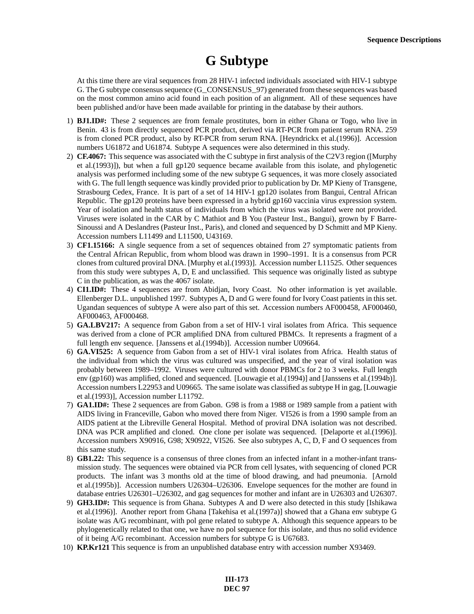# **G Subtype**

At this time there are viral sequences from 28 HIV-1 infected individuals associated with HIV-1 subtype G. The G subtype consensus sequence (G\_CONSENSUS\_97) generated from these sequences was based on the most common amino acid found in each position of an alignment. All of these sequences have been published and/or have been made available for printing in the database by their authors.

- 1) **BJ1.ID#:** These 2 sequences are from female prostitutes, born in either Ghana or Togo, who live in Benin. 43 is from directly sequenced PCR product, derived via RT-PCR from patient serum RNA. 259 is from cloned PCR product, also by RT-PCR from serum RNA. [Heyndrickx et al.(1996)]. Accession numbers U61872 and U61874. Subtype A sequences were also determined in this study.
- 2) **CF.4067:** This sequence was associated with the C subtype in first analysis of the C2V3 region ([Murphy et al.(1993)]), but when a full gp120 sequence became available from this isolate, and phylogenetic analysis was performed including some of the new subtype G sequences, it was more closely associated with G. The full length sequence was kindly provided prior to publication by Dr. MP Kieny of Transgene, Strasbourg Cedex, France. It is part of a set of 14 HIV-1 gp120 isolates from Bangui, Central African Republic. The gp120 proteins have been expressed in a hybrid gp160 vaccinia virus expression system. Year of isolation and health status of individuals from which the virus was isolated were not provided. Viruses were isolated in the CAR by C Mathiot and B You (Pasteur Inst., Bangui), grown by F Barre-Sinoussi and A Deslandres (Pasteur Inst., Paris), and cloned and sequenced by D Schmitt and MP Kieny. Accession numbers L11499 and L11500, U43169.
- 3) **CF1.15166:** A single sequence from a set of sequences obtained from 27 symptomatic patients from the Central African Republic, from whom blood was drawn in 1990–1991. It is a consensus from PCR clones from cultured proviral DNA. [Murphy et al.(1993)]. Accession number L11525. Other sequences from this study were subtypes A, D, E and unclassified. This sequence was originally listed as subtype C in the publication, as was the 4067 isolate.
- 4) **CI1.ID#:** These 4 sequences are from Abidjan, Ivory Coast. No other information is yet available. Ellenberger D.L. unpublished 1997. Subtypes A, D and G were found for Ivory Coast patients in this set. Ugandan sequences of subtype A were also part of this set. Accession numbers AF000458, AF000460, AF000463, AF000468.
- 5) **GA.LBV217:** A sequence from Gabon from a set of HIV-1 viral isolates from Africa. This sequence was derived from a clone of PCR amplified DNA from cultured PBMCs. It represents a fragment of a full length env sequence. [Janssens et al.(1994b)]. Accession number U09664.
- 6) **GA.VI525:** A sequence from Gabon from a set of HIV-1 viral isolates from Africa. Health status of the individual from which the virus was cultured was unspecified, and the year of viral isolation was probably between 1989–1992. Viruses were cultured with donor PBMCs for 2 to 3 weeks. Full length env (gp160) was amplified, cloned and sequenced. [Louwagie et al.(1994)] and [Janssens et al.(1994b)]. Accession numbers L22953 and U09665. The same isolate was classified as subtype H in gag, [Louwagie et al.(1993)], Accession number L11792.
- 7) **GA1.ID#:** These 2 sequences are from Gabon. G98 is from a 1988 or 1989 sample from a patient with AIDS living in Franceville, Gabon who moved there from Niger. VI526 is from a 1990 sample from an AIDS patient at the Libreville General Hospital. Method of proviral DNA isolation was not described. DNA was PCR amplified and cloned. One clone per isolate was sequenced. [Delaporte et al.(1996)]. Accession numbers X90916, G98; X90922, VI526. See also subtypes A, C, D, F and O sequences from this same study.
- 8) **GB1.22:** This sequence is a consensus of three clones from an infected infant in a mother-infant transmission study. The sequences were obtained via PCR from cell lysates, with sequencing of cloned PCR products. The infant was 3 months old at the time of blood drawing, and had pneumonia. [Arnold et al.(1995b)]. Accession numbers U26304–U26306. Envelope sequences for the mother are found in database entries U26301–U26302, and gag sequences for mother and infant are in U26303 and U26307.
- 9) **GH3.ID#:** This sequence is from Ghana. Subtypes A and D were also detected in this study [Ishikawa et al.(1996)]. Another report from Ghana [Takehisa et al.(1997a)] showed that a Ghana env subtype G isolate was A/G recombinant, with pol gene related to subtype A. Although this sequence appears to be phylogenetically related to that one, we have no pol sequence for this isolate, and thus no solid evidence of it being A/G recombinant. Accession numbers for subtype G is U67683.
- 10) **KP.Kr121** This sequence is from an unpublished database entry with accession number X93469.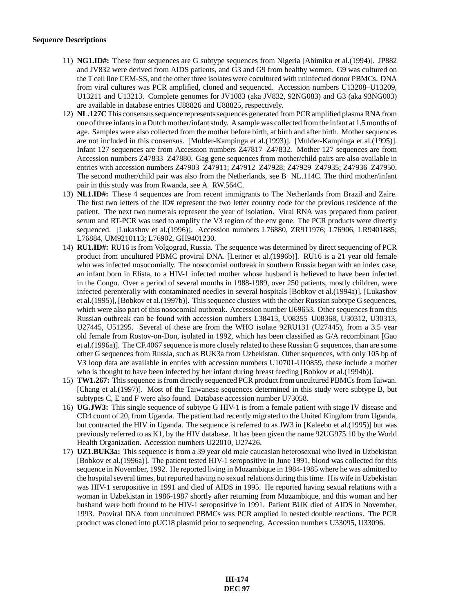- 11) **NG1.ID#:** These four sequences are G subtype sequences from Nigeria [Abimiku et al.(1994)]. JP882 and JV832 were derived from AIDS patients, and G3 and G9 from healthy women. G9 was cultured on the T cell line CEM-SS, and the other three isolates were cocultured with uninfected donor PBMCs. DNA from viral cultures was PCR amplified, cloned and sequenced. Accession numbers U13208–U13209, U13211 and U13213. Complete genomes for JV1083 (aka JV832, 92NG083) and G3 (aka 93NG003) are available in database entries U88826 and U88825, respectively.
- 12) **NL.127C**This consensus sequence represents sequences generated from PCR amplified plasma RNA from one of three infants in a Dutch mother/infant study. A sample was collected from the infant at 1.5 months of age. Samples were also collected from the mother before birth, at birth and after birth. Mother sequences are not included in this consensus. [Mulder-Kampinga et al.(1993)]. [Mulder-Kampinga et al.(1995)]. Infant 127 sequences are from Accession numbers Z47817–Z47832. Mother 127 sequences are from Accession numbers Z47833–Z47880. Gag gene sequences from mother/child pairs are also available in entries with accession numbers Z47903–Z47911; Z47912–Z47928; Z47929–Z47935; Z47936–Z47950. The second mother/child pair was also from the Netherlands, see B\_NL.114C. The third mother/infant pair in this study was from Rwanda, see A\_RW.564C.
- 13) **NL1.ID#:** These 4 sequences are from recent immigrants to The Netherlands from Brazil and Zaire. The first two letters of the ID# represent the two letter country code for the previous residence of the patient. The next two numerals represent the year of isolation. Viral RNA was prepared from patient serum and RT-PCR was used to amplify the V3 region of the env gene. The PCR products were directly sequenced. [Lukashov et al.(1996)]. Accession numbers L76880, ZR911976; L76906, LR9401885; L76884, UM9210113; L76902, GH9401230.
- 14) **RU1.ID#:** RU16 is from Volgograd, Russia. The sequence was determined by direct sequencing of PCR product from uncultured PBMC proviral DNA. [Leitner et al.(1996b)]. RU16 is a 21 year old female who was infected nosocomially. The nosocomial outbreak in southern Russia began with an index case, an infant born in Elista, to a HIV-1 infected mother whose husband is believed to have been infected in the Congo. Over a period of several months in 1988-1989, over 250 patients, mostly children, were infected perenterally with contaminated needles in several hospitals [Bobkov et al.(1994a)], [Lukashov et al.(1995)], [Bobkov et al.(1997b)]. This sequence clusters with the other Russian subtype G sequences, which were also part of this nosocomial outbreak. Accession number U69653. Other sequences from this Russian outbreak can be found with accession numbers L38413, U08355–U08368, U30312, U30313, U27445, U51295. Several of these are from the WHO isolate 92RU131 (U27445), from a 3.5 year old female from Rostov-on-Don, isolated in 1992, which has been classified as G/A recombinant [Gao et al.(1996a)]. The CF.4067 sequence is more closely related to these Russian G sequences, than are some other G sequences from Russia, such as BUK3a from Uzbekistan. Other sequences, with only 105 bp of V3 loop data are available in entries with accession numbers U10701-U10859, these include a mother who is thought to have been infected by her infant during breast feeding [Bobkov et al.(1994b)].
- 15) **TW1.267:** This sequence is from directly sequenced PCR product from uncultured PBMCs from Taiwan. [Chang et al.(1997)]. Most of the Taiwanese sequences determined in this study were subtype B, but subtypes C, E and F were also found. Database accession number U73058.
- 16) **UG.JW3:** This single sequence of subtype G HIV-1 is from a female patient with stage IV disease and CD4 count of 20, from Uganda. The patient had recently migrated to the United Kingdom from Uganda, but contracted the HIV in Uganda. The sequence is referred to as JW3 in [Kaleebu et al.(1995)] but was previously referred to as K1, by the HIV database. It has been given the name 92UG975.10 by the World Health Organization. Accession numbers U22010, U27426.
- 17) **UZ1.BUK3a:** This sequence is from a 39 year old male caucasian heterosexual who lived in Uzbekistan [Bobkov et al.(1996a)]. The patient tested HIV-1 seropositive in June 1991, blood was collected for this sequence in November, 1992. He reported living in Mozambique in 1984-1985 where he was admitted to the hospital several times, but reported having no sexual relations during this time. His wife in Uzbekistan was HIV-1 seropositive in 1991 and died of AIDS in 1995. He reported having sexual relations with a woman in Uzbekistan in 1986-1987 shortly after returning from Mozambique, and this woman and her husband were both fround to be HIV-1 seropositive in 1991. Patient BUK died of AIDS in November, 1993. Proviral DNA from uncultured PBMCs was PCR amplied in nested double reactions. The PCR product was cloned into pUC18 plasmid prior to sequencing. Accession numbers U33095, U33096.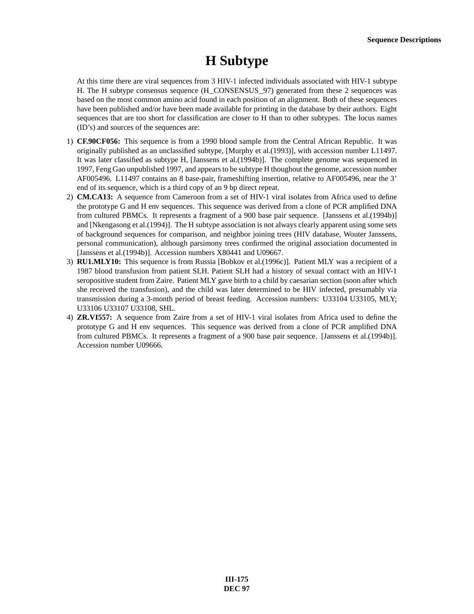# **H Subtype**

At this time there are viral sequences from 3 HIV-1 infected individuals associated with HIV-1 subtype H. The H subtype consensus sequence (H\_CONSENSUS\_97) generated from these 2 sequences was based on the most common amino acid found in each position of an alignment. Both of these sequences have been published and/or have been made available for printing in the database by their authors. Eight sequences that are too short for classification are closer to H than to other subtypes. The locus names (ID's) and sources of the sequences are:

- 1) **CF.90CF056:** This sequence is from a 1990 blood sample from the Central African Republic. It was originally published as an unclassified subtype, [Murphy et al.(1993)], with accession number L11497. It was later classified as subtype H, [Janssens et al.(1994b)]. The complete genome was sequenced in 1997, Feng Gao unpublished 1997, and appears to be subtype H thoughout the genome, accession number AF005496. L11497 contains an 8 base-pair, frameshifting insertion, relative to AF005496, near the 3' end of its sequence, which is a third copy of an 9 bp direct repeat.
- 2) **CM.CA13:** A sequence from Cameroon from a set of HIV-1 viral isolates from Africa used to define the prototype G and H env sequences. This sequence was derived from a clone of PCR amplified DNA from cultured PBMCs. It represents a fragment of a 900 base pair sequence. [Janssens et al.(1994b)] and [Nkengasong et al.(1994)]. The H subtype association is not always clearly apparent using some sets of background sequences for comparison, and neighbor joining trees (HIV database, Wouter Janssens, personal communication), although parsimony trees confirmed the original association documented in [Janssens et al.(1994b)]. Accession numbers X80441 and U09667.
- 3) **RU1.MLY10:** This sequence is from Russia [Bobkov et al.(1996c)]. Patient MLY was a recipient of a 1987 blood transfusion from patient SLH. Patient SLH had a history of sexual contact with an HIV-1 seropositive student from Zaire. Patient MLY gave birth to a child by caesarian section (soon after which she received the transfusion), and the child was later determined to be HIV infected, presumably via transmission during a 3-month period of breast feeding. Accession numbers: U33104 U33105, MLY; U33106 U33107 U33108, SHL.
- 4) **ZR.VI557:** A sequence from Zaire from a set of HIV-1 viral isolates from Africa used to define the prototype G and H env sequences. This sequence was derived from a clone of PCR amplified DNA from cultured PBMCs. It represents a fragment of a 900 base pair sequence. [Janssens et al.(1994b)]. Accession number U09666.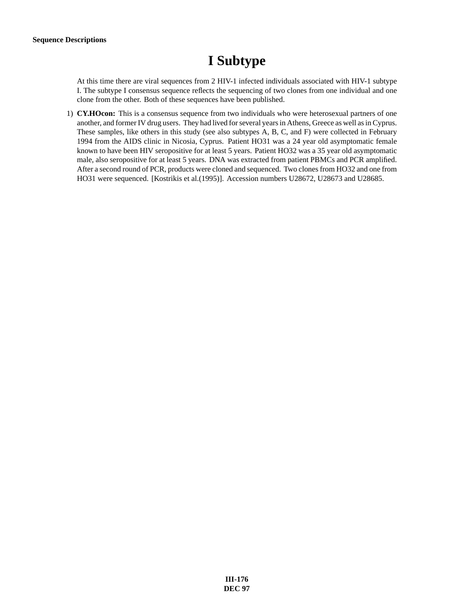# **I Subtype**

At this time there are viral sequences from 2 HIV-1 infected individuals associated with HIV-1 subtype I. The subtype I consensus sequence reflects the sequencing of two clones from one individual and one clone from the other. Both of these sequences have been published.

1) **CY.HOcon:** This is a consensus sequence from two individuals who were heterosexual partners of one another, and former IV drug users. They had lived for several years in Athens, Greece as well as in Cyprus. These samples, like others in this study (see also subtypes A, B, C, and F) were collected in February 1994 from the AIDS clinic in Nicosia, Cyprus. Patient HO31 was a 24 year old asymptomatic female known to have been HIV seropositive for at least 5 years. Patient HO32 was a 35 year old asymptomatic male, also seropositive for at least 5 years. DNA was extracted from patient PBMCs and PCR amplified. After a second round of PCR, products were cloned and sequenced. Two clones from HO32 and one from HO31 were sequenced. [Kostrikis et al.(1995)]. Accession numbers U28672, U28673 and U28685.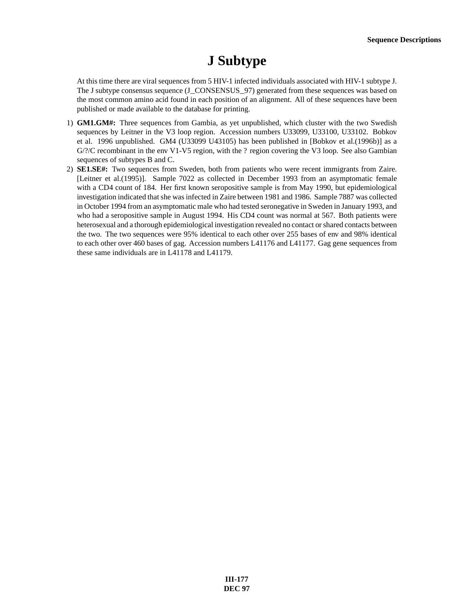# **J Subtype**

At this time there are viral sequences from 5 HIV-1 infected individuals associated with HIV-1 subtype J. The J subtype consensus sequence (J\_CONSENSUS\_97) generated from these sequences was based on the most common amino acid found in each position of an alignment. All of these sequences have been published or made available to the database for printing.

- 1) **GM1.GM#:** Three sequences from Gambia, as yet unpublished, which cluster with the two Swedish sequences by Leitner in the V3 loop region. Accession numbers U33099, U33100, U33102. Bobkov et al. 1996 unpublished. GM4 (U33099 U43105) has been published in [Bobkov et al.(1996b)] as a G/?/C recombinant in the env V1-V5 region, with the ? region covering the V3 loop. See also Gambian sequences of subtypes B and C.
- 2) **SE1.SE#:** Two sequences from Sweden, both from patients who were recent immigrants from Zaire. [Leitner et al.(1995)]. Sample 7022 as collected in December 1993 from an asymptomatic female with a CD4 count of 184. Her first known seropositive sample is from May 1990, but epidemiological investigation indicated that she was infected in Zaire between 1981 and 1986. Sample 7887 was collected in October 1994 from an asymptomatic male who had tested seronegative in Sweden in January 1993, and who had a seropositive sample in August 1994. His CD4 count was normal at 567. Both patients were heterosexual and a thorough epidemiological investigation revealed no contact or shared contacts between the two. The two sequences were 95% identical to each other over 255 bases of env and 98% identical to each other over 460 bases of gag. Accession numbers L41176 and L41177. Gag gene sequences from these same individuals are in L41178 and L41179.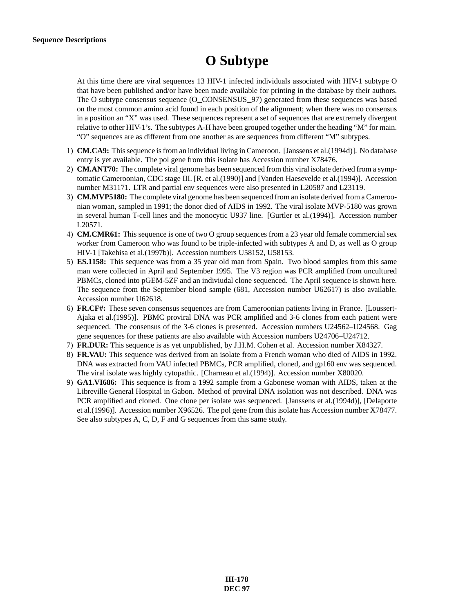# **O Subtype**

At this time there are viral sequences 13 HIV-1 infected individuals associated with HIV-1 subtype O that have been published and/or have been made available for printing in the database by their authors. The O subtype consensus sequence (O\_CONSENSUS\_97) generated from these sequences was based on the most common amino acid found in each position of the alignment; when there was no consensus in a position an "X" was used. These sequences represent a set of sequences that are extremely divergent relative to other HIV-1's. The subtypes A-H have been grouped together under the heading "M" for main. "O" sequences are as different from one another as are sequences from different "M" subtypes.

- 1) **CM.CA9:** This sequence is from an individual living in Cameroon. [Janssens et al.(1994d)]. No database entry is yet available. The pol gene from this isolate has Accession number X78476.
- 2) **CM.ANT70:** The complete viral genome has been sequenced from this viral isolate derived from a symptomatic Cameroonian, CDC stage III. [R. et al.(1990)] and [Vanden Haesevelde et al.(1994)]. Accession number M31171. LTR and partial env sequences were also presented in L20587 and L23119.
- 3) **CM.MVP5180:** The complete viral genome has been sequenced from an isolate derived from a Cameroonian woman, sampled in 1991; the donor died of AIDS in 1992. The viral isolate MVP-5180 was grown in several human T-cell lines and the monocytic U937 line. [Gurtler et al.(1994)]. Accession number L20571.
- 4) **CM.CMR61:** This sequence is one of two O group sequences from a 23 year old female commercial sex worker from Cameroon who was found to be triple-infected with subtypes A and D, as well as O group HIV-1 [Takehisa et al.(1997b)]. Accession numbers U58152, U58153.
- 5) **ES.1158:** This sequence was from a 35 year old man from Spain. Two blood samples from this same man were collected in April and September 1995. The V3 region was PCR amplified from uncultured PBMCs, cloned into pGEM-5ZF and an indiviudal clone sequenced. The April sequence is shown here. The sequence from the September blood sample (681, Accession number U62617) is also available. Accession number U62618.
- 6) **FR.CF#:** These seven consensus sequences are from Cameroonian patients living in France. [Loussert-Ajaka et al.(1995)]. PBMC proviral DNA was PCR amplified and 3-6 clones from each patient were sequenced. The consensus of the 3-6 clones is presented. Accession numbers U24562–U24568. Gag gene sequences for these patients are also available with Accession numbers U24706–U24712.
- 7) **FR.DUR:** This sequence is as yet unpublished, by J.H.M. Cohen et al. Accession number X84327.
- 8) **FR.VAU:** This sequence was derived from an isolate from a French woman who died of AIDS in 1992. DNA was extracted from VAU infected PBMCs, PCR amplified, cloned, and gp160 env was sequenced. The viral isolate was highly cytopathic. [Charneau et al.(1994)]. Accession number X80020.
- 9) **GA1.VI686:** This sequence is from a 1992 sample from a Gabonese woman with AIDS, taken at the Libreville General Hospital in Gabon. Method of proviral DNA isolation was not described. DNA was PCR amplified and cloned. One clone per isolate was sequenced. [Janssens et al.(1994d)], [Delaporte et al.(1996)]. Accession number X96526. The pol gene from this isolate has Accession number X78477. See also subtypes A, C, D, F and G sequences from this same study.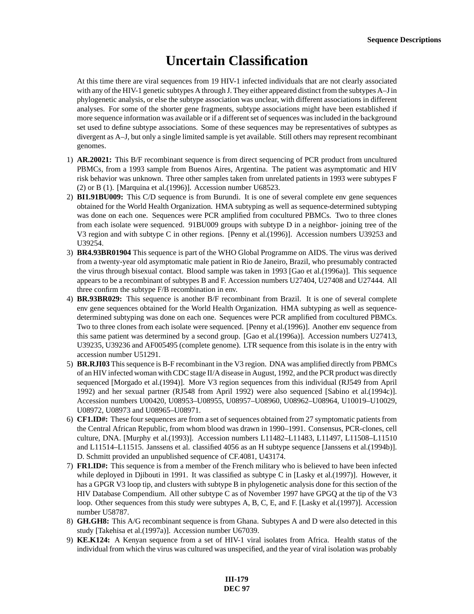### **Uncertain Classification**

At this time there are viral sequences from 19 HIV-1 infected individuals that are not clearly associated with any of the HIV-1 genetic subtypes A through J. They either appeared distinct from the subtypes A–J in phylogenetic analysis, or else the subtype association was unclear, with different associations in different analyses. For some of the shorter gene fragments, subtype associations might have been established if more sequence information was available or if a different set of sequences was included in the background set used to define subtype associations. Some of these sequences may be representatives of subtypes as divergent as A–J, but only a single limited sample is yet available. Still others may represent recombinant genomes.

- 1) **AR.20021:** This B/F recombinant sequence is from direct sequencing of PCR product from uncultured PBMCs, from a 1993 sample from Buenos Aires, Argentina. The patient was asymptomatic and HIV risk behavior was unknown. Three other samples taken from unrelated patients in 1993 were subtypes F (2) or B (1). [Marquina et al.(1996)]. Accession number U68523.
- 2) **BI1.91BU009:** This C/D sequence is from Burundi. It is one of several complete env gene sequences obtained for the World Health Organization. HMA subtyping as well as sequence-determined subtyping was done on each one. Sequences were PCR amplified from cocultured PBMCs. Two to three clones from each isolate were sequenced. 91BU009 groups with subtype D in a neighbor- joining tree of the V3 region and with subtype C in other regions. [Penny et al.(1996)]. Accession numbers U39253 and U39254.
- 3) **BR4.93BR01904** This sequence is part of the WHO Global Programme on AIDS. The virus was derived from a twenty-year old asymptomatic male patient in Rio de Janeiro, Brazil, who presumably contracted the virus through bisexual contact. Blood sample was taken in 1993 [Gao et al.(1996a)]. This sequence appears to be a recombinant of subtypes B and F. Accession numbers U27404, U27408 and U27444. All three confirm the subtype F/B recombination in env.
- 4) **BR.93BR029:** This sequence is another B/F recombinant from Brazil. It is one of several complete env gene sequences obtained for the World Health Organization. HMA subtyping as well as sequencedetermined subtyping was done on each one. Sequences were PCR amplified from cocultured PBMCs. Two to three clones from each isolate were sequenced. [Penny et al.(1996)]. Another env sequence from this same patient was determined by a second group. [Gao et al.(1996a)]. Accession numbers U27413, U39235, U39236 and AF005495 (complete genome). LTR sequence from this isolate is in the entry with accession number U51291.
- 5) **BR.RJI03** This sequence is B-F recombinant in the V3 region. DNA was amplified directly from PBMCs of an HIV infected woman with CDC stage II/A disease in August, 1992, and the PCR product was directly sequenced [Morgado et al.(1994)]. More V3 region sequences from this individual (RJ549 from April 1992) and her sexual partner (RJ548 from April 1992) were also sequenced [Sabino et al.(1994c)]. Accession numbers U00420, U08953–U08955, U08957–U08960, U08962–U08964, U10019–U10029, U08972, U08973 and U08965–U08971.
- 6) **CF1.ID#:** These four sequences are from a set of sequences obtained from 27 symptomatic patients from the Central African Republic, from whom blood was drawn in 1990–1991. Consensus, PCR-clones, cell culture, DNA. [Murphy et al.(1993)]. Accession numbers L11482–L11483, L11497, L11508–L11510 and L11514–L11515. Janssens et al. classified 4056 as an H subtype sequence [Janssens et al.(1994b)]. D. Schmitt provided an unpublished sequence of CF.4081, U43174.
- 7) **FR1.ID#:** This sequence is from a member of the French military who is believed to have been infected while deployed in Djibouti in 1991. It was classified as subtype C in [Lasky et al.(1997)]. However, it has a GPGR V3 loop tip, and clusters with subtype B in phylogenetic analysis done for this section of the HIV Database Compendium. All other subtype C as of November 1997 have GPGQ at the tip of the V3 loop. Other sequences from this study were subtypes A, B, C, E, and F. [Lasky et al.(1997)]. Accession number U58787.
- 8) **GH.GH8:** This A/G recombinant sequence is from Ghana. Subtypes A and D were also detected in this study [Takehisa et al.(1997a)]. Accession number U67039.
- 9) **KE.K124:** A Kenyan sequence from a set of HIV-1 viral isolates from Africa. Health status of the individual from which the virus was cultured was unspecified, and the year of viral isolation was probably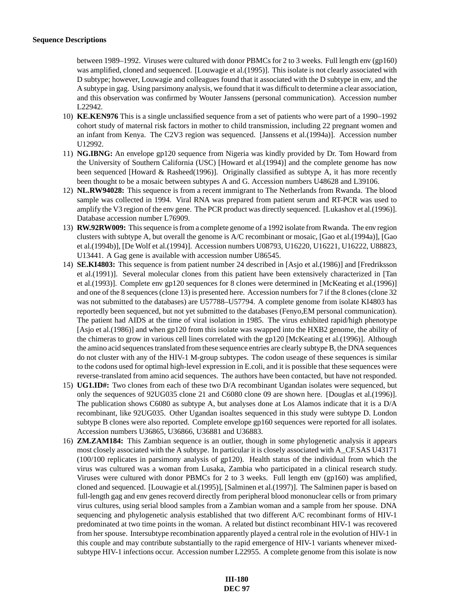between 1989–1992. Viruses were cultured with donor PBMCs for 2 to 3 weeks. Full length env (gp160) was amplified, cloned and sequenced. [Louwagie et al.(1995)]. This isolate is not clearly associated with D subtype; however, Louwagie and colleagues found that it associated with the D subtype in env, and the A subtype in gag. Using parsimony analysis, we found that it was difficult to determine a clear association, and this observation was confirmed by Wouter Janssens (personal communication). Accession number L22942.

- 10) **KE.KEN976** This is a single unclassified sequence from a set of patients who were part of a 1990–1992 cohort study of maternal risk factors in mother to child transmission, including 22 pregnant women and an infant from Kenya. The C2V3 region was sequenced. [Janssens et al.(1994a)]. Accession number U12992.
- 11) **NG.IBNG:** An envelope gp120 sequence from Nigeria was kindly provided by Dr. Tom Howard from the University of Southern California (USC) [Howard et al.(1994)] and the complete genome has now been sequenced [Howard & Rasheed(1996)]. Originally classified as subtype A, it has more recently been thought to be a mosaic between subtypes A and G. Accession numbers U48628 and L39106.
- 12) **NL.RW94028:** This sequence is from a recent immigrant to The Netherlands from Rwanda. The blood sample was collected in 1994. Viral RNA was prepared from patient serum and RT-PCR was used to amplify the V3 region of the env gene. The PCR product was directly sequenced. [Lukashov et al.(1996)]. Database accession number L76909.
- 13) **RW.92RW009:** This sequence is from a complete genome of a 1992 isolate from Rwanda. The env region clusters with subtype A, but overall the genome is A/C recombinant or mosaic, [Gao et al.(1994a)], [Gao et al.(1994b)], [De Wolf et al.(1994)]. Accession numbers U08793, U16220, U16221, U16222, U88823, U13441. A Gag gene is available with accession number U86545.
- 14) **SE.KI4803:** This sequence is from patient number 24 described in [Asjo et al.(1986)] and [Fredriksson et al.(1991)]. Several molecular clones from this patient have been extensively characterized in [Tan et al.(1993)]. Complete env gp120 sequences for 8 clones were determined in [McKeating et al.(1996)] and one of the 8 sequences (clone 13) is presented here. Accession numbers for 7 if the 8 clones (clone 32 was not submitted to the databases) are U57788–U57794. A complete genome from isolate KI4803 has reportedly been sequenced, but not yet submitted to the databases (Fenyo,EM personal communication). The patient had AIDS at the time of viral isolation in 1985. The virus exhibited rapid/high phenotype [Asjo et al.(1986)] and when gp120 from this isolate was swapped into the HXB2 genome, the ability of the chimeras to grow in various cell lines correlated with the gp120 [McKeating et al.(1996)]. Although the amino acid sequences translated from these sequence entries are clearly subtype B, the DNA sequences do not cluster with any of the HIV-1 M-group subtypes. The codon useage of these sequences is similar to the codons used for optimal high-level expression in E.coli, and it is possible that these sequences were reverse-translated from amino acid sequences. The authors have been contacted, but have not responded.
- 15) **UG1.ID#:** Two clones from each of these two D/A recombinant Ugandan isolates were sequenced, but only the sequences of 92UG035 clone 21 and C6080 clone 09 are shown here. [Douglas et al.(1996)]. The publication shows C6080 as subtype A, but analyses done at Los Alamos indicate that it is a D/A recombinant, like 92UG035. Other Ugandan isoaltes sequenced in this study were subtype D. London subtype B clones were also reported. Complete envelope gp160 sequences were reported for all isolates. Accession numbers U36865, U36866, U36881 and U36883.
- 16) **ZM.ZAM184:** This Zambian sequence is an outlier, though in some phylogenetic analysis it appears most closely associated with the A subtype. In particular it is closely associated with A\_CF.SAS U43171 (100/100 replicates in parsimony analysis of gp120). Health status of the individual from which the virus was cultured was a woman from Lusaka, Zambia who participated in a clinical research study. Viruses were cultured with donor PBMCs for 2 to 3 weeks. Full length env (gp160) was amplified, cloned and sequenced. [Louwagie et al.(1995)], [Salminen et al.(1997)]. The Salminen paper is based on full-length gag and env genes recoverd directly from peripheral blood mononuclear cells or from primary virus cultures, using serial blood samples from a Zambian woman and a sample from her spouse. DNA sequencing and phylogenetic analysis established that two different A/C recombinant forms of HIV-1 predominated at two time points in the woman. A related but distinct recombinant HIV-1 was recovered from her spouse. Intersubtype recombination apparently played a central role in the evolution of HIV-1 in this couple and may contribute substantially to the rapid emergence of HIV-1 variants whenever mixedsubtype HIV-1 infections occur. Accession number L22955. A complete genome from this isolate is now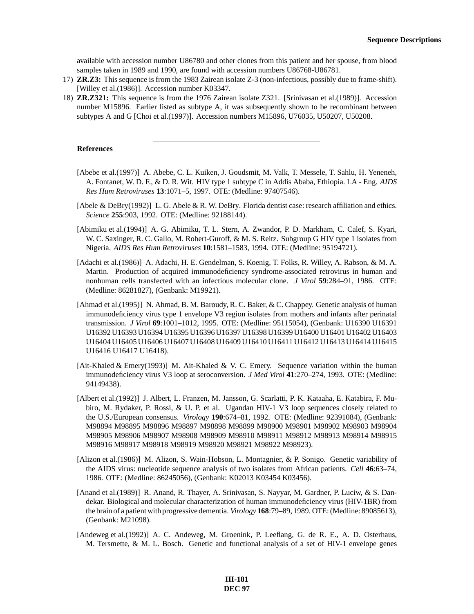available with accession number U86780 and other clones from this patient and her spouse, from blood samples taken in 1989 and 1990, are found with accession numbers U86768-U86781.

- 17) **ZR.Z3:** This sequence is from the 1983 Zairean isolate Z-3 (non-infectious, possibly due to frame-shift). [Willey et al.(1986)]. Accession number K03347.
- 18) **ZR.Z321:** This sequence is from the 1976 Zairean isolate Z321. [Srinivasan et al.(1989)]. Accession number M15896. Earlier listed as subtype A, it was subsequently shown to be recombinant between subtypes A and G [Choi et al.(1997)]. Accession numbers M15896, U76035, U50207, U50208.

#### **References**

- [Abebe et al.(1997)] A. Abebe, C. L. Kuiken, J. Goudsmit, M. Valk, T. Messele, T. Sahlu, H. Yeneneh, A. Fontanet, W. D. F., & D. R. Wit. HIV type 1 subtype C in Addis Ababa, Ethiopia. LA - Eng. *AIDS Res Hum Retroviruses* **13**:1071–5, 1997. OTE: (Medline: 97407546).
- [Abele & DeBry(1992)] L. G. Abele & R. W. DeBry. Florida dentist case: research affiliation and ethics. *Science* **255**:903, 1992. OTE: (Medline: 92188144).
- [Abimiku et al.(1994)] A. G. Abimiku, T. L. Stern, A. Zwandor, P. D. Markham, C. Calef, S. Kyari, W. C. Saxinger, R. C. Gallo, M. Robert-Guroff, & M. S. Reitz. Subgroup G HIV type 1 isolates from Nigeria. *AIDS Res Hum Retroviruses* **10**:1581–1583, 1994. OTE: (Medline: 95194721).
- [Adachi et al.(1986)] A. Adachi, H. E. Gendelman, S. Koenig, T. Folks, R. Willey, A. Rabson, & M. A. Martin. Production of acquired immunodeficiency syndrome-associated retrovirus in human and nonhuman cells transfected with an infectious molecular clone. *J Virol* **59**:284–91, 1986. OTE: (Medline: 86281827), (Genbank: M19921).
- [Ahmad et al.(1995)] N. Ahmad, B. M. Baroudy, R. C. Baker, & C. Chappey. Genetic analysis of human immunodeficiency virus type 1 envelope V3 region isolates from mothers and infants after perinatal transmission. *J Virol* **69**:1001–1012, 1995. OTE: (Medline: 95115054), (Genbank: U16390 U16391 U16392 U16393 U16394 U16395 U16396 U16397 U16398 U16399 U16400 U16401 U16402 U16403 U16404 U16405 U16406 U16407 U16408 U16409 U16410 U16411 U16412 U16413 U16414 U16415 U16416 U16417 U16418).
- [Ait-Khaled & Emery(1993)] M. Ait-Khaled & V. C. Emery. Sequence variation within the human immunodeficiency virus V3 loop at seroconversion. *J Med Virol* **41**:270–274, 1993. OTE: (Medline: 94149438).
- [Albert et al.(1992)] J. Albert, L. Franzen, M. Jansson, G. Scarlatti, P. K. Kataaha, E. Katabira, F. Mubiro, M. Rydaker, P. Rossi, & U. P. et al. Ugandan HIV-1 V3 loop sequences closely related to the U.S./European consensus. *Virology* **190**:674–81, 1992. OTE: (Medline: 92391084), (Genbank: M98894 M98895 M98896 M98897 M98898 M98899 M98900 M98901 M98902 M98903 M98904 M98905 M98906 M98907 M98908 M98909 M98910 M98911 M98912 M98913 M98914 M98915 M98916 M98917 M98918 M98919 M98920 M98921 M98922 M98923).
- [Alizon et al.(1986)] M. Alizon, S. Wain-Hobson, L. Montagnier, & P. Sonigo. Genetic variability of the AIDS virus: nucleotide sequence analysis of two isolates from African patients. *Cell* **46**:63–74, 1986. OTE: (Medline: 86245056), (Genbank: K02013 K03454 K03456).
- [Anand et al.(1989)] R. Anand, R. Thayer, A. Srinivasan, S. Nayyar, M. Gardner, P. Luciw, & S. Dandekar. Biological and molecular characterization of human immunodeficiency virus (HIV-1BR) from the brain of a patient with progressive dementia. *Virology* **168**:79–89, 1989. OTE: (Medline: 89085613), (Genbank: M21098).
- [Andeweg et al.(1992)] A. C. Andeweg, M. Groenink, P. Leeflang, G. de R. E., A. D. Osterhaus, M. Tersmette, & M. L. Bosch. Genetic and functional analysis of a set of HIV-1 envelope genes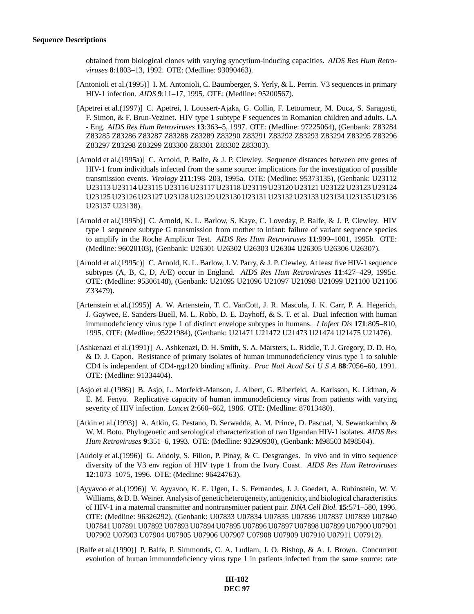obtained from biological clones with varying syncytium-inducing capacities. *AIDS Res Hum Retroviruses* **8**:1803–13, 1992. OTE: (Medline: 93090463).

- [Antonioli et al.(1995)] I. M. Antonioli, C. Baumberger, S. Yerly, & L. Perrin. V3 sequences in primary HIV-1 infection. *AIDS* **9**:11–17, 1995. OTE: (Medline: 95200567).
- [Apetrei et al.(1997)] C. Apetrei, I. Loussert-Ajaka, G. Collin, F. Letourneur, M. Duca, S. Saragosti, F. Simon, & F. Brun-Vezinet. HIV type 1 subtype F sequences in Romanian children and adults. LA - Eng. *AIDS Res Hum Retroviruses* **13**:363–5, 1997. OTE: (Medline: 97225064), (Genbank: Z83284 Z83285 Z83286 Z83287 Z83288 Z83289 Z83290 Z83291 Z83292 Z83293 Z83294 Z83295 Z83296 Z83297 Z83298 Z83299 Z83300 Z83301 Z83302 Z83303).
- [Arnold et al.(1995a)] C. Arnold, P. Balfe, & J. P. Clewley. Sequence distances between env genes of HIV-1 from individuals infected from the same source: implications for the investigation of possible transmission events. *Virology* **211**:198–203, 1995a. OTE: (Medline: 95373135), (Genbank: U23112 U23113 U23114 U23115 U23116 U23117 U23118 U23119 U23120 U23121 U23122 U23123 U23124 U23125 U23126 U23127 U23128 U23129 U23130 U23131 U23132 U23133 U23134 U23135 U23136 U23137 U23138).
- [Arnold et al.(1995b)] C. Arnold, K. L. Barlow, S. Kaye, C. Loveday, P. Balfe, & J. P. Clewley. HIV type 1 sequence subtype G transmission from mother to infant: failure of variant sequence species to amplify in the Roche Amplicor Test. *AIDS Res Hum Retroviruses* **11**:999–1001, 1995b. OTE: (Medline: 96020103), (Genbank: U26301 U26302 U26303 U26304 U26305 U26306 U26307).
- [Arnold et al.(1995c)] C. Arnold, K. L. Barlow, J. V. Parry, & J. P. Clewley. At least five HIV-1 sequence subtypes (A, B, C, D, A/E) occur in England. *AIDS Res Hum Retroviruses* **11**:427–429, 1995c. OTE: (Medline: 95306148), (Genbank: U21095 U21096 U21097 U21098 U21099 U21100 U21106 Z33479).
- [Artenstein et al.(1995)] A. W. Artenstein, T. C. VanCott, J. R. Mascola, J. K. Carr, P. A. Hegerich, J. Gaywee, E. Sanders-Buell, M. L. Robb, D. E. Dayhoff, & S. T. et al. Dual infection with human immunodeficiency virus type 1 of distinct envelope subtypes in humans. *J Infect Dis* **171**:805–810, 1995. OTE: (Medline: 95221984), (Genbank: U21471 U21472 U21473 U21474 U21475 U21476).
- [Ashkenazi et al.(1991)] A. Ashkenazi, D. H. Smith, S. A. Marsters, L. Riddle, T. J. Gregory, D. D. Ho, & D. J. Capon. Resistance of primary isolates of human immunodeficiency virus type 1 to soluble CD4 is independent of CD4-rgp120 binding affinity. *Proc Natl Acad Sci U S A* **88**:7056–60, 1991. OTE: (Medline: 91334404).
- [Asjo et al.(1986)] B. Asjo, L. Morfeldt-Manson, J. Albert, G. Biberfeld, A. Karlsson, K. Lidman, & E. M. Fenyo. Replicative capacity of human immunodeficiency virus from patients with varying severity of HIV infection. *Lancet* **2**:660–662, 1986. OTE: (Medline: 87013480).
- [Atkin et al.(1993)] A. Atkin, G. Pestano, D. Serwadda, A. M. Prince, D. Pascual, N. Sewankambo, & W. M. Boto. Phylogenetic and serological characterization of two Ugandan HIV-1 isolates. *AIDS Res Hum Retroviruses* **9**:351–6, 1993. OTE: (Medline: 93290930), (Genbank: M98503 M98504).
- [Audoly et al.(1996)] G. Audoly, S. Fillon, P. Pinay, & C. Desgranges. In vivo and in vitro sequence diversity of the V3 env region of HIV type 1 from the Ivory Coast. *AIDS Res Hum Retroviruses* **12**:1073–1075, 1996. OTE: (Medline: 96424763).
- [Ayyavoo et al.(1996)] V. Ayyavoo, K. E. Ugen, L. S. Fernandes, J. J. Goedert, A. Rubinstein, W. V. Williams, & D. B. Weiner. Analysis of genetic heterogeneity, antigenicity, and biological characteristics of HIV-1 in a maternal transmitter and nontransmitter patient pair. *DNA Cell Biol.* **15**:571–580, 1996. OTE: (Medline: 96326292), (Genbank: U07833 U07834 U07835 U07836 U07837 U07839 U07840 U07841 U07891 U07892 U07893 U07894 U07895 U07896 U07897 U07898 U07899 U07900 U07901 U07902 U07903 U07904 U07905 U07906 U07907 U07908 U07909 U07910 U07911 U07912).
- [Balfe et al.(1990)] P. Balfe, P. Simmonds, C. A. Ludlam, J. O. Bishop, & A. J. Brown. Concurrent evolution of human immunodeficiency virus type 1 in patients infected from the same source: rate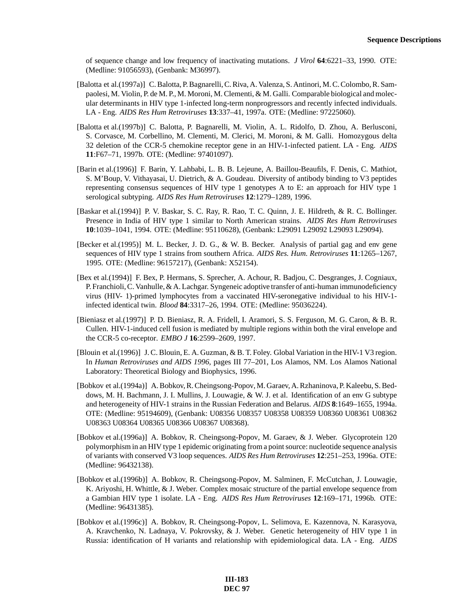of sequence change and low frequency of inactivating mutations. *J Virol* **64**:6221–33, 1990. OTE: (Medline: 91056593), (Genbank: M36997).

- [Balotta et al.(1997a)] C. Balotta, P. Bagnarelli, C. Riva, A. Valenza, S. Antinori, M. C. Colombo, R. Sampaolesi, M. Violin, P. de M. P., M. Moroni, M. Clementi, & M. Galli. Comparable biological and molecular determinants in HIV type 1-infected long-term nonprogressors and recently infected individuals. LA - Eng. *AIDS Res Hum Retroviruses* **13**:337–41, 1997a. OTE: (Medline: 97225060).
- [Balotta et al.(1997b)] C. Balotta, P. Bagnarelli, M. Violin, A. L. Ridolfo, D. Zhou, A. Berlusconi, S. Corvasce, M. Corbellino, M. Clementi, M. Clerici, M. Moroni, & M. Galli. Homozygous delta 32 deletion of the CCR-5 chemokine receptor gene in an HIV-1-infected patient. LA - Eng. *AIDS* **11**:F67–71, 1997b. OTE: (Medline: 97401097).
- [Barin et al.(1996)] F. Barin, Y. Lahbabi, L. B. B. Lejeune, A. Baillou-Beaufils, F. Denis, C. Mathiot, S. M'Boup, V. Vithayasai, U. Dietrich, & A. Goudeau. Diversity of antibody binding to V3 peptides representing consensus sequences of HIV type 1 genotypes A to E: an approach for HIV type 1 serological subtyping. *AIDS Res Hum Retroviruses* **12**:1279–1289, 1996.
- [Baskar et al.(1994)] P. V. Baskar, S. C. Ray, R. Rao, T. C. Quinn, J. E. Hildreth, & R. C. Bollinger. Presence in India of HIV type 1 similar to North American strains. *AIDS Res Hum Retroviruses* **10**:1039–1041, 1994. OTE: (Medline: 95110628), (Genbank: L29091 L29092 L29093 L29094).
- [Becker et al.(1995)] M. L. Becker, J. D. G., & W. B. Becker. Analysis of partial gag and env gene sequences of HIV type 1 strains from southern Africa. *AIDS Res. Hum. Retroviruses* **11**:1265–1267, 1995. OTE: (Medline: 96157217), (Genbank: X52154).
- [Bex et al.(1994)] F. Bex, P. Hermans, S. Sprecher, A. Achour, R. Badjou, C. Desgranges, J. Cogniaux, P. Franchioli, C. Vanhulle, & A. Lachgar. Syngeneic adoptive transfer of anti-human immunodeficiency virus (HIV- 1)-primed lymphocytes from a vaccinated HIV-seronegative individual to his HIV-1 infected identical twin. *Blood* **84**:3317–26, 1994. OTE: (Medline: 95036224).
- [Bieniasz et al.(1997)] P. D. Bieniasz, R. A. Fridell, I. Aramori, S. S. Ferguson, M. G. Caron, & B. R. Cullen. HIV-1-induced cell fusion is mediated by multiple regions within both the viral envelope and the CCR-5 co-receptor. *EMBO J* **16**:2599–2609, 1997.
- [Blouin et al.(1996)] J. C. Blouin, E. A. Guzman, & B. T. Foley. Global Variation in the HIV-1 V3 region. In *Human Retroviruses and AIDS 1996*, pages III 77–201, Los Alamos, NM. Los Alamos National Laboratory: Theoretical Biology and Biophysics, 1996.
- [Bobkov et al.(1994a)] A. Bobkov, R. Cheingsong-Popov, M. Garaev, A. Rzhaninova, P. Kaleebu, S. Beddows, M. H. Bachmann, J. I. Mullins, J. Louwagie, & W. J. et al. Identification of an env G subtype and heterogeneity of HIV-1 strains in the Russian Federation and Belarus. *AIDS* **8**:1649–1655, 1994a. OTE: (Medline: 95194609), (Genbank: U08356 U08357 U08358 U08359 U08360 U08361 U08362 U08363 U08364 U08365 U08366 U08367 U08368).
- [Bobkov et al.(1996a)] A. Bobkov, R. Cheingsong-Popov, M. Garaev, & J. Weber. Glycoprotein 120 polymorphism in an HIV type 1 epidemic originating from a point source: nucleotide sequence analysis of variants with conserved V3 loop sequences. *AIDS Res Hum Retroviruses* **12**:251–253, 1996a. OTE: (Medline: 96432138).
- [Bobkov et al.(1996b)] A. Bobkov, R. Cheingsong-Popov, M. Salminen, F. McCutchan, J. Louwagie, K. Ariyoshi, H. Whittle, & J. Weber. Complex mosaic structure of the partial envelope sequence from a Gambian HIV type 1 isolate. LA - Eng. *AIDS Res Hum Retroviruses* **12**:169–171, 1996b. OTE: (Medline: 96431385).
- [Bobkov et al.(1996c)] A. Bobkov, R. Cheingsong-Popov, L. Selimova, E. Kazennova, N. Karasyova, A. Kravchenko, N. Ladnaya, V. Pokrovsky, & J. Weber. Genetic heterogeneity of HIV type 1 in Russia: identification of H variants and relationship with epidemiological data. LA - Eng. *AIDS*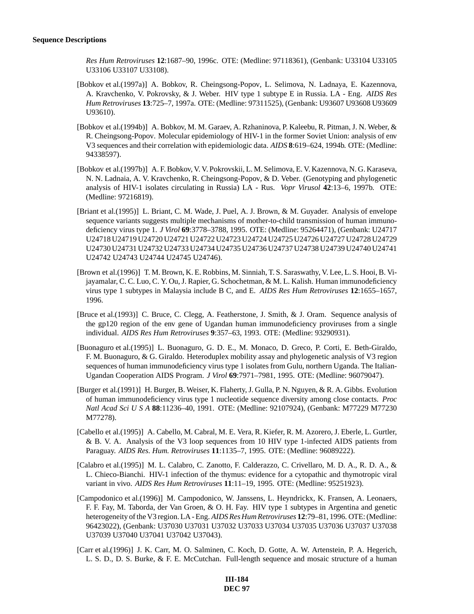*Res Hum Retroviruses* **12**:1687–90, 1996c. OTE: (Medline: 97118361), (Genbank: U33104 U33105 U33106 U33107 U33108).

- [Bobkov et al.(1997a)] A. Bobkov, R. Cheingsong-Popov, L. Selimova, N. Ladnaya, E. Kazennova, A. Kravchenko, V. Pokrovsky, & J. Weber. HIV type 1 subtype E in Russia. LA - Eng. *AIDS Res Hum Retroviruses* **13**:725–7, 1997a. OTE: (Medline: 97311525), (Genbank: U93607 U93608 U93609 U93610).
- [Bobkov et al.(1994b)] A. Bobkov, M. M. Garaev, A. Rzhaninova, P. Kaleebu, R. Pitman, J. N. Weber, & R. Cheingsong-Popov. Molecular epidemiology of HIV-1 in the former Soviet Union: analysis of env V3 sequences and their correlation with epidemiologic data. *AIDS* **8**:619–624, 1994b. OTE: (Medline: 94338597).
- [Bobkov et al.(1997b)] A. F. Bobkov, V. V. Pokrovskii, L. M. Selimova, E. V. Kazennova, N. G. Karaseva, N. N. Ladnaia, A. V. Kravchenko, R. Cheingsong-Popov, & D. Veber. (Genotyping and phylogenetic analysis of HIV-1 isolates circulating in Russia) LA - Rus. *Vopr Virusol* **42**:13–6, 1997b. OTE: (Medline: 97216819).
- [Briant et al.(1995)] L. Briant, C. M. Wade, J. Puel, A. J. Brown, & M. Guyader. Analysis of envelope sequence variants suggests multiple mechanisms of mother-to-child transmission of human immunodeficiency virus type 1. *J Virol* **69**:3778–3788, 1995. OTE: (Medline: 95264471), (Genbank: U24717 U24718 U24719 U24720 U24721 U24722 U24723 U24724 U24725 U24726 U24727 U24728 U24729 U24730 U24731 U24732 U24733 U24734 U24735 U24736 U24737 U24738 U24739 U24740 U24741 U24742 U24743 U24744 U24745 U24746).
- [Brown et al.(1996)] T. M. Brown, K. E. Robbins, M. Sinniah, T. S. Saraswathy, V. Lee, L. S. Hooi, B. Vijayamalar, C. C. Luo, C. Y. Ou, J. Rapier, G. Schochetman, & M. L. Kalish. Human immunodeficiency virus type 1 subtypes in Malaysia include B C, and E. *AIDS Res Hum Retroviruses* **12**:1655–1657, 1996.
- [Bruce et al.(1993)] C. Bruce, C. Clegg, A. Featherstone, J. Smith, & J. Oram. Sequence analysis of the gp120 region of the env gene of Ugandan human immunodeficiency proviruses from a single individual. *AIDS Res Hum Retroviruses* **9**:357–63, 1993. OTE: (Medline: 93290931).
- [Buonaguro et al.(1995)] L. Buonaguro, G. D. E., M. Monaco, D. Greco, P. Corti, E. Beth-Giraldo, F. M. Buonaguro, & G. Giraldo. Heteroduplex mobility assay and phylogenetic analysis of V3 region sequences of human immunodeficiency virus type 1 isolates from Gulu, northern Uganda. The Italian-Ugandan Cooperation AIDS Program. *J Virol* **69**:7971–7981, 1995. OTE: (Medline: 96079047).
- [Burger et al.(1991)] H. Burger, B. Weiser, K. Flaherty, J. Gulla, P. N. Nguyen, & R. A. Gibbs. Evolution of human immunodeficiency virus type 1 nucleotide sequence diversity among close contacts. *Proc Natl Acad SciUSA* **88**:11236–40, 1991. OTE: (Medline: 92107924), (Genbank: M77229 M77230 M77278).
- [Cabello et al.(1995)] A. Cabello, M. Cabral, M. E. Vera, R. Kiefer, R. M. Azorero, J. Eberle, L. Gurtler, & B. V. A. Analysis of the V3 loop sequences from 10 HIV type 1-infected AIDS patients from Paraguay. *AIDS Res. Hum. Retroviruses* **11**:1135–7, 1995. OTE: (Medline: 96089222).
- [Calabro et al.(1995)] M. L. Calabro, C. Zanotto, F. Calderazzo, C. Crivellaro, M. D. A., R. D. A., & L. Chieco-Bianchi. HIV-1 infection of the thymus: evidence for a cytopathic and thymotropic viral variant in vivo. *AIDS Res Hum Retroviruses* **11**:11–19, 1995. OTE: (Medline: 95251923).
- [Campodonico et al.(1996)] M. Campodonico, W. Janssens, L. Heyndrickx, K. Fransen, A. Leonaers, F. F. Fay, M. Taborda, der Van Groen, & O. H. Fay. HIV type 1 subtypes in Argentina and genetic heterogeneity of the V3 region. LA - Eng. *AIDS Res Hum Retroviruses* **12**:79–81, 1996. OTE: (Medline: 96423022), (Genbank: U37030 U37031 U37032 U37033 U37034 U37035 U37036 U37037 U37038 U37039 U37040 U37041 U37042 U37043).
- [Carr et al.(1996)] J. K. Carr, M. O. Salminen, C. Koch, D. Gotte, A. W. Artenstein, P. A. Hegerich, L. S. D., D. S. Burke, & F. E. McCutchan. Full-length sequence and mosaic structure of a human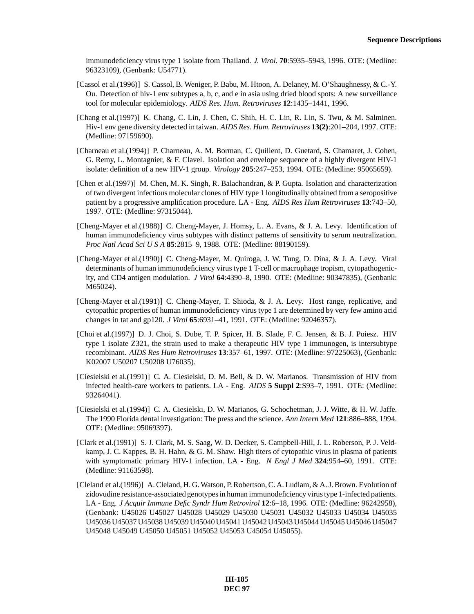immunodeficiency virus type 1 isolate from Thailand. *J. Virol.* **70**:5935–5943, 1996. OTE: (Medline: 96323109), (Genbank: U54771).

- [Cassol et al.(1996)] S. Cassol, B. Weniger, P. Babu, M. Htoon, A. Delaney, M. O'Shaughnessy, & C.-Y. Ou. Detection of hiv-1 env subtypes a, b, c, and e in asia using dried blood spots: A new surveillance tool for molecular epidemiology. *AIDS Res. Hum. Retroviruses* **12**:1435–1441, 1996.
- [Chang et al.(1997)] K. Chang, C. Lin, J. Chen, C. Shih, H. C. Lin, R. Lin, S. Twu, & M. Salminen. Hiv-1 env gene diversity detected in taiwan. *AIDS Res. Hum. Retroviruses* **13(2)**:201–204, 1997. OTE: (Medline: 97159690).
- [Charneau et al.(1994)] P. Charneau, A. M. Borman, C. Quillent, D. Guetard, S. Chamaret, J. Cohen, G. Remy, L. Montagnier, & F. Clavel. Isolation and envelope sequence of a highly divergent HIV-1 isolate: definition of a new HIV-1 group. *Virology* **205**:247–253, 1994. OTE: (Medline: 95065659).
- [Chen et al.(1997)] M. Chen, M. K. Singh, R. Balachandran, & P. Gupta. Isolation and characterization of two divergent infectious molecular clones of HIV type 1 longitudinally obtained from a seropositive patient by a progressive amplification procedure. LA - Eng. *AIDS Res Hum Retroviruses* **13**:743–50, 1997. OTE: (Medline: 97315044).
- [Cheng-Mayer et al.(1988)] C. Cheng-Mayer, J. Homsy, L. A. Evans, & J. A. Levy. Identification of human immunodeficiency virus subtypes with distinct patterns of sensitivity to serum neutralization. *Proc Natl Acad SciUSA* **85**:2815–9, 1988. OTE: (Medline: 88190159).
- [Cheng-Mayer et al.(1990)] C. Cheng-Mayer, M. Quiroga, J. W. Tung, D. Dina, & J. A. Levy. Viral determinants of human immunodeficiency virus type 1 T-cell or macrophage tropism, cytopathogenicity, and CD4 antigen modulation. *J Virol* **64**:4390–8, 1990. OTE: (Medline: 90347835), (Genbank: M65024).
- [Cheng-Mayer et al.(1991)] C. Cheng-Mayer, T. Shioda, & J. A. Levy. Host range, replicative, and cytopathic properties of human immunodeficiency virus type 1 are determined by very few amino acid changes in tat and gp120. *J Virol* **65**:6931–41, 1991. OTE: (Medline: 92046357).
- [Choi et al.(1997)] D. J. Choi, S. Dube, T. P. Spicer, H. B. Slade, F. C. Jensen, & B. J. Poiesz. HIV type 1 isolate Z321, the strain used to make a therapeutic HIV type 1 immunogen, is intersubtype recombinant. *AIDS Res Hum Retroviruses* **13**:357–61, 1997. OTE: (Medline: 97225063), (Genbank: K02007 U50207 U50208 U76035).
- [Ciesielski et al.(1991)] C. A. Ciesielski, D. M. Bell, & D. W. Marianos. Transmission of HIV from infected health-care workers to patients. LA - Eng. *AIDS* **5 Suppl 2**:S93–7, 1991. OTE: (Medline: 93264041).
- [Ciesielski et al.(1994)] C. A. Ciesielski, D. W. Marianos, G. Schochetman, J. J. Witte, & H. W. Jaffe. The 1990 Florida dental investigation: The press and the science. *Ann Intern Med* **121**:886–888, 1994. OTE: (Medline: 95069397).
- [Clark et al.(1991)] S. J. Clark, M. S. Saag, W. D. Decker, S. Campbell-Hill, J. L. Roberson, P. J. Veldkamp, J. C. Kappes, B. H. Hahn, & G. M. Shaw. High titers of cytopathic virus in plasma of patients with symptomatic primary HIV-1 infection. LA - Eng. *N Engl J Med* **324**:954–60, 1991. OTE: (Medline: 91163598).
- [Cleland et al.(1996)] A. Cleland, H. G. Watson, P. Robertson, C. A. Ludlam, & A. J. Brown. Evolution of zidovudine resistance-associated genotypes in human immunodeficiency virus type 1-infected patients. LA - Eng. *J Acquir Immune Defic Syndr Hum Retrovirol* **12**:6–18, 1996. OTE: (Medline: 96242958), (Genbank: U45026 U45027 U45028 U45029 U45030 U45031 U45032 U45033 U45034 U45035 U45036 U45037 U45038 U45039 U45040 U45041 U45042 U45043 U45044 U45045 U45046 U45047 U45048 U45049 U45050 U45051 U45052 U45053 U45054 U45055).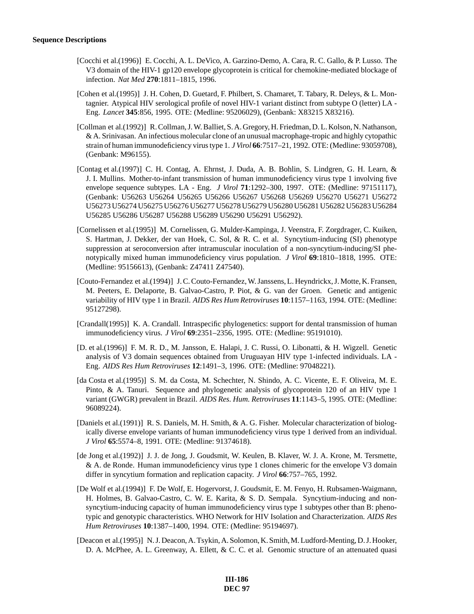- [Cocchi et al.(1996)] E. Cocchi, A. L. DeVico, A. Garzino-Demo, A. Cara, R. C. Gallo, & P. Lusso. The V3 domain of the HIV-1 gp120 envelope glycoprotein is critical for chemokine-mediated blockage of infection. *Nat Med* **270**:1811–1815, 1996.
- [Cohen et al.(1995)] J. H. Cohen, D. Guetard, F. Philbert, S. Chamaret, T. Tabary, R. Deleys, & L. Montagnier. Atypical HIV serological profile of novel HIV-1 variant distinct from subtype O (letter) LA - Eng. *Lancet* **345**:856, 1995. OTE: (Medline: 95206029), (Genbank: X83215 X83216).
- [Collman et al.(1992)] R. Collman, J. W. Balliet, S. A. Gregory, H. Friedman, D. L. Kolson, N. Nathanson, & A. Srinivasan. An infectious molecular clone of an unusual macrophage-tropic and highly cytopathic strain of human immunodeficiency virus type 1. *J Virol* **66**:7517–21, 1992. OTE: (Medline: 93059708), (Genbank: M96155).
- [Contag et al.(1997)] C. H. Contag, A. Ehrnst, J. Duda, A. B. Bohlin, S. Lindgren, G. H. Learn, & J. I. Mullins. Mother-to-infant transmission of human immunodeficiency virus type 1 involving five envelope sequence subtypes. LA - Eng. *J Virol* **71**:1292–300, 1997. OTE: (Medline: 97151117), (Genbank: U56263 U56264 U56265 U56266 U56267 U56268 U56269 U56270 U56271 U56272 U56273 U56274 U56275 U56276 U56277 U56278 U56279 U56280 U56281 U56282 U56283 U56284 U56285 U56286 U56287 U56288 U56289 U56290 U56291 U56292).
- [Cornelissen et al.(1995)] M. Cornelissen, G. Mulder-Kampinga, J. Veenstra, F. Zorgdrager, C. Kuiken, S. Hartman, J. Dekker, der van Hoek, C. Sol, & R. C. et al. Syncytium-inducing (SI) phenotype suppression at seroconversion after intramuscular inoculation of a non-syncytium-inducing/SI phenotypically mixed human immunodeficiency virus population. *J Virol* **69**:1810–1818, 1995. OTE: (Medline: 95156613), (Genbank: Z47411 Z47540).
- [Couto-Fernandez et al.(1994)] J. C. Couto-Fernandez, W. Janssens, L. Heyndrickx, J. Motte, K. Fransen, M. Peeters, E. Delaporte, B. Galvao-Castro, P. Piot, & G. van der Groen. Genetic and antigenic variability of HIV type 1 in Brazil. *AIDS Res Hum Retroviruses* **10**:1157–1163, 1994. OTE: (Medline: 95127298).
- [Crandall(1995)] K. A. Crandall. Intraspecific phylogenetics: support for dental transmission of human immunodeficiency virus. *J Virol* **69**:2351–2356, 1995. OTE: (Medline: 95191010).
- [D. et al.(1996)] F. M. R. D., M. Jansson, E. Halapi, J. C. Russi, O. Libonatti, & H. Wigzell. Genetic analysis of V3 domain sequences obtained from Uruguayan HIV type 1-infected individuals. LA - Eng. *AIDS Res Hum Retroviruses* **12**:1491–3, 1996. OTE: (Medline: 97048221).
- [da Costa et al.(1995)] S. M. da Costa, M. Schechter, N. Shindo, A. C. Vicente, E. F. Oliveira, M. E. Pinto, & A. Tanuri. Sequence and phylogenetic analysis of glycoprotein 120 of an HIV type 1 variant (GWGR) prevalent in Brazil. *AIDS Res. Hum. Retroviruses* **11**:1143–5, 1995. OTE: (Medline: 96089224).
- [Daniels et al.(1991)] R. S. Daniels, M. H. Smith, & A. G. Fisher. Molecular characterization of biologically diverse envelope variants of human immunodeficiency virus type 1 derived from an individual. *J Virol* **65**:5574–8, 1991. OTE: (Medline: 91374618).
- [de Jong et al.(1992)] J. J. de Jong, J. Goudsmit, W. Keulen, B. Klaver, W. J. A. Krone, M. Tersmette, & A. de Ronde. Human immunodeficiency virus type 1 clones chimeric for the envelope V3 domain differ in syncytium formation and replication capacity. *J Virol* **66**:757–765, 1992.
- [De Wolf et al.(1994)] F. De Wolf, E. Hogervorst, J. Goudsmit, E. M. Fenyo, H. Rubsamen-Waigmann, H. Holmes, B. Galvao-Castro, C. W. E. Karita, & S. D. Sempala. Syncytium-inducing and nonsyncytium-inducing capacity of human immunodeficiency virus type 1 subtypes other than B: phenotypic and genotypic characteristics. WHO Network for HIV Isolation and Characterization. *AIDS Res Hum Retroviruses* **10**:1387–1400, 1994. OTE: (Medline: 95194697).
- [Deacon et al.(1995)] N. J. Deacon, A. Tsykin, A. Solomon, K. Smith, M. Ludford-Menting, D. J. Hooker, D. A. McPhee, A. L. Greenway, A. Ellett, & C. C. et al. Genomic structure of an attenuated quasi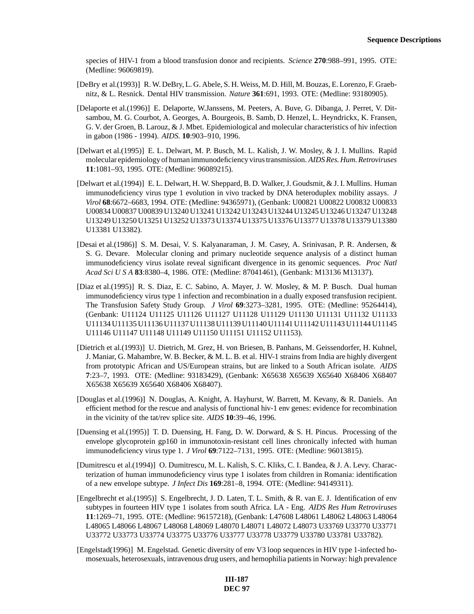species of HIV-1 from a blood transfusion donor and recipients. *Science* **270**:988–991, 1995. OTE: (Medline: 96069819).

- [DeBry et al.(1993)] R. W. DeBry, L. G. Abele, S. H. Weiss, M. D. Hill, M. Bouzas, E. Lorenzo, F. Graebnitz, & L. Resnick. Dental HIV transmission. *Nature* **361**:691, 1993. OTE: (Medline: 93180905).
- [Delaporte et al.(1996)] E. Delaporte, W.Janssens, M. Peeters, A. Buve, G. Dibanga, J. Perret, V. Ditsambou, M. G. Courbot, A. Georges, A. Bourgeois, B. Samb, D. Henzel, L. Heyndrickx, K. Fransen, G. V. der Groen, B. Larouz, & J. Mbet. Epidemiological and molecular characteristics of hiv infection in gabon (1986 - 1994). *AIDS.* **10**:903–910, 1996.
- [Delwart et al.(1995)] E. L. Delwart, M. P. Busch, M. L. Kalish, J. W. Mosley, & J. I. Mullins. Rapid molecular epidemiology of human immunodeficiency virus transmission. *AIDS Res. Hum. Retroviruses* **11**:1081–93, 1995. OTE: (Medline: 96089215).
- [Delwart et al.(1994)] E. L. Delwart, H. W. Sheppard, B. D. Walker, J. Goudsmit, & J. I. Mullins. Human immunodeficiency virus type 1 evolution in vivo tracked by DNA heteroduplex mobility assays. *J Virol* **68**:6672–6683, 1994. OTE: (Medline: 94365971), (Genbank: U00821 U00822 U00832 U00833 U00834 U00837 U00839 U13240 U13241 U13242 U13243 U13244 U13245 U13246 U13247 U13248 U13249 U13250 U13251 U13252 U13373 U13374 U13375 U13376 U13377 U13378 U13379 U13380 U13381 U13382).
- [Desai et al.(1986)] S. M. Desai, V. S. Kalyanaraman, J. M. Casey, A. Srinivasan, P. R. Andersen, & S. G. Devare. Molecular cloning and primary nucleotide sequence analysis of a distinct human immunodeficiency virus isolate reveal significant divergence in its genomic sequences. *Proc Natl Acad SciUSA* **83**:8380–4, 1986. OTE: (Medline: 87041461), (Genbank: M13136 M13137).
- [Diaz et al.(1995)] R. S. Diaz, E. C. Sabino, A. Mayer, J. W. Mosley, & M. P. Busch. Dual human immunodeficiency virus type 1 infection and recombination in a dually exposed transfusion recipient. The Transfusion Safety Study Group. *J Virol* **69**:3273–3281, 1995. OTE: (Medline: 95264414), (Genbank: U11124 U11125 U11126 U11127 U11128 U11129 U11130 U11131 U11132 U11133 U11134 U11135 U11136 U11137 U11138 U11139 U11140 U11141 U11142 U11143 U11144 U11145 U11146 U11147 U11148 U11149 U11150 U11151 U11152 U11153).
- [Dietrich et al.(1993)] U. Dietrich, M. Grez, H. von Briesen, B. Panhans, M. Geissendorfer, H. Kuhnel, J. Maniar, G. Mahambre, W. B. Becker, & M. L. B. et al. HIV-1 strains from India are highly divergent from prototypic African and US/European strains, but are linked to a South African isolate. *AIDS* **7**:23–7, 1993. OTE: (Medline: 93183429), (Genbank: X65638 X65639 X65640 X68406 X68407 X65638 X65639 X65640 X68406 X68407).
- [Douglas et al.(1996)] N. Douglas, A. Knight, A. Hayhurst, W. Barrett, M. Kevany, & R. Daniels. An efficient method for the rescue and analysis of functional hiv-1 env genes: evidence for recombination in the vicinity of the tat/rev splice site. *AIDS* **10**:39–46, 1996.
- [Duensing et al.(1995)] T. D. Duensing, H. Fang, D. W. Dorward, & S. H. Pincus. Processing of the envelope glycoprotein gp160 in immunotoxin-resistant cell lines chronically infected with human immunodeficiency virus type 1. *J Virol* **69**:7122–7131, 1995. OTE: (Medline: 96013815).
- [Dumitrescu et al.(1994)] O. Dumitrescu, M. L. Kalish, S. C. Kliks, C. I. Bandea, & J. A. Levy. Characterization of human immunodeficiency virus type 1 isolates from children in Romania: identification of a new envelope subtype. *J Infect Dis* **169**:281–8, 1994. OTE: (Medline: 94149311).
- [Engelbrecht et al.(1995)] S. Engelbrecht, J. D. Laten, T. L. Smith, & R. van E. J. Identification of env subtypes in fourteen HIV type 1 isolates from south Africa. LA - Eng. *AIDS Res Hum Retroviruses* **11**:1269–71, 1995. OTE: (Medline: 96157218), (Genbank: L47608 L48061 L48062 L48063 L48064 L48065 L48066 L48067 L48068 L48069 L48070 L48071 L48072 L48073 U33769 U33770 U33771 U33772 U33773 U33774 U33775 U33776 U33777 U33778 U33779 U33780 U33781 U33782).
- [Engelstad(1996)] M. Engelstad. Genetic diversity of env V3 loop sequences in HIV type 1-infected homosexuals, heterosexuals, intravenous drug users, and hemophilia patients in Norway: high prevalence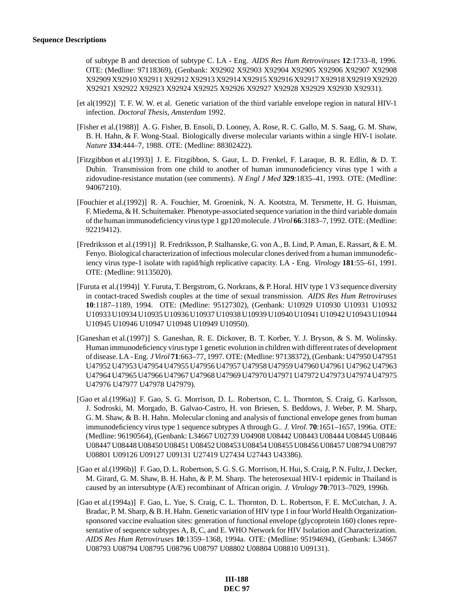of subtype B and detection of subtype C. LA - Eng. *AIDS Res Hum Retroviruses* **12**:1733–8, 1996. OTE: (Medline: 97118369), (Genbank: X92902 X92903 X92904 X92905 X92906 X92907 X92908 X92909 X92910 X92911 X92912 X92913 X92914 X92915 X92916 X92917 X92918 X92919 X92920 X92921 X92922 X92923 X92924 X92925 X92926 X92927 X92928 X92929 X92930 X92931).

- [et al(1992)] T. F. W. W. et al. Genetic variation of the third variable envelope region in natural HIV-1 infection. *Doctoral Thesis, Amsterdam* 1992.
- [Fisher et al.(1988)] A. G. Fisher, B. Ensoli, D. Looney, A. Rose, R. C. Gallo, M. S. Saag, G. M. Shaw, B. H. Hahn, & F. Wong-Staal. Biologically diverse molecular variants within a single HIV-1 isolate. *Nature* **334**:444–7, 1988. OTE: (Medline: 88302422).
- [Fitzgibbon et al.(1993)] J. E. Fitzgibbon, S. Gaur, L. D. Frenkel, F. Laraque, B. R. Edlin, & D. T. Dubin. Transmission from one child to another of human immunodeficiency virus type 1 with a zidovudine-resistance mutation (see comments). *N Engl J Med* **329**:1835–41, 1993. OTE: (Medline: 94067210).
- [Fouchier et al.(1992)] R. A. Fouchier, M. Groenink, N. A. Kootstra, M. Tersmette, H. G. Huisman, F. Miedema, & H. Schuitemaker. Phenotype-associated sequence variation in the third variable domain of the human immunodeficiency virus type 1 gp120 molecule. *J Virol* **66**:3183–7, 1992. OTE: (Medline: 92219412).
- [Fredriksson et al.(1991)] R. Fredriksson, P. Stalhanske, G. von A., B. Lind, P. Aman, E. Rassart, & E. M. Fenyo. Biological characterization of infectious molecular clones derived from a human immunodeficiency virus type-1 isolate with rapid/high replicative capacity. LA - Eng. *Virology* **181**:55–61, 1991. OTE: (Medline: 91135020).
- [Furuta et al.(1994)] Y. Furuta, T. Bergstrom, G. Norkrans, & P. Horal. HIV type 1 V3 sequence diversity in contact-traced Swedish couples at the time of sexual transmission. *AIDS Res Hum Retroviruses* **10**:1187–1189, 1994. OTE: (Medline: 95127302), (Genbank: U10929 U10930 U10931 U10932 U10933 U10934 U10935 U10936 U10937 U10938 U10939 U10940 U10941 U10942 U10943 U10944 U10945 U10946 U10947 U10948 U10949 U10950).
- [Ganeshan et al.(1997)] S. Ganeshan, R. E. Dickover, B. T. Korber, Y. J. Bryson, & S. M. Wolinsky. Human immunodeficiency virus type 1 genetic evolution in children with different rates of development of disease. LA - Eng. *J Virol* **71**:663–77, 1997. OTE: (Medline: 97138372), (Genbank: U47950 U47951 U47952 U47953 U47954 U47955 U47956 U47957 U47958 U47959 U47960 U47961 U47962 U47963 U47964 U47965 U47966 U47967 U47968 U47969 U47970 U47971 U47972 U47973 U47974 U47975 U47976 U47977 U47978 U47979).
- [Gao et al.(1996a)] F. Gao, S. G. Morrison, D. L. Robertson, C. L. Thornton, S. Craig, G. Karlsson, J. Sodroski, M. Morgado, B. Galvao-Castro, H. von Briesen, S. Beddows, J. Weber, P. M. Sharp, G. M. Shaw, & B. H. Hahn. Molecular cloning and analysis of functional envelope genes from human immunodeficiency virus type 1 sequence subtypes A through G.. *J. Virol.* **70**:1651–1657, 1996a. OTE: (Medline: 96190564), (Genbank: L34667 U02739 U04908 U08442 U08443 U08444 U08445 U08446 U08447 U08448 U08450 U08451 U08452 U08453 U08454 U08455 U08456 U08457 U08794 U08797 U08801 U09126 U09127 U09131 U27419 U27434 U27443 U43386).
- [Gao et al.(1996b)] F. Gao, D. L. Robertson, S. G. S. G. Morrison, H. Hui, S. Craig, P. N. Fultz, J. Decker, M. Girard, G. M. Shaw, B. H. Hahn, & P. M. Sharp. The heterosexual HIV-1 epidemic in Thailand is caused by an intersubtype (A/E) recombinant of African origin. *J. Virology* **70**:7013–7029, 1996b.
- [Gao et al.(1994a)] F. Gao, L. Yue, S. Craig, C. L. Thornton, D. L. Robertson, F. E. McCutchan, J. A. Bradac, P. M. Sharp, & B. H. Hahn. Genetic variation of HIV type 1 in four World Health Organizationsponsored vaccine evaluation sites: generation of functional envelope (glycoprotein 160) clones representative of sequence subtypes A, B, C, and E. WHO Network for HIV Isolation and Characterization. *AIDS Res Hum Retroviruses* **10**:1359–1368, 1994a. OTE: (Medline: 95194694), (Genbank: L34667 U08793 U08794 U08795 U08796 U08797 U08802 U08804 U08810 U09131).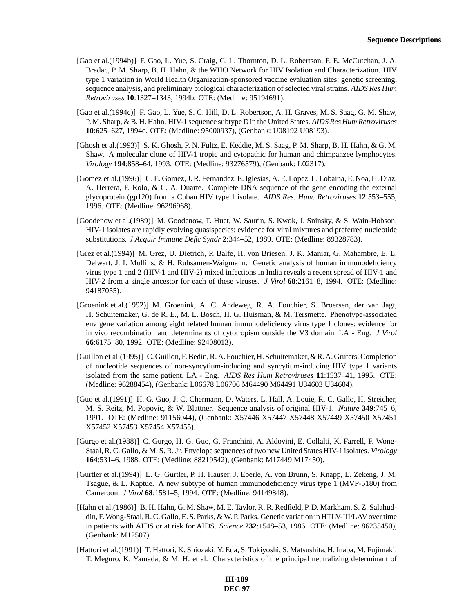- [Gao et al.(1994b)] F. Gao, L. Yue, S. Craig, C. L. Thornton, D. L. Robertson, F. E. McCutchan, J. A. Bradac, P. M. Sharp, B. H. Hahn, & the WHO Network for HIV Isolation and Characterization. HIV type 1 variation in World Health Organization-sponsored vaccine evaluation sites: genetic screening, sequence analysis, and preliminary biological characterization of selected viral strains. *AIDS Res Hum Retroviruses* **10**:1327–1343, 1994b. OTE: (Medline: 95194691).
- [Gao et al.(1994c)] F. Gao, L. Yue, S. C. Hill, D. L. Robertson, A. H. Graves, M. S. Saag, G. M. Shaw, P. M. Sharp, & B. H. Hahn. HIV-1 sequence subtype D in the United States. *AIDS Res Hum Retroviruses* **10**:625–627, 1994c. OTE: (Medline: 95000937), (Genbank: U08192 U08193).
- [Ghosh et al.(1993)] S. K. Ghosh, P. N. Fultz, E. Keddie, M. S. Saag, P. M. Sharp, B. H. Hahn, & G. M. Shaw. A molecular clone of HIV-1 tropic and cytopathic for human and chimpanzee lymphocytes. *Virology* **194**:858–64, 1993. OTE: (Medline: 93276579), (Genbank: L02317).
- [Gomez et al.(1996)] C. E. Gomez, J. R. Fernandez, E. Iglesias, A. E. Lopez, L. Lobaina, E. Noa, H. Diaz, A. Herrera, F. Rolo, & C. A. Duarte. Complete DNA sequence of the gene encoding the external glycoprotein (gp120) from a Cuban HIV type 1 isolate. *AIDS Res. Hum. Retroviruses* **12**:553–555, 1996. OTE: (Medline: 96296968).
- [Goodenow et al.(1989)] M. Goodenow, T. Huet, W. Saurin, S. Kwok, J. Sninsky, & S. Wain-Hobson. HIV-1 isolates are rapidly evolving quasispecies: evidence for viral mixtures and preferred nucleotide substitutions. *J Acquir Immune Defic Syndr* **2**:344–52, 1989. OTE: (Medline: 89328783).
- [Grez et al.(1994)] M. Grez, U. Dietrich, P. Balfe, H. von Briesen, J. K. Maniar, G. Mahambre, E. L. Delwart, J. I. Mullins, & H. Rubsamen-Waigmann. Genetic analysis of human immunodeficiency virus type 1 and 2 (HIV-1 and HIV-2) mixed infections in India reveals a recent spread of HIV-1 and HIV-2 from a single ancestor for each of these viruses. *J Virol* **68**:2161–8, 1994. OTE: (Medline: 94187055).
- [Groenink et al.(1992)] M. Groenink, A. C. Andeweg, R. A. Fouchier, S. Broersen, der van Jagt, H. Schuitemaker, G. de R. E., M. L. Bosch, H. G. Huisman, & M. Tersmette. Phenotype-associated env gene variation among eight related human immunodeficiency virus type 1 clones: evidence for in vivo recombination and determinants of cytotropism outside the V3 domain. LA - Eng. *J Virol* **66**:6175–80, 1992. OTE: (Medline: 92408013).
- [Guillon et al.(1995)] C. Guillon, F. Bedin, R. A. Fouchier, H. Schuitemaker, & R. A. Gruters. Completion of nucleotide sequences of non-syncytium-inducing and syncytium-inducing HIV type 1 variants isolated from the same patient. LA - Eng. *AIDS Res Hum Retroviruses* **11**:1537–41, 1995. OTE: (Medline: 96288454), (Genbank: L06678 L06706 M64490 M64491 U34603 U34604).
- [Guo et al.(1991)] H. G. Guo, J. C. Chermann, D. Waters, L. Hall, A. Louie, R. C. Gallo, H. Streicher, M. S. Reitz, M. Popovic, & W. Blattner. Sequence analysis of original HIV-1. *Nature* **349**:745–6, 1991. OTE: (Medline: 91156044), (Genbank: X57446 X57447 X57448 X57449 X57450 X57451 X57452 X57453 X57454 X57455).
- [Gurgo et al.(1988)] C. Gurgo, H. G. Guo, G. Franchini, A. Aldovini, E. Collalti, K. Farrell, F. Wong-Staal, R. C. Gallo, & M. S. R. Jr. Envelope sequences of two new United States HIV-1 isolates. *Virology* **164**:531–6, 1988. OTE: (Medline: 88219542), (Genbank: M17449 M17450).
- [Gurtler et al.(1994)] L. G. Gurtler, P. H. Hauser, J. Eberle, A. von Brunn, S. Knapp, L. Zekeng, J. M. Tsague, & L. Kaptue. A new subtype of human immunodeficiency virus type 1 (MVP-5180) from Cameroon. *J Virol* **68**:1581–5, 1994. OTE: (Medline: 94149848).
- [Hahn et al.(1986)] B. H. Hahn, G. M. Shaw, M. E. Taylor, R. R. Redfield, P. D. Markham, S. Z. Salahuddin, F. Wong-Staal, R. C. Gallo, E. S. Parks, & W. P. Parks. Genetic variation in HTLV-III/LAV over time in patients with AIDS or at risk for AIDS. *Science* **232**:1548–53, 1986. OTE: (Medline: 86235450), (Genbank: M12507).
- [Hattori et al.(1991)] T. Hattori, K. Shiozaki, Y. Eda, S. Tokiyoshi, S. Matsushita, H. Inaba, M. Fujimaki, T. Meguro, K. Yamada, & M. H. et al. Characteristics of the principal neutralizing determinant of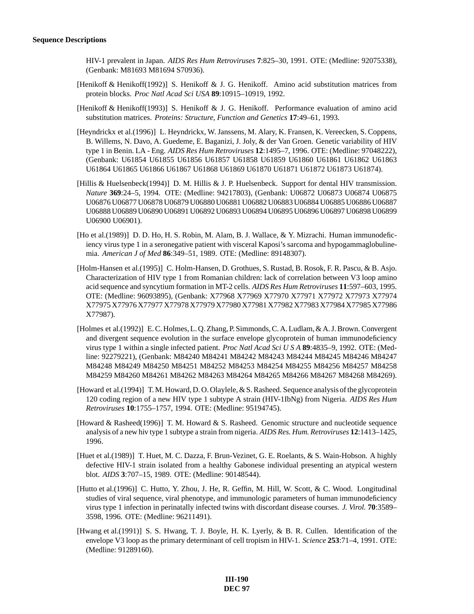HIV-1 prevalent in Japan. *AIDS Res Hum Retroviruses* **7**:825–30, 1991. OTE: (Medline: 92075338), (Genbank: M81693 M81694 S70936).

- [Henikoff & Henikoff(1992)] S. Henikoff & J. G. Henikoff. Amino acid substitution matrices from protein blocks. *Proc Natl Acad Sci USA* **89**:10915–10919, 1992.
- [Henikoff & Henikoff(1993)] S. Henikoff & J. G. Henikoff. Performance evaluation of amino acid substitution matrices. *Proteins: Structure, Function and Genetics* **17**:49–61, 1993.
- [Heyndrickx et al.(1996)] L. Heyndrickx, W. Janssens, M. Alary, K. Fransen, K. Vereecken, S. Coppens, B. Willems, N. Davo, A. Guedeme, E. Baganizi, J. Joly, & der Van Groen. Genetic variability of HIV type 1 in Benin. LA - Eng. *AIDS Res Hum Retroviruses* **12**:1495–7, 1996. OTE: (Medline: 97048222), (Genbank: U61854 U61855 U61856 U61857 U61858 U61859 U61860 U61861 U61862 U61863 U61864 U61865 U61866 U61867 U61868 U61869 U61870 U61871 U61872 U61873 U61874).
- [Hillis & Huelsenbeck(1994)] D. M. Hillis & J. P. Huelsenbeck. Support for dental HIV transmission. *Nature* **369**:24–5, 1994. OTE: (Medline: 94217803), (Genbank: U06872 U06873 U06874 U06875 U06876 U06877 U06878 U06879 U06880 U06881 U06882 U06883 U06884 U06885 U06886 U06887 U06888 U06889 U06890 U06891 U06892 U06893 U06894 U06895 U06896 U06897 U06898 U06899 U06900 U06901).
- [Ho et al.(1989)] D. D. Ho, H. S. Robin, M. Alam, B. J. Wallace, & Y. Mizrachi. Human immunodeficiency virus type 1 in a seronegative patient with visceral Kaposi's sarcoma and hypogammaglobulinemia. *American J of Med* **86**:349–51, 1989. OTE: (Medline: 89148307).
- [Holm-Hansen et al.(1995)] C. Holm-Hansen, D. Grothues, S. Rustad, B. Rosok, F. R. Pascu, & B. Asjo. Characterization of HIV type 1 from Romanian children: lack of correlation between V3 loop amino acid sequence and syncytium formation in MT-2 cells. *AIDS Res Hum Retroviruses* **11**:597–603, 1995. OTE: (Medline: 96093895), (Genbank: X77968 X77969 X77970 X77971 X77972 X77973 X77974 X77975 X77976 X77977 X77978 X77979 X77980 X77981 X77982 X77983 X77984 X77985 X77986 X77987).
- [Holmes et al.(1992)] E. C. Holmes, L. Q. Zhang, P. Simmonds, C. A. Ludlam, & A. J. Brown. Convergent and divergent sequence evolution in the surface envelope glycoprotein of human immunodeficiency virus type 1 within a single infected patient. *Proc Natl Acad Sci U S A* **89**:4835–9, 1992. OTE: (Medline: 92279221), (Genbank: M84240 M84241 M84242 M84243 M84244 M84245 M84246 M84247 M84248 M84249 M84250 M84251 M84252 M84253 M84254 M84255 M84256 M84257 M84258 M84259 M84260 M84261 M84262 M84263 M84264 M84265 M84266 M84267 M84268 M84269).
- [Howard et al.(1994)] T. M. Howard, D. O. Olaylele, & S. Rasheed. Sequence analysis of the glycoprotein 120 coding region of a new HIV type 1 subtype A strain (HIV-1IbNg) from Nigeria. *AIDS Res Hum Retroviruses* **10**:1755–1757, 1994. OTE: (Medline: 95194745).
- [Howard & Rasheed(1996)] T. M. Howard & S. Rasheed. Genomic structure and nucleotide sequence analysis of a new hiv type 1 subtype a strain from nigeria. *AIDS Res. Hum. Retroviruses* **12**:1413–1425, 1996.
- [Huet et al.(1989)] T. Huet, M. C. Dazza, F. Brun-Vezinet, G. E. Roelants, & S. Wain-Hobson. A highly defective HIV-1 strain isolated from a healthy Gabonese individual presenting an atypical western blot. *AIDS* **3**:707–15, 1989. OTE: (Medline: 90148544).
- [Hutto et al.(1996)] C. Hutto, Y. Zhou, J. He, R. Geffin, M. Hill, W. Scott, & C. Wood. Longitudinal studies of viral sequence, viral phenotype, and immunologic parameters of human immunodeficiency virus type 1 infection in perinatally infected twins with discordant disease courses. *J. Virol.* **70**:3589– 3598, 1996. OTE: (Medline: 96211491).
- [Hwang et al.(1991)] S. S. Hwang, T. J. Boyle, H. K. Lyerly, & B. R. Cullen. Identification of the envelope V3 loop as the primary determinant of cell tropism in HIV-1. *Science* **253**:71–4, 1991. OTE: (Medline: 91289160).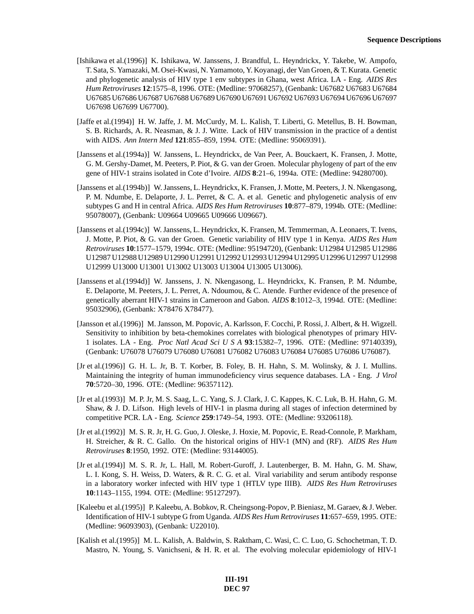- [Ishikawa et al.(1996)] K. Ishikawa, W. Janssens, J. Brandful, L. Heyndrickx, Y. Takebe, W. Ampofo, T. Sata, S. Yamazaki, M. Osei-Kwasi, N. Yamamoto, Y. Koyanagi, der Van Groen, & T. Kurata. Genetic and phylogenetic analysis of HIV type 1 env subtypes in Ghana, west Africa. LA - Eng. *AIDS Res Hum Retroviruses* **12**:1575–8, 1996. OTE: (Medline: 97068257), (Genbank: U67682 U67683 U67684 U67685 U67686 U67687 U67688 U67689 U67690 U67691 U67692 U67693 U67694 U67696 U67697 U67698 U67699 U67700).
- [Jaffe et al.(1994)] H. W. Jaffe, J. M. McCurdy, M. L. Kalish, T. Liberti, G. Metellus, B. H. Bowman, S. B. Richards, A. R. Neasman, & J. J. Witte. Lack of HIV transmission in the practice of a dentist with AIDS. *Ann Intern Med* **121**:855–859, 1994. OTE: (Medline: 95069391).
- [Janssens et al.(1994a)] W. Janssens, L. Heyndrickx, de Van Peer, A. Bouckaert, K. Fransen, J. Motte, G. M. Gershy-Damet, M. Peeters, P. Piot, & G. van der Groen. Molecular phylogeny of part of the env gene of HIV-1 strains isolated in Cote d'Ivoire. *AIDS* **8**:21–6, 1994a. OTE: (Medline: 94280700).
- [Janssens et al.(1994b)] W. Janssens, L. Heyndrickx, K. Fransen, J. Motte, M. Peeters, J. N. Nkengasong, P. M. Ndumbe, E. Delaporte, J. L. Perret, & C. A. et al. Genetic and phylogenetic analysis of env subtypes G and H in central Africa. *AIDS Res Hum Retroviruses* **10**:877–879, 1994b. OTE: (Medline: 95078007), (Genbank: U09664 U09665 U09666 U09667).
- [Janssens et al.(1994c)] W. Janssens, L. Heyndrickx, K. Fransen, M. Temmerman, A. Leonaers, T. Ivens, J. Motte, P. Piot, & G. van der Groen. Genetic variability of HIV type 1 in Kenya. *AIDS Res Hum Retroviruses* **10**:1577–1579, 1994c. OTE: (Medline: 95194720), (Genbank: U12984 U12985 U12986 U12987 U12988 U12989 U12990 U12991 U12992 U12993 U12994 U12995 U12996 U12997 U12998 U12999 U13000 U13001 U13002 U13003 U13004 U13005 U13006).
- [Janssens et al.(1994d)] W. Janssens, J. N. Nkengasong, L. Heyndrickx, K. Fransen, P. M. Ndumbe, E. Delaporte, M. Peeters, J. L. Perret, A. Ndoumou, & C. Atende. Further evidence of the presence of genetically aberrant HIV-1 strains in Cameroon and Gabon. *AIDS* **8**:1012–3, 1994d. OTE: (Medline: 95032906), (Genbank: X78476 X78477).
- [Jansson et al.(1996)] M. Jansson, M. Popovic, A. Karlsson, F. Cocchi, P. Rossi, J. Albert, & H. Wigzell. Sensitivity to inhibition by beta-chemokines correlates with biological phenotypes of primary HIV-1 isolates. LA - Eng. *Proc Natl Acad SciUSA* **93**:15382–7, 1996. OTE: (Medline: 97140339), (Genbank: U76078 U76079 U76080 U76081 U76082 U76083 U76084 U76085 U76086 U76087).
- [Jr et al.(1996)] G. H. L. Jr, B. T. Korber, B. Foley, B. H. Hahn, S. M. Wolinsky, & J. I. Mullins. Maintaining the integrity of human immunodeficiency virus sequence databases. LA - Eng. *J Virol* **70**:5720–30, 1996. OTE: (Medline: 96357112).
- [Jr et al.(1993)] M. P. Jr, M. S. Saag, L. C. Yang, S. J. Clark, J. C. Kappes, K. C. Luk, B. H. Hahn, G. M. Shaw, & J. D. Lifson. High levels of HIV-1 in plasma during all stages of infection determined by competitive PCR. LA - Eng. *Science* **259**:1749–54, 1993. OTE: (Medline: 93206118).
- [Jr et al.(1992)] M. S. R. Jr, H. G. Guo, J. Oleske, J. Hoxie, M. Popovic, E. Read-Connole, P. Markham, H. Streicher, & R. C. Gallo. On the historical origins of HIV-1 (MN) and (RF). *AIDS Res Hum Retroviruses* **8**:1950, 1992. OTE: (Medline: 93144005).
- [Jr et al.(1994)] M. S. R. Jr, L. Hall, M. Robert-Guroff, J. Lautenberger, B. M. Hahn, G. M. Shaw, L. I. Kong, S. H. Weiss, D. Waters, & R. C. G. et al. Viral variability and serum antibody response in a laboratory worker infected with HIV type 1 (HTLV type IIIB). *AIDS Res Hum Retroviruses* **10**:1143–1155, 1994. OTE: (Medline: 95127297).
- [Kaleebu et al.(1995)] P. Kaleebu, A. Bobkov, R. Cheingsong-Popov, P. Bieniasz, M. Garaev, & J. Weber. Identification of HIV-1 subtype G from Uganda. *AIDS Res Hum Retroviruses* **11**:657–659, 1995. OTE: (Medline: 96093903), (Genbank: U22010).
- [Kalish et al.(1995)] M. L. Kalish, A. Baldwin, S. Raktham, C. Wasi, C. C. Luo, G. Schochetman, T. D. Mastro, N. Young, S. Vanichseni, & H. R. et al. The evolving molecular epidemiology of HIV-1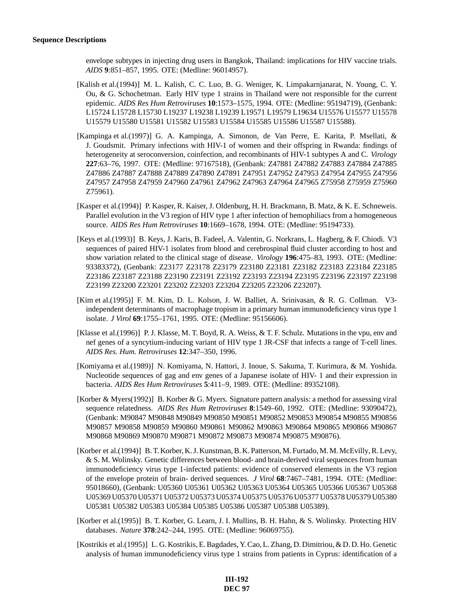envelope subtypes in injecting drug users in Bangkok, Thailand: implications for HIV vaccine trials. *AIDS* **9**:851–857, 1995. OTE: (Medline: 96014957).

- [Kalish et al.(1994)] M. L. Kalish, C. C. Luo, B. G. Weniger, K. Limpakarnjanarat, N. Young, C. Y. Ou, & G. Schochetman. Early HIV type 1 strains in Thailand were not responsible for the current epidemic. *AIDS Res Hum Retroviruses* **10**:1573–1575, 1994. OTE: (Medline: 95194719), (Genbank: L15724 L15728 L15730 L19237 L19238 L19239 L19571 L19579 L19634 U15576 U15577 U15578 U15579 U15580 U15581 U15582 U15583 U15584 U15585 U15586 U15587 U15588).
- [Kampinga et al.(1997)] G. A. Kampinga, A. Simonon, de Van Perre, E. Karita, P. Msellati, & J. Goudsmit. Primary infections with HIV-1 of women and their offspring in Rwanda: findings of heterogeneity at seroconversion, coinfection, and recombinants of HIV-1 subtypes A and C. *Virology* **227**:63–76, 1997. OTE: (Medline: 97167518), (Genbank: Z47881 Z47882 Z47883 Z47884 Z47885 Z47886 Z47887 Z47888 Z47889 Z47890 Z47891 Z47951 Z47952 Z47953 Z47954 Z47955 Z47956 Z47957 Z47958 Z47959 Z47960 Z47961 Z47962 Z47963 Z47964 Z47965 Z75958 Z75959 Z75960 Z75961).
- [Kasper et al.(1994)] P. Kasper, R. Kaiser, J. Oldenburg, H. H. Brackmann, B. Matz, & K. E. Schneweis. Parallel evolution in the V3 region of HIV type 1 after infection of hemophiliacs from a homogeneous source. *AIDS Res Hum Retroviruses* **10**:1669–1678, 1994. OTE: (Medline: 95194733).
- [Keys et al.(1993)] B. Keys, J. Karis, B. Fadeel, A. Valentin, G. Norkrans, L. Hagberg, & F. Chiodi. V3 sequences of paired HIV-1 isolates from blood and cerebrospinal fluid cluster according to host and show variation related to the clinical stage of disease. *Virology* **196**:475–83, 1993. OTE: (Medline: 93383372), (Genbank: Z23177 Z23178 Z23179 Z23180 Z23181 Z23182 Z23183 Z23184 Z23185 Z23186 Z23187 Z23188 Z23190 Z23191 Z23192 Z23193 Z23194 Z23195 Z23196 Z23197 Z23198 Z23199 Z23200 Z23201 Z23202 Z23203 Z23204 Z23205 Z23206 Z23207).
- [Kim et al.(1995)] F. M. Kim, D. L. Kolson, J. W. Balliet, A. Srinivasan, & R. G. Collman. V3 independent determinants of macrophage tropism in a primary human immunodeficiency virus type 1 isolate. *J Virol* **69**:1755–1761, 1995. OTE: (Medline: 95156606).
- [Klasse et al.(1996)] P. J. Klasse, M. T. Boyd, R. A. Weiss, & T. F. Schulz. Mutations in the vpu, env and nef genes of a syncytium-inducing variant of HIV type 1 JR-CSF that infects a range of T-cell lines. *AIDS Res. Hum. Retroviruses* **12**:347–350, 1996.
- [Komiyama et al.(1989)] N. Komiyama, N. Hattori, J. Inoue, S. Sakuma, T. Kurimura, & M. Yoshida. Nucleotide sequences of gag and env genes of a Japanese isolate of HIV- 1 and their expression in bacteria. *AIDS Res Hum Retroviruses* **5**:411–9, 1989. OTE: (Medline: 89352108).
- [Korber & Myers(1992)] B. Korber & G. Myers. Signature pattern analysis: a method for assessing viral sequence relatedness. *AIDS Res Hum Retroviruses* **8**:1549–60, 1992. OTE: (Medline: 93090472), (Genbank: M90847 M90848 M90849 M90850 M90851 M90852 M90853 M90854 M90855 M90856 M90857 M90858 M90859 M90860 M90861 M90862 M90863 M90864 M90865 M90866 M90867 M90868 M90869 M90870 M90871 M90872 M90873 M90874 M90875 M90876).
- [Korber et al.(1994)] B. T. Korber, K. J. Kunstman, B. K. Patterson, M. Furtado, M. M. McEvilly, R. Levy, & S. M. Wolinsky. Genetic differences between blood- and brain-derived viral sequences from human immunodeficiency virus type 1-infected patients: evidence of conserved elements in the V3 region of the envelope protein of brain- derived sequences. *J Virol* **68**:7467–7481, 1994. OTE: (Medline: 95018660), (Genbank: U05360 U05361 U05362 U05363 U05364 U05365 U05366 U05367 U05368 U05369 U05370 U05371 U05372 U05373 U05374 U05375 U05376 U05377 U05378 U05379 U05380 U05381 U05382 U05383 U05384 U05385 U05386 U05387 U05388 U05389).
- [Korber et al.(1995)] B. T. Korber, G. Learn, J. I. Mullins, B. H. Hahn, & S. Wolinsky. Protecting HIV databases. *Nature* **378**:242–244, 1995. OTE: (Medline: 96069755).
- [Kostrikis et al.(1995)] L. G. Kostrikis, E. Bagdades, Y. Cao, L. Zhang, D. Dimitriou, & D. D. Ho. Genetic analysis of human immunodeficiency virus type 1 strains from patients in Cyprus: identification of a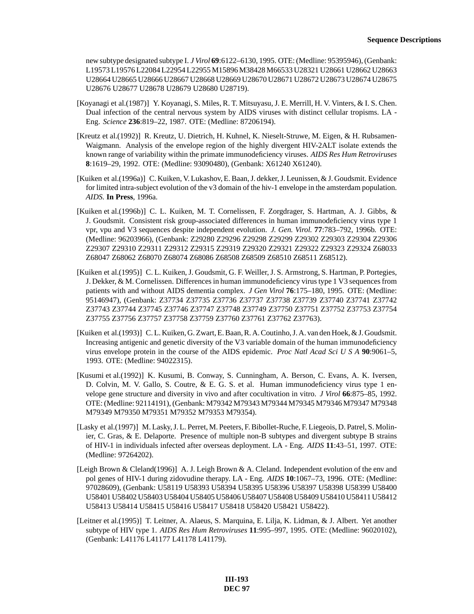new subtype designated subtype I. *J Virol* **69**:6122–6130, 1995. OTE: (Medline: 95395946), (Genbank: L19573 L19576 L22084 L22954 L22955 M15896 M38428 M66533 U28321 U28661 U28662 U28663 U28664 U28665 U28666 U28667 U28668 U28669 U28670 U28671 U28672 U28673 U28674 U28675 U28676 U28677 U28678 U28679 U28680 U28719).

- [Koyanagi et al.(1987)] Y. Koyanagi, S. Miles, R. T. Mitsuyasu, J. E. Merrill, H. V. Vinters, & I. S. Chen. Dual infection of the central nervous system by AIDS viruses with distinct cellular tropisms. LA - Eng. *Science* **236**:819–22, 1987. OTE: (Medline: 87206194).
- [Kreutz et al.(1992)] R. Kreutz, U. Dietrich, H. Kuhnel, K. Nieselt-Struwe, M. Eigen, & H. Rubsamen-Waigmann. Analysis of the envelope region of the highly divergent HIV-2ALT isolate extends the known range of variability within the primate immunodeficiency viruses. *AIDS Res Hum Retroviruses* **8**:1619–29, 1992. OTE: (Medline: 93090480), (Genbank: X61240 X61240).
- [Kuiken et al.(1996a)] C. Kuiken, V. Lukashov, E. Baan, J. dekker, J. Leunissen, & J. Goudsmit. Evidence for limited intra-subject evolution of the v3 domain of the hiv-1 envelope in the amsterdam population. *AIDS.* **In Press**, 1996a.
- [Kuiken et al.(1996b)] C. L. Kuiken, M. T. Cornelissen, F. Zorgdrager, S. Hartman, A. J. Gibbs, & J. Goudsmit. Consistent risk group-associated differences in human immunodeficiency virus type 1 vpr, vpu and V3 sequences despite independent evolution. *J. Gen. Virol.* **77**:783–792, 1996b. OTE: (Medline: 96203966), (Genbank: Z29280 Z29296 Z29298 Z29299 Z29302 Z29303 Z29304 Z29306 Z29307 Z29310 Z29311 Z29312 Z29315 Z29319 Z29320 Z29321 Z29322 Z29323 Z29324 Z68033 Z68047 Z68062 Z68070 Z68074 Z68086 Z68508 Z68509 Z68510 Z68511 Z68512).
- [Kuiken et al.(1995)] C. L. Kuiken, J. Goudsmit, G. F. Weiller, J. S. Armstrong, S. Hartman, P. Portegies, J. Dekker, & M. Cornelissen. Differences in human immunodeficiency virus type 1 V3 sequences from patients with and without AIDS dementia complex. *J Gen Virol* **76**:175–180, 1995. OTE: (Medline: 95146947), (Genbank: Z37734 Z37735 Z37736 Z37737 Z37738 Z37739 Z37740 Z37741 Z37742 Z37743 Z37744 Z37745 Z37746 Z37747 Z37748 Z37749 Z37750 Z37751 Z37752 Z37753 Z37754 Z37755 Z37756 Z37757 Z37758 Z37759 Z37760 Z37761 Z37762 Z37763).
- [Kuiken et al.(1993)] C. L. Kuiken, G. Zwart, E. Baan, R. A. Coutinho, J. A. van den Hoek, & J. Goudsmit. Increasing antigenic and genetic diversity of the V3 variable domain of the human immunodeficiency virus envelope protein in the course of the AIDS epidemic. *Proc Natl Acad Sci U S A* **90**:9061–5, 1993. OTE: (Medline: 94022315).
- [Kusumi et al.(1992)] K. Kusumi, B. Conway, S. Cunningham, A. Berson, C. Evans, A. K. Iversen, D. Colvin, M. V. Gallo, S. Coutre, & E. G. S. et al. Human immunodeficiency virus type 1 envelope gene structure and diversity in vivo and after cocultivation in vitro. *J Virol* **66**:875–85, 1992. OTE: (Medline: 92114191), (Genbank: M79342 M79343 M79344 M79345 M79346 M79347 M79348 M79349 M79350 M79351 M79352 M79353 M79354).
- [Lasky et al.(1997)] M. Lasky, J. L. Perret, M. Peeters, F. Bibollet-Ruche, F. Liegeois, D. Patrel, S. Molinier, C. Gras, & E. Delaporte. Presence of multiple non-B subtypes and divergent subtype B strains of HIV-1 in individuals infected after overseas deployment. LA - Eng. *AIDS* **11**:43–51, 1997. OTE: (Medline: 97264202).
- [Leigh Brown & Cleland(1996)] A. J. Leigh Brown & A. Cleland. Independent evolution of the env and pol genes of HIV-1 during zidovudine therapy. LA - Eng. *AIDS* **10**:1067–73, 1996. OTE: (Medline: 97028609), (Genbank: U58119 U58393 U58394 U58395 U58396 U58397 U58398 U58399 U58400 U58401 U58402 U58403 U58404 U58405 U58406 U58407 U58408 U58409 U58410 U58411 U58412 U58413 U58414 U58415 U58416 U58417 U58418 U58420 U58421 U58422).
- [Leitner et al.(1995)] T. Leitner, A. Alaeus, S. Marquina, E. Lilja, K. Lidman, & J. Albert. Yet another subtype of HIV type 1. *AIDS Res Hum Retroviruses* **11**:995–997, 1995. OTE: (Medline: 96020102), (Genbank: L41176 L41177 L41178 L41179).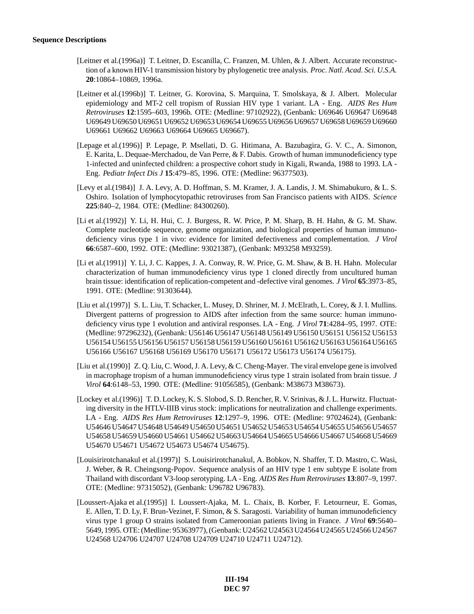- [Leitner et al.(1996a)] T. Leitner, D. Escanilla, C. Franzen, M. Uhlen, & J. Albert. Accurate reconstruction of a known HIV-1 transmission history by phylogenetic tree analysis. *Proc. Natl. Acad. Sci. U.S.A.* **20**:10864–10869, 1996a.
- [Leitner et al.(1996b)] T. Leitner, G. Korovina, S. Marquina, T. Smolskaya, & J. Albert. Molecular epidemiology and MT-2 cell tropism of Russian HIV type 1 variant. LA - Eng. *AIDS Res Hum Retroviruses* **12**:1595–603, 1996b. OTE: (Medline: 97102922), (Genbank: U69646 U69647 U69648 U69649 U69650 U69651 U69652 U69653 U69654 U69655 U69656 U69657 U69658 U69659 U69660 U69661 U69662 U69663 U69664 U69665 U69667).
- [Lepage et al.(1996)] P. Lepage, P. Msellati, D. G. Hitimana, A. Bazubagira, G. V. C., A. Simonon, E. Karita, L. Dequae-Merchadou, de Van Perre, & F. Dabis. Growth of human immunodeficiency type 1-infected and uninfected children: a prospective cohort study in Kigali, Rwanda, 1988 to 1993. LA - Eng. *Pediatr Infect Dis J* **15**:479–85, 1996. OTE: (Medline: 96377503).
- [Levy et al.(1984)] J. A. Levy, A. D. Hoffman, S. M. Kramer, J. A. Landis, J. M. Shimabukuro, & L. S. Oshiro. Isolation of lymphocytopathic retroviruses from San Francisco patients with AIDS. *Science* **225**:840–2, 1984. OTE: (Medline: 84300260).
- [Li et al.(1992)] Y. Li, H. Hui, C. J. Burgess, R. W. Price, P. M. Sharp, B. H. Hahn, & G. M. Shaw. Complete nucleotide sequence, genome organization, and biological properties of human immunodeficiency virus type 1 in vivo: evidence for limited defectiveness and complementation. *J Virol* **66**:6587–600, 1992. OTE: (Medline: 93021387), (Genbank: M93258 M93259).
- [Li et al.(1991)] Y. Li, J. C. Kappes, J. A. Conway, R. W. Price, G. M. Shaw, & B. H. Hahn. Molecular characterization of human immunodeficiency virus type 1 cloned directly from uncultured human brain tissue: identification of replication-competent and -defective viral genomes. *J Virol* **65**:3973–85, 1991. OTE: (Medline: 91303644).
- [Liu et al.(1997)] S. L. Liu, T. Schacker, L. Musey, D. Shriner, M. J. McElrath, L. Corey, & J. I. Mullins. Divergent patterns of progression to AIDS after infection from the same source: human immunodeficiency virus type 1 evolution and antiviral responses. LA - Eng. *J Virol* **71**:4284–95, 1997. OTE: (Medline: 97296232), (Genbank: U56146 U56147 U56148 U56149 U56150 U56151 U56152 U56153 U56154 U56155 U56156 U56157 U56158 U56159 U56160 U56161 U56162 U56163 U56164 U56165 U56166 U56167 U56168 U56169 U56170 U56171 U56172 U56173 U56174 U56175).
- [Liu et al.(1990)] Z. Q. Liu, C. Wood, J. A. Levy, & C. Cheng-Mayer. The viral envelope gene is involved in macrophage tropism of a human immunodeficiency virus type 1 strain isolated from brain tissue. *J Virol* **64**:6148–53, 1990. OTE: (Medline: 91056585), (Genbank: M38673 M38673).
- [Lockey et al.(1996)] T. D. Lockey, K. S. Slobod, S. D. Rencher, R. V. Srinivas, & J. L. Hurwitz. Fluctuating diversity in the HTLV-IIIB virus stock: implications for neutralization and challenge experiments. LA - Eng. *AIDS Res Hum Retroviruses* **12**:1297–9, 1996. OTE: (Medline: 97024624), (Genbank: U54646 U54647 U54648 U54649 U54650 U54651 U54652 U54653 U54654 U54655 U54656 U54657 U54658 U54659 U54660 U54661 U54662 U54663 U54664 U54665 U54666 U54667 U54668 U54669 U54670 U54671 U54672 U54673 U54674 U54675).
- [Louisirirotchanakul et al.(1997)] S. Louisirirotchanakul, A. Bobkov, N. Shaffer, T. D. Mastro, C. Wasi, J. Weber, & R. Cheingsong-Popov. Sequence analysis of an HIV type 1 env subtype E isolate from Thailand with discordant V3-loop serotyping. LA - Eng. *AIDS Res Hum Retroviruses* **13**:807–9, 1997. OTE: (Medline: 97315052), (Genbank: U96782 U96783).
- [Loussert-Ajaka et al.(1995)] I. Loussert-Ajaka, M. L. Chaix, B. Korber, F. Letourneur, E. Gomas, E. Allen, T. D. Ly, F. Brun-Vezinet, F. Simon, & S. Saragosti. Variability of human immunodeficiency virus type 1 group O strains isolated from Cameroonian patients living in France. *J Virol* **69**:5640– 5649, 1995. OTE: (Medline: 95363977), (Genbank: U24562 U24563 U24564 U24565 U24566 U24567 U24568 U24706 U24707 U24708 U24709 U24710 U24711 U24712).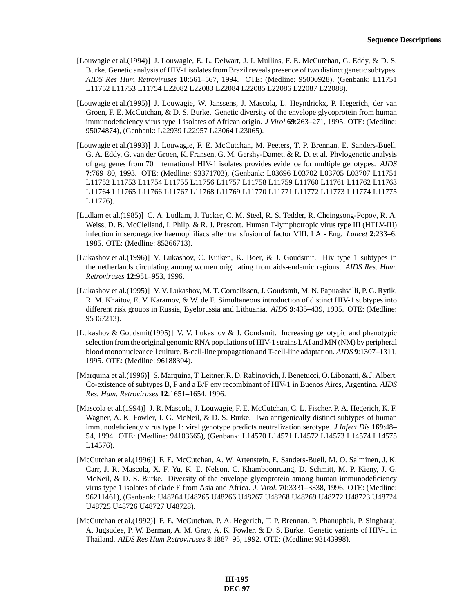- [Louwagie et al.(1994)] J. Louwagie, E. L. Delwart, J. I. Mullins, F. E. McCutchan, G. Eddy, & D. S. Burke. Genetic analysis of HIV-1 isolates from Brazil reveals presence of two distinct genetic subtypes. *AIDS Res Hum Retroviruses* **10**:561–567, 1994. OTE: (Medline: 95000928), (Genbank: L11751 L11752 L11753 L11754 L22082 L22083 L22084 L22085 L22086 L22087 L22088).
- [Louwagie et al.(1995)] J. Louwagie, W. Janssens, J. Mascola, L. Heyndrickx, P. Hegerich, der van Groen, F. E. McCutchan, & D. S. Burke. Genetic diversity of the envelope glycoprotein from human immunodeficiency virus type 1 isolates of African origin. *J Virol* **69**:263–271, 1995. OTE: (Medline: 95074874), (Genbank: L22939 L22957 L23064 L23065).
- [Louwagie et al.(1993)] J. Louwagie, F. E. McCutchan, M. Peeters, T. P. Brennan, E. Sanders-Buell, G. A. Eddy, G. van der Groen, K. Fransen, G. M. Gershy-Damet, & R. D. et al. Phylogenetic analysis of gag genes from 70 international HIV-1 isolates provides evidence for multiple genotypes. *AIDS* **7**:769–80, 1993. OTE: (Medline: 93371703), (Genbank: L03696 L03702 L03705 L03707 L11751 L11752 L11753 L11754 L11755 L11756 L11757 L11758 L11759 L11760 L11761 L11762 L11763 L11764 L11765 L11766 L11767 L11768 L11769 L11770 L11771 L11772 L11773 L11774 L11775 L11776).
- [Ludlam et al.(1985)] C. A. Ludlam, J. Tucker, C. M. Steel, R. S. Tedder, R. Cheingsong-Popov, R. A. Weiss, D. B. McClelland, I. Philp, & R. J. Prescott. Human T-lymphotropic virus type III (HTLV-III) infection in seronegative haemophiliacs after transfusion of factor VIII. LA - Eng. *Lancet* **2**:233–6, 1985. OTE: (Medline: 85266713).
- [Lukashov et al.(1996)] V. Lukashov, C. Kuiken, K. Boer, & J. Goudsmit. Hiv type 1 subtypes in the netherlands circulating among women originating from aids-endemic regions. *AIDS Res. Hum. Retroviruses* **12**:951–953, 1996.
- [Lukashov et al.(1995)] V. V. Lukashov, M. T. Cornelissen, J. Goudsmit, M. N. Papuashvilli, P. G. Rytik, R. M. Khaitov, E. V. Karamov, & W. de F. Simultaneous introduction of distinct HIV-1 subtypes into different risk groups in Russia, Byelorussia and Lithuania. *AIDS* **9**:435–439, 1995. OTE: (Medline: 95367213).
- [Lukashov & Goudsmit(1995)] V. V. Lukashov & J. Goudsmit. Increasing genotypic and phenotypic selection from the original genomic RNA populations of HIV-1 strains LAI and MN (NM) by peripheral blood mononuclear cell culture, B-cell-line propagation and T-cell-line adaptation. *AIDS* **9**:1307–1311, 1995. OTE: (Medline: 96188304).
- [Marquina et al.(1996)] S. Marquina, T. Leitner, R. D. Rabinovich, J. Benetucci, O. Libonatti, & J. Albert. Co-existence of subtypes B, F and a B/F env recombinant of HIV-1 in Buenos Aires, Argentina. *AIDS Res. Hum. Retroviruses* **12**:1651–1654, 1996.
- [Mascola et al.(1994)] J. R. Mascola, J. Louwagie, F. E. McCutchan, C. L. Fischer, P. A. Hegerich, K. F. Wagner, A. K. Fowler, J. G. McNeil, & D. S. Burke. Two antigenically distinct subtypes of human immunodeficiency virus type 1: viral genotype predicts neutralization serotype. *J Infect Dis* **169**:48– 54, 1994. OTE: (Medline: 94103665), (Genbank: L14570 L14571 L14572 L14573 L14574 L14575 L14576).
- [McCutchan et al.(1996)] F. E. McCutchan, A. W. Artenstein, E. Sanders-Buell, M. O. Salminen, J. K. Carr, J. R. Mascola, X. F. Yu, K. E. Nelson, C. Khamboonruang, D. Schmitt, M. P. Kieny, J. G. McNeil, & D. S. Burke. Diversity of the envelope glycoprotein among human immunodeficiency virus type 1 isolates of clade E from Asia and Africa. *J. Virol.* **70**:3331–3338, 1996. OTE: (Medline: 96211461), (Genbank: U48264 U48265 U48266 U48267 U48268 U48269 U48272 U48723 U48724 U48725 U48726 U48727 U48728).
- [McCutchan et al.(1992)] F. E. McCutchan, P. A. Hegerich, T. P. Brennan, P. Phanuphak, P. Singharaj, A. Jugsudee, P. W. Berman, A. M. Gray, A. K. Fowler, & D. S. Burke. Genetic variants of HIV-1 in Thailand. *AIDS Res Hum Retroviruses* **8**:1887–95, 1992. OTE: (Medline: 93143998).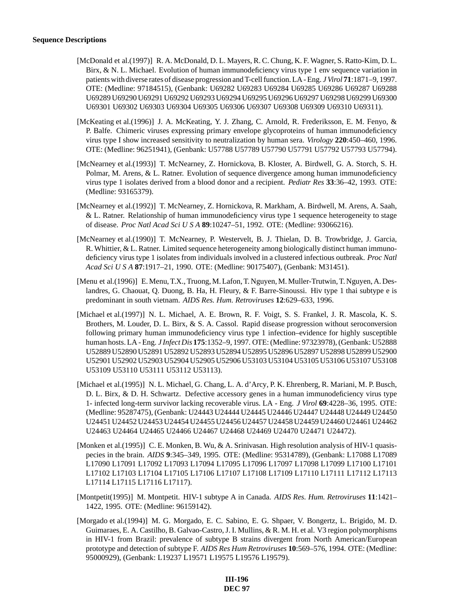- [McDonald et al.(1997)] R. A. McDonald, D. L. Mayers, R. C. Chung, K. F. Wagner, S. Ratto-Kim, D. L. Birx, & N. L. Michael. Evolution of human immunodeficiency virus type 1 env sequence variation in patients with diverse rates of disease progression and T-cell function. LA - Eng. *J Virol* **71**:1871–9, 1997. OTE: (Medline: 97184515), (Genbank: U69282 U69283 U69284 U69285 U69286 U69287 U69288 U69289 U69290 U69291 U69292 U69293 U69294 U69295 U69296 U69297 U69298 U69299 U69300 U69301 U69302 U69303 U69304 U69305 U69306 U69307 U69308 U69309 U69310 U69311).
- [McKeating et al.(1996)] J. A. McKeating, Y. J. Zhang, C. Arnold, R. Frederiksson, E. M. Fenyo, & P. Balfe. Chimeric viruses expressing primary envelope glycoproteins of human immunodeficiency virus type I show increased sensitivity to neutralization by human sera. *Virology* **220**:450–460, 1996. OTE: (Medline: 96251941), (Genbank: U57788 U57789 U57790 U57791 U57792 U57793 U57794).
- [McNearney et al.(1993)] T. McNearney, Z. Hornickova, B. Kloster, A. Birdwell, G. A. Storch, S. H. Polmar, M. Arens, & L. Ratner. Evolution of sequence divergence among human immunodeficiency virus type 1 isolates derived from a blood donor and a recipient. *Pediatr Res* **33**:36–42, 1993. OTE: (Medline: 93165379).
- [McNearney et al.(1992)] T. McNearney, Z. Hornickova, R. Markham, A. Birdwell, M. Arens, A. Saah, & L. Ratner. Relationship of human immunodeficiency virus type 1 sequence heterogeneity to stage of disease. *Proc Natl Acad SciUSA* **89**:10247–51, 1992. OTE: (Medline: 93066216).
- [McNearney et al.(1990)] T. McNearney, P. Westervelt, B. J. Thielan, D. B. Trowbridge, J. Garcia, R. Whittier, & L. Ratner. Limited sequence heterogeneity among biologically distinct human immunodeficiency virus type 1 isolates from individuals involved in a clustered infectious outbreak. *Proc Natl Acad SciUSA* **87**:1917–21, 1990. OTE: (Medline: 90175407), (Genbank: M31451).
- [Menu et al.(1996)] E. Menu, T.X., Truong, M. Lafon, T. Nguyen, M. Muller-Trutwin, T. Nguyen, A. Deslandres, G. Chaouat, Q. Duong, B. Ha, H. Fleury, & F. Barre-Sinoussi. Hiv type 1 thai subtype e is predominant in south vietnam. *AIDS Res. Hum. Retroviruses* **12**:629–633, 1996.
- [Michael et al.(1997)] N. L. Michael, A. E. Brown, R. F. Voigt, S. S. Frankel, J. R. Mascola, K. S. Brothers, M. Louder, D. L. Birx, & S. A. Cassol. Rapid disease progression without seroconversion following primary human immunodeficiency virus type 1 infection–evidence for highly susceptible human hosts. LA - Eng. *J Infect Dis* **175**:1352–9, 1997. OTE: (Medline: 97323978), (Genbank: U52888 U52889 U52890 U52891 U52892 U52893 U52894 U52895 U52896 U52897 U52898 U52899 U52900 U52901 U52902 U52903 U52904 U52905 U52906 U53103 U53104 U53105 U53106 U53107 U53108 U53109 U53110 U53111 U53112 U53113).
- [Michael et al.(1995)] N. L. Michael, G. Chang, L. A. d'Arcy, P. K. Ehrenberg, R. Mariani, M. P. Busch, D. L. Birx, & D. H. Schwartz. Defective accessory genes in a human immunodeficiency virus type 1- infected long-term survivor lacking recoverable virus. LA - Eng. *J Virol* **69**:4228–36, 1995. OTE: (Medline: 95287475), (Genbank: U24443 U24444 U24445 U24446 U24447 U24448 U24449 U24450 U24451 U24452 U24453 U24454 U24455 U24456 U24457 U24458 U24459 U24460 U24461 U24462 U24463 U24464 U24465 U24466 U24467 U24468 U24469 U24470 U24471 U24472).
- [Monken et al.(1995)] C. E. Monken, B. Wu, & A. Srinivasan. High resolution analysis of HIV-1 quasispecies in the brain. *AIDS* **9**:345–349, 1995. OTE: (Medline: 95314789), (Genbank: L17088 L17089 L17090 L17091 L17092 L17093 L17094 L17095 L17096 L17097 L17098 L17099 L17100 L17101 L17102 L17103 L17104 L17105 L17106 L17107 L17108 L17109 L17110 L17111 L17112 L17113 L17114 L17115 L17116 L17117).
- [Montpetit(1995)] M. Montpetit. HIV-1 subtype A in Canada. *AIDS Res. Hum. Retroviruses* **11**:1421– 1422, 1995. OTE: (Medline: 96159142).
- [Morgado et al.(1994)] M. G. Morgado, E. C. Sabino, E. G. Shpaer, V. Bongertz, L. Brigido, M. D. Guimaraes, E. A. Castilho, B. Galvao-Castro, J. I. Mullins, & R. M. H. et al. V3 region polymorphisms in HIV-1 from Brazil: prevalence of subtype B strains divergent from North American/European prototype and detection of subtype F. *AIDS Res Hum Retroviruses* **10**:569–576, 1994. OTE: (Medline: 95000929), (Genbank: L19237 L19571 L19575 L19576 L19579).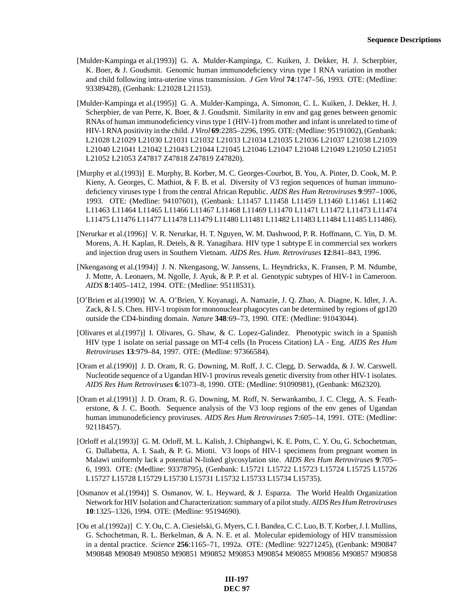- [Mulder-Kampinga et al.(1993)] G. A. Mulder-Kampinga, C. Kuiken, J. Dekker, H. J. Scherpbier, K. Boer, & J. Goudsmit. Genomic human immunodeficiency virus type 1 RNA variation in mother and child following intra-uterine virus transmission. *J Gen Virol* **74**:1747–56, 1993. OTE: (Medline: 93389428), (Genbank: L21028 L21153).
- [Mulder-Kampinga et al.(1995)] G. A. Mulder-Kampinga, A. Simonon, C. L. Kuiken, J. Dekker, H. J. Scherpbier, de van Perre, K. Boer, & J. Goudsmit. Similarity in env and gag genes between genomic RNAs of human immunodeficiency virus type 1 (HIV-1) from mother and infant is unrelated to time of HIV-1 RNA positivity in the child. *J Virol* **69**:2285–2296, 1995. OTE: (Medline: 95191002), (Genbank: L21028 L21029 L21030 L21031 L21032 L21033 L21034 L21035 L21036 L21037 L21038 L21039 L21040 L21041 L21042 L21043 L21044 L21045 L21046 L21047 L21048 L21049 L21050 L21051 L21052 L21053 Z47817 Z47818 Z47819 Z47820).
- [Murphy et al.(1993)] E. Murphy, B. Korber, M. C. Georges-Courbot, B. You, A. Pinter, D. Cook, M. P. Kieny, A. Georges, C. Mathiot, & F. B. et al. Diversity of V3 region sequences of human immunodeficiency viruses type 1 from the central African Republic. *AIDS Res Hum Retroviruses* **9**:997–1006, 1993. OTE: (Medline: 94107601), (Genbank: L11457 L11458 L11459 L11460 L11461 L11462 L11463 L11464 L11465 L11466 L11467 L11468 L11469 L11470 L11471 L11472 L11473 L11474 L11475 L11476 L11477 L11478 L11479 L11480 L11481 L11482 L11483 L11484 L11485 L11486).
- [Nerurkar et al.(1996)] V. R. Nerurkar, H. T. Nguyen, W. M. Dashwood, P. R. Hoffmann, C. Yin, D. M. Morens, A. H. Kaplan, R. Detels, & R. Yanagihara. HIV type 1 subtype E in commercial sex workers and injection drug users in Southern Vietnam. *AIDS Res. Hum. Retroviruses* **12**:841–843, 1996.
- [Nkengasong et al.(1994)] J. N. Nkengasong, W. Janssens, L. Heyndrickx, K. Fransen, P. M. Ndumbe, J. Motte, A. Leonaers, M. Ngolle, J. Ayuk, & P. P. et al. Genotypic subtypes of HIV-1 in Cameroon. *AIDS* **8**:1405–1412, 1994. OTE: (Medline: 95118531).
- [O'Brien et al.(1990)] W. A. O'Brien, Y. Koyanagi, A. Namazie, J. Q. Zhao, A. Diagne, K. Idler, J. A. Zack, & I. S. Chen. HIV-1 tropism for mononuclear phagocytes can be determined by regions of gp120 outside the CD4-binding domain. *Nature* **348**:69–73, 1990. OTE: (Medline: 91043044).
- [Olivares et al.(1997)] I. Olivares, G. Shaw, & C. Lopez-Galindez. Phenotypic switch in a Spanish HIV type 1 isolate on serial passage on MT-4 cells (In Process Citation) LA - Eng. *AIDS Res Hum Retroviruses* **13**:979–84, 1997. OTE: (Medline: 97366584).
- [Oram et al.(1990)] J. D. Oram, R. G. Downing, M. Roff, J. C. Clegg, D. Serwadda, & J. W. Carswell. Nucleotide sequence of a Ugandan HIV-1 provirus reveals genetic diversity from other HIV-1 isolates. *AIDS Res Hum Retroviruses* **6**:1073–8, 1990. OTE: (Medline: 91090981), (Genbank: M62320).
- [Oram et al.(1991)] J. D. Oram, R. G. Downing, M. Roff, N. Serwankambo, J. C. Clegg, A. S. Featherstone, & J. C. Booth. Sequence analysis of the V3 loop regions of the env genes of Ugandan human immunodeficiency proviruses. *AIDS Res Hum Retroviruses* **7**:605–14, 1991. OTE: (Medline: 92118457).
- [Orloff et al.(1993)] G. M. Orloff, M. L. Kalish, J. Chiphangwi, K. E. Potts, C. Y. Ou, G. Schochetman, G. Dallabetta, A. I. Saah, & P. G. Miotti. V3 loops of HIV-1 specimens from pregnant women in Malawi uniformly lack a potential N-linked glycosylation site. *AIDS Res Hum Retroviruses* **9**:705– 6, 1993. OTE: (Medline: 93378795), (Genbank: L15721 L15722 L15723 L15724 L15725 L15726 L15727 L15728 L15729 L15730 L15731 L15732 L15733 L15734 L15735).
- [Osmanov et al.(1994)] S. Osmanov, W. L. Heyward, & J. Esparza. The World Health Organization Network for HIV Isolation and Characterization: summary of a pilot study. *AIDS Res Hum Retroviruses* **10**:1325–1326, 1994. OTE: (Medline: 95194690).
- [Ou et al.(1992a)] C. Y. Ou, C. A. Ciesielski, G. Myers, C. I. Bandea, C. C. Luo, B. T. Korber, J. I. Mullins, G. Schochetman, R. L. Berkelman, & A. N. E. et al. Molecular epidemiology of HIV transmission in a dental practice. *Science* **256**:1165–71, 1992a. OTE: (Medline: 92271245), (Genbank: M90847 M90848 M90849 M90850 M90851 M90852 M90853 M90854 M90855 M90856 M90857 M90858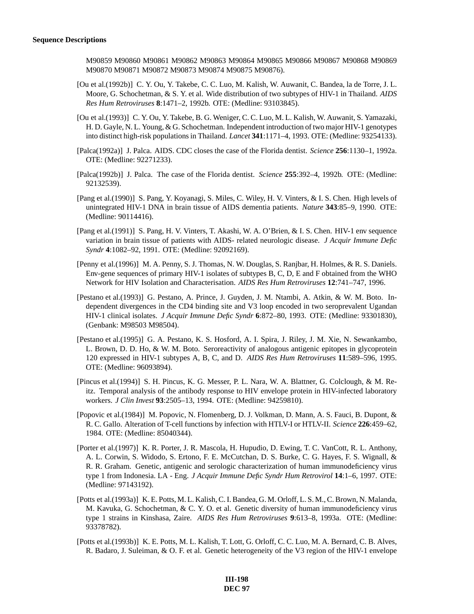M90859 M90860 M90861 M90862 M90863 M90864 M90865 M90866 M90867 M90868 M90869 M90870 M90871 M90872 M90873 M90874 M90875 M90876).

- [Ou et al.(1992b)] C. Y. Ou, Y. Takebe, C. C. Luo, M. Kalish, W. Auwanit, C. Bandea, la de Torre, J. L. Moore, G. Schochetman, & S. Y. et al. Wide distribution of two subtypes of HIV-1 in Thailand. *AIDS Res Hum Retroviruses* **8**:1471–2, 1992b. OTE: (Medline: 93103845).
- [Ou et al.(1993)] C. Y. Ou, Y. Takebe, B. G. Weniger, C. C. Luo, M. L. Kalish, W. Auwanit, S. Yamazaki, H. D. Gayle, N. L. Young, & G. Schochetman. Independent introduction of two major HIV-1 genotypes into distinct high-risk populations in Thailand. *Lancet* **341**:1171–4, 1993. OTE: (Medline: 93254133).
- [Palca(1992a)] J. Palca. AIDS. CDC closes the case of the Florida dentist. *Science* **256**:1130–1, 1992a. OTE: (Medline: 92271233).
- [Palca(1992b)] J. Palca. The case of the Florida dentist. *Science* **255**:392–4, 1992b. OTE: (Medline: 92132539).
- [Pang et al.(1990)] S. Pang, Y. Koyanagi, S. Miles, C. Wiley, H. V. Vinters, & I. S. Chen. High levels of unintegrated HIV-1 DNA in brain tissue of AIDS dementia patients. *Nature* **343**:85–9, 1990. OTE: (Medline: 90114416).
- [Pang et al.(1991)] S. Pang, H. V. Vinters, T. Akashi, W. A. O'Brien, & I. S. Chen. HIV-1 env sequence variation in brain tissue of patients with AIDS- related neurologic disease. *J Acquir Immune Defic Syndr* **4**:1082–92, 1991. OTE: (Medline: 92092169).
- [Penny et al.(1996)] M. A. Penny, S. J. Thomas, N. W. Douglas, S. Ranjbar, H. Holmes, & R. S. Daniels. Env-gene sequences of primary HIV-1 isolates of subtypes B, C, D, E and F obtained from the WHO Network for HIV Isolation and Characterisation. *AIDS Res Hum Retroviruses* **12**:741–747, 1996.
- [Pestano et al.(1993)] G. Pestano, A. Prince, J. Guyden, J. M. Ntambi, A. Atkin, & W. M. Boto. Independent divergences in the CD4 binding site and V3 loop encoded in two seroprevalent Ugandan HIV-1 clinical isolates. *J Acquir Immune Defic Syndr* **6**:872–80, 1993. OTE: (Medline: 93301830), (Genbank: M98503 M98504).
- [Pestano et al.(1995)] G. A. Pestano, K. S. Hosford, A. I. Spira, J. Riley, J. M. Xie, N. Sewankambo, L. Brown, D. D. Ho, & W. M. Boto. Seroreactivity of analogous antigenic epitopes in glycoprotein 120 expressed in HIV-1 subtypes A, B, C, and D. *AIDS Res Hum Retroviruses* **11**:589–596, 1995. OTE: (Medline: 96093894).
- [Pincus et al.(1994)] S. H. Pincus, K. G. Messer, P. L. Nara, W. A. Blattner, G. Colclough, & M. Reitz. Temporal analysis of the antibody response to HIV envelope protein in HIV-infected laboratory workers. *J Clin Invest* **93**:2505–13, 1994. OTE: (Medline: 94259810).
- [Popovic et al.(1984)] M. Popovic, N. Flomenberg, D. J. Volkman, D. Mann, A. S. Fauci, B. Dupont, & R. C. Gallo. Alteration of T-cell functions by infection with HTLV-I or HTLV-II. *Science* **226**:459–62, 1984. OTE: (Medline: 85040344).
- [Porter et al.(1997)] K. R. Porter, J. R. Mascola, H. Hupudio, D. Ewing, T. C. VanCott, R. L. Anthony, A. L. Corwin, S. Widodo, S. Ertono, F. E. McCutchan, D. S. Burke, C. G. Hayes, F. S. Wignall, & R. R. Graham. Genetic, antigenic and serologic characterization of human immunodeficiency virus type 1 from Indonesia. LA - Eng. *J Acquir Immune Defic Syndr Hum Retrovirol* **14**:1–6, 1997. OTE: (Medline: 97143192).
- [Potts et al.(1993a)] K. E. Potts, M. L. Kalish, C. I. Bandea, G. M. Orloff, L. S. M., C. Brown, N. Malanda, M. Kavuka, G. Schochetman, & C. Y. O. et al. Genetic diversity of human immunodeficiency virus type 1 strains in Kinshasa, Zaire. *AIDS Res Hum Retroviruses* **9**:613–8, 1993a. OTE: (Medline: 93378782).
- [Potts et al.(1993b)] K. E. Potts, M. L. Kalish, T. Lott, G. Orloff, C. C. Luo, M. A. Bernard, C. B. Alves, R. Badaro, J. Suleiman, & O. F. et al. Genetic heterogeneity of the V3 region of the HIV-1 envelope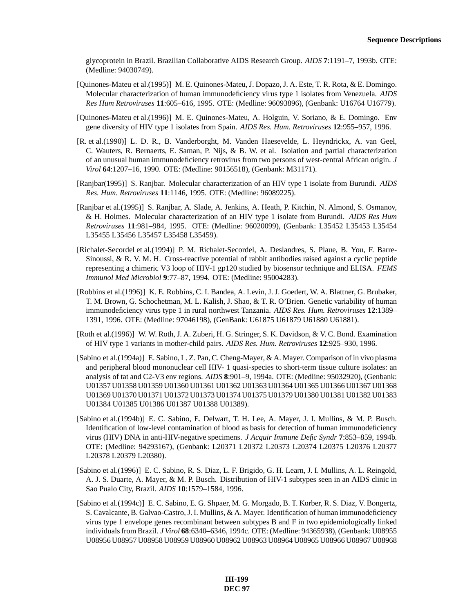glycoprotein in Brazil. Brazilian Collaborative AIDS Research Group. *AIDS* **7**:1191–7, 1993b. OTE: (Medline: 94030749).

- [Quinones-Mateu et al.(1995)] M. E. Quinones-Mateu, J. Dopazo, J. A. Este, T. R. Rota, & E. Domingo. Molecular characterization of human immunodeficiency virus type 1 isolates from Venezuela. *AIDS Res Hum Retroviruses* **11**:605–616, 1995. OTE: (Medline: 96093896), (Genbank: U16764 U16779).
- [Quinones-Mateu et al.(1996)] M. E. Quinones-Mateu, A. Holguin, V. Soriano, & E. Domingo. Env gene diversity of HIV type 1 isolates from Spain. *AIDS Res. Hum. Retroviruses* **12**:955–957, 1996.
- [R. et al.(1990)] L. D. R., B. Vanderborght, M. Vanden Haesevelde, L. Heyndrickx, A. van Geel, C. Wauters, R. Bernaerts, E. Saman, P. Nijs, & B. W. et al. Isolation and partial characterization of an unusual human immunodeficiency retrovirus from two persons of west-central African origin. *J Virol* **64**:1207–16, 1990. OTE: (Medline: 90156518), (Genbank: M31171).
- [Ranjbar(1995)] S. Ranjbar. Molecular characterization of an HIV type 1 isolate from Burundi. *AIDS Res. Hum. Retroviruses* **11**:1146, 1995. OTE: (Medline: 96089225).
- [Ranjbar et al.(1995)] S. Ranjbar, A. Slade, A. Jenkins, A. Heath, P. Kitchin, N. Almond, S. Osmanov, & H. Holmes. Molecular characterization of an HIV type 1 isolate from Burundi. *AIDS Res Hum Retroviruses* **11**:981–984, 1995. OTE: (Medline: 96020099), (Genbank: L35452 L35453 L35454 L35455 L35456 L35457 L35458 L35459).
- [Richalet-Secordel et al.(1994)] P. M. Richalet-Secordel, A. Deslandres, S. Plaue, B. You, F. Barre-Sinoussi, & R. V. M. H. Cross-reactive potential of rabbit antibodies raised against a cyclic peptide representing a chimeric V3 loop of HIV-1 gp120 studied by biosensor technique and ELISA. *FEMS Immunol Med Microbiol* **9**:77–87, 1994. OTE: (Medline: 95004283).
- [Robbins et al.(1996)] K. E. Robbins, C. I. Bandea, A. Levin, J. J. Goedert, W. A. Blattner, G. Brubaker, T. M. Brown, G. Schochetman, M. L. Kalish, J. Shao, & T. R. O'Brien. Genetic variability of human immunodeficiency virus type 1 in rural northwest Tanzania. *AIDS Res. Hum. Retroviruses* **12**:1389– 1391, 1996. OTE: (Medline: 97046198), (GenBank: U61875 U61879 U61880 U61881).
- [Roth et al.(1996)] W. W. Roth, J. A. Zuberi, H. G. Stringer, S. K. Davidson, & V. C. Bond. Examination of HIV type 1 variants in mother-child pairs. *AIDS Res. Hum. Retroviruses* **12**:925–930, 1996.
- [Sabino et al.(1994a)] E. Sabino, L. Z. Pan, C. Cheng-Mayer, & A. Mayer. Comparison of in vivo plasma and peripheral blood mononuclear cell HIV- 1 quasi-species to short-term tissue culture isolates: an analysis of tat and C2-V3 env regions. *AIDS* **8**:901–9, 1994a. OTE: (Medline: 95032920), (Genbank: U01357 U01358 U01359 U01360 U01361 U01362 U01363 U01364 U01365 U01366 U01367 U01368 U01369 U01370 U01371 U01372 U01373 U01374 U01375 U01379 U01380 U01381 U01382 U01383 U01384 U01385 U01386 U01387 U01388 U01389).
- [Sabino et al.(1994b)] E. C. Sabino, E. Delwart, T. H. Lee, A. Mayer, J. I. Mullins, & M. P. Busch. Identification of low-level contamination of blood as basis for detection of human immunodeficiency virus (HIV) DNA in anti-HIV-negative specimens. *J Acquir Immune Defic Syndr* **7**:853–859, 1994b. OTE: (Medline: 94293167), (Genbank: L20371 L20372 L20373 L20374 L20375 L20376 L20377 L20378 L20379 L20380).
- [Sabino et al.(1996)] E. C. Sabino, R. S. Diaz, L. F. Brigido, G. H. Learn, J. I. Mullins, A. L. Reingold, A. J. S. Duarte, A. Mayer, & M. P. Busch. Distribution of HIV-1 subtypes seen in an AIDS clinic in Sao Pualo City, Brazil. *AIDS* **10**:1579–1584, 1996.
- [Sabino et al.(1994c)] E. C. Sabino, E. G. Shpaer, M. G. Morgado, B. T. Korber, R. S. Diaz, V. Bongertz, S. Cavalcante, B. Galvao-Castro, J. I. Mullins, & A. Mayer. Identification of human immunodeficiency virus type 1 envelope genes recombinant between subtypes B and F in two epidemiologically linked individuals from Brazil. *J Virol* **68**:6340–6346, 1994c. OTE: (Medline: 94365938), (Genbank: U08955 U08956 U08957 U08958 U08959 U08960 U08962 U08963 U08964 U08965 U08966 U08967 U08968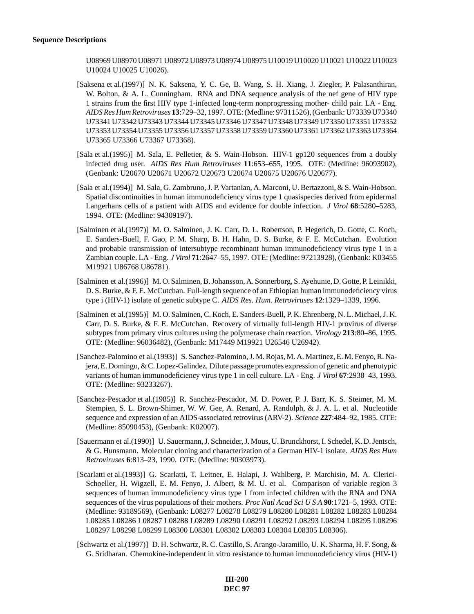U08969 U08970 U08971 U08972 U08973 U08974 U08975 U10019 U10020 U10021 U10022 U10023 U10024 U10025 U10026).

- [Saksena et al.(1997)] N. K. Saksena, Y. C. Ge, B. Wang, S. H. Xiang, J. Ziegler, P. Palasanthiran, W. Bolton, & A. L. Cunningham. RNA and DNA sequence analysis of the nef gene of HIV type 1 strains from the first HIV type 1-infected long-term nonprogressing mother- child pair. LA - Eng. *AIDS Res Hum Retroviruses* **13**:729–32, 1997. OTE: (Medline: 97311526), (Genbank: U73339 U73340 U73341 U73342 U73343 U73344 U73345 U73346 U73347 U73348 U73349 U73350 U73351 U73352 U73353 U73354 U73355 U73356 U73357 U73358 U73359 U73360 U73361 U73362 U73363 U73364 U73365 U73366 U73367 U73368).
- [Sala et al.(1995)] M. Sala, E. Pelletier, & S. Wain-Hobson. HIV-1 gp120 sequences from a doubly infected drug user. *AIDS Res Hum Retroviruses* **11**:653–655, 1995. OTE: (Medline: 96093902), (Genbank: U20670 U20671 U20672 U20673 U20674 U20675 U20676 U20677).
- [Sala et al.(1994)] M. Sala, G. Zambruno, J. P. Vartanian, A. Marconi, U. Bertazzoni, & S. Wain-Hobson. Spatial discontinuities in human immunodeficiency virus type 1 quasispecies derived from epidermal Langerhans cells of a patient with AIDS and evidence for double infection. *J Virol* **68**:5280–5283, 1994. OTE: (Medline: 94309197).
- [Salminen et al.(1997)] M. O. Salminen, J. K. Carr, D. L. Robertson, P. Hegerich, D. Gotte, C. Koch, E. Sanders-Buell, F. Gao, P. M. Sharp, B. H. Hahn, D. S. Burke, & F. E. McCutchan. Evolution and probable transmission of intersubtype recombinant human immunodeficiency virus type 1 in a Zambian couple. LA - Eng. *J Virol* **71**:2647–55, 1997. OTE: (Medline: 97213928), (Genbank: K03455 M19921 U86768 U86781).
- [Salminen et al.(1996)] M. O. Salminen, B. Johansson, A. Sonnerborg, S. Ayehunie, D. Gotte, P. Leinikki, D. S. Burke, & F. E. McCutchan. Full-length sequence of an Ethiopian human immunodeficiency virus type i (HIV-1) isolate of genetic subtype C. *AIDS Res. Hum. Retroviruses* **12**:1329–1339, 1996.
- [Salminen et al.(1995)] M. O. Salminen, C. Koch, E. Sanders-Buell, P. K. Ehrenberg, N. L. Michael, J. K. Carr, D. S. Burke, & F. E. McCutchan. Recovery of virtually full-length HIV-1 provirus of diverse subtypes from primary virus cultures using the polymerase chain reaction. *Virology* **213**:80–86, 1995. OTE: (Medline: 96036482), (Genbank: M17449 M19921 U26546 U26942).
- [Sanchez-Palomino et al.(1993)] S. Sanchez-Palomino, J. M. Rojas, M. A. Martinez, E. M. Fenyo, R. Najera, E. Domingo, & C. Lopez-Galindez. Dilute passage promotes expression of genetic and phenotypic variants of human immunodeficiency virus type 1 in cell culture. LA - Eng. *J Virol* **67**:2938–43, 1993. OTE: (Medline: 93233267).
- [Sanchez-Pescador et al.(1985)] R. Sanchez-Pescador, M. D. Power, P. J. Barr, K. S. Steimer, M. M. Stempien, S. L. Brown-Shimer, W. W. Gee, A. Renard, A. Randolph, & J. A. L. et al. Nucleotide sequence and expression of an AIDS-associated retrovirus (ARV-2). *Science* **227**:484–92, 1985. OTE: (Medline: 85090453), (Genbank: K02007).
- [Sauermann et al.(1990)] U. Sauermann, J. Schneider, J. Mous, U. Brunckhorst, I. Schedel, K. D. Jentsch, & G. Hunsmann. Molecular cloning and characterization of a German HIV-1 isolate. *AIDS Res Hum Retroviruses* **6**:813–23, 1990. OTE: (Medline: 90303973).
- [Scarlatti et al.(1993)] G. Scarlatti, T. Leitner, E. Halapi, J. Wahlberg, P. Marchisio, M. A. Clerici-Schoeller, H. Wigzell, E. M. Fenyo, J. Albert, & M. U. et al. Comparison of variable region 3 sequences of human immunodeficiency virus type 1 from infected children with the RNA and DNA sequences of the virus populations of their mothers. *Proc Natl Acad Sci U S A* **90**:1721–5, 1993. OTE: (Medline: 93189569), (Genbank: L08277 L08278 L08279 L08280 L08281 L08282 L08283 L08284 L08285 L08286 L08287 L08288 L08289 L08290 L08291 L08292 L08293 L08294 L08295 L08296 L08297 L08298 L08299 L08300 L08301 L08302 L08303 L08304 L08305 L08306).
- [Schwartz et al.(1997)] D. H. Schwartz, R. C. Castillo, S. Arango-Jaramillo, U. K. Sharma, H. F. Song, & G. Sridharan. Chemokine-independent in vitro resistance to human immunodeficiency virus (HIV-1)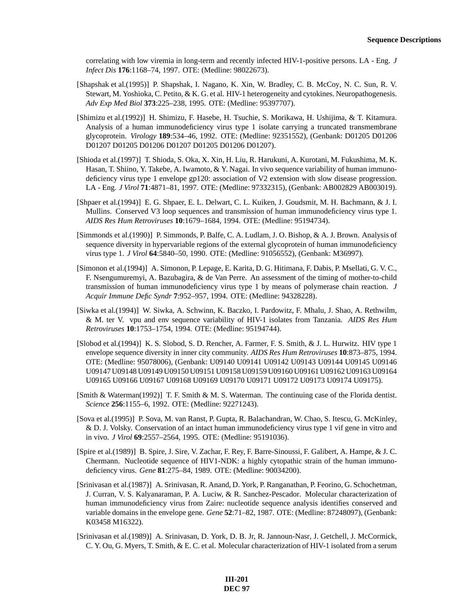correlating with low viremia in long-term and recently infected HIV-1-positive persons. LA - Eng. *J Infect Dis* **176**:1168–74, 1997. OTE: (Medline: 98022673).

- [Shapshak et al.(1995)] P. Shapshak, I. Nagano, K. Xin, W. Bradley, C. B. McCoy, N. C. Sun, R. V. Stewart, M. Yoshioka, C. Petito, & K. G. et al. HIV-1 heterogeneity and cytokines. Neuropathogenesis. *Adv Exp Med Biol* **373**:225–238, 1995. OTE: (Medline: 95397707).
- [Shimizu et al.(1992)] H. Shimizu, F. Hasebe, H. Tsuchie, S. Morikawa, H. Ushijima, & T. Kitamura. Analysis of a human immunodeficiency virus type 1 isolate carrying a truncated transmembrane glycoprotein. *Virology* **189**:534–46, 1992. OTE: (Medline: 92351552), (Genbank: D01205 D01206 D01207 D01205 D01206 D01207 D01205 D01206 D01207).
- [Shioda et al.(1997)] T. Shioda, S. Oka, X. Xin, H. Liu, R. Harukuni, A. Kurotani, M. Fukushima, M. K. Hasan, T. Shiino, Y. Takebe, A. Iwamoto, & Y. Nagai. In vivo sequence variability of human immunodeficiency virus type 1 envelope gp120: association of V2 extension with slow disease progression. LA - Eng. *J Virol* **71**:4871–81, 1997. OTE: (Medline: 97332315), (Genbank: AB002829 AB003019).
- [Shpaer et al.(1994)] E. G. Shpaer, E. L. Delwart, C. L. Kuiken, J. Goudsmit, M. H. Bachmann, & J. I. Mullins. Conserved V3 loop sequences and transmission of human immunodeficiency virus type 1. *AIDS Res Hum Retroviruses* **10**:1679–1684, 1994. OTE: (Medline: 95194734).
- [Simmonds et al.(1990)] P. Simmonds, P. Balfe, C. A. Ludlam, J. O. Bishop, & A. J. Brown. Analysis of sequence diversity in hypervariable regions of the external glycoprotein of human immunodeficiency virus type 1. *J Virol* **64**:5840–50, 1990. OTE: (Medline: 91056552), (Genbank: M36997).
- [Simonon et al.(1994)] A. Simonon, P. Lepage, E. Karita, D. G. Hitimana, F. Dabis, P. Msellati, G. V. C., F. Nsengumuremyi, A. Bazubagira, & de Van Perre. An assessment of the timing of mother-to-child transmission of human immunodeficiency virus type 1 by means of polymerase chain reaction. *J Acquir Immune Defic Syndr* **7**:952–957, 1994. OTE: (Medline: 94328228).
- [Siwka et al.(1994)] W. Siwka, A. Schwinn, K. Baczko, I. Pardowitz, F. Mhalu, J. Shao, A. Rethwilm, & M. ter V. vpu and env sequence variability of HIV-1 isolates from Tanzania. *AIDS Res Hum Retroviruses* **10**:1753–1754, 1994. OTE: (Medline: 95194744).
- [Slobod et al.(1994)] K. S. Slobod, S. D. Rencher, A. Farmer, F. S. Smith, & J. L. Hurwitz. HIV type 1 envelope sequence diversity in inner city community. *AIDS Res Hum Retroviruses* **10**:873–875, 1994. OTE: (Medline: 95078006), (Genbank: U09140 U09141 U09142 U09143 U09144 U09145 U09146 U09147 U09148 U09149 U09150 U09151 U09158 U09159 U09160 U09161 U09162 U09163 U09164 U09165 U09166 U09167 U09168 U09169 U09170 U09171 U09172 U09173 U09174 U09175).
- [Smith & Waterman(1992)] T. F. Smith & M. S. Waterman. The continuing case of the Florida dentist. *Science* **256**:1155–6, 1992. OTE: (Medline: 92271243).
- [Sova et al.(1995)] P. Sova, M. van Ranst, P. Gupta, R. Balachandran, W. Chao, S. Itescu, G. McKinley, & D. J. Volsky. Conservation of an intact human immunodeficiency virus type 1 vif gene in vitro and in vivo. *J Virol* **69**:2557–2564, 1995. OTE: (Medline: 95191036).
- [Spire et al.(1989)] B. Spire, J. Sire, V. Zachar, F. Rey, F. Barre-Sinoussi, F. Galibert, A. Hampe, & J. C. Chermann. Nucleotide sequence of HIV1-NDK: a highly cytopathic strain of the human immunodeficiency virus. *Gene* **81**:275–84, 1989. OTE: (Medline: 90034200).
- [Srinivasan et al.(1987)] A. Srinivasan, R. Anand, D. York, P. Ranganathan, P. Feorino, G. Schochetman, J. Curran, V. S. Kalyanaraman, P. A. Luciw, & R. Sanchez-Pescador. Molecular characterization of human immunodeficiency virus from Zaire: nucleotide sequence analysis identifies conserved and variable domains in the envelope gene. *Gene* **52**:71–82, 1987. OTE: (Medline: 87248097), (Genbank: K03458 M16322).
- [Srinivasan et al.(1989)] A. Srinivasan, D. York, D. B. Jr, R. Jannoun-Nasr, J. Getchell, J. McCormick, C. Y. Ou, G. Myers, T. Smith, & E. C. et al. Molecular characterization of HIV-1 isolated from a serum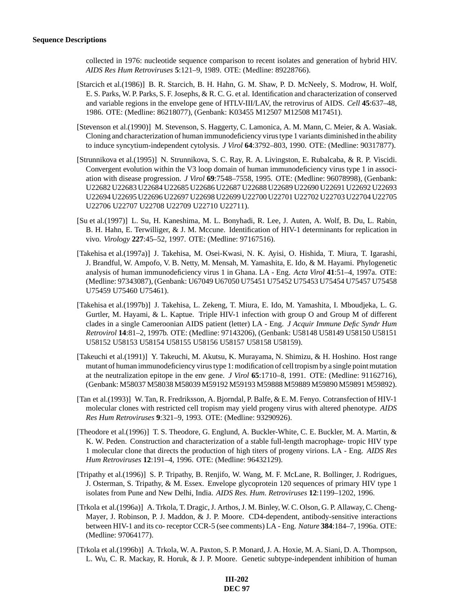collected in 1976: nucleotide sequence comparison to recent isolates and generation of hybrid HIV. *AIDS Res Hum Retroviruses* **5**:121–9, 1989. OTE: (Medline: 89228766).

- [Starcich et al.(1986)] B. R. Starcich, B. H. Hahn, G. M. Shaw, P. D. McNeely, S. Modrow, H. Wolf, E. S. Parks, W. P. Parks, S. F. Josephs, & R. C. G. et al. Identification and characterization of conserved and variable regions in the envelope gene of HTLV-III/LAV, the retrovirus of AIDS. *Cell* **45**:637–48, 1986. OTE: (Medline: 86218077), (Genbank: K03455 M12507 M12508 M17451).
- [Stevenson et al.(1990)] M. Stevenson, S. Haggerty, C. Lamonica, A. M. Mann, C. Meier, & A. Wasiak. Cloning and characterization of human immunodeficiency virus type 1 variants diminished in the ability to induce syncytium-independent cytolysis. *J Virol* **64**:3792–803, 1990. OTE: (Medline: 90317877).
- [Strunnikova et al.(1995)] N. Strunnikova, S. C. Ray, R. A. Livingston, E. Rubalcaba, & R. P. Viscidi. Convergent evolution within the V3 loop domain of human immunodeficiency virus type 1 in association with disease progression. *J Virol* **69**:7548–7558, 1995. OTE: (Medline: 96078998), (Genbank: U22682 U22683 U22684 U22685 U22686 U22687 U22688 U22689 U22690 U22691 U22692 U22693 U22694 U22695 U22696 U22697 U22698 U22699 U22700 U22701 U22702 U22703 U22704 U22705 U22706 U22707 U22708 U22709 U22710 U22711).
- [Su et al.(1997)] L. Su, H. Kaneshima, M. L. Bonyhadi, R. Lee, J. Auten, A. Wolf, B. Du, L. Rabin, B. H. Hahn, E. Terwilliger, & J. M. Mccune. Identification of HIV-1 determinants for replication in vivo. *Virology* **227**:45–52, 1997. OTE: (Medline: 97167516).
- [Takehisa et al.(1997a)] J. Takehisa, M. Osei-Kwasi, N. K. Ayisi, O. Hishida, T. Miura, T. Igarashi, J. Brandful, W. Ampofo, V. B. Netty, M. Mensah, M. Yamashita, E. Ido, & M. Hayami. Phylogenetic analysis of human immunodeficiency virus 1 in Ghana. LA - Eng. *Acta Virol* **41**:51–4, 1997a. OTE: (Medline: 97343087), (Genbank: U67049 U67050 U75451 U75452 U75453 U75454 U75457 U75458 U75459 U75460 U75461).
- [Takehisa et al.(1997b)] J. Takehisa, L. Zekeng, T. Miura, E. Ido, M. Yamashita, I. Mboudjeka, L. G. Gurtler, M. Hayami, & L. Kaptue. Triple HIV-1 infection with group O and Group M of different clades in a single Cameroonian AIDS patient (letter) LA - Eng. *J Acquir Immune Defic Syndr Hum Retrovirol* **14**:81–2, 1997b. OTE: (Medline: 97143206), (Genbank: U58148 U58149 U58150 U58151 U58152 U58153 U58154 U58155 U58156 U58157 U58158 U58159).
- [Takeuchi et al.(1991)] Y. Takeuchi, M. Akutsu, K. Murayama, N. Shimizu, & H. Hoshino. Host range mutant of human immunodeficiency virus type 1: modification of cell tropism by a single point mutation at the neutralization epitope in the env gene. *J Virol* **65**:1710–8, 1991. OTE: (Medline: 91162716), (Genbank: M58037 M58038 M58039 M59192 M59193 M59888 M59889 M59890 M59891 M59892).
- [Tan et al.(1993)] W. Tan, R. Fredriksson, A. Bjorndal, P. Balfe, & E. M. Fenyo. Cotransfection of HIV-1 molecular clones with restricted cell tropism may yield progeny virus with altered phenotype. *AIDS Res Hum Retroviruses* **9**:321–9, 1993. OTE: (Medline: 93290926).
- [Theodore et al.(1996)] T. S. Theodore, G. Englund, A. Buckler-White, C. E. Buckler, M. A. Martin, & K. W. Peden. Construction and characterization of a stable full-length macrophage- tropic HIV type 1 molecular clone that directs the production of high titers of progeny virions. LA - Eng. *AIDS Res Hum Retroviruses* **12**:191–4, 1996. OTE: (Medline: 96432129).
- [Tripathy et al.(1996)] S. P. Tripathy, B. Renjifo, W. Wang, M. F. McLane, R. Bollinger, J. Rodrigues, J. Osterman, S. Tripathy, & M. Essex. Envelope glycoprotein 120 sequences of primary HIV type 1 isolates from Pune and New Delhi, India. *AIDS Res. Hum. Retroviruses* **12**:1199–1202, 1996.
- [Trkola et al.(1996a)] A. Trkola, T. Dragic, J. Arthos, J. M. Binley, W. C. Olson, G. P. Allaway, C. Cheng-Mayer, J. Robinson, P. J. Maddon, & J. P. Moore. CD4-dependent, antibody-sensitive interactions between HIV-1 and its co- receptor CCR-5 (see comments) LA - Eng. *Nature* **384**:184–7, 1996a. OTE: (Medline: 97064177).
- [Trkola et al.(1996b)] A. Trkola, W. A. Paxton, S. P. Monard, J. A. Hoxie, M. A. Siani, D. A. Thompson, L. Wu, C. R. Mackay, R. Horuk, & J. P. Moore. Genetic subtype-independent inhibition of human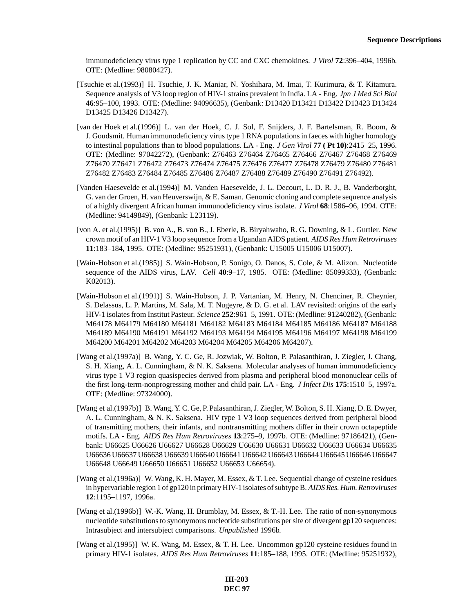immunodeficiency virus type 1 replication by CC and CXC chemokines. *J Virol* **72**:396–404, 1996b. OTE: (Medline: 98080427).

- [Tsuchie et al.(1993)] H. Tsuchie, J. K. Maniar, N. Yoshihara, M. Imai, T. Kurimura, & T. Kitamura. Sequence analysis of V3 loop region of HIV-1 strains prevalent in India. LA - Eng. *Jpn J Med Sci Biol* **46**:95–100, 1993. OTE: (Medline: 94096635), (Genbank: D13420 D13421 D13422 D13423 D13424 D13425 D13426 D13427).
- [van der Hoek et al.(1996)] L. van der Hoek, C. J. Sol, F. Snijders, J. F. Bartelsman, R. Boom, & J. Goudsmit. Human immunodeficiency virus type 1 RNA populations in faeces with higher homology to intestinal populations than to blood populations. LA - Eng. *J Gen Virol* **77 ( Pt 10)**:2415–25, 1996. OTE: (Medline: 97042272), (Genbank: Z76463 Z76464 Z76465 Z76466 Z76467 Z76468 Z76469 Z76470 Z76471 Z76472 Z76473 Z76474 Z76475 Z76476 Z76477 Z76478 Z76479 Z76480 Z76481 Z76482 Z76483 Z76484 Z76485 Z76486 Z76487 Z76488 Z76489 Z76490 Z76491 Z76492).
- [Vanden Haesevelde et al.(1994)] M. Vanden Haesevelde, J. L. Decourt, L. D. R. J., B. Vanderborght, G. van der Groen, H. van Heuverswijn, & E. Saman. Genomic cloning and complete sequence analysis of a highly divergent African human immunodeficiency virus isolate. *J Virol* **68**:1586–96, 1994. OTE: (Medline: 94149849), (Genbank: L23119).
- [von A. et al.(1995)] B. von A., B. von B., J. Eberle, B. Biryahwaho, R. G. Downing, & L. Gurtler. New crown motif of an HIV-1 V3 loop sequence from a Ugandan AIDS patient. *AIDS Res Hum Retroviruses* **11**:183–184, 1995. OTE: (Medline: 95251931), (Genbank: U15005 U15006 U15007).
- [Wain-Hobson et al.(1985)] S. Wain-Hobson, P. Sonigo, O. Danos, S. Cole, & M. Alizon. Nucleotide sequence of the AIDS virus, LAV. *Cell* **40**:9–17, 1985. OTE: (Medline: 85099333), (Genbank: K02013).
- [Wain-Hobson et al.(1991)] S. Wain-Hobson, J. P. Vartanian, M. Henry, N. Chenciner, R. Cheynier, S. Delassus, L. P. Martins, M. Sala, M. T. Nugeyre, & D. G. et al. LAV revisited: origins of the early HIV-1 isolates from Institut Pasteur. *Science* **252**:961–5, 1991. OTE: (Medline: 91240282), (Genbank: M64178 M64179 M64180 M64181 M64182 M64183 M64184 M64185 M64186 M64187 M64188 M64189 M64190 M64191 M64192 M64193 M64194 M64195 M64196 M64197 M64198 M64199 M64200 M64201 M64202 M64203 M64204 M64205 M64206 M64207).
- [Wang et al.(1997a)] B. Wang, Y. C. Ge, R. Jozwiak, W. Bolton, P. Palasanthiran, J. Ziegler, J. Chang, S. H. Xiang, A. L. Cunningham, & N. K. Saksena. Molecular analyses of human immunodeficiency virus type 1 V3 region quasispecies derived from plasma and peripheral blood mononuclear cells of the first long-term-nonprogressing mother and child pair. LA - Eng. *J Infect Dis* **175**:1510–5, 1997a. OTE: (Medline: 97324000).
- [Wang et al.(1997b)] B. Wang, Y. C. Ge, P. Palasanthiran, J. Ziegler, W. Bolton, S. H. Xiang, D. E. Dwyer, A. L. Cunningham, & N. K. Saksena. HIV type 1 V3 loop sequences derived from peripheral blood of transmitting mothers, their infants, and nontransmitting mothers differ in their crown octapeptide motifs. LA - Eng. *AIDS Res Hum Retroviruses* **13**:275–9, 1997b. OTE: (Medline: 97186421), (Genbank: U66625 U66626 U66627 U66628 U66629 U66630 U66631 U66632 U66633 U66634 U66635 U66636 U66637 U66638 U66639 U66640 U66641 U66642 U66643 U66644 U66645 U66646 U66647 U66648 U66649 U66650 U66651 U66652 U66653 U66654).
- [Wang et al.(1996a)] W. Wang, K. H. Mayer, M. Essex, & T. Lee. Sequential change of cysteine residues in hypervariable region 1 of gp120 in primary HIV-1 isolates of subtype B. *AIDS Res. Hum. Retroviruses* **12**:1195–1197, 1996a.
- [Wang et al.(1996b)] W.-K. Wang, H. Brumblay, M. Essex, & T.-H. Lee. The ratio of non-synonymous nucleotide substitutions to synonymous nucleotide substitutions per site of divergent gp120 sequences: Intrasubject and intersubject comparisons. *Unpublished* 1996b.
- [Wang et al.(1995)] W. K. Wang, M. Essex, & T. H. Lee. Uncommon gp120 cysteine residues found in primary HIV-1 isolates. *AIDS Res Hum Retroviruses* **11**:185–188, 1995. OTE: (Medline: 95251932),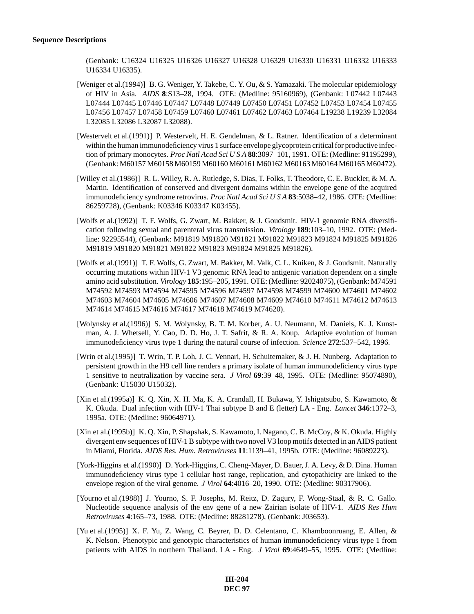(Genbank: U16324 U16325 U16326 U16327 U16328 U16329 U16330 U16331 U16332 U16333 U16334 U16335).

- [Weniger et al.(1994)] B. G. Weniger, Y. Takebe, C. Y. Ou, & S. Yamazaki. The molecular epidemiology of HIV in Asia. *AIDS* **8**:S13–28, 1994. OTE: (Medline: 95160969), (Genbank: L07442 L07443 L07444 L07445 L07446 L07447 L07448 L07449 L07450 L07451 L07452 L07453 L07454 L07455 L07456 L07457 L07458 L07459 L07460 L07461 L07462 L07463 L07464 L19238 L19239 L32084 L32085 L32086 L32087 L32088).
- [Westervelt et al.(1991)] P. Westervelt, H. E. Gendelman, & L. Ratner. Identification of a determinant within the human immunodeficiency virus 1 surface envelope glycoprotein critical for productive infection of primary monocytes. *Proc Natl Acad SciUSA* **88**:3097–101, 1991. OTE: (Medline: 91195299), (Genbank: M60157 M60158 M60159 M60160 M60161 M60162 M60163 M60164 M60165 M60472).
- [Willey et al.(1986)] R. L. Willey, R. A. Rutledge, S. Dias, T. Folks, T. Theodore, C. E. Buckler, & M. A. Martin. Identification of conserved and divergent domains within the envelope gene of the acquired immunodeficiency syndrome retrovirus. *Proc Natl Acad Sci U S A* **83**:5038–42, 1986. OTE: (Medline: 86259728), (Genbank: K03346 K03347 K03455).
- [Wolfs et al.(1992)] T. F. Wolfs, G. Zwart, M. Bakker, & J. Goudsmit. HIV-1 genomic RNA diversification following sexual and parenteral virus transmission. *Virology* **189**:103–10, 1992. OTE: (Medline: 92295544), (Genbank: M91819 M91820 M91821 M91822 M91823 M91824 M91825 M91826 M91819 M91820 M91821 M91822 M91823 M91824 M91825 M91826).
- [Wolfs et al.(1991)] T. F. Wolfs, G. Zwart, M. Bakker, M. Valk, C. L. Kuiken, & J. Goudsmit. Naturally occurring mutations within HIV-1 V3 genomic RNA lead to antigenic variation dependent on a single amino acid substitution. *Virology* **185**:195–205, 1991. OTE: (Medline: 92024075), (Genbank: M74591 M74592 M74593 M74594 M74595 M74596 M74597 M74598 M74599 M74600 M74601 M74602 M74603 M74604 M74605 M74606 M74607 M74608 M74609 M74610 M74611 M74612 M74613 M74614 M74615 M74616 M74617 M74618 M74619 M74620).
- [Wolynsky et al.(1996)] S. M. Wolynsky, B. T. M. Korber, A. U. Neumann, M. Daniels, K. J. Kunstman, A. J. Whetsell, Y. Cao, D. D. Ho, J. T. Safrit, & R. A. Koup. Adaptive evolution of human immunodeficiency virus type 1 during the natural course of infection. *Science* **272**:537–542, 1996.
- [Wrin et al.(1995)] T. Wrin, T. P. Loh, J. C. Vennari, H. Schuitemaker, & J. H. Nunberg. Adaptation to persistent growth in the H9 cell line renders a primary isolate of human immunodeficiency virus type 1 sensitive to neutralization by vaccine sera. *J Virol* **69**:39–48, 1995. OTE: (Medline: 95074890), (Genbank: U15030 U15032).
- [Xin et al.(1995a)] K. Q. Xin, X. H. Ma, K. A. Crandall, H. Bukawa, Y. Ishigatsubo, S. Kawamoto, & K. Okuda. Dual infection with HIV-1 Thai subtype B and E (letter) LA - Eng. *Lancet* **346**:1372–3, 1995a. OTE: (Medline: 96064971).
- [Xin et al.(1995b)] K. Q. Xin, P. Shapshak, S. Kawamoto, I. Nagano, C. B. McCoy, & K. Okuda. Highly divergent env sequences of HIV-1 B subtype with two novel V3 loop motifs detected in an AIDS patient in Miami, Florida. *AIDS Res. Hum. Retroviruses* **11**:1139–41, 1995b. OTE: (Medline: 96089223).
- [York-Higgins et al.(1990)] D. York-Higgins, C. Cheng-Mayer, D. Bauer, J. A. Levy, & D. Dina. Human immunodeficiency virus type 1 cellular host range, replication, and cytopathicity are linked to the envelope region of the viral genome. *J Virol* **64**:4016–20, 1990. OTE: (Medline: 90317906).
- [Yourno et al.(1988)] J. Yourno, S. F. Josephs, M. Reitz, D. Zagury, F. Wong-Staal, & R. C. Gallo. Nucleotide sequence analysis of the env gene of a new Zairian isolate of HIV-1. *AIDS Res Hum Retroviruses* **4**:165–73, 1988. OTE: (Medline: 88281278), (Genbank: J03653).
- [Yu et al.(1995)] X. F. Yu, Z. Wang, C. Beyrer, D. D. Celentano, C. Khamboonruang, E. Allen, & K. Nelson. Phenotypic and genotypic characteristics of human immunodeficiency virus type 1 from patients with AIDS in northern Thailand. LA - Eng. *J Virol* **69**:4649–55, 1995. OTE: (Medline: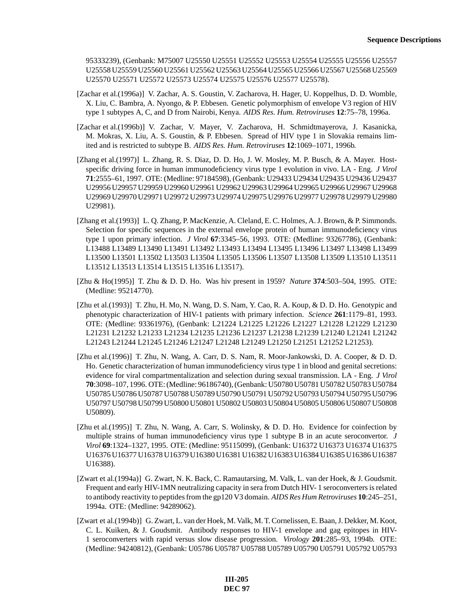95333239), (Genbank: M75007 U25550 U25551 U25552 U25553 U25554 U25555 U25556 U25557 U25558 U25559 U25560 U25561 U25562 U25563 U25564 U25565 U25566 U25567 U25568 U25569 U25570 U25571 U25572 U25573 U25574 U25575 U25576 U25577 U25578).

- [Zachar et al.(1996a)] V. Zachar, A. S. Goustin, V. Zacharova, H. Hager, U. Koppelhus, D. D. Womble, X. Liu, C. Bambra, A. Nyongo, & P. Ebbesen. Genetic polymorphism of envelope V3 region of HIV type 1 subtypes A, C, and D from Nairobi, Kenya. *AIDS Res. Hum. Retroviruses* **12**:75–78, 1996a.
- [Zachar et al.(1996b)] V. Zachar, V. Mayer, V. Zacharova, H. Schmidtmayerova, J. Kasanicka, M. Mokras, X. Liu, A. S. Goustin, & P. Ebbesen. Spread of HIV type 1 in Slovakia remains limited and is restricted to subtype B. *AIDS Res. Hum. Retroviruses* **12**:1069–1071, 1996b.
- [Zhang et al.(1997)] L. Zhang, R. S. Diaz, D. D. Ho, J. W. Mosley, M. P. Busch, & A. Mayer. Hostspecific driving force in human immunodeficiency virus type 1 evolution in vivo. LA - Eng. *J Virol* **71**:2555–61, 1997. OTE: (Medline: 97184598), (Genbank: U29433 U29434 U29435 U29436 U29437 U29956 U29957 U29959 U29960 U29961 U29962 U29963 U29964 U29965 U29966 U29967 U29968 U29969 U29970 U29971 U29972 U29973 U29974 U29975 U29976 U29977 U29978 U29979 U29980 U29981).
- [Zhang et al.(1993)] L. Q. Zhang, P. MacKenzie, A. Cleland, E. C. Holmes, A. J. Brown, & P. Simmonds. Selection for specific sequences in the external envelope protein of human immunodeficiency virus type 1 upon primary infection. *J Virol* **67**:3345–56, 1993. OTE: (Medline: 93267786), (Genbank: L13488 L13489 L13490 L13491 L13492 L13493 L13494 L13495 L13496 L13497 L13498 L13499 L13500 L13501 L13502 L13503 L13504 L13505 L13506 L13507 L13508 L13509 L13510 L13511 L13512 L13513 L13514 L13515 L13516 L13517).
- [Zhu & Ho(1995)] T. Zhu & D. D. Ho. Was hiv present in 1959? *Nature* **374**:503–504, 1995. OTE: (Medline: 95214770).
- [Zhu et al.(1993)] T. Zhu, H. Mo, N. Wang, D. S. Nam, Y. Cao, R. A. Koup, & D. D. Ho. Genotypic and phenotypic characterization of HIV-1 patients with primary infection. *Science* **261**:1179–81, 1993. OTE: (Medline: 93361976), (Genbank: L21224 L21225 L21226 L21227 L21228 L21229 L21230 L21231 L21232 L21233 L21234 L21235 L21236 L21237 L21238 L21239 L21240 L21241 L21242 L21243 L21244 L21245 L21246 L21247 L21248 L21249 L21250 L21251 L21252 L21253).
- [Zhu et al.(1996)] T. Zhu, N. Wang, A. Carr, D. S. Nam, R. Moor-Jankowski, D. A. Cooper, & D. D. Ho. Genetic characterization of human immunodeficiency virus type 1 in blood and genital secretions: evidence for viral compartmentalization and selection during sexual transmission. LA - Eng. *J Virol* **70**:3098–107, 1996. OTE: (Medline: 96186740), (Genbank: U50780 U50781 U50782 U50783 U50784 U50785 U50786 U50787 U50788 U50789 U50790 U50791 U50792 U50793 U50794 U50795 U50796 U50797 U50798 U50799 U50800 U50801 U50802 U50803 U50804 U50805 U50806 U50807 U50808 U50809).
- [Zhu et al.(1995)] T. Zhu, N. Wang, A. Carr, S. Wolinsky, & D. D. Ho. Evidence for coinfection by multiple strains of human immunodeficiency virus type 1 subtype B in an acute seroconvertor. *J Virol* **69**:1324–1327, 1995. OTE: (Medline: 95115099), (Genbank: U16372 U16373 U16374 U16375 U16376 U16377 U16378 U16379 U16380 U16381 U16382 U16383 U16384 U16385 U16386 U16387 U16388).
- [Zwart et al.(1994a)] G. Zwart, N. K. Back, C. Ramautarsing, M. Valk, L. van der Hoek, & J. Goudsmit. Frequent and early HIV-1MN neutralizing capacity in sera from Dutch HIV- 1 seroconverters is related to antibody reactivity to peptides from the gp120 V3 domain. *AIDS Res Hum Retroviruses* **10**:245–251, 1994a. OTE: (Medline: 94289062).
- [Zwart et al.(1994b)] G. Zwart, L. van der Hoek, M. Valk, M. T. Cornelissen, E. Baan, J. Dekker, M. Koot, C. L. Kuiken, & J. Goudsmit. Antibody responses to HIV-1 envelope and gag epitopes in HIV-1 seroconverters with rapid versus slow disease progression. *Virology* **201**:285–93, 1994b. OTE: (Medline: 94240812), (Genbank: U05786 U05787 U05788 U05789 U05790 U05791 U05792 U05793